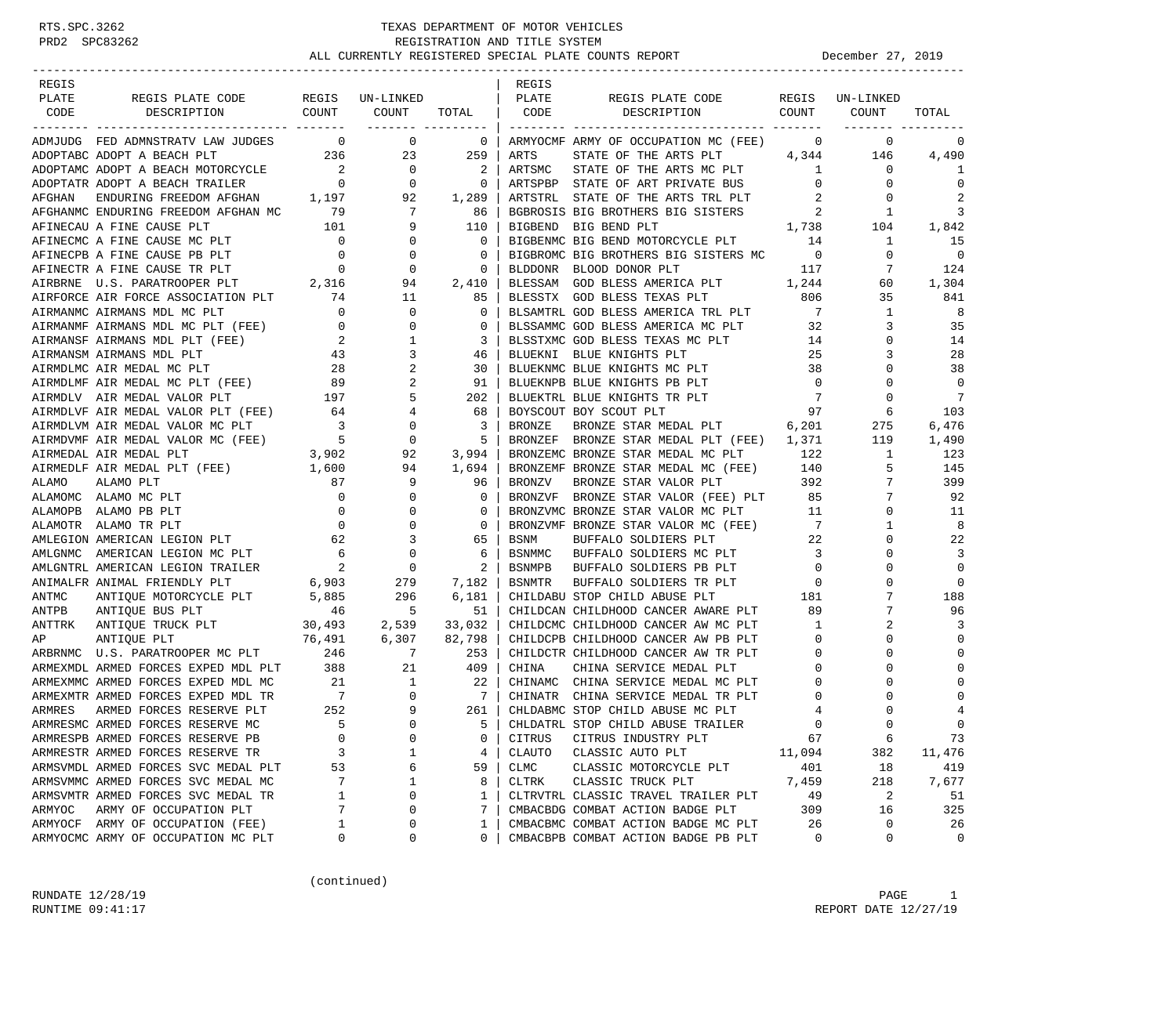| REGIS  |                                                                                                                                                                                                                                                                                                                                                                                                                                                          |                |                                                                                                      |                          | REGIS        |                                                                                         |                                      |                          |                   |
|--------|----------------------------------------------------------------------------------------------------------------------------------------------------------------------------------------------------------------------------------------------------------------------------------------------------------------------------------------------------------------------------------------------------------------------------------------------------------|----------------|------------------------------------------------------------------------------------------------------|--------------------------|--------------|-----------------------------------------------------------------------------------------|--------------------------------------|--------------------------|-------------------|
| PLATE  | REGIS PLATE CODE REGIS UN-LINKED                                                                                                                                                                                                                                                                                                                                                                                                                         |                |                                                                                                      |                          | PLATE        | REGIS PLATE CODE                                                                        | REGIS                                | UN-LINKED                |                   |
| CODE   | DESCRIPTION COUNT                                                                                                                                                                                                                                                                                                                                                                                                                                        |                | COUNT                                                                                                |                          | TOTAL   CODE | DESCRIPTION COUNT                                                                       |                                      | COUNT                    | TOTAL             |
|        | ---------------------------- -------                                                                                                                                                                                                                                                                                                                                                                                                                     |                |                                                                                                      | ------- --------         |              |                                                                                         |                                      |                          |                   |
|        | ADMJUDG FED ADMNSTRATV LAW JUDGES 0 0 0                                                                                                                                                                                                                                                                                                                                                                                                                  |                |                                                                                                      | $\overline{0}$           |              | ARMYOCMF ARMY OF OCCUPATION MC (FEE)                                                    | $\mathbf{0}$                         | $\circ$                  | 0                 |
|        |                                                                                                                                                                                                                                                                                                                                                                                                                                                          |                |                                                                                                      |                          | ARTS         |                                                                                         |                                      |                          | 4,490             |
|        |                                                                                                                                                                                                                                                                                                                                                                                                                                                          |                |                                                                                                      |                          | ARTSMC       | STATE OF THE ARTS PLT $4,344$ 146<br>STATE OF THE ARTS MC PLT $1$ 0                     |                                      |                          | 1                 |
|        |                                                                                                                                                                                                                                                                                                                                                                                                                                                          |                |                                                                                                      |                          |              | ARTSPBP STATE OF ART PRIVATE BUS                                                        | $\overline{0}$                       | 0                        | $\mathbf 0$       |
|        | ADOPTARC ADOPT A BEACH PLT<br>ADOPTAMC ADOPT A BEACH MOTORCYCLE 2 0 2<br>ADOPTATR ADOPT A BEACH TRAILER 0 0 0 0<br>AFGHAN ENDURING FREEDOM AFGHAN 1,197 92 1,289<br>AFGHANMC ENDURING FREEDOM AFGHAN MC 792 1,289                                                                                                                                                                                                                                        |                |                                                                                                      |                          |              |                                                                                         |                                      | 0                        | 2                 |
|        |                                                                                                                                                                                                                                                                                                                                                                                                                                                          |                |                                                                                                      |                          |              | ARTSTRL STATE OF THE ARTS TRL PLT 2<br>BGBROSIS BIG BROTHERS BIG SISTERS 2              |                                      | 1                        | 3                 |
|        |                                                                                                                                                                                                                                                                                                                                                                                                                                                          |                |                                                                                                      |                          |              |                                                                                         |                                      |                          | 1,842             |
|        |                                                                                                                                                                                                                                                                                                                                                                                                                                                          |                |                                                                                                      |                          |              |                                                                                         |                                      |                          | 15                |
|        | AFINECAU A FINE CAUSE PLT 101 9 110<br>AFINECAU A FINE CAUSE PLT 101 9 110<br>AFINECPB A FINE CAUSE PB PLT 0 0 0 0<br>AFINECPB A FINE CAUSE PB PLT 0 0 0 0<br>AFINECTR A FINE CAUSE TR PLT 0 0 0 0<br>AIRBRNE U.S. PARATROOPER PLT 2,316                                                                                                                                                                                                                 |                |                                                                                                      |                          |              | BIGBROMC BIG BROTHERS BIG SISTERS MC 0                                                  |                                      | $\mathbf{0}$             | $\overline{0}$    |
|        |                                                                                                                                                                                                                                                                                                                                                                                                                                                          |                |                                                                                                      |                          |              | 117                                                                                     |                                      | 7                        | 124               |
|        |                                                                                                                                                                                                                                                                                                                                                                                                                                                          |                |                                                                                                      |                          |              | BLDDONR BLOOD DONOR PLT 117<br>BLESSAM GOD BLESS AMERICA PLT 1,244                      |                                      | 60                       | 1,304             |
|        |                                                                                                                                                                                                                                                                                                                                                                                                                                                          |                |                                                                                                      | 85                       |              |                                                                                         |                                      | 35                       | 841               |
|        |                                                                                                                                                                                                                                                                                                                                                                                                                                                          |                |                                                                                                      | $\mathbf{0}$             |              | BLESSTX GOD BLESS TEXAS PLT 806<br>BLSAMTRL GOD BLESS AMERICA TRL PLT 7                 |                                      | 1                        | $_{\rm 8}$        |
|        |                                                                                                                                                                                                                                                                                                                                                                                                                                                          |                |                                                                                                      | $\mathbf{0}$             |              | BLSSAMMC GOD BLESS AMERICA MC PLT 32                                                    |                                      | 3                        | 35                |
|        |                                                                                                                                                                                                                                                                                                                                                                                                                                                          |                |                                                                                                      | 3                        |              |                                                                                         | $\overline{14}$                      | 0                        | 14                |
|        | $\begin{tabular}{lllllllllllllllllllll} \multicolumn{2}{c}{\textbf{AIR FORCE} & \textbf{ASSOCIATION PLT} & \textbf{74} & \textbf{11} \\ \multicolumn{2}{c}{\textbf{AIRMANMC} & \textbf{AIRMANS} & \textbf{MDL} & \textbf{MC} & \textbf{PLT} & \textbf{0} & \textbf{0} \\ \multicolumn{2}{c}{\textbf{AIRMANMF} & \textbf{AIRMANS} & \textbf{MDL} & \textbf{MC} & \textbf{PLT} & (\textbf{FEE}) & \textbf{0} & \textbf{0} \\ \multicolumn{2}{c}{\textbf{A$ |                |                                                                                                      | 46                       |              | BLSSTXMC GOD BLESS TEXAS MC PLT<br>BLUEKNI BLUE KNIGHTS PLT<br>BLUEKNI BLUE KNIGHTS PLT | 25                                   | 3                        | 28                |
|        | ARMDLMC ARR MEDAL MC PLT 197<br>ARMDLMF ARR MEDAL MC PLT (FEE) 28<br>2<br>ARMDLMF ARR MEDAL MC PLT (FEE) 39<br>2<br>ARMDLVF ARR MEDAL VALOR PLT (FEE) 64<br>4<br>ARMDLVM ARR MEDAL VALOR MC PLT 3 0<br>ARMDVMF ARR MEDAL VALOR MC (FEE) 5<br>5 0                                                                                                                                                                                                         |                |                                                                                                      | 30                       |              |                                                                                         |                                      | 0                        | 38                |
|        |                                                                                                                                                                                                                                                                                                                                                                                                                                                          |                |                                                                                                      | 91                       |              | BLUEKNMC BLUE KNIGHTS MC PLT 38<br>BLUEKNPB BLUE KNIGHTS PB PLT 0                       | $\overline{0}$                       | $\Omega$                 | $\overline{0}$    |
|        |                                                                                                                                                                                                                                                                                                                                                                                                                                                          |                |                                                                                                      | 202                      |              |                                                                                         |                                      | 0                        | 7                 |
|        |                                                                                                                                                                                                                                                                                                                                                                                                                                                          |                |                                                                                                      | 68                       |              | BOYSCOUT BOY SCOUT PLT                                                                  |                                      | 6                        | 103               |
|        |                                                                                                                                                                                                                                                                                                                                                                                                                                                          |                |                                                                                                      | $\overline{\phantom{a}}$ | BRONZE       | BRONZE STAR MEDAL PLT 6,201                                                             |                                      | 275                      | 6,476             |
|        |                                                                                                                                                                                                                                                                                                                                                                                                                                                          |                |                                                                                                      | 5                        |              | BRONZEF BRONZE STAR MEDAL PLT (FEE) $1,371$ 119                                         |                                      |                          | 1,490             |
|        |                                                                                                                                                                                                                                                                                                                                                                                                                                                          |                |                                                                                                      | 3,99<br>3,994            |              | BRONZEMC BRONZE STAR MEDAL MC PLT 122                                                   |                                      | $\overline{\phantom{a}}$ | 123               |
|        | AIRMEDLF AIR MEDAL PLT (FEE) 1,600                                                                                                                                                                                                                                                                                                                                                                                                                       |                | 94                                                                                                   | 1,694                    |              | BRONZEMF BRONZE STAR MEDAL MC (FEE) 140                                                 |                                      | 5                        | 145               |
| ALAMO  | ALAMO PLT                                                                                                                                                                                                                                                                                                                                                                                                                                                | 87             | 9                                                                                                    | 96                       | BRONZV       | BRONZE STAR VALOR PLT                                                                   | 392                                  |                          | 399               |
|        | ALAMOMC ALAMO MC PLT                                                                                                                                                                                                                                                                                                                                                                                                                                     | $\overline{0}$ | $\mathbf{0}$                                                                                         | $\mathbf{0}$             |              | BRONZVF BRONZE STAR VALOR (FEE) PLT 85                                                  |                                      | 7                        | 92                |
|        | ALAMOPB ALAMO PB PLT                                                                                                                                                                                                                                                                                                                                                                                                                                     |                | $\mathbf 0$                                                                                          | $\circ$                  |              |                                                                                         |                                      | $\mathbf{0}$             | 11                |
|        | $\begin{array}{c} 0 \\ 0 \end{array}$<br>ALAMOTR ALAMO TR PLT                                                                                                                                                                                                                                                                                                                                                                                            | $\overline{0}$ | $\overline{0}$                                                                                       | $\overline{0}$           |              | BRONZVMC BRONZE STAR VALOR MC PLT 11<br>BRONZVMF BRONZE STAR VALOR MC (FEE) 7           |                                      | 1                        | 8                 |
|        | AMLEGION AMERICAN LEGION PLT 62                                                                                                                                                                                                                                                                                                                                                                                                                          |                |                                                                                                      | 65                       | BSNM         | BUFFALO SOLDIERS PLT                                                                    | 22                                   | 0                        | 22                |
|        | AMLGNMC AMERICAN LEGION MC PLT                                                                                                                                                                                                                                                                                                                                                                                                                           |                | $\begin{array}{ccc} 62 & & & 3 \\ 6 & & & 0 \\ 2 & & & 0 \end{array}$                                | 6                        | BSNMMC       | BUFFALO SOLDIERS MC PLT                                                                 | $\sim$ 3                             | $\Omega$                 | 3                 |
|        | AMLGNTRL AMERICAN LEGION TRAILER                                                                                                                                                                                                                                                                                                                                                                                                                         | $\frac{3}{2}$  |                                                                                                      | 2                        | BSNMPB       | BUFFALO SOLDIERS PB PLT                                                                 | $\overline{0}$                       | $\Omega$                 | $\mathbf 0$       |
|        | ANIMALFR ANIMAL FRIENDLY PLT                                                                                                                                                                                                                                                                                                                                                                                                                             |                |                                                                                                      |                          | BSNMTR       |                                                                                         |                                      | 0                        | $\Omega$          |
| ANTMC  |                                                                                                                                                                                                                                                                                                                                                                                                                                                          |                |                                                                                                      | 7,182<br>6,181<br>6,181  |              | BUFFALO SOLDIERS TR PLT 0<br>STOP CHILD ABUSE PLT 181<br>CHILDABU STOP CHILD ABUSE PLT  |                                      | $7\overline{ }$          | 188               |
| ANTPB  | ANIMAL FRIENDLY PLT 6,903 279<br>ANTIQUE MOTORCYCLE PLT 5,885 296<br>ANTIQUE BUS PLT 46 5                                                                                                                                                                                                                                                                                                                                                                |                |                                                                                                      | 51                       |              | CHILDCAN CHILDHOOD CANCER AWARE PLT                                                     | 89                                   | 7                        | 96                |
|        |                                                                                                                                                                                                                                                                                                                                                                                                                                                          |                |                                                                                                      | 33,032                   |              | CHILDCMC CHILDHOOD CANCER AW MC PLT                                                     | 1                                    | 2                        | 3                 |
|        | ANTITRK ANTIQUE TRUCK PLT 30,493 2,539<br>AP ANTIQUE PLT 76,491 6,307                                                                                                                                                                                                                                                                                                                                                                                    |                |                                                                                                      | 82,798                   |              | CHILDCPB CHILDHOOD CANCER AW PB PLT                                                     | $\overline{0}$                       | $\Omega$                 | $\mathbf 0$       |
|        |                                                                                                                                                                                                                                                                                                                                                                                                                                                          |                |                                                                                                      |                          |              | CHILDCTR CHILDHOOD CANCER AW TR PLT                                                     |                                      | 0                        | $\Omega$          |
|        |                                                                                                                                                                                                                                                                                                                                                                                                                                                          |                |                                                                                                      | 253<br>409               | CHINA        | CHINA SERVICE MEDAL PLT                                                                 | $\begin{matrix} 0 \\ 0 \end{matrix}$ | $\Omega$                 | 0                 |
|        | ARMEXMMC ARMED FORCES EXPED MDL MC                                                                                                                                                                                                                                                                                                                                                                                                                       |                |                                                                                                      |                          |              | CHINAMC CHINA SERVICE MEDAL MC PLT                                                      | $\overline{0}$                       | 0                        | $\Omega$          |
|        | ARMEXMTR ARMED FORCES EXPED MDL TR                                                                                                                                                                                                                                                                                                                                                                                                                       |                | $\begin{array}{ccccccc}\n & 21 & & 1 \\  & & 7 & & 0 \\  & & 252 & & 9 \\  & & 5 & & 0\n\end{array}$ | $\frac{22}{7}$<br>7      |              | CHINATR CHINA SERVICE MEDAL TR PLT                                                      | $\mathbf 0$                          | $\Omega$                 | $\Omega$          |
| ARMRES | ARMED FORCES RESERVE PLT                                                                                                                                                                                                                                                                                                                                                                                                                                 |                |                                                                                                      | 261                      |              | CHLDABMC STOP CHILD ABUSE MC PLT                                                        | 4                                    | $\Omega$                 | 4                 |
|        | ARMRESMC ARMED FORCES RESERVE MC                                                                                                                                                                                                                                                                                                                                                                                                                         |                |                                                                                                      | 5                        |              | CHLDATRL STOP CHILD ABUSE TRAILER                                                       | $\Omega$                             | $\Omega$                 | $\Omega$          |
|        | ARMRESPB ARMED FORCES RESERVE PB                                                                                                                                                                                                                                                                                                                                                                                                                         | 0              | 0                                                                                                    | 0                        |              |                                                                                         | 67                                   | 6                        | 73                |
|        |                                                                                                                                                                                                                                                                                                                                                                                                                                                          | 3              | $\mathbf{1}$                                                                                         | 4                        | CITRUS       | CITRUS INDUSTRY PLT<br>CLASSIC AUTO PLT                                                 | 11,094                               |                          |                   |
|        | ARMRESTR ARMED FORCES RESERVE TR                                                                                                                                                                                                                                                                                                                                                                                                                         |                | 6                                                                                                    |                          | CLAUTO       |                                                                                         |                                      | 382                      | 11,476            |
|        | ARMSVMDL ARMED FORCES SVC MEDAL PLT                                                                                                                                                                                                                                                                                                                                                                                                                      | 53<br>7        | 1                                                                                                    | 59                       | CLMC         | CLASSIC MOTORCYCLE PLT                                                                  | 401                                  | 18                       | 419               |
|        | ARMSVMMC ARMED FORCES SVC MEDAL MC<br>ARMSVMTR ARMED FORCES SVC MEDAL TR                                                                                                                                                                                                                                                                                                                                                                                 |                |                                                                                                      | 8                        | CLTRK        | CLASSIC TRUCK PLT                                                                       | 7,459                                | 218                      | 7,677             |
|        |                                                                                                                                                                                                                                                                                                                                                                                                                                                          | 1<br>7         | 0<br>$\mathsf 0$                                                                                     | 1<br>7                   |              | CLTRVTRL CLASSIC TRAVEL TRAILER PLT<br>CMBACBDG COMBAT ACTION BADGE PLT                 | 49                                   | 2                        | 51                |
|        | ARMYOC ARMY OF OCCUPATION PLT                                                                                                                                                                                                                                                                                                                                                                                                                            |                |                                                                                                      |                          |              |                                                                                         | 309                                  | 16                       | 325               |
|        | ARMYOCF ARMY OF OCCUPATION (FEE)                                                                                                                                                                                                                                                                                                                                                                                                                         | 1<br>0         | 0<br>$\mathsf 0$                                                                                     | 1<br>0                   |              | CMBACBMC COMBAT ACTION BADGE MC PLT<br>CMBACBPB COMBAT ACTION BADGE PB PLT              | 26<br>0                              | 0<br>$\mathsf 0$         | 26<br>$\mathbf 0$ |
|        | ARMYOCMC ARMY OF OCCUPATION MC PLT                                                                                                                                                                                                                                                                                                                                                                                                                       |                |                                                                                                      |                          |              |                                                                                         |                                      |                          |                   |

(continued)

RUNDATE  $12/28/19$  PAGE 1 RUNTIME 09:41:17 REPORT DATE 12/27/19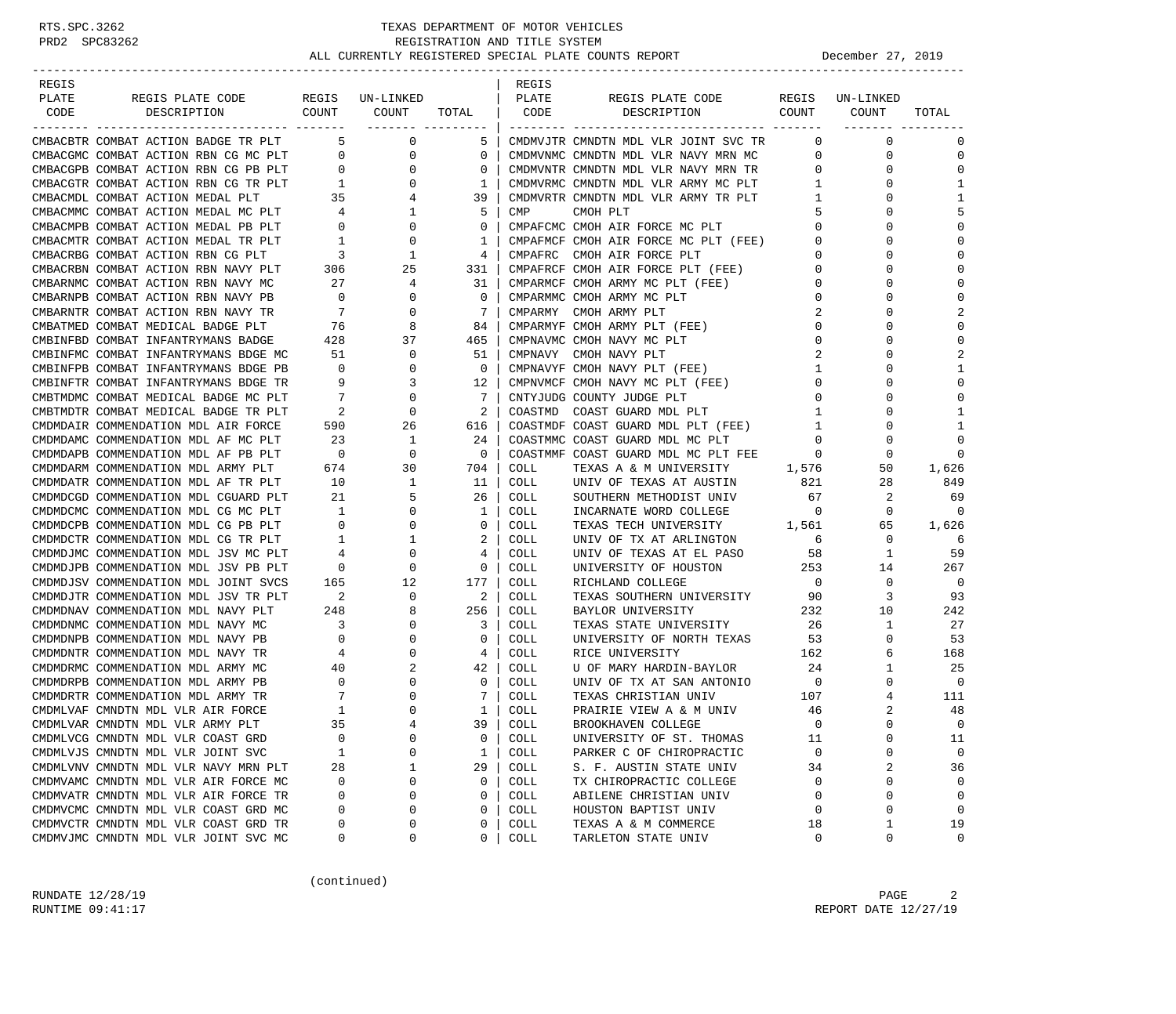| REGIS |                                      |                            |                  |                          | REGIS       |                                                                            |                          |                 |              |
|-------|--------------------------------------|----------------------------|------------------|--------------------------|-------------|----------------------------------------------------------------------------|--------------------------|-----------------|--------------|
| PLATE | REGIS PLATE CODE                     |                            | REGIS UN-LINKED  |                          | PLATE       | REGIS PLATE CODE                                                           |                          | REGIS UN-LINKED |              |
| CODE  | COUNT<br>DESCRIPTION                 |                            | COUNT            | TOTAL                    | CODE        | DESCRIPTION                                                                | COUNT                    | COUNT           | TOTAL        |
|       |                                      |                            | ________ _______ |                          |             |                                                                            |                          |                 |              |
|       | CMBACBTR COMBAT ACTION BADGE TR PLT  | 5                          | 0                | 5                        |             | CMDMVJTR CMNDTN MDL VLR JOINT SVC TR                                       | $\Omega$                 | $\mathbf 0$     | $\Omega$     |
|       | CMBACGMC COMBAT ACTION RBN CG MC PLT | $\overline{\phantom{0}}$   | 0                | $\circ$                  |             | CMDMVNMC CMNDTN MDL VLR NAVY MRN MC                                        | 0                        | 0               | $\Omega$     |
|       | CMBACGPB COMBAT ACTION RBN CG PB PLT | $\sim$ 0                   | $\mathbf 0$      | 0                        |             |                                                                            | $\mathbf{0}$             | $\mathbf 0$     | $\Omega$     |
|       | CMBACGTR COMBAT ACTION RBN CG TR PLT | $\overline{1}$             | $\mathbf{0}$     | 1                        |             | CMDMVNTR CMNDTN MDL VLR NAVY MRN TR<br>CMDMVRMC CMNDTN MDL VLR ARMY MC PLT | 1                        | 0               | $\mathbf{1}$ |
|       | CMBACMDL COMBAT ACTION MEDAL PLT     | $\frac{35}{4}$             | $\overline{4}$   | 39                       |             | CMDMVRTR CMNDTN MDL VLR ARMY TR PLT                                        | $\frac{1}{2}$            | 0               | 1            |
|       | CMBACMMC COMBAT ACTION MEDAL MC PLT  | $4\overline{4}$            | $\mathbf{1}$     | 5                        | CMP         | CMOH PLT                                                                   | 5                        | $\Omega$        | 5            |
|       | CMBACMPB COMBAT ACTION MEDAL PB PLT  | $\sim$ 0                   | $\overline{0}$   | $\circ$                  |             | CMPAFCMC CMOH AIR FORCE MC PLT                                             | $\mathbf{0}$             | 0               | $\cap$       |
|       | CMBACMTR COMBAT ACTION MEDAL TR PLT  | $\overline{1}$             | $\mathbf 0$      | 1                        |             | CMPAFMCF CMOH AIR FORCE MC PLT (FEE)                                       | 0                        | 0               | $\Omega$     |
|       | CMBACRBG COMBAT ACTION RBN CG PLT    | $\overline{\phantom{a}}$   | 1                | 4                        |             | CMPAFRC CMOH AIR FORCE PLT                                                 | 0                        | $\Omega$        |              |
|       | CMBACRBN COMBAT ACTION RBN NAVY PLT  | $\frac{306}{27}$           | 25               | 331                      |             | CMPAFRCF CMOH AIR FORCE PLT (FEE)                                          | 0                        | 0               |              |
|       | CMBARNMC COMBAT ACTION RBN NAVY MC   | 27                         | $\overline{4}$   | 31                       |             | CMPARMCF CMOH ARMY MC PLT (FEE)                                            | 0                        | $\Omega$        | $\Omega$     |
|       | CMBARNPB COMBAT ACTION RBN NAVY PB   | $\overline{0}$             | 0                | $\mathbf 0$              |             | CMPARMMC CMOH ARMY MC PLT                                                  | $\mathbf 0$              | U               | $\cap$       |
|       | CMBARNTR COMBAT ACTION RBN NAVY TR   | $7\overline{ }$            | $\mathbf 0$      | 7                        |             | CMPARMY CMOH ARMY PLT                                                      | 2                        | U               | 2            |
|       | CMBATMED COMBAT MEDICAL BADGE PLT    | 76                         | 8                | 84                       |             | CMPARMYF CMOH ARMY PLT (FEE)                                               | 0                        | U               | $\cap$       |
|       | CMBINFBD COMBAT INFANTRYMANS BADGE   | 428                        | 37               | 465                      |             | CMPNAVMC CMOH NAVY MC PLT                                                  | $\mathbf 0$              | 0               | $\Omega$     |
|       | CMBINFMC COMBAT INFANTRYMANS BDGE MC | 51                         | $\mathbf 0$      | 51                       |             | CMPNAVY CMOH NAVY PLT                                                      | 2                        | U               | 2            |
|       | CMBINFPB COMBAT INFANTRYMANS BDGE PB | $\overline{0}$             | $\mathbf 0$      | $\overline{\phantom{0}}$ |             | CMPNAVYF CMOH NAVY PLT (FEE)                                               | $\mathbf{1}$             | 0               | $\mathbf{1}$ |
|       | CMBINFTR COMBAT INFANTRYMANS BDGE TR | 9                          | 3                | 12                       |             | CMPNVMCF CMOH NAVY MC PLT (FEE)                                            | $\mathbf 0$              | 0               | $\Omega$     |
|       | CMBTMDMC COMBAT MEDICAL BADGE MC PLT | $\overline{7}$             | 0                | 7                        |             | CNTYJUDG COUNTY JUDGE PLT                                                  | 0                        | $\Omega$        |              |
|       | CMBTMDTR COMBAT MEDICAL BADGE TR PLT | $\overline{\phantom{a}}^2$ | 0                | 2                        | COASTMD     | COAST GUARD MDL PLT                                                        | 1                        | 0               | -1           |
|       | CMDMDAIR COMMENDATION MDL AIR FORCE  | 590                        | 26               | 616                      |             | COASTMDF COAST GUARD MDL PLT (FEE)                                         | $\mathbf{1}$             | 0               | 1            |
|       | CMDMDAMC COMMENDATION MDL AF MC PLT  | 23                         | $\mathbf{1}$     | 24                       |             | COASTMMC COAST GUARD MDL MC PLT                                            | $\mathbf 0$              | 0               | $\Omega$     |
|       | CMDMDAPB COMMENDATION MDL AF PB PLT  | $\overline{0}$             | $\mathbf 0$      | $\overline{0}$           |             | COASTMMF COAST GUARD MDL MC PLT FEE                                        | $\overline{0}$           | 0               | $\Omega$     |
|       | CMDMDARM COMMENDATION MDL ARMY PLT   |                            | 30               |                          | COLL        |                                                                            | 1,576                    |                 |              |
|       |                                      | 674                        |                  | 704                      | COLL        | TEXAS A & M UNIVERSITY                                                     | 821                      | 50              | 1,626<br>849 |
|       | CMDMDATR COMMENDATION MDL AF TR PLT  | 10                         | $\mathbf{1}$     | - 11                     |             | UNIV OF TEXAS AT AUSTIN                                                    |                          | 28              |              |
|       | CMDMDCGD COMMENDATION MDL CGUARD PLT | 21                         | 5                | 26                       | COLL        | SOUTHERN METHODIST UNIV                                                    | 67                       | 2               | 69           |
|       | CMDMDCMC COMMENDATION MDL CG MC PLT  | $\overline{\phantom{1}}$   | $\overline{0}$   | $\mathbf{1}$             | <b>COLL</b> | INCARNATE WORD COLLEGE                                                     | $\overline{0}$           | $\mathbf 0$     | $\Omega$     |
|       | CMDMDCPB COMMENDATION MDL CG PB PLT  | $\overline{0}$             | $\mathbf 0$      | $\mathbf{0}$             | COLL        | TEXAS TECH UNIVERSITY 1,561                                                |                          | 65              | 1,626        |
|       | CMDMDCTR COMMENDATION MDL CG TR PLT  | $\overline{\phantom{a}}$   | 1                | 2                        | COLL        | UNIV OF TX AT ARLINGTON                                                    | 6                        | 0               | 6            |
|       | CMDMDJMC COMMENDATION MDL JSV MC PLT | 4                          | 0                | 4                        | <b>COLL</b> | UNIV OF TEXAS AT EL PASO                                                   | 58                       | $\mathbf{1}$    | 59           |
|       | CMDMDJPB COMMENDATION MDL JSV PB PLT | $\overline{\phantom{0}}$   | $\mathbf 0$      | $\mathbf 0$              | COLL        | UNIVERSITY OF HOUSTON                                                      | 253                      | 14              | 267          |
|       | CMDMDJSV COMMENDATION MDL JOINT SVCS | 165                        | 12               | 177                      | <b>COLL</b> | RICHLAND COLLEGE                                                           | $\overline{0}$           | $\mathbf 0$     | $\mathbf 0$  |
|       | CMDMDJTR COMMENDATION MDL JSV TR PLT | $\overline{\phantom{a}}$ 2 | 0                | 2                        | COLL        | TEXAS SOUTHERN UNIVERSITY                                                  | 90                       | 3               | 93           |
|       | CMDMDNAV COMMENDATION MDL NAVY PLT   | 248                        | 8                | 256                      | COLL        | BAYLOR UNIVERSITY                                                          | 232                      | 10              | 242          |
|       | CMDMDNMC COMMENDATION MDL NAVY MC    | $\overline{\mathbf{3}}$    | 0                | 3                        | COLL        | TEXAS STATE UNIVERSITY                                                     | 26                       | $\mathbf{1}$    | 27           |
|       | CMDMDNPB COMMENDATION MDL NAVY PB    | $\overline{0}$             | $\mathbf{0}$     | $\mathbf{0}$             | COLL        | UNIVERSITY OF NORTH TEXAS                                                  | 53                       | 0               | 53           |
|       | CMDMDNTR COMMENDATION MDL NAVY TR    | $\overline{4}$             | 0                | 4                        | COLL        | RICE UNIVERSITY                                                            | 162                      | 6               | 168          |
|       | CMDMDRMC COMMENDATION MDL ARMY MC    | 40                         | 2                | 42                       | COLL        | U OF MARY HARDIN-BAYLOR                                                    | 24                       | 1               | 25           |
|       | CMDMDRPB COMMENDATION MDL ARMY PB    | $\overline{0}$             | 0                | $\overline{0}$           | COLL        | UNIV OF TX AT SAN ANTONIO                                                  | $\overline{\phantom{0}}$ | 0               | $\Omega$     |
|       | CMDMDRTR COMMENDATION MDL ARMY TR    | $\overline{7}$             | 0                | 7                        | COLL        | TEXAS CHRISTIAN UNIV                                                       | 107                      | 4               | 111          |
|       | CMDMLVAF CMNDTN MDL VLR AIR FORCE    | $\mathbf{1}$               | $\mathbf 0$      | $\mathbf{1}$             | COLL        | PRAIRIE VIEW A & M UNIV                                                    | 46                       | 2               | 48           |
|       | CMDMLVAR CMNDTN MDL VLR ARMY PLT     | 35                         |                  | 39                       | COLL        | BROOKHAVEN COLLEGE                                                         | $\Omega$                 | $\Omega$        | $\Omega$     |
|       | CMDMLVCG CMNDTN MDL VLR COAST GRD    | 0                          | $\Omega$         | 0                        | COLL        | UNIVERSITY OF ST. THOMAS                                                   | 11                       | 0               | 11           |
|       | CMDMLVJS CMNDTN MDL VLR JOINT SVC    | 1                          | $\Omega$         | 1                        | COLL        | PARKER C OF CHIROPRACTIC                                                   | $\mathbf 0$              | 0               | 0            |
|       | CMDMLVNV CMNDTN MDL VLR NAVY MRN PLT | 28                         | 1                | 29                       | COLL        | S. F. AUSTIN STATE UNIV                                                    | 34                       | 2               | 36           |
|       | CMDMVAMC CMNDTN MDL VLR AIR FORCE MC | 0                          | 0                | 0                        | COLL        | TX CHIROPRACTIC COLLEGE                                                    | 0                        | 0               | $\Omega$     |
|       | CMDMVATR CMNDTN MDL VLR AIR FORCE TR | 0                          | $\Omega$         | 0                        | COLL        | ABILENE CHRISTIAN UNIV                                                     | 0                        | 0               | $\Omega$     |
|       | CMDMVCMC CMNDTN MDL VLR COAST GRD MC | 0                          | $\Omega$         | 0                        | COLL        | HOUSTON BAPTIST UNIV                                                       | 0                        | 0               | $\mathbf 0$  |
|       | CMDMVCTR CMNDTN MDL VLR COAST GRD TR | 0                          | 0                | 0                        | COLL        | TEXAS A & M COMMERCE                                                       | 18                       | 1               | 19           |
|       | CMDMVJMC CMNDTN MDL VLR JOINT SVC MC | 0                          | 0                | 0                        | COLL        | TARLETON STATE UNIV                                                        | 0                        | 0               | $\mathbf 0$  |
|       |                                      |                            |                  |                          |             |                                                                            |                          |                 |              |

(continued)

RUNDATE  $12/28/19$  PAGE 2 RUNTIME 09:41:17 REPORT DATE 12/27/19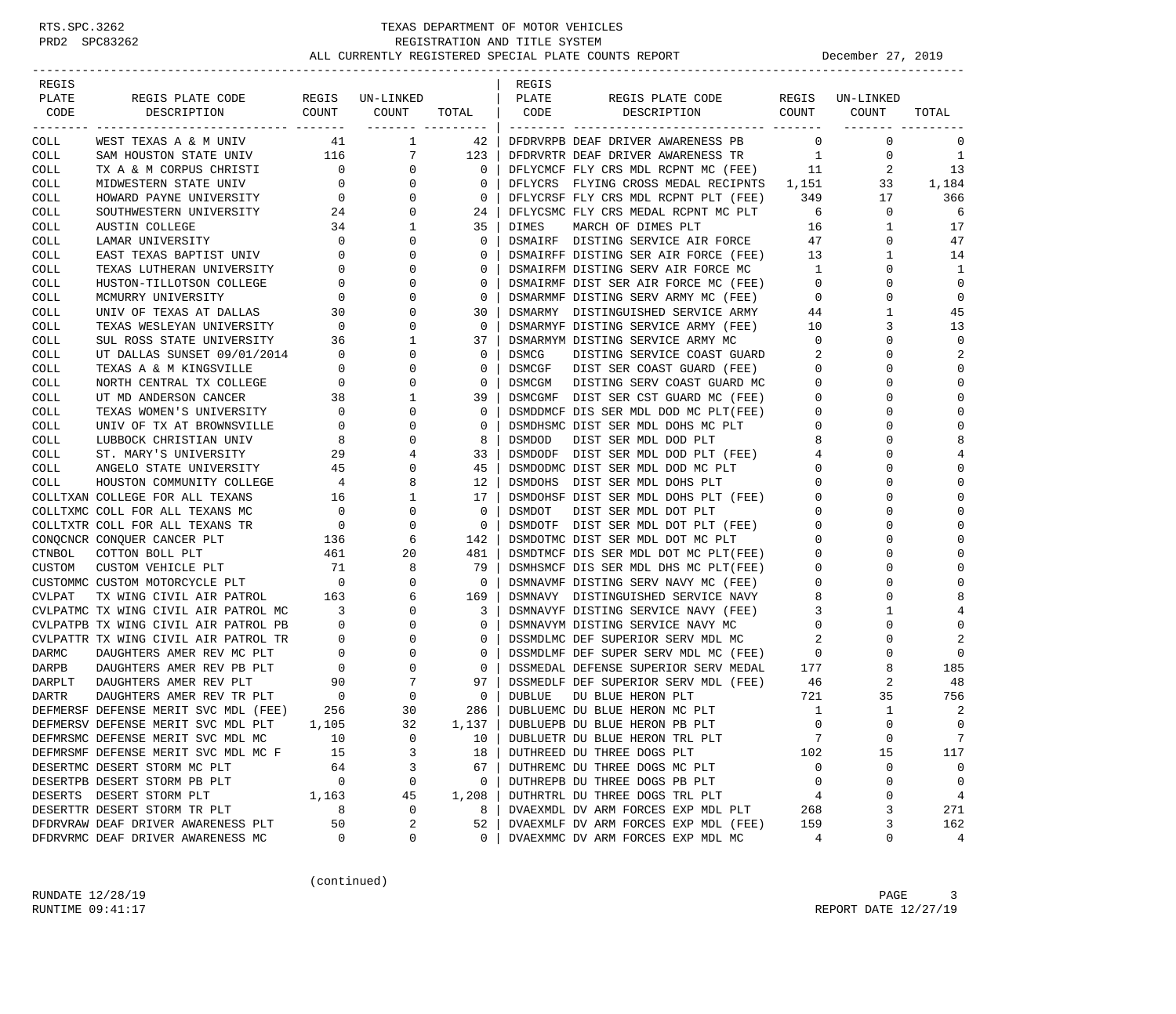| REGIS        |                                                  |                          |                                   |              | REGIS             |                                                                |                |              |                |
|--------------|--------------------------------------------------|--------------------------|-----------------------------------|--------------|-------------------|----------------------------------------------------------------|----------------|--------------|----------------|
| PLATE        | REGIS PLATE CODE                                 |                          | REGIS UN-LINKED                   |              | PLATE             | REGIS PLATE CODE                                               | REGIS          | UN-LINKED    |                |
| CODE         | COUNT<br>DESCRIPTION                             |                          | COUNT                             | TOTAL        | CODE              | DESCRIPTION COUNT                                              |                | COUNT        | TOTAL          |
| COLL         | WEST TEXAS A & M UNIV                            | 41                       | ------- ---------<br>$\mathbf{1}$ | 42           |                   | DFDRVRPB DEAF DRIVER AWARENESS PB                              | $\mathbf{0}$   | $\mathbf 0$  | 0              |
| COLL         | SAM HOUSTON STATE UNIV 116                       |                          | $7^{\circ}$                       | 123          |                   | DFDRVRTR DEAF DRIVER AWARENESS TR                              | 1              | 0            | -1             |
| COLL         | TX A & M CORPUS CHRISTI                          | $\overline{0}$           | $\mathbf{0}$                      | 0            |                   | DFLYCMCF FLY CRS MDL RCPNT MC (FEE)                            | 11             | 2            | 13             |
| COLL         | MIDWESTERN STATE UNIV                            | $\mathbf{0}$             | 0                                 | 0            |                   | DFLYCRS FLYING CROSS MEDAL RECIPNTS 1,151                      |                | 33           | 1,184          |
| COLL         | HOWARD PAYNE UNIVERSITY                          | $\overline{0}$           | 0                                 | $\mathbf 0$  |                   | DFLYCRSF FLY CRS MDL RCPNT PLT (FEE)                           | 349            | 17           | 366            |
| COLL         | SOUTHWESTERN UNIVERSITY                          | 24                       | 0                                 | 24           |                   | DFLYCSMC FLY CRS MEDAL RCPNT MC PLT                            | 6              | 0            | 6              |
| COLL         | AUSTIN COLLEGE                                   | 34                       | 1                                 | 35           | DIMES             | MARCH OF DIMES PLT                                             | 16             | 1            | 17             |
| COLL         | LAMAR UNIVERSITY                                 | $\overline{0}$           | 0                                 | $\mathbf 0$  |                   | DSMAIRF DISTING SERVICE AIR FORCE                              | 47             | $\mathbf 0$  | 47             |
| COLL         | EAST TEXAS BAPTIST UNIV                          | $\mathbf{0}$             | $\Omega$                          | 0            |                   | DSMAIRFF DISTING SER AIR FORCE (FEE)                           | 13             | 1            | 14             |
| COLL         | TEXAS LUTHERAN UNIVERSITY                        | $\mathbf{0}$             | 0                                 | 0            |                   | DSMAIRFM DISTING SERV AIR FORCE MC                             | $\mathbf{1}$   | 0            | 1              |
| COLL         | HUSTON-TILLOTSON COLLEGE                         | $\mathbf 0$              | $\Omega$                          | $\mathbf 0$  |                   | DSMAIRMF DIST SER AIR FORCE MC (FEE)                           | $\overline{0}$ | 0            | 0              |
| COLL         | MCMURRY UNIVERSITY                               | $\overline{0}$           | $\Omega$                          | $\mathbf 0$  |                   | DSMARMMF DISTING SERV ARMY MC (FEE)                            | $\mathbf{0}$   | 0            | $\mathbf 0$    |
| COLL         | UNIV OF TEXAS AT DALLAS                          | 30                       | $\Omega$                          | 30           |                   | DSMARMY DISTINGUISHED SERVICE ARMY                             | 44             | 1            | 45             |
| COLL         | TEXAS WESLEYAN UNIVERSITY                        | $\overline{\phantom{0}}$ | $\Omega$                          | $\mathbf 0$  |                   | DSMARMYF DISTING SERVICE ARMY (FEE)                            | 10             | 3            | 13             |
| COLL         | SUL ROSS STATE UNIVERSITY                        | 36                       | 1                                 | 37           |                   | DSMARMYM DISTING SERVICE ARMY MC                               | 0              | 0            | $\mathbf 0$    |
| COLL         | UT DALLAS SUNSET 09/01/2014                      | $\overline{0}$           | $\Omega$                          | $\mathbf 0$  | DSMCG             | DISTING SERVICE COAST GUARD                                    | 2              |              | 2              |
| COLL         | TEXAS A & M KINGSVILLE                           | $\mathbf{0}$             | 0                                 | 0            | DSMCGF            | DIST SER COAST GUARD (FEE)                                     | $\mathbf{0}$   | U            | $\Omega$       |
| COLL         | NORTH CENTRAL TX COLLEGE                         | $\mathbf{0}$<br>38       | $\Omega$                          | 0            | DSMCGM            | DISTING SERV COAST GUARD MC                                    | 0              |              | $\mathbf 0$    |
| COLL         | UT MD ANDERSON CANCER                            |                          | 1                                 | 39           |                   | DSMCGMF DIST SER CST GUARD MC (FEE)                            | 0              |              | $\mathbf 0$    |
| COLL         | TEXAS WOMEN'S UNIVERSITY                         | $\overline{0}$           | 0                                 | 0            |                   | DSMDDMCF DIS SER MDL DOD MC PLT(FEE)                           | 0              | U            | 0              |
| COLL         | UNIV OF TX AT BROWNSVILLE                        | $\circ$                  | $\Omega$                          | $\mathbf 0$  |                   | DSMDHSMC DIST SER MDL DOHS MC PLT<br>DIST SER MDL DOD PLT      | 0              |              | $\mathbf 0$    |
| <b>COLL</b>  | LUBBOCK CHRISTIAN UNIV                           | 8<br>29                  | 0<br>4                            | 8<br>33      | DSMDOD<br>DSMDODF |                                                                | 8<br>4         |              | 8<br>4         |
| COLL<br>COLL | ST. MARY'S UNIVERSITY<br>ANGELO STATE UNIVERSITY | 45                       | 0                                 | 45           |                   | DIST SER MDL DOD PLT (FEE)<br>DSMDODMC DIST SER MDL DOD MC PLT | 0              |              | $\mathbf 0$    |
| COLL         | HOUSTON COMMUNITY COLLEGE                        | $\overline{4}$           | 8                                 | 12           |                   | DSMDOHS DIST SER MDL DOHS PLT                                  | 0              | U            | 0              |
|              | COLLTXAN COLLEGE FOR ALL TEXANS                  | 16                       | 1                                 | 17           |                   | DSMDOHSF DIST SER MDL DOHS PLT (FEE)                           | 0              |              | $\mathbf 0$    |
|              | COLLTXMC COLL FOR ALL TEXANS MC                  | $\overline{0}$           | 0                                 | $\mathbf 0$  | DSMDOT            | DIST SER MDL DOT PLT                                           | $\mathbf 0$    |              | $\Omega$       |
|              | COLLTXTR COLL FOR ALL TEXANS TR                  | $\overline{0}$           | 0                                 | $\mathbf 0$  |                   | DSMDOTF DIST SER MDL DOT PLT (FEE)                             | 0              |              | 0              |
|              | CONQCNCR CONQUER CANCER PLT                      | 136                      | 6                                 | 142          |                   | DSMDOTMC DIST SER MDL DOT MC PLT                               | $\Omega$       |              | 0              |
| CTNBOL       | COTTON BOLL PLT                                  | 461                      | 20                                | 481          |                   | DSMDTMCF DIS SER MDL DOT MC PLT(FEE)                           | 0              | U            | 0              |
| CUSTOM       | CUSTOM VEHICLE PLT                               | 71                       | 8                                 | 79           |                   | DSMHSMCF DIS SER MDL DHS MC PLT(FEE)                           | 0              |              | $\mathbf 0$    |
|              | CUSTOMMC CUSTOM MOTORCYCLE PLT                   | $\overline{\phantom{0}}$ | 0                                 | $\circ$      |                   | DSMNAVMF DISTING SERV NAVY MC (FEE)                            | 0              | U            | $\Omega$       |
| CVLPAT       | TX WING CIVIL AIR PATROL                         | 163                      | 6                                 | 169          |                   | DSMNAVY DISTINGUISHED SERVICE NAVY                             | 8              |              | 8              |
|              | CVLPATMC TX WING CIVIL AIR PATROL MC             | 3                        | 0                                 | 3            |                   | DSMNAVYF DISTING SERVICE NAVY (FEE)                            | 3              |              |                |
|              | CVLPATPB TX WING CIVIL AIR PATROL PB             | $\overline{0}$           | 0                                 | 0            |                   | DSMNAVYM DISTING SERVICE NAVY MC                               | 0              | 0            | $\mathbf 0$    |
|              | CVLPATTR TX WING CIVIL AIR PATROL TR             | $\mathbf 0$              | 0                                 | $\mathbf 0$  |                   | DSSMDLMC DEF SUPERIOR SERV MDL MC                              | 2              |              | 2              |
| <b>DARMC</b> | DAUGHTERS AMER REV MC PLT                        | $\mathbf{0}$             | 0                                 | $\mathbf 0$  |                   | DSSMDLMF DEF SUPER SERV MDL MC (FEE)                           | $\mathbf{0}$   | O            | 0              |
| DARPB        | DAUGHTERS AMER REV PB PLT                        | $\overline{0}$           | 0                                 | $\mathbf 0$  |                   | DSSMEDAL DEFENSE SUPERIOR SERV MEDAL                           | 177            | 8            | 185            |
| DARPLT       | DAUGHTERS AMER REV PLT                           | 90                       | 7                                 | 97           |                   | DSSMEDLF DEF SUPERIOR SERV MDL (FEE)                           | 46             | 2            | 48             |
| <b>DARTR</b> | DAUGHTERS AMER REV TR PLT                        | $\overline{\phantom{0}}$ | 0                                 | $\mathbf 0$  | <b>DUBLUE</b>     | DU BLUE HERON PLT                                              | 721            | 35           | 756            |
|              | DEFMERSF DEFENSE MERIT SVC MDL (FEE)             | 256                      | 30                                | 286          |                   | DUBLUEMC DU BLUE HERON MC PLT                                  | 1              | $\mathbf{1}$ | 2              |
|              | DEFMERSV DEFENSE MERIT SVC MDL PLT               | 1,105                    | 32                                | 1,137        |                   | DUBLUEPB DU BLUE HERON PB PLT                                  | $\Omega$       | $\Omega$     | $\Omega$       |
|              | DEFMRSMC DEFENSE MERIT SVC MDL MC                | 10                       | $\Omega$                          | 10           |                   | DUBLUETR DU BLUE HERON TRL PLT                                 | 7              | 0            | 7              |
|              | DEFMRSMF DEFENSE MERIT SVC MDL MC F              | 15                       | 3                                 | 18           |                   | DUTHREED DU THREE DOGS PLT                                     | 102            | 15           | 117            |
|              | DESERTMC DESERT STORM MC PLT                     | 64                       | 3                                 | 67           |                   | DUTHREMC DU THREE DOGS MC PLT                                  | $\mathbf 0$    | 0            | 0              |
|              | DESERTPB DESERT STORM PB PLT                     | $\mathbf 0$              | 0                                 | $\mathbf{0}$ |                   | DUTHREPB DU THREE DOGS PB PLT                                  | $\mathbf 0$    | $\Omega$     | $\overline{0}$ |
|              | DESERTS DESERT STORM PLT                         | 1,163                    | 45                                | 1,208        |                   | DUTHRTRL DU THREE DOGS TRL PLT                                 | 4              | 0            | $\overline{4}$ |
|              | DESERTTR DESERT STORM TR PLT                     | 8                        | 0                                 | 8            |                   | DVAEXMDL DV ARM FORCES EXP MDL PLT                             | 268            | 3            | 271            |
|              | DFDRVRAW DEAF DRIVER AWARENESS PLT               | 50                       | 2                                 | 52           |                   | DVAEXMLF DV ARM FORCES EXP MDL (FEE)                           | 159            | 3            | 162            |
|              | DFDRVRMC DEAF DRIVER AWARENESS MC                | 0                        | 0                                 | 0            |                   | DVAEXMMC DV ARM FORCES EXP MDL MC                              | 4              | 0            | 4              |

(continued)

RUNDATE  $12/28/19$  PAGE 3 RUNTIME 09:41:17 REPORT DATE 12/27/19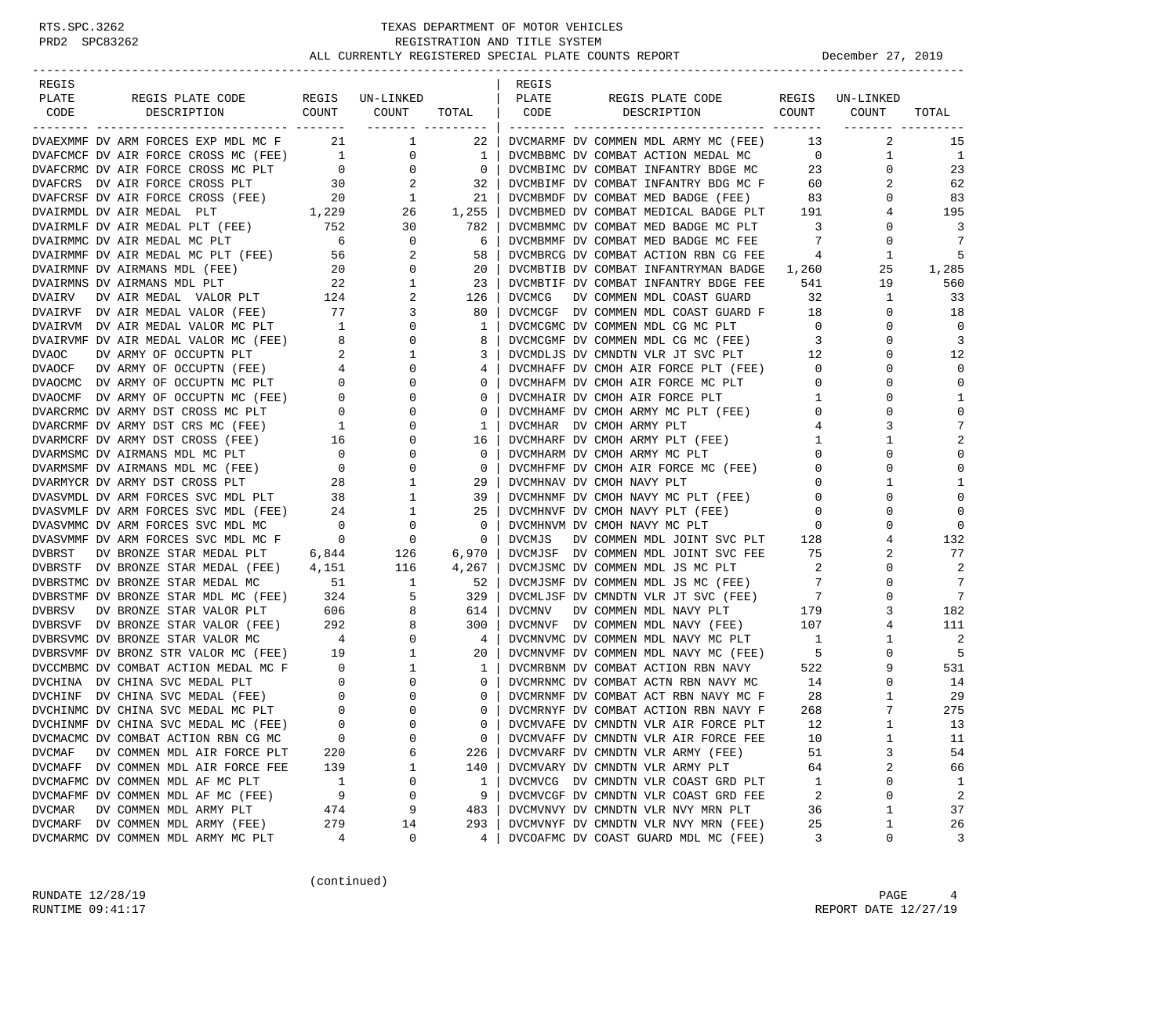| REGIS                                                                                                                                                                                                                                        |                                       |                   |                 | REGIS         |                                                                     |                                |                 |                |
|----------------------------------------------------------------------------------------------------------------------------------------------------------------------------------------------------------------------------------------------|---------------------------------------|-------------------|-----------------|---------------|---------------------------------------------------------------------|--------------------------------|-----------------|----------------|
| PLATE<br>REGIS PLATE CODE                                                                                                                                                                                                                    |                                       | REGIS UN-LINKED   |                 | PLATE         | REGIS PLATE CODE                                                    |                                | REGIS UN-LINKED |                |
| COUNT<br>CODE<br>DESCRIPTION                                                                                                                                                                                                                 |                                       | COUNT             | TOTAL           | CODE          | COUNT<br>DESCRIPTION                                                |                                | COUNT           | TOTAL          |
|                                                                                                                                                                                                                                              |                                       | ------- --------- |                 |               |                                                                     |                                |                 |                |
| DVAEXMMF DV ARM FORCES EXP MDL MC F 21 1                                                                                                                                                                                                     |                                       |                   | 22              |               | DVCMARMF DV COMMEN MDL ARMY MC (FEE)                                | 13                             | 2               | 15             |
| DVAFCMCF DV AIR FORCE CROSS MC (FEE) 1                                                                                                                                                                                                       |                                       | $\overline{0}$    | $\mathbf{1}$    |               | DVCMBBMC DV COMBAT ACTION MEDAL MC                                  | $\overline{0}$                 | $\mathbf{1}$    | 1              |
| DVAFCRMC DV AIR FORCE CROSS MC PLT                                                                                                                                                                                                           | $\overline{0}$                        | $\overline{0}$    | $\overline{0}$  |               | DVCMBIMC DV COMBAT INFANTRY BDGE MC                                 | 23                             | $\mathbf 0$     | 23             |
| DVAFCRS DV AIR FORCE CROSS PLT                                                                                                                                                                                                               |                                       |                   | 32              |               | DVCMBIMF DV COMBAT INFANTRY BDG MC F                                | 60 —                           | 2               | 62             |
| DVAFCRSF DV AIR FORCE CROSS (FEE)                                                                                                                                                                                                            |                                       |                   | 21              |               | DVCMBMDF DV COMBAT MED BADGE (FEE)                                  | 83                             | 0               | 83             |
| DVAIRMDL DV AIR MEDAL PLT                                                                                                                                                                                                                    |                                       |                   | 1,255           |               | DVCMBMED DV COMBAT MEDICAL BADGE PLT 191                            |                                | 4               | 195            |
| DVAIRMLF DV AIR MEDAL PLT (FEE)                                                                                                                                                                                                              | 752                                   | 30                | 782             |               | DVCMBMMC DV COMBAT MED BADGE MC PLT                                 | $\overline{3}$                 | 0               | 3              |
| DVAIRMMC DV AIR MEDAL MC PLT                                                                                                                                                                                                                 | 6                                     | $\mathbf 0$       | 6               |               | DVCMBMMF DV COMBAT MED BADGE MC FEE                                 | 7                              | $\mathbf 0$     | 7              |
| DVAIRMMF DV AIR MEDAL MC PLT (FEE) 56                                                                                                                                                                                                        |                                       | 2                 | 58              |               | DVCMBRCG DV COMBAT ACTION RBN CG FEE                                | $\overline{4}$                 | 1               | 5              |
| DVAIRMNF DV AIRMANS MDL (FEE)                                                                                                                                                                                                                | 20                                    | $\mathbf 0$       | 20              |               | DVCMBTIB DV COMBAT INFANTRYMAN BADGE                                | 1,260                          | 25              | 1,285          |
| DVAIRMNS DV AIRMANS MDL PLT                                                                                                                                                                                                                  | $rac{20}{22}$                         | $\mathbf{1}$      | 23              |               | DVCMBTIF DV COMBAT INFANTRY BDGE FEE                                | 541                            | 19              | 560            |
| DV AIR MEDAL VALOR PLT<br>DVAIRV                                                                                                                                                                                                             | 124                                   | 2                 | 126             | <b>DVCMCG</b> | DV COMMEN MDL COAST GUARD                                           | 32                             | $\mathbf{1}$    | 33             |
| DVAIRVF DV AIR MEDAL VALOR (FEE)                                                                                                                                                                                                             | 77                                    | $\overline{3}$    | 80              |               | DVCMCGF DV COMMEN MDL COAST GUARD F                                 | 18                             | $\mathbf 0$     | 18             |
|                                                                                                                                                                                                                                              |                                       | $\overline{0}$    | 1               |               | DVCMCGMC DV COMMEN MDL CG MC PLT                                    | $\overline{0}$                 | $\Omega$        | $\mathbf 0$    |
|                                                                                                                                                                                                                                              |                                       | $\overline{0}$    | 8               |               | DVCMCGMF DV COMMEN MDL CG MC (FEE)                                  | $\overline{\mathbf{3}}$        | 0               | 3              |
|                                                                                                                                                                                                                                              |                                       | $\mathbf{1}$      | 3               |               | DVCMDLJS DV CMNDTN VLR JT SVC PLT                                   | 12                             | $\Omega$        | 12             |
|                                                                                                                                                                                                                                              |                                       | $\mathbf{0}$      | 4               |               | DVCMHAFF DV CMOH AIR FORCE PLT (FEE)                                | $\overline{0}$                 | 0               | $\mathbf 0$    |
| DVAIRVM DV AIR MEDAL VALOR (FEE)<br>DVAIRVM DV AIR MEDAL VALOR MC (FEE)<br>1 DVAIRVMF DV AIR MEDAL VALOR MC (FEE)<br>8 DVAOC DV ARMY OF OCCUPTN PLT<br>2 DVAOCMF DV ARMY OF OCCUPTN MC (FEE)<br>4<br>DVAOCMF DV ARMY OF OCCUPTN MC (FEE)<br> |                                       | $\mathbf{0}$      | $\mathbf{0}$    |               | DVCMHAFM DV CMOH AIR FORCE MC PLT                                   | $\overline{0}$                 | 0               | $\Omega$       |
|                                                                                                                                                                                                                                              |                                       | $\mathbf{0}$      | 0               |               | DVCMHAIR DV CMOH AIR FORCE PLT                                      | $\mathbf{1}$                   | 0               | 1              |
| DVARCRMC DV ARMY DST CROSS MC PLT                                                                                                                                                                                                            |                                       | 0                 | 0               |               | DVCMHAMF DV CMOH ARMY MC PLT (FEE)                                  | $\mathbf 0$                    | 0               | $\mathbf 0$    |
|                                                                                                                                                                                                                                              | $\begin{array}{c} 0 \\ 1 \end{array}$ | $\mathbf 0$       |                 |               |                                                                     |                                | 3               | 7              |
| DVARCRMF DV ARMY DST CRS MC (FEE)                                                                                                                                                                                                            |                                       | $\mathbf{0}$      | 1               |               | DVCMHAR DV CMOH ARMY PLT                                            | 4                              |                 | $\overline{2}$ |
| DVARMCRF DV ARMY DST CROSS (FEE)                                                                                                                                                                                                             | 16                                    | $\mathbf 0$       | 16              |               | DVCMHARF DV CMOH ARMY PLT (FEE)                                     | $\mathbf{1}$<br>$\overline{0}$ | 1<br>0          | $\Omega$       |
| DVARMSMC DV AIRMANS MDL MC PLT 0<br>DVARMSMF DV AIRMANS MDL MC (FEE) 0                                                                                                                                                                       |                                       |                   | 0               |               | DVCMHARM DV CMOH ARMY MC PLT<br>DVCMHFMF DV CMOH AIR FORCE MC (FEE) |                                |                 | $\Omega$       |
|                                                                                                                                                                                                                                              |                                       | $\mathbf 0$       | $\mathbf{0}$    |               |                                                                     | $\overline{0}$                 | $\Omega$        |                |
| DVARMYCR DV ARMY DST CROSS PLT                                                                                                                                                                                                               | 28                                    | 1                 | 29              |               | DVCMHNAV DV CMOH NAVY PLT                                           | $\mathbf{0}$                   | 1               | 1              |
| DVASVMDL DV ARM FORCES SVC MDL PLT                                                                                                                                                                                                           | 38                                    | $\mathbf{1}$      | 39              |               | DVCMHNMF DV CMOH NAVY MC PLT (FEE)                                  | $\overline{0}$                 | $\Omega$        | $\mathbf 0$    |
| DVASVMLF DV ARM FORCES SVC MDL (FEE) 24                                                                                                                                                                                                      |                                       | $\mathbf{1}$      | 25              |               | DVCMHNVF DV CMOH NAVY PLT (FEE)                                     | $\overline{0}$                 | 0               | $\mathbf 0$    |
| DVASVMMC DV ARM FORCES SVC MDL MC                                                                                                                                                                                                            | $\overline{0}$                        | 0                 | 0               |               | DVCMHNVM DV CMOH NAVY MC PLT<br>DV COMMEN MDL JOINT SVC PLT 128     | $\overline{0}$                 | $\Omega$        | $\Omega$       |
| DVASVMMF DV ARM FORCES SVC MDL MC F 0                                                                                                                                                                                                        |                                       | $\overline{0}$    | $\mathbf 0$     | <b>DVCMJS</b> |                                                                     |                                | 4               | 132            |
| DVBRST<br>DV BRONZE STAR MEDAL PLT 6,844                                                                                                                                                                                                     |                                       | 126               | 6,970           |               | DVCMJSF DV COMMEN MDL JOINT SVC FEE                                 | 75                             | 2               | 77             |
| DVBRSTF DV BRONZE STAR MEDAL (FEE) 4,151                                                                                                                                                                                                     |                                       | 116               | 4,267           |               | DVCMJSMC DV COMMEN MDL JS MC PLT                                    | $\overline{\phantom{a}}$       | $\Omega$        | 2              |
| DVBRSTMC DV BRONZE STAR MEDAL MC                                                                                                                                                                                                             | 51                                    | $\overline{1}$    | 52              |               | DVCMJSMF DV COMMEN MDL JS MC (FEE)                                  | $\overline{7}$                 | 0               | 7              |
| DVBRSTMF DV BRONZE STAR MDL MC (FEE)                                                                                                                                                                                                         | 324                                   | -5                | 329             |               | DVCMLJSF DV CMNDTN VLR JT SVC (FEE)                                 | $\overline{7}$<br>179          | $\Omega$        | 7              |
| DVBRSV<br>DV BRONZE STAR VALOR PLT                                                                                                                                                                                                           | 606                                   | 8                 | 614             | <b>DVCMNV</b> | DV COMMEN MDL NAVY PLT                                              |                                | 3               | 182            |
| DVBRSVF DV BRONZE STAR VALOR (FEE) 292<br>DVBRSVMC DV BRONZE STAR VALOR MC 4                                                                                                                                                                 |                                       | 8                 | 300             |               | DVCMNVF DV COMMEN MDL NAVY (FEE)                                    | 107                            | 4               | 111            |
| DVBRSVMC DV BRONZE STAR VALOR MC                                                                                                                                                                                                             | $\overline{4}$                        | $\overline{0}$    | $4\overline{ }$ |               | DVCMNVMC DV COMMEN MDL NAVY MC PLT                                  | $\overline{1}$                 | 1               | 2              |
| DVBRSVMF DV BRONZ STR VALOR MC (FEE) 19                                                                                                                                                                                                      |                                       | $\mathbf{1}$      | 20              |               | DVCMNVMF DV COMMEN MDL NAVY MC (FEE)                                | $5^{\circ}$                    | 0               | 5              |
| DVCCMBMC DV COMBAT ACTION MEDAL MC F                                                                                                                                                                                                         | $\begin{array}{c} 0 \\ 0 \end{array}$ | $\mathbf{1}$      | $\mathbf{1}$    |               | DVCMRBNM DV COMBAT ACTION RBN NAVY                                  | 522                            | 9               | 531            |
| DVCHINA DV CHINA SVC MEDAL PLT                                                                                                                                                                                                               |                                       | $\overline{0}$    | $\mathbf{0}$    |               | DVCMRNMC DV COMBAT ACTN RBN NAVY MC                                 | 14                             | 0               | 14             |
| DV CHINA SVC MEDAL (FEE) 0<br>C DV CHINA SVC MEDAL MC PLT 0<br><b>DVCHINF</b>                                                                                                                                                                |                                       | $\overline{0}$    | $\mathbf{0}$    |               | DVCMRNMF DV COMBAT ACT RBN NAVY MC F                                | 28                             | 1               | 29             |
| DVCHINMC DV CHINA SVC MEDAL MC PLT                                                                                                                                                                                                           |                                       | $\mathbf 0$       | $\mathbf{0}$    |               | DVCMRNYF DV COMBAT ACTION RBN NAVY F                                | 268                            | 7               | 275            |
| DVCHINMF DV CHINA SVC MEDAL MC (FEE)                                                                                                                                                                                                         | $\Omega$                              | $\Omega$          | $\Omega$        |               | DVCMVAFE DV CMNDTN VLR AIR FORCE PLT                                | 12                             | $\mathbf{1}$    | 13             |
| DVCMACMC DV COMBAT ACTION RBN CG MC                                                                                                                                                                                                          | 0                                     | 0                 | 0               |               | DVCMVAFF DV CMNDTN VLR AIR FORCE FEE                                | 10                             | 1               | 11             |
| <b>DVCMAF</b><br>DV COMMEN MDL AIR FORCE PLT                                                                                                                                                                                                 | 220                                   | 6                 | 226             |               | DVCMVARF DV CMNDTN VLR ARMY (FEE)                                   | 51                             | 3               | 54             |
| DVCMAFF DV COMMEN MDL AIR FORCE FEE                                                                                                                                                                                                          | 139                                   | 1                 | 140             |               | DVCMVARY DV CMNDTN VLR ARMY PLT                                     | 64                             | 2               | 66             |
| DVCMAFMC DV COMMEN MDL AF MC PLT                                                                                                                                                                                                             | 1                                     | 0                 | 1               |               | DVCMVCG DV CMNDTN VLR COAST GRD PLT                                 | 1                              | 0               | 1              |
| DVCMAFMF DV COMMEN MDL AF MC (FEE)                                                                                                                                                                                                           | 9                                     | 0                 | 9               |               | DVCMVCGF DV CMNDTN VLR COAST GRD FEE                                | 2                              | 0               | $\overline{c}$ |
| <b>DVCMAR</b><br>DV COMMEN MDL ARMY PLT                                                                                                                                                                                                      | 474                                   | 9                 | 483             |               | DVCMVNVY DV CMNDTN VLR NVY MRN PLT                                  | 36                             | 1               | 37             |
| DVCMARF<br>DV COMMEN MDL ARMY (FEE)                                                                                                                                                                                                          | 279                                   | 14                | 293             |               | DVCMVNYF DV CMNDTN VLR NVY MRN (FEE)                                | 25                             | 1               | 26             |
| DVCMARMC DV COMMEN MDL ARMY MC PLT                                                                                                                                                                                                           | 4                                     | 0                 | 4               |               | DVCOAFMC DV COAST GUARD MDL MC (FEE)                                | 3                              | 0               | 3              |

(continued)

RUNDATE  $12/28/19$  PAGE 4 RUNTIME 09:41:17 **REPORT DATE 12/27/19**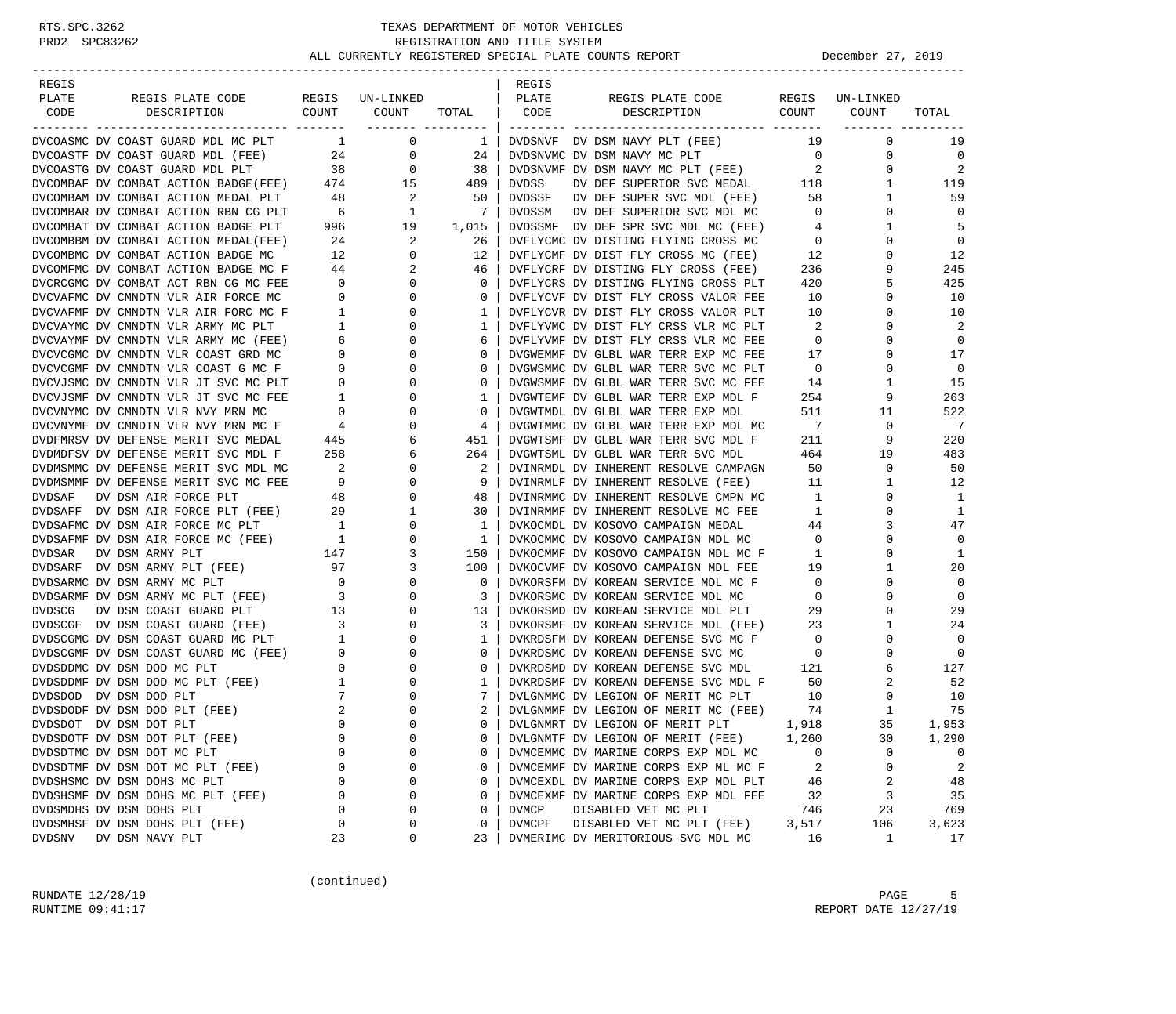| REGIS                                                                                                                             |                            |                                                       |                                 | REGIS        |                                                                                                                    |                            |                                |                |
|-----------------------------------------------------------------------------------------------------------------------------------|----------------------------|-------------------------------------------------------|---------------------------------|--------------|--------------------------------------------------------------------------------------------------------------------|----------------------------|--------------------------------|----------------|
| PLATE<br>REGIS PLATE CODE                                                                                                         |                            | REGIS UN-LINKED                                       |                                 | PLATE        | REGIS PLATE CODE                                                                                                   |                            | REGIS UN-LINKED                |                |
| COUNT<br>CODE<br>DESCRIPTION                                                                                                      |                            | COUNT                                                 | TOTAL CODE<br>------- --------- |              | COUNT<br>DESCRIPTION                                                                                               |                            | COUNT<br><u>-------- -----</u> | TOTAL          |
| DVCOASMC DV COAST GUARD MDL MC PLT                                                                                                |                            | $1 \qquad \qquad 0$                                   | $\mathbf{1}$                    |              | DVDSNVF DV DSM NAVY PLT (FEE)                                                                                      | 19                         | $\mathbf 0$                    | 19             |
| DVCOASTF DV COAST GUARD MDL (FEE) 24                                                                                              |                            | $\overline{0}$                                        | 24                              |              | DVDSNVMC DV DSM NAVY MC PLT                                                                                        | $\overline{0}$             | 0                              | $\mathbf 0$    |
| DVCOASTG DV COAST GUARD MDL PLT                                                                                                   | 38                         | $\overline{0}$                                        | 38                              |              | DVDSNVMF DV DSM NAVY MC PLT (FEE)                                                                                  | $\overline{\mathbf{c}}$    | $\mathbf 0$                    | $\overline{2}$ |
| DVCOASTG DV COAST GUARD MDL PLT 38 0<br>DVCOMBAF DV COMBAT ACTION BADGE(FEE) 474 15                                               |                            |                                                       | 489                             | DVDSS        | DV DEF SUPERIOR SVC MEDAL 118                                                                                      |                            | $\mathbf{1}$                   | 119            |
|                                                                                                                                   |                            |                                                       | 50                              |              | DVDSSF DV DEF SUPER SVC MDL (FEE)                                                                                  | 58                         | 1                              | 59             |
|                                                                                                                                   |                            |                                                       | $\overline{7}$                  |              | DVDSSM DV DEF SUPERIOR SVC MDL MC                                                                                  | $\overline{0}$             | $\mathbf 0$                    | $\mathbf 0$    |
| DVCOMBAT DV COMBAT ACTION BADGE PLT                                                                                               |                            | $996$ 19                                              | 1,015                           |              | DVDSSMF DV DEF SPR SVC MDL MC (FEE)                                                                                | $\overline{4}$             | $\mathbf{1}$                   | 5              |
| DVCOMBBM DV COMBAT ACTION MEDAL(FEE)                                                                                              |                            |                                                       | 26                              |              | DVFLYCMC DV DISTING FLYING CROSS MC                                                                                | $\overline{0}$             | $\mathbf 0$                    | $\mathbf 0$    |
| DVCOMBMC DV COMBAT ACTION BADGE MC                                                                                                |                            | $\begin{array}{ccc} 24 & & 2 \\ 12 & & 0 \end{array}$ | 12                              |              | DVFLYCMF DV DIST FLY CROSS MC (FEE)                                                                                | 12                         | $\mathbf 0$                    | 12             |
|                                                                                                                                   |                            |                                                       | 46                              |              | DVFLYCRF DV DISTING FLY CROSS (FEE)                                                                                | 236                        | 9                              | 245            |
| DVCOMFMC DV COMBAT ACTION BADGE MC $F$ 44 2<br>DVCRCGMC DV COMBAT ACT RBN CG MC FEE 0 0 0<br>DVCRCGMC DV COMBAT ACT RBN CG MC FEE |                            |                                                       | $\mathbf{0}$                    |              | DVFLYCRS DV DISTING FLYING CROSS PLT                                                                               | 420                        | 5                              | 425            |
| DVCVAFMC DV CMNDTN VLR AIR FORCE MC                                                                                               | $\overline{0}$             | $\overline{0}$                                        | $\mathbf 0$                     |              | DVFLYCVF DV DIST FLY CROSS VALOR FEE                                                                               | 10                         | $\mathbf 0$                    | 10             |
| DVCVAFMF DV CMNDTN VLR AIR FORC MC F                                                                                              | $1 \quad$                  | $\mathbf 0$                                           | 1                               |              | DVFLYCVR DV DIST FLY CROSS VALOR PLT                                                                               | 10                         | 0                              | 10             |
| DVCVAYMC DV CMNDTN VLR ARMY MC PLT                                                                                                | $\frac{1}{2}$              | $\mathbf{0}$                                          | 1                               |              | DVFLYVMC DV DIST FLY CRSS VLR MC PLT                                                                               | $\overline{\phantom{a}}^2$ | $\Omega$                       | 2              |
| DVCVAYMF DV CMNDTN VLR ARMY MC (FEE)                                                                                              |                            | $\overline{0}$                                        | 6                               |              | DVFLYVMF DV DIST FLY CRSS VLR MC FEE                                                                               | $\overline{0}$             | 0                              | $\mathbf 0$    |
| DVCVCGMC DV CMNDTN VLR COAST GRD MC                                                                                               |                            | $\begin{array}{c} 6 \\ 0 \end{array}$<br>$\mathbf 0$  | $\circ$                         |              | DVGWEMMF DV GLBL WAR TERR EXP MC FEE                                                                               | 17                         | $\Omega$                       | 17             |
| DVCVCGMF DV CMNDTN VLR COAST G MC F                                                                                               | $\overline{0}$             | $\mathbf{0}$                                          | $\circ$                         |              | DVGWSMMC DV GLBL WAR TERR SVC MC PLT                                                                               | $\overline{0}$             | $\mathbf 0$                    | $\mathbf{0}$   |
| DVCVJSMC DV CMNDTN VLR JT SVC MC PLT                                                                                              | $\overline{0}$             | $\mathbf 0$                                           | $\circ$                         |              | DVGWSMMF DV GLBL WAR TERR SVC MC FEE                                                                               | 14                         | $\mathbf{1}$                   | 15             |
| DVCVJSMF DV CMNDTN VLR JT SVC MC FEE                                                                                              | $\overline{1}$             | 0                                                     | 1                               |              | DVGWTEMF DV GLBL WAR TERR EXP MDL F                                                                                | 254                        | 9                              | 263            |
| DVCVNYMC DV CMNDTN VLR NVY MRN MC                                                                                                 | $\overline{0}$             | 0                                                     | $\circ$                         |              | DVGWTMDL DV GLBL WAR TERR EXP MDL                                                                                  | 511                        | 11                             | 522            |
| DVCVNYMF DV CMNDTN VLR NVY MRN MC F                                                                                               | 4                          | 0                                                     | 4                               |              | DVGWTMMC DV GLBL WAR TERR EXP MDL MC                                                                               | $7\phantom{0}$             | $\mathbf 0$                    | $\overline{7}$ |
| DVDFMRSV DV DEFENSE MERIT SVC MEDAL                                                                                               | 445                        | 6                                                     | 451                             |              | DVGWTSMF DV GLBL WAR TERR SVC MDL F                                                                                | 211                        | 9                              | 220            |
| DVDMDFSV DV DEFENSE MERIT SVC MDL F                                                                                               | 258                        | 6                                                     | 264                             |              | DVGWTSML DV GLBL WAR TERR SVC MDL                                                                                  | 464                        | 19                             | 483            |
| DVDMSMMC DV DEFENSE MERIT SVC MDL MC                                                                                              | $\overline{\phantom{a}}$ 2 | 0                                                     | 2                               |              | DVINRMDL DV INHERENT RESOLVE CAMPAGN 50                                                                            |                            | $\mathbf 0$                    | 50             |
| DVDMSMMF DV DEFENSE MERIT SVC MC FEE                                                                                              | 9                          | $\overline{0}$                                        | 9                               |              | DVINRMLF DV INHERENT RESOLVE (FEE)                                                                                 | 11                         | $\mathbf{1}$                   | 12             |
| DVDSAF<br>DV DSM AIR FORCE PLT                                                                                                    | 48                         | $\mathbf 0$                                           | 48                              |              | DVINRMMC DV INHERENT RESOLVE CMPN MC                                                                               | 1                          | $\mathbf 0$                    | 1              |
| DVDSAFF DV DSM AIR FORCE PLT (FEE) 29                                                                                             |                            | $\mathbf{1}$                                          | 30                              |              | DVINRMMF DV INHERENT RESOLVE MC FEE                                                                                | $\mathbf{1}$               | $\mathbf 0$                    | 1              |
| DVDSAFMC DV DSM AIR FORCE MC PLT                                                                                                  | 1                          | $\mathbf{0}$                                          | 1                               |              | DVKOCMDL DV KOSOVO CAMPAIGN MEDAL                                                                                  | 44                         | 3                              | 47             |
| DVDSAFMF DV DSM AIR FORCE MC (FEE) 1                                                                                              |                            | 0                                                     | 1                               |              | DVKOCMMC DV KOSOVO CAMPAIGN MDL MC                                                                                 | $\overline{0}$             | 0                              | 0              |
| DVDSAR<br>DV DSM ARMY PLT                                                                                                         |                            | 3                                                     | 150                             |              |                                                                                                                    | $\mathbf{1}$               | $\mathbf{0}$                   | 1              |
| DVDSARF DV DSM ARMY PLT (FEE)                                                                                                     | $\frac{147}{97}$<br>97     | 3                                                     | 100                             |              | DVKOCMMF DV KOSOVO CAMPAIGN MDL MC F<br>DVKOCVMF DV KOSOVO CAMPAIGN MDL FEE<br>DVKOCVMF DV KOSOVO CAMPAIGN MDL FEE | 19                         | $\mathbf{1}$                   | 20             |
| DVDSARMC DV DSM ARMY MC PLT                                                                                                       | $\overline{0}$             | $\overline{0}$                                        | $\mathbf 0$                     |              | DVKORSFM DV KOREAN SERVICE MDL MC F                                                                                | $\overline{0}$             | $\mathbf 0$                    | $\mathbf 0$    |
| DVDSARMF DV DSM ARMY MC PLT (FEE)                                                                                                 | $\overline{\mathbf{3}}$    | $\mathbf{0}$                                          | 3                               |              | DVKORSMC DV KOREAN SERVICE MDL MC                                                                                  | $\overline{0}$             | $\Omega$                       | $\mathbf 0$    |
| DV DSM COAST GUARD PLT<br><b>DVDSCG</b>                                                                                           | 13                         | $\mathbf{0}$                                          | 13                              |              | DVKORSMD DV KOREAN SERVICE MDL PLT                                                                                 | 29                         | $\mathbf 0$                    | 29             |
| DVDSCGF DV DSM COAST GUARD (FEE)                                                                                                  | $\frac{1}{3}$              | 0                                                     | 3                               |              | DVKORSMF DV KOREAN SERVICE MDL (FEE) 23                                                                            |                            | 1                              | 24             |
| DVDSCGMC DV DSM COAST GUARD MC PLT                                                                                                | $\overline{1}$             | $\mathbf 0$                                           | 1                               |              | DVKRDSFM DV KOREAN DEFENSE SVC MC F                                                                                | $\overline{0}$             | 0                              | $\mathbf 0$    |
| DVDSCGMF DV DSM COAST GUARD MC (FEE) 0<br>DVDSDDMC DV DSM DOD MC PLT 0<br>DVDSDDMF DV DSM DOD MC PLT (FEE) 1                      |                            | $\mathbf{0}$                                          | $\circ$                         |              | DVKRDSMC DV KOREAN DEFENSE SVC MC                                                                                  | $\overline{0}$             | 0                              | $\mathbf 0$    |
|                                                                                                                                   |                            | $\mathbf{0}$                                          | $\circ$                         |              | DVKRDSMD DV KOREAN DEFENSE SVC MDL                                                                                 | 121                        | 6                              | 127            |
|                                                                                                                                   | $\overline{1}$             | $\mathbf{0}$                                          | 1                               |              | DVKRDSMF DV KOREAN DEFENSE SVC MDL F                                                                               | 50                         | 2                              | 52             |
| DVDSDOD DV DSM DOD PLT                                                                                                            | 7                          | 0                                                     | 7                               |              | DVLGNMMC DV LEGION OF MERIT MC PLT                                                                                 | 10                         | 0                              | 10             |
| DVDSDODF DV DSM DOD PLT (FEE)                                                                                                     | 2                          | $\mathbf 0$                                           | 2                               |              | DVLGNMMF DV LEGION OF MERIT MC (FEE)                                                                               | 74                         | $\mathbf{1}$                   | 75             |
| DVDSDOT DV DSM DOT PLT                                                                                                            | $\Omega$                   | $\Omega$                                              | $\Omega$                        |              | DVLGNMRT DV LEGION OF MERIT PLT                                                                                    | 1,918                      | 35                             | 1,953          |
| DVDSDOTF DV DSM DOT PLT (FEE)                                                                                                     | 0                          | $\Omega$                                              | 0                               |              | DVLGNMTF DV LEGION OF MERIT (FEE)                                                                                  | 1,260                      | 30                             | 1,290          |
| DVDSDTMC DV DSM DOT MC PLT                                                                                                        | $\Omega$                   | $\Omega$                                              | 0                               |              | DVMCEMMC DV MARINE CORPS EXP MDL MC                                                                                | 0                          | 0                              | 0              |
| DVDSDTMF DV DSM DOT MC PLT (FEE)                                                                                                  | 0                          | 0                                                     | 0                               |              | DVMCEMMF DV MARINE CORPS EXP ML MC F                                                                               | 2                          | 0                              | 2              |
| DVDSHSMC DV DSM DOHS MC PLT                                                                                                       | 0                          | $\Omega$                                              | 0                               |              | DVMCEXDL DV MARINE CORPS EXP MDL PLT                                                                               | 46                         | 2                              | 48             |
| DVDSHSMF DV DSM DOHS MC PLT (FEE)                                                                                                 | 0                          | $\Omega$                                              | 0                               |              | DVMCEXMF DV MARINE CORPS EXP MDL FEE                                                                               | 32                         | 3                              | 35             |
| DVDSMDHS DV DSM DOHS PLT                                                                                                          | 0                          | $\Omega$                                              | 0                               | <b>DVMCP</b> | DISABLED VET MC PLT                                                                                                | 746                        | 23                             | 769            |
| DVDSMHSF DV DSM DOHS PLT (FEE)                                                                                                    | 0                          | 0                                                     | 0                               | DVMCPF       | DISABLED VET MC PLT (FEE)                                                                                          | 3,517                      | 106                            | 3,623          |
| <b>DVDSNV</b><br>DV DSM NAVY PLT                                                                                                  | 23                         | 0                                                     | 23                              |              | DVMERIMC DV MERITORIOUS SVC MDL MC                                                                                 | 16                         | $\mathbf{1}$                   | 17             |

(continued)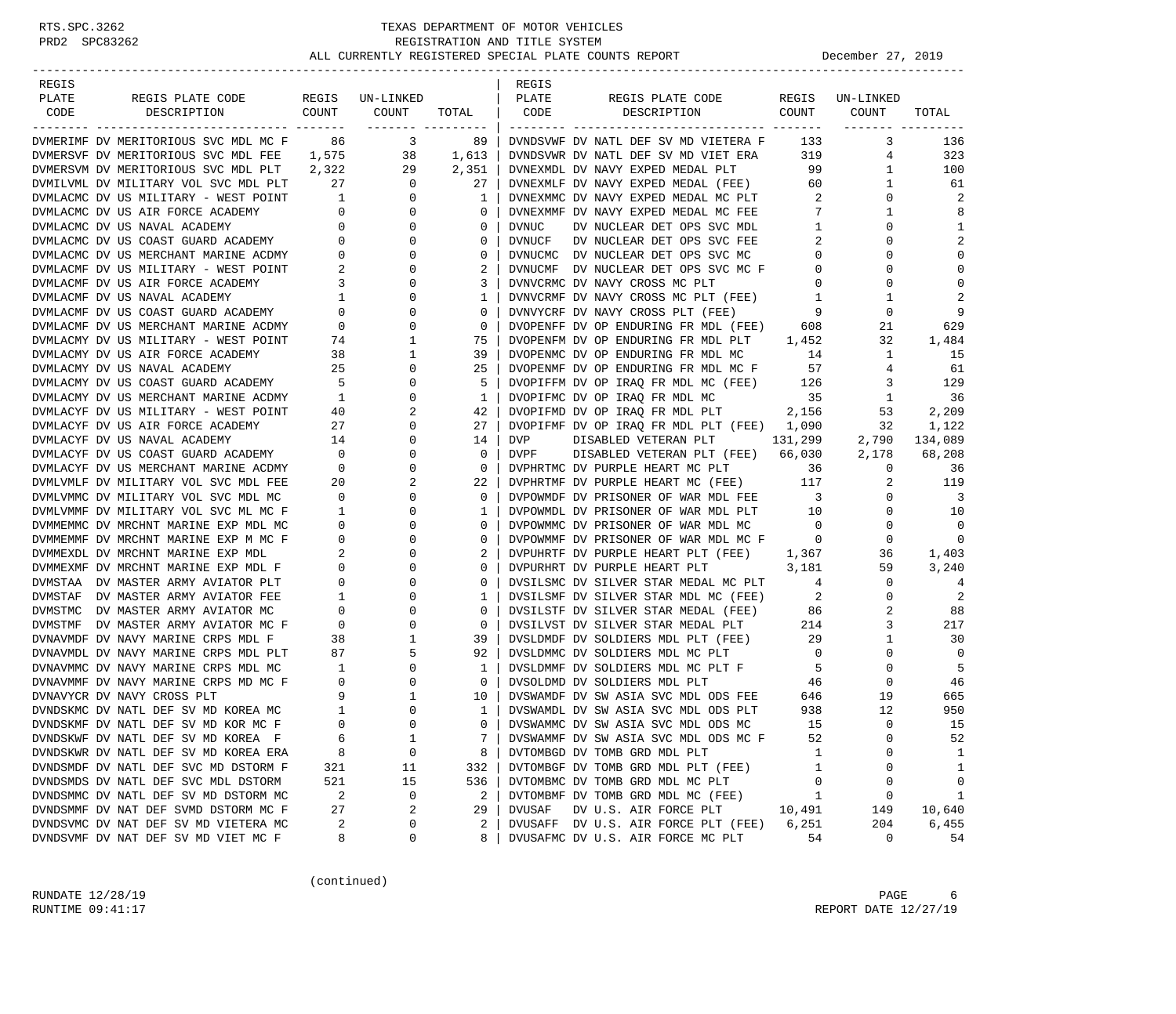| REGIS                                                                  |                          |                          |                   | REGIS         |                                                                            |                            |                    |                |
|------------------------------------------------------------------------|--------------------------|--------------------------|-------------------|---------------|----------------------------------------------------------------------------|----------------------------|--------------------|----------------|
| PLATE<br>REGIS PLATE CODE<br>CODE                                      | COUNT                    | REGIS UN-LINKED<br>COUNT | TOTAL             | PLATE<br>CODE | REGIS PLATE CODE                                                           | REGIS<br>COUNT             | UN-LINKED<br>COUNT | TOTAL          |
| DESCRIPTION<br>---------------<br>---------- -------                   |                          |                          | ------- --------- |               | DESCRIPTION<br>__________________________<br>------------ -------          |                            |                    |                |
| DVMERIMF DV MERITORIOUS SVC MDL MC F                                   | 86                       | $\overline{\mathbf{3}}$  | 89                |               | DVNDSVWF DV NATL DEF SV MD VIETERA F                                       | 133                        | 3                  | 136            |
| DVMERSVF DV MERITORIOUS SVC MDL FEE                                    | 1,575                    |                          | 38 1,613          |               | DVNDSVWR DV NATL DEF SV MD VIET ERA                                        | 319                        | 4                  | 323            |
| DVMERSVM DV MERITORIOUS SVC MDL PLT 2,322                              |                          | 29                       | 2,351             |               | DVNEXMDL DV NAVY EXPED MEDAL PLT                                           | 99                         | 1                  | 100            |
| DVMILVML DV MILITARY VOL SVC MDL PLT                                   | 27                       | $\overline{0}$           | 27                |               | DVNEXMLF DV NAVY EXPED MEDAL (FEE)                                         | 60                         | $\mathbf{1}$       | 61             |
| DVMLACMC DV US MILITARY - WEST POINT                                   | $\overline{1}$           | $\mathbf{0}$             | 1                 |               | DVNEXMMC DV NAVY EXPED MEDAL MC PLT                                        | 2                          | 0                  | 2              |
| DVMLACMC DV US AIR FORCE ACADEMY                                       | $\overline{0}$           | $\mathbf{0}$             | 0                 |               | DVNEXMMF DV NAVY EXPED MEDAL MC FEE                                        | 7                          | 1                  | 8              |
|                                                                        |                          | 0                        | $\circ$           | <b>DVNUC</b>  | DV NUCLEAR DET OPS SVC MDL                                                 | 1                          | 0                  | 1              |
| DVMLACMC DV US NAVAL ACADEMY 0<br>DVMLACMC DV US COAST GUARD ACADEMY 0 |                          | $\mathbf{0}$             | $\circ$           | DVNUCF        | DV NUCLEAR DET OPS SVC FEE                                                 | 2                          | $\Omega$           | 2              |
| DVMLACMC DV US MERCHANT MARINE ACDMY 0                                 |                          | 0                        | 0                 |               | DVNUCMC DV NUCLEAR DET OPS SVC MC                                          | $\mathbf{0}$               | 0                  | $\Omega$       |
| DVMLACMF DV US MILITARY - WEST POINT                                   | 2                        | $\mathbf 0$              | 2                 |               | DVNUCMF DV NUCLEAR DET OPS SVC MC F                                        | $\mathbf{0}$               | 0                  | $\mathbf 0$    |
| DVMLACMF DV US AIR FORCE ACADEMY                                       | $\overline{\mathbf{3}}$  | 0                        | 3                 |               | DVNVCRMC DV NAVY CROSS MC PLT                                              | 0                          | $\Omega$           | $\mathbf 0$    |
| DVMLACMF DV US NAVAL ACADEMY                                           | $\mathbf{1}$             | 0                        | 1                 |               | DVNVCRMF DV NAVY CROSS MC PLT (FEE)                                        | 1                          | 1                  | 2              |
| DVMLACMF DV US COAST GUARD ACADEMY                                     | $\overline{0}$           | $\mathbf 0$              | $\circ$           |               | DVNVYCRF DV NAVY CROSS PLT (FEE)                                           | $\overline{9}$             | 0                  | 9              |
| DVMLACMF DV US MERCHANT MARINE ACDMY                                   | $\overline{0}$           | $\mathbf 0$              | $\circ$           |               | DVOPENFF DV OP ENDURING FR MDL (FEE) 608                                   |                            | 21                 | 629            |
| DVMLACMY DV US MILITARY - WEST POINT                                   | 74                       | 1                        | 75                |               | DVOPENFM DV OP ENDURING FR MDL PLT 1,452                                   |                            | 32                 | 1,484          |
| DVMLACMY DV US AIR FORCE ACADEMY                                       | 38                       | 1                        | 39                |               | DVOPENMC DV OP ENDURING FR MDL MC                                          | 14                         | $\mathbf{1}$       | 15             |
| DVMLACMY DV US NAVAL ACADEMY                                           | 25                       | 0                        | 25                |               | DVOPENMF DV OP ENDURING FR MDL MC F<br>DVOPIFFM DV OP IRAQ FR MDL MC (FEE) | 57                         | $4\overline{ }$    | 61             |
| DVMLACMY DV US COAST GUARD ACADEMY                                     | 5 <sub>5</sub>           | $\mathbf 0$              | 5                 |               |                                                                            | 126                        | 3                  | 129            |
| DVMLACMY DV US MERCHANT MARINE ACDMY                                   | $\overline{1}$           | $\mathbf 0$              | 1                 |               | DVOPIFMC DV OP IRAO FR MDL MC                                              | 35                         | $\mathbf{1}$       | 36             |
| DVMLACYF DV US MILITARY - WEST POINT                                   | 40                       | 2                        | 42                |               | DVOPIFMD DV OP IRAQ FR MDL PLT 2,156                                       |                            | 53                 | 2,209          |
| DVMLACYF DV US AIR FORCE ACADEMY                                       | 27                       | $\mathbf 0$              | 27                |               | DVOPIFMF DV OP IRAQ FR MDL PLT (FEE) 1,090                                 |                            | 32                 | 1,122          |
| DVMLACYF DV US NAVAL ACADEMY                                           | 14                       | 0                        | 14                | DVP           | DISABLED VETERAN PLT 131,299                                               |                            | 2,790              | 134,089        |
| DVMLACYF DV US COAST GUARD ACADEMY                                     | $\overline{0}$           | 0                        | $\mathbf 0$       | DVPF          | DISABLED VETERAN PLT (FEE) 66,030                                          |                            | 2,178              | 68,208         |
| DVMLACYF DV US MERCHANT MARINE ACDMY                                   | $\overline{\phantom{0}}$ | 0                        | $\mathbf 0$       |               | DVPHRTMC DV PURPLE HEART MC PLT                                            | 36                         | $\mathbf{0}$       | 36             |
| DVMLVMLF DV MILITARY VOL SVC MDL FEE                                   | 20                       | 2                        | 22                |               | DVPHRTMF DV PURPLE HEART MC (FEE)                                          | 117                        | 2                  | 119            |
| DVMLVMMC DV MILITARY VOL SVC MDL MC                                    | $\overline{0}$           | 0                        | $\circ$           |               | DVPOWMDF DV PRISONER OF WAR MDL FEE                                        | $\overline{\mathbf{3}}$    | $\mathbf{0}$       | 3              |
| DVMLVMMF DV MILITARY VOL SVC ML MC F                                   | $\overline{1}$           | 0                        | 1                 |               | DVPOWMDL DV PRISONER OF WAR MDL PLT 10                                     |                            | $\mathbf{0}$       | 10             |
| DVMMEMMC DV MRCHNT MARINE EXP MDL MC                                   | $\overline{0}$           | 0                        | $\circ$           |               | DVPOWMMC DV PRISONER OF WAR MDL MC                                         | $\overline{0}$             | $\mathbf{0}$       | $\overline{0}$ |
| DVMMEMMF DV MRCHNT MARINE EXP M MC F                                   | $\overline{0}$           | 0                        | $\circ$           |               | DVPOWMMF DV PRISONER OF WAR MDL MC F 0                                     |                            | 0                  | $\mathbf 0$    |
| DVMMEXDL DV MRCHNT MARINE EXP MDL                                      | 2                        | $\mathbf 0$              | 2                 |               | DVPUHRTF DV PURPLE HEART PLT (FEE) 1,367                                   |                            | 36                 | 1,403          |
| DVMMEXMF DV MRCHNT MARINE EXP MDL F                                    | $\overline{0}$           | 0                        | $\circ$           |               | DVPURHRT DV PURPLE HEART PLT                                               | 3,181                      | 59                 | 3,240          |
| DVMSTAA DV MASTER ARMY AVIATOR PLT                                     | $\mathbf{0}$             | 0                        | 0                 |               | DVSILSMC DV SILVER STAR MEDAL MC PLT                                       | 4                          | $\mathbf{0}$       | 4              |
| DVMSTAF DV MASTER ARMY AVIATOR FEE                                     | $\mathbf{1}$             | $\mathbf 0$              | 1                 |               | DVSILSMF DV SILVER STAR MDL MC (FEE)                                       | $\overline{\phantom{a}}^2$ | $\Omega$           | 2              |
| DVMSTMC DV MASTER ARMY AVIATOR MC                                      | $\mathbf{0}$             | 0                        | $\circ$           |               | DVSILSTF DV SILVER STAR MEDAL (FEE)                                        | 86                         | 2                  | 88             |
| DVMSTMF DV MASTER ARMY AVIATOR MC F                                    | $\circ$                  | $\mathbf 0$              | $\circ$           |               | DVSILVST DV SILVER STAR MEDAL PLT                                          | 214                        | 3                  | 217            |
| DVNAVMDF DV NAVY MARINE CRPS MDL F                                     | 38                       | 1                        | 39                |               | DVSLDMDF DV SOLDIERS MDL PLT (FEE)                                         | 29                         | 1                  | 30             |
| DVNAVMDL DV NAVY MARINE CRPS MDL PLT                                   | 87                       | 5                        | 92                |               | DVSLDMMC DV SOLDIERS MDL MC PLT                                            | $\overline{0}$             | $\mathbf{0}$       | $\overline{0}$ |
| DVNAVMMC DV NAVY MARINE CRPS MDL MC                                    | $\mathbf{1}$             | 0                        | 1                 |               | DVSLDMMF DV SOLDIERS MDL MC PLT F                                          | $5^{\circ}$                | 0                  | -5             |
| DVNAVMMF DV NAVY MARINE CRPS MD MC F                                   | $\overline{\phantom{0}}$ | 0                        | $\mathbf 0$       |               | DVSOLDMD DV SOLDIERS MDL PLT                                               | 46                         | 0                  | 46             |
| DVNAVYCR DV NAVY CROSS PLT                                             | 9                        | $\mathbf{1}$             | 10                |               | DVSWAMDF DV SW ASIA SVC MDL ODS FEE                                        | 646                        | 19                 | 665            |
| DVNDSKMC DV NATL DEF SV MD KOREA MC                                    | $\overline{\phantom{0}}$ | $\Omega$                 | 1                 |               | DVSWAMDL DV SW ASIA SVC MDL ODS PLT                                        | 938                        | 12                 | 950            |
| DVNDSKMF DV NATL DEF SV MD KOR MC F                                    | $\Omega$                 | $\Omega$                 | $\Omega$          |               | DVSWAMMC DV SW ASIA SVC MDL ODS MC                                         | 15                         | $\Omega$           | 15             |
| DVNDSKWF DV NATL DEF SV MD KOREA F                                     | 6                        | 1                        | 7                 |               | DVSWAMMF DV SW ASIA SVC MDL ODS MC F                                       | 52                         | 0                  | 52             |
| DVNDSKWR DV NATL DEF SV MD KOREA ERA                                   | 8                        | 0                        | 8                 |               | DVTOMBGD DV TOMB GRD MDL PLT                                               | 1                          | 0                  | 1              |
| DVNDSMDF DV NATL DEF SVC MD DSTORM F                                   | 321                      | 11                       | 332               |               | DVTOMBGF DV TOMB GRD MDL PLT (FEE)                                         | 1                          |                    | 1              |
| DVNDSMDS DV NATL DEF SVC MDL DSTORM                                    | 521                      | 15                       | 536               |               | DVTOMBMC DV TOMB GRD MDL MC PLT                                            | 0                          | $\Omega$           | 0              |
| DVNDSMMC DV NATL DEF SV MD DSTORM MC                                   | $\overline{c}$           | 0                        | 2                 |               | DVTOMBMF DV TOMB GRD MDL MC (FEE)                                          | 1                          | 0                  | 1              |
| DVNDSMMF DV NAT DEF SVMD DSTORM MC F                                   | 27                       | 2                        | 29                | DVUSAF        | DV U.S. AIR FORCE PLT                                                      | 10,491                     | 149                | 10,640         |
| DVNDSVMC DV NAT DEF SV MD VIETERA MC                                   | 2                        | 0                        | 2                 |               | DVUSAFF DV U.S. AIR FORCE PLT (FEE)                                        | 6,251                      | 204                | 6,455          |
| DVNDSVMF DV NAT DEF SV MD VIET MC F                                    | 8                        | 0                        | 8                 |               | DVUSAFMC DV U.S. AIR FORCE MC PLT                                          | 54                         | $\mathbf 0$        | 54             |

(continued)

RUNDATE  $12/28/19$  PAGE 6 RUNTIME 09:41:17 REPORT DATE 12/27/19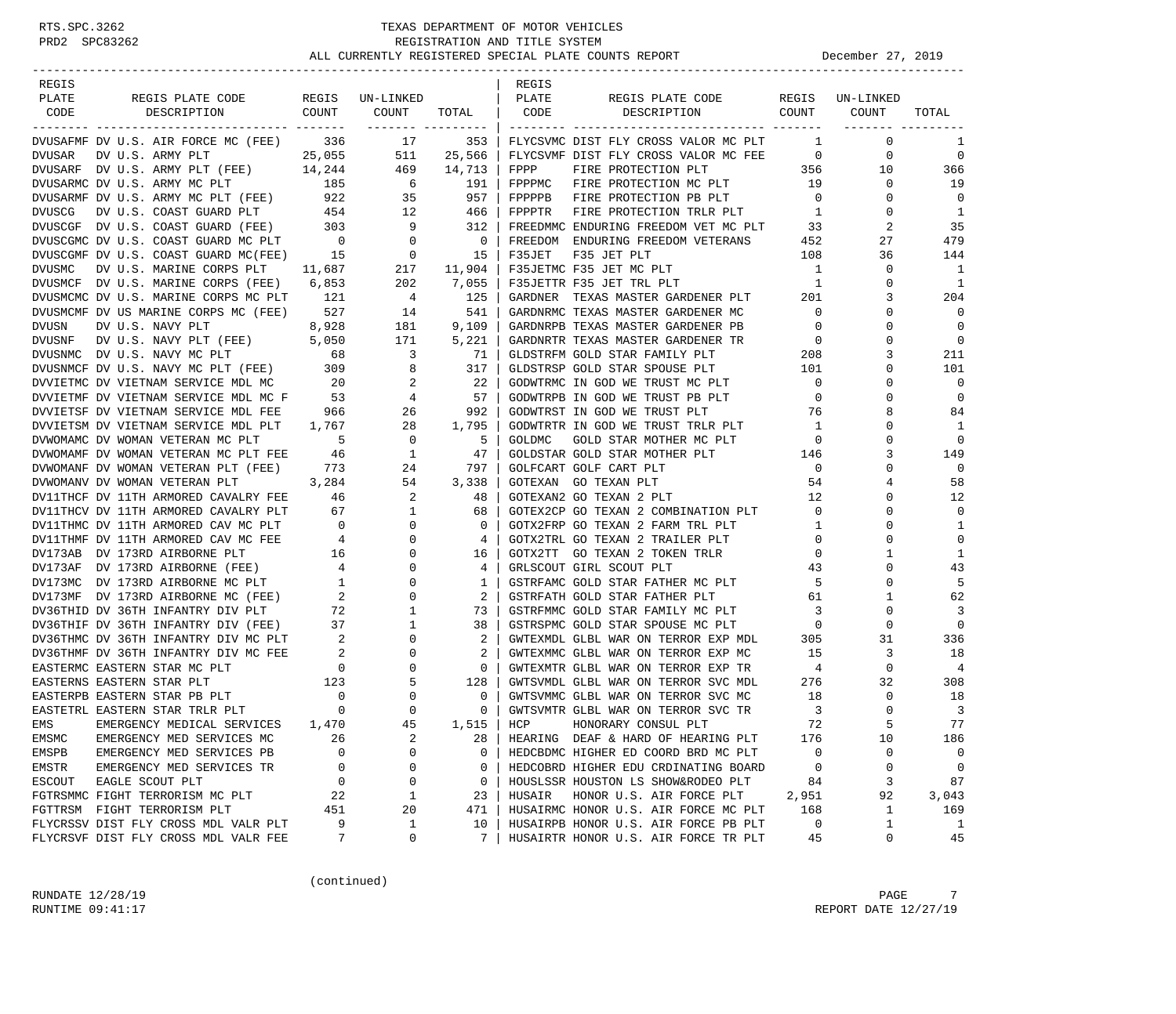| REGIS  |                                                                                                                                                                                                                                                                                                                                                                                                                               |       |                                                                                          |                                | REGIS         |                                                                                                                                                                                                                                      |                         |                            |                               |
|--------|-------------------------------------------------------------------------------------------------------------------------------------------------------------------------------------------------------------------------------------------------------------------------------------------------------------------------------------------------------------------------------------------------------------------------------|-------|------------------------------------------------------------------------------------------|--------------------------------|---------------|--------------------------------------------------------------------------------------------------------------------------------------------------------------------------------------------------------------------------------------|-------------------------|----------------------------|-------------------------------|
| PLATE  | REGIS PLATE CODE                                                                                                                                                                                                                                                                                                                                                                                                              |       | REGIS UN-LINKED                                                                          |                                | PLATE         | REGIS PLATE CODE                                                                                                                                                                                                                     |                         | REGIS UN-LINKED            |                               |
| CODE   | COUNT<br>DESCRIPTION                                                                                                                                                                                                                                                                                                                                                                                                          |       | COUNT<br>________ ________                                                               | TOTAL   CODE                   |               | COUNT<br>DESCRIPTION                                                                                                                                                                                                                 |                         | COUNT                      | TOTAL                         |
|        | DVUSAFMF DV U.S. AIR FORCE MC (FEE) 336 17                                                                                                                                                                                                                                                                                                                                                                                    |       |                                                                                          |                                |               | 353   FLYCSVMC DIST FLY CROSS VALOR MC PLT                                                                                                                                                                                           | $\mathbf{1}$            | $\mathbf 0$                | 1                             |
|        |                                                                                                                                                                                                                                                                                                                                                                                                                               |       |                                                                                          |                                |               | FLYCSVMF DIST FLY CROSS VALOR MC FEE 0                                                                                                                                                                                               |                         | 0                          | $\mathbf 0$                   |
|        | ${\hbox{\tt DVISAR}}~~{\hbox{\tt DVI SAR}}~~{\hbox{\tt DVI}}~~{\hbox{\tt CIS.}}~~{\hbox{\tt RMY PLT}}~~{\hbox{\tt DZ5,055}}~~{\hbox{\tt S11}}~~{\hbox{\tt 25,566}}~~{\hbox{\tt DVI SARF}}~~{\hbox{\tt DVI}}~~{\hbox{\tt C.}}~~{\hbox{\tt S.}}~~{\hbox{\tt R.}}~~{\hbox{\tt P.}}~~{\hbox{\tt P.}}~~{\hbox{\tt P.}}~~{\hbox{\tt P.}}~~{\hbox{\tt P.}}~~{\hbox{\tt P.}}~~{\hbox{\tt P.}}~~{\hbox{\tt P.}}~~{\hbox{\tt P.}}~~{\h$ |       |                                                                                          | 469 14,713                     | FPPP          | FIRE PROTECTION PLT                                                                                                                                                                                                                  | 356                     | 10                         | 366                           |
|        | DVUSARMC DV U.S. ARMY MC PLT                                                                                                                                                                                                                                                                                                                                                                                                  |       | 185 6 191                                                                                |                                |               | FPPPMC FIRE PROTECTION MC PLT 19                                                                                                                                                                                                     |                         | $\mathbf{0}$               | 19                            |
|        |                                                                                                                                                                                                                                                                                                                                                                                                                               |       |                                                                                          |                                |               |                                                                                                                                                                                                                                      | $\overline{0}$          | $\mathbf{0}$               | $\Omega$                      |
|        |                                                                                                                                                                                                                                                                                                                                                                                                                               |       |                                                                                          |                                |               | DVUSARMF DV U.S. ARMY MC PLT (FEE) $922$ 35 957   FPPPPB FIRE PROTECTION PB PLT 0<br>DVUSCG DV U.S. COAST GUARD PLT 454 12 466   FPPPTR FIRE PROTECTION TRLR PLT 1                                                                   |                         | $\mathbf{0}$               | $\overline{1}$                |
|        |                                                                                                                                                                                                                                                                                                                                                                                                                               |       |                                                                                          |                                |               |                                                                                                                                                                                                                                      |                         | 2                          | 35                            |
|        |                                                                                                                                                                                                                                                                                                                                                                                                                               |       |                                                                                          |                                |               |                                                                                                                                                                                                                                      |                         | 27                         | 479                           |
|        |                                                                                                                                                                                                                                                                                                                                                                                                                               |       |                                                                                          |                                |               | DVUSCGF DV U.S. COAST GUARD (FEE) 303 9 312   FREEDMMC ENDURING FREEDOM VET MC PLT 33<br>DVUSCGMC DV U.S. COAST GUARD MC PLT 0 0 0 15   FREEDOM ENDURING FREEDOM VETERANS 452<br>DVUSCGMF DV U.S. COAST GUARD MC (FEE) 15 0 15   F35 |                         | 36                         | 144                           |
| DVUSMC | DV U.S. MARINE CORPS PLT 11,687 217 11,904                                                                                                                                                                                                                                                                                                                                                                                    |       |                                                                                          |                                |               | F35JETMC F35 JET MC PLT                                                                                                                                                                                                              | 1                       | 0                          | $\overline{\phantom{0}}$      |
|        | DVUSMCF DV U.S. MARINE CORPS (FEE) 6,853                                                                                                                                                                                                                                                                                                                                                                                      |       |                                                                                          | 202 7,055                      |               | F35JETTR F35 JET TRL PLT                                                                                                                                                                                                             | $\overline{1}$          | $\mathbf 0$                | $\overline{1}$                |
|        | DVUSMCMC DV U.S. MARINE CORPS MC PLT                                                                                                                                                                                                                                                                                                                                                                                          | 121   | $\overline{4}$                                                                           |                                |               | GARDNER TEXAS MASTER GARDENER PLT 201                                                                                                                                                                                                |                         | 3                          | 204                           |
|        | DVUSMCMF DV US MARINE CORPS MC (FEE) 527                                                                                                                                                                                                                                                                                                                                                                                      |       | 14                                                                                       | 125<br>541<br>541              |               | GARDNRMC TEXAS MASTER GARDENER MC                                                                                                                                                                                                    | $\overline{0}$          | $\Omega$                   | $\Omega$                      |
| DVUSN  | DV U.S. NAVY PLT                                                                                                                                                                                                                                                                                                                                                                                                              | 8,928 | 181                                                                                      | 9,109                          |               | GARDNRPB TEXAS MASTER GARDENER PB                                                                                                                                                                                                    | $\overline{0}$          | $\Omega$                   | $\mathbf 0$                   |
|        |                                                                                                                                                                                                                                                                                                                                                                                                                               |       | 171                                                                                      | 5,221                          |               |                                                                                                                                                                                                                                      | $\overline{0}$          | $\mathbf 0$                | $\overline{0}$                |
|        | DVUSNF DVU.S. NAVY PLT (FEE) 5,050<br>DVUSNMC DVU.S. NAVY MC PLT 68                                                                                                                                                                                                                                                                                                                                                           |       | $\overline{\mathbf{3}}$                                                                  | 71                             |               |                                                                                                                                                                                                                                      |                         | 3                          | 211                           |
|        |                                                                                                                                                                                                                                                                                                                                                                                                                               |       |                                                                                          |                                |               | GLDSTRSP GOLD STAR SPOUSE PLT                                                                                                                                                                                                        | 101                     | 0                          | 101                           |
|        |                                                                                                                                                                                                                                                                                                                                                                                                                               |       |                                                                                          |                                |               | GODWTRMC IN GOD WE TRUST MC PLT                                                                                                                                                                                                      | $\overline{0}$          | 0                          | $\mathbf 0$                   |
|        |                                                                                                                                                                                                                                                                                                                                                                                                                               |       |                                                                                          |                                |               | GODWTRPB IN GOD WE TRUST PB PLT                                                                                                                                                                                                      | $\overline{0}$          | $\Omega$                   | $\mathbf 0$                   |
|        |                                                                                                                                                                                                                                                                                                                                                                                                                               |       |                                                                                          |                                |               | GODWTRST IN GOD WE TRUST PLT                                                                                                                                                                                                         | 76                      | 8                          | 84                            |
|        | DVUSING PURIT (FEE)<br>DVUETMC DV ULETNAM SERVICE MDL MC 20 2 2 22<br>DVUIETMF DV VIETNAM SERVICE MDL MC F 53 4 57<br>DVUIETSF DV VIETNAM SERVICE MDL FEE 966 26 992<br>TILETSF DV VIETNAM SERVICE MDL FEE 966 26 992<br>TILETSF DV                                                                                                                                                                                           |       |                                                                                          |                                |               | GODWTRTR IN GOD WE TRUST TRLR PLT                                                                                                                                                                                                    | $\overline{1}$          | $\Omega$                   | 1                             |
|        |                                                                                                                                                                                                                                                                                                                                                                                                                               |       |                                                                                          | 5                              | GOLDMC        | GOLD STAR MOTHER MC PLT                                                                                                                                                                                                              |                         | $\mathbf 0$                | $\mathbf 0$                   |
|        |                                                                                                                                                                                                                                                                                                                                                                                                                               |       |                                                                                          | 47                             |               | GOLDSTAR GOLD STAR MOTHER PLT                                                                                                                                                                                                        | $\overline{0}$          | 3                          | 149                           |
|        |                                                                                                                                                                                                                                                                                                                                                                                                                               |       |                                                                                          | 24 797                         |               | GOLFCART GOLF CART PLT                                                                                                                                                                                                               | 146<br>$\overline{0}$   | $\Omega$                   | $\Omega$                      |
|        | DVWOMANV DV WOMAN VETERAN PLT                                                                                                                                                                                                                                                                                                                                                                                                 |       |                                                                                          |                                |               | GOTEXAN GO TEXAN PLT                                                                                                                                                                                                                 | 54                      | 4                          | 58                            |
|        | DV11THCF DV 11TH ARMORED CAVALRY FEE 46                                                                                                                                                                                                                                                                                                                                                                                       |       | $\begin{array}{cccc} 3 & 284 & 54 & 3 & 338 \\ 7 & \text{FEE} & 46 & 2 & 48 \end{array}$ | 48                             |               | GOTEXAN2 GO TEXAN 2 PLT                                                                                                                                                                                                              | 12                      | $\Omega$                   | 12                            |
|        |                                                                                                                                                                                                                                                                                                                                                                                                                               |       |                                                                                          | 68                             |               |                                                                                                                                                                                                                                      |                         | $\mathbf 0$                | $\mathbf 0$                   |
|        | DVIITHCF DV IITH ARMORED CAVALRY FEE 46<br>DVIITHCV DV 11TH ARMORED CAVALRY PLT 67 1<br>DVIITHME DV 11TH ARMORED CAV MC PLT 0 0<br>DVIITHME DV 11TH ARMORED CAV MC FEE 4 0<br>DVI73AB DV 173RD AIRBORNE PLT 16 0<br>DVI73AF DV 173RD AIR                                                                                                                                                                                      |       |                                                                                          | $\mathbf{0}$                   |               | GOTEX2CP GO TEXAN 2 COMBINATION PLT 0<br>GOTX2FRP GO TEXAN 2 FARM TRL PLT                                                                                                                                                            | $\overline{1}$          | 0                          | $\mathbf{1}$                  |
|        |                                                                                                                                                                                                                                                                                                                                                                                                                               |       |                                                                                          | 4                              |               | GOTX2TRL GO TEXAN 2 TRAILER PLT                                                                                                                                                                                                      | $\overline{0}$          | 0                          | $\mathbf 0$                   |
|        |                                                                                                                                                                                                                                                                                                                                                                                                                               |       |                                                                                          | 16                             |               |                                                                                                                                                                                                                                      | $\overline{0}$          | 1                          | 1                             |
|        |                                                                                                                                                                                                                                                                                                                                                                                                                               |       |                                                                                          |                                |               | GOTX2TT GO TEXAN 2 TOKEN TRLR                                                                                                                                                                                                        |                         | $\Omega$                   |                               |
|        |                                                                                                                                                                                                                                                                                                                                                                                                                               |       |                                                                                          | 4                              |               | GRLSCOUT GIRL SCOUT PLT                                                                                                                                                                                                              | 43                      | $\mathbf 0$                | 43<br>5                       |
|        |                                                                                                                                                                                                                                                                                                                                                                                                                               |       |                                                                                          | $\mathbf{1}$<br>2 <sup>1</sup> |               | GSTRFAMC GOLD STAR FATHER MC PLT 5                                                                                                                                                                                                   | 61                      | $\mathbf{1}$               | 62                            |
|        |                                                                                                                                                                                                                                                                                                                                                                                                                               |       |                                                                                          |                                |               | GSTRFATH GOLD STAR FATHER PLT<br>GSTRFMMC GOLD STAR FAMILY MC PLT 3                                                                                                                                                                  |                         | $\mathbf 0$                |                               |
|        |                                                                                                                                                                                                                                                                                                                                                                                                                               |       |                                                                                          | 73                             |               |                                                                                                                                                                                                                                      | $\overline{0}$          | 0                          | 3<br>$\mathbf 0$              |
|        |                                                                                                                                                                                                                                                                                                                                                                                                                               |       |                                                                                          | 38                             |               | GSTRSPMC GOLD STAR SPOUSE MC PLT<br>GWTEXMDL GLBL WAR ON TERROR EXP MDL                                                                                                                                                              |                         |                            |                               |
|        | POSSIBLE POSSIBLE INFANTRY DIV (FEE)<br>DV36THIF DV 36TH INFANTRY DIV (FEE)<br>DV36THMC DV 36TH INFANTRY DIV MC PLT<br>DV36THMF DV 36TH INFANTRY DIV MC FEE<br>PASTERMC EASTERN STAR MC PLT<br>EASTERNS EASTERN STAR PLT<br>EASTERPE EASTE                                                                                                                                                                                    |       |                                                                                          | $2 \mid$                       |               |                                                                                                                                                                                                                                      | 305                     | 31                         | 336                           |
|        |                                                                                                                                                                                                                                                                                                                                                                                                                               |       |                                                                                          | 2                              |               | GWTEXMMC GLBL WAR ON TERROR EXP MC                                                                                                                                                                                                   | 15                      | 3                          | 18                            |
|        |                                                                                                                                                                                                                                                                                                                                                                                                                               |       |                                                                                          | $\overline{0}$<br>128          |               | GWTEXMTR GLBL WAR ON TERROR EXP TR<br>GWTSVMDL GLBL WAR ON TERROR SVC MDL                                                                                                                                                            | 4                       | $\mathbf{0}$               | -4                            |
|        |                                                                                                                                                                                                                                                                                                                                                                                                                               |       |                                                                                          |                                |               | GWTSVMMC GLBL WAR ON TERROR SVC MC                                                                                                                                                                                                   | 276                     | 32                         | 308                           |
|        |                                                                                                                                                                                                                                                                                                                                                                                                                               |       |                                                                                          | $\mathbf{0}$                   |               |                                                                                                                                                                                                                                      | 18                      | $\mathbf 0$<br>$\mathbf 0$ | 18                            |
|        |                                                                                                                                                                                                                                                                                                                                                                                                                               |       |                                                                                          | $0-1$                          |               | GWTSVMTR GLBL WAR ON TERROR SVC TR                                                                                                                                                                                                   | $\overline{\mathbf{3}}$ |                            | $\overline{\mathbf{3}}$<br>77 |
| EMS    | EMERGENCY MEDICAL SERVICES 1,470                                                                                                                                                                                                                                                                                                                                                                                              |       | 45                                                                                       |                                | $1,515$   HCP | HONORARY CONSUL PLT                                                                                                                                                                                                                  | 72                      |                            |                               |
| EMSMC  | EMERGENCY MED SERVICES MC                                                                                                                                                                                                                                                                                                                                                                                                     | 26    | 2                                                                                        | 28                             |               | HEARING DEAF & HARD OF HEARING PLT                                                                                                                                                                                                   | 176                     | 10                         | 186                           |
| EMSPB  | EMERGENCY MED SERVICES PB                                                                                                                                                                                                                                                                                                                                                                                                     | O     | 0                                                                                        | $\mathbf 0$                    |               | HEDCBDMC HIGHER ED COORD BRD MC PLT                                                                                                                                                                                                  | 0                       | 0                          | $\mathbf 0$                   |
| EMSTR  | EMERGENCY MED SERVICES TR                                                                                                                                                                                                                                                                                                                                                                                                     | 0     | 0                                                                                        | 0                              |               | HEDCOBRD HIGHER EDU CRDINATING BOARD                                                                                                                                                                                                 | 0                       | 0                          | $\mathbf 0$                   |
| ESCOUT | EAGLE SCOUT PLT                                                                                                                                                                                                                                                                                                                                                                                                               | 0     | 0                                                                                        | 0                              |               | HOUSLSSR HOUSTON LS SHOW&RODEO PLT                                                                                                                                                                                                   | 84                      | 3                          | 87                            |
|        | FGTRSMMC FIGHT TERRORISM MC PLT                                                                                                                                                                                                                                                                                                                                                                                               | 22    | 1                                                                                        | 23                             | HUSAIR        | HONOR U.S. AIR FORCE PLT                                                                                                                                                                                                             | 2,951                   | 92                         | 3,043                         |
|        | FGTTRSM FIGHT TERRORISM PLT                                                                                                                                                                                                                                                                                                                                                                                                   | 451   | 20                                                                                       | 471                            |               | HUSAIRMC HONOR U.S. AIR FORCE MC PLT                                                                                                                                                                                                 | 168                     | $\mathbf{1}$               | 169                           |
|        | FLYCRSSV DIST FLY CROSS MDL VALR PLT                                                                                                                                                                                                                                                                                                                                                                                          | 9     | 1                                                                                        | 10                             |               | HUSAIRPB HONOR U.S. AIR FORCE PB PLT                                                                                                                                                                                                 | 0                       | 1                          | 1                             |
|        | FLYCRSVF DIST FLY CROSS MDL VALR FEE                                                                                                                                                                                                                                                                                                                                                                                          | 7     | 0                                                                                        | 7                              |               | HUSAIRTR HONOR U.S. AIR FORCE TR PLT                                                                                                                                                                                                 | 45                      | 0                          | 45                            |

(continued)

RUNDATE  $12/28/19$  PAGE 7 RUNTIME 09:41:17 REPORT DATE 12/27/19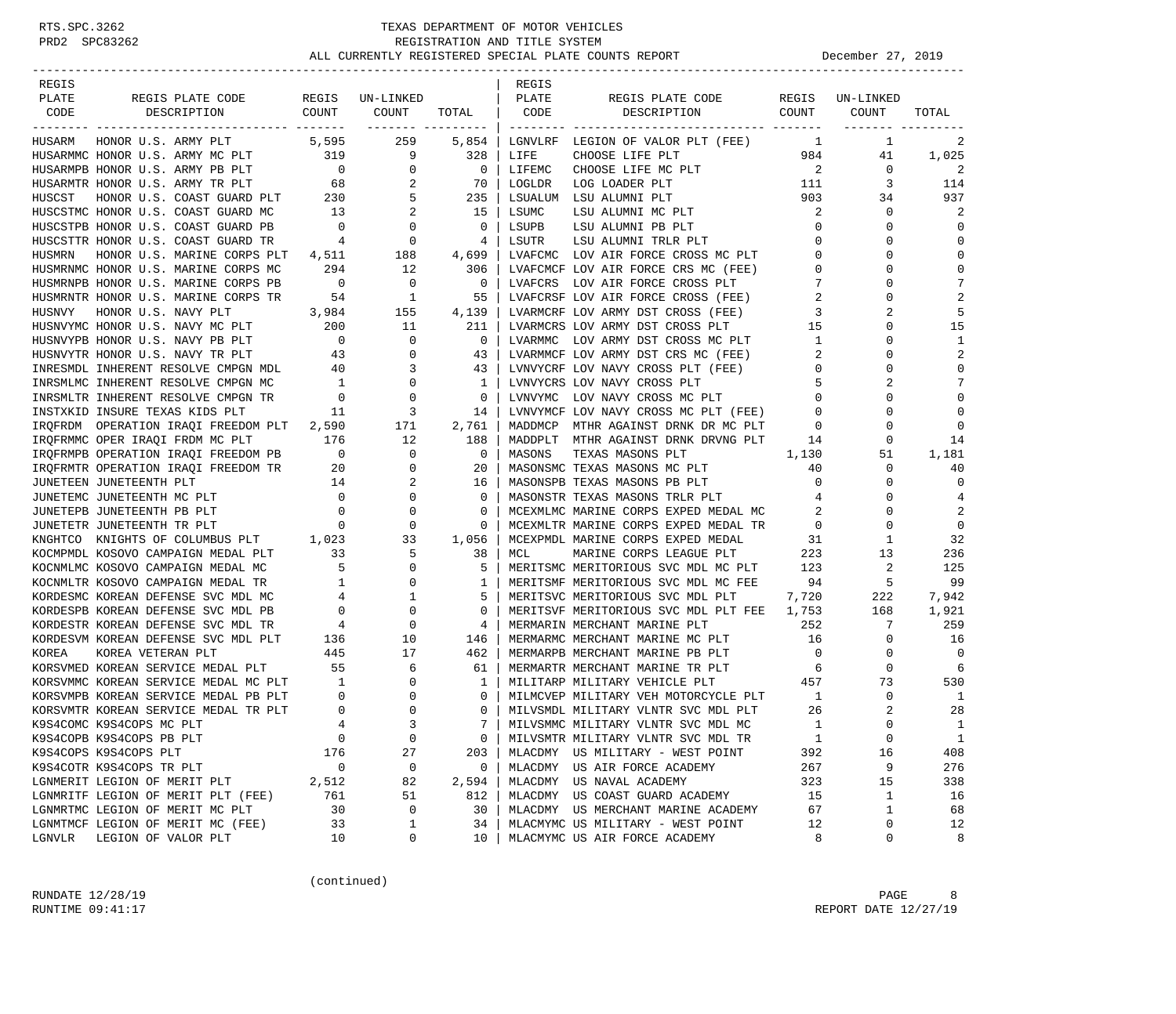| REGIS  |                                                                                |                                          |                                              |                   | REGIS   |                                                                              |                            |                  |                |
|--------|--------------------------------------------------------------------------------|------------------------------------------|----------------------------------------------|-------------------|---------|------------------------------------------------------------------------------|----------------------------|------------------|----------------|
| PLATE  | REGIS PLATE CODE                                                               |                                          | REGIS UN-LINKED                              |                   | PLATE   | REGIS PLATE CODE                                                             | REGIS                      | UN-LINKED        |                |
| CODE   | DESCRIPTION                                                                    | COUNT                                    | COUNT                                        | TOTAL   CODE      |         | DESCRIPTION COUNT                                                            |                            | COUNT            | TOTAL          |
|        |                                                                                |                                          |                                              | ------- --------- |         |                                                                              |                            |                  |                |
| HUSARM | HONOR U.S. ARMY PLT 5,595                                                      |                                          | 259                                          | $5,854$           |         | LGNVLRF LEGION OF VALOR PLT (FEE) 1                                          |                            | 1                | 2              |
|        | HUSARMMC HONOR U.S. ARMY MC PLT 319<br>HUSARMDR HONOR II S ARMY DR DIT         |                                          | $\begin{array}{c} 319 \\ 0 \end{array}$<br>9 | 328               | LIFE    | CHOOSE LIFE PLT                                                              | 984                        | 41               | 1,025          |
|        | HUSARMPB HONOR U.S. ARMY PB PLT                                                |                                          | $\overline{0}$                               | $\overline{0}$    | LIFEMC  | CHOOSE LIFE MC PLT                                                           | $\overline{\phantom{a}}$ 2 | $\overline{0}$   | 2              |
|        | HUSARMTR HONOR U.S. ARMY TR PLT                                                |                                          | 2                                            | 70                | LOGLDR  | $\begin{array}{c} 111 \\ 903 \end{array}$<br>LOG LOADER PLT                  |                            | 3                | 114            |
| HUSCST | HONOR U.S. ARMY TR PLT $68$<br>HONOR U.S. COAST GUARD PLT $230$                |                                          | 5                                            | 235               |         | LSUALUM LSU ALUMNI PLT                                                       |                            | 34               | 937            |
|        | HUSCSTMC HONOR U.S. COAST GUARD MC                                             | $\frac{13}{2}$                           | 2                                            | 15                | LSUMC   | LSU ALUMNI MC PLT                                                            | 2                          | 0                | 2              |
|        | HUSCSTPB HONOR U.S. COAST GUARD PB                                             |                                          | $\mathbf 0$                                  | $\mathbf 0$       | LSUPB   | LSU ALUMNI PB PLT                                                            | $\mathbf{0}$               | $\Omega$         | $\Omega$       |
|        | HUSCSTTR HONOR U.S. COAST GUARD TR                                             | $\begin{array}{c} 0 \\ 4 \end{array}$    | $\overline{0}$                               | 4                 | LSUTR   | LSU ALUMNI TRLR PLT                                                          | $\mathbf 0$                | $\Omega$         | $\mathbf 0$    |
| HUSMRN | HONOR U.S. MARINE CORPS PLT                                                    | 4,511                                    | 188                                          | 4,699             |         | LVAFCMC LOV AIR FORCE CROSS MC PLT                                           | $\mathbf{0}$               | $\Omega$         | $\Omega$       |
|        | HUSMRNMC HONOR U.S. MARINE CORPS MC                                            | 294                                      | 12                                           | 306               |         | LVAFCMCF LOV AIR FORCE CRS MC (FEE)                                          | $\mathbf{0}$               | $\Omega$         | $\mathbf 0$    |
|        | HUSMRNPB HONOR U.S. MARINE CORPS PB                                            | $\overline{\phantom{0}}$                 | $\overline{\phantom{0}}$                     | $\overline{0}$    | LVAFCRS | LOV AIR FORCE CROSS PLT                                                      | 7                          | O                | 7              |
|        | HUSMRNTR HONOR U.S. MARINE CORPS TR                                            |                                          |                                              | 55                |         |                                                                              | 2                          | $\Omega$         | $\overline{2}$ |
| HUSNVY | HONOR U.S. NAVY PLT                                                            |                                          | TR $54$ 1<br>3,984 155                       | 4,139             |         | LVARMCRF LOV ARMY DST CROSS (FEE)                                            | 3                          | 2                | 5              |
|        | HUSNVYMC HONOR U.S. NAVY MC PLT 200                                            |                                          | 11                                           | 211               |         | LVARMCRS LOV ARMY DST CROSS PLT                                              | 15                         | $\Omega$         | 15             |
|        | HUSNVYPB HONOR U.S. NAVY PB PLT                                                | $\overline{0}$                           | $\mathbf 0$                                  | $\overline{0}$    |         | LVARMMC LOV ARMY DST CROSS MC PLT                                            | $\mathbf{1}$               | 0                | 1              |
|        | HUSNVYTR HONOR U.S. NAVY TR PLT                                                | 43                                       | $\mathbf 0$                                  | 43                |         | LVARMMCF LOV ARMY DST CRS MC (FEE)                                           | 2                          | $\Omega$         | 2              |
|        | INRESMDL INHERENT RESOLVE CMPGN MDL 40                                         |                                          | 3                                            | 43                |         | LVNVYCRF LOV NAVY CROSS PLT (FEE)                                            | $\mathbf 0$                | $\Omega$         | $\Omega$       |
|        | INRSMLMC INHERENT RESOLVE CMPGN MC                                             | $\frac{1}{2}$                            | $\mathbf{0}$                                 | 1                 |         | LVNVYCRS LOV NAVY CROSS PLT                                                  | 5                          | 2                | 7              |
|        | INRSMLTR INHERENT RESOLVE CMPGN TR                                             | $\overline{0}$                           | 0                                            | $\mathbf 0$       |         | LVNVYMC LOV NAVY CROSS MC PLT                                                | $\mathbf{0}$               | $\Omega$         | $\Omega$       |
|        | INSTXKID INSURE TEXAS KIDS PLT                                                 | 11                                       | 3                                            | 14                |         | LVNVYMCF LOV NAVY CROSS MC PLT (FEE)                                         | 0                          | $\Omega$         | $\Omega$       |
|        | IRQFRDM OPERATION IRAQI FREEDOM PLT 2,590                                      |                                          | 171                                          | 2,761             |         | MADDMCP MTHR AGAINST DRNK DR MC PLT                                          | 0                          | 0                | $\Omega$       |
|        |                                                                                |                                          | 12                                           | 188               |         | MADDPLT MTHR AGAINST DRNK DRVNG PLT                                          | 14                         | 0                | 14             |
|        | IRQFRMMC OPER IRAQI FRDM MC PLT 176<br>IRQFRMPB OPERATION IRAQI FREEDOM PB 0   |                                          | $\mathbf{0}$                                 | $\overline{0}$    | MASONS  | TEXAS MASONS PLT                                                             | 1,130                      | 51               | 1,181          |
|        |                                                                                |                                          | $\mathbf{0}$                                 | 20                |         | MASONSMC TEXAS MASONS MC PLT                                                 | 40                         | 0                | 40             |
|        | IRQFRMTR OPERATION IRAQI FREEDOM TR<br>20<br>JUNETEEN JUNETEENTH PLT           | 14                                       | 2                                            | 16                |         | MASONSPB TEXAS MASONS PB PLT                                                 | $\mathbf 0$                | $\Omega$         | $\mathbf 0$    |
|        | JUNETEMC JUNETEENTH MC PLT                                                     | $\overline{0}$                           | $\mathbf 0$                                  | $\Omega$          |         | MASONSTR TEXAS MASONS TRLR PLT                                               | 4                          | $\Omega$         | 4              |
|        | JUNETEPB JUNETEENTH PB PLT                                                     |                                          | $\mathbf 0$                                  | 0                 |         |                                                                              |                            | $\Omega$         | 2              |
|        | JUNETETR JUNETEENTH TR PLT                                                     | $\begin{array}{c} 0 \\ 0 \end{array}$    | $\mathbf 0$                                  | 0                 |         | MCEXMLMC MARINE CORPS EXPED MEDAL MC<br>MCEXMLTR MARINE CORPS EXPED MEDAL TR |                            | $\Omega$         | $\mathbf 0$    |
|        |                                                                                |                                          | 33                                           | 1,056             |         | MCEXPMDL MARINE CORPS EXPED MEDAL                                            | 31                         | 1                | 32             |
|        | KNGHTCO KNIGHTS OF COLUMBUS PLT 1,023<br>KOCMPMDL KOSOVO CAMPAIGN MEDAL PLT 33 |                                          | 5                                            | 38                | MCL     | MARINE CORPS LEAGUE PLT                                                      | 223                        | 13               | 236            |
|        | KOCNMLMC KOSOVO CAMPAIGN MEDAL MC                                              | $\overline{5}$                           | $\mathbf 0$                                  | 5                 |         | MERITSMC MERITORIOUS SVC MDL MC PLT 123                                      |                            | 2                | 125            |
|        | KOCNMLTR KOSOVO CAMPAIGN MEDAL TR                                              |                                          | $\mathbf{0}$                                 | 1                 |         | MERITSMF MERITORIOUS SVC MDL MC FEE                                          | 94                         | 5                | 99             |
|        | KORDESMC KOREAN DEFENSE SVC MDL MC                                             | $\frac{1}{4}$<br>4                       | 1                                            | 5                 |         | MERITSVC MERITORIOUS SVC MDL PLT                                             | 7,720                      | 222              | 7,942          |
|        | KORDESPB KOREAN DEFENSE SVC MDL PB                                             |                                          | $\mathbf 0$                                  | 0                 |         | MERITSVF MERITORIOUS SVC MDL PLT FEE 1,753                                   |                            | 168              | 1,921          |
|        | KORDESTR KOREAN DEFENSE SVC MDL TR                                             | $\overline{0}$<br>4                      | $\mathbf 0$                                  | 4                 |         | MERMARIN MERCHANT MARINE PLT                                                 | 252                        | 7                | 259            |
|        | KORDESVM KOREAN DEFENSE SVC MDL PLT                                            | 136                                      |                                              |                   |         | MERMARMC MERCHANT MARINE MC PLT 16                                           |                            | 0                | 16             |
|        |                                                                                |                                          | 10<br>17                                     | 146               |         |                                                                              |                            |                  | $\Omega$       |
| KOREA  | KOREA VETERAN PLT                                                              | $\begin{array}{c} 445 \\ 55 \end{array}$ |                                              | 462               |         | MERMARPB MERCHANT MARINE PB PLT                                              | $\overline{0}$             | 0<br>$\mathbf 0$ | 6              |
|        | KORSVMED KOREAN SERVICE MEDAL PLT<br>KORSVMMC KOREAN SERVICE MEDAL MC PLT 1    |                                          | 6                                            | 61                |         | MERMARTR MERCHANT MARINE TR PLT                                              | 6                          |                  |                |
|        |                                                                                |                                          | $\mathbf 0$                                  | 1                 |         | MILITARP MILITARY VEHICLE PLT                                                | 457                        | 73               | 530            |
|        | KORSVMPB KOREAN SERVICE MEDAL PB PLT                                           | $\overline{0}$                           | $\mathbf 0$                                  | 0                 |         | MILMCVEP MILITARY VEH MOTORCYCLE PLT                                         | $\overline{1}$             | $\mathbf 0$      | 1              |
|        | KORSVMTR KOREAN SERVICE MEDAL TR PLT                                           | $\overline{0}$                           | $\Omega$                                     | $\Omega$          |         | MILVSMDL MILITARY VLNTR SVC MDL PLT                                          | 26                         | 2                | 28             |
|        | K9S4COMC K9S4COPS MC PLT                                                       | $\overline{4}$                           | 3                                            | 7                 |         | MILVSMMC MILITARY VLNTR SVC MDL MC                                           | -1                         | $\Omega$         | 1              |
|        | K9S4COPB K9S4COPS PB PLT                                                       | 0                                        | 0                                            | 0                 |         | MILVSMTR MILITARY VLNTR SVC MDL TR                                           | 1                          | 0                | $\mathbf{1}$   |
|        | K9S4COPS K9S4COPS PLT                                                          | 176                                      | 27                                           | 203               |         | MLACDMY US MILITARY - WEST POINT                                             | 392                        | 16               | 408            |
|        | K9S4COTR K9S4COPS TR PLT                                                       | 0                                        | 0                                            | 0                 |         | MLACDMY US AIR FORCE ACADEMY                                                 | 267                        | 9                | 276            |
|        | LGNMERIT LEGION OF MERIT PLT                                                   | 2,512                                    | 82                                           | 2,594             |         | MLACDMY US NAVAL ACADEMY                                                     | 323                        | 15               | 338            |
|        | LGNMRITF LEGION OF MERIT PLT (FEE)                                             | 761                                      | 51                                           | 812               |         | MLACDMY US COAST GUARD ACADEMY                                               | 15                         | 1                | 16             |
|        | LGNMRTMC LEGION OF MERIT MC PLT                                                | 30                                       | $\mathbf 0$                                  | 30                |         | MLACDMY US MERCHANT MARINE ACADEMY                                           | 67                         | $\mathbf{1}$     | 68             |
|        | LGNMTMCF LEGION OF MERIT MC (FEE)                                              | 33                                       | $\mathbf 1$                                  | 34                |         | MLACMYMC US MILITARY - WEST POINT                                            | 12                         | 0                | 12             |
| LGNVLR | LEGION OF VALOR PLT                                                            | 10                                       | $\mathbf 0$                                  | 10                |         | MLACMYMC US AIR FORCE ACADEMY                                                | 8                          | 0                | 8              |

(continued)

RUNDATE  $12/28/19$  PAGE 8 RUNTIME 09:41:17 REPORT DATE 12/27/19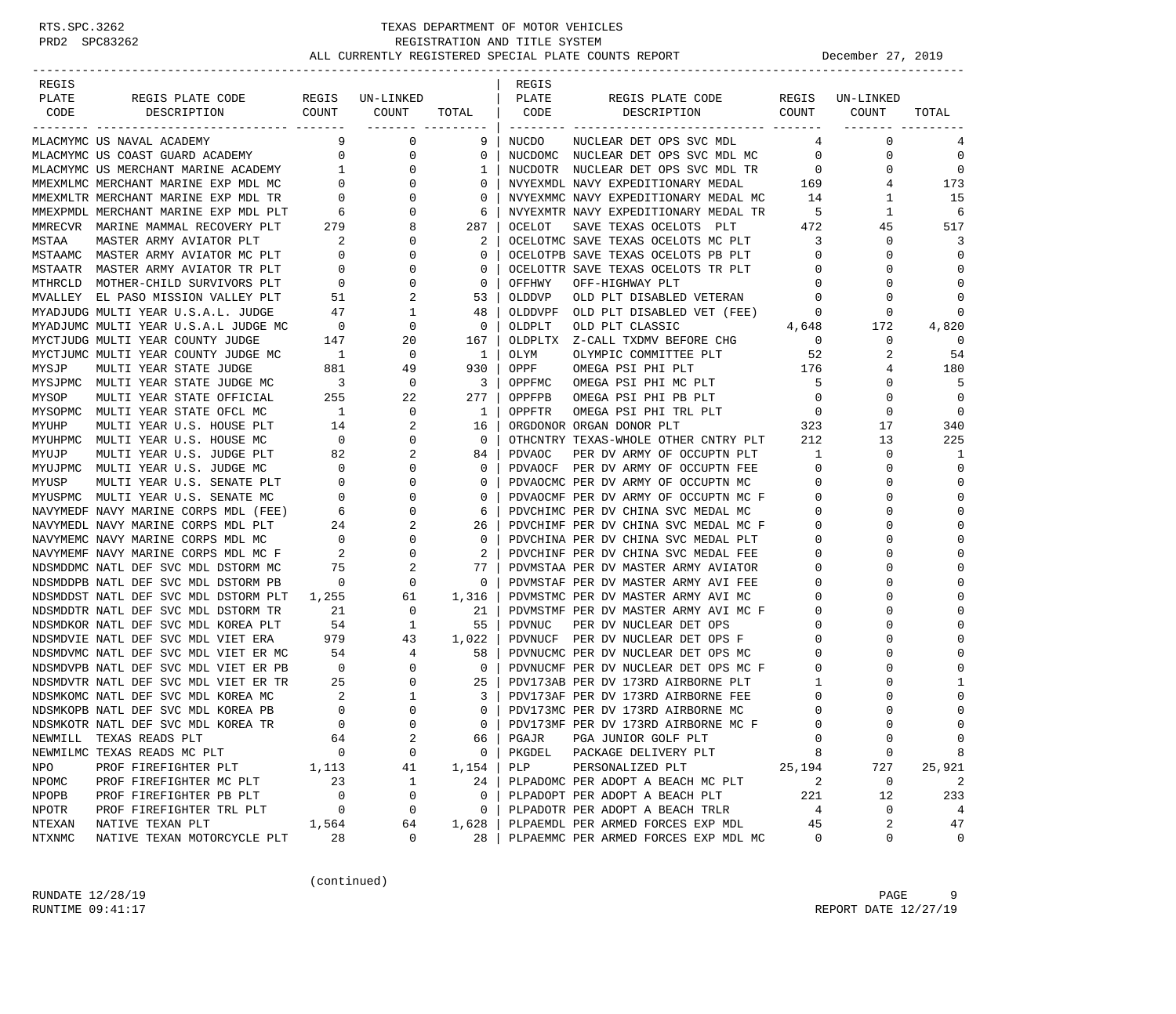| REGIS<br>REGIS<br>PLATE<br>REGIS PLATE CODE<br>REGIS UN-LINKED<br>PLATE<br>REGIS PLATE CODE<br>REGIS UN-LINKED<br>COUNT<br>COUNT<br>COUNT<br>CODE<br>DESCRIPTION<br>TOTAL<br>CODE<br>DESCRIPTION<br>COUNT<br>TOTAL<br>________ _________<br>9<br>0<br>$\mathbf 0$<br>MLACMYMC US NAVAL ACADEMY<br>9<br>NUCDO<br>NUCLEAR DET OPS SVC MDL<br>4<br>4<br>MLACMYMC US COAST GUARD ACADEMY<br>$\overline{0}$<br>0<br>0<br>$\mathbf 0$<br>0<br>NUCDOMC NUCLEAR DET OPS SVC MDL MC<br>$\mathbf 0$<br>MLACMYMC US MERCHANT MARINE ACADEMY<br>$\mathbf 0$<br>1<br>$\mathbf 0$<br>1<br>NUCDOTR NUCLEAR DET OPS SVC MDL TR<br>$\overline{\phantom{0}}$<br>0<br>169<br>$\overline{0}$<br>173<br>MMEXMLMC MERCHANT MARINE EXP MDL MC<br>$\circ$<br>0<br>NVYEXMDL NAVY EXPEDITIONARY MEDAL<br>4<br>$\mathbf 0$<br>15<br>MMEXMLTR MERCHANT MARINE EXP MDL TR<br>$\overline{0}$<br>$\mathbf 0$<br>NVYEXMMC NAVY EXPEDITIONARY MEDAL MC<br>14<br>1<br>$-5$<br>MMEXPMDL MERCHANT MARINE EXP MDL PLT<br>$6\overline{6}$<br>$\circ$<br>NVYEXMTR NAVY EXPEDITIONARY MEDAL TR<br>1<br>6<br>6<br>279<br>8<br>SAVE TEXAS OCELOTS PLT<br>472<br>517<br>MMRECVR MARINE MAMMAL RECOVERY PLT<br>287<br>OCELOT<br>45<br>$\overline{\phantom{a}}^2$<br>$\mathbf 0$<br>3<br>MSTAA<br>2<br>OCELOTMC SAVE TEXAS OCELOTS MC PLT<br>3<br>0<br>MASTER ARMY AVIATOR PLT<br>MSTAAMC MASTER ARMY AVIATOR MC PLT 0<br>OCELOTPB SAVE TEXAS OCELOTS PB PLT<br>$\mathbf 0$<br>$\Omega$<br>0<br>$\mathbf 0$<br>$\Omega$<br>0<br>MSTAATR MASTER ARMY AVIATOR TR PLT<br>$\overline{0}$<br>0<br>OCELOTTR SAVE TEXAS OCELOTS TR PLT<br>$\Omega$<br>$\circ$<br>$\mathbf 0$<br>$\mathbf 0$<br>MTHRCLD MOTHER-CHILD SURVIVORS PLT<br>$\overline{0}$<br>0<br>OFFHWY<br>OFF-HIGHWAY PLT<br>$\mathbf 0$<br>U<br>MVALLEY EL PASO MISSION VALLEY PLT<br>2<br>$\Omega$<br>51<br>53<br>OLDDVP<br>OLD PLT DISABLED VETERAN<br>$\mathbf 0$<br>$\Omega$<br>1<br>$\Omega$<br>MYADJUDG MULTI YEAR U.S.A.L. JUDGE<br>47<br>48<br>OLDDVPF<br>OLD PLT DISABLED VET (FEE)<br>$\mathbf 0$<br>0<br>$\overline{0}$<br>4,648<br>0<br>MYADJUMC MULTI YEAR U.S.A.L JUDGE MC<br>$\mathbf 0$<br>OLDPLT<br>OLD PLT CLASSIC<br>172<br>4,820<br>$\mathbf 0$<br>MYCTJUDG MULTI YEAR COUNTY JUDGE<br>147<br>20<br>167<br>OLDPLTX Z-CALL TXDMV BEFORE CHG<br>$\overline{\phantom{0}}$<br>0<br>$\overline{1}$<br>54<br>MYCTJUMC MULTI YEAR COUNTY JUDGE MC<br>0<br>$\mathbf{1}$<br>OLYM<br>OLYMPIC COMMITTEE PLT<br>52<br>2<br>881<br>49<br>930<br>OPPF<br>176<br>180<br>MYSJP<br>MULTI YEAR STATE JUDGE<br>OMEGA PSI PHI PLT<br>4<br>$\overline{\phantom{a}}$<br>$\mathbf 0$<br>- 5<br>5<br>MYSJPMC MULTI YEAR STATE JUDGE MC<br>3<br>OPPFMC<br>OMEGA PSI PHI MC PLT<br>0<br>255<br>277<br>$\mathbf 0$<br>MYSOP<br>MULTI YEAR STATE OFFICIAL<br>22<br>OPPFPB<br>OMEGA PSI PHI PB PLT<br>$\overline{\phantom{0}}$<br>$\Omega$<br>$\Omega$<br>MYSOPMC MULTI YEAR STATE OFCL MC<br>$\overline{1}$<br>0<br>OPPFTR<br>0<br>$\mathbf{1}$<br>OMEGA PSI PHI TRL PLT<br>$\overline{0}$<br>$\frac{1}{323}$<br>2<br>340<br>MYUHP<br>MULTI YEAR U.S. HOUSE PLT<br>14<br>16<br>ORGDONOR ORGAN DONOR PLT<br>17<br>$\overline{\phantom{0}}$<br>$\mathbf 0$<br>OTHCNTRY TEXAS-WHOLE OTHER CNTRY PLT<br>212<br>13<br>225<br>MYUHPMC MULTI YEAR U.S. HOUSE MC<br>$\mathbf{0}$<br>2<br>0<br>1<br>MYUJP<br>MULTI YEAR U.S. JUDGE PLT<br>82<br>84<br>PDVAOC<br>PER DV ARMY OF OCCUPTN PLT<br>1<br>$\overline{0}$<br>$\mathbf 0$<br>0<br>MYUJPMC MULTI YEAR U.S. JUDGE MC<br>$\mathbf 0$<br>PDVAOCF PER DV ARMY OF OCCUPTN FEE<br>$\circ$<br>$\Omega$<br>$\begin{array}{c} 0 \\ 0 \end{array}$<br>$\mathbf 0$<br>$\Omega$<br>MYUSP<br>MULTI YEAR U.S. SENATE PLT<br>$\mathbf 0$<br>PDVAOCMC PER DV ARMY OF OCCUPTN MC<br>$\mathbf 0$<br>0<br>0<br>MYUSPMC MULTI YEAR U.S. SENATE MC<br>$\mathbf 0$<br>$\mathbf 0$<br>PDVAOCMF PER DV ARMY OF OCCUPTN MC F<br>$\mathbf 0$<br>U<br>$6\overline{6}$<br>$\mathbf 0$<br>PDVCHIMC PER DV CHINA SVC MEDAL MC<br>$\circ$<br>$\Omega$<br>NAVYMEDF NAVY MARINE CORPS MDL (FEE)<br>6<br>2<br>$\circ$<br>$\Omega$<br>NAVYMEDL NAVY MARINE CORPS MDL PLT<br>24<br>26<br>PDVCHIMF PER DV CHINA SVC MEDAL MC F<br>$\begin{array}{c} 24 \\ 0 \end{array}$<br>0<br>NAVYMEMC NAVY MARINE CORPS MDL MC<br>$\mathbf 0$<br>PDVCHINA PER DV CHINA SVC MEDAL PLT<br>0<br>0<br>NAVYMEMF NAVY MARINE CORPS MDL MC F<br>$\overline{\phantom{a}}^2$<br>2<br>PDVCHINF PER DV CHINA SVC MEDAL FEE<br>$\Omega$<br>0<br>2<br>0<br>NDSMDDMC NATL DEF SVC MDL DSTORM MC<br>75<br>77<br>PDVMSTAA PER DV MASTER ARMY AVIATOR<br>0<br>$\overline{0}$<br>0<br>PDVMSTAF PER DV MASTER ARMY AVI FEE<br>$\Omega$<br>NDSMDDPB NATL DEF SVC MDL DSTORM PB<br>0<br>0<br>$\Omega$<br>NDSMDDST NATL DEF SVC MDL DSTORM PLT<br>1,255<br>61<br>1,316<br>PDVMSTMC PER DV MASTER ARMY AVI MC<br>0<br>NDSMDDTR NATL DEF SVC MDL DSTORM TR<br>21<br>0<br>21<br>PDVMSTMF PER DV MASTER ARMY AVI MC F<br>0<br>NDSMDKOR NATL DEF SVC MDL KOREA PLT<br>54<br>$\mathbf{1}$<br>55<br>PDVNUC<br>PER DV NUCLEAR DET OPS<br>0<br>$\Omega$<br>$\mathbf 0$<br>0<br>NDSMDVIE NATL DEF SVC MDL VIET ERA<br>979<br>43<br>1,022<br>PDVNUCF PER DV NUCLEAR DET OPS F<br>54<br>NDSMDVMC NATL DEF SVC MDL VIET ER MC<br>4<br>58<br>PDVNUCMC PER DV NUCLEAR DET OPS MC<br>$\circ$<br>$\Omega$<br>$\overline{0}$<br>$\mathbf 0$<br>$\Omega$<br>NDSMDVPB NATL DEF SVC MDL VIET ER PB<br>0<br>PDVNUCMF PER DV NUCLEAR DET OPS MC F<br>$\circ$<br>25<br>0<br>NDSMDVTR NATL DEF SVC MDL VIET ER TR<br>25<br>PDV173AB PER DV 173RD AIRBORNE PLT<br>1<br>$\frac{2}{1}$<br>$\mathbf{1}$<br>$\Omega$<br>NDSMKOMC NATL DEF SVC MDL KOREA MC<br>3<br>PDV173AF PER DV 173RD AIRBORNE FEE<br>0<br>$\overline{0}$<br>$\mathbf 0$<br>$\mathbf 0$<br>0<br>NDSMKOPB NATL DEF SVC MDL KOREA PB<br>PDV173MC PER DV 173RD AIRBORNE MC<br>0<br>$\Omega$<br>$\bigcap$<br>$\Omega$<br>$\Omega$<br>NDSMKOTR NATL DEF SVC MDL KOREA TR<br>PDV173MF PER DV 173RD AIRBORNE MC F<br>$\Omega$<br>2<br>$\mathbf 0$<br>TEXAS READS PLT<br>0<br>0<br>64<br>PGAJR<br>PGA JUNIOR GOLF PLT<br>NEWMILL<br>66<br>NEWMILMC TEXAS READS MC PLT<br>0<br>0<br>PKGDEL<br>$\mathbf 0$<br>8<br>0<br>PACKAGE DELIVERY PLT<br>8<br>25,194<br>727<br>25,921<br>NPO<br>PROF FIREFIGHTER PLT<br>1,113<br>41<br>1,154<br>PLP<br>PERSONALIZED PLT<br>23<br>1<br>2<br>2<br>NPOMC<br>PROF FIREFIGHTER MC PLT<br>24<br>PLPADOMC PER ADOPT A BEACH MC PLT<br>0<br>NPOPB<br>PROF FIREFIGHTER PB PLT<br>0<br>0<br>PLPADOPT PER ADOPT A BEACH PLT<br>221<br>12<br>233<br>0<br>NPOTR<br>PROF FIREFIGHTER TRL PLT<br>0<br>0<br>0<br>PLPADOTR PER ADOPT A BEACH TRLR<br>0<br>4<br>4<br>NTEXAN<br>45<br>2<br>47<br>NATIVE TEXAN PLT<br>1,564<br>64<br>1,628<br>PLPAEMDL PER ARMED FORCES EXP MDL |  |  |  |  |  |
|------------------------------------------------------------------------------------------------------------------------------------------------------------------------------------------------------------------------------------------------------------------------------------------------------------------------------------------------------------------------------------------------------------------------------------------------------------------------------------------------------------------------------------------------------------------------------------------------------------------------------------------------------------------------------------------------------------------------------------------------------------------------------------------------------------------------------------------------------------------------------------------------------------------------------------------------------------------------------------------------------------------------------------------------------------------------------------------------------------------------------------------------------------------------------------------------------------------------------------------------------------------------------------------------------------------------------------------------------------------------------------------------------------------------------------------------------------------------------------------------------------------------------------------------------------------------------------------------------------------------------------------------------------------------------------------------------------------------------------------------------------------------------------------------------------------------------------------------------------------------------------------------------------------------------------------------------------------------------------------------------------------------------------------------------------------------------------------------------------------------------------------------------------------------------------------------------------------------------------------------------------------------------------------------------------------------------------------------------------------------------------------------------------------------------------------------------------------------------------------------------------------------------------------------------------------------------------------------------------------------------------------------------------------------------------------------------------------------------------------------------------------------------------------------------------------------------------------------------------------------------------------------------------------------------------------------------------------------------------------------------------------------------------------------------------------------------------------------------------------------------------------------------------------------------------------------------------------------------------------------------------------------------------------------------------------------------------------------------------------------------------------------------------------------------------------------------------------------------------------------------------------------------------------------------------------------------------------------------------------------------------------------------------------------------------------------------------------------------------------------------------------------------------------------------------------------------------------------------------------------------------------------------------------------------------------------------------------------------------------------------------------------------------------------------------------------------------------------------------------------------------------------------------------------------------------------------------------------------------------------------------------------------------------------------------------------------------------------------------------------------------------------------------------------------------------------------------------------------------------------------------------------------------------------------------------------------------------------------------------------------------------------------------------------------------------------------------------------------------------------------------------------------------------------------------------------------------------------------------------------------------------------------------------------------------------------------------------------------------------------------------------------------------------------------------------------------------------------------------------------------------------------------------------------------------------------------------------------------------------------------------------------------------------------------------------------------------------------------------------------------------------------------------------------------------------------------------------------------------------------------------------------------------------------------------------------------------------------------------------------------------------------------------------------------------------------------------------------------------------------------------------------------------------------------------------------------------------------------------------------------------------------------------------------------------------------------------------------------------------------------------------------------------------------------------------------------------------------------------------------------------------------------------------------------------------------------------------------------------------------------------------------------------------------------------------------------------------------------------------------------------------------------------------------------------------------------------------------------------------------------------------------------------------------------------------------------------------------------------------------------------------------------------------------------------------------------|--|--|--|--|--|
|                                                                                                                                                                                                                                                                                                                                                                                                                                                                                                                                                                                                                                                                                                                                                                                                                                                                                                                                                                                                                                                                                                                                                                                                                                                                                                                                                                                                                                                                                                                                                                                                                                                                                                                                                                                                                                                                                                                                                                                                                                                                                                                                                                                                                                                                                                                                                                                                                                                                                                                                                                                                                                                                                                                                                                                                                                                                                                                                                                                                                                                                                                                                                                                                                                                                                                                                                                                                                                                                                                                                                                                                                                                                                                                                                                                                                                                                                                                                                                                                                                                                                                                                                                                                                                                                                                                                                                                                                                                                                                                                                                                                                                                                                                                                                                                                                                                                                                                                                                                                                                                                                                                                                                                                                                                                                                                                                                                                                                                                                                                                                                                                                                                                                                                                                                                                                                                                                                                                                                                                                                                                                                                                                                                                                                                                                                                                                                                                                                                                                                                                                                                                                                                                                                      |  |  |  |  |  |
|                                                                                                                                                                                                                                                                                                                                                                                                                                                                                                                                                                                                                                                                                                                                                                                                                                                                                                                                                                                                                                                                                                                                                                                                                                                                                                                                                                                                                                                                                                                                                                                                                                                                                                                                                                                                                                                                                                                                                                                                                                                                                                                                                                                                                                                                                                                                                                                                                                                                                                                                                                                                                                                                                                                                                                                                                                                                                                                                                                                                                                                                                                                                                                                                                                                                                                                                                                                                                                                                                                                                                                                                                                                                                                                                                                                                                                                                                                                                                                                                                                                                                                                                                                                                                                                                                                                                                                                                                                                                                                                                                                                                                                                                                                                                                                                                                                                                                                                                                                                                                                                                                                                                                                                                                                                                                                                                                                                                                                                                                                                                                                                                                                                                                                                                                                                                                                                                                                                                                                                                                                                                                                                                                                                                                                                                                                                                                                                                                                                                                                                                                                                                                                                                                                      |  |  |  |  |  |
|                                                                                                                                                                                                                                                                                                                                                                                                                                                                                                                                                                                                                                                                                                                                                                                                                                                                                                                                                                                                                                                                                                                                                                                                                                                                                                                                                                                                                                                                                                                                                                                                                                                                                                                                                                                                                                                                                                                                                                                                                                                                                                                                                                                                                                                                                                                                                                                                                                                                                                                                                                                                                                                                                                                                                                                                                                                                                                                                                                                                                                                                                                                                                                                                                                                                                                                                                                                                                                                                                                                                                                                                                                                                                                                                                                                                                                                                                                                                                                                                                                                                                                                                                                                                                                                                                                                                                                                                                                                                                                                                                                                                                                                                                                                                                                                                                                                                                                                                                                                                                                                                                                                                                                                                                                                                                                                                                                                                                                                                                                                                                                                                                                                                                                                                                                                                                                                                                                                                                                                                                                                                                                                                                                                                                                                                                                                                                                                                                                                                                                                                                                                                                                                                                                      |  |  |  |  |  |
|                                                                                                                                                                                                                                                                                                                                                                                                                                                                                                                                                                                                                                                                                                                                                                                                                                                                                                                                                                                                                                                                                                                                                                                                                                                                                                                                                                                                                                                                                                                                                                                                                                                                                                                                                                                                                                                                                                                                                                                                                                                                                                                                                                                                                                                                                                                                                                                                                                                                                                                                                                                                                                                                                                                                                                                                                                                                                                                                                                                                                                                                                                                                                                                                                                                                                                                                                                                                                                                                                                                                                                                                                                                                                                                                                                                                                                                                                                                                                                                                                                                                                                                                                                                                                                                                                                                                                                                                                                                                                                                                                                                                                                                                                                                                                                                                                                                                                                                                                                                                                                                                                                                                                                                                                                                                                                                                                                                                                                                                                                                                                                                                                                                                                                                                                                                                                                                                                                                                                                                                                                                                                                                                                                                                                                                                                                                                                                                                                                                                                                                                                                                                                                                                                                      |  |  |  |  |  |
|                                                                                                                                                                                                                                                                                                                                                                                                                                                                                                                                                                                                                                                                                                                                                                                                                                                                                                                                                                                                                                                                                                                                                                                                                                                                                                                                                                                                                                                                                                                                                                                                                                                                                                                                                                                                                                                                                                                                                                                                                                                                                                                                                                                                                                                                                                                                                                                                                                                                                                                                                                                                                                                                                                                                                                                                                                                                                                                                                                                                                                                                                                                                                                                                                                                                                                                                                                                                                                                                                                                                                                                                                                                                                                                                                                                                                                                                                                                                                                                                                                                                                                                                                                                                                                                                                                                                                                                                                                                                                                                                                                                                                                                                                                                                                                                                                                                                                                                                                                                                                                                                                                                                                                                                                                                                                                                                                                                                                                                                                                                                                                                                                                                                                                                                                                                                                                                                                                                                                                                                                                                                                                                                                                                                                                                                                                                                                                                                                                                                                                                                                                                                                                                                                                      |  |  |  |  |  |
|                                                                                                                                                                                                                                                                                                                                                                                                                                                                                                                                                                                                                                                                                                                                                                                                                                                                                                                                                                                                                                                                                                                                                                                                                                                                                                                                                                                                                                                                                                                                                                                                                                                                                                                                                                                                                                                                                                                                                                                                                                                                                                                                                                                                                                                                                                                                                                                                                                                                                                                                                                                                                                                                                                                                                                                                                                                                                                                                                                                                                                                                                                                                                                                                                                                                                                                                                                                                                                                                                                                                                                                                                                                                                                                                                                                                                                                                                                                                                                                                                                                                                                                                                                                                                                                                                                                                                                                                                                                                                                                                                                                                                                                                                                                                                                                                                                                                                                                                                                                                                                                                                                                                                                                                                                                                                                                                                                                                                                                                                                                                                                                                                                                                                                                                                                                                                                                                                                                                                                                                                                                                                                                                                                                                                                                                                                                                                                                                                                                                                                                                                                                                                                                                                                      |  |  |  |  |  |
|                                                                                                                                                                                                                                                                                                                                                                                                                                                                                                                                                                                                                                                                                                                                                                                                                                                                                                                                                                                                                                                                                                                                                                                                                                                                                                                                                                                                                                                                                                                                                                                                                                                                                                                                                                                                                                                                                                                                                                                                                                                                                                                                                                                                                                                                                                                                                                                                                                                                                                                                                                                                                                                                                                                                                                                                                                                                                                                                                                                                                                                                                                                                                                                                                                                                                                                                                                                                                                                                                                                                                                                                                                                                                                                                                                                                                                                                                                                                                                                                                                                                                                                                                                                                                                                                                                                                                                                                                                                                                                                                                                                                                                                                                                                                                                                                                                                                                                                                                                                                                                                                                                                                                                                                                                                                                                                                                                                                                                                                                                                                                                                                                                                                                                                                                                                                                                                                                                                                                                                                                                                                                                                                                                                                                                                                                                                                                                                                                                                                                                                                                                                                                                                                                                      |  |  |  |  |  |
|                                                                                                                                                                                                                                                                                                                                                                                                                                                                                                                                                                                                                                                                                                                                                                                                                                                                                                                                                                                                                                                                                                                                                                                                                                                                                                                                                                                                                                                                                                                                                                                                                                                                                                                                                                                                                                                                                                                                                                                                                                                                                                                                                                                                                                                                                                                                                                                                                                                                                                                                                                                                                                                                                                                                                                                                                                                                                                                                                                                                                                                                                                                                                                                                                                                                                                                                                                                                                                                                                                                                                                                                                                                                                                                                                                                                                                                                                                                                                                                                                                                                                                                                                                                                                                                                                                                                                                                                                                                                                                                                                                                                                                                                                                                                                                                                                                                                                                                                                                                                                                                                                                                                                                                                                                                                                                                                                                                                                                                                                                                                                                                                                                                                                                                                                                                                                                                                                                                                                                                                                                                                                                                                                                                                                                                                                                                                                                                                                                                                                                                                                                                                                                                                                                      |  |  |  |  |  |
|                                                                                                                                                                                                                                                                                                                                                                                                                                                                                                                                                                                                                                                                                                                                                                                                                                                                                                                                                                                                                                                                                                                                                                                                                                                                                                                                                                                                                                                                                                                                                                                                                                                                                                                                                                                                                                                                                                                                                                                                                                                                                                                                                                                                                                                                                                                                                                                                                                                                                                                                                                                                                                                                                                                                                                                                                                                                                                                                                                                                                                                                                                                                                                                                                                                                                                                                                                                                                                                                                                                                                                                                                                                                                                                                                                                                                                                                                                                                                                                                                                                                                                                                                                                                                                                                                                                                                                                                                                                                                                                                                                                                                                                                                                                                                                                                                                                                                                                                                                                                                                                                                                                                                                                                                                                                                                                                                                                                                                                                                                                                                                                                                                                                                                                                                                                                                                                                                                                                                                                                                                                                                                                                                                                                                                                                                                                                                                                                                                                                                                                                                                                                                                                                                                      |  |  |  |  |  |
|                                                                                                                                                                                                                                                                                                                                                                                                                                                                                                                                                                                                                                                                                                                                                                                                                                                                                                                                                                                                                                                                                                                                                                                                                                                                                                                                                                                                                                                                                                                                                                                                                                                                                                                                                                                                                                                                                                                                                                                                                                                                                                                                                                                                                                                                                                                                                                                                                                                                                                                                                                                                                                                                                                                                                                                                                                                                                                                                                                                                                                                                                                                                                                                                                                                                                                                                                                                                                                                                                                                                                                                                                                                                                                                                                                                                                                                                                                                                                                                                                                                                                                                                                                                                                                                                                                                                                                                                                                                                                                                                                                                                                                                                                                                                                                                                                                                                                                                                                                                                                                                                                                                                                                                                                                                                                                                                                                                                                                                                                                                                                                                                                                                                                                                                                                                                                                                                                                                                                                                                                                                                                                                                                                                                                                                                                                                                                                                                                                                                                                                                                                                                                                                                                                      |  |  |  |  |  |
|                                                                                                                                                                                                                                                                                                                                                                                                                                                                                                                                                                                                                                                                                                                                                                                                                                                                                                                                                                                                                                                                                                                                                                                                                                                                                                                                                                                                                                                                                                                                                                                                                                                                                                                                                                                                                                                                                                                                                                                                                                                                                                                                                                                                                                                                                                                                                                                                                                                                                                                                                                                                                                                                                                                                                                                                                                                                                                                                                                                                                                                                                                                                                                                                                                                                                                                                                                                                                                                                                                                                                                                                                                                                                                                                                                                                                                                                                                                                                                                                                                                                                                                                                                                                                                                                                                                                                                                                                                                                                                                                                                                                                                                                                                                                                                                                                                                                                                                                                                                                                                                                                                                                                                                                                                                                                                                                                                                                                                                                                                                                                                                                                                                                                                                                                                                                                                                                                                                                                                                                                                                                                                                                                                                                                                                                                                                                                                                                                                                                                                                                                                                                                                                                                                      |  |  |  |  |  |
|                                                                                                                                                                                                                                                                                                                                                                                                                                                                                                                                                                                                                                                                                                                                                                                                                                                                                                                                                                                                                                                                                                                                                                                                                                                                                                                                                                                                                                                                                                                                                                                                                                                                                                                                                                                                                                                                                                                                                                                                                                                                                                                                                                                                                                                                                                                                                                                                                                                                                                                                                                                                                                                                                                                                                                                                                                                                                                                                                                                                                                                                                                                                                                                                                                                                                                                                                                                                                                                                                                                                                                                                                                                                                                                                                                                                                                                                                                                                                                                                                                                                                                                                                                                                                                                                                                                                                                                                                                                                                                                                                                                                                                                                                                                                                                                                                                                                                                                                                                                                                                                                                                                                                                                                                                                                                                                                                                                                                                                                                                                                                                                                                                                                                                                                                                                                                                                                                                                                                                                                                                                                                                                                                                                                                                                                                                                                                                                                                                                                                                                                                                                                                                                                                                      |  |  |  |  |  |
|                                                                                                                                                                                                                                                                                                                                                                                                                                                                                                                                                                                                                                                                                                                                                                                                                                                                                                                                                                                                                                                                                                                                                                                                                                                                                                                                                                                                                                                                                                                                                                                                                                                                                                                                                                                                                                                                                                                                                                                                                                                                                                                                                                                                                                                                                                                                                                                                                                                                                                                                                                                                                                                                                                                                                                                                                                                                                                                                                                                                                                                                                                                                                                                                                                                                                                                                                                                                                                                                                                                                                                                                                                                                                                                                                                                                                                                                                                                                                                                                                                                                                                                                                                                                                                                                                                                                                                                                                                                                                                                                                                                                                                                                                                                                                                                                                                                                                                                                                                                                                                                                                                                                                                                                                                                                                                                                                                                                                                                                                                                                                                                                                                                                                                                                                                                                                                                                                                                                                                                                                                                                                                                                                                                                                                                                                                                                                                                                                                                                                                                                                                                                                                                                                                      |  |  |  |  |  |
|                                                                                                                                                                                                                                                                                                                                                                                                                                                                                                                                                                                                                                                                                                                                                                                                                                                                                                                                                                                                                                                                                                                                                                                                                                                                                                                                                                                                                                                                                                                                                                                                                                                                                                                                                                                                                                                                                                                                                                                                                                                                                                                                                                                                                                                                                                                                                                                                                                                                                                                                                                                                                                                                                                                                                                                                                                                                                                                                                                                                                                                                                                                                                                                                                                                                                                                                                                                                                                                                                                                                                                                                                                                                                                                                                                                                                                                                                                                                                                                                                                                                                                                                                                                                                                                                                                                                                                                                                                                                                                                                                                                                                                                                                                                                                                                                                                                                                                                                                                                                                                                                                                                                                                                                                                                                                                                                                                                                                                                                                                                                                                                                                                                                                                                                                                                                                                                                                                                                                                                                                                                                                                                                                                                                                                                                                                                                                                                                                                                                                                                                                                                                                                                                                                      |  |  |  |  |  |
|                                                                                                                                                                                                                                                                                                                                                                                                                                                                                                                                                                                                                                                                                                                                                                                                                                                                                                                                                                                                                                                                                                                                                                                                                                                                                                                                                                                                                                                                                                                                                                                                                                                                                                                                                                                                                                                                                                                                                                                                                                                                                                                                                                                                                                                                                                                                                                                                                                                                                                                                                                                                                                                                                                                                                                                                                                                                                                                                                                                                                                                                                                                                                                                                                                                                                                                                                                                                                                                                                                                                                                                                                                                                                                                                                                                                                                                                                                                                                                                                                                                                                                                                                                                                                                                                                                                                                                                                                                                                                                                                                                                                                                                                                                                                                                                                                                                                                                                                                                                                                                                                                                                                                                                                                                                                                                                                                                                                                                                                                                                                                                                                                                                                                                                                                                                                                                                                                                                                                                                                                                                                                                                                                                                                                                                                                                                                                                                                                                                                                                                                                                                                                                                                                                      |  |  |  |  |  |
|                                                                                                                                                                                                                                                                                                                                                                                                                                                                                                                                                                                                                                                                                                                                                                                                                                                                                                                                                                                                                                                                                                                                                                                                                                                                                                                                                                                                                                                                                                                                                                                                                                                                                                                                                                                                                                                                                                                                                                                                                                                                                                                                                                                                                                                                                                                                                                                                                                                                                                                                                                                                                                                                                                                                                                                                                                                                                                                                                                                                                                                                                                                                                                                                                                                                                                                                                                                                                                                                                                                                                                                                                                                                                                                                                                                                                                                                                                                                                                                                                                                                                                                                                                                                                                                                                                                                                                                                                                                                                                                                                                                                                                                                                                                                                                                                                                                                                                                                                                                                                                                                                                                                                                                                                                                                                                                                                                                                                                                                                                                                                                                                                                                                                                                                                                                                                                                                                                                                                                                                                                                                                                                                                                                                                                                                                                                                                                                                                                                                                                                                                                                                                                                                                                      |  |  |  |  |  |
|                                                                                                                                                                                                                                                                                                                                                                                                                                                                                                                                                                                                                                                                                                                                                                                                                                                                                                                                                                                                                                                                                                                                                                                                                                                                                                                                                                                                                                                                                                                                                                                                                                                                                                                                                                                                                                                                                                                                                                                                                                                                                                                                                                                                                                                                                                                                                                                                                                                                                                                                                                                                                                                                                                                                                                                                                                                                                                                                                                                                                                                                                                                                                                                                                                                                                                                                                                                                                                                                                                                                                                                                                                                                                                                                                                                                                                                                                                                                                                                                                                                                                                                                                                                                                                                                                                                                                                                                                                                                                                                                                                                                                                                                                                                                                                                                                                                                                                                                                                                                                                                                                                                                                                                                                                                                                                                                                                                                                                                                                                                                                                                                                                                                                                                                                                                                                                                                                                                                                                                                                                                                                                                                                                                                                                                                                                                                                                                                                                                                                                                                                                                                                                                                                                      |  |  |  |  |  |
|                                                                                                                                                                                                                                                                                                                                                                                                                                                                                                                                                                                                                                                                                                                                                                                                                                                                                                                                                                                                                                                                                                                                                                                                                                                                                                                                                                                                                                                                                                                                                                                                                                                                                                                                                                                                                                                                                                                                                                                                                                                                                                                                                                                                                                                                                                                                                                                                                                                                                                                                                                                                                                                                                                                                                                                                                                                                                                                                                                                                                                                                                                                                                                                                                                                                                                                                                                                                                                                                                                                                                                                                                                                                                                                                                                                                                                                                                                                                                                                                                                                                                                                                                                                                                                                                                                                                                                                                                                                                                                                                                                                                                                                                                                                                                                                                                                                                                                                                                                                                                                                                                                                                                                                                                                                                                                                                                                                                                                                                                                                                                                                                                                                                                                                                                                                                                                                                                                                                                                                                                                                                                                                                                                                                                                                                                                                                                                                                                                                                                                                                                                                                                                                                                                      |  |  |  |  |  |
|                                                                                                                                                                                                                                                                                                                                                                                                                                                                                                                                                                                                                                                                                                                                                                                                                                                                                                                                                                                                                                                                                                                                                                                                                                                                                                                                                                                                                                                                                                                                                                                                                                                                                                                                                                                                                                                                                                                                                                                                                                                                                                                                                                                                                                                                                                                                                                                                                                                                                                                                                                                                                                                                                                                                                                                                                                                                                                                                                                                                                                                                                                                                                                                                                                                                                                                                                                                                                                                                                                                                                                                                                                                                                                                                                                                                                                                                                                                                                                                                                                                                                                                                                                                                                                                                                                                                                                                                                                                                                                                                                                                                                                                                                                                                                                                                                                                                                                                                                                                                                                                                                                                                                                                                                                                                                                                                                                                                                                                                                                                                                                                                                                                                                                                                                                                                                                                                                                                                                                                                                                                                                                                                                                                                                                                                                                                                                                                                                                                                                                                                                                                                                                                                                                      |  |  |  |  |  |
|                                                                                                                                                                                                                                                                                                                                                                                                                                                                                                                                                                                                                                                                                                                                                                                                                                                                                                                                                                                                                                                                                                                                                                                                                                                                                                                                                                                                                                                                                                                                                                                                                                                                                                                                                                                                                                                                                                                                                                                                                                                                                                                                                                                                                                                                                                                                                                                                                                                                                                                                                                                                                                                                                                                                                                                                                                                                                                                                                                                                                                                                                                                                                                                                                                                                                                                                                                                                                                                                                                                                                                                                                                                                                                                                                                                                                                                                                                                                                                                                                                                                                                                                                                                                                                                                                                                                                                                                                                                                                                                                                                                                                                                                                                                                                                                                                                                                                                                                                                                                                                                                                                                                                                                                                                                                                                                                                                                                                                                                                                                                                                                                                                                                                                                                                                                                                                                                                                                                                                                                                                                                                                                                                                                                                                                                                                                                                                                                                                                                                                                                                                                                                                                                                                      |  |  |  |  |  |
|                                                                                                                                                                                                                                                                                                                                                                                                                                                                                                                                                                                                                                                                                                                                                                                                                                                                                                                                                                                                                                                                                                                                                                                                                                                                                                                                                                                                                                                                                                                                                                                                                                                                                                                                                                                                                                                                                                                                                                                                                                                                                                                                                                                                                                                                                                                                                                                                                                                                                                                                                                                                                                                                                                                                                                                                                                                                                                                                                                                                                                                                                                                                                                                                                                                                                                                                                                                                                                                                                                                                                                                                                                                                                                                                                                                                                                                                                                                                                                                                                                                                                                                                                                                                                                                                                                                                                                                                                                                                                                                                                                                                                                                                                                                                                                                                                                                                                                                                                                                                                                                                                                                                                                                                                                                                                                                                                                                                                                                                                                                                                                                                                                                                                                                                                                                                                                                                                                                                                                                                                                                                                                                                                                                                                                                                                                                                                                                                                                                                                                                                                                                                                                                                                                      |  |  |  |  |  |
|                                                                                                                                                                                                                                                                                                                                                                                                                                                                                                                                                                                                                                                                                                                                                                                                                                                                                                                                                                                                                                                                                                                                                                                                                                                                                                                                                                                                                                                                                                                                                                                                                                                                                                                                                                                                                                                                                                                                                                                                                                                                                                                                                                                                                                                                                                                                                                                                                                                                                                                                                                                                                                                                                                                                                                                                                                                                                                                                                                                                                                                                                                                                                                                                                                                                                                                                                                                                                                                                                                                                                                                                                                                                                                                                                                                                                                                                                                                                                                                                                                                                                                                                                                                                                                                                                                                                                                                                                                                                                                                                                                                                                                                                                                                                                                                                                                                                                                                                                                                                                                                                                                                                                                                                                                                                                                                                                                                                                                                                                                                                                                                                                                                                                                                                                                                                                                                                                                                                                                                                                                                                                                                                                                                                                                                                                                                                                                                                                                                                                                                                                                                                                                                                                                      |  |  |  |  |  |
|                                                                                                                                                                                                                                                                                                                                                                                                                                                                                                                                                                                                                                                                                                                                                                                                                                                                                                                                                                                                                                                                                                                                                                                                                                                                                                                                                                                                                                                                                                                                                                                                                                                                                                                                                                                                                                                                                                                                                                                                                                                                                                                                                                                                                                                                                                                                                                                                                                                                                                                                                                                                                                                                                                                                                                                                                                                                                                                                                                                                                                                                                                                                                                                                                                                                                                                                                                                                                                                                                                                                                                                                                                                                                                                                                                                                                                                                                                                                                                                                                                                                                                                                                                                                                                                                                                                                                                                                                                                                                                                                                                                                                                                                                                                                                                                                                                                                                                                                                                                                                                                                                                                                                                                                                                                                                                                                                                                                                                                                                                                                                                                                                                                                                                                                                                                                                                                                                                                                                                                                                                                                                                                                                                                                                                                                                                                                                                                                                                                                                                                                                                                                                                                                                                      |  |  |  |  |  |
|                                                                                                                                                                                                                                                                                                                                                                                                                                                                                                                                                                                                                                                                                                                                                                                                                                                                                                                                                                                                                                                                                                                                                                                                                                                                                                                                                                                                                                                                                                                                                                                                                                                                                                                                                                                                                                                                                                                                                                                                                                                                                                                                                                                                                                                                                                                                                                                                                                                                                                                                                                                                                                                                                                                                                                                                                                                                                                                                                                                                                                                                                                                                                                                                                                                                                                                                                                                                                                                                                                                                                                                                                                                                                                                                                                                                                                                                                                                                                                                                                                                                                                                                                                                                                                                                                                                                                                                                                                                                                                                                                                                                                                                                                                                                                                                                                                                                                                                                                                                                                                                                                                                                                                                                                                                                                                                                                                                                                                                                                                                                                                                                                                                                                                                                                                                                                                                                                                                                                                                                                                                                                                                                                                                                                                                                                                                                                                                                                                                                                                                                                                                                                                                                                                      |  |  |  |  |  |
|                                                                                                                                                                                                                                                                                                                                                                                                                                                                                                                                                                                                                                                                                                                                                                                                                                                                                                                                                                                                                                                                                                                                                                                                                                                                                                                                                                                                                                                                                                                                                                                                                                                                                                                                                                                                                                                                                                                                                                                                                                                                                                                                                                                                                                                                                                                                                                                                                                                                                                                                                                                                                                                                                                                                                                                                                                                                                                                                                                                                                                                                                                                                                                                                                                                                                                                                                                                                                                                                                                                                                                                                                                                                                                                                                                                                                                                                                                                                                                                                                                                                                                                                                                                                                                                                                                                                                                                                                                                                                                                                                                                                                                                                                                                                                                                                                                                                                                                                                                                                                                                                                                                                                                                                                                                                                                                                                                                                                                                                                                                                                                                                                                                                                                                                                                                                                                                                                                                                                                                                                                                                                                                                                                                                                                                                                                                                                                                                                                                                                                                                                                                                                                                                                                      |  |  |  |  |  |
|                                                                                                                                                                                                                                                                                                                                                                                                                                                                                                                                                                                                                                                                                                                                                                                                                                                                                                                                                                                                                                                                                                                                                                                                                                                                                                                                                                                                                                                                                                                                                                                                                                                                                                                                                                                                                                                                                                                                                                                                                                                                                                                                                                                                                                                                                                                                                                                                                                                                                                                                                                                                                                                                                                                                                                                                                                                                                                                                                                                                                                                                                                                                                                                                                                                                                                                                                                                                                                                                                                                                                                                                                                                                                                                                                                                                                                                                                                                                                                                                                                                                                                                                                                                                                                                                                                                                                                                                                                                                                                                                                                                                                                                                                                                                                                                                                                                                                                                                                                                                                                                                                                                                                                                                                                                                                                                                                                                                                                                                                                                                                                                                                                                                                                                                                                                                                                                                                                                                                                                                                                                                                                                                                                                                                                                                                                                                                                                                                                                                                                                                                                                                                                                                                                      |  |  |  |  |  |
|                                                                                                                                                                                                                                                                                                                                                                                                                                                                                                                                                                                                                                                                                                                                                                                                                                                                                                                                                                                                                                                                                                                                                                                                                                                                                                                                                                                                                                                                                                                                                                                                                                                                                                                                                                                                                                                                                                                                                                                                                                                                                                                                                                                                                                                                                                                                                                                                                                                                                                                                                                                                                                                                                                                                                                                                                                                                                                                                                                                                                                                                                                                                                                                                                                                                                                                                                                                                                                                                                                                                                                                                                                                                                                                                                                                                                                                                                                                                                                                                                                                                                                                                                                                                                                                                                                                                                                                                                                                                                                                                                                                                                                                                                                                                                                                                                                                                                                                                                                                                                                                                                                                                                                                                                                                                                                                                                                                                                                                                                                                                                                                                                                                                                                                                                                                                                                                                                                                                                                                                                                                                                                                                                                                                                                                                                                                                                                                                                                                                                                                                                                                                                                                                                                      |  |  |  |  |  |
|                                                                                                                                                                                                                                                                                                                                                                                                                                                                                                                                                                                                                                                                                                                                                                                                                                                                                                                                                                                                                                                                                                                                                                                                                                                                                                                                                                                                                                                                                                                                                                                                                                                                                                                                                                                                                                                                                                                                                                                                                                                                                                                                                                                                                                                                                                                                                                                                                                                                                                                                                                                                                                                                                                                                                                                                                                                                                                                                                                                                                                                                                                                                                                                                                                                                                                                                                                                                                                                                                                                                                                                                                                                                                                                                                                                                                                                                                                                                                                                                                                                                                                                                                                                                                                                                                                                                                                                                                                                                                                                                                                                                                                                                                                                                                                                                                                                                                                                                                                                                                                                                                                                                                                                                                                                                                                                                                                                                                                                                                                                                                                                                                                                                                                                                                                                                                                                                                                                                                                                                                                                                                                                                                                                                                                                                                                                                                                                                                                                                                                                                                                                                                                                                                                      |  |  |  |  |  |
|                                                                                                                                                                                                                                                                                                                                                                                                                                                                                                                                                                                                                                                                                                                                                                                                                                                                                                                                                                                                                                                                                                                                                                                                                                                                                                                                                                                                                                                                                                                                                                                                                                                                                                                                                                                                                                                                                                                                                                                                                                                                                                                                                                                                                                                                                                                                                                                                                                                                                                                                                                                                                                                                                                                                                                                                                                                                                                                                                                                                                                                                                                                                                                                                                                                                                                                                                                                                                                                                                                                                                                                                                                                                                                                                                                                                                                                                                                                                                                                                                                                                                                                                                                                                                                                                                                                                                                                                                                                                                                                                                                                                                                                                                                                                                                                                                                                                                                                                                                                                                                                                                                                                                                                                                                                                                                                                                                                                                                                                                                                                                                                                                                                                                                                                                                                                                                                                                                                                                                                                                                                                                                                                                                                                                                                                                                                                                                                                                                                                                                                                                                                                                                                                                                      |  |  |  |  |  |
|                                                                                                                                                                                                                                                                                                                                                                                                                                                                                                                                                                                                                                                                                                                                                                                                                                                                                                                                                                                                                                                                                                                                                                                                                                                                                                                                                                                                                                                                                                                                                                                                                                                                                                                                                                                                                                                                                                                                                                                                                                                                                                                                                                                                                                                                                                                                                                                                                                                                                                                                                                                                                                                                                                                                                                                                                                                                                                                                                                                                                                                                                                                                                                                                                                                                                                                                                                                                                                                                                                                                                                                                                                                                                                                                                                                                                                                                                                                                                                                                                                                                                                                                                                                                                                                                                                                                                                                                                                                                                                                                                                                                                                                                                                                                                                                                                                                                                                                                                                                                                                                                                                                                                                                                                                                                                                                                                                                                                                                                                                                                                                                                                                                                                                                                                                                                                                                                                                                                                                                                                                                                                                                                                                                                                                                                                                                                                                                                                                                                                                                                                                                                                                                                                                      |  |  |  |  |  |
|                                                                                                                                                                                                                                                                                                                                                                                                                                                                                                                                                                                                                                                                                                                                                                                                                                                                                                                                                                                                                                                                                                                                                                                                                                                                                                                                                                                                                                                                                                                                                                                                                                                                                                                                                                                                                                                                                                                                                                                                                                                                                                                                                                                                                                                                                                                                                                                                                                                                                                                                                                                                                                                                                                                                                                                                                                                                                                                                                                                                                                                                                                                                                                                                                                                                                                                                                                                                                                                                                                                                                                                                                                                                                                                                                                                                                                                                                                                                                                                                                                                                                                                                                                                                                                                                                                                                                                                                                                                                                                                                                                                                                                                                                                                                                                                                                                                                                                                                                                                                                                                                                                                                                                                                                                                                                                                                                                                                                                                                                                                                                                                                                                                                                                                                                                                                                                                                                                                                                                                                                                                                                                                                                                                                                                                                                                                                                                                                                                                                                                                                                                                                                                                                                                      |  |  |  |  |  |
|                                                                                                                                                                                                                                                                                                                                                                                                                                                                                                                                                                                                                                                                                                                                                                                                                                                                                                                                                                                                                                                                                                                                                                                                                                                                                                                                                                                                                                                                                                                                                                                                                                                                                                                                                                                                                                                                                                                                                                                                                                                                                                                                                                                                                                                                                                                                                                                                                                                                                                                                                                                                                                                                                                                                                                                                                                                                                                                                                                                                                                                                                                                                                                                                                                                                                                                                                                                                                                                                                                                                                                                                                                                                                                                                                                                                                                                                                                                                                                                                                                                                                                                                                                                                                                                                                                                                                                                                                                                                                                                                                                                                                                                                                                                                                                                                                                                                                                                                                                                                                                                                                                                                                                                                                                                                                                                                                                                                                                                                                                                                                                                                                                                                                                                                                                                                                                                                                                                                                                                                                                                                                                                                                                                                                                                                                                                                                                                                                                                                                                                                                                                                                                                                                                      |  |  |  |  |  |
|                                                                                                                                                                                                                                                                                                                                                                                                                                                                                                                                                                                                                                                                                                                                                                                                                                                                                                                                                                                                                                                                                                                                                                                                                                                                                                                                                                                                                                                                                                                                                                                                                                                                                                                                                                                                                                                                                                                                                                                                                                                                                                                                                                                                                                                                                                                                                                                                                                                                                                                                                                                                                                                                                                                                                                                                                                                                                                                                                                                                                                                                                                                                                                                                                                                                                                                                                                                                                                                                                                                                                                                                                                                                                                                                                                                                                                                                                                                                                                                                                                                                                                                                                                                                                                                                                                                                                                                                                                                                                                                                                                                                                                                                                                                                                                                                                                                                                                                                                                                                                                                                                                                                                                                                                                                                                                                                                                                                                                                                                                                                                                                                                                                                                                                                                                                                                                                                                                                                                                                                                                                                                                                                                                                                                                                                                                                                                                                                                                                                                                                                                                                                                                                                                                      |  |  |  |  |  |
|                                                                                                                                                                                                                                                                                                                                                                                                                                                                                                                                                                                                                                                                                                                                                                                                                                                                                                                                                                                                                                                                                                                                                                                                                                                                                                                                                                                                                                                                                                                                                                                                                                                                                                                                                                                                                                                                                                                                                                                                                                                                                                                                                                                                                                                                                                                                                                                                                                                                                                                                                                                                                                                                                                                                                                                                                                                                                                                                                                                                                                                                                                                                                                                                                                                                                                                                                                                                                                                                                                                                                                                                                                                                                                                                                                                                                                                                                                                                                                                                                                                                                                                                                                                                                                                                                                                                                                                                                                                                                                                                                                                                                                                                                                                                                                                                                                                                                                                                                                                                                                                                                                                                                                                                                                                                                                                                                                                                                                                                                                                                                                                                                                                                                                                                                                                                                                                                                                                                                                                                                                                                                                                                                                                                                                                                                                                                                                                                                                                                                                                                                                                                                                                                                                      |  |  |  |  |  |
|                                                                                                                                                                                                                                                                                                                                                                                                                                                                                                                                                                                                                                                                                                                                                                                                                                                                                                                                                                                                                                                                                                                                                                                                                                                                                                                                                                                                                                                                                                                                                                                                                                                                                                                                                                                                                                                                                                                                                                                                                                                                                                                                                                                                                                                                                                                                                                                                                                                                                                                                                                                                                                                                                                                                                                                                                                                                                                                                                                                                                                                                                                                                                                                                                                                                                                                                                                                                                                                                                                                                                                                                                                                                                                                                                                                                                                                                                                                                                                                                                                                                                                                                                                                                                                                                                                                                                                                                                                                                                                                                                                                                                                                                                                                                                                                                                                                                                                                                                                                                                                                                                                                                                                                                                                                                                                                                                                                                                                                                                                                                                                                                                                                                                                                                                                                                                                                                                                                                                                                                                                                                                                                                                                                                                                                                                                                                                                                                                                                                                                                                                                                                                                                                                                      |  |  |  |  |  |
|                                                                                                                                                                                                                                                                                                                                                                                                                                                                                                                                                                                                                                                                                                                                                                                                                                                                                                                                                                                                                                                                                                                                                                                                                                                                                                                                                                                                                                                                                                                                                                                                                                                                                                                                                                                                                                                                                                                                                                                                                                                                                                                                                                                                                                                                                                                                                                                                                                                                                                                                                                                                                                                                                                                                                                                                                                                                                                                                                                                                                                                                                                                                                                                                                                                                                                                                                                                                                                                                                                                                                                                                                                                                                                                                                                                                                                                                                                                                                                                                                                                                                                                                                                                                                                                                                                                                                                                                                                                                                                                                                                                                                                                                                                                                                                                                                                                                                                                                                                                                                                                                                                                                                                                                                                                                                                                                                                                                                                                                                                                                                                                                                                                                                                                                                                                                                                                                                                                                                                                                                                                                                                                                                                                                                                                                                                                                                                                                                                                                                                                                                                                                                                                                                                      |  |  |  |  |  |
|                                                                                                                                                                                                                                                                                                                                                                                                                                                                                                                                                                                                                                                                                                                                                                                                                                                                                                                                                                                                                                                                                                                                                                                                                                                                                                                                                                                                                                                                                                                                                                                                                                                                                                                                                                                                                                                                                                                                                                                                                                                                                                                                                                                                                                                                                                                                                                                                                                                                                                                                                                                                                                                                                                                                                                                                                                                                                                                                                                                                                                                                                                                                                                                                                                                                                                                                                                                                                                                                                                                                                                                                                                                                                                                                                                                                                                                                                                                                                                                                                                                                                                                                                                                                                                                                                                                                                                                                                                                                                                                                                                                                                                                                                                                                                                                                                                                                                                                                                                                                                                                                                                                                                                                                                                                                                                                                                                                                                                                                                                                                                                                                                                                                                                                                                                                                                                                                                                                                                                                                                                                                                                                                                                                                                                                                                                                                                                                                                                                                                                                                                                                                                                                                                                      |  |  |  |  |  |
|                                                                                                                                                                                                                                                                                                                                                                                                                                                                                                                                                                                                                                                                                                                                                                                                                                                                                                                                                                                                                                                                                                                                                                                                                                                                                                                                                                                                                                                                                                                                                                                                                                                                                                                                                                                                                                                                                                                                                                                                                                                                                                                                                                                                                                                                                                                                                                                                                                                                                                                                                                                                                                                                                                                                                                                                                                                                                                                                                                                                                                                                                                                                                                                                                                                                                                                                                                                                                                                                                                                                                                                                                                                                                                                                                                                                                                                                                                                                                                                                                                                                                                                                                                                                                                                                                                                                                                                                                                                                                                                                                                                                                                                                                                                                                                                                                                                                                                                                                                                                                                                                                                                                                                                                                                                                                                                                                                                                                                                                                                                                                                                                                                                                                                                                                                                                                                                                                                                                                                                                                                                                                                                                                                                                                                                                                                                                                                                                                                                                                                                                                                                                                                                                                                      |  |  |  |  |  |
|                                                                                                                                                                                                                                                                                                                                                                                                                                                                                                                                                                                                                                                                                                                                                                                                                                                                                                                                                                                                                                                                                                                                                                                                                                                                                                                                                                                                                                                                                                                                                                                                                                                                                                                                                                                                                                                                                                                                                                                                                                                                                                                                                                                                                                                                                                                                                                                                                                                                                                                                                                                                                                                                                                                                                                                                                                                                                                                                                                                                                                                                                                                                                                                                                                                                                                                                                                                                                                                                                                                                                                                                                                                                                                                                                                                                                                                                                                                                                                                                                                                                                                                                                                                                                                                                                                                                                                                                                                                                                                                                                                                                                                                                                                                                                                                                                                                                                                                                                                                                                                                                                                                                                                                                                                                                                                                                                                                                                                                                                                                                                                                                                                                                                                                                                                                                                                                                                                                                                                                                                                                                                                                                                                                                                                                                                                                                                                                                                                                                                                                                                                                                                                                                                                      |  |  |  |  |  |
|                                                                                                                                                                                                                                                                                                                                                                                                                                                                                                                                                                                                                                                                                                                                                                                                                                                                                                                                                                                                                                                                                                                                                                                                                                                                                                                                                                                                                                                                                                                                                                                                                                                                                                                                                                                                                                                                                                                                                                                                                                                                                                                                                                                                                                                                                                                                                                                                                                                                                                                                                                                                                                                                                                                                                                                                                                                                                                                                                                                                                                                                                                                                                                                                                                                                                                                                                                                                                                                                                                                                                                                                                                                                                                                                                                                                                                                                                                                                                                                                                                                                                                                                                                                                                                                                                                                                                                                                                                                                                                                                                                                                                                                                                                                                                                                                                                                                                                                                                                                                                                                                                                                                                                                                                                                                                                                                                                                                                                                                                                                                                                                                                                                                                                                                                                                                                                                                                                                                                                                                                                                                                                                                                                                                                                                                                                                                                                                                                                                                                                                                                                                                                                                                                                      |  |  |  |  |  |
|                                                                                                                                                                                                                                                                                                                                                                                                                                                                                                                                                                                                                                                                                                                                                                                                                                                                                                                                                                                                                                                                                                                                                                                                                                                                                                                                                                                                                                                                                                                                                                                                                                                                                                                                                                                                                                                                                                                                                                                                                                                                                                                                                                                                                                                                                                                                                                                                                                                                                                                                                                                                                                                                                                                                                                                                                                                                                                                                                                                                                                                                                                                                                                                                                                                                                                                                                                                                                                                                                                                                                                                                                                                                                                                                                                                                                                                                                                                                                                                                                                                                                                                                                                                                                                                                                                                                                                                                                                                                                                                                                                                                                                                                                                                                                                                                                                                                                                                                                                                                                                                                                                                                                                                                                                                                                                                                                                                                                                                                                                                                                                                                                                                                                                                                                                                                                                                                                                                                                                                                                                                                                                                                                                                                                                                                                                                                                                                                                                                                                                                                                                                                                                                                                                      |  |  |  |  |  |
|                                                                                                                                                                                                                                                                                                                                                                                                                                                                                                                                                                                                                                                                                                                                                                                                                                                                                                                                                                                                                                                                                                                                                                                                                                                                                                                                                                                                                                                                                                                                                                                                                                                                                                                                                                                                                                                                                                                                                                                                                                                                                                                                                                                                                                                                                                                                                                                                                                                                                                                                                                                                                                                                                                                                                                                                                                                                                                                                                                                                                                                                                                                                                                                                                                                                                                                                                                                                                                                                                                                                                                                                                                                                                                                                                                                                                                                                                                                                                                                                                                                                                                                                                                                                                                                                                                                                                                                                                                                                                                                                                                                                                                                                                                                                                                                                                                                                                                                                                                                                                                                                                                                                                                                                                                                                                                                                                                                                                                                                                                                                                                                                                                                                                                                                                                                                                                                                                                                                                                                                                                                                                                                                                                                                                                                                                                                                                                                                                                                                                                                                                                                                                                                                                                      |  |  |  |  |  |
|                                                                                                                                                                                                                                                                                                                                                                                                                                                                                                                                                                                                                                                                                                                                                                                                                                                                                                                                                                                                                                                                                                                                                                                                                                                                                                                                                                                                                                                                                                                                                                                                                                                                                                                                                                                                                                                                                                                                                                                                                                                                                                                                                                                                                                                                                                                                                                                                                                                                                                                                                                                                                                                                                                                                                                                                                                                                                                                                                                                                                                                                                                                                                                                                                                                                                                                                                                                                                                                                                                                                                                                                                                                                                                                                                                                                                                                                                                                                                                                                                                                                                                                                                                                                                                                                                                                                                                                                                                                                                                                                                                                                                                                                                                                                                                                                                                                                                                                                                                                                                                                                                                                                                                                                                                                                                                                                                                                                                                                                                                                                                                                                                                                                                                                                                                                                                                                                                                                                                                                                                                                                                                                                                                                                                                                                                                                                                                                                                                                                                                                                                                                                                                                                                                      |  |  |  |  |  |
|                                                                                                                                                                                                                                                                                                                                                                                                                                                                                                                                                                                                                                                                                                                                                                                                                                                                                                                                                                                                                                                                                                                                                                                                                                                                                                                                                                                                                                                                                                                                                                                                                                                                                                                                                                                                                                                                                                                                                                                                                                                                                                                                                                                                                                                                                                                                                                                                                                                                                                                                                                                                                                                                                                                                                                                                                                                                                                                                                                                                                                                                                                                                                                                                                                                                                                                                                                                                                                                                                                                                                                                                                                                                                                                                                                                                                                                                                                                                                                                                                                                                                                                                                                                                                                                                                                                                                                                                                                                                                                                                                                                                                                                                                                                                                                                                                                                                                                                                                                                                                                                                                                                                                                                                                                                                                                                                                                                                                                                                                                                                                                                                                                                                                                                                                                                                                                                                                                                                                                                                                                                                                                                                                                                                                                                                                                                                                                                                                                                                                                                                                                                                                                                                                                      |  |  |  |  |  |
|                                                                                                                                                                                                                                                                                                                                                                                                                                                                                                                                                                                                                                                                                                                                                                                                                                                                                                                                                                                                                                                                                                                                                                                                                                                                                                                                                                                                                                                                                                                                                                                                                                                                                                                                                                                                                                                                                                                                                                                                                                                                                                                                                                                                                                                                                                                                                                                                                                                                                                                                                                                                                                                                                                                                                                                                                                                                                                                                                                                                                                                                                                                                                                                                                                                                                                                                                                                                                                                                                                                                                                                                                                                                                                                                                                                                                                                                                                                                                                                                                                                                                                                                                                                                                                                                                                                                                                                                                                                                                                                                                                                                                                                                                                                                                                                                                                                                                                                                                                                                                                                                                                                                                                                                                                                                                                                                                                                                                                                                                                                                                                                                                                                                                                                                                                                                                                                                                                                                                                                                                                                                                                                                                                                                                                                                                                                                                                                                                                                                                                                                                                                                                                                                                                      |  |  |  |  |  |
|                                                                                                                                                                                                                                                                                                                                                                                                                                                                                                                                                                                                                                                                                                                                                                                                                                                                                                                                                                                                                                                                                                                                                                                                                                                                                                                                                                                                                                                                                                                                                                                                                                                                                                                                                                                                                                                                                                                                                                                                                                                                                                                                                                                                                                                                                                                                                                                                                                                                                                                                                                                                                                                                                                                                                                                                                                                                                                                                                                                                                                                                                                                                                                                                                                                                                                                                                                                                                                                                                                                                                                                                                                                                                                                                                                                                                                                                                                                                                                                                                                                                                                                                                                                                                                                                                                                                                                                                                                                                                                                                                                                                                                                                                                                                                                                                                                                                                                                                                                                                                                                                                                                                                                                                                                                                                                                                                                                                                                                                                                                                                                                                                                                                                                                                                                                                                                                                                                                                                                                                                                                                                                                                                                                                                                                                                                                                                                                                                                                                                                                                                                                                                                                                                                      |  |  |  |  |  |
|                                                                                                                                                                                                                                                                                                                                                                                                                                                                                                                                                                                                                                                                                                                                                                                                                                                                                                                                                                                                                                                                                                                                                                                                                                                                                                                                                                                                                                                                                                                                                                                                                                                                                                                                                                                                                                                                                                                                                                                                                                                                                                                                                                                                                                                                                                                                                                                                                                                                                                                                                                                                                                                                                                                                                                                                                                                                                                                                                                                                                                                                                                                                                                                                                                                                                                                                                                                                                                                                                                                                                                                                                                                                                                                                                                                                                                                                                                                                                                                                                                                                                                                                                                                                                                                                                                                                                                                                                                                                                                                                                                                                                                                                                                                                                                                                                                                                                                                                                                                                                                                                                                                                                                                                                                                                                                                                                                                                                                                                                                                                                                                                                                                                                                                                                                                                                                                                                                                                                                                                                                                                                                                                                                                                                                                                                                                                                                                                                                                                                                                                                                                                                                                                                                      |  |  |  |  |  |
|                                                                                                                                                                                                                                                                                                                                                                                                                                                                                                                                                                                                                                                                                                                                                                                                                                                                                                                                                                                                                                                                                                                                                                                                                                                                                                                                                                                                                                                                                                                                                                                                                                                                                                                                                                                                                                                                                                                                                                                                                                                                                                                                                                                                                                                                                                                                                                                                                                                                                                                                                                                                                                                                                                                                                                                                                                                                                                                                                                                                                                                                                                                                                                                                                                                                                                                                                                                                                                                                                                                                                                                                                                                                                                                                                                                                                                                                                                                                                                                                                                                                                                                                                                                                                                                                                                                                                                                                                                                                                                                                                                                                                                                                                                                                                                                                                                                                                                                                                                                                                                                                                                                                                                                                                                                                                                                                                                                                                                                                                                                                                                                                                                                                                                                                                                                                                                                                                                                                                                                                                                                                                                                                                                                                                                                                                                                                                                                                                                                                                                                                                                                                                                                                                                      |  |  |  |  |  |
|                                                                                                                                                                                                                                                                                                                                                                                                                                                                                                                                                                                                                                                                                                                                                                                                                                                                                                                                                                                                                                                                                                                                                                                                                                                                                                                                                                                                                                                                                                                                                                                                                                                                                                                                                                                                                                                                                                                                                                                                                                                                                                                                                                                                                                                                                                                                                                                                                                                                                                                                                                                                                                                                                                                                                                                                                                                                                                                                                                                                                                                                                                                                                                                                                                                                                                                                                                                                                                                                                                                                                                                                                                                                                                                                                                                                                                                                                                                                                                                                                                                                                                                                                                                                                                                                                                                                                                                                                                                                                                                                                                                                                                                                                                                                                                                                                                                                                                                                                                                                                                                                                                                                                                                                                                                                                                                                                                                                                                                                                                                                                                                                                                                                                                                                                                                                                                                                                                                                                                                                                                                                                                                                                                                                                                                                                                                                                                                                                                                                                                                                                                                                                                                                                                      |  |  |  |  |  |
|                                                                                                                                                                                                                                                                                                                                                                                                                                                                                                                                                                                                                                                                                                                                                                                                                                                                                                                                                                                                                                                                                                                                                                                                                                                                                                                                                                                                                                                                                                                                                                                                                                                                                                                                                                                                                                                                                                                                                                                                                                                                                                                                                                                                                                                                                                                                                                                                                                                                                                                                                                                                                                                                                                                                                                                                                                                                                                                                                                                                                                                                                                                                                                                                                                                                                                                                                                                                                                                                                                                                                                                                                                                                                                                                                                                                                                                                                                                                                                                                                                                                                                                                                                                                                                                                                                                                                                                                                                                                                                                                                                                                                                                                                                                                                                                                                                                                                                                                                                                                                                                                                                                                                                                                                                                                                                                                                                                                                                                                                                                                                                                                                                                                                                                                                                                                                                                                                                                                                                                                                                                                                                                                                                                                                                                                                                                                                                                                                                                                                                                                                                                                                                                                                                      |  |  |  |  |  |
|                                                                                                                                                                                                                                                                                                                                                                                                                                                                                                                                                                                                                                                                                                                                                                                                                                                                                                                                                                                                                                                                                                                                                                                                                                                                                                                                                                                                                                                                                                                                                                                                                                                                                                                                                                                                                                                                                                                                                                                                                                                                                                                                                                                                                                                                                                                                                                                                                                                                                                                                                                                                                                                                                                                                                                                                                                                                                                                                                                                                                                                                                                                                                                                                                                                                                                                                                                                                                                                                                                                                                                                                                                                                                                                                                                                                                                                                                                                                                                                                                                                                                                                                                                                                                                                                                                                                                                                                                                                                                                                                                                                                                                                                                                                                                                                                                                                                                                                                                                                                                                                                                                                                                                                                                                                                                                                                                                                                                                                                                                                                                                                                                                                                                                                                                                                                                                                                                                                                                                                                                                                                                                                                                                                                                                                                                                                                                                                                                                                                                                                                                                                                                                                                                                      |  |  |  |  |  |
|                                                                                                                                                                                                                                                                                                                                                                                                                                                                                                                                                                                                                                                                                                                                                                                                                                                                                                                                                                                                                                                                                                                                                                                                                                                                                                                                                                                                                                                                                                                                                                                                                                                                                                                                                                                                                                                                                                                                                                                                                                                                                                                                                                                                                                                                                                                                                                                                                                                                                                                                                                                                                                                                                                                                                                                                                                                                                                                                                                                                                                                                                                                                                                                                                                                                                                                                                                                                                                                                                                                                                                                                                                                                                                                                                                                                                                                                                                                                                                                                                                                                                                                                                                                                                                                                                                                                                                                                                                                                                                                                                                                                                                                                                                                                                                                                                                                                                                                                                                                                                                                                                                                                                                                                                                                                                                                                                                                                                                                                                                                                                                                                                                                                                                                                                                                                                                                                                                                                                                                                                                                                                                                                                                                                                                                                                                                                                                                                                                                                                                                                                                                                                                                                                                      |  |  |  |  |  |
| <b>NTXNMC</b><br>0<br>PLPAEMMC PER ARMED FORCES EXP MDL MC<br>0<br>0<br>NATIVE TEXAN MOTORCYCLE PLT<br>28<br>28<br>0                                                                                                                                                                                                                                                                                                                                                                                                                                                                                                                                                                                                                                                                                                                                                                                                                                                                                                                                                                                                                                                                                                                                                                                                                                                                                                                                                                                                                                                                                                                                                                                                                                                                                                                                                                                                                                                                                                                                                                                                                                                                                                                                                                                                                                                                                                                                                                                                                                                                                                                                                                                                                                                                                                                                                                                                                                                                                                                                                                                                                                                                                                                                                                                                                                                                                                                                                                                                                                                                                                                                                                                                                                                                                                                                                                                                                                                                                                                                                                                                                                                                                                                                                                                                                                                                                                                                                                                                                                                                                                                                                                                                                                                                                                                                                                                                                                                                                                                                                                                                                                                                                                                                                                                                                                                                                                                                                                                                                                                                                                                                                                                                                                                                                                                                                                                                                                                                                                                                                                                                                                                                                                                                                                                                                                                                                                                                                                                                                                                                                                                                                                                 |  |  |  |  |  |

(continued)

RUNDATE  $12/28/19$  PAGE 9 RUNTIME 09:41:17 REPORT DATE 12/27/19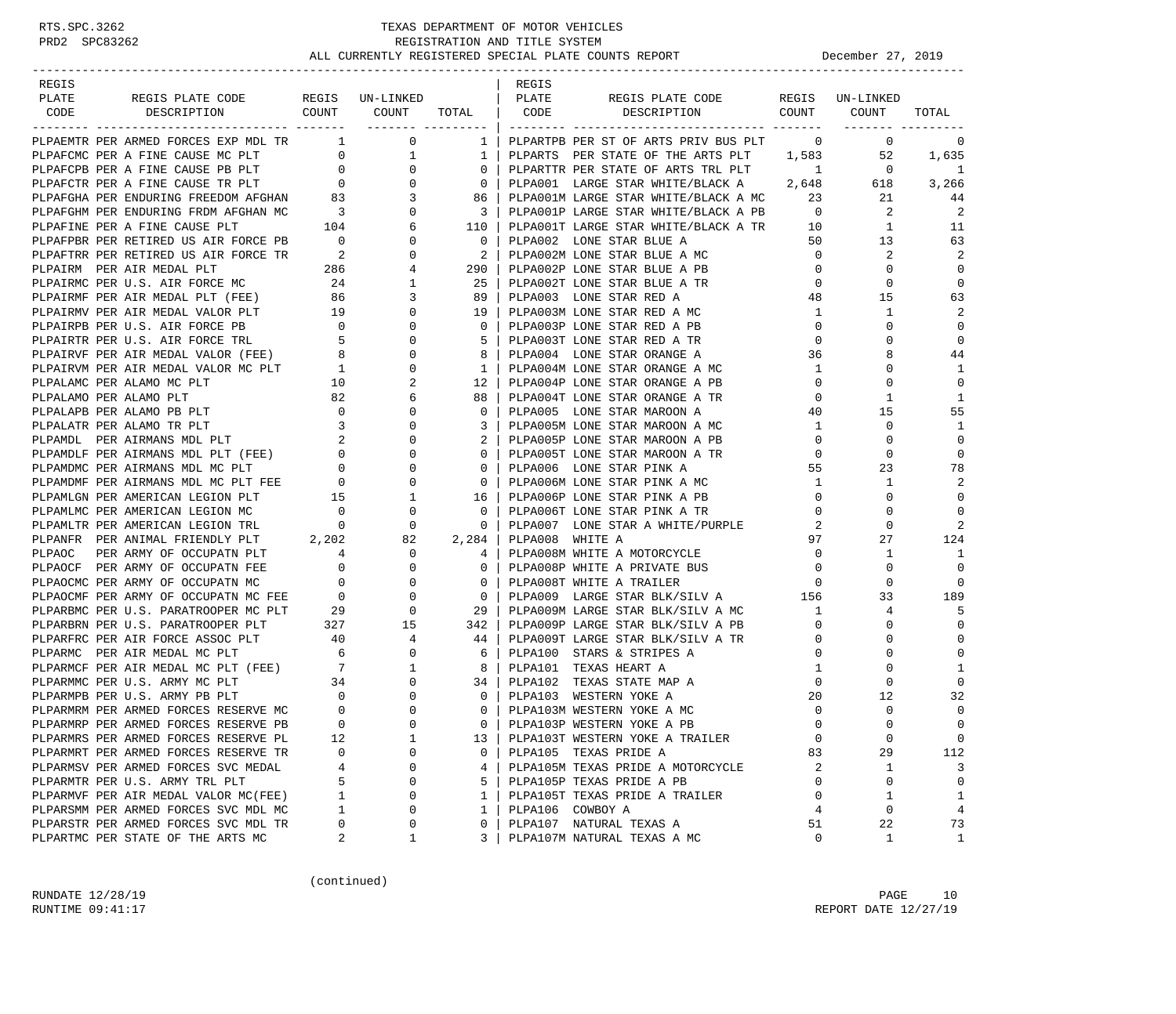| REGIS<br>REGIS<br>REGIS PLATE CODE REGIS UN-LINKED   PLATE<br>PLATE<br>REGIS PLATE CODE REGIS UN-LINKED<br>CODE DESCRIPTION COUNT COUNT<br>DESCRIPTION COUNT COUNT<br>TOTAL   CODE<br>TOTAL<br>PLPAEMTR PER ARMED FORCES EXP MDL TR 1<br>$\overline{0}$<br>$\overline{0}$<br>1   PLPARTPB PER ST OF ARTS PRIV BUS PLT<br>$\overline{0}$<br>0<br>PLPAEMTR PER ARMED FORCES EXP MDL TR $$\tt 1$$ 0 $$\tt PLPARCCP$ FER A FTINE CAUSE MC PLT $$\tt 0$$ 0 $$\tt 1$$ PLPAFCPB FER A FTINE CAUSE PB PLT $$\tt 0$$ 0 $$\tt 0$$ PLPAFCHR PER A FTINE CAUSE TR PLT $$\tt 0$$ 0 $$\tt 0$$ PLPAFCHR PER ENDURING FREED<br>52<br>PLPARTS PER STATE OF THE ARTS PLT 1,583<br>1,635<br>1  <br>$0-1$<br>$\sim$ $1$<br>$\overline{0}$<br>PLPARTTR PER STATE OF ARTS TRL PLT<br>-1<br>PLPA001 LARGE STAR WHITE/BLACK A 2,648<br>618<br>3,266<br>$\overline{0}$<br>PLPA001M LARGE STAR WHITE/BLACK A MC 23 21<br>PLPA001P LARGE STAR WHITE/BLACK A PB 0 2<br>86  <br>44<br>$\overline{\mathbf{2}}$<br>$\overline{a}$<br>$\overline{\phantom{a}3}$<br>PLPA001T LARGE STAR WHITE/BLACK A TR 10 1<br>11<br>110  <br>$\overline{0}$<br>50<br>13<br>63<br>PLPA002 LONE STAR BLUE A<br>PLPA002M LONE STAR BLUE A MC 0<br>$\overline{2}$<br>2<br>2<br>$290$  <br>$\overline{0}$<br>$\mathbf 0$<br>PLPA002P LONE STAR BLUE A PB<br>$\mathbf{0}$<br>$\overline{0}$<br>$\mathbf 0$<br>0<br>25  <br>PLPA002T LONE STAR BLUE A TR<br>89<br>PLPA003 LONE STAR RED A<br>48<br>15<br>63<br>2<br>$\mathbf{1}$<br>1<br>19<br>PLPA003M LONE STAR RED A MC<br>PLPA003P LONE STAR RED A PB<br>$\overline{0}$<br>0<br>$\mathbf 0$<br>$\Omega$<br>$\mathbf{0}$<br>$\mathbf 0$<br>5  <br>PLPA003T LONE STAR RED A TR<br>0<br>8<br>44<br>8  <br>PLPA004 LONE STAR ORANGE A<br>36<br>PLPA004M LONE STAR ORANGE A MC<br>$\mathbf{1}$<br>$\mathbf 0$<br>1<br>$1\quad$<br>$\mathbf 0$<br>$12-1$<br>$\mathbf{0}$<br>$\mathbf 0$<br>PLPA004P LONE STAR ORANGE A PB<br>1<br>88<br>PLPA004T LONE STAR ORANGE A TR<br>$\mathbf{0}$<br>1<br>PLEALAND FER ALAMO PLI 62<br>PLEALAPB PER ALAMO PB PLT 0 0 0<br>PLEALATR PER ALAMO TR PLT 3 0 0<br>PLEAMDL PER ATRMANS MDL PLT 2 0 0<br>PLEAMDLE PER ATRMANS MDL PLT (FEE) 0 0<br>PLEAMDMC PER ATRMANS MDL MC PLT 6 0 0<br>PLEAMDMF PER AT<br>15<br>55<br>PLPALAPB PER ALAMO PB PLT<br>$\mathbf{0}$<br>PLPA005 LONE STAR MAROON A<br>40<br>$\mathbf 0$<br>1<br>3<br>PLPA005M LONE STAR MAROON A MC<br>1<br>$\mathbf 0$<br>PLPA005P LONE STAR MAROON A PB<br>$\overline{0}$<br>$\mathbf 0$<br>2<br>$\mathbf 0$<br>0 <sup>1</sup><br>$\overline{0}$<br>$\mathbf 0$<br>PLPA005T LONE STAR MAROON A TR<br>23<br>78<br>0<br>PLPA006 LONE STAR PINK A<br>55<br>2<br>$\overline{0}$<br>PLPA006M LONE STAR PINK A MC<br>$\mathbf{1}$<br>1<br>$\mathbf 0$<br>$\mathbf{0}$<br>$\Omega$<br>16 <sup>1</sup><br>PLPA006P LONE STAR PINK A PB<br>$\begin{array}{ccccccc}\n & & & & & 0 & & & 0 \\  & & & & & & 0 & & 0 \\  & & & & & 2 & & 202 & & 82\n\end{array}$<br>PLPAMLMC PER AMERICAN LEGION MC<br>PLPA006T LONE STAR PINK A TR<br>$\mathbf{0}$<br>0<br>0<br>$\mathbf{0}$<br>2<br>$0-1$<br>2<br>$\mathbf 0$<br>PLPAMLTR PER AMERICAN LEGION TRL<br>PLPA007 LONE STAR A WHITE/PURPLE<br>PLPANFR PER ANIMAL FRIENDLY PLT 2,202<br>97<br>27<br>124<br>2,284  <br>PLPA008 WHITE A<br>$\begin{array}{ccc} 4 & & 0 \\ 0 & & 0 \end{array}$<br>$\overline{0}$<br>PLPAOC PER ARMY OF OCCUPATN PLT<br>PLPA008M WHITE A MOTORCYCLE<br>1<br>-1<br>4<br>$\overline{0}$<br>$\mathbf 0$<br>$\mathbf 0$<br>PLPAOCF PER ARMY OF OCCUPATN FEE<br>$\mathbf{0}$<br>PLPA008P WHITE A PRIVATE BUS<br>PLPA008T WHITE A TRAILER 0<br>PLPA009 LARGE STAR BLK/SILV A 156<br>$\mathbf 0$<br>0<br>$0-1$<br>$\overline{\phantom{0}}$ 0 $\overline{\phantom{0}}$<br>33<br>189<br>PLPA009M LARGE STAR BLK/SILV A MC 1<br>5<br>29  <br>4<br>PLEARER PER U.S. PARATROPER PLT 327 15 342 PLEAD OP LARGE STAR BLK/SILV A<br>PLEARERN PER U.S. PARATROPER PLT 40 4 44 PLEAD OP LARGE STAR BLK/SILV A<br>PLEARERC PER AIR MEDAL MC PLT 6 0 6 PLEAD OP TARGE STAR BLK/SILV A<br>PLEARM<br>$\mathbf 0$<br>PLPA009P LARGE STAR BLK/SILV A PB<br>PLPA009T LARGE STAR BLK/SILV A TR<br>$\mathbf 0$<br>0<br>0<br>$\mathbf 0$<br>$\mathbf 0$<br>$\mathbf{0}$<br>$\mathbf 0$<br>$\mathbf 0$<br>$\mathbf{1}$<br>0<br>1<br>$\mathbf{0}$<br>$\Omega$<br>0<br>20<br>12<br>32<br>$\mathbf 0$<br>$\mathbf 0$<br>$\mathbf 0$<br>$\Omega$<br>$\Omega$<br>$\overline{0}$<br>0   PLPA103P WESTERN YOKE A PB<br>$\Omega$<br>$\Omega$<br>PLPARMRP PER ARMED FORCES RESERVE PB<br>$\mathsf 0$<br>12<br>1<br>PLPA103T WESTERN YOKE A TRAILER<br>$\mathbf 0$<br>0<br>PLPARMRS PER ARMED FORCES RESERVE PL<br>13<br>PLPARMRT PER ARMED FORCES RESERVE TR<br>0<br>PLPA105 TEXAS PRIDE A<br>83<br>29<br>112<br>$\Omega$<br>$\Omega$<br>PLPARMSV PER ARMED FORCES SVC MEDAL<br>PLPA105M TEXAS PRIDE A MOTORCYCLE<br>3<br>4<br>0<br>4<br>2<br>1<br>$\mathbf 0$<br>$\mathbf 0$<br>5<br>PLPA105P TEXAS PRIDE A PB<br>PLPARMTR PER U.S. ARMY TRL PLT<br>0<br>5<br>0<br>PLPARMVF PER AIR MEDAL VALOR MC(FEE)<br>PLPA105T TEXAS PRIDE A TRAILER<br>$\mathbf 1$<br>$\mathbf 0$<br>1<br>0<br>1<br>1<br>PLPARSMM PER ARMED FORCES SVC MDL MC<br>$\mathbf 1$<br>0<br>$\mathbf{1}$<br>PLPA106 COWBOY A<br>0<br>$\overline{4}$<br>4<br>PLPARSTR PER ARMED FORCES SVC MDL TR<br>PLPA107 NATURAL TEXAS A<br>22<br>73<br>0<br>0<br>$\Omega$<br>51<br>2<br>PLPA107M NATURAL TEXAS A MC<br>1<br>1<br>3<br>0 |                                   |  |  |  |              |
|--------------------------------------------------------------------------------------------------------------------------------------------------------------------------------------------------------------------------------------------------------------------------------------------------------------------------------------------------------------------------------------------------------------------------------------------------------------------------------------------------------------------------------------------------------------------------------------------------------------------------------------------------------------------------------------------------------------------------------------------------------------------------------------------------------------------------------------------------------------------------------------------------------------------------------------------------------------------------------------------------------------------------------------------------------------------------------------------------------------------------------------------------------------------------------------------------------------------------------------------------------------------------------------------------------------------------------------------------------------------------------------------------------------------------------------------------------------------------------------------------------------------------------------------------------------------------------------------------------------------------------------------------------------------------------------------------------------------------------------------------------------------------------------------------------------------------------------------------------------------------------------------------------------------------------------------------------------------------------------------------------------------------------------------------------------------------------------------------------------------------------------------------------------------------------------------------------------------------------------------------------------------------------------------------------------------------------------------------------------------------------------------------------------------------------------------------------------------------------------------------------------------------------------------------------------------------------------------------------------------------------------------------------------------------------------------------------------------------------------------------------------------------------------------------------------------------------------------------------------------------------------------------------------------------------------------------------------------------------------------------------------------------------------------------------------------------------------------------------------------------------------------------------------------------------------------------------------------------------------------------------------------------------------------------------------------------------------------------------------------------------------------------------------------------------------------------------------------------------------------------------------------------------------------------------------------------------------------------------------------------------------------------------------------------------------------------------------------------------------------------------------------------------------------------------------------------------------------------------------------------------------------------------------------------------------------------------------------------------------------------------------------------------------------------------------------------------------------------------------------------------------------------------------------------------------------------------------------------------------------------------------------------------------------------------------------------------------------------------------------------------------------------------------------------------------------------------------------------------------------------------------------------------------------------------------------------------------------------------------------------------------------------------------------------------------------------------------------------------------------------------------------------------------------------------------------------------------------------------------------------------------------------------------------------------------------------------------------------------------------------------------------------------------------------------------------------------------------------------------------------------------------------------------------------------------------------------------------------------------------------------------------------------------------------------------------------------------------------------------------------------------------------------------|-----------------------------------|--|--|--|--------------|
|                                                                                                                                                                                                                                                                                                                                                                                                                                                                                                                                                                                                                                                                                                                                                                                                                                                                                                                                                                                                                                                                                                                                                                                                                                                                                                                                                                                                                                                                                                                                                                                                                                                                                                                                                                                                                                                                                                                                                                                                                                                                                                                                                                                                                                                                                                                                                                                                                                                                                                                                                                                                                                                                                                                                                                                                                                                                                                                                                                                                                                                                                                                                                                                                                                                                                                                                                                                                                                                                                                                                                                                                                                                                                                                                                                                                                                                                                                                                                                                                                                                                                                                                                                                                                                                                                                                                                                                                                                                                                                                                                                                                                                                                                                                                                                                                                                                                                                                                                                                                                                                                                                                                                                                                                                                                                                                                                                                                              |                                   |  |  |  |              |
|                                                                                                                                                                                                                                                                                                                                                                                                                                                                                                                                                                                                                                                                                                                                                                                                                                                                                                                                                                                                                                                                                                                                                                                                                                                                                                                                                                                                                                                                                                                                                                                                                                                                                                                                                                                                                                                                                                                                                                                                                                                                                                                                                                                                                                                                                                                                                                                                                                                                                                                                                                                                                                                                                                                                                                                                                                                                                                                                                                                                                                                                                                                                                                                                                                                                                                                                                                                                                                                                                                                                                                                                                                                                                                                                                                                                                                                                                                                                                                                                                                                                                                                                                                                                                                                                                                                                                                                                                                                                                                                                                                                                                                                                                                                                                                                                                                                                                                                                                                                                                                                                                                                                                                                                                                                                                                                                                                                                              |                                   |  |  |  |              |
|                                                                                                                                                                                                                                                                                                                                                                                                                                                                                                                                                                                                                                                                                                                                                                                                                                                                                                                                                                                                                                                                                                                                                                                                                                                                                                                                                                                                                                                                                                                                                                                                                                                                                                                                                                                                                                                                                                                                                                                                                                                                                                                                                                                                                                                                                                                                                                                                                                                                                                                                                                                                                                                                                                                                                                                                                                                                                                                                                                                                                                                                                                                                                                                                                                                                                                                                                                                                                                                                                                                                                                                                                                                                                                                                                                                                                                                                                                                                                                                                                                                                                                                                                                                                                                                                                                                                                                                                                                                                                                                                                                                                                                                                                                                                                                                                                                                                                                                                                                                                                                                                                                                                                                                                                                                                                                                                                                                                              |                                   |  |  |  |              |
|                                                                                                                                                                                                                                                                                                                                                                                                                                                                                                                                                                                                                                                                                                                                                                                                                                                                                                                                                                                                                                                                                                                                                                                                                                                                                                                                                                                                                                                                                                                                                                                                                                                                                                                                                                                                                                                                                                                                                                                                                                                                                                                                                                                                                                                                                                                                                                                                                                                                                                                                                                                                                                                                                                                                                                                                                                                                                                                                                                                                                                                                                                                                                                                                                                                                                                                                                                                                                                                                                                                                                                                                                                                                                                                                                                                                                                                                                                                                                                                                                                                                                                                                                                                                                                                                                                                                                                                                                                                                                                                                                                                                                                                                                                                                                                                                                                                                                                                                                                                                                                                                                                                                                                                                                                                                                                                                                                                                              |                                   |  |  |  |              |
|                                                                                                                                                                                                                                                                                                                                                                                                                                                                                                                                                                                                                                                                                                                                                                                                                                                                                                                                                                                                                                                                                                                                                                                                                                                                                                                                                                                                                                                                                                                                                                                                                                                                                                                                                                                                                                                                                                                                                                                                                                                                                                                                                                                                                                                                                                                                                                                                                                                                                                                                                                                                                                                                                                                                                                                                                                                                                                                                                                                                                                                                                                                                                                                                                                                                                                                                                                                                                                                                                                                                                                                                                                                                                                                                                                                                                                                                                                                                                                                                                                                                                                                                                                                                                                                                                                                                                                                                                                                                                                                                                                                                                                                                                                                                                                                                                                                                                                                                                                                                                                                                                                                                                                                                                                                                                                                                                                                                              |                                   |  |  |  |              |
|                                                                                                                                                                                                                                                                                                                                                                                                                                                                                                                                                                                                                                                                                                                                                                                                                                                                                                                                                                                                                                                                                                                                                                                                                                                                                                                                                                                                                                                                                                                                                                                                                                                                                                                                                                                                                                                                                                                                                                                                                                                                                                                                                                                                                                                                                                                                                                                                                                                                                                                                                                                                                                                                                                                                                                                                                                                                                                                                                                                                                                                                                                                                                                                                                                                                                                                                                                                                                                                                                                                                                                                                                                                                                                                                                                                                                                                                                                                                                                                                                                                                                                                                                                                                                                                                                                                                                                                                                                                                                                                                                                                                                                                                                                                                                                                                                                                                                                                                                                                                                                                                                                                                                                                                                                                                                                                                                                                                              |                                   |  |  |  |              |
|                                                                                                                                                                                                                                                                                                                                                                                                                                                                                                                                                                                                                                                                                                                                                                                                                                                                                                                                                                                                                                                                                                                                                                                                                                                                                                                                                                                                                                                                                                                                                                                                                                                                                                                                                                                                                                                                                                                                                                                                                                                                                                                                                                                                                                                                                                                                                                                                                                                                                                                                                                                                                                                                                                                                                                                                                                                                                                                                                                                                                                                                                                                                                                                                                                                                                                                                                                                                                                                                                                                                                                                                                                                                                                                                                                                                                                                                                                                                                                                                                                                                                                                                                                                                                                                                                                                                                                                                                                                                                                                                                                                                                                                                                                                                                                                                                                                                                                                                                                                                                                                                                                                                                                                                                                                                                                                                                                                                              |                                   |  |  |  |              |
|                                                                                                                                                                                                                                                                                                                                                                                                                                                                                                                                                                                                                                                                                                                                                                                                                                                                                                                                                                                                                                                                                                                                                                                                                                                                                                                                                                                                                                                                                                                                                                                                                                                                                                                                                                                                                                                                                                                                                                                                                                                                                                                                                                                                                                                                                                                                                                                                                                                                                                                                                                                                                                                                                                                                                                                                                                                                                                                                                                                                                                                                                                                                                                                                                                                                                                                                                                                                                                                                                                                                                                                                                                                                                                                                                                                                                                                                                                                                                                                                                                                                                                                                                                                                                                                                                                                                                                                                                                                                                                                                                                                                                                                                                                                                                                                                                                                                                                                                                                                                                                                                                                                                                                                                                                                                                                                                                                                                              |                                   |  |  |  |              |
|                                                                                                                                                                                                                                                                                                                                                                                                                                                                                                                                                                                                                                                                                                                                                                                                                                                                                                                                                                                                                                                                                                                                                                                                                                                                                                                                                                                                                                                                                                                                                                                                                                                                                                                                                                                                                                                                                                                                                                                                                                                                                                                                                                                                                                                                                                                                                                                                                                                                                                                                                                                                                                                                                                                                                                                                                                                                                                                                                                                                                                                                                                                                                                                                                                                                                                                                                                                                                                                                                                                                                                                                                                                                                                                                                                                                                                                                                                                                                                                                                                                                                                                                                                                                                                                                                                                                                                                                                                                                                                                                                                                                                                                                                                                                                                                                                                                                                                                                                                                                                                                                                                                                                                                                                                                                                                                                                                                                              |                                   |  |  |  |              |
|                                                                                                                                                                                                                                                                                                                                                                                                                                                                                                                                                                                                                                                                                                                                                                                                                                                                                                                                                                                                                                                                                                                                                                                                                                                                                                                                                                                                                                                                                                                                                                                                                                                                                                                                                                                                                                                                                                                                                                                                                                                                                                                                                                                                                                                                                                                                                                                                                                                                                                                                                                                                                                                                                                                                                                                                                                                                                                                                                                                                                                                                                                                                                                                                                                                                                                                                                                                                                                                                                                                                                                                                                                                                                                                                                                                                                                                                                                                                                                                                                                                                                                                                                                                                                                                                                                                                                                                                                                                                                                                                                                                                                                                                                                                                                                                                                                                                                                                                                                                                                                                                                                                                                                                                                                                                                                                                                                                                              |                                   |  |  |  |              |
|                                                                                                                                                                                                                                                                                                                                                                                                                                                                                                                                                                                                                                                                                                                                                                                                                                                                                                                                                                                                                                                                                                                                                                                                                                                                                                                                                                                                                                                                                                                                                                                                                                                                                                                                                                                                                                                                                                                                                                                                                                                                                                                                                                                                                                                                                                                                                                                                                                                                                                                                                                                                                                                                                                                                                                                                                                                                                                                                                                                                                                                                                                                                                                                                                                                                                                                                                                                                                                                                                                                                                                                                                                                                                                                                                                                                                                                                                                                                                                                                                                                                                                                                                                                                                                                                                                                                                                                                                                                                                                                                                                                                                                                                                                                                                                                                                                                                                                                                                                                                                                                                                                                                                                                                                                                                                                                                                                                                              |                                   |  |  |  |              |
|                                                                                                                                                                                                                                                                                                                                                                                                                                                                                                                                                                                                                                                                                                                                                                                                                                                                                                                                                                                                                                                                                                                                                                                                                                                                                                                                                                                                                                                                                                                                                                                                                                                                                                                                                                                                                                                                                                                                                                                                                                                                                                                                                                                                                                                                                                                                                                                                                                                                                                                                                                                                                                                                                                                                                                                                                                                                                                                                                                                                                                                                                                                                                                                                                                                                                                                                                                                                                                                                                                                                                                                                                                                                                                                                                                                                                                                                                                                                                                                                                                                                                                                                                                                                                                                                                                                                                                                                                                                                                                                                                                                                                                                                                                                                                                                                                                                                                                                                                                                                                                                                                                                                                                                                                                                                                                                                                                                                              |                                   |  |  |  |              |
|                                                                                                                                                                                                                                                                                                                                                                                                                                                                                                                                                                                                                                                                                                                                                                                                                                                                                                                                                                                                                                                                                                                                                                                                                                                                                                                                                                                                                                                                                                                                                                                                                                                                                                                                                                                                                                                                                                                                                                                                                                                                                                                                                                                                                                                                                                                                                                                                                                                                                                                                                                                                                                                                                                                                                                                                                                                                                                                                                                                                                                                                                                                                                                                                                                                                                                                                                                                                                                                                                                                                                                                                                                                                                                                                                                                                                                                                                                                                                                                                                                                                                                                                                                                                                                                                                                                                                                                                                                                                                                                                                                                                                                                                                                                                                                                                                                                                                                                                                                                                                                                                                                                                                                                                                                                                                                                                                                                                              |                                   |  |  |  |              |
|                                                                                                                                                                                                                                                                                                                                                                                                                                                                                                                                                                                                                                                                                                                                                                                                                                                                                                                                                                                                                                                                                                                                                                                                                                                                                                                                                                                                                                                                                                                                                                                                                                                                                                                                                                                                                                                                                                                                                                                                                                                                                                                                                                                                                                                                                                                                                                                                                                                                                                                                                                                                                                                                                                                                                                                                                                                                                                                                                                                                                                                                                                                                                                                                                                                                                                                                                                                                                                                                                                                                                                                                                                                                                                                                                                                                                                                                                                                                                                                                                                                                                                                                                                                                                                                                                                                                                                                                                                                                                                                                                                                                                                                                                                                                                                                                                                                                                                                                                                                                                                                                                                                                                                                                                                                                                                                                                                                                              |                                   |  |  |  |              |
|                                                                                                                                                                                                                                                                                                                                                                                                                                                                                                                                                                                                                                                                                                                                                                                                                                                                                                                                                                                                                                                                                                                                                                                                                                                                                                                                                                                                                                                                                                                                                                                                                                                                                                                                                                                                                                                                                                                                                                                                                                                                                                                                                                                                                                                                                                                                                                                                                                                                                                                                                                                                                                                                                                                                                                                                                                                                                                                                                                                                                                                                                                                                                                                                                                                                                                                                                                                                                                                                                                                                                                                                                                                                                                                                                                                                                                                                                                                                                                                                                                                                                                                                                                                                                                                                                                                                                                                                                                                                                                                                                                                                                                                                                                                                                                                                                                                                                                                                                                                                                                                                                                                                                                                                                                                                                                                                                                                                              |                                   |  |  |  |              |
|                                                                                                                                                                                                                                                                                                                                                                                                                                                                                                                                                                                                                                                                                                                                                                                                                                                                                                                                                                                                                                                                                                                                                                                                                                                                                                                                                                                                                                                                                                                                                                                                                                                                                                                                                                                                                                                                                                                                                                                                                                                                                                                                                                                                                                                                                                                                                                                                                                                                                                                                                                                                                                                                                                                                                                                                                                                                                                                                                                                                                                                                                                                                                                                                                                                                                                                                                                                                                                                                                                                                                                                                                                                                                                                                                                                                                                                                                                                                                                                                                                                                                                                                                                                                                                                                                                                                                                                                                                                                                                                                                                                                                                                                                                                                                                                                                                                                                                                                                                                                                                                                                                                                                                                                                                                                                                                                                                                                              |                                   |  |  |  |              |
|                                                                                                                                                                                                                                                                                                                                                                                                                                                                                                                                                                                                                                                                                                                                                                                                                                                                                                                                                                                                                                                                                                                                                                                                                                                                                                                                                                                                                                                                                                                                                                                                                                                                                                                                                                                                                                                                                                                                                                                                                                                                                                                                                                                                                                                                                                                                                                                                                                                                                                                                                                                                                                                                                                                                                                                                                                                                                                                                                                                                                                                                                                                                                                                                                                                                                                                                                                                                                                                                                                                                                                                                                                                                                                                                                                                                                                                                                                                                                                                                                                                                                                                                                                                                                                                                                                                                                                                                                                                                                                                                                                                                                                                                                                                                                                                                                                                                                                                                                                                                                                                                                                                                                                                                                                                                                                                                                                                                              |                                   |  |  |  |              |
|                                                                                                                                                                                                                                                                                                                                                                                                                                                                                                                                                                                                                                                                                                                                                                                                                                                                                                                                                                                                                                                                                                                                                                                                                                                                                                                                                                                                                                                                                                                                                                                                                                                                                                                                                                                                                                                                                                                                                                                                                                                                                                                                                                                                                                                                                                                                                                                                                                                                                                                                                                                                                                                                                                                                                                                                                                                                                                                                                                                                                                                                                                                                                                                                                                                                                                                                                                                                                                                                                                                                                                                                                                                                                                                                                                                                                                                                                                                                                                                                                                                                                                                                                                                                                                                                                                                                                                                                                                                                                                                                                                                                                                                                                                                                                                                                                                                                                                                                                                                                                                                                                                                                                                                                                                                                                                                                                                                                              |                                   |  |  |  |              |
|                                                                                                                                                                                                                                                                                                                                                                                                                                                                                                                                                                                                                                                                                                                                                                                                                                                                                                                                                                                                                                                                                                                                                                                                                                                                                                                                                                                                                                                                                                                                                                                                                                                                                                                                                                                                                                                                                                                                                                                                                                                                                                                                                                                                                                                                                                                                                                                                                                                                                                                                                                                                                                                                                                                                                                                                                                                                                                                                                                                                                                                                                                                                                                                                                                                                                                                                                                                                                                                                                                                                                                                                                                                                                                                                                                                                                                                                                                                                                                                                                                                                                                                                                                                                                                                                                                                                                                                                                                                                                                                                                                                                                                                                                                                                                                                                                                                                                                                                                                                                                                                                                                                                                                                                                                                                                                                                                                                                              |                                   |  |  |  |              |
|                                                                                                                                                                                                                                                                                                                                                                                                                                                                                                                                                                                                                                                                                                                                                                                                                                                                                                                                                                                                                                                                                                                                                                                                                                                                                                                                                                                                                                                                                                                                                                                                                                                                                                                                                                                                                                                                                                                                                                                                                                                                                                                                                                                                                                                                                                                                                                                                                                                                                                                                                                                                                                                                                                                                                                                                                                                                                                                                                                                                                                                                                                                                                                                                                                                                                                                                                                                                                                                                                                                                                                                                                                                                                                                                                                                                                                                                                                                                                                                                                                                                                                                                                                                                                                                                                                                                                                                                                                                                                                                                                                                                                                                                                                                                                                                                                                                                                                                                                                                                                                                                                                                                                                                                                                                                                                                                                                                                              |                                   |  |  |  |              |
|                                                                                                                                                                                                                                                                                                                                                                                                                                                                                                                                                                                                                                                                                                                                                                                                                                                                                                                                                                                                                                                                                                                                                                                                                                                                                                                                                                                                                                                                                                                                                                                                                                                                                                                                                                                                                                                                                                                                                                                                                                                                                                                                                                                                                                                                                                                                                                                                                                                                                                                                                                                                                                                                                                                                                                                                                                                                                                                                                                                                                                                                                                                                                                                                                                                                                                                                                                                                                                                                                                                                                                                                                                                                                                                                                                                                                                                                                                                                                                                                                                                                                                                                                                                                                                                                                                                                                                                                                                                                                                                                                                                                                                                                                                                                                                                                                                                                                                                                                                                                                                                                                                                                                                                                                                                                                                                                                                                                              |                                   |  |  |  |              |
|                                                                                                                                                                                                                                                                                                                                                                                                                                                                                                                                                                                                                                                                                                                                                                                                                                                                                                                                                                                                                                                                                                                                                                                                                                                                                                                                                                                                                                                                                                                                                                                                                                                                                                                                                                                                                                                                                                                                                                                                                                                                                                                                                                                                                                                                                                                                                                                                                                                                                                                                                                                                                                                                                                                                                                                                                                                                                                                                                                                                                                                                                                                                                                                                                                                                                                                                                                                                                                                                                                                                                                                                                                                                                                                                                                                                                                                                                                                                                                                                                                                                                                                                                                                                                                                                                                                                                                                                                                                                                                                                                                                                                                                                                                                                                                                                                                                                                                                                                                                                                                                                                                                                                                                                                                                                                                                                                                                                              |                                   |  |  |  |              |
|                                                                                                                                                                                                                                                                                                                                                                                                                                                                                                                                                                                                                                                                                                                                                                                                                                                                                                                                                                                                                                                                                                                                                                                                                                                                                                                                                                                                                                                                                                                                                                                                                                                                                                                                                                                                                                                                                                                                                                                                                                                                                                                                                                                                                                                                                                                                                                                                                                                                                                                                                                                                                                                                                                                                                                                                                                                                                                                                                                                                                                                                                                                                                                                                                                                                                                                                                                                                                                                                                                                                                                                                                                                                                                                                                                                                                                                                                                                                                                                                                                                                                                                                                                                                                                                                                                                                                                                                                                                                                                                                                                                                                                                                                                                                                                                                                                                                                                                                                                                                                                                                                                                                                                                                                                                                                                                                                                                                              |                                   |  |  |  |              |
|                                                                                                                                                                                                                                                                                                                                                                                                                                                                                                                                                                                                                                                                                                                                                                                                                                                                                                                                                                                                                                                                                                                                                                                                                                                                                                                                                                                                                                                                                                                                                                                                                                                                                                                                                                                                                                                                                                                                                                                                                                                                                                                                                                                                                                                                                                                                                                                                                                                                                                                                                                                                                                                                                                                                                                                                                                                                                                                                                                                                                                                                                                                                                                                                                                                                                                                                                                                                                                                                                                                                                                                                                                                                                                                                                                                                                                                                                                                                                                                                                                                                                                                                                                                                                                                                                                                                                                                                                                                                                                                                                                                                                                                                                                                                                                                                                                                                                                                                                                                                                                                                                                                                                                                                                                                                                                                                                                                                              |                                   |  |  |  |              |
|                                                                                                                                                                                                                                                                                                                                                                                                                                                                                                                                                                                                                                                                                                                                                                                                                                                                                                                                                                                                                                                                                                                                                                                                                                                                                                                                                                                                                                                                                                                                                                                                                                                                                                                                                                                                                                                                                                                                                                                                                                                                                                                                                                                                                                                                                                                                                                                                                                                                                                                                                                                                                                                                                                                                                                                                                                                                                                                                                                                                                                                                                                                                                                                                                                                                                                                                                                                                                                                                                                                                                                                                                                                                                                                                                                                                                                                                                                                                                                                                                                                                                                                                                                                                                                                                                                                                                                                                                                                                                                                                                                                                                                                                                                                                                                                                                                                                                                                                                                                                                                                                                                                                                                                                                                                                                                                                                                                                              |                                   |  |  |  |              |
|                                                                                                                                                                                                                                                                                                                                                                                                                                                                                                                                                                                                                                                                                                                                                                                                                                                                                                                                                                                                                                                                                                                                                                                                                                                                                                                                                                                                                                                                                                                                                                                                                                                                                                                                                                                                                                                                                                                                                                                                                                                                                                                                                                                                                                                                                                                                                                                                                                                                                                                                                                                                                                                                                                                                                                                                                                                                                                                                                                                                                                                                                                                                                                                                                                                                                                                                                                                                                                                                                                                                                                                                                                                                                                                                                                                                                                                                                                                                                                                                                                                                                                                                                                                                                                                                                                                                                                                                                                                                                                                                                                                                                                                                                                                                                                                                                                                                                                                                                                                                                                                                                                                                                                                                                                                                                                                                                                                                              |                                   |  |  |  |              |
|                                                                                                                                                                                                                                                                                                                                                                                                                                                                                                                                                                                                                                                                                                                                                                                                                                                                                                                                                                                                                                                                                                                                                                                                                                                                                                                                                                                                                                                                                                                                                                                                                                                                                                                                                                                                                                                                                                                                                                                                                                                                                                                                                                                                                                                                                                                                                                                                                                                                                                                                                                                                                                                                                                                                                                                                                                                                                                                                                                                                                                                                                                                                                                                                                                                                                                                                                                                                                                                                                                                                                                                                                                                                                                                                                                                                                                                                                                                                                                                                                                                                                                                                                                                                                                                                                                                                                                                                                                                                                                                                                                                                                                                                                                                                                                                                                                                                                                                                                                                                                                                                                                                                                                                                                                                                                                                                                                                                              |                                   |  |  |  |              |
|                                                                                                                                                                                                                                                                                                                                                                                                                                                                                                                                                                                                                                                                                                                                                                                                                                                                                                                                                                                                                                                                                                                                                                                                                                                                                                                                                                                                                                                                                                                                                                                                                                                                                                                                                                                                                                                                                                                                                                                                                                                                                                                                                                                                                                                                                                                                                                                                                                                                                                                                                                                                                                                                                                                                                                                                                                                                                                                                                                                                                                                                                                                                                                                                                                                                                                                                                                                                                                                                                                                                                                                                                                                                                                                                                                                                                                                                                                                                                                                                                                                                                                                                                                                                                                                                                                                                                                                                                                                                                                                                                                                                                                                                                                                                                                                                                                                                                                                                                                                                                                                                                                                                                                                                                                                                                                                                                                                                              |                                   |  |  |  |              |
|                                                                                                                                                                                                                                                                                                                                                                                                                                                                                                                                                                                                                                                                                                                                                                                                                                                                                                                                                                                                                                                                                                                                                                                                                                                                                                                                                                                                                                                                                                                                                                                                                                                                                                                                                                                                                                                                                                                                                                                                                                                                                                                                                                                                                                                                                                                                                                                                                                                                                                                                                                                                                                                                                                                                                                                                                                                                                                                                                                                                                                                                                                                                                                                                                                                                                                                                                                                                                                                                                                                                                                                                                                                                                                                                                                                                                                                                                                                                                                                                                                                                                                                                                                                                                                                                                                                                                                                                                                                                                                                                                                                                                                                                                                                                                                                                                                                                                                                                                                                                                                                                                                                                                                                                                                                                                                                                                                                                              |                                   |  |  |  |              |
|                                                                                                                                                                                                                                                                                                                                                                                                                                                                                                                                                                                                                                                                                                                                                                                                                                                                                                                                                                                                                                                                                                                                                                                                                                                                                                                                                                                                                                                                                                                                                                                                                                                                                                                                                                                                                                                                                                                                                                                                                                                                                                                                                                                                                                                                                                                                                                                                                                                                                                                                                                                                                                                                                                                                                                                                                                                                                                                                                                                                                                                                                                                                                                                                                                                                                                                                                                                                                                                                                                                                                                                                                                                                                                                                                                                                                                                                                                                                                                                                                                                                                                                                                                                                                                                                                                                                                                                                                                                                                                                                                                                                                                                                                                                                                                                                                                                                                                                                                                                                                                                                                                                                                                                                                                                                                                                                                                                                              |                                   |  |  |  |              |
|                                                                                                                                                                                                                                                                                                                                                                                                                                                                                                                                                                                                                                                                                                                                                                                                                                                                                                                                                                                                                                                                                                                                                                                                                                                                                                                                                                                                                                                                                                                                                                                                                                                                                                                                                                                                                                                                                                                                                                                                                                                                                                                                                                                                                                                                                                                                                                                                                                                                                                                                                                                                                                                                                                                                                                                                                                                                                                                                                                                                                                                                                                                                                                                                                                                                                                                                                                                                                                                                                                                                                                                                                                                                                                                                                                                                                                                                                                                                                                                                                                                                                                                                                                                                                                                                                                                                                                                                                                                                                                                                                                                                                                                                                                                                                                                                                                                                                                                                                                                                                                                                                                                                                                                                                                                                                                                                                                                                              |                                   |  |  |  |              |
|                                                                                                                                                                                                                                                                                                                                                                                                                                                                                                                                                                                                                                                                                                                                                                                                                                                                                                                                                                                                                                                                                                                                                                                                                                                                                                                                                                                                                                                                                                                                                                                                                                                                                                                                                                                                                                                                                                                                                                                                                                                                                                                                                                                                                                                                                                                                                                                                                                                                                                                                                                                                                                                                                                                                                                                                                                                                                                                                                                                                                                                                                                                                                                                                                                                                                                                                                                                                                                                                                                                                                                                                                                                                                                                                                                                                                                                                                                                                                                                                                                                                                                                                                                                                                                                                                                                                                                                                                                                                                                                                                                                                                                                                                                                                                                                                                                                                                                                                                                                                                                                                                                                                                                                                                                                                                                                                                                                                              |                                   |  |  |  |              |
|                                                                                                                                                                                                                                                                                                                                                                                                                                                                                                                                                                                                                                                                                                                                                                                                                                                                                                                                                                                                                                                                                                                                                                                                                                                                                                                                                                                                                                                                                                                                                                                                                                                                                                                                                                                                                                                                                                                                                                                                                                                                                                                                                                                                                                                                                                                                                                                                                                                                                                                                                                                                                                                                                                                                                                                                                                                                                                                                                                                                                                                                                                                                                                                                                                                                                                                                                                                                                                                                                                                                                                                                                                                                                                                                                                                                                                                                                                                                                                                                                                                                                                                                                                                                                                                                                                                                                                                                                                                                                                                                                                                                                                                                                                                                                                                                                                                                                                                                                                                                                                                                                                                                                                                                                                                                                                                                                                                                              |                                   |  |  |  |              |
|                                                                                                                                                                                                                                                                                                                                                                                                                                                                                                                                                                                                                                                                                                                                                                                                                                                                                                                                                                                                                                                                                                                                                                                                                                                                                                                                                                                                                                                                                                                                                                                                                                                                                                                                                                                                                                                                                                                                                                                                                                                                                                                                                                                                                                                                                                                                                                                                                                                                                                                                                                                                                                                                                                                                                                                                                                                                                                                                                                                                                                                                                                                                                                                                                                                                                                                                                                                                                                                                                                                                                                                                                                                                                                                                                                                                                                                                                                                                                                                                                                                                                                                                                                                                                                                                                                                                                                                                                                                                                                                                                                                                                                                                                                                                                                                                                                                                                                                                                                                                                                                                                                                                                                                                                                                                                                                                                                                                              |                                   |  |  |  |              |
|                                                                                                                                                                                                                                                                                                                                                                                                                                                                                                                                                                                                                                                                                                                                                                                                                                                                                                                                                                                                                                                                                                                                                                                                                                                                                                                                                                                                                                                                                                                                                                                                                                                                                                                                                                                                                                                                                                                                                                                                                                                                                                                                                                                                                                                                                                                                                                                                                                                                                                                                                                                                                                                                                                                                                                                                                                                                                                                                                                                                                                                                                                                                                                                                                                                                                                                                                                                                                                                                                                                                                                                                                                                                                                                                                                                                                                                                                                                                                                                                                                                                                                                                                                                                                                                                                                                                                                                                                                                                                                                                                                                                                                                                                                                                                                                                                                                                                                                                                                                                                                                                                                                                                                                                                                                                                                                                                                                                              |                                   |  |  |  |              |
|                                                                                                                                                                                                                                                                                                                                                                                                                                                                                                                                                                                                                                                                                                                                                                                                                                                                                                                                                                                                                                                                                                                                                                                                                                                                                                                                                                                                                                                                                                                                                                                                                                                                                                                                                                                                                                                                                                                                                                                                                                                                                                                                                                                                                                                                                                                                                                                                                                                                                                                                                                                                                                                                                                                                                                                                                                                                                                                                                                                                                                                                                                                                                                                                                                                                                                                                                                                                                                                                                                                                                                                                                                                                                                                                                                                                                                                                                                                                                                                                                                                                                                                                                                                                                                                                                                                                                                                                                                                                                                                                                                                                                                                                                                                                                                                                                                                                                                                                                                                                                                                                                                                                                                                                                                                                                                                                                                                                              |                                   |  |  |  |              |
|                                                                                                                                                                                                                                                                                                                                                                                                                                                                                                                                                                                                                                                                                                                                                                                                                                                                                                                                                                                                                                                                                                                                                                                                                                                                                                                                                                                                                                                                                                                                                                                                                                                                                                                                                                                                                                                                                                                                                                                                                                                                                                                                                                                                                                                                                                                                                                                                                                                                                                                                                                                                                                                                                                                                                                                                                                                                                                                                                                                                                                                                                                                                                                                                                                                                                                                                                                                                                                                                                                                                                                                                                                                                                                                                                                                                                                                                                                                                                                                                                                                                                                                                                                                                                                                                                                                                                                                                                                                                                                                                                                                                                                                                                                                                                                                                                                                                                                                                                                                                                                                                                                                                                                                                                                                                                                                                                                                                              |                                   |  |  |  |              |
|                                                                                                                                                                                                                                                                                                                                                                                                                                                                                                                                                                                                                                                                                                                                                                                                                                                                                                                                                                                                                                                                                                                                                                                                                                                                                                                                                                                                                                                                                                                                                                                                                                                                                                                                                                                                                                                                                                                                                                                                                                                                                                                                                                                                                                                                                                                                                                                                                                                                                                                                                                                                                                                                                                                                                                                                                                                                                                                                                                                                                                                                                                                                                                                                                                                                                                                                                                                                                                                                                                                                                                                                                                                                                                                                                                                                                                                                                                                                                                                                                                                                                                                                                                                                                                                                                                                                                                                                                                                                                                                                                                                                                                                                                                                                                                                                                                                                                                                                                                                                                                                                                                                                                                                                                                                                                                                                                                                                              |                                   |  |  |  |              |
|                                                                                                                                                                                                                                                                                                                                                                                                                                                                                                                                                                                                                                                                                                                                                                                                                                                                                                                                                                                                                                                                                                                                                                                                                                                                                                                                                                                                                                                                                                                                                                                                                                                                                                                                                                                                                                                                                                                                                                                                                                                                                                                                                                                                                                                                                                                                                                                                                                                                                                                                                                                                                                                                                                                                                                                                                                                                                                                                                                                                                                                                                                                                                                                                                                                                                                                                                                                                                                                                                                                                                                                                                                                                                                                                                                                                                                                                                                                                                                                                                                                                                                                                                                                                                                                                                                                                                                                                                                                                                                                                                                                                                                                                                                                                                                                                                                                                                                                                                                                                                                                                                                                                                                                                                                                                                                                                                                                                              |                                   |  |  |  |              |
|                                                                                                                                                                                                                                                                                                                                                                                                                                                                                                                                                                                                                                                                                                                                                                                                                                                                                                                                                                                                                                                                                                                                                                                                                                                                                                                                                                                                                                                                                                                                                                                                                                                                                                                                                                                                                                                                                                                                                                                                                                                                                                                                                                                                                                                                                                                                                                                                                                                                                                                                                                                                                                                                                                                                                                                                                                                                                                                                                                                                                                                                                                                                                                                                                                                                                                                                                                                                                                                                                                                                                                                                                                                                                                                                                                                                                                                                                                                                                                                                                                                                                                                                                                                                                                                                                                                                                                                                                                                                                                                                                                                                                                                                                                                                                                                                                                                                                                                                                                                                                                                                                                                                                                                                                                                                                                                                                                                                              |                                   |  |  |  |              |
|                                                                                                                                                                                                                                                                                                                                                                                                                                                                                                                                                                                                                                                                                                                                                                                                                                                                                                                                                                                                                                                                                                                                                                                                                                                                                                                                                                                                                                                                                                                                                                                                                                                                                                                                                                                                                                                                                                                                                                                                                                                                                                                                                                                                                                                                                                                                                                                                                                                                                                                                                                                                                                                                                                                                                                                                                                                                                                                                                                                                                                                                                                                                                                                                                                                                                                                                                                                                                                                                                                                                                                                                                                                                                                                                                                                                                                                                                                                                                                                                                                                                                                                                                                                                                                                                                                                                                                                                                                                                                                                                                                                                                                                                                                                                                                                                                                                                                                                                                                                                                                                                                                                                                                                                                                                                                                                                                                                                              |                                   |  |  |  |              |
|                                                                                                                                                                                                                                                                                                                                                                                                                                                                                                                                                                                                                                                                                                                                                                                                                                                                                                                                                                                                                                                                                                                                                                                                                                                                                                                                                                                                                                                                                                                                                                                                                                                                                                                                                                                                                                                                                                                                                                                                                                                                                                                                                                                                                                                                                                                                                                                                                                                                                                                                                                                                                                                                                                                                                                                                                                                                                                                                                                                                                                                                                                                                                                                                                                                                                                                                                                                                                                                                                                                                                                                                                                                                                                                                                                                                                                                                                                                                                                                                                                                                                                                                                                                                                                                                                                                                                                                                                                                                                                                                                                                                                                                                                                                                                                                                                                                                                                                                                                                                                                                                                                                                                                                                                                                                                                                                                                                                              |                                   |  |  |  |              |
|                                                                                                                                                                                                                                                                                                                                                                                                                                                                                                                                                                                                                                                                                                                                                                                                                                                                                                                                                                                                                                                                                                                                                                                                                                                                                                                                                                                                                                                                                                                                                                                                                                                                                                                                                                                                                                                                                                                                                                                                                                                                                                                                                                                                                                                                                                                                                                                                                                                                                                                                                                                                                                                                                                                                                                                                                                                                                                                                                                                                                                                                                                                                                                                                                                                                                                                                                                                                                                                                                                                                                                                                                                                                                                                                                                                                                                                                                                                                                                                                                                                                                                                                                                                                                                                                                                                                                                                                                                                                                                                                                                                                                                                                                                                                                                                                                                                                                                                                                                                                                                                                                                                                                                                                                                                                                                                                                                                                              |                                   |  |  |  |              |
|                                                                                                                                                                                                                                                                                                                                                                                                                                                                                                                                                                                                                                                                                                                                                                                                                                                                                                                                                                                                                                                                                                                                                                                                                                                                                                                                                                                                                                                                                                                                                                                                                                                                                                                                                                                                                                                                                                                                                                                                                                                                                                                                                                                                                                                                                                                                                                                                                                                                                                                                                                                                                                                                                                                                                                                                                                                                                                                                                                                                                                                                                                                                                                                                                                                                                                                                                                                                                                                                                                                                                                                                                                                                                                                                                                                                                                                                                                                                                                                                                                                                                                                                                                                                                                                                                                                                                                                                                                                                                                                                                                                                                                                                                                                                                                                                                                                                                                                                                                                                                                                                                                                                                                                                                                                                                                                                                                                                              |                                   |  |  |  |              |
|                                                                                                                                                                                                                                                                                                                                                                                                                                                                                                                                                                                                                                                                                                                                                                                                                                                                                                                                                                                                                                                                                                                                                                                                                                                                                                                                                                                                                                                                                                                                                                                                                                                                                                                                                                                                                                                                                                                                                                                                                                                                                                                                                                                                                                                                                                                                                                                                                                                                                                                                                                                                                                                                                                                                                                                                                                                                                                                                                                                                                                                                                                                                                                                                                                                                                                                                                                                                                                                                                                                                                                                                                                                                                                                                                                                                                                                                                                                                                                                                                                                                                                                                                                                                                                                                                                                                                                                                                                                                                                                                                                                                                                                                                                                                                                                                                                                                                                                                                                                                                                                                                                                                                                                                                                                                                                                                                                                                              |                                   |  |  |  |              |
|                                                                                                                                                                                                                                                                                                                                                                                                                                                                                                                                                                                                                                                                                                                                                                                                                                                                                                                                                                                                                                                                                                                                                                                                                                                                                                                                                                                                                                                                                                                                                                                                                                                                                                                                                                                                                                                                                                                                                                                                                                                                                                                                                                                                                                                                                                                                                                                                                                                                                                                                                                                                                                                                                                                                                                                                                                                                                                                                                                                                                                                                                                                                                                                                                                                                                                                                                                                                                                                                                                                                                                                                                                                                                                                                                                                                                                                                                                                                                                                                                                                                                                                                                                                                                                                                                                                                                                                                                                                                                                                                                                                                                                                                                                                                                                                                                                                                                                                                                                                                                                                                                                                                                                                                                                                                                                                                                                                                              |                                   |  |  |  |              |
|                                                                                                                                                                                                                                                                                                                                                                                                                                                                                                                                                                                                                                                                                                                                                                                                                                                                                                                                                                                                                                                                                                                                                                                                                                                                                                                                                                                                                                                                                                                                                                                                                                                                                                                                                                                                                                                                                                                                                                                                                                                                                                                                                                                                                                                                                                                                                                                                                                                                                                                                                                                                                                                                                                                                                                                                                                                                                                                                                                                                                                                                                                                                                                                                                                                                                                                                                                                                                                                                                                                                                                                                                                                                                                                                                                                                                                                                                                                                                                                                                                                                                                                                                                                                                                                                                                                                                                                                                                                                                                                                                                                                                                                                                                                                                                                                                                                                                                                                                                                                                                                                                                                                                                                                                                                                                                                                                                                                              |                                   |  |  |  |              |
|                                                                                                                                                                                                                                                                                                                                                                                                                                                                                                                                                                                                                                                                                                                                                                                                                                                                                                                                                                                                                                                                                                                                                                                                                                                                                                                                                                                                                                                                                                                                                                                                                                                                                                                                                                                                                                                                                                                                                                                                                                                                                                                                                                                                                                                                                                                                                                                                                                                                                                                                                                                                                                                                                                                                                                                                                                                                                                                                                                                                                                                                                                                                                                                                                                                                                                                                                                                                                                                                                                                                                                                                                                                                                                                                                                                                                                                                                                                                                                                                                                                                                                                                                                                                                                                                                                                                                                                                                                                                                                                                                                                                                                                                                                                                                                                                                                                                                                                                                                                                                                                                                                                                                                                                                                                                                                                                                                                                              |                                   |  |  |  |              |
|                                                                                                                                                                                                                                                                                                                                                                                                                                                                                                                                                                                                                                                                                                                                                                                                                                                                                                                                                                                                                                                                                                                                                                                                                                                                                                                                                                                                                                                                                                                                                                                                                                                                                                                                                                                                                                                                                                                                                                                                                                                                                                                                                                                                                                                                                                                                                                                                                                                                                                                                                                                                                                                                                                                                                                                                                                                                                                                                                                                                                                                                                                                                                                                                                                                                                                                                                                                                                                                                                                                                                                                                                                                                                                                                                                                                                                                                                                                                                                                                                                                                                                                                                                                                                                                                                                                                                                                                                                                                                                                                                                                                                                                                                                                                                                                                                                                                                                                                                                                                                                                                                                                                                                                                                                                                                                                                                                                                              |                                   |  |  |  |              |
|                                                                                                                                                                                                                                                                                                                                                                                                                                                                                                                                                                                                                                                                                                                                                                                                                                                                                                                                                                                                                                                                                                                                                                                                                                                                                                                                                                                                                                                                                                                                                                                                                                                                                                                                                                                                                                                                                                                                                                                                                                                                                                                                                                                                                                                                                                                                                                                                                                                                                                                                                                                                                                                                                                                                                                                                                                                                                                                                                                                                                                                                                                                                                                                                                                                                                                                                                                                                                                                                                                                                                                                                                                                                                                                                                                                                                                                                                                                                                                                                                                                                                                                                                                                                                                                                                                                                                                                                                                                                                                                                                                                                                                                                                                                                                                                                                                                                                                                                                                                                                                                                                                                                                                                                                                                                                                                                                                                                              |                                   |  |  |  |              |
|                                                                                                                                                                                                                                                                                                                                                                                                                                                                                                                                                                                                                                                                                                                                                                                                                                                                                                                                                                                                                                                                                                                                                                                                                                                                                                                                                                                                                                                                                                                                                                                                                                                                                                                                                                                                                                                                                                                                                                                                                                                                                                                                                                                                                                                                                                                                                                                                                                                                                                                                                                                                                                                                                                                                                                                                                                                                                                                                                                                                                                                                                                                                                                                                                                                                                                                                                                                                                                                                                                                                                                                                                                                                                                                                                                                                                                                                                                                                                                                                                                                                                                                                                                                                                                                                                                                                                                                                                                                                                                                                                                                                                                                                                                                                                                                                                                                                                                                                                                                                                                                                                                                                                                                                                                                                                                                                                                                                              |                                   |  |  |  |              |
|                                                                                                                                                                                                                                                                                                                                                                                                                                                                                                                                                                                                                                                                                                                                                                                                                                                                                                                                                                                                                                                                                                                                                                                                                                                                                                                                                                                                                                                                                                                                                                                                                                                                                                                                                                                                                                                                                                                                                                                                                                                                                                                                                                                                                                                                                                                                                                                                                                                                                                                                                                                                                                                                                                                                                                                                                                                                                                                                                                                                                                                                                                                                                                                                                                                                                                                                                                                                                                                                                                                                                                                                                                                                                                                                                                                                                                                                                                                                                                                                                                                                                                                                                                                                                                                                                                                                                                                                                                                                                                                                                                                                                                                                                                                                                                                                                                                                                                                                                                                                                                                                                                                                                                                                                                                                                                                                                                                                              |                                   |  |  |  |              |
|                                                                                                                                                                                                                                                                                                                                                                                                                                                                                                                                                                                                                                                                                                                                                                                                                                                                                                                                                                                                                                                                                                                                                                                                                                                                                                                                                                                                                                                                                                                                                                                                                                                                                                                                                                                                                                                                                                                                                                                                                                                                                                                                                                                                                                                                                                                                                                                                                                                                                                                                                                                                                                                                                                                                                                                                                                                                                                                                                                                                                                                                                                                                                                                                                                                                                                                                                                                                                                                                                                                                                                                                                                                                                                                                                                                                                                                                                                                                                                                                                                                                                                                                                                                                                                                                                                                                                                                                                                                                                                                                                                                                                                                                                                                                                                                                                                                                                                                                                                                                                                                                                                                                                                                                                                                                                                                                                                                                              | PLPARTMC PER STATE OF THE ARTS MC |  |  |  | $\mathbf{1}$ |

(continued)

RUNDATE  $12/28/19$  PAGE 10 RUNTIME 09:41:17 REPORT DATE 12/27/19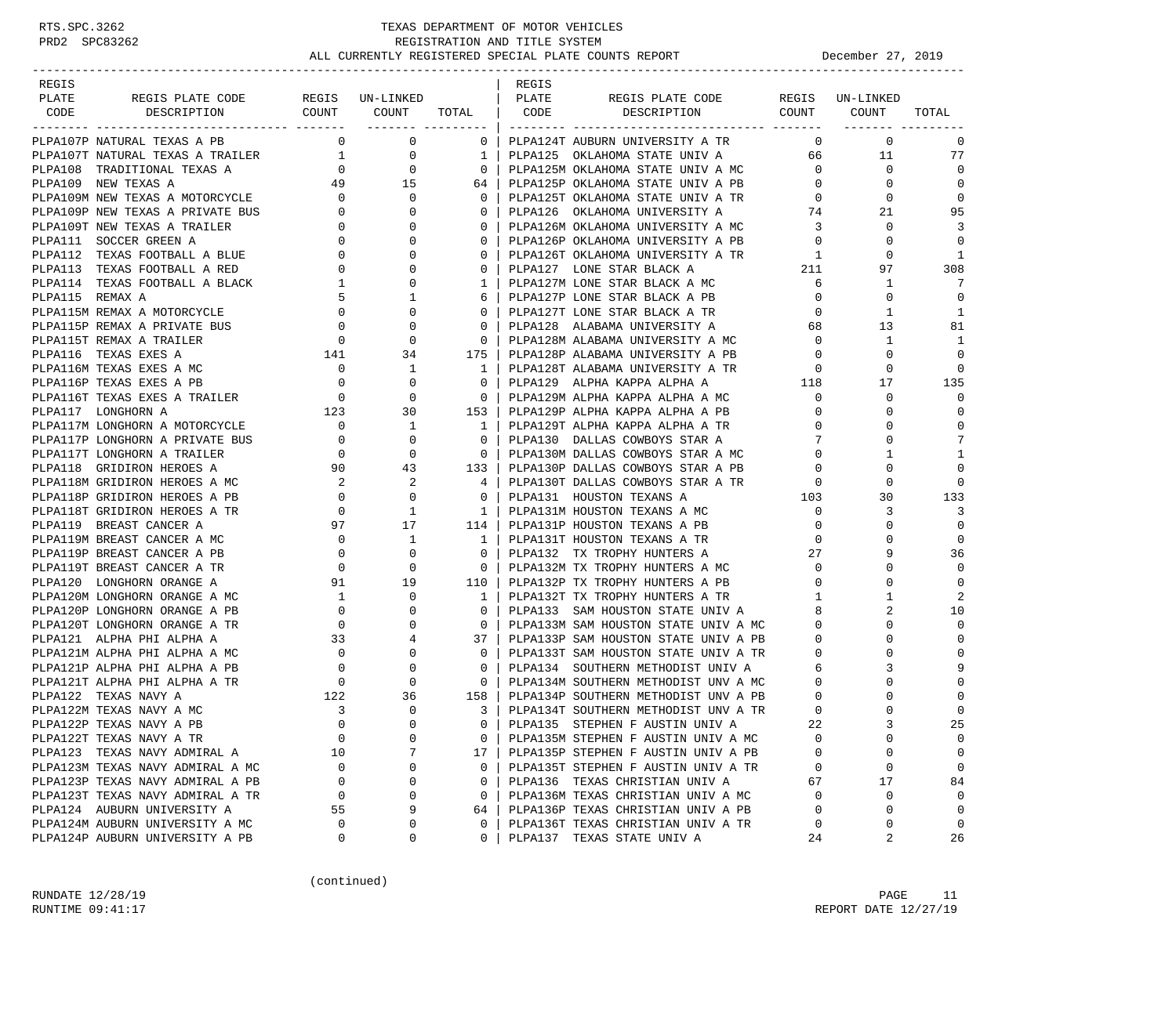| REGIS |                                                                    |                                                       |                                                         |                         | REGIS |                                                                     |                |               |                |
|-------|--------------------------------------------------------------------|-------------------------------------------------------|---------------------------------------------------------|-------------------------|-------|---------------------------------------------------------------------|----------------|---------------|----------------|
| PLATE | REGIS PLATE CODE                                                   |                                                       | REGIS UN-LINKED<br>COUNT COUNT TOTAL   CODE             |                         | PLATE | REGIS PLATE CODE REGIS UN-LINKED<br>DESCRIPTION COUNT COUNT         |                |               | TOTAL          |
| CODE  | DESCRIPTION                                                        |                                                       | ___________________                                     |                         |       |                                                                     |                |               |                |
|       | PLPA107P NATURAL TEXAS A PB                                        | $\Omega$                                              | $\mathbf{0}$                                            | 0 <sup>1</sup>          |       | PLPA124T AUBURN UNIVERSITY A TR                                     | $\mathbf{0}$   | $\Omega$      | 0              |
|       | PLPA107T NATURAL TEXAS A TRAILER 1                                 |                                                       | $\overline{0}$                                          | 1                       |       | PLPA125 OKLAHOMA STATE UNIV A 66                                    |                | 11            | 77             |
|       | PLPA108 TRADITIONAL TEXAS A                                        |                                                       |                                                         | $0-1$                   |       | PLPA125M OKLAHOMA STATE UNIV A MC                                   | $\overline{0}$ | $\Omega$      | $\Omega$       |
|       | PLPA109 NEW TEXAS A                                                | $\begin{bmatrix} 0 \\ 49 \end{bmatrix}$ 15            |                                                         | 64                      |       | PLPA125P OKLAHOMA STATE UNIV A PB                                   | $\overline{0}$ | $\Omega$      | $\Omega$       |
|       | PLPA109M NEW TEXAS A MOTORCYCLE                                    |                                                       | 0                                                       | $\mathbf{0}$            |       | PLPA125T OKLAHOMA STATE UNIV A TR<br>pt.pa126 OKLAHOMA UNIVERSITY A | $\overline{0}$ | 0             | 0              |
|       | PLPA109P NEW TEXAS A PRIVATE BUS                                   | $\begin{array}{c} 0 \\ 0 \end{array}$                 | $\Omega$                                                | $\mathbf{0}$            |       |                                                                     | 74             | 21            | 95             |
|       | PLPA109T NEW TEXAS A TRAILER                                       |                                                       | $0 \qquad \qquad$<br>$\Omega$                           | $\overline{0}$          |       | PLPA126M OKLAHOMA UNIVERSITY A MC 3                                 |                | 0             | 3              |
|       | PLPA111 SOCCER GREEN A                                             | $\overline{0}$                                        |                                                         | $\mathbf{0}$            |       | PLPA126P OKLAHOMA UNIVERSITY A PB                                   | $\overline{0}$ | $\Omega$      | $\Omega$       |
|       | PLPA112 TEXAS FOOTBALL A BLUE 0                                    |                                                       | $\Omega$                                                | $\Omega$                |       | PLPA126T OKLAHOMA UNIVERSITY A TR 1                                 |                | $\Omega$      | 1              |
|       |                                                                    | $\begin{matrix}0\\1\end{matrix}$<br>$0 \qquad \qquad$ | 0                                                       | 0                       |       | PLPA127 LONE STAR BLACK A                                           | 211            | 97            | 308            |
|       |                                                                    |                                                       | 0                                                       | $\mathbf{1}$            |       | PLPA127M LONE STAR BLACK A MC                                       | 6              | 1             | 7              |
|       | PLPA113 TEXAS FOOTBALL A<br>PLPA114 TEXAS FOOTBALL A BLACK         | 5                                                     | 1                                                       | 6                       |       | PLPA127P LONE STAR BLACK A PB                                       | $\overline{0}$ | $\mathbf 0$   | 0              |
|       |                                                                    | $\overline{0}$                                        | 0                                                       | $\mathbf{0}$            |       | PLPA127T LONE STAR BLACK A TR                                       | $\overline{0}$ | 1             | 1              |
|       | PLPA115P REMAX A PRIVATE BUS                                       | $\overline{0}$                                        | $\Omega$                                                | $\mathbf 0$             |       | PLPA128 ALABAMA UNIVERSITY A                                        | 68             | 13            | 81             |
|       | PLPA115T REMAX A TRAILER                                           | $\overline{0}$                                        | $\mathbf 0$                                             | $\mathbf 0$             |       | PLPA120 ALABAMA UNIVERSITY A MC<br>PLPA128M ALABAMA UNIVERSITY A MC | $\overline{0}$ | 1             | 1              |
|       | PLPA116 TEXAS EXES A                                               | $\begin{array}{c} 141 \end{array}$                    | 34                                                      | 175                     |       | PLPA128P ALABAMA UNIVERSITY A PB                                    | $\overline{0}$ | $\Omega$      | $\mathbf 0$    |
|       | PLPA116M TEXAS EXES A MC                                           | $\begin{matrix}0\\0\end{matrix}$                      | 1                                                       | $\mathbf{1}$            |       | PLPA128T ALABAMA UNIVERSITY A TR                                    | $\overline{0}$ | $\mathbf 0$   | 0              |
|       | PLPA116P TEXAS EXES A PB                                           |                                                       | $\mathbf 0$                                             | $\overline{0}$          |       | PLPA129 ALPHA KAPPA ALPHA A                                         | 118            | 17            | 135            |
|       | PLPA116T TEXAS EXES A TRAILER<br>DI DA117 I OMGUCTY I              |                                                       | $\Omega$                                                | $\overline{0}$          |       | PLPA129M ALPHA KAPPA ALPHA A MC 0                                   |                | 0             | $\Omega$       |
|       | PLPA117 LONGHORN A                                                 |                                                       | 30                                                      | 153                     |       | PLPA129P ALPHA KAPPA ALPHA A PB                                     | $\overline{0}$ | 0             | 0              |
|       | PLPA117M LONGHORN A MOTORCYCLE                                     | $\begin{array}{c} 123 \\ 0 \end{array}$               | $\mathbf{1}$                                            | $\mathbf{1}$            |       | PLPA129T ALPHA KAPPA ALPHA A TR                                     | $\overline{0}$ | $\Omega$      | $\mathbf 0$    |
|       | PLPA117P LONGHORN A PRIVATE BUS                                    |                                                       |                                                         | $\overline{0}$          |       | PLPA130 DALLAS COWBOYS STAR A                                       | 7              | $\Omega$      | 7              |
|       | PLPA117T LONGHORN A TRAILER                                        |                                                       |                                                         | $\overline{0}$          |       | PLPA130M DALLAS COWBOYS STAR A MC                                   | $\mathbf 0$    | 1             | $\mathbf{1}$   |
|       | PLPA118 GRIDIRON HEROES A                                          |                                                       | BUS 0 0<br>0 0<br>90 43                                 | 133                     |       | PLPA130P DALLAS COWBOYS STAR A PB                                   | $\overline{0}$ | $\Omega$      | $\Omega$       |
|       | PLPA118M GRIDIRON HEROES A MC                                      | $\overline{\mathbf{2}}$                               | 2                                                       |                         |       | PLPA130T DALLAS COWBOYS STAR A TR 0<br>PLPA131 HOUSTON TEXANS A 103 |                | $\Omega$      | 0              |
|       | PLPA118P GRIDIRON HEROES A PB                                      | $\overline{0}$                                        | $\mathbf{0}$                                            | $\mathbf{0}$            |       |                                                                     |                | 30            | 133            |
|       | PLPA118T GRIDIRON HEROES A TR                                      |                                                       | $\begin{array}{ccc} & 0 & & 1 \\ 97 & & 17 \end{array}$ | $\overline{1}$          |       | PLPA131M HOUSTON TEXANS A MC                                        | $\overline{0}$ | 3             | 3              |
|       | PLPA119 BREAST CANCER A                                            |                                                       |                                                         | 114 l                   |       | PLPA131P HOUSTON TEXANS A PB                                        | $\mathbf 0$    | 0             | $\Omega$       |
|       | PLPA119M BREAST CANCER A MC                                        | $\overline{\phantom{a}}$                              | $\mathbf{1}$                                            | $\overline{1}$          |       | PLPA131T HOUSTON TEXANS A TR                                        | $\Omega$       |               | $\Omega$       |
|       | PLPA119P BREAST CANCER A PB                                        | $\begin{array}{c} 0 \\ 0 \end{array}$                 | 0                                                       | $\mathbf{0}$            |       | PLPA132 TX TROPHY HUNTERS A                                         | 27             | 9             | 36             |
|       | PLPA119T BREAST CANCER A TR                                        |                                                       | $\mathbf 0$                                             | $\overline{\mathbf{0}}$ |       | PLPA132M TX TROPHY HUNTERS A MC                                     | $\overline{0}$ | $\Omega$      | $\Omega$       |
|       | PLPA120 LONGHORN ORANGE A                                          | 91 19                                                 |                                                         | 110                     |       | PLPA132P TX TROPHY HUNTERS A PB                                     | $\Omega$       | $\Omega$      | $\Omega$       |
|       | PLPA120M LONGHORN ORANGE A MC                                      | 1                                                     | 0                                                       | 1                       |       | PLPA132T TX TROPHY HUNTERS A TR                                     | $1 \quad$      | $\mathbf{1}$  | $\overline{2}$ |
|       | PLPA120P LONGHORN ORANGE A PB                                      | $\overline{0}$                                        | $\Omega$                                                | $\Omega$                |       | PLPA133 SAM HOUSTON STATE UNIV A                                    | 8              |               | 10             |
|       | PLPA120T LONGHORN ORANGE A TR                                      | $\frac{0}{33}$                                        | 0                                                       | $\mathbf{0}$            |       | PLPA133M SAM HOUSTON STATE UNIV A MC                                | $\mathbf{0}$   | 0             | $\Omega$       |
|       | PLPA121 ALPHA PHI ALPHA A                                          |                                                       | 4                                                       | 37                      |       | PLPA133P SAM HOUSTON STATE UNIV A PB                                | $\overline{0}$ | $\Omega$      | $\mathbf 0$    |
|       | PLPA121M ALPHA PHI ALPHA A MC                                      |                                                       | $\begin{array}{c} 0 \\ 0 \\ 0 \end{array}$<br>0         | $\mathbf{0}$            |       | PLPA133T SAM HOUSTON STATE UNIV A TR                                | $\overline{0}$ | $\Omega$      | $\Omega$       |
|       | PLPA121P ALPHA PHI ALPHA A PB                                      |                                                       | 0                                                       | $\mathbf{0}$            |       | PLPA134 SOUTHERN METHODIST UNIV A 6                                 |                | 3             |                |
|       | PLPA121T ALPHA PHI ALPHA A TR                                      | $\overline{0}$                                        | $\Omega$                                                | $\overline{0}$          |       | PLPA134M SOUTHERN METHODIST UNV A MC 0                              |                |               | $\Omega$       |
|       | PLPA122 TEXAS NAVY A                                               | 122                                                   | 36                                                      | 158                     |       | PLPA134P SOUTHERN METHODIST UNV A PB                                | $\mathbf 0$    | 0             | $\Omega$       |
|       | PLPA122M TEXAS NAVY A MC                                           | 3                                                     | $\Omega$                                                | $\overline{3}$          |       | PLPA134T SOUTHERN METHODIST UNV A TR                                | $\mathbf 0$    | $\Omega$      | $\mathbf 0$    |
|       | PLPA122P TEXAS NAVY A PB                                           | $\Omega$                                              | $\cap$                                                  | $\Omega$                |       | PLPA135 STEPHEN F AUSTIN UNIV A                                     | 22             |               | 25             |
|       | PLPA122T TEXAS NAVY A TR                                           | $\mathbf 0$                                           | 0                                                       | 0                       |       | PLPA135M STEPHEN F AUSTIN UNIV A MC                                 | $\mathbf 0$    | 0             | $\mathbf 0$    |
|       | PLPA123 TEXAS NAVY ADMIRAL A                                       | 10                                                    | 7                                                       | 17                      |       | PLPA135P STEPHEN F AUSTIN UNIV A PB                                 | $\Omega$       | 0             | 0              |
|       | PLPA123M TEXAS NAVY ADMIRAL A MC                                   | 0                                                     | 0                                                       | $\mathbf{0}$            |       | PLPA135T STEPHEN F AUSTIN UNIV A TR                                 | 0              | 0             | $\mathbf 0$    |
|       | PLPA123P TEXAS NAVY ADMIRAL A PB                                   | $\mathbf 0$                                           | 0                                                       | $\mathbf{0}$            |       | PLPA136 TEXAS CHRISTIAN UNIV A                                      | 67             | 17            | 84             |
|       | PLPA123T TEXAS NAVY ADMIRAL A TR<br>PLPA124 AUBURN UNIVERSITY A    | 0                                                     | $\Omega$                                                | $\mathbf{0}$            |       | PLPA136M TEXAS CHRISTIAN UNIV A MC                                  | $\mathbf 0$    | 0<br>$\Omega$ | $\mathbf 0$    |
|       |                                                                    | 55                                                    | 9<br>$\Omega$                                           | 64                      |       | PLPA136P TEXAS CHRISTIAN UNIV A PB                                  | 0              |               | $\mathbf 0$    |
|       | PLPA124M AUBURN UNIVERSITY A MC<br>PLPA124P AUBURN UNIVERSITY A PB | 0<br>0                                                | 0                                                       | 0<br>$\Omega$           |       | PLPA136T TEXAS CHRISTIAN UNIV A TR<br>PLPA137 TEXAS STATE UNIV A    | 0<br>24        | 0<br>2        | 0<br>26        |
|       |                                                                    |                                                       |                                                         |                         |       |                                                                     |                |               |                |

(continued)

RUNDATE  $12/28/19$  PAGE 11 RUNTIME 09:41:17 REPORT DATE 12/27/19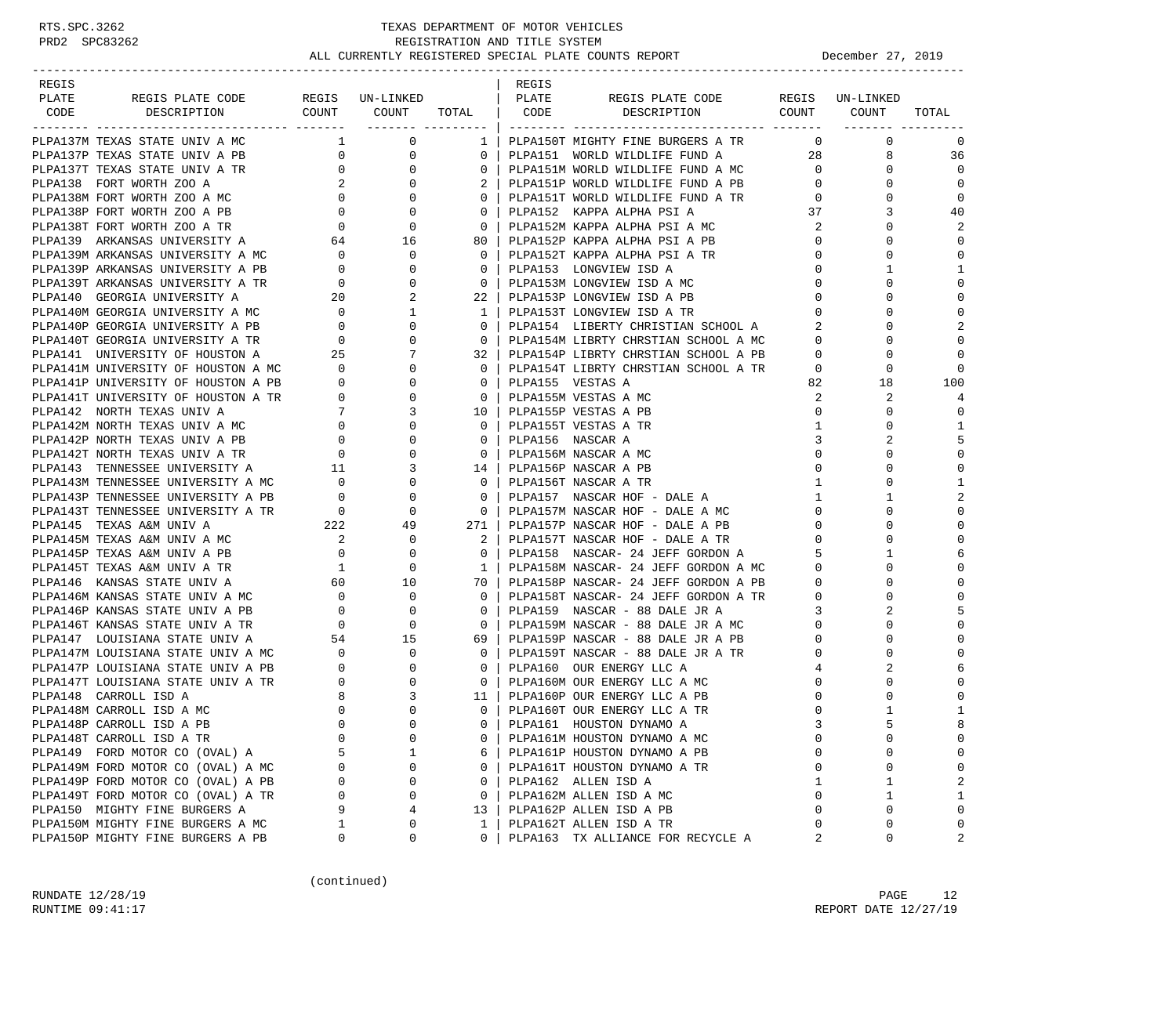#### RTS.SPC.3262 TEXAS DEPARTMENT OF MOTOR VEHICLES PRD2 SPC83262 REGISTRATION AND TITLE SYSTEM ALL CURRENTLY REGISTERED SPECIAL PLATE COUNTS REPORT December 27, 2019 -----------------------------------------------------------------------------------------------------------------------------------

| REGIS |  |  | REGIS |                                                                                                                                                                                                                               |  |                            |
|-------|--|--|-------|-------------------------------------------------------------------------------------------------------------------------------------------------------------------------------------------------------------------------------|--|----------------------------|
| PLATE |  |  |       |                                                                                                                                                                                                                               |  |                            |
| CODE  |  |  |       |                                                                                                                                                                                                                               |  |                            |
|       |  |  |       |                                                                                                                                                                                                                               |  |                            |
|       |  |  |       |                                                                                                                                                                                                                               |  | $\Omega$                   |
|       |  |  |       |                                                                                                                                                                                                                               |  | 36                         |
|       |  |  |       |                                                                                                                                                                                                                               |  | $\Omega$                   |
|       |  |  |       |                                                                                                                                                                                                                               |  | $\mathbf 0$                |
|       |  |  |       |                                                                                                                                                                                                                               |  | $\mathbf 0$                |
|       |  |  |       |                                                                                                                                                                                                                               |  | 40                         |
|       |  |  |       |                                                                                                                                                                                                                               |  |                            |
|       |  |  |       |                                                                                                                                                                                                                               |  | $\Omega$                   |
|       |  |  |       |                                                                                                                                                                                                                               |  | $\Omega$                   |
|       |  |  |       |                                                                                                                                                                                                                               |  | $\mathbf{1}$               |
|       |  |  |       |                                                                                                                                                                                                                               |  | $\Omega$                   |
|       |  |  |       |                                                                                                                                                                                                                               |  |                            |
|       |  |  |       |                                                                                                                                                                                                                               |  | $\mathbf 0$                |
|       |  |  |       |                                                                                                                                                                                                                               |  | $\overline{a}$<br>$\Omega$ |
|       |  |  |       |                                                                                                                                                                                                                               |  |                            |
|       |  |  |       |                                                                                                                                                                                                                               |  |                            |
|       |  |  |       |                                                                                                                                                                                                                               |  | 100                        |
|       |  |  |       |                                                                                                                                                                                                                               |  |                            |
|       |  |  |       |                                                                                                                                                                                                                               |  | $\Omega$                   |
|       |  |  |       |                                                                                                                                                                                                                               |  | $\mathbf{1}$               |
|       |  |  |       |                                                                                                                                                                                                                               |  | 5                          |
|       |  |  |       |                                                                                                                                                                                                                               |  | $\Omega$                   |
|       |  |  |       |                                                                                                                                                                                                                               |  | $\Omega$                   |
|       |  |  |       |                                                                                                                                                                                                                               |  | $\mathbf{1}$               |
|       |  |  |       |                                                                                                                                                                                                                               |  | $\overline{2}$             |
|       |  |  |       |                                                                                                                                                                                                                               |  | $\Omega$                   |
|       |  |  |       |                                                                                                                                                                                                                               |  | $\Omega$                   |
|       |  |  |       |                                                                                                                                                                                                                               |  |                            |
|       |  |  |       |                                                                                                                                                                                                                               |  |                            |
|       |  |  |       |                                                                                                                                                                                                                               |  |                            |
|       |  |  |       |                                                                                                                                                                                                                               |  |                            |
|       |  |  |       |                                                                                                                                                                                                                               |  |                            |
|       |  |  |       |                                                                                                                                                                                                                               |  |                            |
|       |  |  |       |                                                                                                                                                                                                                               |  | $\Omega$                   |
|       |  |  |       |                                                                                                                                                                                                                               |  | $\mathbf{0}$               |
|       |  |  |       |                                                                                                                                                                                                                               |  | $\Omega$                   |
|       |  |  |       |                                                                                                                                                                                                                               |  |                            |
|       |  |  |       |                                                                                                                                                                                                                               |  | $\Omega$                   |
|       |  |  |       |                                                                                                                                                                                                                               |  | $\Omega$                   |
|       |  |  |       |                                                                                                                                                                                                                               |  | $\mathbf{1}$               |
|       |  |  |       |                                                                                                                                                                                                                               |  |                            |
|       |  |  |       |                                                                                                                                                                                                                               |  | $\Omega$                   |
|       |  |  |       |                                                                                                                                                                                                                               |  |                            |
|       |  |  |       |                                                                                                                                                                                                                               |  | $\cap$                     |
|       |  |  |       |                                                                                                                                                                                                                               |  |                            |
|       |  |  |       |                                                                                                                                                                                                                               |  | $\mathbf{1}$               |
|       |  |  |       |                                                                                                                                                                                                                               |  | $\Omega$                   |
|       |  |  |       |                                                                                                                                                                                                                               |  | $\mathbf{0}$               |
|       |  |  |       | FOR STREET COMPARISON CONTINUOS CONTINUOS CONTINUOS CONTINUOS CONTINUOS CONTINUOS CONTINUOS CONTINUOS CONTINUOS CONTINUOS CONTINUOS CONTINUOS CONTINUOS CONTINUOS CONTINUOS CONTINUOS CONTINUOS CONTINUOS CONTINUOS CONTINUOS |  | $\overline{2}$             |

(continued)

RUNDATE 12/28/19 PAGE 12 RUNTIME 09:41:17 REPORT DATE 12/27/19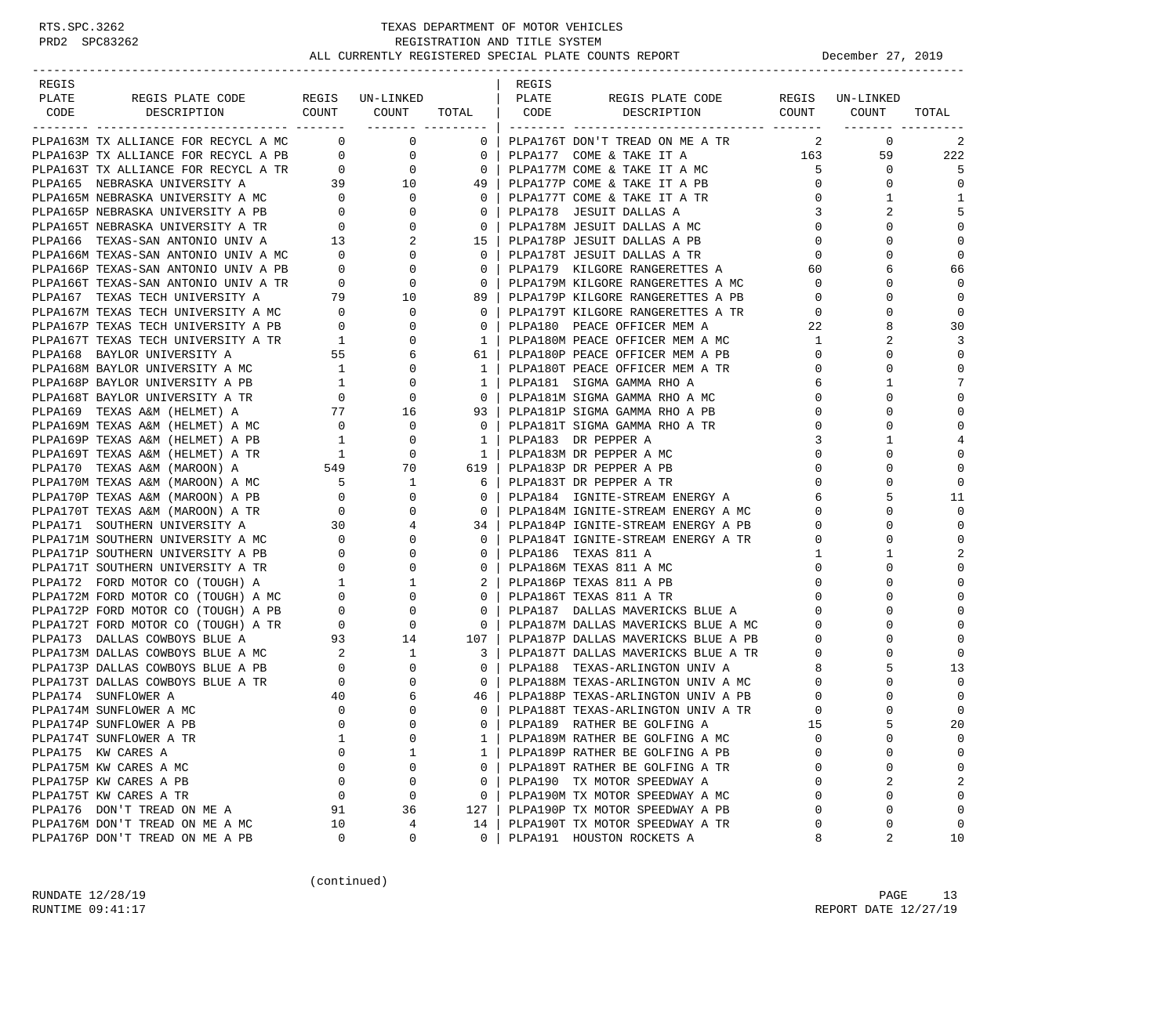| REGIS |                                                                                                                                                           |                                            |                                                                                                                                                                                                                                                                                                                                    |                                                                                              | REGIS |                                                                           |              |              |                |
|-------|-----------------------------------------------------------------------------------------------------------------------------------------------------------|--------------------------------------------|------------------------------------------------------------------------------------------------------------------------------------------------------------------------------------------------------------------------------------------------------------------------------------------------------------------------------------|----------------------------------------------------------------------------------------------|-------|---------------------------------------------------------------------------|--------------|--------------|----------------|
| PLATE | REGIS PLATE CODE                                                                                                                                          |                                            | REGIS UN-LINKED   PLATE                                                                                                                                                                                                                                                                                                            |                                                                                              |       | REGIS PLATE CODE REGIS UN-LINKED                                          |              |              |                |
| CODE  | COUNT<br>DESCRIPTION<br>---------------<br>------------------                                                                                             |                                            | COUNT                                                                                                                                                                                                                                                                                                                              | TOTAL   CODE                                                                                 |       | DESCRIPTION COUNT                                                         |              | COUNT        | TOTAL          |
|       | PLPA163M TX ALLIANCE FOR RECYCL A MC 0                                                                                                                    |                                            | $\overline{0}$ and $\overline{0}$ and $\overline{0}$ and $\overline{0}$ and $\overline{0}$ and $\overline{0}$ and $\overline{0}$ and $\overline{0}$ and $\overline{0}$ and $\overline{0}$ and $\overline{0}$ and $\overline{0}$ and $\overline{0}$ and $\overline{0}$ and $\overline{0}$ and $\overline{0}$ and $\overline{0}$ and | $0-1$                                                                                        |       | PLPA176T DON'T TREAD ON ME A TR                                           | 2            | $\mathbf{0}$ | 2              |
|       | PLPA163P TX ALLIANCE FOR RECYCL A PB $0$ 0<br>PLPA163T TX ALLIANCE FOR RECYCL A TR $0$ 0                                                                  |                                            |                                                                                                                                                                                                                                                                                                                                    |                                                                                              |       | 0   PLPA177M COME & TAKE IT A MC 5<br>49   PLPA177M COME & TAKE IT A MC 5 |              | 59           | 222            |
|       |                                                                                                                                                           |                                            |                                                                                                                                                                                                                                                                                                                                    |                                                                                              |       |                                                                           |              | $\mathbf 0$  | 5              |
|       | PLPA165 NEBRASKA UNIVERSITY A                                                                                                                             |                                            | $39$ $10$                                                                                                                                                                                                                                                                                                                          | 49                                                                                           |       | PLPA177P COME & TAKE IT A PB                                              | $\mathbf{0}$ | $\mathbf 0$  | $\mathbf{0}$   |
|       |                                                                                                                                                           |                                            | $\mathbf 0$                                                                                                                                                                                                                                                                                                                        | $0-1$                                                                                        |       | PLPA177T COME & TAKE IT A TR                                              | $\mathbf 0$  | $\mathbf{1}$ | 1              |
|       | PLPA165M NEBRASKA UNIVERSITY A MC<br>PLPA165P NEBRASKA UNIVERSITY A PB<br>PLPA165T NEBRASKA UNIVERSITY A TR<br>PLPA166 TEXAS-SAN ANTONIO UNIV A<br>13     |                                            | $\mathbf{0}$                                                                                                                                                                                                                                                                                                                       | $\overline{0}$                                                                               |       | PLPA178 JESUIT DALLAS A                                                   | 3            | 2            | 5              |
|       |                                                                                                                                                           |                                            |                                                                                                                                                                                                                                                                                                                                    | $\begin{array}{c} 0 \\ 2 \end{array}$<br>$\overline{\phantom{0}}$ 0 $\overline{\phantom{0}}$ |       | PLPA178M JESUIT DALLAS A MC                                               | $\mathbf 0$  | $\Omega$     | $\mathbf 0$    |
|       |                                                                                                                                                           |                                            |                                                                                                                                                                                                                                                                                                                                    |                                                                                              |       | 15   PLPA178P JESUIT DALLAS A PB                                          | $\mathbf 0$  | $\Omega$     | $\mathbf 0$    |
|       |                                                                                                                                                           |                                            | $\mathbf{0}$                                                                                                                                                                                                                                                                                                                       | $0-1$                                                                                        |       | PLPA178T JESUIT DALLAS A TR                                               | $\mathbf 0$  | $\Omega$     | $\mathbf{0}$   |
|       |                                                                                                                                                           |                                            |                                                                                                                                                                                                                                                                                                                                    | $0-1$                                                                                        |       | PLPA179 KILGORE RANGERETTES A                                             | 60           |              | 66             |
|       |                                                                                                                                                           |                                            |                                                                                                                                                                                                                                                                                                                                    | $\overline{\phantom{0}}$ 0 $\overline{\phantom{0}}$                                          |       | PLPA179M KILGORE RANGERETTES A MC                                         | $\mathbf 0$  | $\Omega$     | $\Omega$       |
|       |                                                                                                                                                           |                                            |                                                                                                                                                                                                                                                                                                                                    | 89                                                                                           |       | PLPA179P KILGORE RANGERETTES A PB                                         | $\mathbf{0}$ | $\mathbf 0$  | $\Omega$       |
|       |                                                                                                                                                           |                                            | $\overline{0}$                                                                                                                                                                                                                                                                                                                     | $0-1$                                                                                        |       | PLPA179T KILGORE RANGERETTES A TR                                         | $\mathbf 0$  | $\Omega$     | $\mathbf 0$    |
|       | PLPA167M TEXAS TECH UNIVERSITY A MC 0<br>PLPA167P TEXAS TECH UNIVERSITY A PB 0<br>PLPA167T TEXAS TECH UNIVERSITY A TR 1<br>PLPA168 BAYLOR UNIVERSITY A 55 |                                            | $\mathbf 0$                                                                                                                                                                                                                                                                                                                        | $\Omega$                                                                                     |       | PLPA180 PEACE OFFICER MEM A                                               | 22           | 8            | 30             |
|       |                                                                                                                                                           |                                            | $\mathbf 0$                                                                                                                                                                                                                                                                                                                        |                                                                                              |       | 1   PLPA180M PEACE OFFICER MEM A MC                                       | 1            | 2            | 3              |
|       |                                                                                                                                                           |                                            | 6                                                                                                                                                                                                                                                                                                                                  | 61                                                                                           |       | PLPA180P PEACE OFFICER MEM A PB                                           | $\mathbf 0$  | $\Omega$     | $\mathbf 0$    |
|       |                                                                                                                                                           |                                            |                                                                                                                                                                                                                                                                                                                                    | 1 <sub>1</sub>                                                                               |       | PLPA180T PEACE OFFICER MEM A TR                                           | 0            | 0            | $\mathbf 0$    |
|       |                                                                                                                                                           |                                            |                                                                                                                                                                                                                                                                                                                                    | 1                                                                                            |       | PLPA181 SIGMA GAMMA RHO A                                                 | 6            | 1            | 7              |
|       |                                                                                                                                                           |                                            |                                                                                                                                                                                                                                                                                                                                    | $\overline{\phantom{0}}$ 0 $\overline{\phantom{0}}$                                          |       | PLPA181M SIGMA GAMMA RHO A MC                                             | 0            | $\Omega$     | $\mathbf 0$    |
|       |                                                                                                                                                           |                                            |                                                                                                                                                                                                                                                                                                                                    |                                                                                              |       | 93   PLPA181P SIGMA GAMMA RHO A PB                                        | $\mathbf 0$  | $\Omega$     | $\mathbf{0}$   |
|       |                                                                                                                                                           |                                            |                                                                                                                                                                                                                                                                                                                                    | $\overline{0}$                                                                               |       | PLPA181T SIGMA GAMMA RHO A TR                                             | 0            | $\Omega$     | $\Omega$       |
|       | PLPA169P TEXAS A&M (HELMET) A PB                                                                                                                          |                                            |                                                                                                                                                                                                                                                                                                                                    | 1 <sup>1</sup>                                                                               |       | PLPA183 DR PEPPER A                                                       | 3            | 1            | $\overline{4}$ |
|       | PLPA169T TEXAS A&M (HELMET) A TR                                                                                                                          |                                            | $\begin{array}{cccc} 1 & & & 0 \\ 1 & & & 0 \end{array}$                                                                                                                                                                                                                                                                           |                                                                                              |       | 1   PLPA183M DR PEPPER A MC                                               | $\mathbf 0$  | $\Omega$     | $\mathbf 0$    |
|       | PLPA170 TEXAS A&M (MAROON) A                                                                                                                              |                                            | $AC$ $549$ $70$ $70$ $70$ $70$ $5$ $1$ $0$ $0$                                                                                                                                                                                                                                                                                     |                                                                                              |       | 619   PLPA183P DR PEPPER A PB                                             | $\mathbf 0$  | $\Omega$     | $\mathbf 0$    |
|       | PLPA170M TEXAS A&M (MAROON) A MC                                                                                                                          |                                            |                                                                                                                                                                                                                                                                                                                                    |                                                                                              |       | 6   PLPA183T DR PEPPER A TR                                               | $\mathbf 0$  | $\Omega$     | $\mathbf 0$    |
|       | PLPA170P TEXAS A&M (MAROON) A PB                                                                                                                          |                                            |                                                                                                                                                                                                                                                                                                                                    | $0-1$                                                                                        |       | PLPA184 IGNITE-STREAM ENERGY A                                            | 6            | 5            | 11             |
|       | PLPA170T TEXAS A&M (MAROON) A TR                                                                                                                          |                                            | 0                                                                                                                                                                                                                                                                                                                                  | $\overline{\phantom{0}}$ 0 $\overline{\phantom{0}}$                                          |       | PLPA184M IGNITE-STREAM ENERGY A MC                                        | 0            | $\Omega$     | $\mathbf 0$    |
|       | PLPA171 SOUTHERN UNIVERSITY A                                                                                                                             | $\begin{array}{c} 0 \\ 30 \end{array}$     | $\overline{4}$                                                                                                                                                                                                                                                                                                                     |                                                                                              |       | 34   PLPA184P IGNITE-STREAM ENERGY A PB                                   | 0            | $\Omega$     | $\Omega$       |
|       | PLPA171M SOUTHERN UNIVERSITY A MC                                                                                                                         | $\overline{\phantom{a}}$                   | $\mathbf{0}$                                                                                                                                                                                                                                                                                                                       | $\mathbf{0}$                                                                                 |       | PLPA184T IGNITE-STREAM ENERGY A TR                                        | $\mathbf 0$  | $\Omega$     | $\mathbf 0$    |
|       | PLPA171P SOUTHERN UNIVERSITY A PB                                                                                                                         | $\begin{array}{c} 0 \\ 0 \\ 0 \end{array}$ | $\mathbf 0$                                                                                                                                                                                                                                                                                                                        | $0-1$                                                                                        |       | PLPA186 TEXAS 811 A                                                       | $\mathbf{1}$ | 1            | $\overline{2}$ |
|       | PLPA171T SOUTHERN UNIVERSITY A TR                                                                                                                         |                                            | $\overline{0}$                                                                                                                                                                                                                                                                                                                     | $\mathbf{0}$                                                                                 |       | PLPA186M TEXAS 811 A MC                                                   | 0            | $\Omega$     | $\Omega$       |
|       |                                                                                                                                                           |                                            |                                                                                                                                                                                                                                                                                                                                    | 2 <sup>1</sup>                                                                               |       | PLPA186P TEXAS 811 A PB                                                   | $\mathbf{0}$ | $\Omega$     | $\mathbf 0$    |
|       |                                                                                                                                                           |                                            |                                                                                                                                                                                                                                                                                                                                    | 0 <sup>1</sup>                                                                               |       | PLPA186T TEXAS 811 A TR                                                   | 0            | $\Omega$     | $\Omega$       |
|       |                                                                                                                                                           |                                            |                                                                                                                                                                                                                                                                                                                                    | $\mathbf{0}$                                                                                 |       | PLPA187 DALLAS MAVERICKS BLUE A                                           | 0            | $\Omega$     | $\mathbf 0$    |
|       |                                                                                                                                                           |                                            |                                                                                                                                                                                                                                                                                                                                    | $0-1$                                                                                        |       | PLPA187M DALLAS MAVERICKS BLUE A MC                                       | 0            | $\Omega$     | $\mathbf 0$    |
|       |                                                                                                                                                           |                                            |                                                                                                                                                                                                                                                                                                                                    | 107                                                                                          |       | PLPA187P DALLAS MAVERICKS BLUE A PB                                       | 0            | $\Omega$     | $\Omega$       |
|       |                                                                                                                                                           |                                            |                                                                                                                                                                                                                                                                                                                                    | 3 I                                                                                          |       | PLPA187T DALLAS MAVERICKS BLUE A TR                                       | 0            | $\Omega$     | $\Omega$       |
|       |                                                                                                                                                           |                                            |                                                                                                                                                                                                                                                                                                                                    | 0 <sup>1</sup>                                                                               |       | PLPA188 TEXAS-ARLINGTON UNIV A                                            | 8            | 5            | 13             |
|       |                                                                                                                                                           |                                            |                                                                                                                                                                                                                                                                                                                                    | $\overline{\phantom{0}}$ 0 $\overline{\phantom{0}}$                                          |       | PLPA188M TEXAS-ARLINGTON UNIV A MC                                        | $\mathbf{0}$ | $\Omega$     | $\mathbf 0$    |
|       | PLPA174 SUNFLOWER A                                                                                                                                       | 40                                         | 6                                                                                                                                                                                                                                                                                                                                  |                                                                                              |       | 46   PLPA188P TEXAS-ARLINGTON UNIV A PB                                   | $\mathbf 0$  | $\Omega$     | $\mathbf 0$    |
|       | PLPA174M SUNFLOWER A MC                                                                                                                                   | $\mathbf 0$                                | $\Omega$                                                                                                                                                                                                                                                                                                                           | $\Omega$                                                                                     |       | PLPA188T TEXAS-ARLINGTON UNIV A TR                                        | $\circ$      | $\Omega$     | $\Omega$       |
|       | PLPA174P SUNFLOWER A PB                                                                                                                                   | $\Omega$                                   | $\Omega$                                                                                                                                                                                                                                                                                                                           | $\Omega$                                                                                     |       | PLPA189 RATHER BE GOLFING A                                               | 15           | 5            | 2.0            |
|       | PLPA174T SUNFLOWER A TR                                                                                                                                   | 1                                          | 0                                                                                                                                                                                                                                                                                                                                  | $\mathbf{1}$                                                                                 |       | PLPA189M RATHER BE GOLFING A MC                                           | 0            | 0            | 0              |
|       | PLPA175 KW CARES A                                                                                                                                        | $\Omega$                                   | $\mathbf{1}$                                                                                                                                                                                                                                                                                                                       | 1                                                                                            |       | PLPA189P RATHER BE GOLFING A PB                                           | $\Omega$     | $\Omega$     | 0              |
|       | PLPA175M KW CARES A MC                                                                                                                                    | $\Omega$                                   | 0                                                                                                                                                                                                                                                                                                                                  | $\mathbf{0}$                                                                                 |       | PLPA189T RATHER BE GOLFING A TR                                           | $\Omega$     | $\Omega$     | $\mathsf 0$    |
|       | PLPA175P KW CARES A PB                                                                                                                                    | $\Omega$                                   | 0                                                                                                                                                                                                                                                                                                                                  | $\Omega$                                                                                     |       | PLPA190 TX MOTOR SPEEDWAY A                                               | $\Omega$     | 2            | 2              |
|       | PLPA175T KW CARES A TR                                                                                                                                    | 0                                          | 0                                                                                                                                                                                                                                                                                                                                  | 0                                                                                            |       | PLPA190M TX MOTOR SPEEDWAY A MC                                           | $\Omega$     | $\mathbf{0}$ | $\mathsf 0$    |
|       | PLPA176 DON'T TREAD ON ME A                                                                                                                               | 91                                         | 36                                                                                                                                                                                                                                                                                                                                 | 127                                                                                          |       | PLPA190P TX MOTOR SPEEDWAY A PB                                           | $\Omega$     | $\mathbf{0}$ | 0              |
|       | PLPA176M DON'T TREAD ON ME A MC                                                                                                                           | 10                                         | 4                                                                                                                                                                                                                                                                                                                                  | 14                                                                                           |       | PLPA190T TX MOTOR SPEEDWAY A TR                                           | $\Omega$     | 0            | $\mathbf 0$    |
|       | PLPA176P DON'T TREAD ON ME A PB                                                                                                                           | 0                                          | 0                                                                                                                                                                                                                                                                                                                                  | $\mathbf{0}$                                                                                 |       | PLPA191 HOUSTON ROCKETS A                                                 | 8            | 2            | 10             |

(continued)

RUNDATE  $12/28/19$  PAGE 13 RUNTIME 09:41:17 REPORT DATE 12/27/19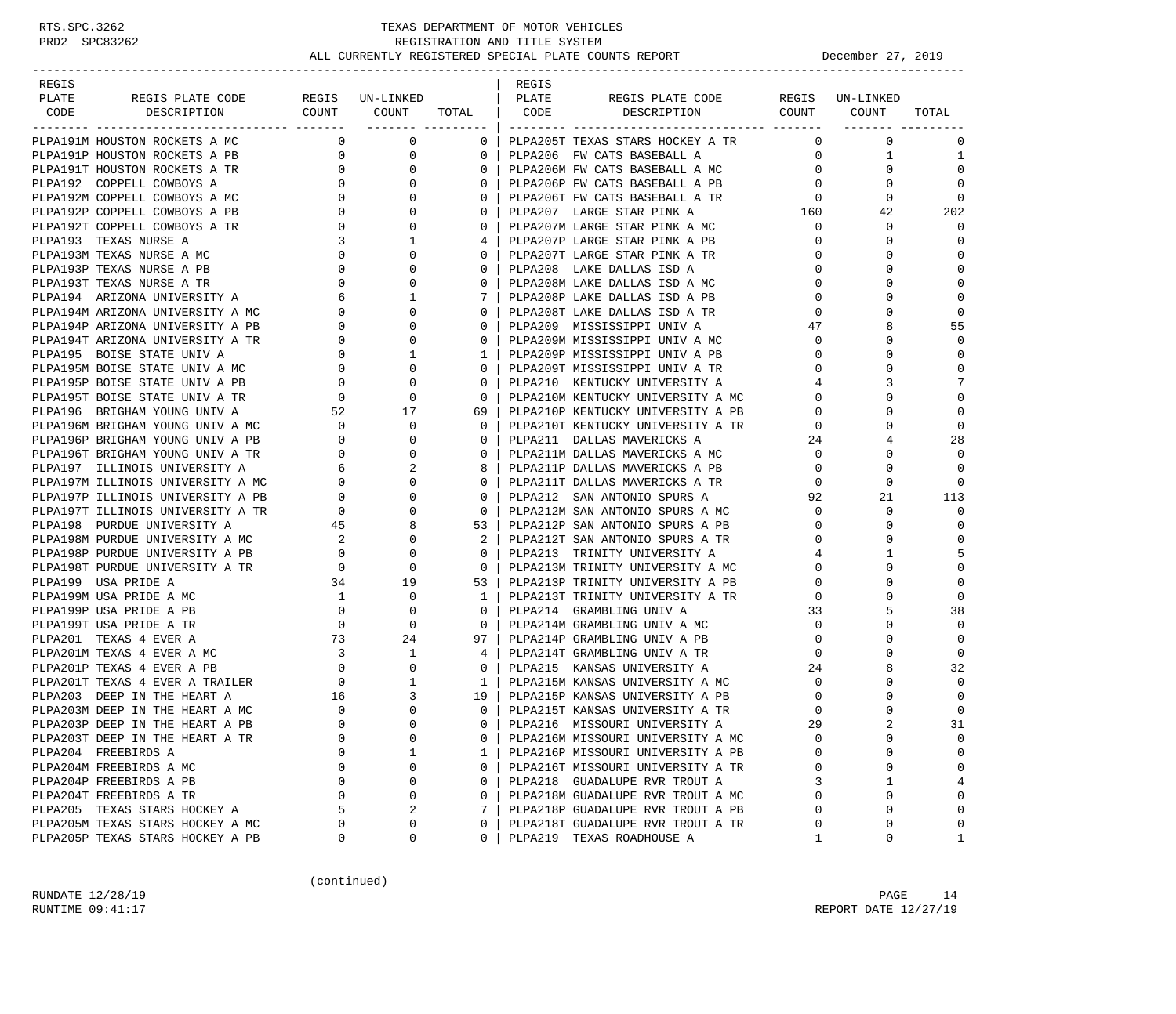| REGIS |                                                                                                                                               |                                                   |                                  |                      | REGIS |                                                                        |                                  |                        |              |
|-------|-----------------------------------------------------------------------------------------------------------------------------------------------|---------------------------------------------------|----------------------------------|----------------------|-------|------------------------------------------------------------------------|----------------------------------|------------------------|--------------|
| PLATE | REGIS PLATE CODE                                                                                                                              |                                                   | REGIS UN-LINKED                  |                      | PLATE | REGIS PLATE CODE                                                       |                                  | REGIS UN-LINKED        |              |
| CODE  | DESCRIPTION                                                                                                                                   |                                                   | COUNT COUNT TOTAL   CODE         |                      |       | DESCRIPTION COUNT COUNT                                                |                                  |                        | TOTAL        |
|       | PLPA191M HOUSTON ROCKETS A MC                                                                                                                 |                                                   | $\overline{0}$<br>$\overline{0}$ |                      |       | 0   PLPA205T TEXAS STARS HOCKEY A TR                                   | $\mathbf{0}$                     | $\mathbf 0$            | $\mathbf 0$  |
|       | PLPA191P HOUSTON ROCKETS A PB                                                                                                                 | $\overline{0}$                                    | 0                                | $0-1$                |       | PLPA206 FW CATS BASEBALL A                                             |                                  | $0 \qquad \qquad$<br>1 | 1            |
|       | PLPA191T HOUSTON ROCKETS A TR                                                                                                                 | $\overline{0}$                                    | 0                                | $\mathbf{0}$         |       | PLPA206M FW CATS BASEBALL A MC                                         | $\overline{0}$                   | 0                      | $\mathbf 0$  |
|       | PLPA192 COPPELL COWBOYS A                                                                                                                     |                                                   | $\overline{0}$<br>$\mathbf{0}$   | $\Omega$             |       | PLPA206P FW CATS BASEBALL A PB                                         | $\overline{0}$                   | $\Omega$               | $\mathbf 0$  |
|       | PLPA192M COPPELL COWBOYS A MC                                                                                                                 |                                                   |                                  | $\mathbf{0}$         |       |                                                                        |                                  | 0                      | $\mathbf 0$  |
|       | PLPA192P COPPELL COWBOYS A PB                                                                                                                 |                                                   |                                  | $\mathbf{0}$         |       |                                                                        |                                  | 42                     | 202          |
|       | PLPA192T COPPELL COWBOYS A TR                                                                                                                 |                                                   |                                  | $\Omega$             |       | PLPA207M LARGE STAR PINK A MC                                          | $\mathbf 0$                      | 0                      | $\Omega$     |
|       | PLPA193 TEXAS NURSE A                                                                                                                         |                                                   |                                  | 4                    |       | PLPA207P LARGE STAR PINK A PB                                          | $\overline{0}$                   | 0                      | $\Omega$     |
|       | PLPA193M TEXAS NURSE A MC                                                                                                                     |                                                   |                                  |                      |       | PLPA207T LARGE STAR PINK A TR                                          | $\mathbf 0$                      |                        | $\Omega$     |
|       | PLPA193P TEXAS NURSE A PB                                                                                                                     |                                                   |                                  | $\mathbf{0}$         |       | PLPA208 LAKE DALLAS ISD A                                              | $\mathbf{0}$                     | U                      | $\Omega$     |
|       | PLPA193T TEXAS NURSE A TR                                                                                                                     |                                                   |                                  | $\Omega$             |       | PLPA208M LAKE DALLAS ISD A MC                                          | $\overline{0}$                   |                        | $\mathbf 0$  |
|       | PLPA194 ARIZONA UNIVERSITY A                                                                                                                  |                                                   |                                  |                      |       | PLPA208P LAKE DALLAS ISD A PB                                          | $\overline{0}$                   |                        | $\mathbf 0$  |
|       | PLPA194M ARIZONA UNIVERSITY A MC                                                                                                              |                                                   |                                  | $\Omega$             |       | PLPA208T LAKE DALLAS ISD A TR                                          | $\overline{0}$                   |                        | $\mathbf 0$  |
|       | PLPA194P ARIZONA UNIVERSITY A PB                                                                                                              |                                                   |                                  | $\Omega$             |       | PLPA209 MISSISSIPPI UNIV A                                             | 47                               |                        | 55           |
|       | PLPA194T ARIZONA UNIVERSITY A TR                                                                                                              |                                                   |                                  | $\mathbf{0}$         |       | PLPA209M MISSISSIPPI UNIV A MC                                         | $\mathbf{0}$                     | 0                      | $\Omega$     |
|       | PLPA195 BOISE STATE UNIV A                                                                                                                    |                                                   |                                  | 1 <sup>1</sup>       |       | PLPA209P MISSISSIPPI UNIV A PB                                         | $\overline{0}$                   | $\Omega$               | $\mathbf 0$  |
|       | PLPA195M BOISE STATE UNIV A MC                                                                                                                |                                                   |                                  | $\Omega$             |       | PLPA209T MISSISSIPPI UNIV A TR                                         | $\overline{0}$                   | U                      | 0            |
|       | PLPA195P BOISE STATE UNIV A PB                                                                                                                | $\begin{bmatrix} 0 \\ 0 \\ 0 \\ 0 \end{bmatrix}$  |                                  | $\mathbf{0}$         |       | PLPA210 KENTUCKY UNIVERSITY A                                          | $4\overline{ }$                  |                        | 7            |
|       | PLPA195T BOISE STATE UNIV A TR                                                                                                                |                                                   |                                  | $\circ$              |       | PLPA210M KENTUCKY UNIVERSITY A MC                                      | $\overline{0}$                   |                        | $\mathbf 0$  |
|       | PLPA196 BRIGHAM YOUNG UNIV A                                                                                                                  |                                                   |                                  | 69                   |       |                                                                        | $\mathbf{0}$                     | 0                      | $\mathbf 0$  |
|       | PLPA196M BRIGHAM YOUNG UNIV A MC                                                                                                              |                                                   |                                  | $\circ$              |       | PLPA210P KENTUCKY UNIVERSITY A PB<br>PLPA210T KENTUCKY UNIVERSITY A TR | $\mathbf 0$                      | U                      | $\mathbf 0$  |
|       | PLPA196P BRIGHAM YOUNG UNIV A PB                                                                                                              |                                                   |                                  | $\mathbf{0}$         |       | PLPA211 DALLAS MAVERICKS A                                             | 24                               | 4                      | 28           |
|       | PLPA196T BRIGHAM YOUNG UNIV A TR                                                                                                              |                                                   |                                  | $\mathbf{0}$         |       | PLPA211M DALLAS MAVERICKS A MC                                         | $\overline{0}$                   | $\Omega$               | $\Omega$     |
|       | PLPA197 ILLINOIS UNIVERSITY A                                                                                                                 |                                                   |                                  |                      |       | PLPA211P DALLAS MAVERICKS A PB                                         | $\circ$                          | $\Omega$               | $\Omega$     |
|       | PLPA197M ILLINOIS UNIVERSITY A MC                                                                                                             |                                                   |                                  | $\mathbf{0}$         |       | PLPAZIIT DALLAS MAVERICKS A TR<br>PLPAZIIT DALLAS MAVERICKS A TR       | $\mathbf{0}$                     | 0                      | $\Omega$     |
|       | PLPA197P ILLINOIS UNIVERSITY A PB                                                                                                             |                                                   |                                  | $\circ$              |       | PLPA212 SAN ANTONIO SPURS A                                            | 92                               | 21                     | 113          |
|       | PLPA197T ILLINOIS UNIVERSITY A TR                                                                                                             |                                                   |                                  | $\overline{0}$       |       | PLPA212M SAN ANTONIO SPURS A MC                                        |                                  | $\mathbf 0$            | $\mathbf 0$  |
|       |                                                                                                                                               |                                                   |                                  |                      |       | 53   PLPA212P SAN ANTONIO SPURS A PB                                   | $\overline{0}$<br>$\overline{0}$ | 0                      | $\mathbf 0$  |
|       | PLPA198 PURDUE UNIVERSITY A 45<br>PLPA198M PURDUE UNIVERSITY A MC 2<br>PLPA198P PURDUE UNIVERSITY A PB 0<br>PLPA198T PURDUE UNIVERSITY A TR 0 |                                                   |                                  |                      |       | PLPA212T SAN ANTONIO SPURS A TR                                        | $\mathbf 0$                      | U                      | $\mathbf 0$  |
|       |                                                                                                                                               |                                                   | 0                                | $\mathbf{0}$         |       | PLPA213 TRINITY UNIVERSITY A                                           | $\overline{4}$                   | 1                      | 5            |
|       |                                                                                                                                               |                                                   | $\mathbf{0}$                     | $\circ$              |       | PLPA213M TRINITY UNIVERSITY A MC                                       | $\mathbf 0$                      | 0                      | $\mathbf 0$  |
|       | PLPA199 USA PRIDE A                                                                                                                           |                                                   |                                  | $53 \mid$            |       | PLPA213P TRINITY UNIVERSITY A PB                                       | $\mathbf{0}$                     | 0                      | $\mathbf 0$  |
|       | PLPA199M USA PRIDE A MC                                                                                                                       |                                                   | 34 19<br>$\mathbf 0$             | $1 \perp$            |       | PLPA213T TRINITY UNIVERSITY A TR                                       | $\overline{0}$                   |                        | $\mathbf 0$  |
|       | PLPA199P USA PRIDE A PB                                                                                                                       |                                                   | $\mathbf 0$                      | $\Omega$             |       | PLPA214 GRAMBLING UNIV A                                               | 33                               |                        | 38           |
|       |                                                                                                                                               |                                                   |                                  | $\mathbf{0}$         |       | PLPA214M GRAMBLING UNIV A MC                                           | $\overline{0}$                   | 0                      | $\Omega$     |
|       |                                                                                                                                               | $\begin{bmatrix} 1 \\ 0 \\ 0 \\ 73 \end{bmatrix}$ |                                  | 97                   |       |                                                                        | $\overline{0}$                   | 0                      | $\mathbf 0$  |
|       |                                                                                                                                               |                                                   |                                  | 4                    |       | PLPA214P GRAMBLING UNIV A PB                                           | $\mathbf{0}$                     |                        | $\mathbf 0$  |
|       |                                                                                                                                               |                                                   |                                  | 0 <sup>1</sup>       |       | PLPA214T GRAMBLING UNIV A TR                                           | 24                               |                        | 32           |
|       |                                                                                                                                               |                                                   |                                  |                      |       | PLPA215 KANSAS UNIVERSITY A<br>PLPA215M KANSAS UNIVERSITY A MC         |                                  |                        | $\mathbf 0$  |
|       |                                                                                                                                               |                                                   |                                  | $\frac{1}{1}$        |       | 19 PLPA215P KANSAS UNIVERSITY A PB                                     | $\overline{0}$                   |                        | $\mathbf 0$  |
|       |                                                                                                                                               |                                                   |                                  |                      |       |                                                                        | $\mathbf 0$                      | 0<br>$\Omega$          | $\mathbf 0$  |
|       |                                                                                                                                               | $\Omega$                                          | $\Omega$                         | $\Omega$  <br>$\cap$ |       | PLPA215T KANSAS UNIVERSITY A TR                                        | $\mathbf 0$<br>29                |                        |              |
|       | PLPA203P DEEP IN THE HEART A PB                                                                                                               |                                                   |                                  |                      |       | PLPA216 MISSOURI UNIVERSITY A                                          |                                  |                        | 31           |
|       | PLPA203T DEEP IN THE HEART A TR                                                                                                               | 0                                                 | $\mathbf 0$                      | 0                    |       | PLPA216M MISSOURI UNIVERSITY A MC                                      | $\mathbf 0$                      | $\mathbf 0$            | 0            |
|       | PLPA204 FREEBIRDS A                                                                                                                           | $\Omega$                                          | 1                                | $\mathbf{1}$         |       | PLPA216P MISSOURI UNIVERSITY A PB                                      | $\Omega$                         | $\Omega$               | 0            |
|       | PLPA204M FREEBIRDS A MC                                                                                                                       | 0                                                 | 0                                | $\mathbf{0}$         |       | PLPA216T MISSOURI UNIVERSITY A TR                                      | $\mathbf 0$                      | 0                      | 0            |
|       | PLPA204P FREEBIRDS A PB                                                                                                                       | $\Omega$                                          | 0                                | $\Omega$             |       | PLPA218 GUADALUPE RVR TROUT A                                          | 3                                | 1                      | 4            |
|       | PLPA204T FREEBIRDS A TR                                                                                                                       | 0                                                 | 0                                | $\Omega$             |       | PLPA218M GUADALUPE RVR TROUT A MC                                      | $\Omega$                         | $\mathbf 0$            | 0            |
|       | PLPA205 TEXAS STARS HOCKEY A                                                                                                                  | 5                                                 | 2                                | 7                    |       | PLPA218P GUADALUPE RVR TROUT A PB                                      | 0                                | $\Omega$               | $\mathbf 0$  |
|       | PLPA205M TEXAS STARS HOCKEY A MC                                                                                                              | 0                                                 | 0                                | 0                    |       | PLPA218T GUADALUPE RVR TROUT A TR                                      | 0                                | $\Omega$               | 0            |
|       | PLPA205P TEXAS STARS HOCKEY A PB                                                                                                              | 0                                                 | 0                                | 0                    |       | PLPA219 TEXAS ROADHOUSE A                                              | 1                                | 0                      | $\mathbf{1}$ |

(continued)

RUNDATE  $12/28/19$  PAGE  $14$ RUNTIME 09:41:17 REPORT DATE 12/27/19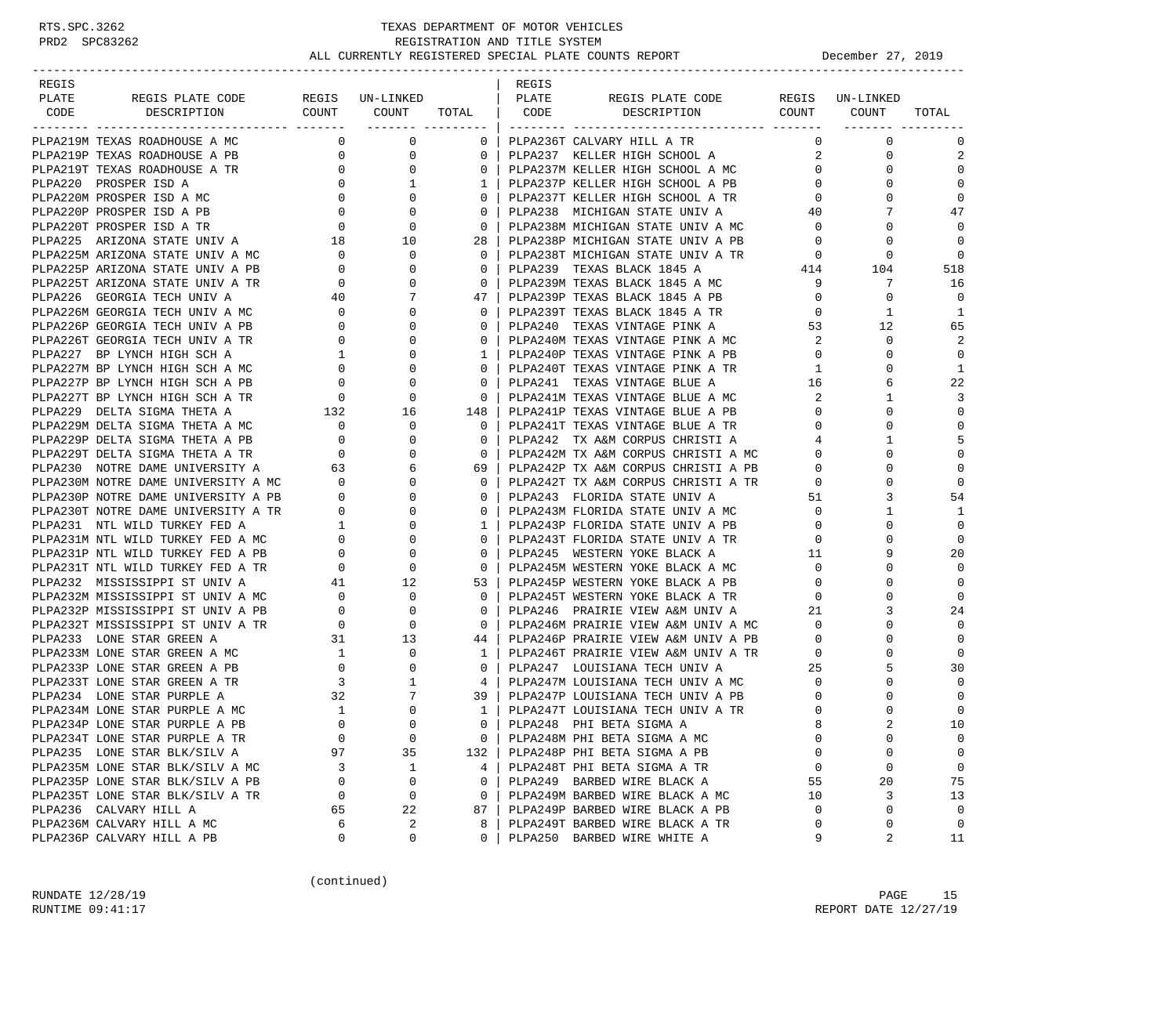| REGIS |                                                                                                                                                                                |                                            |                                  |                                                     | REGIS |                                                                                                          |                |                                |              |
|-------|--------------------------------------------------------------------------------------------------------------------------------------------------------------------------------|--------------------------------------------|----------------------------------|-----------------------------------------------------|-------|----------------------------------------------------------------------------------------------------------|----------------|--------------------------------|--------------|
| PLATE | REGIS PLATE CODE                                                                                                                                                               |                                            | REGIS UN-LINKED                  |                                                     | PLATE | REGIS PLATE CODE                                                                                         |                | REGIS UN-LINKED                |              |
| CODE  | DESCRIPTION COUNT COUNT                                                                                                                                                        |                                            |                                  |                                                     |       | TOTAL CODE DESCRIPTION COUNT COUNT                                                                       |                |                                | TOTAL        |
|       | PLPA219M TEXAS ROADHOUSE A MC                                                                                                                                                  |                                            | $\overline{0}$<br>$\overline{0}$ |                                                     |       | 0   PLPA236T CALVARY HILL A TR                                                                           | $\Omega$       | $\mathbf{0}$                   | 0            |
|       | PLPA219P TEXAS ROADHOUSE A PB                                                                                                                                                  |                                            | $\overline{0}$                   | $0-1$                                               |       |                                                                                                          |                | $\overline{a}$<br>$\mathbf{0}$ | 2            |
|       | PLPA219T TEXAS ROADHOUSE A TR                                                                                                                                                  | $\begin{array}{c}\n0 \\ 0\n\end{array}$    |                                  |                                                     |       | PLPA237 KELLER HIGH SCHOOL A<br>PLPA237M KELLER HIGH SCHOOL A MC<br>0   PLPA237M KELLER HIGH SCHOOL A MC | 0              | $\Omega$                       | $\mathbf 0$  |
|       | PLPA220 PROSPER ISD A                                                                                                                                                          |                                            |                                  | 1 <sup>1</sup>                                      |       | PLPA237P KELLER HIGH SCHOOL A PB                                                                         | $\overline{0}$ | $\Omega$                       | $\mathbf 0$  |
|       | PLPA220M PROSPER ISD A MC                                                                                                                                                      |                                            |                                  | $0-1$                                               |       | PLPA237T KELLER HIGH SCHOOL A TR                                                                         | $\overline{0}$ | 0                              | $\mathbf 0$  |
|       | PLPA220P PROSPER ISD A PB                                                                                                                                                      |                                            |                                  | 0 <sup>1</sup>                                      |       | PLPA238 MICHIGAN STATE UNIV A                                                                            | 40             | 7                              | 47           |
|       | PLPA220T PROSPER ISD A TR                                                                                                                                                      |                                            |                                  | $\overline{\phantom{0}}$ 0 $\overline{\phantom{0}}$ |       | PLPA238M MICHIGAN STATE UNIV A MC                                                                        | $\overline{0}$ | 0                              | $\mathbf 0$  |
|       | PLPA225 ARIZONA STATE UNIV A                                                                                                                                                   |                                            |                                  |                                                     |       | 28 PLPA238P MICHIGAN STATE UNIV A PB                                                                     | $\mathbf{0}$   | 0                              | $\Omega$     |
|       | PLPA225M ARIZONA STATE UNIV A MC 0                                                                                                                                             |                                            | $\overline{0}$                   | $\Omega$                                            |       | PLPA238T MICHIGAN STATE UNIV A TR                                                                        | $\overline{0}$ | 0                              | $\Omega$     |
|       | PLPA225P ARIZONA STATE UNIV A PB                                                                                                                                               | $\begin{array}{c} 0 \\ 0 \\ 0 \end{array}$ | $\overline{0}$                   | $\mathbf{0}$                                        |       | PLPA239 TEXAS BLACK 1845 A                                                                               |                | $414$ $104$                    | 518          |
|       | PLPA225T ARIZONA STATE UNIV A TR                                                                                                                                               |                                            | $\overline{0}$                   | 0 <sup>1</sup>                                      |       | PLPA239M TEXAS BLACK 1845 A MC                                                                           | 9              | 7                              | 16           |
|       | PLPA226 GEORGIA TECH UNIV A 40<br>PLPA226M GEORGIA TECH UNIV A MC 0<br>PLPA226P GEORGIA TECH UNIV A PB 0<br>PLPA226T GEORGIA TECH UNIV A TR 0<br>PLPA227 BP LYNCH HIGH SCH A 1 |                                            | $7\phantom{.0}$                  | 47                                                  |       | PLPA239P TEXAS BLACK 1845 A PB                                                                           | $\circ$        | $\mathbf 0$                    | $\mathbf 0$  |
|       |                                                                                                                                                                                |                                            | $\mathbf 0$                      | 0 <sup>1</sup>                                      |       | PLPA239T TEXAS BLACK 1845 A TR                                                                           | $\overline{0}$ | 1                              | 1            |
|       |                                                                                                                                                                                |                                            | $\mathbf{0}$                     | $\Omega$                                            |       | PLPA240 TEXAS VINTAGE PINK A                                                                             | 53             | 12                             | 65           |
|       |                                                                                                                                                                                |                                            | $\mathbf{0}$                     | $0-1$                                               |       |                                                                                                          | 2              | 0                              | 2            |
|       |                                                                                                                                                                                |                                            | $\mathbf{0}$                     | 1 <sup>1</sup>                                      |       | PLPA240M TEXAS VINTAGE PINK A MC<br>PLPA240P TEXAS VINTAGE PINK A PB<br>PLPA240P TEXAS VINTAGE PINK A PB | $\overline{0}$ | $\Omega$                       | $\mathbf 0$  |
|       | PLPA227M BP LYNCH HIGH SCH A MC                                                                                                                                                |                                            | $\overline{0}$                   | $\overline{0}$                                      |       | PLPA240T TEXAS VINTAGE PINK A TR                                                                         | $1 \quad$      | 0                              | $\mathbf{1}$ |
|       | PLPA227P BP LYNCH HIGH SCH A PB                                                                                                                                                |                                            | $\mathbf{0}$                     | 0 <sup>1</sup>                                      |       | PLPA241 TEXAS VINTAGE BLUE A                                                                             | 16             |                                | 22           |
|       | PLPA227T BP LYNCH HIGH SCH A TR                                                                                                                                                | $\begin{array}{c} 0 \\ 0 \\ 0 \end{array}$ | $\mathbf{0}$                     | $\overline{0}$                                      |       | PLPA241 TEXAS VINTAGE BLUE A<br>PLPA241M TEXAS VINTAGE BLUE A MC                                         | 2              | 1                              | 3            |
|       |                                                                                                                                                                                |                                            |                                  | 148                                                 |       |                                                                                                          | $\mathbf{0}$   | 0                              | $\mathbf 0$  |
|       |                                                                                                                                                                                |                                            |                                  | $\overline{\phantom{0}}$ 0 $\overline{\phantom{0}}$ |       | PLPA241P TEXAS VINTAGE BLUE A PB<br>PLPA241T TEXAS VINTAGE BLUE A TR                                     | $\overline{0}$ | $\Omega$                       | $\mathbf 0$  |
|       | PLPA229M DELTA SIGMA THETA A $132$ 16<br>PLPA229M DELTA SIGMA THETA A MC $\overline{0}$                                                                                        |                                            |                                  | $\Omega$                                            |       | PLPA242 TX A&M CORPUS CHRISTI A                                                                          | $\overline{4}$ | $\mathbf{1}$                   | 5            |
|       |                                                                                                                                                                                |                                            |                                  |                                                     |       |                                                                                                          | $\overline{0}$ | $\Omega$                       | $\mathbf 0$  |
|       |                                                                                                                                                                                |                                            |                                  | 69 I                                                |       | 0   PLPA242M TX A&M CORPUS CHRISTI A MC<br>59   PLPA242P TX A&M CORPUS CHRISTI A PB                      | $\mathbf{0}$   | $\Omega$                       | $\mathbf 0$  |
|       |                                                                                                                                                                                |                                            |                                  | 0 <sup>1</sup>                                      |       | PLPA242T TX A&M CORPUS CHRISTI A TR<br>PLPA243 FLORIDA STATE UNIV A                                      | $\overline{0}$ | 0                              | $\mathbf 0$  |
|       |                                                                                                                                                                                |                                            |                                  | $\circ$                                             |       |                                                                                                          | 51             | 3                              | 54           |
|       |                                                                                                                                                                                |                                            |                                  | $0-1$                                               |       | PLPA243M FLORIDA STATE UNIV A MC                                                                         | $\overline{0}$ | $\mathbf{1}$                   | 1            |
|       |                                                                                                                                                                                |                                            |                                  | $1 \perp$                                           |       |                                                                                                          | $\mathbf{0}$   | $\Omega$                       | $\mathbf 0$  |
|       |                                                                                                                                                                                |                                            |                                  | $\Omega$                                            |       | - - ------ - ------ UNIV A PB<br>PLPA243T FLORIDA STATE UNIV A TR<br>PLPA245 WESTEDN VOIL TO THE         | $\mathbf{0}$   | $\Omega$                       | $\mathbf 0$  |
|       |                                                                                                                                                                                |                                            |                                  | $\mathbf{0}$                                        |       | -- WALLEAN TOKE BLACK A<br>PLPA245M WESTERN YOKE BLACK A MC<br>PLPA2245D MECHATIC                        | 11             | 9                              | 20           |
|       |                                                                                                                                                                                |                                            |                                  | $\overline{0}$                                      |       |                                                                                                          | $\overline{0}$ | $\Omega$                       | $\mathbf 0$  |
|       | PLPA232 MISSISSIPPI ST UNIV A                                                                                                                                                  |                                            | 41 12                            | 53                                                  |       | PLPA245P WESTERN YOKE BLACK A PB                                                                         | $\overline{0}$ | $\Omega$                       | $\mathbf 0$  |
|       |                                                                                                                                                                                |                                            |                                  | $0-1$                                               |       | PLPA245T WESTERN YOKE BLACK A TR                                                                         | $\overline{0}$ | $\Omega$                       | $\Omega$     |
|       |                                                                                                                                                                                |                                            |                                  | $\Omega$                                            |       | PLPA246 PRAIRIE VIEW A&M UNIV A                                                                          | 21             | 3                              | 24           |
|       | PIPA232M MISSISSIPPI ST UNIV A MC<br>PIPA232P MISSISSIPPI ST UNIV A PB 0 0 0<br>PIPA232T MISSISSIPPI ST UNIV A TR 0 0 0<br>PIPA233 LONE STAR GREEN A 31 13                     |                                            |                                  |                                                     |       | 0   PLPA246M PRAIRIE VIEW A&M UNIV A MC<br>44   PLPA246P PRAIRIE VIEW A&M UNIV A PB                      | $\overline{0}$ | 0                              | $\mathbf 0$  |
|       |                                                                                                                                                                                |                                            |                                  |                                                     |       |                                                                                                          | $\overline{0}$ | $\Omega$                       | $\mathbf 0$  |
|       | PLPA233M LONE STAR GREEN A MC                                                                                                                                                  | $\begin{array}{c} 1 \\ 0 \end{array}$      |                                  | $\frac{1}{1}$                                       |       | PLPA246T PRAIRIE VIEW A&M UNIV A TR 0                                                                    |                | 0                              | $\mathbf 0$  |
|       | PLPA233P LONE STAR GREEN A PB                                                                                                                                                  |                                            |                                  |                                                     |       |                                                                                                          |                |                                | 30           |
|       | PLPA233T LONE STAR GREEN A TR                                                                                                                                                  | $\frac{3}{3}$                              |                                  |                                                     |       |                                                                                                          |                | $\Omega$                       | $\mathbf 0$  |
|       | PLPA234 LONE STAR PURPLE A                                                                                                                                                     |                                            |                                  |                                                     |       | 39   PLPA247P LOUISIANA TECH UNIV A PB<br>1   PLPA247T LOUISIANA TECH UNIV A TR                          | $\mathbf{0}$   | 0                              | $\mathbf 0$  |
|       | PLPA234M LONE STAR PURPLE A MC                                                                                                                                                 | $\overline{1}$                             |                                  |                                                     |       | 1   PLPA247T LOUISIANA TECH UNIV A TR                                                                    | $\mathbf{0}$   | $\Omega$                       | $\mathbf 0$  |
|       | PLPA234P LONE STAR PURPLE A PB                                                                                                                                                 |                                            |                                  | 0 <sup>1</sup>                                      |       | PLPA248 PHI BETA SIGMA A                                                                                 | 8              |                                | 10           |
|       | PLPA234T LONE STAR PURPLE A TR                                                                                                                                                 | $\mathbf 0$                                | $\mathbf 0$                      | $\mathbf{0}$                                        |       | PLPA248M PHI BETA SIGMA A MC                                                                             | $\mathbf 0$    | 0                              | 0            |
|       | PLPA235 LONE STAR BLK/SILV A                                                                                                                                                   | 97                                         | 35                               | 132                                                 |       | PLPA248P PHI BETA SIGMA A PB                                                                             | 0              | 0                              | 0            |
|       | PLPA235M LONE STAR BLK/SILV A MC                                                                                                                                               | 3                                          | 1                                | 4                                                   |       | PLPA248T PHI BETA SIGMA A TR                                                                             | 0              | 0                              | 0            |
|       | PLPA235P LONE STAR BLK/SILV A PB                                                                                                                                               | $\mathbf 0$                                | 0                                | 0                                                   |       | PLPA249 BARBED WIRE BLACK A                                                                              | 55             | 20                             | 75           |
|       | PLPA235T LONE STAR BLK/SILV A TR                                                                                                                                               | 0                                          | 0                                | $\mathbf{0}$                                        |       | PLPA249M BARBED WIRE BLACK A MC                                                                          | 10             | 3                              | 13           |
|       | PLPA236 CALVARY HILL A                                                                                                                                                         | 65                                         | 22                               | 87                                                  |       | PLPA249P BARBED WIRE BLACK A PB                                                                          | 0              | 0                              | 0            |
|       | PLPA236M CALVARY HILL A MC                                                                                                                                                     | 6                                          | 2                                | 8                                                   |       | PLPA249T BARBED WIRE BLACK A TR                                                                          | 0              | 0                              | 0            |
|       | PLPA236P CALVARY HILL A PB                                                                                                                                                     | 0                                          | 0                                | 0                                                   |       | PLPA250 BARBED WIRE WHITE A                                                                              | 9              | 2                              | 11           |

(continued)

RUNDATE  $12/28/19$  PAGE 15 RUNTIME 09:41:17 REPORT DATE 12/27/19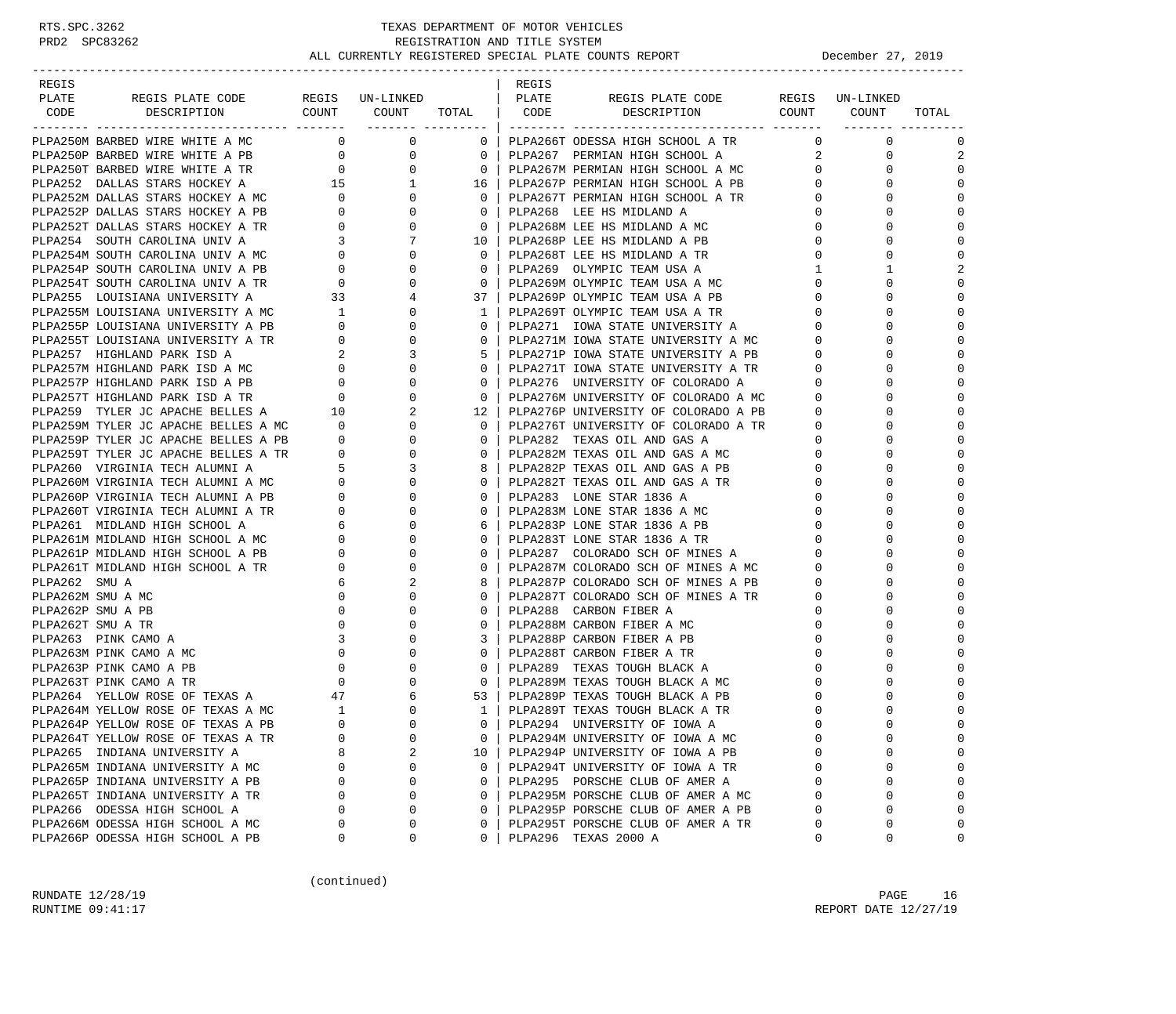-----------------------------------------------------------------------------------------------------------------------------------

| REGIS |  |  | REGIS |                                                                                                                                                                                                                               |                |                                                                                                                                                                                                                                                                                                                                                                                                                                            |             |
|-------|--|--|-------|-------------------------------------------------------------------------------------------------------------------------------------------------------------------------------------------------------------------------------|----------------|--------------------------------------------------------------------------------------------------------------------------------------------------------------------------------------------------------------------------------------------------------------------------------------------------------------------------------------------------------------------------------------------------------------------------------------------|-------------|
| PLATE |  |  |       |                                                                                                                                                                                                                               |                |                                                                                                                                                                                                                                                                                                                                                                                                                                            |             |
| CODE  |  |  |       |                                                                                                                                                                                                                               |                |                                                                                                                                                                                                                                                                                                                                                                                                                                            | TOTAL       |
|       |  |  |       |                                                                                                                                                                                                                               |                |                                                                                                                                                                                                                                                                                                                                                                                                                                            |             |
|       |  |  |       |                                                                                                                                                                                                                               |                | $\begin{matrix} 0 && 0 \\ 2 && 0 \end{matrix}$                                                                                                                                                                                                                                                                                                                                                                                             | $\mathbf 0$ |
|       |  |  |       |                                                                                                                                                                                                                               |                |                                                                                                                                                                                                                                                                                                                                                                                                                                            | 2           |
|       |  |  |       |                                                                                                                                                                                                                               |                | $\overline{0}$<br>$\overline{0}$                                                                                                                                                                                                                                                                                                                                                                                                           | $\mathbf 0$ |
|       |  |  |       |                                                                                                                                                                                                                               |                | 0<br>$\mathbf 0$                                                                                                                                                                                                                                                                                                                                                                                                                           |             |
|       |  |  |       |                                                                                                                                                                                                                               | $\overline{0}$ | 0                                                                                                                                                                                                                                                                                                                                                                                                                                          | $\Omega$    |
|       |  |  |       |                                                                                                                                                                                                                               |                | $\mathbf 0$<br>$0 \qquad \qquad$                                                                                                                                                                                                                                                                                                                                                                                                           |             |
|       |  |  |       |                                                                                                                                                                                                                               | $\mathbf{0}$   | $\Omega$                                                                                                                                                                                                                                                                                                                                                                                                                                   | $\Omega$    |
|       |  |  |       |                                                                                                                                                                                                                               |                | $\mathbf{0}$<br>$\begin{array}{ccc} 0 & & & \\ 0 & & & \\ 1 & & & \\ 0 & & & \\ 0 & & & \\ 0 & & & \\ 0 & & & \\ 0 & & & \\ 0 & & & \\ 0 & & & \\ 0 & & & \\ 0 & & & \\ 0 & & & \\ 0 & & & \\ 0 & & & \\ 0 & & & \\ 0 & & & \\ 0 & & & \\ 0 & & & \\ 0 & & & \\ 0 & & & \\ 0 & & & \\ 0 & & & \\ 0 & & & \\ 0 & & & \\ 0 & & & \\ 0 & & & \\ 0 & & & \\ 0 & & & & \\ 0 & & & & \\ 0 & & & & \\ 0 & & & & \\ 0 & & & & \\ 0 & & & & \\ 0 &$ | $\mathbf 0$ |
|       |  |  |       |                                                                                                                                                                                                                               |                | $\mathbf 0$                                                                                                                                                                                                                                                                                                                                                                                                                                | $\mathbf 0$ |
|       |  |  |       |                                                                                                                                                                                                                               |                | $\mathbf{1}$                                                                                                                                                                                                                                                                                                                                                                                                                               | 2           |
|       |  |  |       |                                                                                                                                                                                                                               |                | $\mathbf 0$                                                                                                                                                                                                                                                                                                                                                                                                                                | $\Omega$    |
|       |  |  |       |                                                                                                                                                                                                                               |                | $\Omega$                                                                                                                                                                                                                                                                                                                                                                                                                                   | $\Omega$    |
|       |  |  |       |                                                                                                                                                                                                                               |                | $\mathbf 0$                                                                                                                                                                                                                                                                                                                                                                                                                                | $\mathbf 0$ |
|       |  |  |       |                                                                                                                                                                                                                               |                | $\mathbf 0$                                                                                                                                                                                                                                                                                                                                                                                                                                | $\Omega$    |
|       |  |  |       |                                                                                                                                                                                                                               |                | $\Omega$                                                                                                                                                                                                                                                                                                                                                                                                                                   | $\Omega$    |
|       |  |  |       |                                                                                                                                                                                                                               |                | $0 \qquad \qquad$<br>$\mathbf{0}$                                                                                                                                                                                                                                                                                                                                                                                                          | $\Omega$    |
|       |  |  |       |                                                                                                                                                                                                                               | $\Omega$       | $\Omega$                                                                                                                                                                                                                                                                                                                                                                                                                                   | $\Omega$    |
|       |  |  |       |                                                                                                                                                                                                                               | $\overline{0}$ | $\mathbf{0}$                                                                                                                                                                                                                                                                                                                                                                                                                               | $\mathbf 0$ |
|       |  |  |       |                                                                                                                                                                                                                               | $\overline{0}$ | $\Omega$                                                                                                                                                                                                                                                                                                                                                                                                                                   | $\Omega$    |
|       |  |  |       |                                                                                                                                                                                                                               | $\overline{0}$ | $\Omega$                                                                                                                                                                                                                                                                                                                                                                                                                                   | $\Omega$    |
|       |  |  |       |                                                                                                                                                                                                                               |                | $\mathbf{0}$                                                                                                                                                                                                                                                                                                                                                                                                                               | $\Omega$    |
|       |  |  |       |                                                                                                                                                                                                                               |                | $\Omega$                                                                                                                                                                                                                                                                                                                                                                                                                                   | $\Omega$    |
|       |  |  |       |                                                                                                                                                                                                                               |                | $\mathbf{0}$                                                                                                                                                                                                                                                                                                                                                                                                                               | $\mathbf 0$ |
|       |  |  |       |                                                                                                                                                                                                                               |                | $\mathbf 0$                                                                                                                                                                                                                                                                                                                                                                                                                                |             |
|       |  |  |       |                                                                                                                                                                                                                               |                | $\begin{array}{c} 0 \\ 0 \\ 0 \\ 0 \\ 0 \end{array}$<br>$\Omega$                                                                                                                                                                                                                                                                                                                                                                           | $\Omega$    |
|       |  |  |       |                                                                                                                                                                                                                               |                | $\mathbf{0}$                                                                                                                                                                                                                                                                                                                                                                                                                               | $\Omega$    |
|       |  |  |       |                                                                                                                                                                                                                               |                | $\mathsf{O}$                                                                                                                                                                                                                                                                                                                                                                                                                               | $\Omega$    |
|       |  |  |       |                                                                                                                                                                                                                               |                | $\mathbf{0}$                                                                                                                                                                                                                                                                                                                                                                                                                               |             |
|       |  |  |       |                                                                                                                                                                                                                               |                | $\mathbf 0$                                                                                                                                                                                                                                                                                                                                                                                                                                | $\Omega$    |
|       |  |  |       |                                                                                                                                                                                                                               |                | $\mathbf 0$                                                                                                                                                                                                                                                                                                                                                                                                                                | $\mathbf 0$ |
|       |  |  |       |                                                                                                                                                                                                                               | $\mathbf{0}$   | $\mathbf 0$                                                                                                                                                                                                                                                                                                                                                                                                                                | $\Omega$    |
|       |  |  |       |                                                                                                                                                                                                                               | $\overline{0}$ | $\Omega$                                                                                                                                                                                                                                                                                                                                                                                                                                   | $\Omega$    |
|       |  |  |       |                                                                                                                                                                                                                               | $\mathbf 0$    | $\mathbf{0}$                                                                                                                                                                                                                                                                                                                                                                                                                               | $\mathbf 0$ |
|       |  |  |       |                                                                                                                                                                                                                               |                | $\Omega$                                                                                                                                                                                                                                                                                                                                                                                                                                   | $\Omega$    |
|       |  |  |       |                                                                                                                                                                                                                               |                | $\mathbf{0}$                                                                                                                                                                                                                                                                                                                                                                                                                               | $\mathbf 0$ |
|       |  |  |       |                                                                                                                                                                                                                               |                | $\mathbf{0}$                                                                                                                                                                                                                                                                                                                                                                                                                               | $\mathbf 0$ |
|       |  |  |       |                                                                                                                                                                                                                               |                | $\Omega$                                                                                                                                                                                                                                                                                                                                                                                                                                   |             |
|       |  |  |       |                                                                                                                                                                                                                               |                | $\mathbf{0}$                                                                                                                                                                                                                                                                                                                                                                                                                               | $\mathbf 0$ |
|       |  |  |       |                                                                                                                                                                                                                               |                | $\begin{array}{c} 0 \\ 0 \\ 0 \end{array}$<br>$\Omega$                                                                                                                                                                                                                                                                                                                                                                                     | $\Omega$    |
|       |  |  |       |                                                                                                                                                                                                                               |                | 0                                                                                                                                                                                                                                                                                                                                                                                                                                          | $\mathbf 0$ |
|       |  |  |       |                                                                                                                                                                                                                               |                | $\mathbf{0}$                                                                                                                                                                                                                                                                                                                                                                                                                               | $\Omega$    |
|       |  |  |       |                                                                                                                                                                                                                               |                | $\Omega$                                                                                                                                                                                                                                                                                                                                                                                                                                   | $\Omega$    |
|       |  |  |       |                                                                                                                                                                                                                               |                | $\begin{array}{c} 0 \\ 0 \end{array}$<br>$\mathbf 0$                                                                                                                                                                                                                                                                                                                                                                                       | $\mathbf 0$ |
|       |  |  |       |                                                                                                                                                                                                                               |                | $\mathbf 0$                                                                                                                                                                                                                                                                                                                                                                                                                                |             |
|       |  |  |       |                                                                                                                                                                                                                               |                | $\mathbf 0$                                                                                                                                                                                                                                                                                                                                                                                                                                | 0           |
|       |  |  |       |                                                                                                                                                                                                                               |                | $\begin{array}{c} 0 \\ 0 \\ 0 \end{array}$<br>$\mathbf 0$                                                                                                                                                                                                                                                                                                                                                                                  |             |
|       |  |  |       |                                                                                                                                                                                                                               |                | $\overline{0}$<br>$\Omega$                                                                                                                                                                                                                                                                                                                                                                                                                 | $\Omega$    |
|       |  |  |       |                                                                                                                                                                                                                               | $\overline{0}$ | $\overline{0}$                                                                                                                                                                                                                                                                                                                                                                                                                             |             |
|       |  |  |       |                                                                                                                                                                                                                               | $\overline{0}$ | $\Omega$                                                                                                                                                                                                                                                                                                                                                                                                                                   | $\Omega$    |
|       |  |  |       | PLACE SERVING NEWS CONFIDENTIAL RESIDENCE COMPRESSED IN A SERVICION SERVICION SERVICION SERVICION CONFIDENTIAL COMPRESSED IN A SERVICION CONFIDENTIAL CONFIDENTIAL CONFIDENTIAL CONFIDENTIAL CONFIDENTIAL CONFIDENTIAL CONFID | $\Omega$       |                                                                                                                                                                                                                                                                                                                                                                                                                                            | $\Omega$    |

(continued)

RUNDATE  $12/28/19$  PAGE 16 RUNTIME 09:41:17 REPORT DATE 12/27/19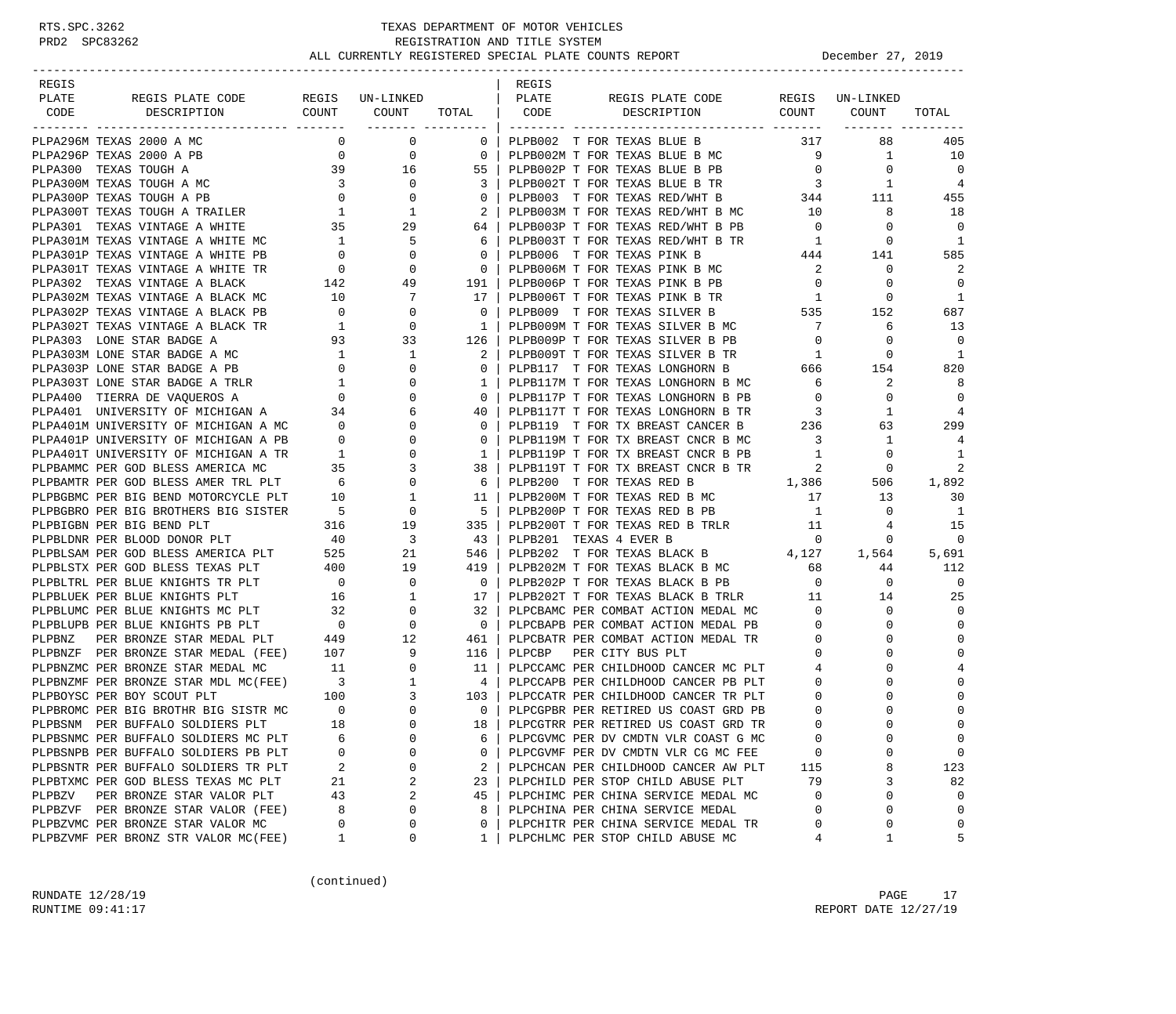| REGIS                                                                                                                                                                                                                                     |    |          |                                  | REGIS |                                                                                           |                         |                 |                |
|-------------------------------------------------------------------------------------------------------------------------------------------------------------------------------------------------------------------------------------------|----|----------|----------------------------------|-------|-------------------------------------------------------------------------------------------|-------------------------|-----------------|----------------|
| PLATE<br>REGIS PLATE CODE REGIS UN-LINKED                                                                                                                                                                                                 |    |          |                                  | PLATE | REGIS PLATE CODE                                                                          |                         | REGIS UN-LINKED |                |
| COUNT<br>DESCRIPTION<br>CODE<br>----------------<br>---------- -------                                                                                                                                                                    |    | COUNT    | TOTAL   CODE<br>------- -------- |       | DESCRIPTION COUNT                                                                         |                         | COUNT           | TOTAL          |
| PLPA296M TEXAS 2000 A MC                                                                                                                                                                                                                  |    | $0$ 0    |                                  |       | 0   PLPB002 T FOR TEXAS BLUE B 317                                                        |                         | 88              | 405            |
| PLPA296P TEXAS 2000 A PB                                                                                                                                                                                                                  |    |          |                                  |       | 0 0 0 0 0 PLPB002M T FOR TEXAS BLUE B MC 9<br>39 16 55   PLPB002P T FOR TEXAS BLUE B PB 0 |                         | $\mathbf{1}$    | 10             |
| PLPA300 TEXAS TOUGH A                                                                                                                                                                                                                     |    |          |                                  |       |                                                                                           |                         | $\overline{0}$  | $\overline{0}$ |
|                                                                                                                                                                                                                                           |    |          |                                  |       |                                                                                           |                         |                 | $\overline{4}$ |
|                                                                                                                                                                                                                                           |    |          |                                  |       |                                                                                           |                         |                 | 455            |
|                                                                                                                                                                                                                                           |    |          |                                  |       |                                                                                           |                         |                 | 18             |
|                                                                                                                                                                                                                                           |    |          |                                  |       |                                                                                           |                         |                 | $\mathbf 0$    |
|                                                                                                                                                                                                                                           |    |          |                                  |       |                                                                                           |                         |                 | $\overline{1}$ |
|                                                                                                                                                                                                                                           |    |          |                                  |       |                                                                                           |                         |                 | 585            |
|                                                                                                                                                                                                                                           |    |          |                                  |       |                                                                                           |                         |                 | 2              |
|                                                                                                                                                                                                                                           |    |          |                                  |       |                                                                                           |                         |                 | $\mathbf 0$    |
|                                                                                                                                                                                                                                           |    |          |                                  |       |                                                                                           |                         |                 | <sup>1</sup>   |
|                                                                                                                                                                                                                                           |    |          |                                  |       | 17   PLPB006T T FOR TEXAS PINK B TR<br>0   PLPB009 T FOR TEXAS SILVER B 535 152           |                         |                 | 687            |
|                                                                                                                                                                                                                                           |    |          |                                  |       |                                                                                           |                         | 6               | 13             |
|                                                                                                                                                                                                                                           |    |          |                                  |       |                                                                                           |                         | 0               | $\mathbf 0$    |
|                                                                                                                                                                                                                                           |    |          |                                  |       |                                                                                           |                         | 0               | 1              |
|                                                                                                                                                                                                                                           |    |          |                                  |       |                                                                                           |                         | 154             | 820            |
|                                                                                                                                                                                                                                           |    |          |                                  |       |                                                                                           |                         | 2               | 8              |
|                                                                                                                                                                                                                                           |    |          |                                  |       |                                                                                           |                         | $\mathbf 0$     | $\mathbf 0$    |
|                                                                                                                                                                                                                                           |    |          |                                  |       |                                                                                           |                         | 1               | 4              |
|                                                                                                                                                                                                                                           |    |          |                                  |       |                                                                                           |                         | 63              | 299            |
|                                                                                                                                                                                                                                           |    |          |                                  |       |                                                                                           |                         | 1               | 4              |
|                                                                                                                                                                                                                                           |    |          |                                  |       |                                                                                           |                         | $\mathbf{0}$    | $\mathbf{1}$   |
| PLANSO TEXAS VINTAGE A BLACK $142$<br>PLANSO TEXAS VINTAGE A BLACK MC<br>PLANSOP TEXAS VINTAGE A BLACK MC<br>PLANSOP TEXAS VINTAGE A BLACK PB<br>PLANSOP TEXAS VINTAGE A BLACK PB<br>PLANSOP TEXAS VINTAGE A BLACK PB<br>PLANSOP TOR TEXA |    |          |                                  |       |                                                                                           |                         | 0               | 2              |
|                                                                                                                                                                                                                                           |    |          |                                  |       | 38   PLPB119T T FOR TX BREAST CNCR B TR<br>6   PLPB200 T FOR TEXAS RED B<br>1,386         |                         | 506             | 1,892          |
|                                                                                                                                                                                                                                           |    |          |                                  |       |                                                                                           |                         | 13              | 30             |
|                                                                                                                                                                                                                                           |    |          |                                  |       |                                                                                           |                         | $\mathbf{0}$    | $\overline{1}$ |
|                                                                                                                                                                                                                                           |    |          |                                  |       |                                                                                           |                         | 4               | 15             |
|                                                                                                                                                                                                                                           |    |          |                                  |       |                                                                                           |                         | 0               | $\mathbf 0$    |
|                                                                                                                                                                                                                                           |    |          |                                  |       | 546   PLPB202 T FOR TEXAS BLACK B 4,127 1,564                                             |                         |                 | 5,691          |
|                                                                                                                                                                                                                                           |    |          |                                  |       | 419   PLPB202M T FOR TEXAS BLACK B MC 68                                                  |                         | 44              | 112            |
|                                                                                                                                                                                                                                           |    |          |                                  |       |                                                                                           |                         | $\mathbf{0}$    | $\overline{0}$ |
|                                                                                                                                                                                                                                           |    |          |                                  |       |                                                                                           |                         | 14              | 25             |
|                                                                                                                                                                                                                                           |    |          |                                  |       | 32   PLPCBAMC PER COMBAT ACTION MEDAL MC $\qquad \qquad 0$                                |                         | 0               | $\mathbf 0$    |
|                                                                                                                                                                                                                                           |    |          |                                  |       | 0   PLPCBAPB PER COMBAT ACTION MEDAL PB                                                   | $\overline{0}$          | 0               | 0              |
| PLPBLUMC PER BLUE KNIGHTS MC PLT 32 0<br>PLPBLUPB PER BLUE KNIGHTS PB PLT 0 0 0<br>PLPBNZ PER BRONZE STAR MEDAL PLT 449 12                                                                                                                |    |          |                                  |       | 461   PLPCBATR PER COMBAT ACTION MEDAL TR                                                 | $\overline{\mathbf{0}}$ | 0               | 0              |
| PLPBNZF PER BRONZE STAR MEDAL (FEE) 107 9 116 PLPCBP PER CITY BUS PLT<br>PLPBNZMC PER BRONZE STAR MEDAL MC 11 0 11 PLPCCAMC PER CHILDHOOD CANCER MC PLT<br>PLPBNZMF PER BRONZE STAR MDL MC(FEE) 3 1 4 PLPCCAPB PER CHILDHOOD CANCER       |    |          |                                  |       |                                                                                           | $\circ$                 | 0               | $\Omega$       |
|                                                                                                                                                                                                                                           |    |          |                                  |       | 11   PLPCCAMC PER CHILDHOOD CANCER MC PLT 4                                               |                         |                 | 4              |
|                                                                                                                                                                                                                                           |    |          |                                  |       |                                                                                           | $\overline{0}$          | $\Omega$        | 0              |
|                                                                                                                                                                                                                                           |    |          |                                  |       |                                                                                           | $\overline{0}$          |                 | 0              |
|                                                                                                                                                                                                                                           |    |          |                                  |       |                                                                                           | $\overline{0}$          |                 | $\mathbf 0$    |
|                                                                                                                                                                                                                                           |    |          |                                  |       |                                                                                           | $\Omega$                | $\Omega$        | $\Omega$       |
| PLPBSNMC PER BUFFALO SOLDIERS MC PLT                                                                                                                                                                                                      | 6  | 0        | 6                                |       | PLPCGVMC PER DV CMDTN VLR COAST G MC                                                      | 0                       | 0               | 0              |
| PLPBSNPB PER BUFFALO SOLDIERS PB PLT                                                                                                                                                                                                      | 0  | $\Omega$ | 0                                |       | PLPCGVMF PER DV CMDTN VLR CG MC FEE                                                       | 0                       |                 | 0              |
| PLPBSNTR PER BUFFALO SOLDIERS TR PLT                                                                                                                                                                                                      | 2  | $\Omega$ | 2                                |       | PLPCHCAN PER CHILDHOOD CANCER AW PLT                                                      | 115                     | 8               | 123            |
| PLPBTXMC PER GOD BLESS TEXAS MC PLT                                                                                                                                                                                                       | 21 | 2        | 23                               |       | PLPCHILD PER STOP CHILD ABUSE PLT                                                         | 79                      | 3               | 82             |
| PLPBZV<br>PER BRONZE STAR VALOR PLT                                                                                                                                                                                                       | 43 | 2        | 45                               |       | PLPCHIMC PER CHINA SERVICE MEDAL MC                                                       | 0                       | 0               | 0              |
| PLPBZVF PER BRONZE STAR VALOR (FEE)                                                                                                                                                                                                       | 8  | 0        | 8                                |       | PLPCHINA PER CHINA SERVICE MEDAL                                                          | 0                       | $\Omega$        | 0              |
| PLPBZVMC PER BRONZE STAR VALOR MC                                                                                                                                                                                                         | 0  | 0        | 0                                |       | PLPCHITR PER CHINA SERVICE MEDAL TR                                                       | 0                       | 0               | 0              |
| PLPBZVMF PER BRONZ STR VALOR MC(FEE)                                                                                                                                                                                                      | 1  | 0        | 1                                |       | PLPCHLMC PER STOP CHILD ABUSE MC                                                          | 4                       | 1               | 5              |

(continued)

RUNDATE  $12/28/19$  PAGE 17 RUNTIME 09:41:17 REPORT DATE 12/27/19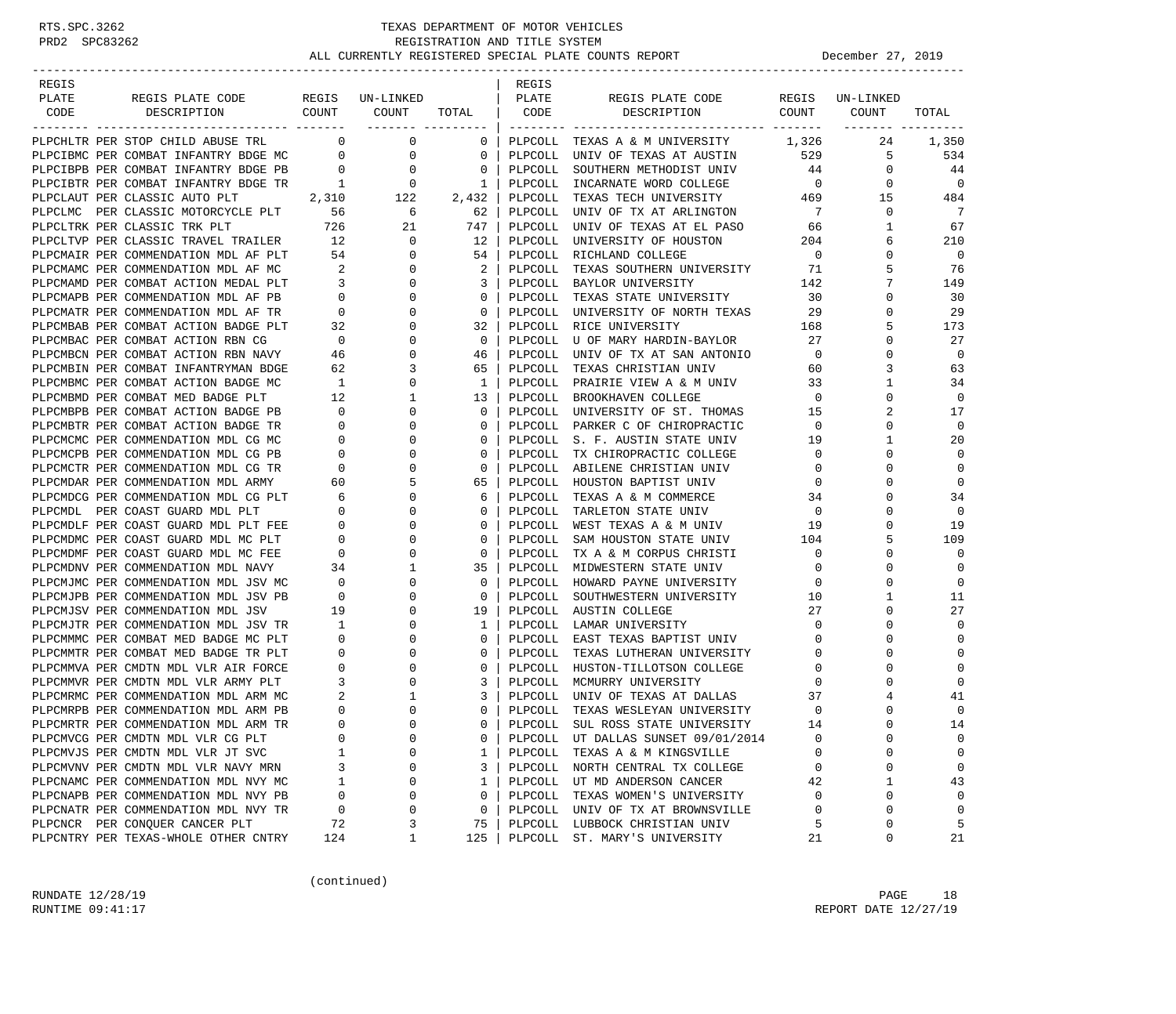| REGIS<br>PLATE | REGIS PLATE CODE                                                       |                          | REGIS UN-LINKED      |              | REGIS<br>PLATE     | REGIS PLATE CODE                                |                         | REGIS UN-LINKED |             |
|----------------|------------------------------------------------------------------------|--------------------------|----------------------|--------------|--------------------|-------------------------------------------------|-------------------------|-----------------|-------------|
| CODE           | COUNT<br>DESCRIPTION                                                   |                          | COUNT                | TOTAL        | CODE               | COUNT<br>DESCRIPTION                            |                         | COUNT           | TOTAL       |
|                |                                                                        |                          | ____________________ |              |                    |                                                 |                         |                 |             |
|                | PLPCHLTR PER STOP CHILD ABUSE TRL                                      | $\sim$ 0                 | 0                    | $\mathbf{0}$ |                    | PLPCOLL TEXAS A & M UNIVERSITY 1,326            |                         | 24              | 1,350       |
|                | PLPCIBMC PER COMBAT INFANTRY BDGE MC 0                                 |                          | 0                    | 0            | PLPCOLL            | UNIV OF TEXAS AT AUSTIN 529                     |                         | 5               | 534         |
|                | PLPCIBPB PER COMBAT INFANTRY BDGE PB                                   | $\overline{0}$           | $\overline{0}$       | $\mathbf 0$  | PLPCOLL            | SOUTHERN METHODIST UNIV                         | 44                      | $\mathbf 0$     | 44          |
|                | PLPCIBTR PER COMBAT INFANTRY BDGE TR                                   | $\overline{1}$           | $\overline{0}$       | 1            |                    | PLPCOLL INCARNATE WORD COLLEGE                  | $\overline{0}$          | $\Omega$        | $\mathbf 0$ |
|                | PLPCLAUT PER CLASSIC AUTO PLT                                          | 2,310                    | 122                  | 2,432        | PLPCOLL            | TEXAS TECH UNIVERSITY                           | 469                     | 15              | 484         |
|                | PLPCLMC PER CLASSIC MOTORCYCLE PLT 56                                  |                          | $6\overline{6}$      | 62           |                    | PLPCOLL UNIV OF TX AT ARLINGTON                 | $7\phantom{0}$          | $\mathbf 0$     | 7           |
|                |                                                                        |                          | 21                   | 747          | PLPCOLL            | UNIV OF TEXAS AT EL PASO                        | 66                      | 1               | 67          |
|                |                                                                        |                          | $\mathbf{0}$         | 12           | PLPCOLL            | UNIVERSITY OF HOUSTON                           | 204                     | 6               | 210         |
|                | PLPCMAIR PER COMMENDATION MDL AF PLT 54                                |                          | $\mathbf{0}$         | 54           |                    | PLPCOLL RICHLAND COLLEGE                        | $\overline{\mathbf{0}}$ | $\Omega$        | $\mathbf 0$ |
|                | PLPCMAMC PER COMMENDATION MDL AF MC                                    | $\overline{\phantom{a}}$ | $\mathbf 0$          | 2            | PLPCOLL            | TEXAS SOUTHERN UNIVERSITY                       | 71                      | 5               | 76          |
|                | PLPCMAMD PER COMBAT ACTION MEDAL PLT                                   | $\overline{\mathbf{3}}$  | 0                    | 3            |                    | PLPCOLL BAYLOR UNIVERSITY                       | 142                     | 7               | 149         |
|                | PLPCMAPB PER COMMENDATION MDL AF PB                                    | $\overline{0}$           | 0                    | 0            | PLPCOLL            | TEXAS STATE UNIVERSITY                          | 30                      | 0               | 30          |
|                | PLPCMATR PER COMMENDATION MDL AF TR                                    | $\overline{0}$           | 0                    | 0            | PLPCOLL            | UNIVERSITY OF NORTH TEXAS                       | 29                      | 0               | 29          |
|                | PLPCMBAB PER COMBAT ACTION BADGE PLT                                   | 32                       | 0                    | 32           | PLPCOLL            | RICE UNIVERSITY                                 | 168                     | 5               | 173         |
|                | PLPCMBAC PER COMBAT ACTION RBN CG                                      | $\overline{0}$           | 0                    | $\mathbf 0$  | PLPCOLL            | U OF MARY HARDIN-BAYLOR                         | 27                      | 0               | 27          |
|                | PLPCMBCN PER COMBAT ACTION RBN NAVY                                    | 46                       | $\mathbf 0$          | 46           | PLPCOLL            | UNIV OF TX AT SAN ANTONIO                       | $\overline{0}$          | $\Omega$        | $\mathbf 0$ |
|                | PLPCMBIN PER COMBAT INFANTRYMAN BDGE                                   | 62                       | 3                    | 65           | PLPCOLL            | TEXAS CHRISTIAN UNIV                            | 60                      | 3               | 63          |
|                | PLPCMBMC PER COMBAT ACTION BADGE MC                                    | $\overline{1}$           | $\mathbf 0$          | 1            |                    | PLPCOLL PRAIRIE VIEW A & M UNIV                 | 33                      | $\mathbf 1$     | 34          |
|                | PLPCMBMD PER COMBAT MED BADGE PLT                                      | 12                       | 1                    | 13           |                    | PLPCOLL BROOKHAVEN COLLEGE                      | $\overline{0}$          | $\Omega$        | $\mathbf 0$ |
|                | PLPCMBPB PER COMBAT ACTION BADGE PB                                    | $\overline{0}$           | 0                    | 0            | PLPCOLL            | UNIVERSITY OF ST. THOMAS                        | 15                      | 2               | 17          |
|                | PLPCMBTR PER COMBAT ACTION BADGE TR                                    | $\overline{0}$           | $\mathbf 0$          | $\mathbf 0$  |                    | PLPCOLL PARKER C OF CHIROPRACTIC                | $\overline{0}$          | 0               | $\mathbf 0$ |
|                | PLPCMCMC PER COMMENDATION MDL CG MC                                    | $\overline{0}$           | $\mathbf 0$          | $\mathbf 0$  | PLPCOLL            | S. F. AUSTIN STATE UNIV                         | 19                      | 1               | 20          |
|                | PLPCMCPB PER COMMENDATION MDL CG PB                                    | $\mathbf{0}$             | $\mathbf 0$          | $\mathbf 0$  | PLPCOLL            | TX CHIROPRACTIC COLLEGE                         | $\circ$                 | 0               | $\mathbf 0$ |
|                | PLPCMCTR PER COMMENDATION MDL CG TR                                    | $\overline{0}$           | 0                    | 0            | PLPCOLL            | ABILENE CHRISTIAN UNIV                          | $\mathbf 0$             | U               | $\mathbf 0$ |
|                | PLPCMDAR PER COMMENDATION MDL ARMY                                     | 60                       | 5                    | 65           | PLPCOLL            | HOUSTON BAPTIST UNIV                            | $\mathbf 0$             | 0               | $\mathbf 0$ |
|                | PLPCMDCG PER COMMENDATION MDL CG PLT                                   | $6\overline{6}$          | 0                    | 6            | PLPCOLL            | TEXAS A & M COMMERCE                            | 34                      | U               | 34          |
|                | PLPCMDL PER COAST GUARD MDL PLT                                        | $\overline{\phantom{0}}$ | $\mathbf 0$          | 0            | PLPCOLL            | TARLETON STATE UNIV                             | $\overline{0}$          | U               | $\mathbf 0$ |
|                | PLPCMDLF PER COAST GUARD MDL PLT FEE                                   | $\mathbf{0}$             | $\mathbf 0$          | 0            | PLPCOLL            | WEST TEXAS A & M UNIV                           | 19                      |                 | 19          |
|                | PLPCMDMC PER COAST GUARD MDL MC PLT                                    | $\mathbf{0}$             | 0                    | $\Omega$     | PLPCOLL            | SAM HOUSTON STATE UNIV 104                      |                         | 5               | 109         |
|                | PLPCMDMF PER COAST GUARD MDL MC FEE                                    | $\mathbf 0$              | 0                    | $\mathbf 0$  | PLPCOLL            | TX A & M CORPUS CHRISTI                         | 0                       | 0               | $\mathbf 0$ |
|                | PLPCMDNV PER COMMENDATION MDL NAVY                                     | 34                       | 1                    | 35           |                    | PLPCOLL MIDWESTERN STATE UNIV                   | $\mathbf 0$             | U               | $\mathbf 0$ |
|                | PLPCMJMC PER COMMENDATION MDL JSV MC                                   | $\overline{0}$           | 0                    | $\mathbf 0$  | PLPCOLL            | HOWARD PAYNE UNIVERSITY                         | $\mathbf 0$             | 0               | $\mathbf 0$ |
|                | PLPCMJPB PER COMMENDATION MDL JSV PB                                   | $\overline{\phantom{0}}$ | 0                    | $\mathbf 0$  | PLPCOLL            | SOUTHWESTERN UNIVERSITY                         | 10                      | 1               | 11          |
|                | PLPCMJSV PER COMMENDATION MDL JSV                                      | 19                       | 0                    | 19           | PLPCOLL            | AUSTIN COLLEGE                                  | 27                      | U               | 27          |
|                | PLPCMJTR PER COMMENDATION MDL JSV TR                                   | $\overline{\mathbf{1}}$  | 0                    | 1            | PLPCOLL            | LAMAR UNIVERSITY                                | 0                       | 0               | $\mathbf 0$ |
|                | PLPCMMMC PER COMBAT MED BADGE MC PLT                                   | $\overline{0}$           | $\mathbf 0$          | $\mathbf 0$  |                    | PLPCOLL EAST TEXAS BAPTIST UNIV                 | 0                       | $\Omega$        | $\mathbf 0$ |
|                | PLPCMMTR PER COMBAT MED BADGE TR PLT                                   | $\overline{0}$           | $\mathbf 0$          | $\mathbf 0$  | PLPCOLL            | TEXAS LUTHERAN UNIVERSITY                       | $\circ$                 | U               | $\mathbf 0$ |
|                | PLPCMMVA PER CMDTN MDL VLR AIR FORCE                                   | $\mathbf{0}$             | $\mathbf 0$          | $\mathbf 0$  |                    | PLPCOLL HUSTON-TILLOTSON COLLEGE                | $\circ$                 |                 | $\mathbf 0$ |
|                | PLPCMMVR PER CMDTN MDL VLR ARMY PLT                                    | 3                        | 0                    | 3            | PLPCOLL            | MCMURRY UNIVERSITY                              | 0                       |                 | $\mathbf 0$ |
|                | PLPCMRMC PER COMMENDATION MDL ARM MC                                   | 2                        | 1                    | 3            | PLPCOLL            | UNIV OF TEXAS AT DALLAS                         | 37                      | 4               | 41          |
|                | PLPCMRPB PER COMMENDATION MDL ARM PB                                   | $\mathbf 0$              | $\mathbf 0$          | $\Omega$     | PLPCOLL            | TEXAS WESLEYAN UNIVERSITY                       | 0                       | U               | $\mathbf 0$ |
|                | PLPCMRTR PER COMMENDATION MDL ARM TR                                   | $\Omega$                 | $\Omega$             | $\Omega$     | PLPCOLL            | SUL ROSS STATE UNIVERSITY                       | 14                      | $\Omega$        | 14          |
|                | PLPCMVCG PER CMDTN MDL VLR CG PLT                                      | $\mathbf 0$              | 0                    | 0            |                    | PLPCOLL UT DALLAS SUNSET 09/01/2014             | 0                       | 0               | 0           |
|                | PLPCMVJS PER CMDTN MDL VLR JT SVC                                      | 1                        | 0                    | 1            | PLPCOLL            | TEXAS A & M KINGSVILLE                          | $\Omega$                | $\Omega$        | 0           |
|                | PLPCMVNV PER CMDTN MDL VLR NAVY MRN                                    | 3                        | 0                    | 3            |                    | PLPCOLL NORTH CENTRAL TX COLLEGE                | 0                       | 0               | 0           |
|                | PLPCNAMC PER COMMENDATION MDL NVY MC                                   | 1                        | 0                    | 1            | PLPCOLL            | UT MD ANDERSON CANCER                           | 42                      | 1               | 43          |
|                | PLPCNAPB PER COMMENDATION MDL NVY PB                                   | 0                        | 0                    | 0            | PLPCOLL            | TEXAS WOMEN'S UNIVERSITY                        | 0                       | 0<br>$\Omega$   | 0           |
|                | PLPCNATR PER COMMENDATION MDL NVY TR                                   | 0                        | 0                    | 0            | PLPCOLL            | UNIV OF TX AT BROWNSVILLE                       | 0                       |                 | 0           |
|                | PLPCNCR PER CONQUER CANCER PLT<br>PLPCNTRY PER TEXAS-WHOLE OTHER CNTRY | 72<br>124                | 3                    | 75<br>125    | PLPCOLL<br>PLPCOLL | LUBBOCK CHRISTIAN UNIV<br>ST. MARY'S UNIVERSITY | 5<br>21                 | 0<br>0          | 5<br>21     |
|                |                                                                        |                          | $\mathbf 1$          |              |                    |                                                 |                         |                 |             |

(continued)

RUNDATE  $12/28/19$  PAGE 18 RUNTIME 09:41:17 REPORT DATE 12/27/19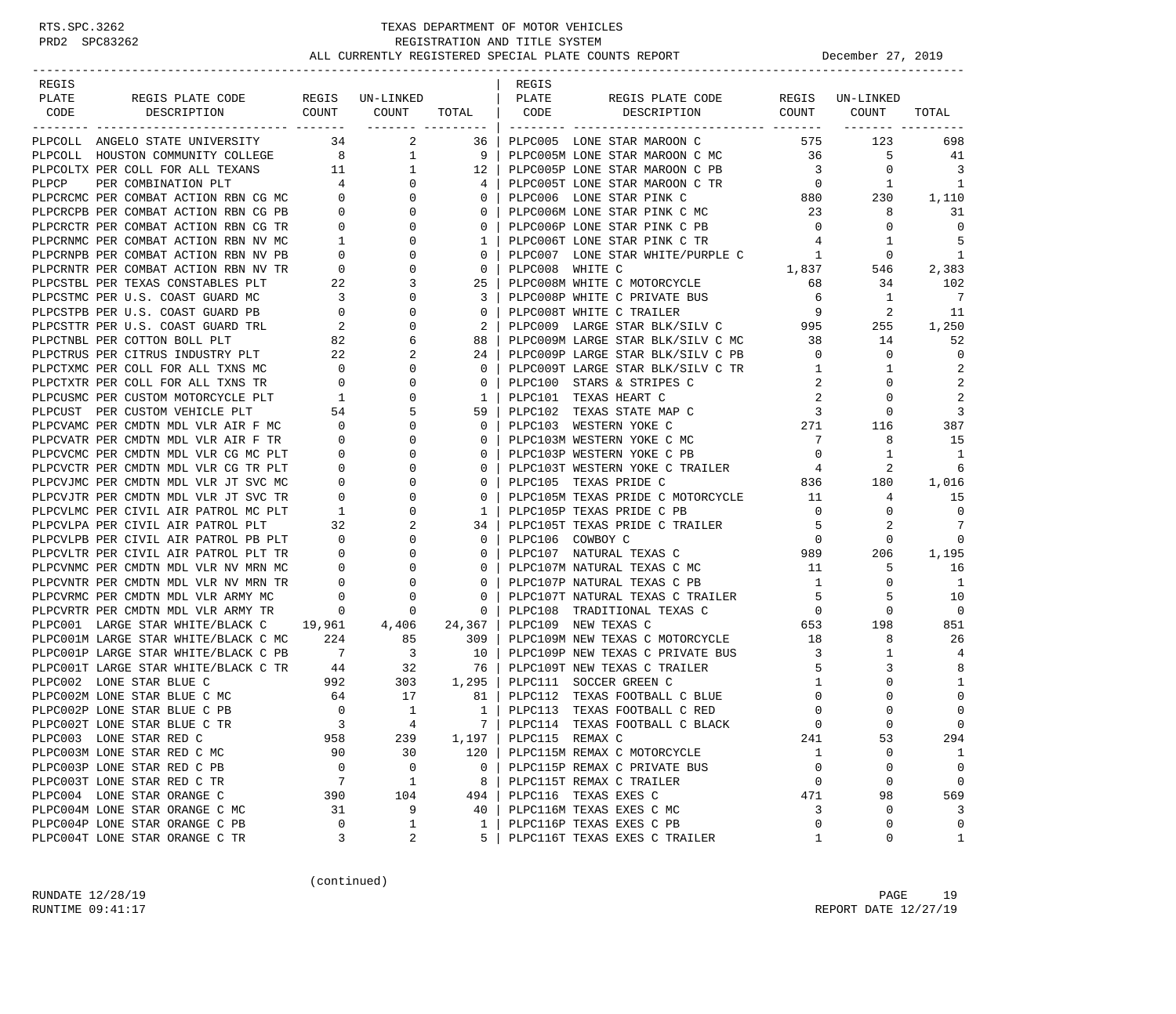| REGIS PLATE CODE REGIS UN-LINKED<br>PLATE<br>PLATE<br>REGIS PLATE CODE<br>REGIS UN-LINKED<br>DESCRIPTION COUNT COUNT TOTAL CODE<br>DESCRIPTION COUNT COUNT<br>CODE<br>TOTAL<br>PLPCOLL ANGELO STATE UNIVERSITY 34 2<br>36  <br>PLPC005 LONE STAR MAROON C<br>575<br>123<br>698<br>PLACOLLA ANGELO STATE UNIVERSITY 11 11 2011<br>PLACOLLA ANGELO STATE UNIVERSITY 134 2 11 9 91<br>PLACOLLA ANGELO STATE UNIVERSITY COLLEGE 8 1 1 9 91<br>PLACOLLA MOSLO STATE UNIVERSITY COLLEGE 8 1 1 1 2<br>PLACOLLA FOR COMETARTION<br>PLPC005M LONE STAR MAROON C MC 36<br>5<br>41<br>12   PLPC005P LONE STAR MAROON C PB<br>$\mathbf{0}$<br>$\overline{3}$<br>PLPC005P LONE STAR MAROON C PB<br>PLPC005T LONE STAR MAROON C TR<br>PLPC006 LONE STAR PINK C 880<br>23<br>1<br>1<br>230<br>1,110<br>8<br>31<br>PLPC006P LONE STAR PINK C PB<br>$\overline{0}$<br>$\mathbf 0$<br>$\mathbf 0$<br>5<br>PLPC006T LONE STAR PINK C TR<br>$4\overline{ }$<br>1<br>PLPC007 LONE STAR WHITE/PURPLE C 1<br>$\mathbf{0}$<br>-1<br>PLPC008 WHITE C<br>$1,837$ 546<br>68 34<br>2,383<br>PLPC008M WHITE C MOTORCYCLE<br>68<br>102<br>34<br>PLPC008P WHITE C PRIVATE BUS<br>6<br>$\overline{7}$<br>1<br>9<br>2<br>PLPC008T WHITE C TRAILER<br>11<br>PLPC009 LARGE STAR BLK/SILV C 995<br>1,250<br>255<br>PLPC009M LARGE STAR BLK/SILV C MC 38 14<br>PLPC009P LARGE STAR BLK/SILV C PB 0 0 0<br>52<br>0<br>PLPC009T LARGE STAR BLK/SILV C TR<br>$\overline{2}$<br>$\mathbf{1}$<br>$\mathbf{1}$<br>2<br>PLPC100 STARS & STRIPES C<br>2<br>0<br>PLPC101 TEXAS HEART C<br>2<br>2<br>0<br>$\begin{array}{c}\n271 \\ 7\n\end{array}$<br>PLPC102 TEXAS STATE MAP C<br>3<br>$\mathbf{0}$<br>PLPC103 WESTERN YOKE C<br>387<br>116<br>$7\overline{ }$<br>PLPC103M WESTERN YOKE C MC<br>15<br>8<br>$\overline{0}$<br>PLPC103P WESTERN YOKE C PB<br>1<br>$\mathbf{1}$<br>PLPC103T WESTERN YOKE C TRAILER 4<br>2<br>6<br>$836$ $180$<br>$11$ $4$<br>PLPC105 TEXAS PRIDE C<br>1,016<br>PLPC105M TEXAS PRIDE C MOTORCYCLE<br>15<br>PLPC105P TEXAS PRIDE C PB<br>$\overline{0}$<br>$\mathbf 0$<br>$\mathbf{0}$<br>7<br>PLPC105T TEXAS PRIDE C TRAILER<br>$5 -$<br>2<br>0<br>0<br>PLPC106 COWBOY C<br>PLPC107 NATURAL TEXAS C 989<br>--- The Company of MC 11<br>1,195<br>206<br>5<br>16<br>1<br>10<br>PLICIOTP NATURAL TEARS C TRAILER<br>PLPC107T NATURAL TEXAS C TRAILER<br>PLPC108 TRADITIONAL TEXAS C 0 0 0<br>- 2100 NEW TEXAS C 20 198<br>- 2100 NEW TEXAS C 20 18 8<br>- 2200 198<br>$\Omega$<br>PLPC001 LARGE STAR WHITE/BLACK C 19,961 4,406 24,367<br>851<br>PLPC001M LARGE STAR WHITE/BLACK C MC 224 85 309<br>26<br>PLPC001P LARGE STAR WHITE/BLACK C PB 7 3 10  <br>PLPC001T LARGE STAR WHITE/BLACK C TR 44 32 76  <br>PLPC109P NEW TEXAS C PRIVATE BUS 3<br>$\mathbf{1}$<br>4<br>8<br>PLPC109T NEW TEXAS C TRAILER<br>5<br>3<br>992 303 1,295<br>PLPC002 LONE STAR BLUE C<br>$\Omega$<br>PLPC111 SOCCER GREEN C<br>1<br>1<br>$\begin{array}{ccccccc} 64 & & & 17 & & & 81 \\ 0 & & & 1 & & & 1 \end{array}$<br>PLPC002M LONE STAR BLUE C MC<br>PLPC112 TEXAS FOOTBALL C BLUE<br>PLPC112 TEXAS FOOTBALL C BLUE<br>$\overline{0}$<br>$\mathbf 0$<br>$\mathbf 0$<br>$\Omega$<br>$\mathsf 0$<br>PLPC113 TEXAS FOOTBALL C RED<br>$\mathbf{0}$<br>PLPC002P LONE STAR BLUE C PB<br>$\overline{4}$<br>$\overline{\phantom{a}}$<br>$\Omega$<br>$\cap$<br>7   PLPC114 TEXAS FOOTBALL C BLACK<br>$\Omega$<br>PLPC002T LONE STAR BLUE C TR<br>53<br>958<br>1,197<br>PLPC115 REMAX C<br>241<br>294<br>PLPC003 LONE STAR RED C<br>239<br>PLPC003M LONE STAR RED C MC<br>90<br>30<br>120<br>PLPC115M REMAX C MOTORCYCLE<br>0<br>1<br>1<br>PLPC003P LONE STAR RED C PB<br>$\mathbf 0$<br>0<br>0<br>0<br>0<br>0<br>PLPC115P REMAX C PRIVATE BUS<br>7<br>$\mathbf{1}$<br>$\mathbf 0$<br>PLPC003T LONE STAR RED C TR<br>$\mathbf 0$<br>$\mathbf 0$<br>8<br>PLPC115T REMAX C TRAILER<br>PLPC004 LONE STAR ORANGE C<br>PLPC116 TEXAS EXES C<br>390<br>104<br>471<br>98<br>569<br>494<br>9<br>PLPC004M LONE STAR ORANGE C MC<br>PLPC116M TEXAS EXES C MC<br>3<br>0<br>3<br>31<br>40 |       |  |       |  |  |
|-----------------------------------------------------------------------------------------------------------------------------------------------------------------------------------------------------------------------------------------------------------------------------------------------------------------------------------------------------------------------------------------------------------------------------------------------------------------------------------------------------------------------------------------------------------------------------------------------------------------------------------------------------------------------------------------------------------------------------------------------------------------------------------------------------------------------------------------------------------------------------------------------------------------------------------------------------------------------------------------------------------------------------------------------------------------------------------------------------------------------------------------------------------------------------------------------------------------------------------------------------------------------------------------------------------------------------------------------------------------------------------------------------------------------------------------------------------------------------------------------------------------------------------------------------------------------------------------------------------------------------------------------------------------------------------------------------------------------------------------------------------------------------------------------------------------------------------------------------------------------------------------------------------------------------------------------------------------------------------------------------------------------------------------------------------------------------------------------------------------------------------------------------------------------------------------------------------------------------------------------------------------------------------------------------------------------------------------------------------------------------------------------------------------------------------------------------------------------------------------------------------------------------------------------------------------------------------------------------------------------------------------------------------------------------------------------------------------------------------------------------------------------------------------------------------------------------------------------------------------------------------------------------------------------------------------------------------------------------------------------------------------------------------------------------------------------------------------------------------------------------------------------------------------------------------------------------------------------------------------------------------------------------------------------------------------------------------------------------------------------------------------------------------------------------------------------------------------------------------------------------------------------------------------------------------------------------------------------------------------------------------------------------------------------------------------------------------------------------------------------------------------------------------------------------------------------------------------------------------------------------------------------------------------------------------------------------------------------------------------------------------------------------------|-------|--|-------|--|--|
|                                                                                                                                                                                                                                                                                                                                                                                                                                                                                                                                                                                                                                                                                                                                                                                                                                                                                                                                                                                                                                                                                                                                                                                                                                                                                                                                                                                                                                                                                                                                                                                                                                                                                                                                                                                                                                                                                                                                                                                                                                                                                                                                                                                                                                                                                                                                                                                                                                                                                                                                                                                                                                                                                                                                                                                                                                                                                                                                                                                                                                                                                                                                                                                                                                                                                                                                                                                                                                                                                                                                                                                                                                                                                                                                                                                                                                                                                                                                                                                                                                   | REGIS |  | REGIS |  |  |
|                                                                                                                                                                                                                                                                                                                                                                                                                                                                                                                                                                                                                                                                                                                                                                                                                                                                                                                                                                                                                                                                                                                                                                                                                                                                                                                                                                                                                                                                                                                                                                                                                                                                                                                                                                                                                                                                                                                                                                                                                                                                                                                                                                                                                                                                                                                                                                                                                                                                                                                                                                                                                                                                                                                                                                                                                                                                                                                                                                                                                                                                                                                                                                                                                                                                                                                                                                                                                                                                                                                                                                                                                                                                                                                                                                                                                                                                                                                                                                                                                                   |       |  |       |  |  |
|                                                                                                                                                                                                                                                                                                                                                                                                                                                                                                                                                                                                                                                                                                                                                                                                                                                                                                                                                                                                                                                                                                                                                                                                                                                                                                                                                                                                                                                                                                                                                                                                                                                                                                                                                                                                                                                                                                                                                                                                                                                                                                                                                                                                                                                                                                                                                                                                                                                                                                                                                                                                                                                                                                                                                                                                                                                                                                                                                                                                                                                                                                                                                                                                                                                                                                                                                                                                                                                                                                                                                                                                                                                                                                                                                                                                                                                                                                                                                                                                                                   |       |  |       |  |  |
|                                                                                                                                                                                                                                                                                                                                                                                                                                                                                                                                                                                                                                                                                                                                                                                                                                                                                                                                                                                                                                                                                                                                                                                                                                                                                                                                                                                                                                                                                                                                                                                                                                                                                                                                                                                                                                                                                                                                                                                                                                                                                                                                                                                                                                                                                                                                                                                                                                                                                                                                                                                                                                                                                                                                                                                                                                                                                                                                                                                                                                                                                                                                                                                                                                                                                                                                                                                                                                                                                                                                                                                                                                                                                                                                                                                                                                                                                                                                                                                                                                   |       |  |       |  |  |
|                                                                                                                                                                                                                                                                                                                                                                                                                                                                                                                                                                                                                                                                                                                                                                                                                                                                                                                                                                                                                                                                                                                                                                                                                                                                                                                                                                                                                                                                                                                                                                                                                                                                                                                                                                                                                                                                                                                                                                                                                                                                                                                                                                                                                                                                                                                                                                                                                                                                                                                                                                                                                                                                                                                                                                                                                                                                                                                                                                                                                                                                                                                                                                                                                                                                                                                                                                                                                                                                                                                                                                                                                                                                                                                                                                                                                                                                                                                                                                                                                                   |       |  |       |  |  |
|                                                                                                                                                                                                                                                                                                                                                                                                                                                                                                                                                                                                                                                                                                                                                                                                                                                                                                                                                                                                                                                                                                                                                                                                                                                                                                                                                                                                                                                                                                                                                                                                                                                                                                                                                                                                                                                                                                                                                                                                                                                                                                                                                                                                                                                                                                                                                                                                                                                                                                                                                                                                                                                                                                                                                                                                                                                                                                                                                                                                                                                                                                                                                                                                                                                                                                                                                                                                                                                                                                                                                                                                                                                                                                                                                                                                                                                                                                                                                                                                                                   |       |  |       |  |  |
|                                                                                                                                                                                                                                                                                                                                                                                                                                                                                                                                                                                                                                                                                                                                                                                                                                                                                                                                                                                                                                                                                                                                                                                                                                                                                                                                                                                                                                                                                                                                                                                                                                                                                                                                                                                                                                                                                                                                                                                                                                                                                                                                                                                                                                                                                                                                                                                                                                                                                                                                                                                                                                                                                                                                                                                                                                                                                                                                                                                                                                                                                                                                                                                                                                                                                                                                                                                                                                                                                                                                                                                                                                                                                                                                                                                                                                                                                                                                                                                                                                   |       |  |       |  |  |
|                                                                                                                                                                                                                                                                                                                                                                                                                                                                                                                                                                                                                                                                                                                                                                                                                                                                                                                                                                                                                                                                                                                                                                                                                                                                                                                                                                                                                                                                                                                                                                                                                                                                                                                                                                                                                                                                                                                                                                                                                                                                                                                                                                                                                                                                                                                                                                                                                                                                                                                                                                                                                                                                                                                                                                                                                                                                                                                                                                                                                                                                                                                                                                                                                                                                                                                                                                                                                                                                                                                                                                                                                                                                                                                                                                                                                                                                                                                                                                                                                                   |       |  |       |  |  |
|                                                                                                                                                                                                                                                                                                                                                                                                                                                                                                                                                                                                                                                                                                                                                                                                                                                                                                                                                                                                                                                                                                                                                                                                                                                                                                                                                                                                                                                                                                                                                                                                                                                                                                                                                                                                                                                                                                                                                                                                                                                                                                                                                                                                                                                                                                                                                                                                                                                                                                                                                                                                                                                                                                                                                                                                                                                                                                                                                                                                                                                                                                                                                                                                                                                                                                                                                                                                                                                                                                                                                                                                                                                                                                                                                                                                                                                                                                                                                                                                                                   |       |  |       |  |  |
|                                                                                                                                                                                                                                                                                                                                                                                                                                                                                                                                                                                                                                                                                                                                                                                                                                                                                                                                                                                                                                                                                                                                                                                                                                                                                                                                                                                                                                                                                                                                                                                                                                                                                                                                                                                                                                                                                                                                                                                                                                                                                                                                                                                                                                                                                                                                                                                                                                                                                                                                                                                                                                                                                                                                                                                                                                                                                                                                                                                                                                                                                                                                                                                                                                                                                                                                                                                                                                                                                                                                                                                                                                                                                                                                                                                                                                                                                                                                                                                                                                   |       |  |       |  |  |
|                                                                                                                                                                                                                                                                                                                                                                                                                                                                                                                                                                                                                                                                                                                                                                                                                                                                                                                                                                                                                                                                                                                                                                                                                                                                                                                                                                                                                                                                                                                                                                                                                                                                                                                                                                                                                                                                                                                                                                                                                                                                                                                                                                                                                                                                                                                                                                                                                                                                                                                                                                                                                                                                                                                                                                                                                                                                                                                                                                                                                                                                                                                                                                                                                                                                                                                                                                                                                                                                                                                                                                                                                                                                                                                                                                                                                                                                                                                                                                                                                                   |       |  |       |  |  |
|                                                                                                                                                                                                                                                                                                                                                                                                                                                                                                                                                                                                                                                                                                                                                                                                                                                                                                                                                                                                                                                                                                                                                                                                                                                                                                                                                                                                                                                                                                                                                                                                                                                                                                                                                                                                                                                                                                                                                                                                                                                                                                                                                                                                                                                                                                                                                                                                                                                                                                                                                                                                                                                                                                                                                                                                                                                                                                                                                                                                                                                                                                                                                                                                                                                                                                                                                                                                                                                                                                                                                                                                                                                                                                                                                                                                                                                                                                                                                                                                                                   |       |  |       |  |  |
|                                                                                                                                                                                                                                                                                                                                                                                                                                                                                                                                                                                                                                                                                                                                                                                                                                                                                                                                                                                                                                                                                                                                                                                                                                                                                                                                                                                                                                                                                                                                                                                                                                                                                                                                                                                                                                                                                                                                                                                                                                                                                                                                                                                                                                                                                                                                                                                                                                                                                                                                                                                                                                                                                                                                                                                                                                                                                                                                                                                                                                                                                                                                                                                                                                                                                                                                                                                                                                                                                                                                                                                                                                                                                                                                                                                                                                                                                                                                                                                                                                   |       |  |       |  |  |
|                                                                                                                                                                                                                                                                                                                                                                                                                                                                                                                                                                                                                                                                                                                                                                                                                                                                                                                                                                                                                                                                                                                                                                                                                                                                                                                                                                                                                                                                                                                                                                                                                                                                                                                                                                                                                                                                                                                                                                                                                                                                                                                                                                                                                                                                                                                                                                                                                                                                                                                                                                                                                                                                                                                                                                                                                                                                                                                                                                                                                                                                                                                                                                                                                                                                                                                                                                                                                                                                                                                                                                                                                                                                                                                                                                                                                                                                                                                                                                                                                                   |       |  |       |  |  |
|                                                                                                                                                                                                                                                                                                                                                                                                                                                                                                                                                                                                                                                                                                                                                                                                                                                                                                                                                                                                                                                                                                                                                                                                                                                                                                                                                                                                                                                                                                                                                                                                                                                                                                                                                                                                                                                                                                                                                                                                                                                                                                                                                                                                                                                                                                                                                                                                                                                                                                                                                                                                                                                                                                                                                                                                                                                                                                                                                                                                                                                                                                                                                                                                                                                                                                                                                                                                                                                                                                                                                                                                                                                                                                                                                                                                                                                                                                                                                                                                                                   |       |  |       |  |  |
|                                                                                                                                                                                                                                                                                                                                                                                                                                                                                                                                                                                                                                                                                                                                                                                                                                                                                                                                                                                                                                                                                                                                                                                                                                                                                                                                                                                                                                                                                                                                                                                                                                                                                                                                                                                                                                                                                                                                                                                                                                                                                                                                                                                                                                                                                                                                                                                                                                                                                                                                                                                                                                                                                                                                                                                                                                                                                                                                                                                                                                                                                                                                                                                                                                                                                                                                                                                                                                                                                                                                                                                                                                                                                                                                                                                                                                                                                                                                                                                                                                   |       |  |       |  |  |
|                                                                                                                                                                                                                                                                                                                                                                                                                                                                                                                                                                                                                                                                                                                                                                                                                                                                                                                                                                                                                                                                                                                                                                                                                                                                                                                                                                                                                                                                                                                                                                                                                                                                                                                                                                                                                                                                                                                                                                                                                                                                                                                                                                                                                                                                                                                                                                                                                                                                                                                                                                                                                                                                                                                                                                                                                                                                                                                                                                                                                                                                                                                                                                                                                                                                                                                                                                                                                                                                                                                                                                                                                                                                                                                                                                                                                                                                                                                                                                                                                                   |       |  |       |  |  |
|                                                                                                                                                                                                                                                                                                                                                                                                                                                                                                                                                                                                                                                                                                                                                                                                                                                                                                                                                                                                                                                                                                                                                                                                                                                                                                                                                                                                                                                                                                                                                                                                                                                                                                                                                                                                                                                                                                                                                                                                                                                                                                                                                                                                                                                                                                                                                                                                                                                                                                                                                                                                                                                                                                                                                                                                                                                                                                                                                                                                                                                                                                                                                                                                                                                                                                                                                                                                                                                                                                                                                                                                                                                                                                                                                                                                                                                                                                                                                                                                                                   |       |  |       |  |  |
|                                                                                                                                                                                                                                                                                                                                                                                                                                                                                                                                                                                                                                                                                                                                                                                                                                                                                                                                                                                                                                                                                                                                                                                                                                                                                                                                                                                                                                                                                                                                                                                                                                                                                                                                                                                                                                                                                                                                                                                                                                                                                                                                                                                                                                                                                                                                                                                                                                                                                                                                                                                                                                                                                                                                                                                                                                                                                                                                                                                                                                                                                                                                                                                                                                                                                                                                                                                                                                                                                                                                                                                                                                                                                                                                                                                                                                                                                                                                                                                                                                   |       |  |       |  |  |
|                                                                                                                                                                                                                                                                                                                                                                                                                                                                                                                                                                                                                                                                                                                                                                                                                                                                                                                                                                                                                                                                                                                                                                                                                                                                                                                                                                                                                                                                                                                                                                                                                                                                                                                                                                                                                                                                                                                                                                                                                                                                                                                                                                                                                                                                                                                                                                                                                                                                                                                                                                                                                                                                                                                                                                                                                                                                                                                                                                                                                                                                                                                                                                                                                                                                                                                                                                                                                                                                                                                                                                                                                                                                                                                                                                                                                                                                                                                                                                                                                                   |       |  |       |  |  |
|                                                                                                                                                                                                                                                                                                                                                                                                                                                                                                                                                                                                                                                                                                                                                                                                                                                                                                                                                                                                                                                                                                                                                                                                                                                                                                                                                                                                                                                                                                                                                                                                                                                                                                                                                                                                                                                                                                                                                                                                                                                                                                                                                                                                                                                                                                                                                                                                                                                                                                                                                                                                                                                                                                                                                                                                                                                                                                                                                                                                                                                                                                                                                                                                                                                                                                                                                                                                                                                                                                                                                                                                                                                                                                                                                                                                                                                                                                                                                                                                                                   |       |  |       |  |  |
|                                                                                                                                                                                                                                                                                                                                                                                                                                                                                                                                                                                                                                                                                                                                                                                                                                                                                                                                                                                                                                                                                                                                                                                                                                                                                                                                                                                                                                                                                                                                                                                                                                                                                                                                                                                                                                                                                                                                                                                                                                                                                                                                                                                                                                                                                                                                                                                                                                                                                                                                                                                                                                                                                                                                                                                                                                                                                                                                                                                                                                                                                                                                                                                                                                                                                                                                                                                                                                                                                                                                                                                                                                                                                                                                                                                                                                                                                                                                                                                                                                   |       |  |       |  |  |
|                                                                                                                                                                                                                                                                                                                                                                                                                                                                                                                                                                                                                                                                                                                                                                                                                                                                                                                                                                                                                                                                                                                                                                                                                                                                                                                                                                                                                                                                                                                                                                                                                                                                                                                                                                                                                                                                                                                                                                                                                                                                                                                                                                                                                                                                                                                                                                                                                                                                                                                                                                                                                                                                                                                                                                                                                                                                                                                                                                                                                                                                                                                                                                                                                                                                                                                                                                                                                                                                                                                                                                                                                                                                                                                                                                                                                                                                                                                                                                                                                                   |       |  |       |  |  |
|                                                                                                                                                                                                                                                                                                                                                                                                                                                                                                                                                                                                                                                                                                                                                                                                                                                                                                                                                                                                                                                                                                                                                                                                                                                                                                                                                                                                                                                                                                                                                                                                                                                                                                                                                                                                                                                                                                                                                                                                                                                                                                                                                                                                                                                                                                                                                                                                                                                                                                                                                                                                                                                                                                                                                                                                                                                                                                                                                                                                                                                                                                                                                                                                                                                                                                                                                                                                                                                                                                                                                                                                                                                                                                                                                                                                                                                                                                                                                                                                                                   |       |  |       |  |  |
|                                                                                                                                                                                                                                                                                                                                                                                                                                                                                                                                                                                                                                                                                                                                                                                                                                                                                                                                                                                                                                                                                                                                                                                                                                                                                                                                                                                                                                                                                                                                                                                                                                                                                                                                                                                                                                                                                                                                                                                                                                                                                                                                                                                                                                                                                                                                                                                                                                                                                                                                                                                                                                                                                                                                                                                                                                                                                                                                                                                                                                                                                                                                                                                                                                                                                                                                                                                                                                                                                                                                                                                                                                                                                                                                                                                                                                                                                                                                                                                                                                   |       |  |       |  |  |
|                                                                                                                                                                                                                                                                                                                                                                                                                                                                                                                                                                                                                                                                                                                                                                                                                                                                                                                                                                                                                                                                                                                                                                                                                                                                                                                                                                                                                                                                                                                                                                                                                                                                                                                                                                                                                                                                                                                                                                                                                                                                                                                                                                                                                                                                                                                                                                                                                                                                                                                                                                                                                                                                                                                                                                                                                                                                                                                                                                                                                                                                                                                                                                                                                                                                                                                                                                                                                                                                                                                                                                                                                                                                                                                                                                                                                                                                                                                                                                                                                                   |       |  |       |  |  |
|                                                                                                                                                                                                                                                                                                                                                                                                                                                                                                                                                                                                                                                                                                                                                                                                                                                                                                                                                                                                                                                                                                                                                                                                                                                                                                                                                                                                                                                                                                                                                                                                                                                                                                                                                                                                                                                                                                                                                                                                                                                                                                                                                                                                                                                                                                                                                                                                                                                                                                                                                                                                                                                                                                                                                                                                                                                                                                                                                                                                                                                                                                                                                                                                                                                                                                                                                                                                                                                                                                                                                                                                                                                                                                                                                                                                                                                                                                                                                                                                                                   |       |  |       |  |  |
|                                                                                                                                                                                                                                                                                                                                                                                                                                                                                                                                                                                                                                                                                                                                                                                                                                                                                                                                                                                                                                                                                                                                                                                                                                                                                                                                                                                                                                                                                                                                                                                                                                                                                                                                                                                                                                                                                                                                                                                                                                                                                                                                                                                                                                                                                                                                                                                                                                                                                                                                                                                                                                                                                                                                                                                                                                                                                                                                                                                                                                                                                                                                                                                                                                                                                                                                                                                                                                                                                                                                                                                                                                                                                                                                                                                                                                                                                                                                                                                                                                   |       |  |       |  |  |
|                                                                                                                                                                                                                                                                                                                                                                                                                                                                                                                                                                                                                                                                                                                                                                                                                                                                                                                                                                                                                                                                                                                                                                                                                                                                                                                                                                                                                                                                                                                                                                                                                                                                                                                                                                                                                                                                                                                                                                                                                                                                                                                                                                                                                                                                                                                                                                                                                                                                                                                                                                                                                                                                                                                                                                                                                                                                                                                                                                                                                                                                                                                                                                                                                                                                                                                                                                                                                                                                                                                                                                                                                                                                                                                                                                                                                                                                                                                                                                                                                                   |       |  |       |  |  |
|                                                                                                                                                                                                                                                                                                                                                                                                                                                                                                                                                                                                                                                                                                                                                                                                                                                                                                                                                                                                                                                                                                                                                                                                                                                                                                                                                                                                                                                                                                                                                                                                                                                                                                                                                                                                                                                                                                                                                                                                                                                                                                                                                                                                                                                                                                                                                                                                                                                                                                                                                                                                                                                                                                                                                                                                                                                                                                                                                                                                                                                                                                                                                                                                                                                                                                                                                                                                                                                                                                                                                                                                                                                                                                                                                                                                                                                                                                                                                                                                                                   |       |  |       |  |  |
|                                                                                                                                                                                                                                                                                                                                                                                                                                                                                                                                                                                                                                                                                                                                                                                                                                                                                                                                                                                                                                                                                                                                                                                                                                                                                                                                                                                                                                                                                                                                                                                                                                                                                                                                                                                                                                                                                                                                                                                                                                                                                                                                                                                                                                                                                                                                                                                                                                                                                                                                                                                                                                                                                                                                                                                                                                                                                                                                                                                                                                                                                                                                                                                                                                                                                                                                                                                                                                                                                                                                                                                                                                                                                                                                                                                                                                                                                                                                                                                                                                   |       |  |       |  |  |
|                                                                                                                                                                                                                                                                                                                                                                                                                                                                                                                                                                                                                                                                                                                                                                                                                                                                                                                                                                                                                                                                                                                                                                                                                                                                                                                                                                                                                                                                                                                                                                                                                                                                                                                                                                                                                                                                                                                                                                                                                                                                                                                                                                                                                                                                                                                                                                                                                                                                                                                                                                                                                                                                                                                                                                                                                                                                                                                                                                                                                                                                                                                                                                                                                                                                                                                                                                                                                                                                                                                                                                                                                                                                                                                                                                                                                                                                                                                                                                                                                                   |       |  |       |  |  |
|                                                                                                                                                                                                                                                                                                                                                                                                                                                                                                                                                                                                                                                                                                                                                                                                                                                                                                                                                                                                                                                                                                                                                                                                                                                                                                                                                                                                                                                                                                                                                                                                                                                                                                                                                                                                                                                                                                                                                                                                                                                                                                                                                                                                                                                                                                                                                                                                                                                                                                                                                                                                                                                                                                                                                                                                                                                                                                                                                                                                                                                                                                                                                                                                                                                                                                                                                                                                                                                                                                                                                                                                                                                                                                                                                                                                                                                                                                                                                                                                                                   |       |  |       |  |  |
|                                                                                                                                                                                                                                                                                                                                                                                                                                                                                                                                                                                                                                                                                                                                                                                                                                                                                                                                                                                                                                                                                                                                                                                                                                                                                                                                                                                                                                                                                                                                                                                                                                                                                                                                                                                                                                                                                                                                                                                                                                                                                                                                                                                                                                                                                                                                                                                                                                                                                                                                                                                                                                                                                                                                                                                                                                                                                                                                                                                                                                                                                                                                                                                                                                                                                                                                                                                                                                                                                                                                                                                                                                                                                                                                                                                                                                                                                                                                                                                                                                   |       |  |       |  |  |
|                                                                                                                                                                                                                                                                                                                                                                                                                                                                                                                                                                                                                                                                                                                                                                                                                                                                                                                                                                                                                                                                                                                                                                                                                                                                                                                                                                                                                                                                                                                                                                                                                                                                                                                                                                                                                                                                                                                                                                                                                                                                                                                                                                                                                                                                                                                                                                                                                                                                                                                                                                                                                                                                                                                                                                                                                                                                                                                                                                                                                                                                                                                                                                                                                                                                                                                                                                                                                                                                                                                                                                                                                                                                                                                                                                                                                                                                                                                                                                                                                                   |       |  |       |  |  |
|                                                                                                                                                                                                                                                                                                                                                                                                                                                                                                                                                                                                                                                                                                                                                                                                                                                                                                                                                                                                                                                                                                                                                                                                                                                                                                                                                                                                                                                                                                                                                                                                                                                                                                                                                                                                                                                                                                                                                                                                                                                                                                                                                                                                                                                                                                                                                                                                                                                                                                                                                                                                                                                                                                                                                                                                                                                                                                                                                                                                                                                                                                                                                                                                                                                                                                                                                                                                                                                                                                                                                                                                                                                                                                                                                                                                                                                                                                                                                                                                                                   |       |  |       |  |  |
|                                                                                                                                                                                                                                                                                                                                                                                                                                                                                                                                                                                                                                                                                                                                                                                                                                                                                                                                                                                                                                                                                                                                                                                                                                                                                                                                                                                                                                                                                                                                                                                                                                                                                                                                                                                                                                                                                                                                                                                                                                                                                                                                                                                                                                                                                                                                                                                                                                                                                                                                                                                                                                                                                                                                                                                                                                                                                                                                                                                                                                                                                                                                                                                                                                                                                                                                                                                                                                                                                                                                                                                                                                                                                                                                                                                                                                                                                                                                                                                                                                   |       |  |       |  |  |
|                                                                                                                                                                                                                                                                                                                                                                                                                                                                                                                                                                                                                                                                                                                                                                                                                                                                                                                                                                                                                                                                                                                                                                                                                                                                                                                                                                                                                                                                                                                                                                                                                                                                                                                                                                                                                                                                                                                                                                                                                                                                                                                                                                                                                                                                                                                                                                                                                                                                                                                                                                                                                                                                                                                                                                                                                                                                                                                                                                                                                                                                                                                                                                                                                                                                                                                                                                                                                                                                                                                                                                                                                                                                                                                                                                                                                                                                                                                                                                                                                                   |       |  |       |  |  |
|                                                                                                                                                                                                                                                                                                                                                                                                                                                                                                                                                                                                                                                                                                                                                                                                                                                                                                                                                                                                                                                                                                                                                                                                                                                                                                                                                                                                                                                                                                                                                                                                                                                                                                                                                                                                                                                                                                                                                                                                                                                                                                                                                                                                                                                                                                                                                                                                                                                                                                                                                                                                                                                                                                                                                                                                                                                                                                                                                                                                                                                                                                                                                                                                                                                                                                                                                                                                                                                                                                                                                                                                                                                                                                                                                                                                                                                                                                                                                                                                                                   |       |  |       |  |  |
|                                                                                                                                                                                                                                                                                                                                                                                                                                                                                                                                                                                                                                                                                                                                                                                                                                                                                                                                                                                                                                                                                                                                                                                                                                                                                                                                                                                                                                                                                                                                                                                                                                                                                                                                                                                                                                                                                                                                                                                                                                                                                                                                                                                                                                                                                                                                                                                                                                                                                                                                                                                                                                                                                                                                                                                                                                                                                                                                                                                                                                                                                                                                                                                                                                                                                                                                                                                                                                                                                                                                                                                                                                                                                                                                                                                                                                                                                                                                                                                                                                   |       |  |       |  |  |
|                                                                                                                                                                                                                                                                                                                                                                                                                                                                                                                                                                                                                                                                                                                                                                                                                                                                                                                                                                                                                                                                                                                                                                                                                                                                                                                                                                                                                                                                                                                                                                                                                                                                                                                                                                                                                                                                                                                                                                                                                                                                                                                                                                                                                                                                                                                                                                                                                                                                                                                                                                                                                                                                                                                                                                                                                                                                                                                                                                                                                                                                                                                                                                                                                                                                                                                                                                                                                                                                                                                                                                                                                                                                                                                                                                                                                                                                                                                                                                                                                                   |       |  |       |  |  |
|                                                                                                                                                                                                                                                                                                                                                                                                                                                                                                                                                                                                                                                                                                                                                                                                                                                                                                                                                                                                                                                                                                                                                                                                                                                                                                                                                                                                                                                                                                                                                                                                                                                                                                                                                                                                                                                                                                                                                                                                                                                                                                                                                                                                                                                                                                                                                                                                                                                                                                                                                                                                                                                                                                                                                                                                                                                                                                                                                                                                                                                                                                                                                                                                                                                                                                                                                                                                                                                                                                                                                                                                                                                                                                                                                                                                                                                                                                                                                                                                                                   |       |  |       |  |  |
|                                                                                                                                                                                                                                                                                                                                                                                                                                                                                                                                                                                                                                                                                                                                                                                                                                                                                                                                                                                                                                                                                                                                                                                                                                                                                                                                                                                                                                                                                                                                                                                                                                                                                                                                                                                                                                                                                                                                                                                                                                                                                                                                                                                                                                                                                                                                                                                                                                                                                                                                                                                                                                                                                                                                                                                                                                                                                                                                                                                                                                                                                                                                                                                                                                                                                                                                                                                                                                                                                                                                                                                                                                                                                                                                                                                                                                                                                                                                                                                                                                   |       |  |       |  |  |
|                                                                                                                                                                                                                                                                                                                                                                                                                                                                                                                                                                                                                                                                                                                                                                                                                                                                                                                                                                                                                                                                                                                                                                                                                                                                                                                                                                                                                                                                                                                                                                                                                                                                                                                                                                                                                                                                                                                                                                                                                                                                                                                                                                                                                                                                                                                                                                                                                                                                                                                                                                                                                                                                                                                                                                                                                                                                                                                                                                                                                                                                                                                                                                                                                                                                                                                                                                                                                                                                                                                                                                                                                                                                                                                                                                                                                                                                                                                                                                                                                                   |       |  |       |  |  |
|                                                                                                                                                                                                                                                                                                                                                                                                                                                                                                                                                                                                                                                                                                                                                                                                                                                                                                                                                                                                                                                                                                                                                                                                                                                                                                                                                                                                                                                                                                                                                                                                                                                                                                                                                                                                                                                                                                                                                                                                                                                                                                                                                                                                                                                                                                                                                                                                                                                                                                                                                                                                                                                                                                                                                                                                                                                                                                                                                                                                                                                                                                                                                                                                                                                                                                                                                                                                                                                                                                                                                                                                                                                                                                                                                                                                                                                                                                                                                                                                                                   |       |  |       |  |  |
|                                                                                                                                                                                                                                                                                                                                                                                                                                                                                                                                                                                                                                                                                                                                                                                                                                                                                                                                                                                                                                                                                                                                                                                                                                                                                                                                                                                                                                                                                                                                                                                                                                                                                                                                                                                                                                                                                                                                                                                                                                                                                                                                                                                                                                                                                                                                                                                                                                                                                                                                                                                                                                                                                                                                                                                                                                                                                                                                                                                                                                                                                                                                                                                                                                                                                                                                                                                                                                                                                                                                                                                                                                                                                                                                                                                                                                                                                                                                                                                                                                   |       |  |       |  |  |
|                                                                                                                                                                                                                                                                                                                                                                                                                                                                                                                                                                                                                                                                                                                                                                                                                                                                                                                                                                                                                                                                                                                                                                                                                                                                                                                                                                                                                                                                                                                                                                                                                                                                                                                                                                                                                                                                                                                                                                                                                                                                                                                                                                                                                                                                                                                                                                                                                                                                                                                                                                                                                                                                                                                                                                                                                                                                                                                                                                                                                                                                                                                                                                                                                                                                                                                                                                                                                                                                                                                                                                                                                                                                                                                                                                                                                                                                                                                                                                                                                                   |       |  |       |  |  |
|                                                                                                                                                                                                                                                                                                                                                                                                                                                                                                                                                                                                                                                                                                                                                                                                                                                                                                                                                                                                                                                                                                                                                                                                                                                                                                                                                                                                                                                                                                                                                                                                                                                                                                                                                                                                                                                                                                                                                                                                                                                                                                                                                                                                                                                                                                                                                                                                                                                                                                                                                                                                                                                                                                                                                                                                                                                                                                                                                                                                                                                                                                                                                                                                                                                                                                                                                                                                                                                                                                                                                                                                                                                                                                                                                                                                                                                                                                                                                                                                                                   |       |  |       |  |  |
|                                                                                                                                                                                                                                                                                                                                                                                                                                                                                                                                                                                                                                                                                                                                                                                                                                                                                                                                                                                                                                                                                                                                                                                                                                                                                                                                                                                                                                                                                                                                                                                                                                                                                                                                                                                                                                                                                                                                                                                                                                                                                                                                                                                                                                                                                                                                                                                                                                                                                                                                                                                                                                                                                                                                                                                                                                                                                                                                                                                                                                                                                                                                                                                                                                                                                                                                                                                                                                                                                                                                                                                                                                                                                                                                                                                                                                                                                                                                                                                                                                   |       |  |       |  |  |
|                                                                                                                                                                                                                                                                                                                                                                                                                                                                                                                                                                                                                                                                                                                                                                                                                                                                                                                                                                                                                                                                                                                                                                                                                                                                                                                                                                                                                                                                                                                                                                                                                                                                                                                                                                                                                                                                                                                                                                                                                                                                                                                                                                                                                                                                                                                                                                                                                                                                                                                                                                                                                                                                                                                                                                                                                                                                                                                                                                                                                                                                                                                                                                                                                                                                                                                                                                                                                                                                                                                                                                                                                                                                                                                                                                                                                                                                                                                                                                                                                                   |       |  |       |  |  |
| PLPC004P LONE STAR ORANGE C PB<br>0<br>1<br>PLPC116P TEXAS EXES C PB<br>0<br>1<br>0<br>0                                                                                                                                                                                                                                                                                                                                                                                                                                                                                                                                                                                                                                                                                                                                                                                                                                                                                                                                                                                                                                                                                                                                                                                                                                                                                                                                                                                                                                                                                                                                                                                                                                                                                                                                                                                                                                                                                                                                                                                                                                                                                                                                                                                                                                                                                                                                                                                                                                                                                                                                                                                                                                                                                                                                                                                                                                                                                                                                                                                                                                                                                                                                                                                                                                                                                                                                                                                                                                                                                                                                                                                                                                                                                                                                                                                                                                                                                                                                          |       |  |       |  |  |
| 2<br>PLPC004T LONE STAR ORANGE C TR<br>3<br>5<br>PLPC116T TEXAS EXES C TRAILER<br>0<br>1<br>1                                                                                                                                                                                                                                                                                                                                                                                                                                                                                                                                                                                                                                                                                                                                                                                                                                                                                                                                                                                                                                                                                                                                                                                                                                                                                                                                                                                                                                                                                                                                                                                                                                                                                                                                                                                                                                                                                                                                                                                                                                                                                                                                                                                                                                                                                                                                                                                                                                                                                                                                                                                                                                                                                                                                                                                                                                                                                                                                                                                                                                                                                                                                                                                                                                                                                                                                                                                                                                                                                                                                                                                                                                                                                                                                                                                                                                                                                                                                     |       |  |       |  |  |

(continued)

RUNDATE  $12/28/19$  PAGE 19 RUNTIME 09:41:17 REPORT DATE 12/27/19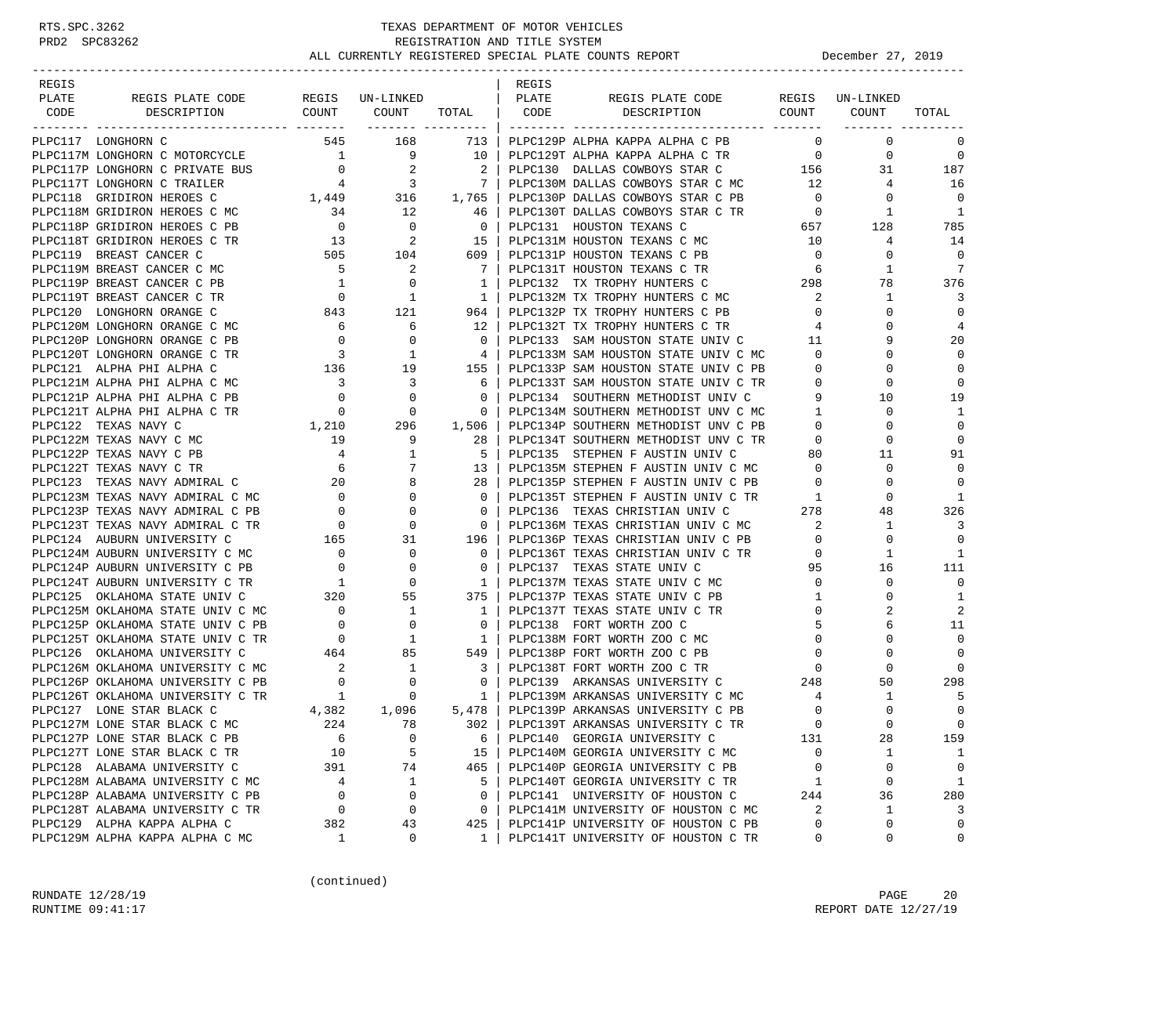| REGIS |                                                                        |                                                                   |                                                                                                                 |                                  | REGIS        |                                                                               |                  |                 |                |
|-------|------------------------------------------------------------------------|-------------------------------------------------------------------|-----------------------------------------------------------------------------------------------------------------|----------------------------------|--------------|-------------------------------------------------------------------------------|------------------|-----------------|----------------|
| PLATE | REGIS PLATE CODE                                                       |                                                                   | REGIS UN-LINKED                                                                                                 |                                  | <b>PLATE</b> | REGIS PLATE CODE<br>DESCRIPTION COUNT COUNT                                   |                  | REGIS UN-LINKED |                |
| CODE  | DESCRIPTION                                                            |                                                                   | COUNT COUNT TOTAL   CODE                                                                                        | ------- --------- <b>-</b>       |              |                                                                               |                  |                 | TOTAL          |
|       | PLPC117 LONGHORN C                                                     | 545                                                               | 168                                                                                                             | 713                              |              | PLPC129P ALPHA KAPPA ALPHA C PB                                               | $\overline{0}$   | $\mathbf 0$     | $\mathbf 0$    |
|       | PLPC117M LONGHORN C MOTORCYCLE                                         |                                                                   | $\begin{array}{ccccccc} & & & & 1 & & 9 & & 10 \\ & & & & & 0 & & 2 & & 2 \\ & & & & 4 & & 3 & & 7 \end{array}$ |                                  |              | PLPC129T ALPHA KAPPA ALPHA C TR 0                                             |                  | $\mathbf 0$     | $\mathbf 0$    |
|       | PLPC117P LONGHORN C PRIVATE BUS                                        |                                                                   |                                                                                                                 |                                  |              |                                                                               |                  |                 | 187            |
|       | PLPC117T LONGHORN C TRAILER                                            |                                                                   |                                                                                                                 |                                  |              |                                                                               |                  |                 | 16             |
|       | PLPC118 GRIDIRON HEROES C                                              |                                                                   | $1,449$ $316$ $1,765$                                                                                           |                                  |              |                                                                               |                  |                 | $\Omega$       |
|       | PLPC118M GRIDIRON HEROES C MC                                          | 34                                                                | 12                                                                                                              | 46                               |              |                                                                               |                  |                 | $\overline{1}$ |
|       | PLPC118P GRIDIRON HEROES C PB                                          |                                                                   |                                                                                                                 | $\overline{0}$                   |              |                                                                               |                  |                 | 785            |
|       | PLPC118T GRIDIRON HEROES C TR                                          |                                                                   | $\begin{array}{ccc} & 0 & & 0 \\ 13 & & 2 \\ 505 & & 104 \end{array}$                                           | $15-1$                           |              |                                                                               |                  |                 | 14             |
|       | PLPC119 BREAST CANCER C                                                |                                                                   |                                                                                                                 | $609$                            |              | PLPC131P HOUSTON TEXANS C PB                                                  | $\overline{0}$   | $\Omega$        | $\Omega$       |
|       | PLPC119M BREAST CANCER C MC                                            | $\frac{5}{1}$                                                     | $\overline{\phantom{a}}$                                                                                        | 7 <sup>1</sup>                   |              | PLPC131T HOUSTON TEXANS C TR<br>PLPC132 TX TROPHY HUNTERS C 298               |                  | 1               | 7              |
|       | PLPC119P BREAST CANCER C PB                                            |                                                                   | $\overline{0}$                                                                                                  | $\mathbf{1}$                     |              |                                                                               |                  | 78              | 376            |
|       | PLPC119T BREAST CANCER C TR                                            |                                                                   | $\begin{matrix}&&&1\\&&&3\\843&&&121\end{matrix}$                                                               | $\overline{1}$                   |              | PLPC132M TX TROPHY HUNTERS C MC                                               | 2                | $\mathbf{1}$    | 3              |
|       | PLPC120 LONGHORN ORANGE C                                              |                                                                   |                                                                                                                 | 964 l                            |              | PLPC132P TX TROPHY HUNTERS C PB                                               | $\overline{0}$   | $\Omega$        | $\Omega$       |
|       | PLPC120M LONGHORN ORANGE C MC                                          | 6                                                                 | 6                                                                                                               | $\frac{12}{ }$                   |              | PLPC132T TX TROPHY HUNTERS C TR                                               | 4                | $\Omega$        | 4              |
|       | PLPC120P LONGHORN ORANGE C PB                                          | $\overline{0}$                                                    | $\begin{matrix}0\\1\end{matrix}$                                                                                | $\overline{0}$                   |              | PLPC133 SAM HOUSTON STATE UNIV C 11<br>PLPC133M SAM HOUSTON STATE UNIV C MC 0 |                  | 9               | 20             |
|       | PLPC120T LONGHORN ORANGE C TR                                          | $\overline{\phantom{a}}$                                          |                                                                                                                 | 4                                |              |                                                                               |                  | $\Omega$        | $\mathbf 0$    |
|       | PLPC121 ALPHA PHI ALPHA C                                              | 136                                                               | 19                                                                                                              | 155                              |              | PLPC133P SAM HOUSTON STATE UNIV C PB                                          | $\overline{0}$   | 0               | $\mathbf 0$    |
|       | PLPC121M ALPHA PHI ALPHA C MC                                          | $\overline{\mathbf{3}}$                                           | 3                                                                                                               | 6                                |              | PLPC133T SAM HOUSTON STATE UNIV C TR                                          | $\overline{0}$   | 0               | $\Omega$       |
|       | PLPC121P ALPHA PHI ALPHA C PB                                          | $\overline{0}$                                                    | $\mathbf 0$                                                                                                     | $\mathbf 0$                      |              | PLPC134 SOUTHERN METHODIST UNIV C                                             | 9                | 10              | 19             |
|       | PLPC121T ALPHA PHI ALPHA C TR                                          | $\overline{0}$<br>$\begin{smallmatrix}&&0\1,210\end{smallmatrix}$ | $\overline{0}$                                                                                                  | $\circ$                          |              | PLPC134M SOUTHERN METHODIST UNV C MC                                          | $\overline{1}$   | 0               | 1              |
|       | PLPC122 TEXAS NAVY C                                                   |                                                                   | 296                                                                                                             | 1,506                            |              | PLPC134P SOUTHERN METHODIST UNV C PB                                          | $\overline{0}$   | $\Omega$        | $\mathbf 0$    |
|       | PLPC122M TEXAS NAVY C MC                                               | 19                                                                | 9                                                                                                               | 28                               |              | PLPC134T SOUTHERN METHODIST UNV C TR                                          | $\overline{0}$   | 0               | $\mathbf 0$    |
|       | PLPC122P TEXAS NAVY C PB                                               | $\frac{4}{6}$                                                     | 1                                                                                                               | -5                               |              | PLPC135 STEPHEN F AUSTIN UNIV C                                               | 80               | 11              | 91             |
|       | PLPC122T TEXAS NAVY C TR                                               |                                                                   | 7                                                                                                               | 13                               |              | PLPC135M STEPHEN F AUSTIN UNIV C MC 0                                         |                  | $\Omega$        | $\Omega$       |
|       | PLPC123 TEXAS NAVY ADMIRAL C                                           | 20                                                                | 8                                                                                                               | 28                               |              | PLPC135P STEPHEN F AUSTIN UNIV C PB<br>PLPC135P STEPHEN F AUSTIN UNIV C TR    | $\mathbf{0}$     | 0               | $\Omega$       |
|       | PLPC123M TEXAS NAVY ADMIRAL C MC                                       | $\overline{0}$                                                    | $\Omega$                                                                                                        | $\overline{0}$                   |              |                                                                               | $\mathbf{1}$     | $\Omega$        | 1              |
|       | PLPC123P TEXAS NAVY ADMIRAL C PB                                       | $\overline{\phantom{a}}$                                          | 0                                                                                                               | $\overline{\phantom{0}}$         |              | PLPC136 TEXAS CHRISTIAN UNIV C                                                | 278              | 48              | 326            |
|       | PLPC123T TEXAS NAVY ADMIRAL C TR                                       | $\overline{0}$                                                    | $\mathbf 0$                                                                                                     | $\overline{0}$                   |              | PLPC136M TEXAS CHRISTIAN UNIV C MC                                            | 2                | $\mathbf{1}$    | 3              |
|       | PLPC124 AUBURN UNIVERSITY C                                            | 165                                                               | 31                                                                                                              | 196                              |              | PLPC136P TEXAS CHRISTIAN UNIV C PB                                            | $\mathbf 0$      | 0               | $\Omega$       |
|       | PLPC124M AUBURN UNIVERSITY C MC                                        | $\begin{matrix}0\\0\end{matrix}$                                  | 0                                                                                                               | $\overline{0}$                   |              | PLPC136T TEXAS CHRISTIAN UNIV C TR                                            | $\circ$          | 1               | -1             |
|       | PLPC124P AUBURN UNIVERSITY C PB                                        |                                                                   | $\mathbf 0$                                                                                                     | $\overline{0}$                   |              | PLPC137 TEXAS STATE UNIV C                                                    | 95               | 16              | 111            |
|       | PLPC124T AUBURN UNIVERSITY C TR                                        | $\begin{array}{c} 1 \\ 320 \end{array}$                           | 0                                                                                                               | $\overline{\phantom{a}}$         |              | PLPC137M TEXAS STATE UNIV C MC                                                | $\overline{0}$   | 0               | $\mathbf 0$    |
|       | PLPC125 OKLAHOMA STATE UNIV C                                          |                                                                   | 55                                                                                                              | 375                              |              | PLPC137P TEXAS STATE UNIV C PB                                                | $\mathbf{1}$     | 0               | 1              |
|       | PLPC125M OKLAHOMA STATE UNIV C MC<br>PLPC125P OKLAHOMA STATE UNIV C PB | $\frac{0}{2}$                                                     | $\mathbf{1}$                                                                                                    | $\overline{1}$<br>$\overline{0}$ |              | PLPC137T TEXAS STATE UNIV C TR<br>PLPC138 FORT WORTH ZOO C                    | $\mathbf 0$<br>5 |                 | 2<br>11        |
|       | PLPC125T OKLAHOMA STATE UNIV C TR                                      | $\begin{array}{c} 0 \\ 0 \end{array}$                             | $\mathbf{0}$<br>$\frac{1}{2}$                                                                                   | $\overline{1}$                   |              | PLPC138M FORT WORTH ZOO C MC                                                  | $\mathbf 0$      | 6<br>$\Omega$   | $\mathbf 0$    |
|       | PLPC126 OKLAHOMA UNIVERSITY C                                          |                                                                   |                                                                                                                 | $549$                            |              | PLPC138P FORT WORTH ZOO C PB                                                  | $\overline{0}$   | 0               | $\Omega$       |
|       | PLPC126M OKLAHOMA UNIVERSITY C MC                                      |                                                                   | 464 85<br>$\mathbf{1}$                                                                                          | $\overline{\phantom{0}}$ 3       |              | PLPC138T FORT WORTH ZOO C TR                                                  | $\overline{0}$   | $\Omega$        | $\Omega$       |
|       | PLPC126P OKLAHOMA UNIVERSITY C PB                                      | $\begin{array}{c} 2 \\ 0 \end{array}$                             | 0                                                                                                               | $\overline{0}$                   |              | PLPC139 ARKANSAS UNIVERSITY C 248                                             |                  | 50              | 298            |
|       | PLPC126T OKLAHOMA UNIVERSITY C TR                                      | $\overline{1}$                                                    | $\mathbf{0}$                                                                                                    | $\mathbf{1}$                     |              | PLPC139M ARKANSAS UNIVERSITY C MC                                             | 4                | $\mathbf{1}$    | -5             |
|       | PLPC127 LONE STAR BLACK C                                              | C TR $\begin{array}{c} 1 \\ 4,382 \end{array}$                    | 1,096                                                                                                           | 5,478                            |              | PLPC139P ARKANSAS UNIVERSITY C PB                                             | $\mathbf 0$      | $\Omega$        | $\mathbf 0$    |
|       | PLPC127M LONE STAR BLACK C MC                                          | 224                                                               | 78                                                                                                              | 302                              |              | PLPC139T ARKANSAS UNIVERSITY C TR                                             | $\Omega$         | $\Omega$        | $\Omega$       |
|       | PLPC127P LONE STAR BLACK C PB                                          | 6                                                                 | $\mathbf 0$                                                                                                     | 6                                |              | PLPC140 GEORGIA UNIVERSITY C                                                  | 131              | 28              | 159            |
|       | PLPC127T LONE STAR BLACK C TR                                          | 10                                                                | 5                                                                                                               | 15                               |              | PLPC140M GEORGIA UNIVERSITY C MC                                              | 0                | 1               | 1              |
|       | PLPC128 ALABAMA UNIVERSITY C                                           | 391                                                               | 74                                                                                                              | 465                              |              | PLPC140P GEORGIA UNIVERSITY C PB                                              | 0                | 0               | 0              |
|       | PLPC128M ALABAMA UNIVERSITY C MC                                       | 4                                                                 | 1                                                                                                               | 5                                |              | PLPC140T GEORGIA UNIVERSITY C TR                                              | 1                | 0               | 1              |
|       | PLPC128P ALABAMA UNIVERSITY C PB                                       | $\mathbf 0$                                                       | 0                                                                                                               | 0                                |              | PLPC141 UNIVERSITY OF HOUSTON C                                               | 244              | 36              | 280            |
|       | PLPC128T ALABAMA UNIVERSITY C TR                                       | 0                                                                 | 0                                                                                                               | 0                                |              | PLPC141M UNIVERSITY OF HOUSTON C MC                                           | 2                | 1               | 3              |
|       | PLPC129 ALPHA KAPPA ALPHA C                                            | 382                                                               | 43                                                                                                              | 425                              |              | PLPC141P UNIVERSITY OF HOUSTON C PB                                           | $\Omega$         | 0               | $\mathbf 0$    |
|       | PLPC129M ALPHA KAPPA ALPHA C MC                                        | 1                                                                 | 0                                                                                                               | $\mathbf{1}$                     |              | PLPC141T UNIVERSITY OF HOUSTON C TR                                           | 0                | 0               | 0              |

(continued)

RUNDATE  $12/28/19$  PAGE 20 RUNTIME 09:41:17 REPORT DATE 12/27/19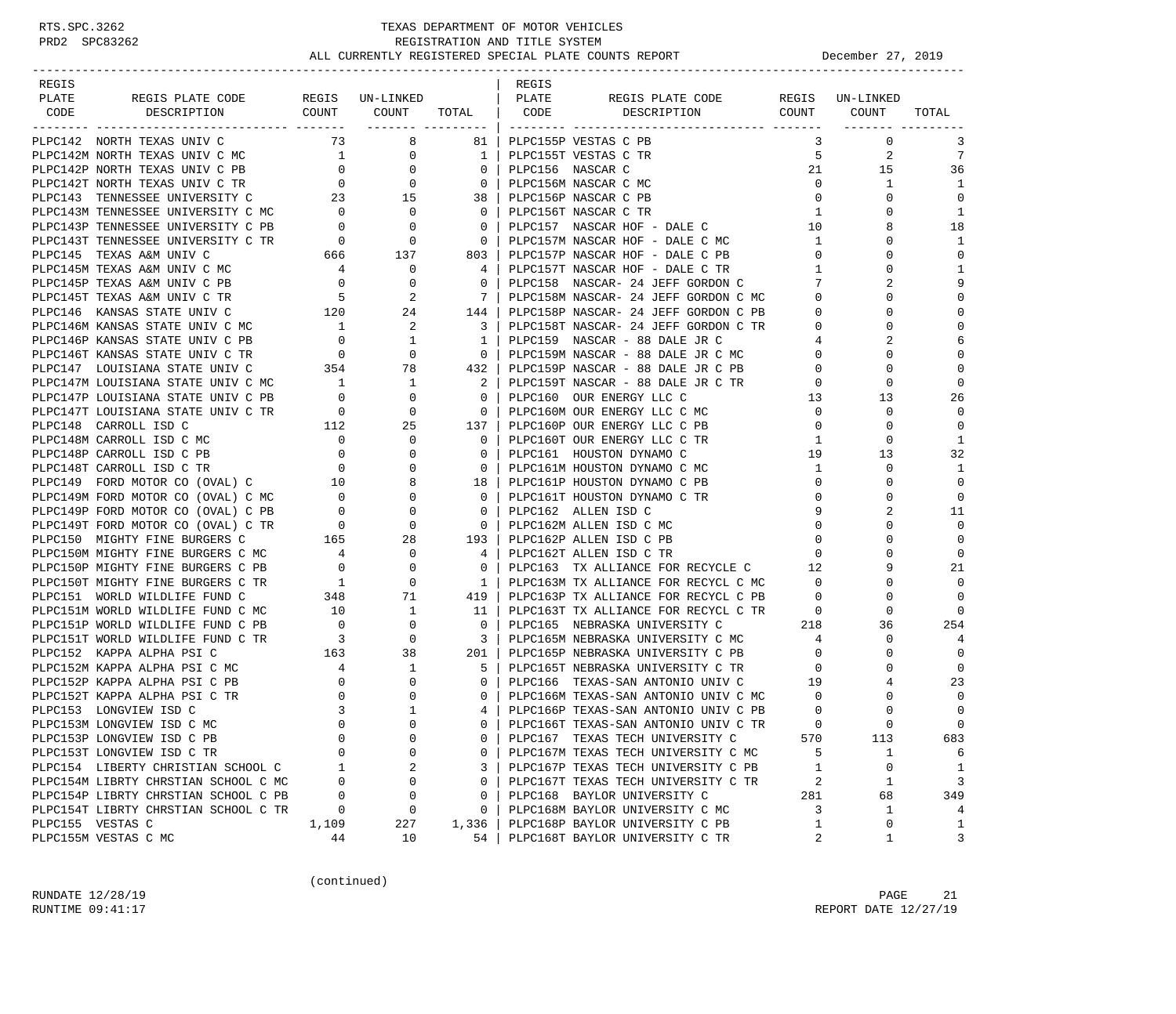-----------------------------------------------------------------------------------------------------------------------------------

| <b>REGIS</b> |                                                                                                                                                                                                                               |  | REGIS |  |                  |                          |
|--------------|-------------------------------------------------------------------------------------------------------------------------------------------------------------------------------------------------------------------------------|--|-------|--|------------------|--------------------------|
| PLATE        |                                                                                                                                                                                                                               |  |       |  |                  |                          |
| CODE         | The state and the state of the state of the state of the state of the state of the state of the state of the state of the state of the state of the state of the state of the state of the state of the state of the state of |  |       |  |                  | TOTAL                    |
|              |                                                                                                                                                                                                                               |  |       |  | ------- -------- |                          |
|              |                                                                                                                                                                                                                               |  |       |  |                  | 3                        |
|              |                                                                                                                                                                                                                               |  |       |  |                  | 7                        |
|              |                                                                                                                                                                                                                               |  |       |  |                  | 36                       |
|              |                                                                                                                                                                                                                               |  |       |  |                  | 1                        |
|              |                                                                                                                                                                                                                               |  |       |  |                  | $\Omega$                 |
|              |                                                                                                                                                                                                                               |  |       |  |                  | $\overline{1}$           |
|              |                                                                                                                                                                                                                               |  |       |  |                  | 18                       |
|              |                                                                                                                                                                                                                               |  |       |  |                  | $\mathbf{1}$             |
|              |                                                                                                                                                                                                                               |  |       |  |                  | $\mathbf 0$              |
|              |                                                                                                                                                                                                                               |  |       |  |                  | $\mathbf{1}$             |
|              |                                                                                                                                                                                                                               |  |       |  |                  | 9                        |
|              |                                                                                                                                                                                                                               |  |       |  |                  | $\Omega$                 |
|              |                                                                                                                                                                                                                               |  |       |  |                  | $\Omega$                 |
|              |                                                                                                                                                                                                                               |  |       |  |                  |                          |
|              |                                                                                                                                                                                                                               |  |       |  |                  |                          |
|              |                                                                                                                                                                                                                               |  |       |  |                  |                          |
|              |                                                                                                                                                                                                                               |  |       |  |                  |                          |
|              |                                                                                                                                                                                                                               |  |       |  |                  | $\Omega$                 |
|              |                                                                                                                                                                                                                               |  |       |  |                  | 26                       |
|              |                                                                                                                                                                                                                               |  |       |  |                  | $\Omega$                 |
|              |                                                                                                                                                                                                                               |  |       |  |                  | $\mathbf 0$              |
|              |                                                                                                                                                                                                                               |  |       |  |                  | $\mathbf{1}$             |
|              |                                                                                                                                                                                                                               |  |       |  |                  | 32                       |
|              |                                                                                                                                                                                                                               |  |       |  |                  | -1                       |
|              |                                                                                                                                                                                                                               |  |       |  |                  | $\Omega$                 |
|              |                                                                                                                                                                                                                               |  |       |  |                  | $\mathbf 0$              |
|              |                                                                                                                                                                                                                               |  |       |  |                  | 11                       |
|              |                                                                                                                                                                                                                               |  |       |  |                  | $\Omega$                 |
|              |                                                                                                                                                                                                                               |  |       |  |                  | $\Omega$                 |
|              |                                                                                                                                                                                                                               |  |       |  |                  | 0                        |
|              |                                                                                                                                                                                                                               |  |       |  |                  | 21                       |
|              |                                                                                                                                                                                                                               |  |       |  |                  |                          |
|              |                                                                                                                                                                                                                               |  |       |  |                  |                          |
|              |                                                                                                                                                                                                                               |  |       |  |                  |                          |
|              |                                                                                                                                                                                                                               |  |       |  |                  | 254                      |
|              |                                                                                                                                                                                                                               |  |       |  |                  |                          |
|              |                                                                                                                                                                                                                               |  |       |  |                  |                          |
|              |                                                                                                                                                                                                                               |  |       |  |                  |                          |
|              |                                                                                                                                                                                                                               |  |       |  |                  | 23                       |
|              |                                                                                                                                                                                                                               |  |       |  |                  |                          |
|              |                                                                                                                                                                                                                               |  |       |  |                  |                          |
|              |                                                                                                                                                                                                                               |  |       |  |                  | $\Omega$                 |
|              |                                                                                                                                                                                                                               |  |       |  |                  | 683                      |
|              |                                                                                                                                                                                                                               |  |       |  |                  | 6                        |
|              |                                                                                                                                                                                                                               |  |       |  |                  | $\overline{\phantom{0}}$ |
|              |                                                                                                                                                                                                                               |  |       |  |                  | 3                        |
|              |                                                                                                                                                                                                                               |  |       |  |                  | 349                      |
|              |                                                                                                                                                                                                                               |  |       |  |                  | $\overline{4}$           |
|              |                                                                                                                                                                                                                               |  |       |  |                  | $\overline{\phantom{a}}$ |
|              |                                                                                                                                                                                                                               |  |       |  |                  | 3                        |

(continued)

RUNDATE  $12/28/19$  PAGE 21 RUNTIME 09:41:17 REPORT DATE 12/27/19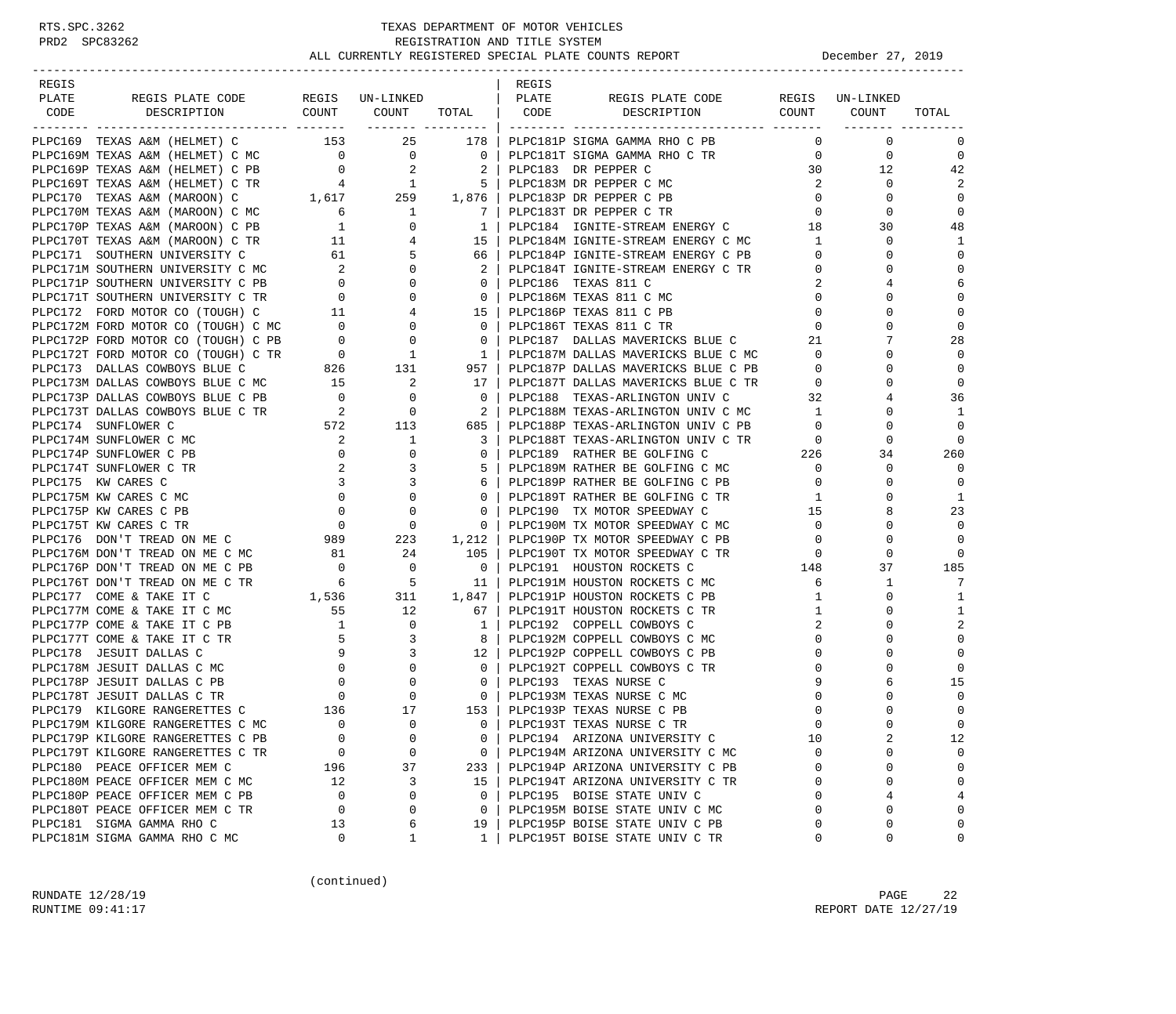| REGIS<br>PLATE |                                                                                                                                                                                                                                            |                                            | REGIS UN-LINKED                                                                |                                                     | REGIS<br>PLATE |                                                                                      |                                     |              |                |
|----------------|--------------------------------------------------------------------------------------------------------------------------------------------------------------------------------------------------------------------------------------------|--------------------------------------------|--------------------------------------------------------------------------------|-----------------------------------------------------|----------------|--------------------------------------------------------------------------------------|-------------------------------------|--------------|----------------|
| CODE           | REGIS PLATE CODE<br>DESCRIPTION                                                                                                                                                                                                            |                                            |                                                                                |                                                     |                | REGIS PLATE CODE REGIS UN-LINKED<br>COUNT COUNT TOTAL   CODE DESCRIPTION COUNT COUNT |                                     |              | TOTAL          |
|                |                                                                                                                                                                                                                                            |                                            |                                                                                |                                                     |                |                                                                                      |                                     |              |                |
|                | PLPC169 TEXAS A&M (HELMET) C 153 25 178   PLPC181P SIGMA GAMMA RHO C PB                                                                                                                                                                    |                                            |                                                                                |                                                     |                |                                                                                      | $\mathbf 0$                         | $\mathbf 0$  | 0              |
|                |                                                                                                                                                                                                                                            |                                            |                                                                                |                                                     |                | PLPC181T SIGMA GAMMA RHO C TR                                                        | $\overline{0}$                      | $\mathbf{0}$ | $\overline{0}$ |
|                |                                                                                                                                                                                                                                            |                                            |                                                                                |                                                     |                |                                                                                      | 30                                  | 12           | 42             |
|                |                                                                                                                                                                                                                                            |                                            |                                                                                |                                                     |                |                                                                                      | $\overline{2}$                      | $\mathbf{0}$ | 2              |
|                |                                                                                                                                                                                                                                            |                                            |                                                                                |                                                     |                |                                                                                      | $\overline{0}$                      | 0            | $\mathbf 0$    |
|                | PIPC169M TEXAS A&M (HELMET) C MC<br>PIPC169M TEXAS A&M (HELMET) C MC<br>PIPC169P TEXAS A&M (HELMET) C PB<br>PIPC169P TEXAS A&M (HELMET) C PB<br>PIPC169P TEXAS A&M (HELMET) C PB<br>PIPC169T TEXAS A&M (HELMET) C TR<br>PIPC169T TEXAS A&M |                                            |                                                                                |                                                     |                |                                                                                      | $\overline{0}$                      | $\Omega$     | $\mathbf 0$    |
|                |                                                                                                                                                                                                                                            |                                            |                                                                                |                                                     |                | PLPC184 IGNITE-STREAM ENERGY C                                                       | 18                                  | 30           | 48             |
|                |                                                                                                                                                                                                                                            |                                            |                                                                                |                                                     |                | 15   PLPC184M IGNITE-STREAM ENERGY C MC                                              | 1                                   | $\Omega$     | 1              |
|                |                                                                                                                                                                                                                                            |                                            |                                                                                |                                                     |                | 66   PLPC184P IGNITE-STREAM ENERGY C PB                                              | $\overline{0}$                      | $\Omega$     | $\mathbf 0$    |
|                |                                                                                                                                                                                                                                            |                                            | $\overline{0}$                                                                 | $\overline{2}$                                      |                | PLPC184T IGNITE-STREAM ENERGY C TR                                                   | $\overline{0}$                      | 0            | $\mathbf 0$    |
|                | PLPC171M SOUTHERN UNIVERSITY C MC 2<br>PLPC171P SOUTHERN UNIVERSITY C PB 0<br>PLPC171T SOUTHERN UNIVERSITY C TR 0                                                                                                                          |                                            | $\mathbf{0}$                                                                   | $\overline{\phantom{0}}$ 0 $\overline{\phantom{0}}$ |                | PLPC186 TEXAS 811 C                                                                  | 2                                   |              | 6              |
|                |                                                                                                                                                                                                                                            |                                            | $\mathbf{0}$                                                                   | $\overline{0}$                                      |                | PLPC186M TEXAS 811 C MC                                                              | $\mathbf{0}$                        | $\Omega$     | $\mathbf 0$    |
|                | PLPC172 FORD MOTOR CO (TOUGH) C                                                                                                                                                                                                            | 11                                         | 4                                                                              |                                                     |                | 15   PLPC186P TEXAS 811 C PB                                                         | $\mathbf{0}$                        | $\Omega$     | $\mathbf 0$    |
|                | PLPC172M FORD MOTOR CO (TOUGH) C MC 0                                                                                                                                                                                                      |                                            | $\mathbf{0}$                                                                   | $\overline{0}$                                      |                | PLPC186T TEXAS 811 C TR                                                              | $\mathbf{0}$                        | $\Omega$     | $\mathbf 0$    |
|                |                                                                                                                                                                                                                                            |                                            |                                                                                | $\overline{0}$                                      |                |                                                                                      | 21                                  |              | 28             |
|                |                                                                                                                                                                                                                                            |                                            |                                                                                | $\frac{1}{2}$                                       |                | PLPC187 DALLAS MAVERICKS BLUE C<br>PLPC187M DALLAS MAVERICKS BLUE C MC               | $\overline{0}$                      |              | $\mathbf 0$    |
|                | PLPC172P FORD MOTOR CO (TOUGH) C PB<br>PLPC172T FORD MOTOR CO (TOUGH) C PB<br>PLPC173T DALLAS COWBOYS BLUE C 826<br>PLPC173M DALLAS COWBOYS BLUE C MC<br>PLPC173P DALLAS COWBOYS BLUE C PB<br>PLPC173P DALLAS COWBOYS BLUE C PB<br>0 0     |                                            |                                                                                | 957                                                 |                | PLPC187P DALLAS MAVERICKS BLUE C PB                                                  | $\overline{0}$                      | $\Omega$     | $\Omega$       |
|                |                                                                                                                                                                                                                                            |                                            |                                                                                | 17 <sup>1</sup>                                     |                |                                                                                      | $\overline{0}$                      | $\Omega$     | $\Omega$       |
|                |                                                                                                                                                                                                                                            |                                            |                                                                                | $\overline{0}$                                      |                | PLPC187T DALLAS MAVERICKS BLUE C TR<br>PLPC188 TEXAS-ARLINGTON UNIV C 32             |                                     |              | 36             |
|                |                                                                                                                                                                                                                                            |                                            | $\overline{0}$                                                                 | $\overline{\phantom{0}}$ 2                          |                | PLPC188M TEXAS-ARLINGTON UNIV C MC 1                                                 |                                     | 0            | 1              |
|                | PLPC173T DALLAS COWBOYS BLUE C TR 2<br>PLPC174 SUNFLOWER C 572                                                                                                                                                                             |                                            | 113                                                                            | 685                                                 |                | PLPC188P TEXAS-ARLINGTON UNIV C PB                                                   | $\overline{0}$                      | $\Omega$     | $\mathbf 0$    |
|                | PLPC174M SUNFLOWER C MC                                                                                                                                                                                                                    |                                            | $\mathbf{1}$                                                                   | 3                                                   |                | PLPC188T TEXAS-ARLINGTON UNIV C TR                                                   | $\overline{0}$                      | $\mathbf 0$  | $\Omega$       |
|                | PLPC174P SUNFLOWER C PB                                                                                                                                                                                                                    |                                            | $\mathbf{0}$                                                                   | $\overline{0}$                                      |                |                                                                                      |                                     | 34           | 260            |
|                | PLPC174T SUNFLOWER C TR                                                                                                                                                                                                                    | $\begin{array}{c} 2 \\ 0 \\ 2 \end{array}$ | 3                                                                              | 5 I                                                 |                |                                                                                      |                                     | $\mathbf 0$  | $\Omega$       |
|                | PLPC175 KW CARES C                                                                                                                                                                                                                         | $\overline{\mathbf{3}}$                    | 3                                                                              | 61                                                  |                | PLPC189P RATHER BE GOLFING C PB                                                      | $\mathbf{0}$                        | 0            | $\mathbf 0$    |
|                | PLPC175M KW CARES C MC                                                                                                                                                                                                                     |                                            | $\frac{3}{0}$<br>$\mathbf 0$                                                   | 0 <sup>1</sup>                                      |                | PLPC189T RATHER BE GOLFING C TR                                                      | $\overline{1}$                      | $\Omega$     | 1              |
|                | PLPC175P KW CARES C PB                                                                                                                                                                                                                     |                                            |                                                                                | $0-1$                                               |                | PLPC190 TX MOTOR SPEEDWAY C                                                          | 15                                  | 8            | 23             |
|                | PLPC175T KW CARES C TR                                                                                                                                                                                                                     |                                            | $\begin{bmatrix} 0 & 0 \\ 0 & 0 \\ 0 & 0 \end{bmatrix}$                        | $\overline{0}$                                      |                | PLPC190M TX MOTOR SPEEDWAY C MC                                                      | $\overline{0}$                      | $\Omega$     | $\Omega$       |
|                | PLPC176 DON'T TREAD ON ME C                                                                                                                                                                                                                |                                            |                                                                                | 1,212                                               |                | PLPC190P TX MOTOR SPEEDWAY C PB                                                      | $\overline{0}$                      | $\Omega$     | $\Omega$       |
|                | PLPC176M DON'T TREAD ON ME C MC                                                                                                                                                                                                            |                                            | $\begin{array}{ccc} 81 & \phantom{00} & 24 \\ 0 & \phantom{0} & 0 \end{array}$ | 105                                                 |                | PLPC190T TX MOTOR SPEEDWAY C TR                                                      | $\overline{0}$                      | 0            | $\Omega$       |
|                | PLPC176P DON'T TREAD ON ME C PB                                                                                                                                                                                                            |                                            |                                                                                | $\begin{array}{c} 105 \\ 0 \end{array}$             |                | PLPC191 HOUSTON ROCKETS C                                                            | $\begin{array}{c}0\\148\end{array}$ | 37           | 185            |
|                | PLPC176T DON'T TREAD ON ME C TR                                                                                                                                                                                                            |                                            |                                                                                | 11                                                  |                | PLPC191M HOUSTON ROCKETS C MC                                                        | 6                                   | 1            | 7              |
|                | PLPC177 COME & TAKE IT C                                                                                                                                                                                                                   |                                            | $\begin{matrix}6 & 5 \\ 1,536 & 311\end{matrix}$<br>311                        | 1,847                                               |                | PLPC191P HOUSTON ROCKETS C PB                                                        | $\mathbf{1}$                        | $\Omega$     | 1              |
|                | PLPC177M COME & TAKE IT C MC 55                                                                                                                                                                                                            |                                            | 12                                                                             | 67                                                  |                | PLPC191T HOUSTON ROCKETS C TR                                                        | $\mathbf{1}$                        | $\Omega$     | 1              |
|                | PLPC177P COME & TAKE IT C PB                                                                                                                                                                                                               |                                            |                                                                                | $\frac{1}{2}$                                       |                | PLPC192 COPPELL COWBOYS C                                                            | 2                                   | $\Omega$     | 2              |
|                | PLPC177T COME & TAKE IT C TR                                                                                                                                                                                                               |                                            |                                                                                | 8 <sup>1</sup>                                      |                | PLPC192M COPPELL COWBOYS C MC                                                        | $\mathbf 0$                         | $\Omega$     | $\mathbf 0$    |
|                | PLPC178 JESUIT DALLAS C                                                                                                                                                                                                                    |                                            |                                                                                | 12                                                  |                | PLPC192P COPPELL COWBOYS C PB                                                        | $\mathbf 0$                         | $\Omega$     | $\mathbf 0$    |
|                | PLPC178M JESUIT DALLAS C MC                                                                                                                                                                                                                |                                            |                                                                                | $\overline{0}$                                      |                | PLPC192T COPPELL COWBOYS C TR                                                        | $\mathbf 0$                         |              | $\mathbf 0$    |
|                | PLPC178P JESUIT DALLAS C PB                                                                                                                                                                                                                |                                            |                                                                                | $\overline{\phantom{0}}$ 0 $\overline{\phantom{0}}$ |                | PLPC193 TEXAS NURSE C                                                                | 9                                   |              | 15             |
|                | PLPC178T JESUIT DALLAS C TR                                                                                                                                                                                                                |                                            |                                                                                | $\overline{\phantom{0}}$ 0 $\overline{\phantom{0}}$ |                | PLPC193M TEXAS NURSE C MC                                                            | 0                                   | 0            | $\mathbf 0$    |
|                | PLPC179 KILGORE RANGERETTES C                                                                                                                                                                                                              |                                            |                                                                                | 153                                                 |                | PLPC193P TEXAS NURSE C PB                                                            | $\mathbf{0}$                        |              | $\mathbf 0$    |
|                | PLPC179M KILGORE RANGERETTES C MC                                                                                                                                                                                                          |                                            |                                                                                | $\Omega$                                            |                | PLPC193T TEXAS NURSE C TR                                                            | $\cap$                              |              | $\Omega$       |
|                | PLPC179P KILGORE RANGERETTES C PB                                                                                                                                                                                                          | $\mathbf 0$                                | $\mathbf 0$                                                                    | 0                                                   |                | PLPC194 ARIZONA UNIVERSITY C                                                         | 10                                  | 2            | 12             |
|                | PLPC179T KILGORE RANGERETTES C TR                                                                                                                                                                                                          | 0                                          | $\mathbf 0$                                                                    | 0                                                   |                | PLPC194M ARIZONA UNIVERSITY C MC                                                     | $\Omega$                            | $\Omega$     | 0              |
|                | PLPC180 PEACE OFFICER MEM C                                                                                                                                                                                                                | 196                                        | 37                                                                             | 233                                                 |                | PLPC194P ARIZONA UNIVERSITY C PB                                                     | 0                                   | 0            | $\mathbf 0$    |
|                | PLPC180M PEACE OFFICER MEM C MC                                                                                                                                                                                                            | 12                                         | 3                                                                              | 15                                                  |                | PLPC194T ARIZONA UNIVERSITY C TR                                                     | $\mathbf 0$                         | $\Omega$     | 0              |
|                | PLPC180P PEACE OFFICER MEM C PB                                                                                                                                                                                                            | 0                                          | 0                                                                              | 0                                                   |                | PLPC195 BOISE STATE UNIV C                                                           | $\Omega$                            | 4            | 4              |
|                | PLPC180T PEACE OFFICER MEM C TR                                                                                                                                                                                                            | 0                                          | 0                                                                              | 0                                                   |                | PLPC195M BOISE STATE UNIV C MC                                                       | $\mathbf 0$                         | $\Omega$     | $\mathbf 0$    |
|                | PLPC181 SIGMA GAMMA RHO C                                                                                                                                                                                                                  | 13                                         | 6                                                                              | 19                                                  |                | PLPC195P BOISE STATE UNIV C PB                                                       | $\Omega$                            | 0            | 0              |
|                | PLPC181M SIGMA GAMMA RHO C MC                                                                                                                                                                                                              | 0                                          | 1                                                                              | $\mathbf{1}$                                        |                | PLPC195T BOISE STATE UNIV C TR                                                       | 0                                   | 0            | 0              |

(continued)

RUNDATE  $12/28/19$  PAGE 22 RUNTIME 09:41:17 REPORT DATE 12/27/19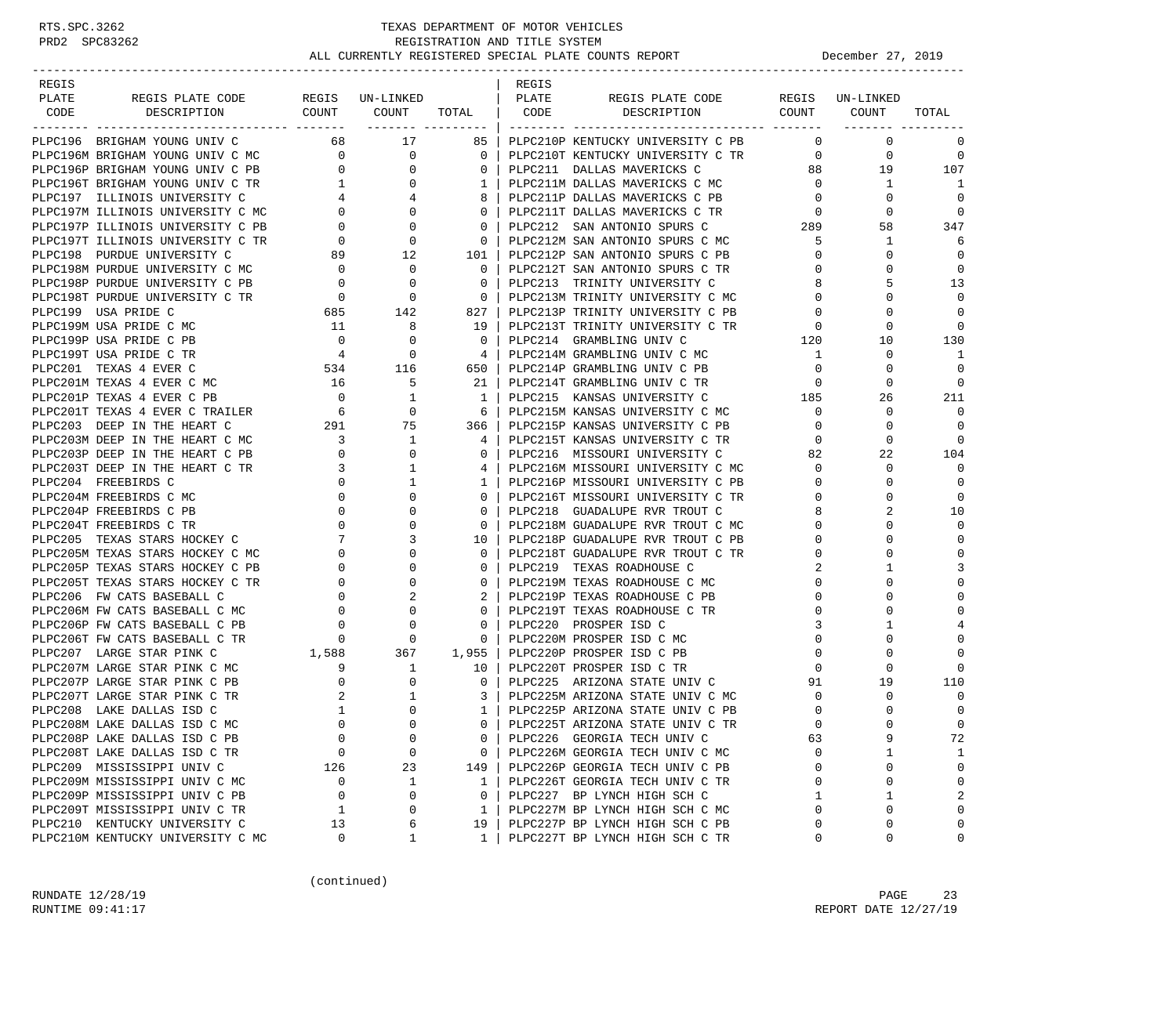## RTS.SPC.3262 TEXAS DEPARTMENT OF MOTOR VEHICLES<br>PRD2 SPC83262 REGISTRATION AND TITLE SYSTEM REGISTRATION AND TITLE SYSTEM ALL CURRENTLY REGISTERED SPECIAL PLATE COUNTS REPORT **DECEMBER 1999** December 27, 2019

-----------------------------------------------------------------------------------------------------------------------------------

| REGIS |                                                                                                                                                                                                                             |  | REGIS |  |                |
|-------|-----------------------------------------------------------------------------------------------------------------------------------------------------------------------------------------------------------------------------|--|-------|--|----------------|
| PLATE |                                                                                                                                                                                                                             |  |       |  |                |
| CODE  |                                                                                                                                                                                                                             |  |       |  |                |
|       | 2006 SECRE ENERGY COMPREHENT COMPREHENT COMPREHENT COMPREHENT COMPREHENT COMPREHENT COMPREHENT COMPREHENT COMPREHENT COMPREHENT COMPREHENT COMPREHENT COMPREHENT COMPREHENT COMPREHENT COMPREHENT COMPREHENT COMPREHENT COM |  |       |  |                |
|       |                                                                                                                                                                                                                             |  |       |  | $\overline{0}$ |
|       |                                                                                                                                                                                                                             |  |       |  |                |
|       |                                                                                                                                                                                                                             |  |       |  |                |
|       |                                                                                                                                                                                                                             |  |       |  |                |
|       |                                                                                                                                                                                                                             |  |       |  | $\overline{0}$ |
|       |                                                                                                                                                                                                                             |  |       |  | $\Omega$       |
|       |                                                                                                                                                                                                                             |  |       |  | 347            |
|       |                                                                                                                                                                                                                             |  |       |  | 6              |
|       |                                                                                                                                                                                                                             |  |       |  | $\Omega$       |
|       |                                                                                                                                                                                                                             |  |       |  | $\mathbf 0$    |
|       |                                                                                                                                                                                                                             |  |       |  | 13             |
|       |                                                                                                                                                                                                                             |  |       |  | $\Omega$       |
|       |                                                                                                                                                                                                                             |  |       |  | $\Omega$       |
|       |                                                                                                                                                                                                                             |  |       |  | $\Omega$       |
|       |                                                                                                                                                                                                                             |  |       |  | 130            |
|       |                                                                                                                                                                                                                             |  |       |  | $\overline{1}$ |
|       |                                                                                                                                                                                                                             |  |       |  | $\Omega$       |
|       |                                                                                                                                                                                                                             |  |       |  | $\Omega$       |
|       |                                                                                                                                                                                                                             |  |       |  | 211            |
|       |                                                                                                                                                                                                                             |  |       |  | $\bigcirc$     |
|       |                                                                                                                                                                                                                             |  |       |  | $\Omega$       |
|       |                                                                                                                                                                                                                             |  |       |  | $\Omega$       |
|       |                                                                                                                                                                                                                             |  |       |  | 104            |
|       |                                                                                                                                                                                                                             |  |       |  | $\Omega$       |
|       |                                                                                                                                                                                                                             |  |       |  | $\mathbf 0$    |
|       |                                                                                                                                                                                                                             |  |       |  | $\Omega$       |
|       |                                                                                                                                                                                                                             |  |       |  | 10             |
|       |                                                                                                                                                                                                                             |  |       |  | $\Omega$       |
|       |                                                                                                                                                                                                                             |  |       |  | $\Omega$       |
|       |                                                                                                                                                                                                                             |  |       |  | $\Omega$       |
|       |                                                                                                                                                                                                                             |  |       |  | 3              |
|       |                                                                                                                                                                                                                             |  |       |  | $\mathbf 0$    |
|       |                                                                                                                                                                                                                             |  |       |  | $\Omega$       |
|       |                                                                                                                                                                                                                             |  |       |  | $\Omega$       |
|       |                                                                                                                                                                                                                             |  |       |  | 4              |
|       |                                                                                                                                                                                                                             |  |       |  | $\Omega$       |
|       |                                                                                                                                                                                                                             |  |       |  | $\Omega$       |
|       |                                                                                                                                                                                                                             |  |       |  | $\Omega$       |
|       |                                                                                                                                                                                                                             |  |       |  | 110            |
|       |                                                                                                                                                                                                                             |  |       |  | $\Omega$       |
|       |                                                                                                                                                                                                                             |  |       |  | $\Omega$       |
|       |                                                                                                                                                                                                                             |  |       |  | $\Omega$       |
|       |                                                                                                                                                                                                                             |  |       |  | 72             |
|       |                                                                                                                                                                                                                             |  |       |  | $\mathbf{1}$   |
|       |                                                                                                                                                                                                                             |  |       |  | $\mathbf 0$    |
|       |                                                                                                                                                                                                                             |  |       |  | $\Omega$       |
|       |                                                                                                                                                                                                                             |  |       |  | $\overline{2}$ |
|       |                                                                                                                                                                                                                             |  |       |  | $\Omega$       |
|       |                                                                                                                                                                                                                             |  |       |  | $\mathbf 0$    |
|       |                                                                                                                                                                                                                             |  |       |  | $\Omega$       |

(continued)

RUNDATE  $12/28/19$  PAGE 23 RUNTIME 09:41:17 **REPORT DATE 12/27/19**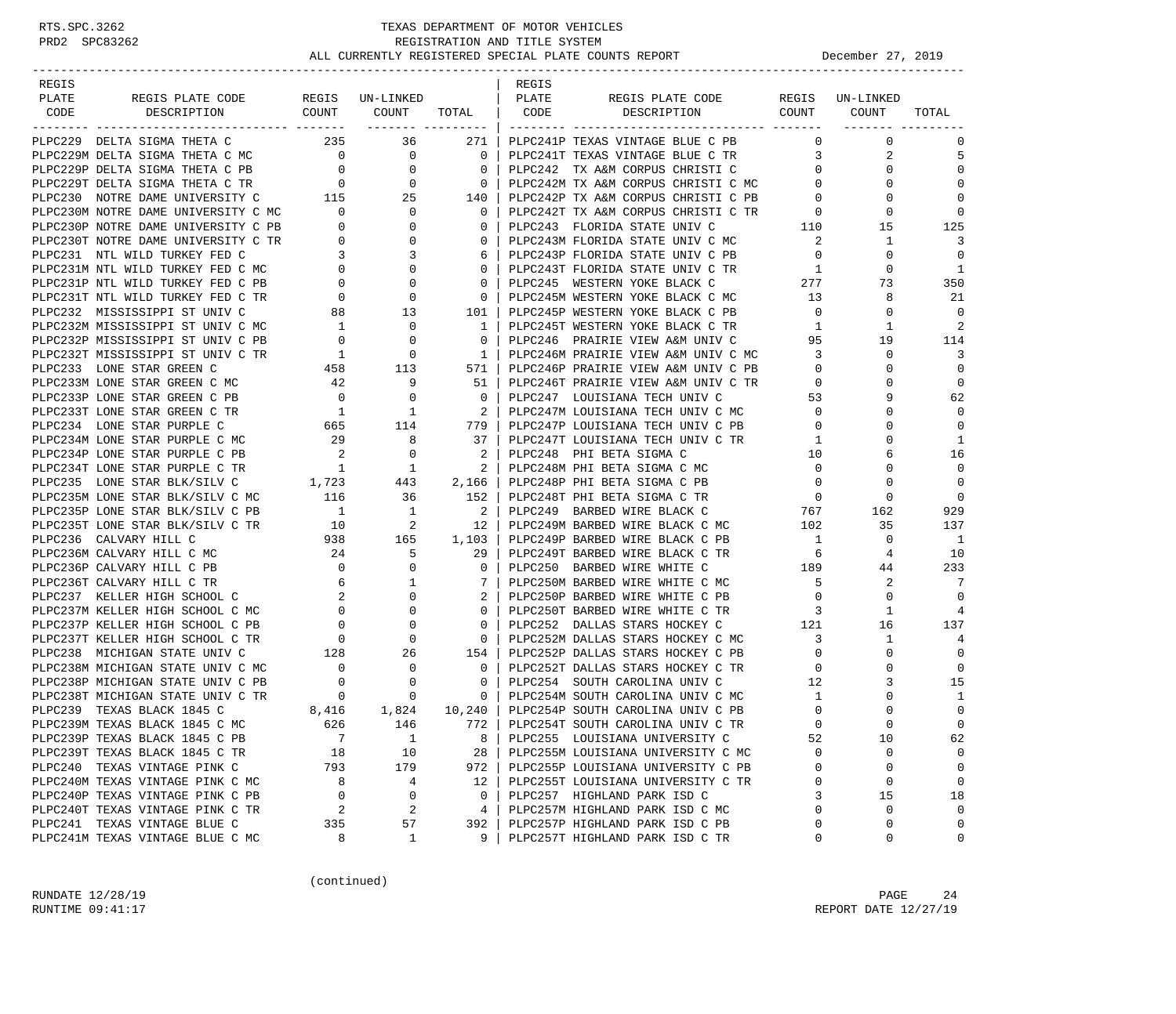| REGIS |                                                                                                                                                                                                                                                                                                                              |                                                                  |                                                              |                                                                       | REGIS |                                                                                                                    |                                         |                                  |                          |
|-------|------------------------------------------------------------------------------------------------------------------------------------------------------------------------------------------------------------------------------------------------------------------------------------------------------------------------------|------------------------------------------------------------------|--------------------------------------------------------------|-----------------------------------------------------------------------|-------|--------------------------------------------------------------------------------------------------------------------|-----------------------------------------|----------------------------------|--------------------------|
| PLATE | REGIS PLATE CODE                                                                                                                                                                                                                                                                                                             |                                                                  | REGIS UN-LINKED                                              |                                                                       | PLATE | REGIS PLATE CODE                                                                                                   |                                         | REGIS UN-LINKED                  |                          |
| CODE  | DESCRIPTION                                                                                                                                                                                                                                                                                                                  |                                                                  | COUNT COUNT TOTAL   CODE                                     |                                                                       |       | DESCRIPTION                                                                                                        | COUNT COUNT                             |                                  | TOTAL                    |
|       | PLPC229 DELTA SIGMA THETA C                                                                                                                                                                                                                                                                                                  |                                                                  | 235 36                                                       | 271 l                                                                 |       | PLPC241P TEXAS VINTAGE BLUE C PB                                                                                   |                                         | $0 \qquad \qquad$<br>$\mathbf 0$ | 0                        |
|       |                                                                                                                                                                                                                                                                                                                              |                                                                  |                                                              | $\overline{0}$                                                        |       | PLPC241T TEXAS VINTAGE BLUE C TR                                                                                   | $\overline{\mathbf{3}}$                 | 2                                | 5                        |
|       |                                                                                                                                                                                                                                                                                                                              |                                                                  |                                                              | $\overline{0}$                                                        |       | PLPC242 TX A&M CORPUS CHRISTI C                                                                                    | $\overline{0}$                          | $\mathbf 0$                      | $\Omega$                 |
|       |                                                                                                                                                                                                                                                                                                                              |                                                                  |                                                              | $\overline{0}$                                                        |       | PLPC242M TX A&M CORPUS CHRISTI C MC 0                                                                              |                                         | $\Omega$                         | $\Omega$                 |
|       | PLPC230 NOTRE DAME UNIVERSITY C 115 25<br>PLPC230M NOTRE DAME UNIVERSITY C MC 0 0                                                                                                                                                                                                                                            |                                                                  |                                                              | 140                                                                   |       |                                                                                                                    |                                         | 0                                | $\Omega$                 |
|       |                                                                                                                                                                                                                                                                                                                              |                                                                  |                                                              | $\overline{\phantom{0}}$ 0 $\overline{\phantom{0}}$                   |       | PLPC242P TX A&M CORPUS CHRISTI C PB 0<br>PLPC242T TX A&M CORPUS CHRISTI C TR 0<br>PLPC243 FLORIDA STATE UNIV C 110 |                                         | $\mathbf 0$                      | $\mathbf 0$              |
|       |                                                                                                                                                                                                                                                                                                                              |                                                                  |                                                              | $\overline{0}$                                                        |       |                                                                                                                    |                                         | 15                               | 125                      |
|       | PLPC230F NOTRE DAME UNIVERSITY C PB<br>PLPC230T NOTRE DAME UNIVERSITY C TR<br>PLPC231 NTL WILD TURKEY FED C 3 3 3<br>PLPC231M NTL WILD TURKEY FED C MC 0 0<br>PLPC231P NTL WILD TURKEY FED C PB 0 0 0<br>PLPC231T NTL WILD TURKEY FED C                                                                                      |                                                                  |                                                              | $\mathbf{0}$                                                          |       | PLPC243M FLORIDA STATE UNIV C MC                                                                                   | $\overline{\phantom{a}}$ 2              | 1                                | 3                        |
|       |                                                                                                                                                                                                                                                                                                                              |                                                                  |                                                              | 6                                                                     |       | PLPC243P FLORIDA STATE UNIV C PB                                                                                   | $\overline{0}$                          | $\mathbf 0$                      | $\Omega$                 |
|       |                                                                                                                                                                                                                                                                                                                              |                                                                  |                                                              | $\circ$                                                               |       |                                                                                                                    |                                         | 0                                | <sup>1</sup>             |
|       |                                                                                                                                                                                                                                                                                                                              |                                                                  |                                                              | $\circ$                                                               |       |                                                                                                                    |                                         | 73                               | 350                      |
|       |                                                                                                                                                                                                                                                                                                                              |                                                                  |                                                              | $\overline{\phantom{0}}$                                              |       | PLPC245M WESTERN YOKE BLACK C MC                                                                                   | 13                                      | 8                                | 21                       |
|       |                                                                                                                                                                                                                                                                                                                              |                                                                  |                                                              | $101$                                                                 |       | PLPC245P WESTERN YOKE BLACK C PB                                                                                   | $\overline{0}$                          | $\mathbf 0$                      | $\Omega$                 |
|       |                                                                                                                                                                                                                                                                                                                              |                                                                  |                                                              | $\overline{1}$                                                        |       | PLPC245T WESTERN YOKE BLACK C TR                                                                                   | $\mathbf{1}$                            | 1                                | $\overline{c}$           |
|       | PLPC232P MISSISSIPPI ST UNIV C PB                                                                                                                                                                                                                                                                                            |                                                                  | 0<br>$\overline{0}$                                          | $\circ$                                                               |       | PLPC246 PRAIRIE VIEW A&M UNIV C                                                                                    | 95                                      | 19                               | 114                      |
|       | PLPC232T MISSISSIPPI ST UNIV C TR                                                                                                                                                                                                                                                                                            |                                                                  |                                                              | $\frac{1}{2}$                                                         |       | PLPC246M PRAIRIE VIEW A&M UNIV C MC                                                                                | $\overline{\mathbf{3}}$                 | $\mathbf 0$                      | 3                        |
|       | PLPC233 LONE STAR GREEN C                                                                                                                                                                                                                                                                                                    | $\begin{array}{c} 88 \\ 1 \\ 0 \\ 1 \\ 458 \\ 42 \\ \end{array}$ | 113                                                          | 571 l                                                                 |       | PLPC246P PRAIRIE VIEW A&M UNIV C PB                                                                                | $\overline{0}$                          | 0                                | $\mathbf 0$              |
|       | PLPC233M LONE STAR GREEN C MC                                                                                                                                                                                                                                                                                                | $\overline{0}$                                                   | 9                                                            | 51 I                                                                  |       | PLPC246T PRAIRIE VIEW A&M UNIV C TR<br>PLPC247  LOUISIANA TECH UNIV C                                              | $\overline{0}$                          | $\Omega$                         | $\mathbf 0$              |
|       | PLPC233P LONE STAR GREEN C PB<br>PLPC233T LONE STAR GREEN C TR                                                                                                                                                                                                                                                               |                                                                  | 0                                                            | $\overline{0}$<br>$\overline{\phantom{0}}$ 2 $\overline{\phantom{0}}$ |       |                                                                                                                    | 53<br>$\overline{0}$                    | 9<br>0                           | 62<br>$\Omega$           |
|       |                                                                                                                                                                                                                                                                                                                              | $\begin{array}{c} 1 \\ 665 \end{array}$                          | $\overline{1}$<br>114                                        | 779 1                                                                 |       | PLPC247M LOUISIANA TECH UNIV C MC<br>PLPC247P LOUISIANA TECH UNIV C PB                                             | $\overline{0}$                          | $\Omega$                         | $\mathbf 0$              |
|       | PLPC234 LONE STAR PURPLE C<br>PLPC234M LONE STAR PURPLE C MC                                                                                                                                                                                                                                                                 |                                                                  | 8                                                            | 37                                                                    |       | PLPC247T LOUISIANA TECH UNIV C TR                                                                                  | $\overline{1}$                          | $\Omega$                         | 1                        |
|       | PLPC234P LONE STAR PURPLE C PB                                                                                                                                                                                                                                                                                               | 29<br>$\overline{\phantom{a}}$                                   | 0                                                            | $2-1$                                                                 |       | PLPC248 PHI BETA SIGMA C                                                                                           | 10                                      | 6                                | 16                       |
|       | PLPC234T LONE STAR PURPLE C TR                                                                                                                                                                                                                                                                                               | $\mathbf{1}$                                                     | $\overline{1}$                                               | $\overline{2}$                                                        |       | PLPC248M PHI BETA SIGMA C MC                                                                                       | $\overline{\phantom{0}}$                | $\Omega$                         | $\Omega$                 |
|       |                                                                                                                                                                                                                                                                                                                              |                                                                  |                                                              | 2,166                                                                 |       | PLPC246m File Deline De De Delpc248P PHI BETA SIGMA C PB 0<br>PLPC248P PHI BETA SIGMA C PB 0                       |                                         | 0                                | $\mathbf 0$              |
|       | PLPC235 LONE STAR BLK/SILV C $1,723$ 443<br>PLPC235M LONE STAR BLK/SILV C MC 116 36                                                                                                                                                                                                                                          |                                                                  |                                                              | 152                                                                   |       |                                                                                                                    |                                         | $\mathbf 0$                      | $\mathbf 0$              |
|       | PLPC235P LONE STAR BLK/SILV C PB $1$ 1                                                                                                                                                                                                                                                                                       |                                                                  |                                                              | $\sim$ 2                                                              |       | PLPC249 BARBED WIRE BLACK C 767                                                                                    |                                         | 162                              | 929                      |
|       | PLPC235T LONE STAR BLK/SILV C TR                                                                                                                                                                                                                                                                                             |                                                                  | $\overline{\mathbf{c}}$                                      | $12-1$                                                                |       | PLPC249M BARBED WIRE BLACK C MC                                                                                    | 102                                     | 35                               | 137                      |
|       | PLPC236 CALVARY HILL C                                                                                                                                                                                                                                                                                                       |                                                                  | $\begin{array}{ccc} 10 & & 2 \\ 938 & & 165 \end{array}$     | 1,103                                                                 |       | PLPC249P BARBED WIRE BLACK C PB                                                                                    | $\overline{1}$                          | 0                                | $\overline{\phantom{0}}$ |
|       | PLPC236M CALVARY HILL C MC                                                                                                                                                                                                                                                                                                   | 24                                                               | 5                                                            | 29                                                                    |       | PLPC249T BARBED WIRE BLACK C TR                                                                                    |                                         | 4                                | 10                       |
|       | PLPC236P CALVARY HILL C PB                                                                                                                                                                                                                                                                                                   | $\overline{0}$                                                   | $\mathbf{0}$                                                 | $\mathbf{0}$                                                          |       | PLPC250 BARBED WIRE WHITE C                                                                                        | $\begin{array}{c} 6 \\ 189 \end{array}$ | 44                               | 233                      |
|       | PLPC236T CALVARY HILL C TR                                                                                                                                                                                                                                                                                                   |                                                                  | 1                                                            | $7\phantom{0}$                                                        |       | PLPC250M BARBED WIRE WHITE C MC                                                                                    | $\overline{5}$                          | 2                                | 7                        |
|       | PLPC237 KELLER HIGH SCHOOL C                                                                                                                                                                                                                                                                                                 |                                                                  | $\mathbf{0}$                                                 | $2-1$                                                                 |       | PLPC250P BARBED WIRE WHITE C PB                                                                                    | $\overline{0}$                          | $\mathbf 0$                      | $\Omega$                 |
|       | PLPC237M KELLER HIGH SCHOOL C MC                                                                                                                                                                                                                                                                                             |                                                                  | $\Omega$                                                     | $\circ$                                                               |       | PLPC250T BARBED WIRE WHITE C TR 3                                                                                  |                                         | 1                                | $\overline{4}$           |
|       | PLPC237P KELLER HIGH SCHOOL C PB                                                                                                                                                                                                                                                                                             |                                                                  | 0                                                            | $\mathbf{0}$                                                          |       | PLPC252 DALLAS STARS HOCKEY C                                                                                      | $\frac{121}{12}$                        | 16                               | 137                      |
|       | $\begin{array}{cccc} \text{C} & \text{C} & \text{C} & \text{C} \\ \text{C} & \text{M} & \text{C} & \text{O} \\ \text{C} & \text{P} & \text{O} & \text{O} \\ \text{C} & \text{C} & \text{R} & \text{O} & \text{O} \\ \text{C} & \text{C} & \text{R} & \text{O} & \text{O} \\ \end{array}$<br>PLPC237T KELLER HIGH SCHOOL C TR |                                                                  | $\overline{0}$                                               | $\overline{0}$                                                        |       | PLPC252M DALLAS STARS HOCKEY C MC                                                                                  | $\overline{3}$                          | $\mathbf{1}$                     | 4                        |
|       | PLPC238 MICHIGAN STATE UNIV C                                                                                                                                                                                                                                                                                                | 128                                                              | 26                                                           | 154                                                                   |       | PLPC252P DALLAS STARS HOCKEY C PB                                                                                  | $\overline{0}$                          | $\mathbf 0$                      | $\Omega$                 |
|       | PLPC238M MICHIGAN STATE UNIV C MC                                                                                                                                                                                                                                                                                            | $\overline{0}$                                                   | $\overline{0}$                                               | $\overline{\phantom{0}}$ 0 $\overline{\phantom{0}}$                   |       | PLPC252T DALLAS STARS HOCKEY C TR                                                                                  | $\overline{0}$                          | 0                                | $\mathbf 0$              |
|       | PLPC238P MICHIGAN STATE UNIV C PB                                                                                                                                                                                                                                                                                            | $\overline{0}$                                                   | 0                                                            | $\circ$                                                               |       | PLPC254 SOUTH CAROLINA UNIV C                                                                                      | 12                                      | 3                                | 15                       |
|       | PLPC238T MICHIGAN STATE UNIV C TR                                                                                                                                                                                                                                                                                            |                                                                  | C TR $\begin{array}{ccc} 0 & 0 \\ 8,416 & 1,824 \end{array}$ | $\overline{\phantom{0}}$ 0 $\overline{\phantom{0}}$                   |       | PLPC254M SOUTH CAROLINA UNIV C MC<br>PLPC254P SOUTH CAROLINA UNIV C PB                                             | $\mathbf{1}$                            | 0                                | 1                        |
|       | PLPC239 TEXAS BLACK 1845 C                                                                                                                                                                                                                                                                                                   |                                                                  |                                                              |                                                                       |       | 10,240   PLPC254P SOUTH CAROLINA UNIV C PB                                                                         | $\overline{0}$                          | $\Omega$                         | $\mathbf 0$              |
|       | PLPC239M TEXAS BLACK 1845 C MC 626                                                                                                                                                                                                                                                                                           |                                                                  | 146                                                          |                                                                       |       | 772   PLPC254T SOUTH CAROLINA UNIV C TR                                                                            | $\Omega$                                | $\Omega$                         | $\Omega$                 |
|       | PLPC239P TEXAS BLACK 1845 C PB                                                                                                                                                                                                                                                                                               | 7                                                                | $\mathbf{1}$                                                 | 8                                                                     |       | PLPC255 LOUISIANA UNIVERSITY C                                                                                     | 52                                      | 10                               | 62                       |
|       | PLPC239T TEXAS BLACK 1845 C TR                                                                                                                                                                                                                                                                                               | 18                                                               | 10                                                           | 28                                                                    |       | PLPC255M LOUISIANA UNIVERSITY C MC                                                                                 | $\Omega$                                | $\mathbf 0$                      | $\mathbf 0$              |
|       | PLPC240 TEXAS VINTAGE PINK C                                                                                                                                                                                                                                                                                                 | 793                                                              | 179                                                          | 972                                                                   |       | PLPC255P LOUISIANA UNIVERSITY C PB                                                                                 | 0                                       | 0                                | $\mathbf 0$              |
|       | PLPC240M TEXAS VINTAGE PINK C MC                                                                                                                                                                                                                                                                                             | 8                                                                | 4                                                            | 12                                                                    |       | PLPC255T LOUISIANA UNIVERSITY C TR                                                                                 | 0                                       | 0                                | 0                        |
|       | PLPC240P TEXAS VINTAGE PINK C PB                                                                                                                                                                                                                                                                                             | $\mathbf 0$                                                      | 0                                                            | 0                                                                     |       | PLPC257 HIGHLAND PARK ISD C                                                                                        |                                         | 15                               | 18                       |
|       | PLPC240T TEXAS VINTAGE PINK C TR                                                                                                                                                                                                                                                                                             | 2                                                                | $\overline{c}$                                               | 4                                                                     |       | PLPC257M HIGHLAND PARK ISD C MC                                                                                    | 0                                       | $\mathbf 0$                      | $\mathbf 0$              |
|       | PLPC241 TEXAS VINTAGE BLUE C                                                                                                                                                                                                                                                                                                 | 335                                                              | 57                                                           | 392                                                                   |       | PLPC257P HIGHLAND PARK ISD C PB                                                                                    | 0                                       | $\mathbf 0$                      | $\Omega$                 |
|       | PLPC241M TEXAS VINTAGE BLUE C MC                                                                                                                                                                                                                                                                                             | 8                                                                | $\mathbf 1$                                                  | 9                                                                     |       | PLPC257T HIGHLAND PARK ISD C TR                                                                                    | 0                                       | 0                                | 0                        |

(continued)

RUNDATE  $12/28/19$  PAGE 24 RUNTIME 09:41:17 REPORT DATE 12/27/19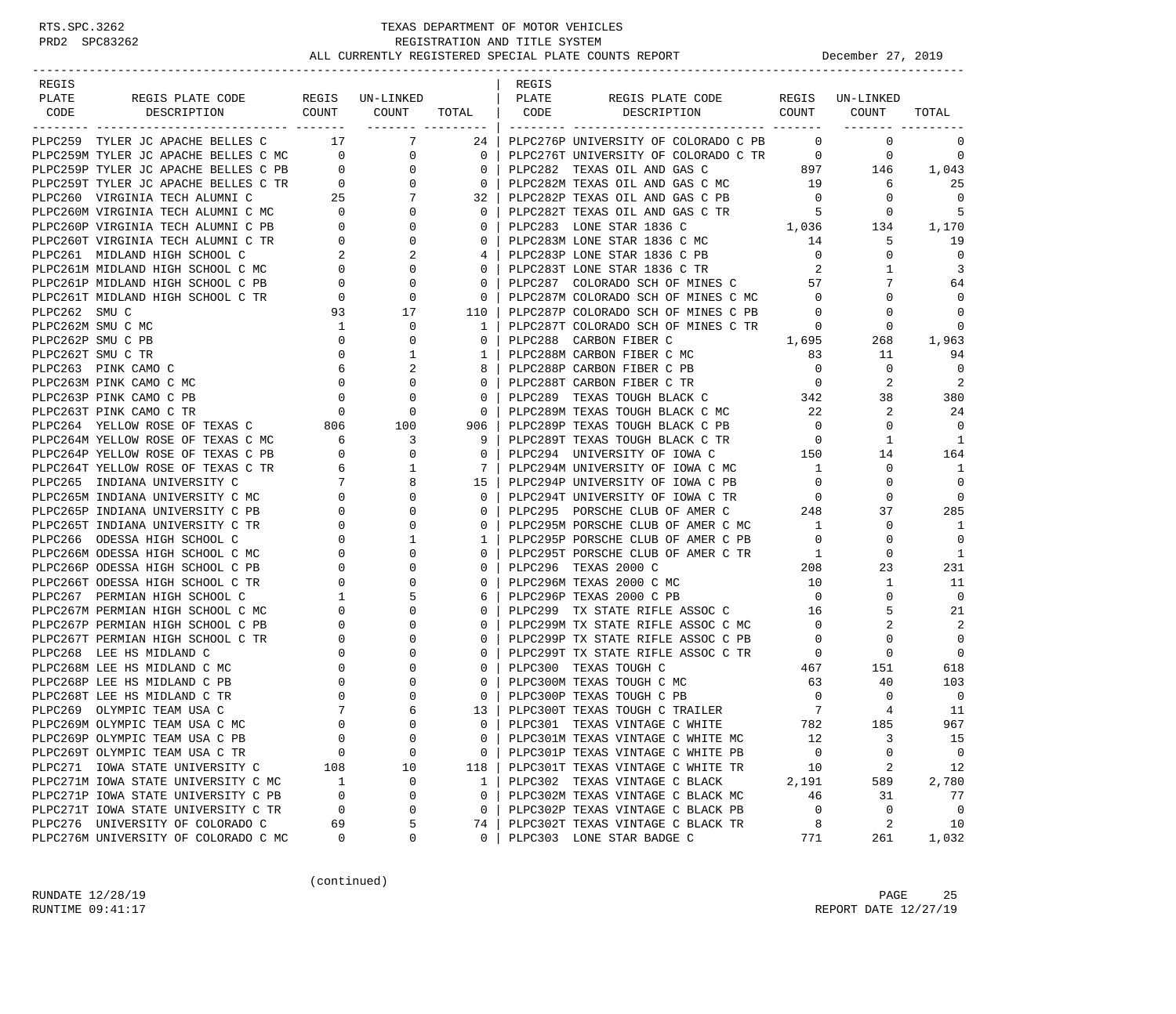| REGIS                                                                                                                                                                                                                                          |                                                 |                                |                                                     | REGIS |                                                                                                                                                        |                                       |                                              |                          |
|------------------------------------------------------------------------------------------------------------------------------------------------------------------------------------------------------------------------------------------------|-------------------------------------------------|--------------------------------|-----------------------------------------------------|-------|--------------------------------------------------------------------------------------------------------------------------------------------------------|---------------------------------------|----------------------------------------------|--------------------------|
| REGIS PLATE CODE REGIS UN-LINKED   PLATE<br>PLATE                                                                                                                                                                                              |                                                 |                                |                                                     |       | REGIS PLATE CODE REGIS UN-LINKED                                                                                                                       |                                       |                                              |                          |
| DESCRIPTION COUNT COUNT TOTAL CODE DESCRIPTION COUNT COUNT<br>CODE                                                                                                                                                                             |                                                 |                                |                                                     |       |                                                                                                                                                        |                                       |                                              | TOTAL                    |
|                                                                                                                                                                                                                                                |                                                 |                                |                                                     |       |                                                                                                                                                        |                                       |                                              |                          |
| PLPC259 TYLER JC APACHE BELLES C                                                                                                                                                                                                               |                                                 | 17 7                           |                                                     |       | 24   PLPC276P UNIVERSITY OF COLORADO C PB                                                                                                              | $\overline{0}$                        | $\overline{0}$                               | 0                        |
| PLPC259M TYLER JC APACHE BELLES C MC 0                                                                                                                                                                                                         |                                                 | $\overline{0}$                 | $\overline{\phantom{0}}$ 0 $\overline{\phantom{0}}$ |       | FIFC282 TEXAS OIL AND GAS C 897 146<br>PLPC282M TEXAS OIL AND GAS C MC 19 6<br>PLPC282P TEXAS OIL AND GAS C MC 19 6<br>PLPC282P TEXAS OIL AND GAS C PB |                                       |                                              | 0                        |
| PIPC259P TYLER JC APACHE BELLES C PB<br>PIPC259P TYLER JC APACHE BELLES C PB<br>PIPC259T TYLER JC APACHE BELLES C TR<br>PIPC260 VIRGINIA TECH ALUMNIC<br>PIPC260 VIRGINIA TECH ALUMNIC VC<br>PIPC260P VIRGINIA TECH ALUMNIC TR<br>PIPC260P     |                                                 |                                | 0 <sup>1</sup>                                      |       |                                                                                                                                                        |                                       |                                              | 1,043                    |
|                                                                                                                                                                                                                                                |                                                 |                                | $\overline{\phantom{0}}$ 0 $\overline{\phantom{0}}$ |       |                                                                                                                                                        |                                       |                                              | 25                       |
|                                                                                                                                                                                                                                                |                                                 |                                | 32                                                  |       |                                                                                                                                                        |                                       |                                              | $\overline{\phantom{0}}$ |
|                                                                                                                                                                                                                                                |                                                 |                                | $\overline{\phantom{0}}$ 0 $\overline{\phantom{0}}$ |       | PLPC282P TEXAS OIL AND GAS C PB<br>PLPC282T TEXAS OIL AND GAS C TR                                                                                     | $\begin{array}{c} 0 \\ 5 \end{array}$ | $\overline{0}$                               | -5                       |
|                                                                                                                                                                                                                                                |                                                 |                                | $\overline{\mathbf{0}}$                             |       | 1,036 134<br>PLPC283 LONE STAR 1836 C                                                                                                                  |                                       |                                              | 1,170                    |
|                                                                                                                                                                                                                                                |                                                 |                                | $\overline{0}$                                      |       | PLPC283M LONE STAR 1836 C MC                                                                                                                           | 14                                    | 5                                            | 19                       |
|                                                                                                                                                                                                                                                |                                                 |                                |                                                     |       | PLPC283P LONE STAR 1836 C PB                                                                                                                           | $\overline{0}$                        | $\mathbf{0}$                                 | $\Omega$                 |
|                                                                                                                                                                                                                                                |                                                 |                                | 0 <sup>1</sup>                                      |       | PLPC283T LONE STAR 1836 C TR                                                                                                                           | $\overline{\mathbf{2}}$               | $\mathbf{1}$                                 | 3                        |
|                                                                                                                                                                                                                                                |                                                 |                                | 0 <sup>1</sup>                                      |       | PLPC287 COLORADO SCH OF MINES C 57                                                                                                                     |                                       | $7\overline{ }$                              | 64                       |
| PLPC261T MIDLAND HIGH SCHOOL C TR                                                                                                                                                                                                              | $\overline{0}$                                  | $\overline{0}$                 | $\overline{\phantom{0}}$                            |       | PLPC287M COLORADO SCH OF MINES C MC                                                                                                                    | $\overline{0}$                        | $\mathbf 0$                                  | $\overline{0}$           |
| PLPC262 SMU C                                                                                                                                                                                                                                  | 93                                              | 17                             | 110 l                                               |       | PLPC287P COLORADO SCH OF MINES C PB                                                                                                                    | $\overline{0}$                        | 0                                            | $\Omega$                 |
| PLPC262M SMU C MC                                                                                                                                                                                                                              | $\overline{\phantom{a}}$                        | $\mathbf{0}$                   | 1                                                   |       | PLPC287T COLORADO SCH OF MINES C TR                                                                                                                    | $\overline{\mathbf{0}}$               | $\mathbf 0$                                  | $\Omega$                 |
| PLPC262P SMU C PB                                                                                                                                                                                                                              | $\overline{0}$                                  | 0                              | $\circ$                                             |       | PLPC288 CARBON FIBER C                                                                                                                                 |                                       | 268                                          |                          |
|                                                                                                                                                                                                                                                |                                                 |                                |                                                     |       |                                                                                                                                                        | 1,695                                 |                                              | 1,963                    |
| PLPC262T SMU C TR                                                                                                                                                                                                                              | $\overline{0}$                                  | $\mathbf{1}$                   | $1 \mid$                                            |       | PLPC288M CARBON FIBER C MC                                                                                                                             | 83                                    | - 11                                         | 94                       |
|                                                                                                                                                                                                                                                |                                                 | 2                              | 81                                                  |       | PLPC288P CARBON FIBER C PB                                                                                                                             | $\overline{0}$                        | $\mathbf 0$                                  | $\overline{0}$           |
|                                                                                                                                                                                                                                                |                                                 | $\mathbf{0}$                   | $\mathbf{0}$                                        |       | PLPC288T CARBON FIBER C TR                                                                                                                             | $\overline{0}$                        | 2                                            | 2                        |
|                                                                                                                                                                                                                                                |                                                 | $\mathbf{0}$                   | $\overline{0}$                                      |       | PLPC289 TEXAS TOUGH BLACK C 342                                                                                                                        |                                       | 38                                           | 380                      |
|                                                                                                                                                                                                                                                |                                                 | $\mathbf{0}$                   | $\overline{0}$                                      |       | PLPC289M TEXAS TOUGH BLACK C MC                                                                                                                        | 22                                    | 2                                            | 24                       |
|                                                                                                                                                                                                                                                |                                                 | 100                            | 906 I                                               |       | PLPC289P TEXAS TOUGH BLACK C PB                                                                                                                        | $\overline{0}$                        | 0                                            | - 0                      |
|                                                                                                                                                                                                                                                |                                                 | 3                              | 9                                                   |       | PLPC289T TEXAS TOUGH BLACK C TR                                                                                                                        | $\overline{a}$                        | 1                                            | 1                        |
| PLPC264 IELLOW ROSE OF TEXAS C MC<br>PLPC264M YELLOW ROSE OF TEXAS C MC<br>PLPC264T YELLOW ROSE OF TEXAS C PB<br>PLPC264T YELLOW ROSE OF TEXAS C TR<br>6<br>PLPC265 INDIANA UNIVERSITY C MC<br>PLPC265M INDIANA UNIVERSITY C MC<br>0<br>PLPC26 |                                                 | $\mathbf{0}$                   | $\overline{0}$                                      |       | PLPC294 UNIVERSITY OF IOWA C                                                                                                                           | 150                                   | 14                                           | 164                      |
|                                                                                                                                                                                                                                                |                                                 | 1                              | 7 <sup>1</sup>                                      |       | PLPC294M UNIVERSITY OF IOWA C MC 1                                                                                                                     |                                       | $\mathbf{0}$                                 | -1                       |
|                                                                                                                                                                                                                                                |                                                 | 8                              | 15 <sub>1</sub>                                     |       | PLPC294M UNIVERSITY OF IOWA C PB<br>PLPC294P UNIVERSITY OF IOWA C TR                                                                                   | $\overline{0}$                        | 0                                            | $\overline{0}$           |
|                                                                                                                                                                                                                                                |                                                 | $\Omega$                       | 0 <sup>1</sup>                                      |       |                                                                                                                                                        | $\overline{0}$                        | $\mathbf 0$                                  | 0                        |
|                                                                                                                                                                                                                                                |                                                 | $\mathbf{0}$                   | $\circ$                                             |       | PLPC295 PORSCHE CLUB OF AMER C 248                                                                                                                     |                                       | 37                                           | 285                      |
| PLPC265T INDIANA UNIVERSITY C TR                                                                                                                                                                                                               | $\overline{0}$                                  | 0                              | $\mathbf{0}$                                        |       | PLPC295M PORSCHE CLUB OF AMER C MC                                                                                                                     | 1                                     | 0                                            | 1                        |
| PLPC266 ODESSA HIGH SCHOOL C                                                                                                                                                                                                                   | $\overline{0}$                                  | 1                              | $\mathbf{1}$                                        |       | PLPC295P PORSCHE CLUB OF AMER C PB                                                                                                                     | $\overline{0}$                        | 0                                            | $\Omega$                 |
| PLPC266M ODESSA HIGH SCHOOL C MC                                                                                                                                                                                                               | $\begin{bmatrix} 0 \\ 0 \\ 0 \end{bmatrix}$     | $\overline{0}$<br>$\mathbf{0}$ | $\mathbf{0}$                                        |       | PLPC295T PORSCHE CLUB OF AMER C TR 1<br>PLPC296 TEXAS 2000 C 208                                                                                       |                                       | 0                                            | -1                       |
| PLPC266P ODESSA HIGH SCHOOL C PB                                                                                                                                                                                                               |                                                 | $\Omega$                       | $\mathbf{0}$                                        |       |                                                                                                                                                        |                                       | 23                                           | 231                      |
| PLPC266T ODESSA HIGH SCHOOL C TR                                                                                                                                                                                                               | $\begin{array}{c} 0 \\ 0 \\ 1 \\ 0 \end{array}$ | 0                              | $\mathbf{0}$                                        |       | PLPC296M TEXAS 2000 C MC                                                                                                                               | 10                                    | $\mathbf{1}$                                 | 11                       |
| PLPC267 PERMIAN HIGH SCHOOL C                                                                                                                                                                                                                  |                                                 | 5                              | 6                                                   |       | PLPC296P TEXAS 2000 C PB                                                                                                                               | $\overline{0}$                        | $\Omega$                                     | $\overline{0}$           |
| PLPC267M PERMIAN HIGH SCHOOL C MC                                                                                                                                                                                                              |                                                 | $\Omega$                       | $\Omega$                                            |       | PLPC299 TX STATE RIFLE ASSOC C 16                                                                                                                      |                                       | 5                                            | 21                       |
| PLPC267P PERMIAN HIGH SCHOOL C PB                                                                                                                                                                                                              |                                                 | $\overline{0}$<br>$\mathbf{0}$ | $\mathbf{0}$                                        |       | PLPC299M TX STATE RIFLE ASSOC C MC                                                                                                                     | $\overline{0}$                        | 2                                            | 2                        |
| PLPC267T PERMIAN HIGH SCHOOL C TR                                                                                                                                                                                                              |                                                 | 0                              | $\mathbf{0}$                                        |       | PLPC299P TX STATE RIFLE ASSOC C PB                                                                                                                     | $\overline{0}$                        | $\Omega$                                     | 0                        |
| PLPC268 LEE HS MIDLAND C                                                                                                                                                                                                                       | $\begin{matrix}0\\0\end{matrix}$                | 0                              | $\overline{0}$                                      |       | PLPC299T TX STATE RIFLE ASSOC C TR                                                                                                                     |                                       | $\begin{matrix} 0 & 0 \\ 0 & 0 \end{matrix}$ | 0                        |
| PLPC268M LEE HS MIDLAND C MC                                                                                                                                                                                                                   | $\overline{0}$                                  | 0                              | $\mathbf{0}$                                        |       | PLPC300 TEXAS TOUGH C                                                                                                                                  |                                       | 467 151                                      | 618                      |
| PLPC268P LEE HS MIDLAND C PB                                                                                                                                                                                                                   | $\overline{0}$                                  | $\Omega$                       | $\circ$                                             |       | PLPC300M TEXAS TOUGH C MC 63                                                                                                                           |                                       | 40                                           | 103                      |
| PLPC268T LEE HS MIDLAND C TR                                                                                                                                                                                                                   | $\overline{0}$                                  | $\mathbf{0}$                   | $\overline{0}$                                      |       | PLPC300P TEXAS TOUGH C PB                                                                                                                              | $\overline{0}$                        | 0                                            | $\overline{\phantom{0}}$ |
| PLPC269 OLYMPIC TEAM USA C                                                                                                                                                                                                                     | $7\overline{ }$                                 | 6                              | $13-1$                                              |       | PLPC300T TEXAS TOUGH C TRAILER                                                                                                                         | $\overline{7}$                        | 4                                            | -11                      |
| PLPC269M OLYMPIC TEAM USA C MC                                                                                                                                                                                                                 | $\Omega$                                        | $\cap$                         | $\Omega$                                            |       | PLPC301 TEXAS VINTAGE C WHITE                                                                                                                          | 782                                   | 185                                          | 967                      |
| PLPC269P OLYMPIC TEAM USA C PB                                                                                                                                                                                                                 | 0                                               | $\mathbf 0$                    | 0                                                   |       | PLPC301M TEXAS VINTAGE C WHITE MC                                                                                                                      | 12                                    | 3                                            | 15                       |
| PLPC269T OLYMPIC TEAM USA C TR                                                                                                                                                                                                                 | $\Omega$                                        |                                |                                                     |       | PLPC301P TEXAS VINTAGE C WHITE PB                                                                                                                      |                                       |                                              |                          |
| PLPC271 IOWA STATE UNIVERSITY C                                                                                                                                                                                                                | 108                                             | 0                              | 0                                                   |       | PLPC301T TEXAS VINTAGE C WHITE TR                                                                                                                      | 0<br>10                               | 0                                            | 0                        |
|                                                                                                                                                                                                                                                |                                                 | 10                             | 118                                                 |       |                                                                                                                                                        |                                       | 2                                            | 12                       |
| PLPC271M IOWA STATE UNIVERSITY C MC                                                                                                                                                                                                            | 1                                               | 0                              | $\mathbf{1}$                                        |       | PLPC302 TEXAS VINTAGE C BLACK                                                                                                                          | 2,191                                 | 589                                          | 2,780                    |
| PLPC271P IOWA STATE UNIVERSITY C PB                                                                                                                                                                                                            | 0                                               | 0                              | 0                                                   |       | PLPC302M TEXAS VINTAGE C BLACK MC                                                                                                                      | 46                                    | 31                                           | 77                       |
| PLPC271T IOWA STATE UNIVERSITY C TR                                                                                                                                                                                                            | 0                                               | 0                              | 0                                                   |       | PLPC302P TEXAS VINTAGE C BLACK PB                                                                                                                      | $\mathbf 0$                           | 0                                            | $\mathbf 0$              |
| PLPC276 UNIVERSITY OF COLORADO C                                                                                                                                                                                                               | 69                                              | 5                              | 74                                                  |       | PLPC302T TEXAS VINTAGE C BLACK TR                                                                                                                      | 8                                     | 2                                            | 10                       |
| PLPC276M UNIVERSITY OF COLORADO C MC                                                                                                                                                                                                           | 0                                               | 0                              | 0                                                   |       | PLPC303 LONE STAR BADGE C                                                                                                                              | 771                                   | 261                                          | 1,032                    |

(continued)

RUNDATE  $12/28/19$  PAGE 25 RUNTIME 09:41:17 REPORT DATE 12/27/19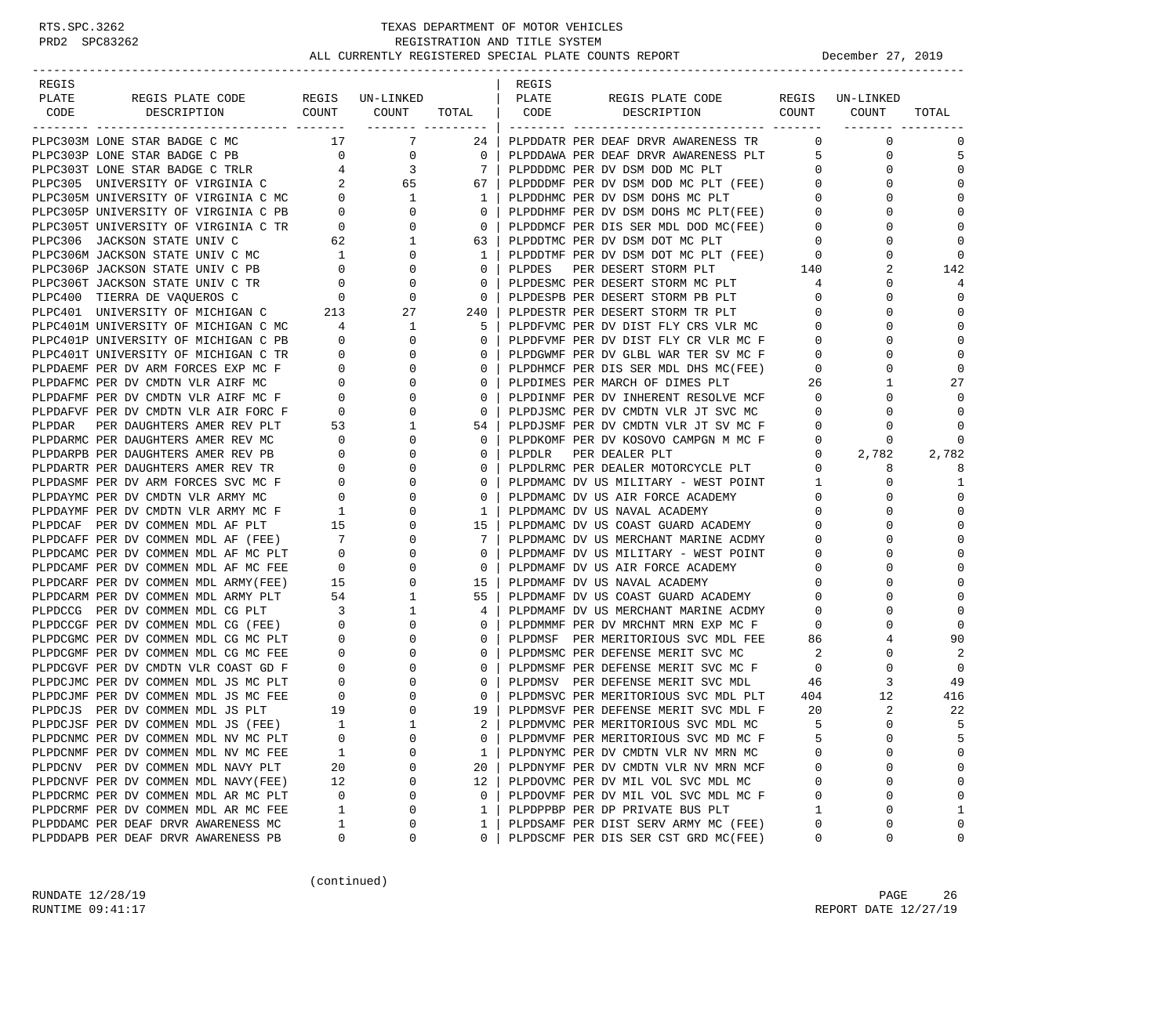| REGIS  |                                                                                  |                                        |                              |              | REGIS  |                                      |                |                 |             |
|--------|----------------------------------------------------------------------------------|----------------------------------------|------------------------------|--------------|--------|--------------------------------------|----------------|-----------------|-------------|
| PLATE  | REGIS PLATE CODE                                                                 |                                        | REGIS UN-LINKED              |              | PLATE  | REGIS PLATE CODE                     |                | REGIS UN-LINKED |             |
| CODE   | DESCRIPTION                                                                      | COUNT                                  | COUNT<br>________ __________ | TOTAL        | CODE   | COUNT<br>DESCRIPTION                 |                | COUNT           | TOTAL       |
|        | PLPC303M LONE STAR BADGE C MC                                                    | 17                                     | $\overline{7}$               | 24           |        | PLPDDATR PER DEAF DRVR AWARENESS TR  | $\mathbf{0}$   | $\mathbf 0$     | 0           |
|        | PLPC303P LONE STAR BADGE C PB                                                    | $\overline{0}$                         | 0                            | $\mathbf{0}$ |        | PLPDDAWA PER DEAF DRVR AWARENESS PLT | 5              | 0               | 5           |
|        | PLPC303T LONE STAR BADGE C TRLR                                                  |                                        | 3                            | 7            |        | PLPDDDMC PER DV DSM DOD MC PLT       | $\mathbf{0}$   | $\Omega$        | $\Omega$    |
|        | PLPC305 UNIVERSITY OF VIRGINIA C                                                 | $\frac{4}{2}$                          | 65                           | 67           |        | PLPDDDMF PER DV DSM DOD MC PLT (FEE) | $\mathbf 0$    | $\Omega$        | $\Omega$    |
|        |                                                                                  |                                        | 1                            | 1            |        | PLPDDHMC PER DV DSM DOHS MC PLT      | $\mathbf{0}$   | 0               | $\Omega$    |
|        | PLPC305M UNIVERSITY OF VIRGINIA C MC 0<br>PLPC305P UNIVERSITY OF VIRGINIA C PB 0 |                                        | $\Omega$                     | $\mathbf 0$  |        | PLPDDHMF PER DV DSM DOHS MC PLT(FEE) | $\overline{0}$ |                 | $\mathbf 0$ |
|        | PLPC305T UNIVERSITY OF VIRGINIA C TR                                             | $\overline{0}$                         | 0                            | 0            |        | PLPDDMCF PER DIS SER MDL DOD MC(FEE) | $\mathbf{0}$   | $\Omega$        | $\Omega$    |
|        | PLPC306 JACKSON STATE UNIV C                                                     |                                        | 1                            | 63           |        | PLPDDTMC PER DV DSM DOT MC PLT       | $\mathbf{0}$   |                 | $\Omega$    |
|        | PLPC306M JACKSON STATE UNIV C MC                                                 | $\begin{array}{c} 62 \\ 1 \end{array}$ | $\Omega$                     | 1            |        | PLPDDTMF PER DV DSM DOT MC PLT (FEE) | $\mathbf 0$    | $\Omega$        | $\Omega$    |
|        | PLPC306P JACKSON STATE UNIV C PB                                                 | $\overline{\phantom{0}}$               | $\mathbf{0}$                 | 0            | PLPDES | PER DESERT STORM PLT                 | 140            | 2               | 142         |
|        | PLPC306T JACKSON STATE UNIV C TR                                                 | $\overline{0}$                         | $\Omega$                     | 0            |        | PLPDESMC PER DESERT STORM MC PLT     | 4              | $\Omega$        | 4           |
|        | PLPC400 TIERRA DE VAQUEROS C                                                     | $\overline{0}$                         | $\mathbf 0$                  | $\mathbf 0$  |        | PLPDESPB PER DESERT STORM PB PLT     | $\mathbf{0}$   | $\Omega$        | $\Omega$    |
|        | PLPC401 UNIVERSITY OF MICHIGAN C                                                 | 213                                    | 27                           | 240          |        | PLPDESTR PER DESERT STORM TR PLT     | $\mathbf{0}$   | $\Omega$        | $\Omega$    |
|        | PLPC401M UNIVERSITY OF MICHIGAN C MC                                             | $\overline{4}$                         | 1                            | 5            |        | PLPDFVMC PER DV DIST FLY CRS VLR MC  | $\mathbf{0}$   | $\Omega$        | $\Omega$    |
|        | PLPC401P UNIVERSITY OF MICHIGAN C PB                                             | $\circ$                                | 0                            | 0            |        | PLPDFVMF PER DV DIST FLY CR VLR MC F | 0              | 0               | $\Omega$    |
|        | PLPC401T UNIVERSITY OF MICHIGAN C TR                                             | $\overline{\phantom{0}}$               | $\Omega$                     | 0            |        | PLPDGWMF PER DV GLBL WAR TER SV MC F | $\mathbf{0}$   |                 | $\mathbf 0$ |
|        | PLPDAEMF PER DV ARM FORCES EXP MC F                                              | $\overline{0}$                         | 0                            | 0            |        | PLPDHMCF PER DIS SER MDL DHS MC(FEE) | $\mathbf{0}$   | $\Omega$        | $\Omega$    |
|        | PLPDAFMC PER DV CMDTN VLR AIRF MC                                                | $\overline{0}$                         | $\Omega$                     | 0            |        | PLPDIMES PER MARCH OF DIMES PLT      | 26             |                 | 27          |
|        | PLPDAFMF PER DV CMDTN VLR AIRF MC F                                              | $\mathbf 0$                            | $\Omega$                     | 0            |        | PLPDINMF PER DV INHERENT RESOLVE MCF | $\mathbf 0$    | $\Omega$        |             |
|        | PLPDAFVF PER DV CMDTN VLR AIR FORC F                                             | $\circ$                                | 0                            | 0            |        | PLPDJSMC PER DV CMDTN VLR JT SVC MC  | $\mathbf{0}$   | 0               | $\Omega$    |
| PLPDAR | PER DAUGHTERS AMER REV PLT                                                       | 53                                     | 1                            | 54           |        | PLPDJSMF PER DV CMDTN VLR JT SV MC F | $\mathbf{0}$   | $\Omega$        | $\Omega$    |
|        | PLPDARMC PER DAUGHTERS AMER REV MC                                               | $\overline{0}$                         | 0                            | 0            |        | PLPDKOMF PER DV KOSOVO CAMPGN M MC F | 0              | 0               | $\Omega$    |
|        | PLPDARPB PER DAUGHTERS AMER REV PB                                               | $\mathbf 0$                            | 0                            | 0            | PLPDLR | PER DEALER PLT                       | $\mathbf{0}$   | 2,782           | 2,782       |
|        | PLPDARTR PER DAUGHTERS AMER REV TR                                               | 0                                      | 0                            | 0            |        | PLPDLRMC PER DEALER MOTORCYCLE PLT   | $\mathbf{0}$   | 8               | 8           |
|        | PLPDASMF PER DV ARM FORCES SVC MC F                                              | $\mathbf{0}$                           | 0                            | 0            |        | PLPDMAMC DV US MILITARY - WEST POINT | 1              | 0               | 1           |
|        | PLPDAYMC PER DV CMDTN VLR ARMY MC                                                | $\mathbf 0$                            | $\Omega$                     | 0            |        | PLPDMAMC DV US AIR FORCE ACADEMY     | $\mathbf 0$    | $\Omega$        | $\mathbf 0$ |
|        | PLPDAYMF PER DV CMDTN VLR ARMY MC F                                              | $\overline{1}$                         | 0                            | 1            |        | PLPDMAMC DV US NAVAL ACADEMY         | 0              | O               | $\Omega$    |
|        | PLPDCAF PER DV COMMEN MDL AF PLT                                                 | 15                                     | $\Omega$                     | 15           |        | PLPDMAMC DV US COAST GUARD ACADEMY   | $\mathbf 0$    |                 | $\Omega$    |
|        | PLPDCAFF PER DV COMMEN MDL AF (FEE)                                              | $\overline{7}$                         | $\Omega$                     | 7            |        | PLPDMAMC DV US MERCHANT MARINE ACDMY | 0              | $\Omega$        | $\Omega$    |
|        | PLPDCAMC PER DV COMMEN MDL AF MC PLT                                             | $\overline{0}$                         | 0                            | 0            |        | PLPDMAMF DV US MILITARY - WEST POINT | 0              | 0               | $\Omega$    |
|        | PLPDCAMF PER DV COMMEN MDL AF MC FEE                                             | $\overline{\phantom{0}}$               | $\Omega$                     | $\mathbf 0$  |        | PLPDMAMF DV US AIR FORCE ACADEMY     | 0              |                 | $\mathbf 0$ |
|        | PLPDCARF PER DV COMMEN MDL ARMY(FEE)                                             | 15                                     | 0                            | 15           |        | PLPDMAMF DV US NAVAL ACADEMY         | 0              | $\Omega$        | $\Omega$    |
|        | PLPDCARM PER DV COMMEN MDL ARMY PLT                                              | 54                                     | 1                            | 55           |        | PLPDMAMF DV US COAST GUARD ACADEMY   | $\mathbf 0$    | $\Omega$        | $\Omega$    |
|        | PLPDCCG PER DV COMMEN MDL CG PLT                                                 | $\overline{\mathbf{3}}$                | 1                            | 4            |        | PLPDMAMF DV US MERCHANT MARINE ACDMY | 0              | $\Omega$        | $\Omega$    |
|        | PLPDCCGF PER DV COMMEN MDL CG (FEE)                                              | $\overline{0}$                         | 0                            | 0            |        | PLPDMMMF PER DV MRCHNT MRN EXP MC F  | 0              | 0               | $\Omega$    |
|        | PLPDCGMC PER DV COMMEN MDL CG MC PLT                                             | $\overline{0}$                         | $\Omega$                     | 0            |        | PLPDMSF PER MERITORIOUS SVC MDL FEE  | 86             | 4               | 90          |
|        | PLPDCGMF PER DV COMMEN MDL CG MC FEE                                             | $\overline{0}$                         | 0                            | 0            |        | PLPDMSMC PER DEFENSE MERIT SVC MC    | 2              | 0               | 2           |
|        | PLPDCGVF PER DV CMDTN VLR COAST GD F                                             | $\mathbf 0$                            | 0                            | 0            |        | PLPDMSMF PER DEFENSE MERIT SVC MC F  | $\overline{0}$ | $\Omega$        | $\Omega$    |
|        | PLPDCJMC PER DV COMMEN MDL JS MC PLT                                             | $\overline{0}$                         | $\Omega$                     | 0            |        | PLPDMSV PER DEFENSE MERIT SVC MDL    | -46            | 3               | 49          |
|        | PLPDCJMF PER DV COMMEN MDL JS MC FEE                                             | $\overline{0}$                         | 0                            | $\mathbf 0$  |        | PLPDMSVC PER MERITORIOUS SVC MDL PLT | 404            | 12              | 416         |
|        | PLPDCJS PER DV COMMEN MDL JS PLT                                                 | 19                                     | $\Omega$                     | 19           |        | PLPDMSVF PER DEFENSE MERIT SVC MDL F | 20             | 2               | 22          |
|        | PLPDCJSF PER DV COMMEN MDL JS (FEE)                                              | <sup>1</sup>                           |                              | $2 \mid$     |        | PLPDMVMC PER MERITORIOUS SVC MDL MC  | 5              | $\Omega$        | 5           |
|        | PLPDCNMC PER DV COMMEN MDL NV MC PLT                                             | 0                                      | 0                            | 0            |        | PLPDMVMF PER MERITORIOUS SVC MD MC F | 5              | $\Omega$        | 5           |
|        | PLPDCNMF PER DV COMMEN MDL NV MC FEE                                             | 1                                      | 0                            | 1            |        | PLPDNYMC PER DV CMDTN VLR NV MRN MC  | 0              | $\Omega$        | 0           |
|        | PLPDCNV PER DV COMMEN MDL NAVY PLT                                               | 20                                     | 0                            | 20           |        | PLPDNYMF PER DV CMDTN VLR NV MRN MCF | 0              | 0               | 0           |
|        | PLPDCNVF PER DV COMMEN MDL NAVY(FEE)                                             | 12                                     | 0                            | 12           |        | PLPDOVMC PER DV MIL VOL SVC MDL MC   | 0              | $\Omega$        | 0           |
|        | PLPDCRMC PER DV COMMEN MDL AR MC PLT                                             | 0                                      | 0                            | 0            |        | PLPDOVMF PER DV MIL VOL SVC MDL MC F | 0              | $\Omega$        | 0           |
|        | PLPDCRMF PER DV COMMEN MDL AR MC FEE                                             | 1                                      | 0                            | 1            |        | PLPDPPBP PER DP PRIVATE BUS PLT      | 1              | $\Omega$        | 1           |
|        | PLPDDAMC PER DEAF DRVR AWARENESS MC                                              | 1                                      | 0                            | 1            |        | PLPDSAMF PER DIST SERV ARMY MC (FEE) | 0              | $\Omega$        | 0           |
|        | PLPDDAPB PER DEAF DRVR AWARENESS PB                                              | 0                                      | 0                            | 0            |        | PLPDSCMF PER DIS SER CST GRD MC(FEE) | 0              | 0               | 0           |

(continued)

RUNDATE  $12/28/19$  PAGE 26 RUNTIME 09:41:17 REPORT DATE 12/27/19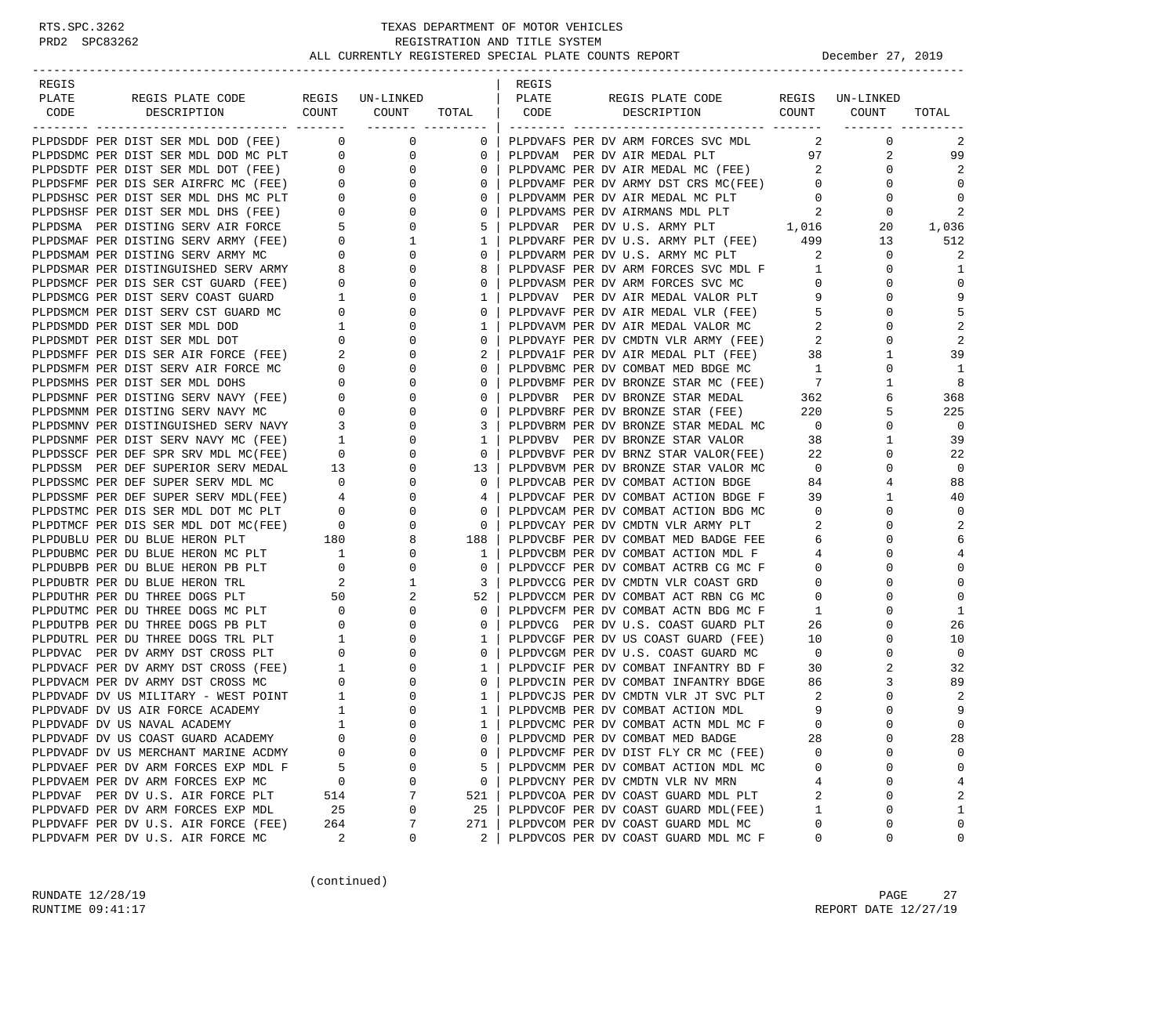| REGIS                                                                                                                                                                                                                                        |                                             |                |                                | REGIS |                                                                             |                            |                 |                               |
|----------------------------------------------------------------------------------------------------------------------------------------------------------------------------------------------------------------------------------------------|---------------------------------------------|----------------|--------------------------------|-------|-----------------------------------------------------------------------------|----------------------------|-----------------|-------------------------------|
| PLATE<br>REGIS PLATE CODE REGIS UN-LINKED                                                                                                                                                                                                    |                                             | COUNT COUNT    |                                | PLATE | REGIS PLATE CODE<br>CODE DESCRIPTION COUNT COUNT                            |                            | REGIS UN-LINKED |                               |
| CODE<br>DESCRIPTION                                                                                                                                                                                                                          |                                             |                | TOTAL                          |       |                                                                             |                            | ________ ______ | TOTAL                         |
| PLPDSDDF PER DIST SER MDL DOD (FEE) 0 0 0                                                                                                                                                                                                    |                                             |                | 0 <sup>1</sup>                 |       | PLPDVAFS PER DV ARM FORCES SVC MDL                                          | $\sim$ 2                   | $\mathbf 0$     | 2                             |
|                                                                                                                                                                                                                                              |                                             |                | $\overline{0}$                 |       | PLPDVAM PER DV AIR MEDAL PLT                                                |                            | 97<br>2         | 99                            |
|                                                                                                                                                                                                                                              |                                             |                | 0                              |       | PLPDVAMC PER DV AIR MEDAL MC (FEE)                                          | $\sim$ 2                   | 0               | 2                             |
|                                                                                                                                                                                                                                              |                                             |                | $\mathbf{0}$                   |       | PLPDVAMF PER DV ARMY DST CRS MC(FEE)                                        | $\overline{0}$             | $\mathbf 0$     | 0                             |
|                                                                                                                                                                                                                                              |                                             |                | $\overline{0}$                 |       | PLPDVAMM PER DV AIR MEDAL MC PLT                                            | $\overline{0}$             | 0               | 0                             |
|                                                                                                                                                                                                                                              |                                             |                | 0 <sup>1</sup>                 |       | PLPDVAMS PER DV AIRMANS MDL PLT                                             | $\overline{\phantom{a}}^2$ | $\mathbf 0$     | 2                             |
|                                                                                                                                                                                                                                              |                                             |                | 5                              |       | PLPDVAR PER DV U.S. ARMY PLT 1,016                                          |                            | 20              | 1,036                         |
| PLPDSDDF PER DIST SER MDL DOD (FEE) 0 0<br>PLPDSDTF PER DIST SER MDL DOD MC PLT<br>PLPDSDTF PER DIST SER MDL DOT (FEE) 0 0<br>PLPDSFMF PER DIST SER AIRFRC MC (FEE) 0 0<br>PLPDSHSC PER DIST SER MDL DHS MC PLT<br>0 0<br>PLPDSMEF PER DIS   |                                             |                | 1 <sup>1</sup>                 |       | PLPDVARF PER DV U.S. ARMY PLT (FEE) 499                                     |                            | 13              | 512                           |
|                                                                                                                                                                                                                                              |                                             |                | $\circ$                        |       | PLPDVARM PER DV U.S. ARMY MC PLT                                            | 2                          | $\mathbf 0$     | 2                             |
|                                                                                                                                                                                                                                              |                                             |                | 8                              |       |                                                                             |                            | 0               | 1                             |
|                                                                                                                                                                                                                                              |                                             |                | 0 <sup>1</sup>                 |       | PLPDVASM PER DV ARM FORCES SVC MC                                           | $\overline{0}$             | $\mathbf 0$     | $\mathbf 0$                   |
|                                                                                                                                                                                                                                              |                                             | $\overline{0}$ | 1                              |       | PLPDVAV PER DV AIR MEDAL VALOR PLT                                          | 9                          | $\mathbf 0$     | 9                             |
|                                                                                                                                                                                                                                              |                                             | $\mathbf 0$    | $0-1$                          |       | PLPDVAVF PER DV AIR MEDAL VLR (FEE)                                         | 5                          | $\Omega$        | 5                             |
|                                                                                                                                                                                                                                              |                                             | $\mathbf{0}$   | $\mathbf{1}$                   |       | PLPDVAVM PER DV AIR MEDAL VALOR MC                                          | 2                          | $\Omega$        | 2                             |
|                                                                                                                                                                                                                                              |                                             | 0              | $\overline{0}$                 |       | PLPDVAYF PER DV CMDTN VLR ARMY (FEE)<br>PLPDVA1F PER DV AIR MEDAL PLT (FEE) | $\overline{2}$             | 0               | 2                             |
| PLPDSMCF PER DIS SERV COAST GUARD<br>PLPDSMCM PER DIST SERV CST GUARD MC<br>PLPDSMCM PER DIST SERV CST GUARD MC<br>PLPDSMDD PER DIST SER MDL DOD 1<br>PLPDSMFF PER DIS SER AIR FORCE (FEE) 2                                                 |                                             | $\overline{0}$ | $2 \mid$                       |       |                                                                             | 38                         | $\mathbf{1}$    | 39                            |
|                                                                                                                                                                                                                                              |                                             | $\overline{0}$ | $\mathbf{0}$                   |       | PLPDVBMC PER DV COMBAT MED BDGE MC 1                                        |                            | 0               | 1                             |
|                                                                                                                                                                                                                                              |                                             | $\mathbf 0$    | $0-1$                          |       | PLPDVBMF PER DV BRONZE STAR MC (FEE)                                        | $7\overline{)}$            | $\mathbf{1}$    | 8                             |
| PLPDSMFM PER DIST SERV AIR FORCE MC<br>PLPDSMMF PER DIST SER MDL DOHS<br>DEPDSMMF PER DISTING SERV NAVY (FEE) 0<br>PLPDSMMM PER DISTING SERV NAVY MC<br>PLPDSMMV PER DISTINGUISHED SERV NAVY 3<br>PLPDSMMV PER DISTINGUISHED SERV NAVY 3     |                                             | $\mathbf{0}$   | 0                              |       | PLPDVBR PER DV BRONZE STAR MEDAL 362                                        |                            | 6               | 368                           |
|                                                                                                                                                                                                                                              |                                             | 0              | $\mathbf{0}$                   |       | PLPDVBRF PER DV BRONZE STAR (FEE)                                           | 220                        | 5               | 225                           |
|                                                                                                                                                                                                                                              |                                             | $\overline{0}$ | 3 I                            |       | PLPDVBRM PER DV BRONZE STAR MEDAL MC                                        | $\overline{\phantom{0}}$   | 0               | $\overline{\phantom{0}}$      |
| PLPDSNMF PER DIST SERV NAVY MC (FEE)                                                                                                                                                                                                         | $\begin{array}{c} 1 \\ 0 \\ 13 \end{array}$ | $\overline{0}$ | $\mathbf{1}$                   |       | PLPDVBV PER DV BRONZE STAR VALOR 38                                         |                            | $\mathbf{1}$    | 39                            |
| PLPDSSCF PER DEF SPR SRV MDL MC(FEE)                                                                                                                                                                                                         |                                             | $\mathbf{0}$   | 0 <sup>1</sup>                 |       | PLPDVBVF PER DV BRNZ STAR VALOR(FEE)                                        | 22                         | 0               | 22                            |
| PLPDSSM PER DEF SUPERIOR SERV MEDAL                                                                                                                                                                                                          |                                             | $\overline{0}$ | 13                             |       | PLPDVBVM PER DV BRONZE STAR VALOR MC                                        | $\overline{0}$             | $\Omega$        | 0                             |
| PLPDSSMC PER DEF SUPER SERV MDL MC<br>PLPDSSMF PER DEF SUPER SERV MDL(FEE) 4<br>0<br>PLPDSTMC PER DIS SER MDL DOT MC PLT 0<br>0<br>PLPDTMCF PER DIS SER MDL DOT MC(FEE) 0<br>0<br>PLPDUBLU PER DU BLUE HERON PLT 180<br>8<br>9<br>8<br>8     |                                             |                | $\overline{0}$                 |       | PLPDVCAB PER DV COMBAT ACTION BDGE                                          | 84                         | 4               | 88                            |
|                                                                                                                                                                                                                                              |                                             |                | 4                              |       | PLPDVCAF PER DV COMBAT ACTION BDGE F                                        | 39                         | $\mathbf{1}$    | 40                            |
|                                                                                                                                                                                                                                              |                                             |                | $\mathbf{0}$<br>0 <sup>1</sup> |       | PLPDVCAM PER DV COMBAT ACTION BDG MC                                        | $\overline{0}$<br>2        | 0<br>$\Omega$   | $\mathbf 0$<br>$\overline{2}$ |
|                                                                                                                                                                                                                                              |                                             |                | 188 l                          |       | PLPDVCAY PER DV CMDTN VLR ARMY PLT<br>PLPDVCBF PER DV COMBAT MED BADGE FEE  | 6                          | $\Omega$        | 6                             |
|                                                                                                                                                                                                                                              |                                             | 0              | 1                              |       | PLPDVCBM PER DV COMBAT ACTION MDL F                                         | 4                          | 0               | $\overline{4}$                |
|                                                                                                                                                                                                                                              |                                             | $\overline{0}$ | $\overline{0}$                 |       | PLPDVCCF PER DV COMBAT ACTRB CG MC F                                        | $\overline{0}$             | $\Omega$        | $\mathbf 0$                   |
| PLEDUBER PER DU BLUE HERON MC PLT<br>PLEDUBER PER DU BLUE HERON PE PLT<br>PLEDUBER PER DU BLUE HERON TRL<br>PLEDUTIK PER DU THREE DOGS PLT<br>PLEDUTIK PER DU THREE DOGS MC PLT<br>PLEDUTIK PER DU THREE DOGS MC PLT<br>0<br>PLEDUTIK PER DU |                                             | $\mathbf{1}$   | 3                              |       | PLPDVCCG PER DV CMDTN VLR COAST GRD                                         | $\overline{0}$             | $\Omega$        | $\mathbf 0$                   |
|                                                                                                                                                                                                                                              |                                             | $\overline{a}$ | 52                             |       | PLPDVCCM PER DV COMBAT ACT RBN CG MC                                        | $\mathbf{0}$               | $\Omega$        | $\mathbf 0$                   |
|                                                                                                                                                                                                                                              |                                             | $\overline{0}$ | $\circ$                        |       | PLPDVCFM PER DV COMBAT ACTN BDG MC F                                        | $\mathbf{1}$               | $\Omega$        | 1                             |
| PLPDUTPB PER DU THREE DOGS PB PLT                                                                                                                                                                                                            |                                             | 0              | $\mathbf{0}$                   |       | PLPDVCG PER DV U.S. COAST GUARD PLT                                         | 26                         | 0               | 26                            |
| PLPDUTRL PER DU THREE DOGS TRL PLT                                                                                                                                                                                                           |                                             | $\overline{0}$ | $1 \mid$                       |       | PLPDVCGF PER DV US COAST GUARD (FEE)                                        | 10                         | 0               | 10                            |
| PLPDVAC PER DV ARMY DST CROSS PLT                                                                                                                                                                                                            |                                             | $\overline{0}$ | $\overline{0}$                 |       | PLPDVCGM PER DV U.S. COAST GUARD MC                                         | $\overline{0}$             | 0               | 0                             |
| PLPDVACF PER DV ARMY DST CROSS (FEE)                                                                                                                                                                                                         |                                             | $\mathbf 0$    | 1 <sup>1</sup>                 |       | PLPDVCIF PER DV COMBAT INFANTRY BD F                                        | 30                         | 2               | 32                            |
| PLPDVACM PER DV ARMY DST CROSS MC                                                                                                                                                                                                            |                                             | $\circ$        | 0 <sup>1</sup>                 |       | PLPDVCIN PER DV COMBAT INFANTRY BDGE                                        | 86                         | 3               | 89                            |
|                                                                                                                                                                                                                                              |                                             | 0              | 1 <sup>1</sup>                 |       | PLPDVCJS PER DV CMDTN VLR JT SVC PLT                                        | $\overline{\phantom{0}}^2$ | 0               | 2                             |
| PLPDVADF DV US MILITARY - WEST POINT 1<br>PLPDVADF DV US AIR FORCE ACADEMY 1                                                                                                                                                                 |                                             | $\mathbf 0$    | $1 \mid$                       |       | PLPDVCMB PER DV COMBAT ACTION MDL                                           | 9                          | $\Omega$        | 9                             |
| PLPDVADF DV US NAVAL ACADEMY                                                                                                                                                                                                                 | $\mathbf{1}$                                | $\Omega$       | $1 \perp$                      |       | PLPDVCMC PER DV COMBAT ACTN MDL MC F                                        | $\Omega$                   | $\Omega$        | $\Omega$                      |
| PLPDVADF DV US COAST GUARD ACADEMY                                                                                                                                                                                                           | 0                                           | $\Omega$       | 0                              |       | PLPDVCMD PER DV COMBAT MED BADGE                                            | 28                         | 0               | 28                            |
| PLPDVADF DV US MERCHANT MARINE ACDMY                                                                                                                                                                                                         | $\Omega$                                    | $\Omega$       | 0                              |       | PLPDVCMF PER DV DIST FLY CR MC (FEE)                                        | $\Omega$                   | U               | 0                             |
| PLPDVAEF PER DV ARM FORCES EXP MDL F                                                                                                                                                                                                         | 5                                           | 0              | 5                              |       | PLPDVCMM PER DV COMBAT ACTION MDL MC                                        | 0                          | 0               | $\mathbf 0$                   |
| PLPDVAEM PER DV ARM FORCES EXP MC                                                                                                                                                                                                            | 0                                           | 0              | $\mathbf 0$                    |       | PLPDVCNY PER DV CMDTN VLR NV MRN                                            | 4                          | 0               | $\overline{4}$                |
| PLPDVAF PER DV U.S. AIR FORCE PLT                                                                                                                                                                                                            | 514                                         | 7              | 521                            |       | PLPDVCOA PER DV COAST GUARD MDL PLT                                         | 2                          | 0               | 2                             |
| PLPDVAFD PER DV ARM FORCES EXP MDL                                                                                                                                                                                                           | 25                                          | $\Omega$       | 25                             |       | PLPDVCOF PER DV COAST GUARD MDL(FEE)                                        | 1                          | 0               | 1                             |
| PLPDVAFF PER DV U.S. AIR FORCE (FEE)                                                                                                                                                                                                         | 264                                         | 7              | 271                            |       | PLPDVCOM PER DV COAST GUARD MDL MC                                          | 0                          | 0               | $\mathbf 0$                   |
| PLPDVAFM PER DV U.S. AIR FORCE MC                                                                                                                                                                                                            | 2                                           | 0              | 2                              |       | PLPDVCOS PER DV COAST GUARD MDL MC F                                        | 0                          | 0               | 0                             |

(continued)

RUNDATE  $12/28/19$  PAGE 27 RUNTIME 09:41:17 REPORT DATE 12/27/19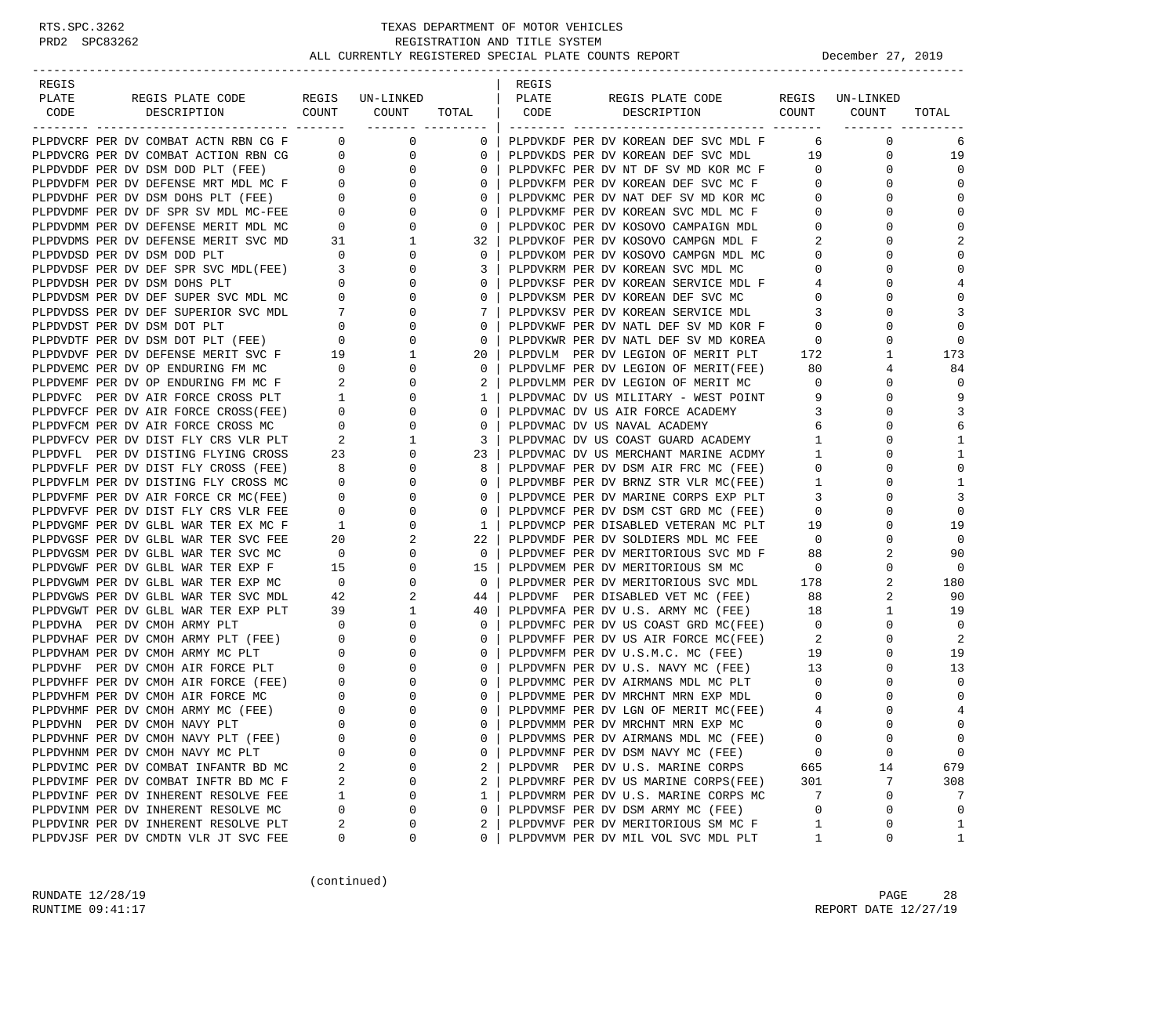| REGIS                                  |                  |                          |                           |              | REGIS |                                      |                            |                 |                |
|----------------------------------------|------------------|--------------------------|---------------------------|--------------|-------|--------------------------------------|----------------------------|-----------------|----------------|
| PLATE                                  | REGIS PLATE CODE |                          | REGIS UN-LINKED           |              | PLATE | REGIS PLATE CODE                     |                            | REGIS UN-LINKED |                |
| CODE<br>DESCRIPTION                    |                  | COUNT                    | COUNT<br>________ _______ | TOTAL        | CODE  | DESCRIPTION                          | COUNT                      | COUNT           | TOTAL          |
| PLPDVCRF PER DV COMBAT ACTN RBN CG F   |                  | $\overline{0}$           | 0                         | $\mathbf{0}$ |       | PLPDVKDF PER DV KOREAN DEF SVC MDL F | - 6                        | $\mathbf 0$     | 6              |
| PLPDVCRG PER DV COMBAT ACTION RBN CG   |                  | $\overline{0}$           | 0                         | 0            |       | PLPDVKDS PER DV KOREAN DEF SVC MDL   | 19                         | 0               | 19             |
| PLPDVDDF PER DV DSM DOD PLT (FEE)      |                  | $\overline{0}$           | $\mathbf 0$               | 0            |       | PLPDVKFC PER DV NT DF SV MD KOR MC F | $\mathbf{0}$               | 0               | $\Omega$       |
| PLPDVDFM PER DV DEFENSE MRT MDL MC F 0 |                  |                          | $\mathbf{0}$              | $\mathbf{0}$ |       | PLPDVKFM PER DV KOREAN DEF SVC MC F  | $\mathbf 0$                | $\Omega$        | $\Omega$       |
| PLPDVDHF PER DV DSM DOHS PLT (FEE)     |                  | $0 \qquad \qquad$        | 0                         | 0            |       | PLPDVKMC PER DV NAT DEF SV MD KOR MC | $\mathbf 0$                | 0               | $\Omega$       |
| PLPDVDMF PER DV DF SPR SV MDL MC-FEE   |                  | $\overline{0}$           | 0                         | $\mathbf{0}$ |       | PLPDVKMF PER DV KOREAN SVC MDL MC F  | $\mathbf 0$                | $\Omega$        | $\mathbf 0$    |
| PLPDVDMM PER DV DEFENSE MERIT MDL MC   |                  | $\mathbf 0$              | 0                         | $\mathbf{0}$ |       | PLPDVKOC PER DV KOSOVO CAMPAIGN MDL  | $\mathbf 0$                | 0               | $\Omega$       |
| PLPDVDMS PER DV DEFENSE MERIT SVC MD   |                  | 31                       | 1                         | 32           |       | PLPDVKOF PER DV KOSOVO CAMPGN MDL F  | 2                          | $\Omega$        | $\overline{2}$ |
| PLPDVDSD PER DV DSM DOD PLT            |                  | $\mathbf{0}$             | 0                         | 0            |       | PLPDVKOM PER DV KOSOVO CAMPGN MDL MC | $\mathbf 0$                | $\Omega$        | $\Omega$       |
| PLPDVDSF PER DV DEF SPR SVC MDL(FEE)   |                  | 3                        | 0                         | 3            |       | PLPDVKRM PER DV KOREAN SVC MDL MC    | $\mathbf{0}$               | 0               | $\Omega$       |
| PLPDVDSH PER DV DSM DOHS PLT           |                  | $\overline{0}$           | 0                         | $\mathbf{0}$ |       | PLPDVKSF PER DV KOREAN SERVICE MDL F | 4                          | $\Omega$        | $\overline{4}$ |
| PLPDVDSM PER DV DEF SUPER SVC MDL MC   |                  | $\overline{0}$           | 0                         | $\mathbf{0}$ |       | PLPDVKSM PER DV KOREAN DEF SVC MC    | $\circ$                    | $\Omega$        | $\Omega$       |
| PLPDVDSS PER DV DEF SUPERIOR SVC MDL   |                  | $7\phantom{.0}$          | 0                         | 7            |       | PLPDVKSV PER DV KOREAN SERVICE MDL   | 3                          | $\Omega$        | 3              |
| PLPDVDST PER DV DSM DOT PLT            |                  | $\mathbf{0}$             | 0                         | 0            |       | PLPDVKWF PER DV NATL DEF SV MD KOR F | $\mathbf 0$                | $\Omega$        | $\Omega$       |
| PLPDVDTF PER DV DSM DOT PLT (FEE)      |                  | $\mathbf 0$              | 0                         | 0            |       | PLPDVKWR PER DV NATL DEF SV MD KOREA | $\mathbf 0$                | 0               | $\Omega$       |
| PLPDVDVF PER DV DEFENSE MERIT SVC F    |                  | 19                       | 1                         | 20           |       | PLPDVLM PER DV LEGION OF MERIT PLT   | 172                        | 1               | 173            |
| PLPDVEMC PER DV OP ENDURING FM MC      |                  | $\overline{\mathbf{0}}$  | $\mathbf 0$               | $\mathbf{0}$ |       | PLPDVLMF PER DV LEGION OF MERIT(FEE) | 80                         | 4               | 84             |
| PLPDVEMF PER DV OP ENDURING FM MC F    |                  | 2                        | 0                         | 2            |       | PLPDVLMM PER DV LEGION OF MERIT MC   | $\mathbf 0$                | 0               | $\Omega$       |
| PLPDVFC PER DV AIR FORCE CROSS PLT     |                  | $\mathbf{1}$             | 0                         | 1            |       | PLPDVMAC DV US MILITARY - WEST POINT | 9                          | 0               | 9              |
| PLPDVFCF PER DV AIR FORCE CROSS(FEE)   |                  | $\mathbf{0}$             | 0                         | 0            |       | PLPDVMAC DV US AIR FORCE ACADEMY     | 3                          | 0               | 3              |
| PLPDVFCM PER DV AIR FORCE CROSS MC     |                  | $\overline{0}$           | 0                         | $\mathbf{0}$ |       | PLPDVMAC DV US NAVAL ACADEMY         | 6                          | $\Omega$        | 6              |
| PLPDVFCV PER DV DIST FLY CRS VLR PLT   |                  | 2                        | 1                         | 3            |       | PLPDVMAC DV US COAST GUARD ACADEMY   | $\mathbf{1}$               | $\Omega$        | 1              |
| PLPDVFL PER DV DISTING FLYING CROSS    |                  | 23                       | 0                         | 23           |       | PLPDVMAC DV US MERCHANT MARINE ACDMY | $\mathbf{1}$               | $\Omega$        | 1              |
| PLPDVFLF PER DV DIST FLY CROSS (FEE)   |                  | 8                        | 0                         | 8            |       | PLPDVMAF PER DV DSM AIR FRC MC (FEE) | $\mathbf 0$                | $\Omega$        | $\Omega$       |
| PLPDVFLM PER DV DISTING FLY CROSS MC   |                  | $\mathbf 0$              | 0                         | 0            |       | PLPDVMBF PER DV BRNZ STR VLR MC(FEE) | 1                          | 0               | 1              |
| PLPDVFMF PER DV AIR FORCE CR MC(FEE)   |                  | $\mathbf 0$              | 0                         | $\mathbf{0}$ |       | PLPDVMCE PER DV MARINE CORPS EXP PLT | 3                          | $\Omega$        | 3              |
| PLPDVFVF PER DV DIST FLY CRS VLR FEE   |                  | $\mathbf{0}$             | 0                         | $\mathbf{0}$ |       | PLPDVMCF PER DV DSM CST GRD MC (FEE) | $\mathbf 0$                | $\Omega$        | $\mathbf 0$    |
| PLPDVGMF PER DV GLBL WAR TER EX MC F   |                  | $\mathbf{1}$             | 0                         | $\mathbf{1}$ |       | PLPDVMCP PER DISABLED VETERAN MC PLT | 19                         | $\Omega$        | 19             |
| PLPDVGSF PER DV GLBL WAR TER SVC FEE   |                  | 20                       |                           | 22           |       | PLPDVMDF PER DV SOLDIERS MDL MC FEE  | $\overline{0}$             | $\Omega$        | $\Omega$       |
| PLPDVGSM PER DV GLBL WAR TER SVC MC    |                  | $\overline{0}$           | 0                         | $\mathbf 0$  |       | PLPDVMEF PER DV MERITORIOUS SVC MD F | 88                         | 2               | 90             |
| PLPDVGWF PER DV GLBL WAR TER EXP F     |                  | 15                       | 0                         | 15           |       | PLPDVMEM PER DV MERITORIOUS SM MC    | $\overline{0}$             | 0               | $\mathbf 0$    |
| PLPDVGWM PER DV GLBL WAR TER EXP MC    |                  | $\overline{\mathbf{0}}$  | 0                         | $\mathbf{0}$ |       | PLPDVMER PER DV MERITORIOUS SVC MDL  | 178                        | 2               | 180            |
| PLPDVGWS PER DV GLBL WAR TER SVC MDL   |                  | 42                       | 2                         | 44           |       | PLPDVMF PER DISABLED VET MC (FEE)    | 88                         | 2               | 90             |
| PLPDVGWT PER DV GLBL WAR TER EXP PLT   |                  | 39                       | 1                         | 40           |       | PLPDVMFA PER DV U.S. ARMY MC (FEE)   | 18                         | 1               | 19             |
| PLPDVHA PER DV CMOH ARMY PLT           |                  | $\mathbf 0$              | 0                         | 0            |       | PLPDVMFC PER DV US COAST GRD MC(FEE) | $\overline{0}$             | 0               | $\mathbf 0$    |
| PLPDVHAF PER DV CMOH ARMY PLT (FEE)    |                  | $\overline{\phantom{0}}$ | 0                         | $\mathbf{0}$ |       | PLPDVMFF PER DV US AIR FORCE MC(FEE) | $\overline{\phantom{a}}^2$ | $\Omega$        | 2              |
| PLPDVHAM PER DV CMOH ARMY MC PLT       |                  | $\mathbf 0$              | 0                         | $\mathbf{0}$ |       | PLPDVMFM PER DV U.S.M.C. MC (FEE)    | 19                         | 0               | 19             |
| PLPDVHF PER DV CMOH AIR FORCE PLT      |                  | $\overline{0}$           | 0                         | $\mathbf{0}$ |       | PLPDVMFN PER DV U.S. NAVY MC (FEE)   | 13                         | 0               | 13             |
| PLPDVHFF PER DV CMOH AIR FORCE (FEE)   |                  | $\overline{0}$           | 0                         | $\mathbf{0}$ |       | PLPDVMMC PER DV AIRMANS MDL MC PLT   | $\overline{0}$             | $\Omega$        | $\Omega$       |
| PLPDVHFM PER DV CMOH AIR FORCE MC      |                  | $\mathbf 0$              | 0                         | 0            |       | PLPDVMME PER DV MRCHNT MRN EXP MDL   | 0                          | 0               | $\mathbf 0$    |
| PLPDVHMF PER DV CMOH ARMY MC (FEE)     |                  | $\mathbf{0}$             | $\mathbf 0$               | 0            |       | PLPDVMMF PER DV LGN OF MERIT MC(FEE) | 4                          | $\Omega$        | 4              |
| PLPDVHN PER DV CMOH NAVY PLT           |                  | $\Omega$                 | $\Omega$                  | $\Omega$     |       | PLPDVMMM PER DV MRCHNT MRN EXP MC    | $\Omega$                   | $\cap$          | $\Omega$       |
| PLPDVHNF PER DV CMOH NAVY PLT (FEE)    |                  | 0                        | 0                         | 0            |       | PLPDVMMS PER DV AIRMANS MDL MC (FEE) | 0                          | 0               | 0              |
| PLPDVHNM PER DV CMOH NAVY MC PLT       |                  | 0                        | $\Omega$                  | 0            |       | PLPDVMNF PER DV DSM NAVY MC (FEE)    | 0                          | 0               | 0              |
| PLPDVIMC PER DV COMBAT INFANTR BD MC   |                  | 2                        | 0                         | 2            |       | PLPDVMR PER DV U.S. MARINE CORPS     | 665                        | 14              | 679            |
| PLPDVIMF PER DV COMBAT INFTR BD MC F   |                  | 2                        | 0                         | 2            |       | PLPDVMRF PER DV US MARINE CORPS(FEE) | 301                        | 7               | 308            |
| PLPDVINF PER DV INHERENT RESOLVE FEE   |                  | 1                        | 0                         | 1            |       | PLPDVMRM PER DV U.S. MARINE CORPS MC | 7                          | 0               | 7              |
| PLPDVINM PER DV INHERENT RESOLVE MC    |                  | 0                        | $\Omega$                  | 0            |       | PLPDVMSF PER DV DSM ARMY MC (FEE)    | 0                          | 0               | $\mathbf 0$    |
| PLPDVINR PER DV INHERENT RESOLVE PLT   |                  | 2                        | 0                         | 2            |       | PLPDVMVF PER DV MERITORIOUS SM MC F  | 1                          | 0               | 1              |
| PLPDVJSF PER DV CMDTN VLR JT SVC FEE   |                  | 0                        | 0                         | 0            |       | PLPDVMVM PER DV MIL VOL SVC MDL PLT  | 1                          | 0               | 1              |

(continued)

RUNDATE  $12/28/19$  PAGE 28 RUNTIME 09:41:17 REPORT DATE 12/27/19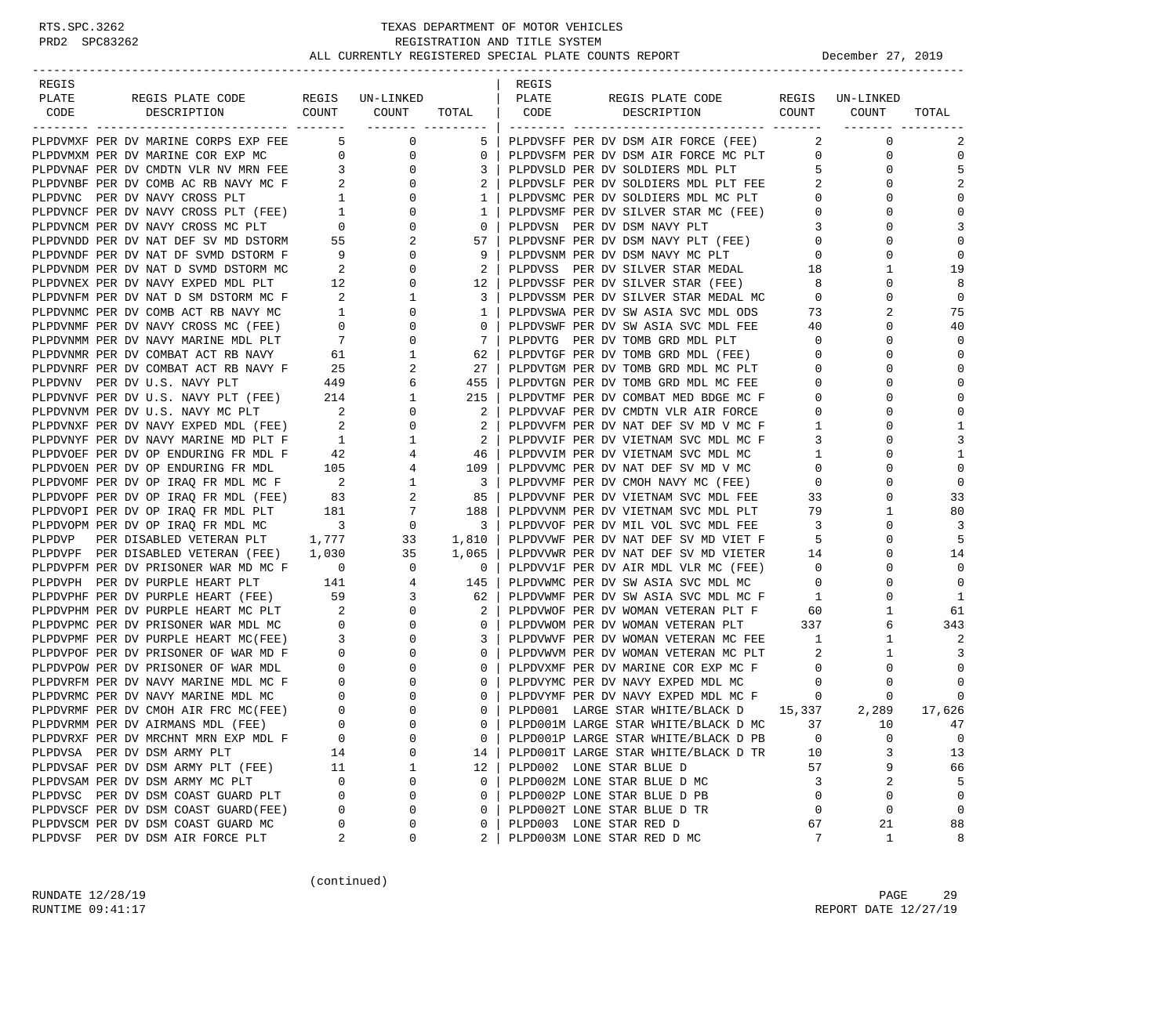| REGIS                                                                                |                                                  |                                                                         |                                                     | REGIS |                                                                                                                      |                         |                 |                  |
|--------------------------------------------------------------------------------------|--------------------------------------------------|-------------------------------------------------------------------------|-----------------------------------------------------|-------|----------------------------------------------------------------------------------------------------------------------|-------------------------|-----------------|------------------|
| PLATE<br>REGIS PLATE CODE                                                            |                                                  | REGIS UN-LINKED                                                         |                                                     | PLATE | REGIS PLATE CODE                                                                                                     |                         | REGIS UN-LINKED |                  |
| COUNT<br>CODE<br>DESCRIPTION                                                         |                                                  | COUNT                                                                   | TOTAL   CODE                                        |       | COUNT<br>DESCRIPTION                                                                                                 |                         | COUNT           | TOTAL            |
| PLPDVMXF PER DV MARINE CORPS EXP FEE                                                 |                                                  | $5 - 1$                                                                 |                                                     |       |                                                                                                                      |                         | $\mathbf 0$     |                  |
|                                                                                      |                                                  | $\overline{0}$<br>$\overline{0}$                                        | $\mathbf{0}$                                        |       | 5   PLPDVSFF PER DV DSM AIR FORCE (FEE)                                                                              | 2<br>$\mathbf{0}$       | 0               | 2<br>$\mathbf 0$ |
| PLPDVMXM PER DV MARINE COR EXP MC<br>PLPDVNAF PER DV CMDTN VLR NV MRN FEE            | $\overline{0}$<br>$\overline{\mathbf{3}}$        | $\mathbf{0}$                                                            | 3                                                   |       | PLPDVSFM PER DV DSM AIR FORCE MC PLT<br>PLPDVSLD PER DV SOLDIERS MDL PLT                                             | 5 <sup>5</sup>          | 0               | 5                |
| PLPDVNBF PER DV COMB AC RB NAVY MC F 2                                               |                                                  | $\mathbf{0}$                                                            | 2                                                   |       | PLPDVSLF PER DV SOLDIERS MDL PLT FEE                                                                                 | 2                       | 0               | 2                |
| PLPDVNC PER DV NAVY CROSS PLT                                                        |                                                  | $\overline{0}$                                                          | $\mathbf{1}$                                        |       | PLPDVSMC PER DV SOLDIERS MDL MC PLT                                                                                  | $\mathbf{0}$            | 0               | $\Omega$         |
| PLPDVNCF PER DV NAVY CROSS PLT (FEE)                                                 | $\begin{array}{c} 1 \\ 1 \\ 0 \\ 55 \end{array}$ | $\mathbf 0$                                                             | $1 \mid$                                            |       | PLPDVSMF PER DV SILVER STAR MC (FEE)                                                                                 | $\mathbf 0$             | $\Omega$        | $\mathbf 0$      |
| PLPDVNCM PER DV NAVY CROSS MC PLT                                                    | $\overline{0}$                                   | $\mathbf{0}$                                                            | $\overline{0}$                                      |       | PLPDVSN PER DV DSM NAVY PLT                                                                                          | 3                       | $\Omega$        | 3                |
| PLPDVNDD PER DV NAT DEF SV MD DSTORM 55                                              |                                                  | 2                                                                       |                                                     |       |                                                                                                                      | $\overline{0}$          | $\Omega$        | $\mathbf 0$      |
| PLPDVNDF PER DV NAT DF SVMD DSTORM F                                                 |                                                  | 9<br>$\mathbf{0}$                                                       | 9                                                   |       | 0   PLPDVSNF PER DV DSM NAVY PLT (FEE)<br>57   PLPDVSNF PER DV DSM NAVY PLT (FEE)<br>PLPDVSNM PER DV DSM NAVY MC PLT | $\mathbf 0$             | $\Omega$        | $\Omega$         |
| PLPDVNDM PER DV NAT D SVMD DSTORM MC                                                 | $\overline{2}$                                   | $\mathbf{0}$                                                            | 2                                                   |       | PLPDVSS PER DV SILVER STAR MEDAL 18                                                                                  |                         | 1               | 19               |
| PLPDVNEX PER DV NAVY EXPED MDL PLT                                                   | 12                                               | $\mathbf{0}$                                                            |                                                     |       | 12   PLPDVSSF PER DV SILVER STAR (FEE)                                                                               | 8                       | $\Omega$        | 8                |
| PLPDVNFM PER DV NAT D SM DSTORM MC F                                                 | $\overline{\mathbf{c}}$                          | 1                                                                       | 3                                                   |       | PLPDVSSM PER DV SILVER STAR MEDAL MC                                                                                 | $\mathbf 0$             | 0               | $\mathbf 0$      |
| PLPDVNMC PER DV COMB ACT RB NAVY MC                                                  | 1                                                | $\mathbf 0$                                                             | 1 <sup>1</sup>                                      |       |                                                                                                                      | 73                      | 2               | 75               |
| PLPDVNMF PER DV NAVY CROSS MC (FEE)                                                  |                                                  | $\mathbf 0$                                                             | $\mathbf{0}$                                        |       | PLPDVSWA PER DV SW ASIA SVC MDL ODS<br>PLPDVSWF PER DV SW ASIA SVC MDL FEE                                           | 40                      | $\Omega$        | 40               |
| PLPDVNMM PER DV NAVY MARINE MDL PLT                                                  |                                                  | 0                                                                       | 7                                                   |       | PLPDVTG PER DV TOMB GRD MDL PLT                                                                                      | $\circ$                 | 0               | $\mathbf 0$      |
| PLPDVNMR PER DV COMBAT ACT RB NAVY                                                   |                                                  | $\begin{bmatrix} 1 \\ 0 \\ 7 \\ 61 \\ 25 \end{bmatrix}$<br>$\mathbf{1}$ | 62                                                  |       | PLPDVTGF PER DV TOMB GRD MDL (FEE)                                                                                   | $\overline{0}$          | $\Omega$        | $\mathbf 0$      |
| PLPDVNRF PER DV COMBAT ACT RB NAVY F                                                 | 25                                               | 2                                                                       | 27                                                  |       | PLPDVTGM PER DV TOMB GRD MDL MC PLT                                                                                  | $\mathbf 0$             | 0               | $\Omega$         |
| PLPDVNV PER DV U.S. NAVY PLT                                                         | 449                                              | 6                                                                       | 455                                                 |       | PLPDVTGN PER DV TOMB GRD MDL MC FEE                                                                                  | $\mathbf{0}$            | $\Omega$        | $\mathbf 0$      |
| PLPDVNVF PER DV U.S. NAVY PLT (FEE) 214                                              |                                                  | 1                                                                       | 215                                                 |       | PLPDVTMF PER DV COMBAT MED BDGE MC F                                                                                 | $\mathbf 0$             | $\Omega$        | $\mathbf 0$      |
| PLPDVNVM PER DV U.S. NAVY MC PLT                                                     |                                                  | $\overline{0}$                                                          | 2                                                   |       | PLPDVVAF PER DV CMDTN VLR AIR FORCE                                                                                  | 0                       | 0               | $\mathbf 0$      |
| PLPDVNXF PER DV NAVY EXPED MDL (FEE)                                                 | $\overline{\mathbf{2}}$                          | $\frac{2}{2}$<br>$\mathbf 0$                                            | 2 <sup>1</sup>                                      |       | PLPDVVFM PER DV NAT DEF SV MD V MC F                                                                                 | $\mathbf{1}$            | $\Omega$        | 1                |
| PLPDVNYF PER DV NAVY MARINE MD PLT F                                                 | 1                                                | $\mathbf{1}$                                                            | $\overline{2}$                                      |       | PLPDVVIF PER DV VIETNAM SVC MDL MC F                                                                                 | 3                       | $\Omega$        | 3                |
| PLPDVOEF PER DV OP ENDURING FR MDL F                                                 | 42                                               | $\overline{4}$                                                          | 46                                                  |       | PLPDVVIM PER DV VIETNAM SVC MDL MC                                                                                   | $\mathbf{1}$            | $\Omega$        | 1                |
| PLPDVOEN PER DV OP ENDURING FR MDL                                                   |                                                  | 105<br>$4\overline{ }$                                                  | 109 l                                               |       | PLPDVVMC PER DV NAT DEF SV MD V MC                                                                                   | $\mathbf 0$             | $\Omega$        | $\mathbf 0$      |
| PLPDVOMF PER DV OP IRAQ FR MDL MC F 2 1<br>PLPDVOPF PER DV OP IRAO FR MDL (FEE) 83 2 |                                                  |                                                                         | $\overline{\mathbf{3}}$                             |       | PLPDVVMF PER DV CMOH NAVY MC (FEE)                                                                                   | $\mathbf 0$             | 0               | $\mathbf 0$      |
| PLPDVOPF PER DV OP IRAQ FR MDL (FEE)                                                 | 83                                               | $2^{\circ}$                                                             | 85                                                  |       | PLPDVVNF PER DV VIETNAM SVC MDL FEE                                                                                  | 33                      | 0               | 33               |
| PLPDVOPI PER DV OP IRAQ FR MDL PLT                                                   | 181                                              |                                                                         | 188                                                 |       | PLPDVVNM PER DV VIETNAM SVC MDL PLT                                                                                  | 79                      | $\mathbf{1}$    | 80               |
| PLPDVOPM PER DV OP IRAQ FR MDL MC                                                    | $\overline{\mathbf{3}}$                          | $\begin{array}{c} 7 \\ 0 \end{array}$                                   | $\begin{array}{ccc} & 3 \end{array}$                |       | PLPDVVOF PER DV MIL VOL SVC MDL FEE                                                                                  | $\overline{\mathbf{3}}$ | $\Omega$        | 3                |
| PER DISABLED VETERAN PLT 1,777<br>PLPDVP                                             |                                                  | 33                                                                      | 1,810                                               |       | PLPDVVWF PER DV NAT DEF SV MD VIET F                                                                                 | 5                       | $\Omega$        | 5                |
| PLPDVPF PER DISABLED VETERAN (FEE) 1,030                                             |                                                  |                                                                         | 1,065                                               |       | PLPDVVWR PER DV NAT DEF SV MD VIETER                                                                                 | 14                      | 0               | 14               |
| PLPDVPFM PER DV PRISONER WAR MD MC F 0                                               |                                                  | $\begin{array}{c} 35 \\ 0 \end{array}$                                  | $\overline{\phantom{0}}$ 0 $\overline{\phantom{0}}$ |       | PLPDVV1F PER DV AIR MDL VLR MC (FEE)                                                                                 | $\overline{0}$          | $\Omega$        | $\mathbf 0$      |
| PLPDVPH PER DV PURPLE HEART PLT                                                      |                                                  | 141 4                                                                   | 145                                                 |       | PLPDVWMC PER DV SW ASIA SVC MDL MC                                                                                   | $\mathbf 0$             | 0               | $\mathbf 0$      |
| PLPDVPHF PER DV PURPLE HEART (FEE)                                                   | 59                                               | $3^{\circ}$                                                             | 62                                                  |       | PLPDVWMF PER DV SW ASIA SVC MDL MC F                                                                                 | $\mathbf{1}$            | $\Omega$        | 1                |
| PLPDVPHM PER DV PURPLE HEART MC PLT 2                                                |                                                  | $\mathbf{0}$                                                            | 2                                                   |       | PLPDVWOF PER DV WOMAN VETERAN PLT F                                                                                  | 60                      | 1               | 61               |
| PLPDVPMC PER DV PRISONER WAR MDL MC                                                  | $\overline{0}$                                   | $\mathbf{0}$                                                            | $\mathbf{0}$                                        |       | PLPDVWOM PER DV WOMAN VETERAN PLT                                                                                    | 337                     | 6               | 343              |
| PLPDVPMF PER DV PURPLE HEART MC(FEE)                                                 | $\overline{\mathbf{3}}$                          | $\mathbf 0$                                                             | 3                                                   |       | PLPDVWVF PER DV WOMAN VETERAN MC FEE                                                                                 | $\overline{1}$          | $\mathbf{1}$    | 2                |
| PLPDVPOF PER DV PRISONER OF WAR MD F                                                 | $\overline{0}$                                   | $\mathbf{0}$                                                            | $\mathbf{0}$                                        |       | PLPDVWVM PER DV WOMAN VETERAN MC PLT                                                                                 | 2                       | $\mathbf{1}$    | 3                |
| PLPDVPOW PER DV PRISONER OF WAR MDL                                                  | $\overline{0}$                                   | $\mathbf 0$                                                             | $\mathbf{0}$                                        |       | PLPDVXMF PER DV MARINE COR EXP MC F<br>PLPDVYMC PER DV NAVY EXPED MDL MC                                             | $\overline{0}$          | 0               | $\Omega$         |
| PLPDVRFM PER DV NAVY MARINE MDL MC F                                                 | $\overline{0}$                                   | $\mathbf{0}$                                                            | $\circ$                                             |       | PLPDVYMC PER DV NAVY EXPED MDL MC                                                                                    | $\overline{0}$          | 0               | 0                |
| PLPDVRMC PER DV NAVY MARINE MDL MC                                                   | $\overline{0}$                                   | 0                                                                       | $\overline{0}$                                      |       | PLPDVYMF PER DV NAVY EXPED MDL MC F                                                                                  | $\mathbf{0}$            | 0               | $\Omega$         |
| PLPDVRMF PER DV CMOH AIR FRC MC(FEE)                                                 | $\overline{0}$                                   | $\mathbf 0$                                                             | $\mathbf{0}$                                        |       | PLPD001 LARGE STAR WHITE/BLACK D 15,337                                                                              |                         | 2,289           | 17,626           |
| PLPDVRMM PER DV AIRMANS MDL (FEE)                                                    | $\Omega$                                         | $\Omega$                                                                |                                                     |       | 0   PLPD001M LARGE STAR WHITE/BLACK D MC                                                                             | 37                      | 10              | 47               |
| PLPDVRXF PER DV MRCHNT MRN EXP MDL F                                                 | 0                                                | 0                                                                       | 0                                                   |       | PLPD001P LARGE STAR WHITE/BLACK D PB                                                                                 | 0                       | $\Omega$        | 0                |
| PLPDVSA PER DV DSM ARMY PLT                                                          | 14                                               | $\Omega$                                                                | 14                                                  |       | PLPD001T LARGE STAR WHITE/BLACK D TR                                                                                 | 10                      | 3               | 13               |
| PLPDVSAF PER DV DSM ARMY PLT (FEE)                                                   | 11                                               | 1                                                                       | 12                                                  |       | PLPD002 LONE STAR BLUE D                                                                                             | 57                      | 9               | 66               |
| PLPDVSAM PER DV DSM ARMY MC PLT                                                      | $\mathbf 0$                                      | 0                                                                       | 0                                                   |       | PLPD002M LONE STAR BLUE D MC                                                                                         | 3                       | 2               | 5                |
| PLPDVSC PER DV DSM COAST GUARD PLT                                                   | $\Omega$                                         | $\Omega$                                                                | 0                                                   |       | PLPD002P LONE STAR BLUE D PB                                                                                         | 0                       | $\Omega$        | $\mathbf 0$      |
| PLPDVSCF PER DV DSM COAST GUARD(FEE)                                                 | 0                                                | $\Omega$                                                                | 0                                                   |       | PLPD002T LONE STAR BLUE D TR                                                                                         | 0                       | 0               | $\mathbf 0$      |
| PLPDVSCM PER DV DSM COAST GUARD MC                                                   | 0                                                | 0                                                                       | 0                                                   |       | PLPD003 LONE STAR RED D                                                                                              | 67                      | 21              | 88               |
| PLPDVSF PER DV DSM AIR FORCE PLT                                                     | 2                                                | 0                                                                       | 2                                                   |       | PLPD003M LONE STAR RED D MC                                                                                          | 7                       | 1               | 8                |

(continued)

RUNDATE 12/28/19 PAGE 29 RUNTIME 09:41:17 REPORT DATE 12/27/19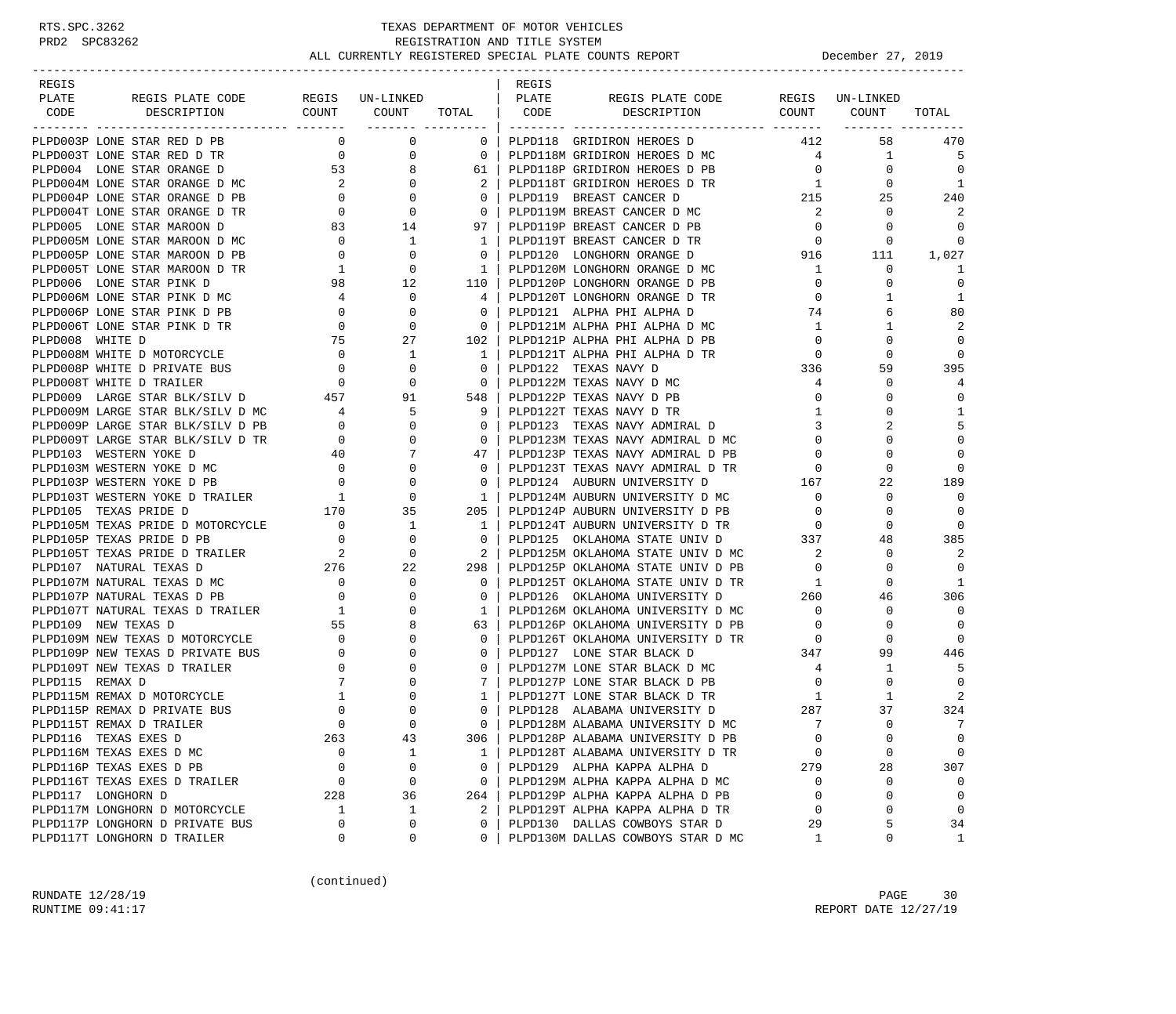| REGIS                                                                      |                                        |                                                          |                                          | REGIS |                                                                                                             |                          |              |                |
|----------------------------------------------------------------------------|----------------------------------------|----------------------------------------------------------|------------------------------------------|-------|-------------------------------------------------------------------------------------------------------------|--------------------------|--------------|----------------|
| PLATE<br>REGIS PLATE CODE REGIS UN-LINKED                                  |                                        |                                                          |                                          | PLATE | REGIS PLATE CODE REGIS UN-LINKED                                                                            |                          |              |                |
| DESCRIPTION<br>CODE                                                        |                                        |                                                          | _______ __________                       |       | COUNT COUNT TOTAL CODE DESCRIPTION COUNT COUNT                                                              |                          |              | TOTAL          |
| PLPD003P LONE STAR RED D PB                                                | $\mathbf{0}$                           | $\mathbf 0$                                              | $0-1$                                    |       | PLPD118 GRIDIRON HEROES D                                                                                   | 412                      | 58           | 470            |
| PLPD003T LONE STAR RED D TR                                                | $\overline{0}$                         | $\overline{0}$                                           | $\overline{0}$                           |       | PLPD118M GRIDIRON HEROES D MC                                                                               | $\overline{4}$           | $\mathbf{1}$ | - 5            |
| PLPD004 LONE STAR ORANGE D                                                 | 53                                     |                                                          | 61                                       |       | PLPD118P GRIDIRON HEROES D PB                                                                               | $\overline{0}$           | $\mathbf 0$  | $\Omega$       |
| PLPD004M LONE STAR ORANGE D MC                                             | $\overline{a}$                         | $\begin{array}{c} 8 \\ 0 \end{array}$                    | 2                                        |       | PLPD118T GRIDIRON HEROES D TR                                                                               | $\overline{1}$           | $\mathbf{0}$ | 1              |
| PLPD004P LONE STAR ORANGE D PB                                             |                                        | $\overline{0}$                                           | $\mathbf{0}$                             |       | PLPD119 BREAST CANCER D                                                                                     | 215                      | 25           | 240            |
| PLPD004T LONE STAR ORANGE D TR                                             | $\begin{array}{c} 0 \\ 0 \end{array}$  | $\overline{0}$                                           | $\overline{0}$                           |       | PLPD119M BREAST CANCER D MC                                                                                 | 2                        | $\mathbf 0$  | 2              |
| PLPD005 LONE STAR MAROON D                                                 |                                        | 83 14                                                    | 97                                       |       | PLPD119P BREAST CANCER D PB                                                                                 | $\overline{0}$           | $\mathbf 0$  | $\Omega$       |
| PLPD005M LONE STAR MAROON D MC                                             |                                        |                                                          | 1 <sup>1</sup>                           |       | PLPD119T BREAST CANCER D TR                                                                                 | $\overline{0}$           | $\mathbf 0$  | $\Omega$       |
| PLPD005P LONE STAR MAROON D PB                                             |                                        | $\begin{matrix}0&&&1\\&0&&&0\end{matrix}$                | $\Omega$                                 |       | PLPD120 LONGHORN ORANGE D 916                                                                               |                          | 111          | 1,027          |
| PLPD005T LONE STAR MAROON D TR                                             |                                        |                                                          | $\overline{1}$                           |       | PLPD120M LONGHORN ORANGE D MC                                                                               | 1                        | 0            | 1              |
| PLPD006 LONE STAR PINK D                                                   | $\begin{array}{c} 1 \\ 98 \end{array}$ | $\begin{array}{c} 0 \\ 12 \end{array}$                   | 110 l                                    |       | PLPD120P LONGHORN ORANGE D PB                                                                               | $\overline{0}$           | $\Omega$     | $\mathbf 0$    |
| PLPD006M LONE STAR PINK D MC                                               | $4\overline{)}$                        | $\overline{0}$                                           | 4                                        |       | PLPD120T LONGHORN ORANGE D TR                                                                               | $\mathbf{0}$             | 1            | 1              |
| PLPD006P LONE STAR PINK D PB                                               | $\overline{0}$                         | $\mathbf 0$                                              | 0 <sup>1</sup>                           |       | PLPD121 ALPHA PHI ALPHA D                                                                                   | 74                       | 6            | 80             |
| PLPD006T LONE STAR PINK D TR                                               | $\overline{0}$                         | $\overline{0}$                                           | $\overline{0}$                           |       | PLPD121M ALPHA PHI ALPHA D MC                                                                               | $\mathbf{1}$             | 1            | 2              |
| PLPD008 WHITE D                                                            |                                        | 27                                                       | 102                                      |       | PLPD121P ALPHA PHI ALPHA D PB                                                                               | $\overline{0}$           | 0            | 0              |
| PLPD008M WHITE D MOTORCYCLE                                                | $\overline{0}$                         | $\begin{array}{c} 0 \\ 75 \end{array}$<br>$\overline{1}$ | $1 \quad$                                |       | PLPD121T ALPHA PHI ALPHA D TR                                                                               | $\overline{0}$           | $\Omega$     | 0              |
|                                                                            |                                        |                                                          | $\overline{0}$                           |       | PLPD122 TEXAS NAVY D                                                                                        | 336                      | 59           | 395            |
|                                                                            |                                        |                                                          | $\begin{array}{ccc} & & 0 & \end{array}$ |       | PLPD122M TEXAS NAVY D MC                                                                                    | $\overline{4}$           | 0            | 4              |
|                                                                            |                                        |                                                          | 548                                      |       | PLPD122P TEXAS NAVY D PB                                                                                    | $\mathbf{0}$             | $\Omega$     | $\Omega$       |
|                                                                            |                                        |                                                          | 9                                        |       | PLPD122T TEXAS NAVY D TR                                                                                    | 1                        | 0            | 1              |
| PLPD009M LARGE STAR BLK/SILV D MC 4<br>PLPD009P LARGE STAR BLK/SILV D PB 0 |                                        |                                                          | $\overline{0}$                           |       | PLPD123 TEXAS NAVY ADMIRAL D                                                                                | 3                        | 2            | 5              |
| PLPD009T LARGE STAR BLK/SILV D TR                                          |                                        |                                                          | $\overline{0}$                           |       | PLPD123M TEXAS NAVY ADMIRAL D MC                                                                            | $\Omega$                 | $\Omega$     | $\mathbf 0$    |
| PLPD103 WESTERN YOKE D                                                     |                                        |                                                          | 47                                       |       | PLPD123P TEXAS NAVY ADMIRAL D PB                                                                            | $\mathbf{0}$             | $\Omega$     | $\Omega$       |
| PLPD103M WESTERN YOKE D MC                                                 |                                        |                                                          | $\Omega$                                 |       | PLPD123T TEXAS NAVY ADMIRAL D TR                                                                            | $\mathbf 0$              | $\Omega$     | $\Omega$       |
| PLPD103P WESTERN YOKE D PB                                                 |                                        |                                                          | $\mathbf{0}$                             |       | PLPD124 AUBURN UNIVERSITY D                                                                                 | 167                      | 22           | 189            |
| PLPD103T WESTERN YOKE D TRAILER                                            |                                        |                                                          | $1\quad$                                 |       | PLPD124M AUBURN UNIVERSITY D MC                                                                             | $\overline{0}$           | $\mathbf 0$  | 0              |
| PLPD105 TEXAS PRIDE D                                                      |                                        |                                                          | 205                                      |       | PLPD124P AUBURN UNIVERSITY D PB                                                                             | $\overline{0}$           | 0            | $\Omega$       |
| PLPD105M TEXAS PRIDE D MOTORCYCLE                                          |                                        |                                                          | $1 \mid$                                 |       | PLPD124T AUBURN UNIVERSITY D TR                                                                             | $\overline{0}$           | 0            | $\Omega$       |
| PLPD105P TEXAS PRIDE D PB                                                  |                                        |                                                          | $\mathbf{0}$                             |       | PLPD125 OKLAHOMA STATE UNIV D 337                                                                           |                          | 48           | 385            |
|                                                                            |                                        |                                                          | $\overline{2}$                           |       | PLPD125M OKLAHOMA STATE UNIV D MC                                                                           | 2                        | 0            | 2              |
| PLPD105T TEXAS PRIDE D TRAILER 2<br>PLPD107 NATURAL TEXAS D 276            |                                        |                                                          | 298                                      |       | PLPD125P OKLAHOMA STATE UNIV D PB                                                                           | $\overline{0}$           | $\Omega$     | $\overline{0}$ |
| PLPD107M NATURAL TEXAS D MC                                                |                                        | $\overline{0}$                                           | $\mathbf{0}$                             |       |                                                                                                             |                          | $\mathbf 0$  | 1              |
| PLPD107P NATURAL TEXAS D PB                                                | $\begin{array}{c} 0 \\ 0 \end{array}$  | $\overline{0}$                                           | $\mathbf{0}$                             |       | PLPD125T OKLAHOMA STATE UNIV D TR<br>PLPD126 OKLAHOMA UNIVERSITY D 260                                      |                          | 46           | 306            |
| PLPD107T NATURAL TEXAS D TRAILER                                           | $\overline{1}$                         | $\mathbf 0$                                              | $\mathbf{1}$                             |       | PLPD126M OKLAHOMA UNIVERSITY D MC                                                                           | $\overline{\phantom{0}}$ | 0            | $\Omega$       |
| PLPD109 NEW TEXAS D                                                        | 55                                     | 8                                                        | 63                                       |       |                                                                                                             |                          | 0            | $\overline{0}$ |
| PLPD109M NEW TEXAS D MOTORCYCLE                                            | $\overline{\phantom{a}}$               | $\mathbf 0$                                              | $\mathbf{0}$                             |       | PLPD126P OKLAHOMA UNIVERSITY D PB 0<br>PLPD126T OKLAHOMA UNIVERSITY D TR 0<br>PLPD127 LONE STAR BLACK D 347 |                          | $\Omega$     | 0              |
| PLPD109P NEW TEXAS D PRIVATE BUS                                           | $\overline{0}$                         | $\mathbf 0$                                              | $\mathbf{0}$                             |       |                                                                                                             |                          | 99           | 446            |
| PLPD109T NEW TEXAS D TRAILER                                               |                                        | $\mathbf 0$                                              | $\mathbf{0}$                             |       | PLPD127M LONE STAR BLACK D MC                                                                               | $4\overline{4}$          | 1            | -5             |
| PLPD115 REMAX D                                                            | $\frac{0}{7}$<br>7                     | 0                                                        | $7\phantom{0}$                           |       | PLPD127P LONE STAR BLACK D PB                                                                               | $\overline{\mathbf{0}}$  | 0            | $\Omega$       |
| PLPD115M REMAX D MOTORCYCLE                                                | $\mathbf{1}$                           | 0                                                        | 1                                        |       | PLPD127T LONE STAR BLACK D TR                                                                               | 1                        | 1            | 2              |
| PLPD115P REMAX D PRIVATE BUS                                               | $\mathbf 0$                            | $\mathbf 0$                                              | $\Omega$                                 |       | PLPD128 ALABAMA UNIVERSITY D                                                                                | 287                      | 37           | 324            |
| PLPD115T REMAX D TRAILER                                                   | $\Omega$                               | $\Omega$                                                 | $\Omega$                                 |       | PLPD128M ALABAMA UNIVERSITY D MC                                                                            | 7                        | $\Omega$     | 7              |
| PLPD116 TEXAS EXES D                                                       | 263                                    | 43                                                       | 306                                      |       | PLPD128P ALABAMA UNIVERSITY D PB                                                                            | $\mathbf 0$              | 0            | 0              |
| PLPD116M TEXAS EXES D MC                                                   | 0                                      | 1                                                        | 1                                        |       | PLPD128T ALABAMA UNIVERSITY D TR                                                                            | 0                        | 0            | $\mathbf 0$    |
| PLPD116P TEXAS EXES D PB                                                   | 0                                      | 0                                                        | $\mathbf{0}$                             |       | PLPD129 ALPHA KAPPA ALPHA D                                                                                 | 279                      | 28           | 307            |
| PLPD116T TEXAS EXES D TRAILER                                              | $\mathbf 0$                            | $\mathsf 0$                                              | $\mathbf{0}$                             |       | PLPD129M ALPHA KAPPA ALPHA D MC                                                                             | $\Omega$                 | 0            | 0              |
| PLPD117 LONGHORN D                                                         | 228                                    | 36                                                       | 264                                      |       | PLPD129P ALPHA KAPPA ALPHA D PB                                                                             | $\Omega$                 | 0            | $\mathbf 0$    |
| PLPD117M LONGHORN D MOTORCYCLE                                             | 1                                      | $\mathbf{1}$                                             | 2                                        |       | PLPD129T ALPHA KAPPA ALPHA D TR                                                                             | $\mathbf 0$              | 0            | $\mathbf 0$    |
| PLPD117P LONGHORN D PRIVATE BUS                                            | $\mathbf 0$                            | 0                                                        | $\mathbf 0$                              |       | PLPD130 DALLAS COWBOYS STAR D                                                                               | 29                       | 5            | 34             |
| PLPD117T LONGHORN D TRAILER                                                | 0                                      | 0                                                        | $\mathbf{0}$                             |       | PLPD130M DALLAS COWBOYS STAR D MC                                                                           | 1                        | 0            | $\mathbf{1}$   |

(continued)

RUNDATE  $12/28/19$  PAGE 30 RUNTIME 09:41:17 REPORT DATE 12/27/19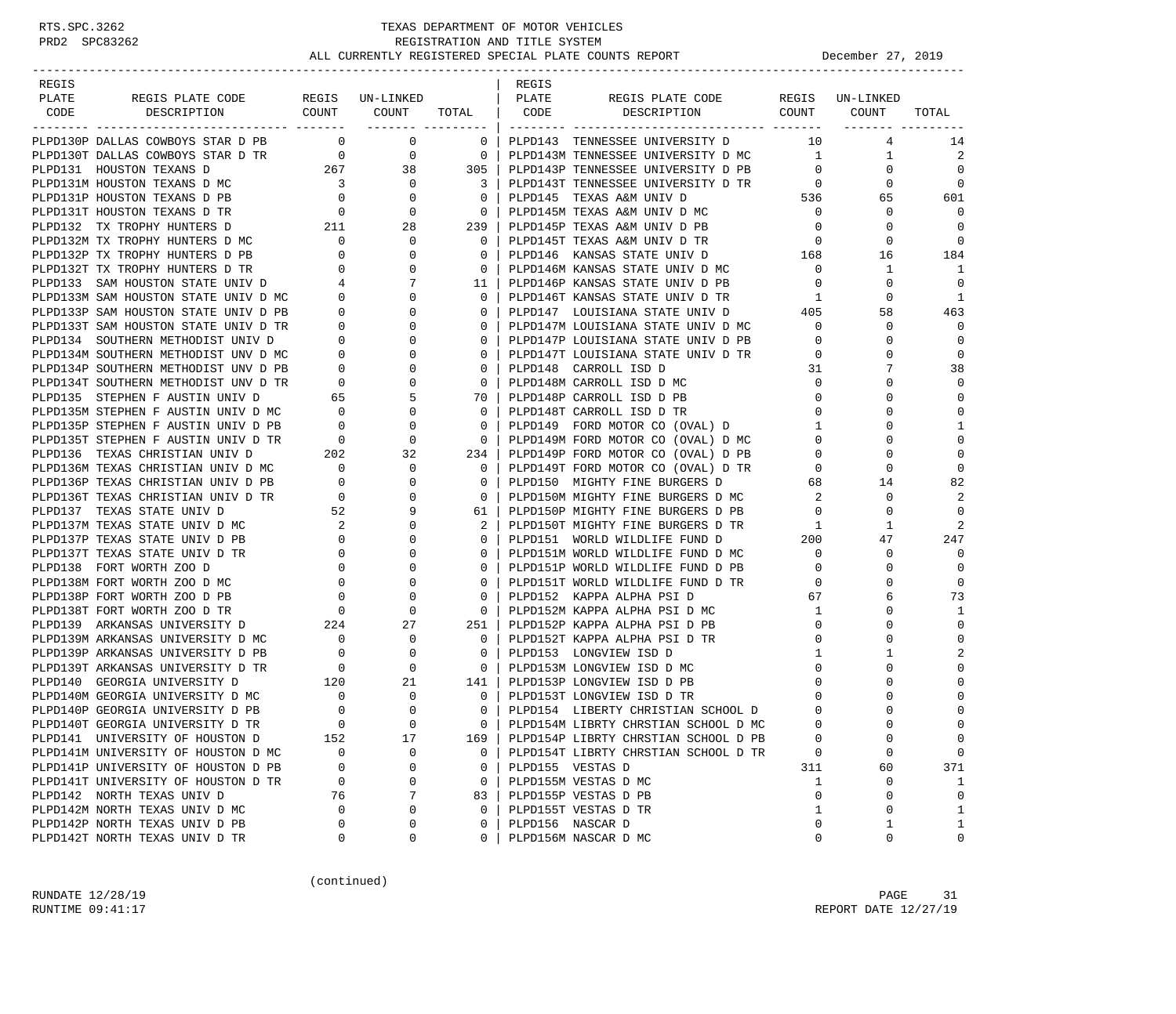| REGIS<br>PLATE |                                                                                                                                                                                                             |                                                       |                                             |                           | REGIS<br>  PLATE |                                             |                | REGIS UN-LINKED |                |
|----------------|-------------------------------------------------------------------------------------------------------------------------------------------------------------------------------------------------------------|-------------------------------------------------------|---------------------------------------------|---------------------------|------------------|---------------------------------------------|----------------|-----------------|----------------|
| CODE           | REGIS PLATE CODE<br>DESCRIPTION                                                                                                                                                                             |                                                       | REGIS UN-LINKED<br>COUNT COUNT TOTAL   CODE |                           |                  | REGIS PLATE CODE<br>DESCRIPTION COUNT COUNT |                |                 | TOTAL          |
|                |                                                                                                                                                                                                             |                                                       | ------- ---------                           |                           |                  |                                             |                |                 |                |
|                | PLPD130P DALLAS COWBOYS STAR D PB                                                                                                                                                                           | $\overline{0}$                                        | $\overline{0}$                              | $\mathbf{0}$              |                  | PLPD143 TENNESSEE UNIVERSITY D              | 10             | 4               | 14             |
|                | PLPD130T DALLAS COWBOYS STAR D TR 0 0 0                                                                                                                                                                     |                                                       |                                             | $\overline{\phantom{0}}$  |                  | PLPD143M TENNESSEE UNIVERSITY D MC          | $\mathbf{1}$   | $\mathbf{1}$    | 2              |
|                |                                                                                                                                                                                                             |                                                       | 38                                          | 305 l                     |                  | PLPD143P TENNESSEE UNIVERSITY D PB          | $\overline{0}$ | $\mathbf 0$     | $\Omega$       |
|                | PLPD131 HOUSTON TEXANS D 267<br>PLPD131M HOUSTON TEXANS D MC 3                                                                                                                                              |                                                       | $\overline{0}$                              | $\overline{\phantom{a}3}$ |                  | PLPD143T TENNESSEE UNIVERSITY D TR 0        |                | $\Omega$        | $\Omega$       |
|                | PLPD131P HOUSTON TEXANS D PB 0<br>PLPD131T HOUSTON TEXANS D TR 0                                                                                                                                            |                                                       | $\mathbf{0}$                                | $\overline{0}$            |                  | PLPD145 TEXAS A&M UNIV D                    | 536            | 65              | 601            |
|                |                                                                                                                                                                                                             |                                                       | $\overline{0}$                              | $\overline{0}$            |                  | PLPD145M TEXAS A&M UNIV D MC                | $\overline{0}$ | 0               | $\Omega$       |
|                | 211<br>PLPD132 TX TROPHY HUNTERS D                                                                                                                                                                          |                                                       | 28                                          | 239                       |                  | PLPD145P TEXAS A&M UNIV D PB                | $\circ$        | $\Omega$        | $\Omega$       |
|                |                                                                                                                                                                                                             |                                                       | $\mathbf{0}$                                | $\overline{0}$            |                  | PLPD145T TEXAS A&M UNIV D TR                | $\circ$        | 0               | $\Omega$       |
|                | PLPD132M TX TROPHY HUNTERS D MC<br>PLPD132P TX TROPHY HUNTERS D PB 0                                                                                                                                        |                                                       | 0                                           | $\Omega$                  |                  | PLPD146 KANSAS STATE UNIV D 168             |                | 16              | 184            |
|                | PLPD132T TX TROPHY HUNTERS D TR<br>PLPD133 SAM HOUSTON STATE UNIV D (4)<br>PLPD133M SAM HOUSTON STATE UNIV D MC (0)<br>PLPD133P SAM HOUSTON STATE UNIV D PB (0)<br>PLPD133T SAM HOUSTON STATE UNIV D TR (0) |                                                       | $\mathbf{0}$                                | $\overline{0}$            |                  | PLPD146M KANSAS STATE UNIV D MC             | $\overline{0}$ | 1               | -1             |
|                |                                                                                                                                                                                                             |                                                       | 7                                           | 11 I                      |                  | PLPD146P KANSAS STATE UNIV D PB             | $\overline{0}$ | $\Omega$        | $\overline{0}$ |
|                |                                                                                                                                                                                                             |                                                       | $\mathbf{0}$                                | $\overline{0}$            |                  | PLPD146T KANSAS STATE UNIV D TR             | 1              | 0               | 1              |
|                |                                                                                                                                                                                                             |                                                       | 0                                           | $\mathbf{0}$              |                  | PLPD147 LOUISIANA STATE UNIV D              | 405            | 58              | 463            |
|                |                                                                                                                                                                                                             |                                                       | $\Omega$                                    | $\circ$                   |                  | PLPD147M LOUISIANA STATE UNIV D MC          | $\circ$        | 0               | $\Omega$       |
|                | PLPD134 SOUTHERN METHODIST UNIV D                                                                                                                                                                           | $\overline{\phantom{a}}$                              | $\overline{0}$<br>0                         | $\mathbf{0}$              |                  | PLPD147P LOUISIANA STATE UNIV D PB          | $\mathbf{0}$   | 0               | $\overline{0}$ |
|                | PLPD134M SOUTHERN METHODIST UNV D MC                                                                                                                                                                        |                                                       | $\Omega$                                    | $\mathbf 0$               |                  | PLPD147T LOUISIANA STATE UNIV D TR          | $\overline{0}$ | $\Omega$        | $\mathbf 0$    |
|                | PLPD134P SOUTHERN METHODIST UNV D PB                                                                                                                                                                        | $\overline{0}$                                        | 0                                           | $\overline{0}$            |                  | PLPD148 CARROLL ISD D                       | 31             | 7               | 38             |
|                | PLPD134T SOUTHERN METHODIST UNV D TR                                                                                                                                                                        | $\begin{tabular}{cc} TR & 0 \\ & 65 \\ \end{tabular}$ | 0                                           | $\overline{0}$            |                  | PLPD148M CARROLL ISD D MC                   | $\overline{0}$ | 0               | $\Omega$       |
|                | PLPD135 STEPHEN F AUSTIN UNIV D                                                                                                                                                                             |                                                       | 5                                           | 70                        |                  | PLPD148P CARROLL ISD D PB                   | $\mathbf{0}$   | 0               | $\Omega$       |
|                | PLPD135M STEPHEN F AUSTIN UNIV D MC 0<br>PLPD135P STEPHEN F AUSTIN UNIV D PB 0                                                                                                                              |                                                       | $\mathbf{0}$                                | $\circ$                   |                  | PLPD148T CARROLL ISD D TR                   | $\mathbf{0}$   | 0               | $\mathbf 0$    |
|                |                                                                                                                                                                                                             |                                                       | $\mathbf 0$                                 | $\overline{0}$            |                  | PLPD149 FORD MOTOR CO (OVAL) D              | $\mathbf{1}$   | $\Omega$        | 1              |
|                | PLPD135T STEPHEN F AUSTIN UNIV D TR                                                                                                                                                                         | $\overline{0}$                                        | $\mathbf{0}$                                | $\overline{\phantom{0}}$  |                  | PLPD149M FORD MOTOR CO (OVAL) D MC          | $\mathbf{0}$   | $\Omega$        | $\mathbf 0$    |
|                | PLPD136 TEXAS CHRISTIAN UNIV D                                                                                                                                                                              | 202                                                   | 32                                          | $234$                     |                  | PLPD149P FORD MOTOR CO (OVAL) D PB          | $\mathbf 0$    |                 | $\Omega$       |
|                | PLPD136M TEXAS CHRISTIAN UNIV D MC 0                                                                                                                                                                        |                                                       | $\mathbf{0}$                                | $\overline{0}$            |                  | PLPD149T FORD MOTOR CO (OVAL) D TR          | $\mathbf{0}$   | 0               | $\Omega$       |
|                | PLPD136P TEXAS CHRISTIAN UNIV D PB                                                                                                                                                                          | $\overline{0}$                                        | $\mathbf{0}$                                | $\overline{0}$            |                  | PLPD150 MIGHTY FINE BURGERS D               | 68             | 14              | 82             |
|                | PLPD136T TEXAS CHRISTIAN UNIV D TR                                                                                                                                                                          | $\overline{0}$                                        | $\Omega$                                    | $\mathbf{0}$              |                  | PLPD150M MIGHTY FINE BURGERS D MC           | 2              | $\Omega$        | 2              |
|                | PLPD137 TEXAS STATE UNIV D                                                                                                                                                                                  | 52                                                    | 9                                           | 61                        |                  | PLPD150P MIGHTY FINE BURGERS D PB           | $\mathbf{0}$   | $\mathbf 0$     | $\Omega$       |
|                | PLPD137M TEXAS STATE UNIV D MC                                                                                                                                                                              | $\overline{\phantom{a}}$                              | $\Omega$                                    | 2                         |                  | PLPD150T MIGHTY FINE BURGERS D TR           | 1              | 1               | $\overline{2}$ |
|                | PLPD137P TEXAS STATE UNIV D PB                                                                                                                                                                              | $\overline{0}$                                        | $\Omega$                                    | $\Omega$                  |                  | PLPD151 WORLD WILDLIFE FUND D               | 200            | 47              | 247            |
|                | PLPD137T TEXAS STATE UNIV D TR                                                                                                                                                                              | $\overline{0}$                                        | 0                                           | $\mathbf{0}$              |                  | PLPD151M WORLD WILDLIFE FUND D MC           | $\mathbf{0}$   | 0               | 0              |
|                | PLPD138 FORT WORTH ZOO D                                                                                                                                                                                    | $\mathbf{0}$                                          | $\Omega$                                    | $\mathbf 0$               |                  | PLPD151P WORLD WILDLIFE FUND D PB           | $\overline{0}$ | $\Omega$        | $\overline{0}$ |
|                | PLPD138M FORT WORTH ZOO D MC                                                                                                                                                                                | $\overline{0}$                                        | 0                                           | $\circ$                   |                  | PLPD151T WORLD WILDLIFE FUND D TR           | $\mathbf{0}$   | $\Omega$        | $\mathbf 0$    |
|                | PLPD138P FORT WORTH ZOO D PB                                                                                                                                                                                | $\mathbf{0}$                                          | 0                                           | $\mathbf 0$               |                  | PLPD152 KAPPA ALPHA PSI D                   | 67             | 6               | 73             |
|                | $\overline{0}$<br>PLPD138T FORT WORTH ZOO D TR                                                                                                                                                              |                                                       | $\mathbf{0}$                                | $\Omega$                  |                  | PLPD152M KAPPA ALPHA PSI D MC               | $\mathbf{1}$   | 0               | 1              |
|                | PLPD139 ARKANSAS UNIVERSITY D                                                                                                                                                                               | 224                                                   | 27                                          | 251                       |                  | PLPD152P KAPPA ALPHA PSI D PB               | $\mathbf{0}$   | 0               | $\mathbf 0$    |
|                | PLPD139M ARKANSAS UNIVERSITY D MC                                                                                                                                                                           | $\overline{\phantom{0}}$                              | $\mathbf{0}$                                | $\overline{0}$            |                  | PLPD152T KAPPA ALPHA PSI D TR               | 0              | $\Omega$        | $\mathbf 0$    |
|                | PLPD139P ARKANSAS UNIVERSITY D PB                                                                                                                                                                           | $\overline{0}$                                        | $\mathbf{0}$                                | $\overline{\mathbf{0}}$   |                  | PLPD153 LONGVIEW ISD D                      | $\mathbf{1}$   | 1               | 2              |
|                | PLPD139T ARKANSAS UNIVERSITY D TR                                                                                                                                                                           | $\overline{0}$                                        | $\mathbf{0}$                                | $\overline{0}$            |                  | PLPD153M LONGVIEW ISD D MC                  | $\mathbf{0}$   | 0               | $\Omega$       |
|                | PLPD140 GEORGIA UNIVERSITY D                                                                                                                                                                                | 120                                                   | 21                                          | 141                       |                  | PLPD153P LONGVIEW ISD D PB                  | $\Omega$       |                 | $\Omega$       |
|                | PLPD140M GEORGIA UNIVERSITY D MC                                                                                                                                                                            | $\begin{array}{c} 0 \\ 0 \end{array}$                 | 0                                           | $\mathbf{0}$              |                  | PLPD153T LONGVIEW ISD D TR                  | 0              | 0               | $\mathbf 0$    |
|                | PLPD140P GEORGIA UNIVERSITY D PB                                                                                                                                                                            |                                                       | $\Omega$                                    | $\Omega$                  |                  | PLPD154 LIBERTY CHRISTIAN SCHOOL D          | $\Omega$       |                 | $\mathbf 0$    |
|                | PLPD140T GEORGIA UNIVERSITY D TR                                                                                                                                                                            | $\Omega$                                              | $\cap$                                      | $\Omega$                  |                  | PLPD154M LIBRTY CHRSTIAN SCHOOL D MC        | $\Omega$       | $\cap$          | $\Omega$       |
|                | PLPD141 UNIVERSITY OF HOUSTON D                                                                                                                                                                             | 152                                                   | 17                                          | 169                       |                  | PLPD154P LIBRTY CHRSTIAN SCHOOL D PB        | $\mathbf 0$    | 0               | $\mathbf 0$    |
|                | PLPD141M UNIVERSITY OF HOUSTON D MC                                                                                                                                                                         | $\Omega$                                              | 0                                           | $\Omega$                  |                  | PLPD154T LIBRTY CHRSTIAN SCHOOL D TR        | 0              | 0               | $\mathbf 0$    |
|                | PLPD141P UNIVERSITY OF HOUSTON D PB                                                                                                                                                                         | 0                                                     | 0                                           | 0                         |                  | PLPD155 VESTAS D                            | 311            | 60              | 371            |
|                | PLPD141T UNIVERSITY OF HOUSTON D TR                                                                                                                                                                         | 0                                                     | $\mathbf 0$                                 | $\mathbf{0}$              |                  | PLPD155M VESTAS D MC                        | 1              | $\mathbf 0$     | 1              |
|                | PLPD142 NORTH TEXAS UNIV D                                                                                                                                                                                  | 76                                                    | 7                                           | 83                        |                  | PLPD155P VESTAS D PB                        | 0              | 0               | $\mathbf 0$    |
|                | PLPD142M NORTH TEXAS UNIV D MC                                                                                                                                                                              | 0                                                     | 0                                           | $\mathbf 0$               |                  | PLPD155T VESTAS D TR                        | 1              | 0               | $\mathbf{1}$   |
|                | PLPD142P NORTH TEXAS UNIV D PB                                                                                                                                                                              | 0                                                     | $\mathbf 0$                                 | $\Omega$                  |                  | PLPD156 NASCAR D                            | 0              | 1               | $\mathbf{1}$   |
|                | PLPD142T NORTH TEXAS UNIV D TR                                                                                                                                                                              | 0                                                     | 0                                           | $\Omega$                  |                  | PLPD156M NASCAR D MC                        | 0              | 0               | $\mathbf 0$    |

(continued)

RUNDATE  $12/28/19$  PAGE 31 RUNTIME 09:41:17 REPORT DATE 12/27/19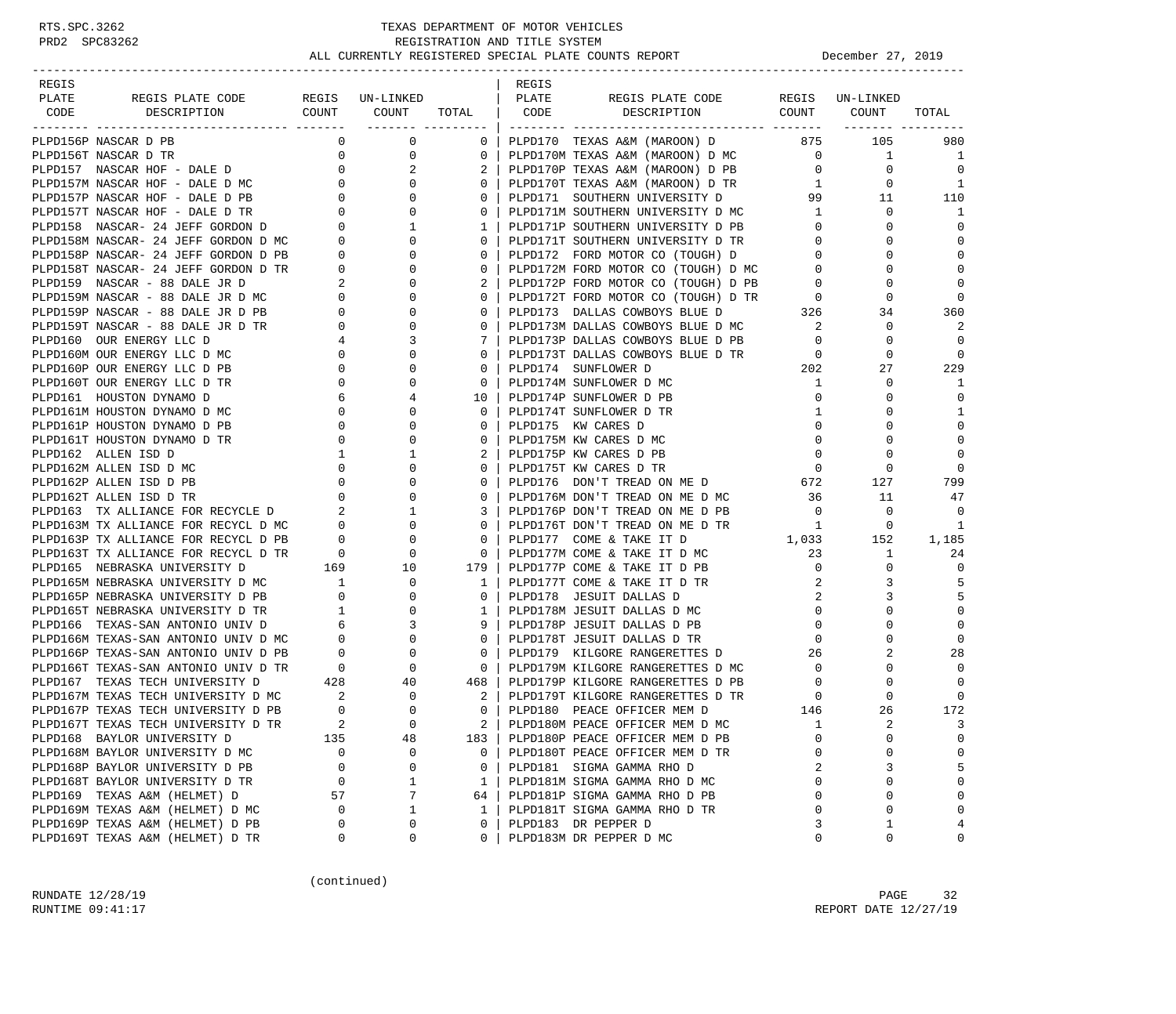| REGIS                                                                            |                                                                    |                                                      |                | REGIS |                                                                                                                   |                |                 |                |
|----------------------------------------------------------------------------------|--------------------------------------------------------------------|------------------------------------------------------|----------------|-------|-------------------------------------------------------------------------------------------------------------------|----------------|-----------------|----------------|
| PLATE<br>REGIS PLATE CODE                                                        |                                                                    | REGIS UN-LINKED                                      |                | PLATE | REGIS PLATE CODE                                                                                                  |                | REGIS UN-LINKED |                |
| CODE<br>DESCRIPTION                                                              | COUNT                                                              | COUNT<br>________ ________                           | TOTAL          | CODE  | DESCRIPTION                                                                                                       | COUNT          | COUNT           | TOTAL          |
| PLPD156P NASCAR D PB                                                             | $\mathbf{0}$                                                       | 0                                                    | $\mathbf{0}$   |       | PLPD170 TEXAS A&M (MAROON) D 875                                                                                  |                | 105             | 980            |
| PLPD156T NASCAR D TR                                                             | 0                                                                  | $\mathbf 0$                                          | 0              |       | PLPD170M TEXAS A&M (MAROON) D MC                                                                                  | $\overline{0}$ | $\mathbf{1}$    | -1             |
| PLPD157 NASCAR HOF - DALE D                                                      | $\mathbf{0}$                                                       | 2                                                    |                |       | PLPD170P TEXAS A&M (MAROON) D PB                                                                                  | $\overline{0}$ | $\mathbf 0$     | $\Omega$       |
| PLPD157M NASCAR HOF - DALE D MC                                                  | $\sim$ 0                                                           | $\mathbf{0}$                                         | $\Omega$       |       | PLPD170T TEXAS A&M (MAROON) D TR                                                                                  | $\mathbf{1}$   | 0               | 1              |
| PLPD157P NASCAR HOF - DALE D PB                                                  |                                                                    | $\mathbf 0$                                          | 0              |       | PLPD171 SOUTHERN UNIVERSITY D                                                                                     | 99             | 11              | 110            |
| PLPD157T NASCAR HOF - DALE D TR                                                  | $\begin{matrix} 0 \\ 0 \end{matrix}$                               | $\begin{array}{c} 0 \\ 0 \end{array}$<br>$\mathbf 0$ | 0              |       | PLPD171M SOUTHERN UNIVERSITY D MC                                                                                 | $\mathbf{1}$   | $\mathbf 0$     | 1              |
| PLPD158 NASCAR- 24 JEFF GORDON D                                                 | $\overline{0}$                                                     | $\mathbf{1}$                                         | 1              |       | PLPD171P SOUTHERN UNIVERSITY D PB                                                                                 | $\mathbf{0}$   | 0               | 0              |
| PLPD158M NASCAR- 24 JEFF GORDON D MC                                             |                                                                    | $\mathbf 0$                                          | $\mathbf{0}$   |       | PLPD171T SOUTHERN UNIVERSITY D TR                                                                                 | $\mathbf 0$    | $\Omega$        | $\mathbf 0$    |
| PLPD158P NASCAR- 24 JEFF GORDON D PB                                             | $\begin{matrix}0\\0\end{matrix}$                                   | $\mathbf{0}$                                         | $\Omega$       |       | PLPD172 FORD MOTOR CO (TOUGH) D                                                                                   | $\mathbf{0}$   | $\Omega$        | $\Omega$       |
| PLPD158T NASCAR- 24 JEFF GORDON D TR                                             |                                                                    | 0                                                    | $\mathbf{0}$   |       |                                                                                                                   | $\mathbf{0}$   | $\mathbf 0$     | $\mathbf 0$    |
| PLPD159 NASCAR - 88 DALE JR D                                                    | $\begin{array}{ccc}\n\text{TR} & & 0 \\ & 2 \\ & & 0\n\end{array}$ | $\mathbf 0$                                          | 2              |       | PLPD172M FORD MOTOR CO (TOUGH) D MC<br>PLPD172P FORD MOTOR CO (TOUGH) D PB<br>PLPD172P FORD MOTOR CO (TOUGH) D PB | $\overline{0}$ | $\Omega$        | $\mathbf 0$    |
| PLPD159M NASCAR - 88 DALE JR D MC                                                |                                                                    | $\mathbf 0$                                          | $\mathbf{0}$   |       |                                                                                                                   |                | $\mathbf 0$     | 0              |
| PLPD159P NASCAR - 88 DALE JR D PB                                                | $\overline{\phantom{0}}$                                           | 0                                                    | $\mathbf{0}$   |       |                                                                                                                   |                | 34              | 360            |
| PLPD159T NASCAR - 88 DALE JR D TR                                                | $\overline{0}$                                                     | $\mathbf 0$                                          | $\Omega$       |       | PLPD172T FORD MOTOR CO (TOUGH) D TR<br>PLPD173 DALLAS COWBOYS BLUE D 326<br>PLPD173M DALLAS COWBOYS BLUE D MC 2   |                | 0               | 2              |
| PLPD160 OUR ENERGY LLC D                                                         |                                                                    | $4\degree$<br>3                                      | 7              |       | PLPD173P DALLAS COWBOYS BLUE D PB                                                                                 | $\mathbf{0}$   | 0               | $\overline{0}$ |
| PLPD160M OUR ENERGY LLC D MC                                                     | $\overline{0}$                                                     | $\Omega$                                             | $\Omega$       |       | PLPD173T DALLAS COWBOYS BLUE D TR                                                                                 | $\overline{0}$ | $\mathbf 0$     | $\mathbf 0$    |
| PLPD160P OUR ENERGY LLC D PB                                                     | $\overline{0}$                                                     | 0                                                    | 0              |       | PLPD174 SUNFLOWER D                                                                                               | 202            | 27              | 229            |
| PLPD160T OUR ENERGY LLC D TR                                                     | $\mathbf 0$                                                        | 0                                                    | $\mathbf{0}$   |       | PLPD174M SUNFLOWER D MC                                                                                           | $\mathbf{1}$   | 0               | 1              |
| PLPD161 HOUSTON DYNAMO D                                                         | 6                                                                  | 4                                                    | 10             |       | PLPD174P SUNFLOWER D PB                                                                                           | $\mathbf 0$    | 0               | $\mathbf 0$    |
| PLPD161M HOUSTON DYNAMO D MC                                                     | $\overline{\phantom{0}}$                                           | 0                                                    | $\mathbf{0}$   |       | PLPD174T SUNFLOWER D TR                                                                                           | 1              | 0               | 1              |
| PLPD161P HOUSTON DYNAMO D PB                                                     | $\overline{0}$                                                     | $\Omega$                                             | $\Omega$       |       | PLPD175 KW CARES D                                                                                                | 0              | $\Omega$        | $\mathbf 0$    |
| PLPD161T HOUSTON DYNAMO D TR                                                     | $\mathbf{0}$                                                       | 0                                                    | $\Omega$       |       | PLPD175M KW CARES D MC                                                                                            | $\mathbf 0$    | $\Omega$        | $\mathbf 0$    |
| PLPD162 ALLEN ISD D                                                              | $\mathbf{1}$                                                       | 1                                                    | 2              |       | PLPD175P KW CARES D PB                                                                                            | $\mathbf 0$    | 0               | $\Omega$       |
| PLPD162M ALLEN ISD D MC                                                          | $\overline{0}$                                                     | $\mathbf 0$                                          | $\Omega$       |       | PLPD175T KW CARES D TR                                                                                            | $\overline{0}$ | 0               | $\Omega$       |
| PLPD162P ALLEN ISD D PB                                                          | $\mathbf{0}$                                                       | $\mathbf 0$                                          | 0              |       | PLPD176 DON'T TREAD ON ME D 672                                                                                   |                | 127             | 799            |
| PLPD162T ALLEN ISD D TR                                                          | $\overline{\phantom{0}}$                                           | $\mathbf 0$                                          | 0              |       | PLPD176M DON'T TREAD ON ME D MC                                                                                   | 36             | 11              | 47             |
| PLPD163 TX ALLIANCE FOR RECYCLE D 2                                              |                                                                    | $\mathbf{1}$                                         | 3              |       | PLPD176P DON'T TREAD ON ME D PB                                                                                   | $\overline{0}$ | $\mathbf 0$     | 0              |
|                                                                                  |                                                                    | $\mathbf 0$                                          | $\mathbf{0}$   |       | PLPD176T DON'T TREAD ON ME D TR                                                                                   | 1              | $\mathbf 0$     | 1              |
| PLPD163M TX ALLIANCE FOR RECYCL D MC 0<br>PLPD163P TX ALLIANCE FOR RECYCL D PB 0 |                                                                    | 0                                                    | $\Omega$       |       | PLPD177 COME & TAKE IT D                                                                                          | 1,033          | 152             | 1,185          |
| PLPD163T TX ALLIANCE FOR RECYCL D TR                                             |                                                                    | $\mathbf 0$                                          | 0              |       | PLPD177M COME & TAKE IT D MC                                                                                      | 23             | 1               | 24             |
| PLPD165 NEBRASKA UNIVERSITY D                                                    | $\begin{tabular}{cc} TR & 0 \\ & 169 \\ \end{tabular}$             | 10                                                   | 179            |       | PLPD177P COME & TAKE IT D PB                                                                                      | $\mathbf{0}$   | $\Omega$        | $\mathbf 0$    |
| PLPD165M NEBRASKA UNIVERSITY D MC                                                |                                                                    | $\mathbf 0$                                          | $\mathbf{1}$   |       | PLPD177T COME & TAKE IT D TR                                                                                      | 2              | 3               | 5              |
| PLPD165P NEBRASKA UNIVERSITY D PB                                                | $\overline{0}$                                                     | $\mathbf 0$                                          | $\mathbf{0}$   |       | PLPD178 JESUIT DALLAS D                                                                                           | 2              | 3               | 5              |
| PLPD165T NEBRASKA UNIVERSITY D TR                                                |                                                                    | $\mathbf 0$                                          | $\mathbf{1}$   |       | PLPD178M JESUIT DALLAS D MC                                                                                       | 0              | $\Omega$        | $\mathbf 0$    |
|                                                                                  |                                                                    | 3                                                    | 9 <sup>1</sup> |       | PLPD178P JESUIT DALLAS D PB                                                                                       | $\mathbf 0$    | $\Omega$        | $\mathbf 0$    |
| PLPD166 TEXAS-SAN ANTONIO UNIV D<br>PLPD166M TEXAS-SAN ANTONIO UNIV D MC 0       |                                                                    | $\mathbf 0$                                          | $\mathbf{0}$   |       | PLPD178T JESUIT DALLAS D TR                                                                                       | 0              | $\Omega$        | $\mathbf 0$    |
| PLPD166P TEXAS-SAN ANTONIO UNIV D PB                                             |                                                                    | $\mathbf 0$                                          | $\mathbf{0}$   |       | PLPD179 KILGORE RANGERETTES D                                                                                     | 26             | 2               | 28             |
| PLPD166T TEXAS-SAN ANTONIO UNIV D TR                                             | $\begin{matrix} 0 \\ 0 \end{matrix}$                               | $\mathbf 0$                                          | $\overline{0}$ |       | PLPD179M KILGORE RANGERETTES D MC                                                                                 | $\overline{0}$ | $\mathbf 0$     | $\Omega$       |
| PLPD167 TEXAS TECH UNIVERSITY D                                                  | 428                                                                | 40                                                   | 468            |       | PLPD179P KILGORE RANGERETTES D PB                                                                                 | 0              | 0               | $\Omega$       |
|                                                                                  |                                                                    | 0                                                    | 2 I            |       | PLPD179T KILGORE RANGERETTES D TR                                                                                 | 0              | 0               | $\mathbf 0$    |
| PLPD167M TEXAS TECH UNIVERSITY D MC 2<br>PLPD167P TEXAS TECH UNIVERSITY D PB 0   |                                                                    | $\Omega$                                             | $\Omega$       |       | PLPD180 PEACE OFFICER MEM D                                                                                       | 146            | 26              | 172            |
| PLPD167T TEXAS TECH UNIVERSITY D TR                                              |                                                                    | $\Omega$                                             | $2 \mid$       |       | PLPD180M PEACE OFFICER MEM D MC                                                                                   | 1              | $\overline{a}$  | 3              |
| PLPD168 BAYLOR UNIVERSITY D                                                      | 135                                                                | 48                                                   | 183            |       | PLPD180P PEACE OFFICER MEM D PB                                                                                   | $\mathbf 0$    | $\mathbf 0$     | $\mathbf 0$    |
| PLPD168M BAYLOR UNIVERSITY D MC                                                  | $\Omega$                                                           | 0                                                    | 0              |       | PLPD180T PEACE OFFICER MEM D TR                                                                                   | $\Omega$       | 0               | 0              |
| PLPD168P BAYLOR UNIVERSITY D PB                                                  | 0                                                                  | 0                                                    | 0              |       | PLPD181 SIGMA GAMMA RHO D                                                                                         | 2              | 3               | 5              |
| PLPD168T BAYLOR UNIVERSITY D TR                                                  | 0                                                                  | 1                                                    | $\mathbf{1}$   |       | PLPD181M SIGMA GAMMA RHO D MC                                                                                     | $\Omega$       | $\mathbf 0$     | $\mathbf 0$    |
| PLPD169 TEXAS A&M (HELMET) D                                                     | 57                                                                 | 7                                                    | 64             |       | PLPD181P SIGMA GAMMA RHO D PB                                                                                     | $\Omega$       | $\mathbf 0$     | $\mathbf 0$    |
| PLPD169M TEXAS A&M (HELMET) D MC                                                 | 0                                                                  | $\mathbf{1}$                                         | $\mathbf{1}$   |       | PLPD181T SIGMA GAMMA RHO D TR                                                                                     | $\mathbf 0$    | $\mathbf 0$     | $\mathbf 0$    |
| PLPD169P TEXAS A&M (HELMET) D PB                                                 | 0                                                                  | 0                                                    | 0              |       | PLPD183 DR PEPPER D                                                                                               | 3              | 1               | 4              |
| PLPD169T TEXAS A&M (HELMET) D TR                                                 | 0                                                                  | 0                                                    | 0              |       | PLPD183M DR PEPPER D MC                                                                                           | $\mathbf 0$    | 0               | 0              |
|                                                                                  |                                                                    |                                                      |                |       |                                                                                                                   |                |                 |                |

(continued)

RUNDATE 12/28/19 PAGE 32 RUNTIME 09:41:17 REPORT DATE 12/27/19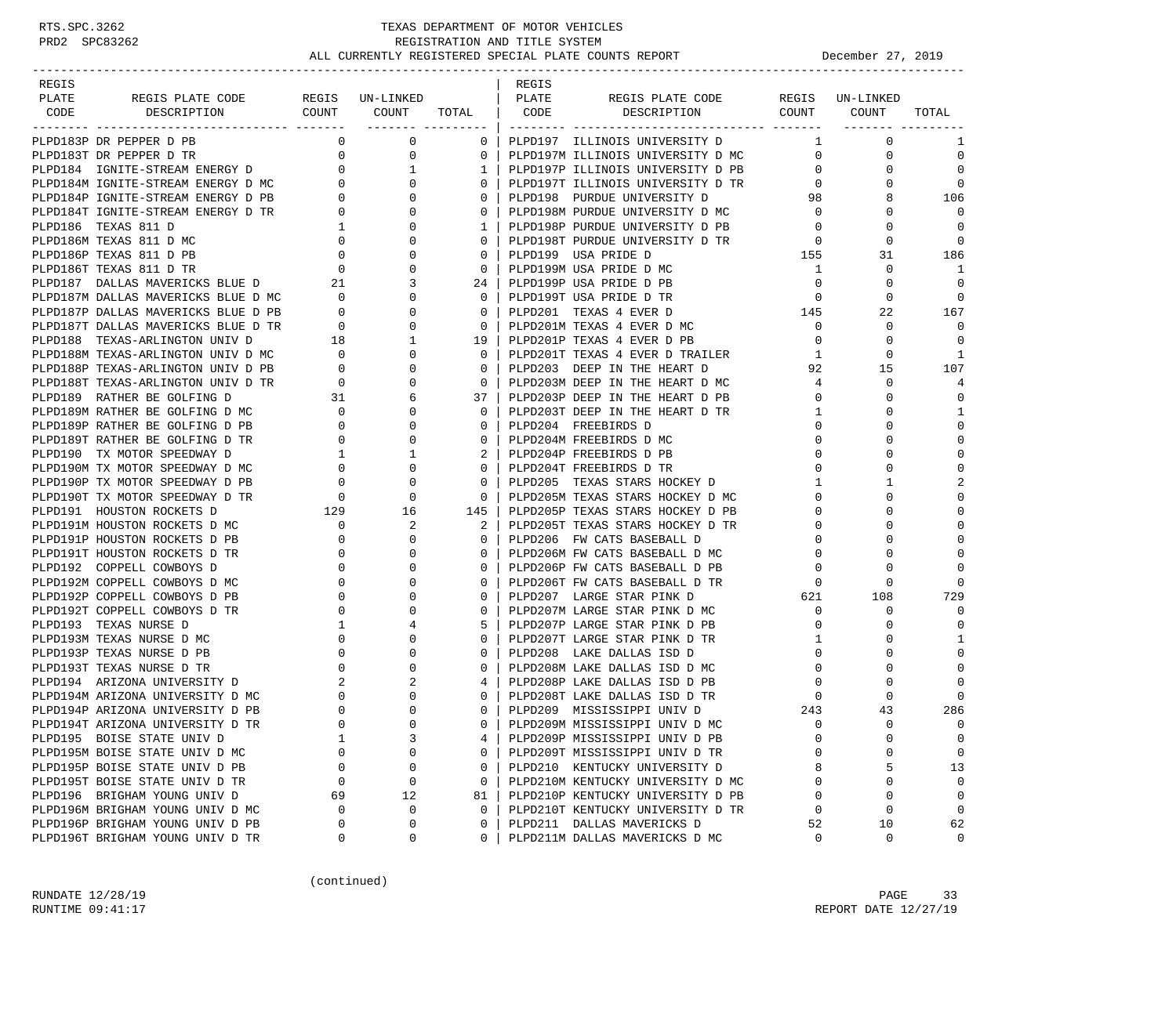## RTS.SPC.3262 TEXAS DEPARTMENT OF MOTOR VEHICLES<br>PRD2 SPC83262 REGISTRATION AND TITLE SYSTEM REGISTRATION AND TITLE SYSTEM ALL CURRENTLY REGISTERED SPECIAL PLATE COUNTS REPORT **DECEMBER 1999** December 27, 2019

-----------------------------------------------------------------------------------------------------------------------------------

| REGIS |                                                                                                                                                                                                                                                                       |                                         |             |                | REGIS |                                                                                                                                                                                                     |                                                    |                                                                                     |                |
|-------|-----------------------------------------------------------------------------------------------------------------------------------------------------------------------------------------------------------------------------------------------------------------------|-----------------------------------------|-------------|----------------|-------|-----------------------------------------------------------------------------------------------------------------------------------------------------------------------------------------------------|----------------------------------------------------|-------------------------------------------------------------------------------------|----------------|
| PLATE |                                                                                                                                                                                                                                                                       |                                         |             |                |       |                                                                                                                                                                                                     |                                                    |                                                                                     |                |
|       | PLATE REGISPLATE CODE REGIS UN-LINKED   PLATE REGISPLATE CODE REGIS UN-LINKED<br>CODE DESCRIPTION COUNT COUNT TOTAL   CODE DESCRIPTION COUNT COUNT                                                                                                                    |                                         |             |                |       |                                                                                                                                                                                                     |                                                    |                                                                                     | TOTAL          |
|       | $\begin{bmatrix} 0.001 & 10.001 & 0.001 & 0.001 & 0.001 & 0.001 & 0.001 & 0.001 & 0.001 & 0.001 & 0.001 & 0.001 & 0.001 & 0.001 & 0.001 & 0.001 & 0.001 & 0.001 & 0.001 & 0.001 & 0.001 & 0.001 & 0.001 & 0.001 & 0.001 & 0.001 & 0.001 & 0.001 & 0.001 & 0.001 & 0.$ |                                         |             |                |       |                                                                                                                                                                                                     |                                                    |                                                                                     | 1              |
|       |                                                                                                                                                                                                                                                                       |                                         |             |                |       |                                                                                                                                                                                                     |                                                    |                                                                                     | $\mathbf 0$    |
|       |                                                                                                                                                                                                                                                                       |                                         |             |                |       | 1   PLPD197P ILLINOIS UNIVERSITY D PB                                                                                                                                                               |                                                    | $\begin{array}{ccc} 1 & & & 0 \\ 0 & & & 0 \\ 0 & & & 0 \\ 0 & & & & 0 \end{array}$ | $\Omega$       |
|       |                                                                                                                                                                                                                                                                       |                                         |             |                |       | 0   PLPD197T ILLINOIS UNIVERSITY D TR                                                                                                                                                               | $\overline{0}$                                     | $\mathbf{0}$                                                                        | $\bigcirc$     |
|       |                                                                                                                                                                                                                                                                       |                                         |             |                |       |                                                                                                                                                                                                     | 98                                                 | 8                                                                                   | 106            |
|       |                                                                                                                                                                                                                                                                       |                                         |             |                |       |                                                                                                                                                                                                     |                                                    | $\mathbf{0}$                                                                        |                |
|       |                                                                                                                                                                                                                                                                       |                                         |             |                |       |                                                                                                                                                                                                     | $\overline{0}$                                     | $\mathbf 0$                                                                         | $\Omega$       |
|       |                                                                                                                                                                                                                                                                       |                                         |             |                |       |                                                                                                                                                                                                     |                                                    | $\Omega$                                                                            | $\Omega$       |
|       |                                                                                                                                                                                                                                                                       |                                         |             |                |       |                                                                                                                                                                                                     | $\begin{array}{c}0\\155\end{array}$                | 31                                                                                  | 186            |
|       |                                                                                                                                                                                                                                                                       |                                         |             |                |       |                                                                                                                                                                                                     | $\mathbf{1}$                                       | $\mathbf 0$                                                                         | $\overline{1}$ |
|       |                                                                                                                                                                                                                                                                       |                                         |             |                |       |                                                                                                                                                                                                     | $\begin{bmatrix} 0 \\ 0 \\ 145 \\ 0 \end{bmatrix}$ | $\Omega$                                                                            | $\Omega$       |
|       |                                                                                                                                                                                                                                                                       |                                         |             |                |       |                                                                                                                                                                                                     |                                                    | $\Omega$                                                                            | $\Omega$       |
|       |                                                                                                                                                                                                                                                                       |                                         |             |                |       |                                                                                                                                                                                                     |                                                    | 22                                                                                  | 167            |
|       |                                                                                                                                                                                                                                                                       |                                         |             |                |       |                                                                                                                                                                                                     |                                                    | $\mathsf{O}$                                                                        | $\mathbf 0$    |
|       |                                                                                                                                                                                                                                                                       |                                         |             |                |       |                                                                                                                                                                                                     | $\overline{0}$                                     | $\mathbf 0$                                                                         | $\Omega$       |
|       |                                                                                                                                                                                                                                                                       |                                         |             |                |       |                                                                                                                                                                                                     | $\mathbf{1}$                                       | $\Omega$                                                                            | $\overline{1}$ |
|       |                                                                                                                                                                                                                                                                       |                                         |             |                |       | 19   PLPDZOIT TEXAS 4 EVER D TRAILER<br>0   PLPD201T TEXAS 4 EVER D TRAILER<br>1   TERROOL DEED IN THE HEART D                                                                                      | 92                                                 | 15                                                                                  | 107            |
|       |                                                                                                                                                                                                                                                                       |                                         |             |                |       |                                                                                                                                                                                                     | $4\overline{4}$                                    | $\mathbf 0$                                                                         | $\overline{4}$ |
|       |                                                                                                                                                                                                                                                                       |                                         |             |                |       |                                                                                                                                                                                                     | $\overline{0}$                                     | $\Omega$                                                                            | $\Omega$       |
|       |                                                                                                                                                                                                                                                                       |                                         |             |                |       |                                                                                                                                                                                                     | $\overline{1}$                                     | 0                                                                                   | 1              |
|       |                                                                                                                                                                                                                                                                       |                                         |             |                |       |                                                                                                                                                                                                     | $\mathbf 0$                                        | $\cap$                                                                              | $\Omega$       |
|       |                                                                                                                                                                                                                                                                       |                                         |             |                |       |                                                                                                                                                                                                     | $\mathbf{0}$                                       | $\Omega$                                                                            | $\mathbf 0$    |
|       |                                                                                                                                                                                                                                                                       |                                         |             |                |       |                                                                                                                                                                                                     | $\mathbf 0$                                        | $\Omega$                                                                            | $\mathbf 0$    |
|       |                                                                                                                                                                                                                                                                       |                                         |             |                |       |                                                                                                                                                                                                     | $\mathbf 0$                                        | $\Omega$                                                                            | $\Omega$       |
|       |                                                                                                                                                                                                                                                                       |                                         |             |                |       | 0   PLPD204T FREEBIRDS D TR<br>0   PLPD205   TEXAS STARS HOCKEY D                                                                                                                                   | $\mathbf{1}$                                       | 1                                                                                   | 2              |
|       |                                                                                                                                                                                                                                                                       |                                         |             |                |       |                                                                                                                                                                                                     | $\mathbf{0}$                                       | $\Omega$                                                                            | $\Omega$       |
|       |                                                                                                                                                                                                                                                                       |                                         |             |                |       |                                                                                                                                                                                                     | $\Omega$                                           | $\Omega$                                                                            | $\Omega$       |
|       |                                                                                                                                                                                                                                                                       |                                         |             |                |       |                                                                                                                                                                                                     | 0                                                  | $\Omega$                                                                            | $\mathbf 0$    |
|       |                                                                                                                                                                                                                                                                       |                                         |             |                |       |                                                                                                                                                                                                     | $\mathbf 0$                                        |                                                                                     | $\Omega$       |
|       |                                                                                                                                                                                                                                                                       |                                         |             |                |       |                                                                                                                                                                                                     | $\overline{0}$                                     | $\cap$                                                                              | $\Omega$       |
|       |                                                                                                                                                                                                                                                                       |                                         |             |                |       |                                                                                                                                                                                                     | $\overline{0}$                                     | $\Omega$                                                                            |                |
|       |                                                                                                                                                                                                                                                                       |                                         |             |                |       |                                                                                                                                                                                                     |                                                    | $\Omega$                                                                            | $\Omega$       |
|       |                                                                                                                                                                                                                                                                       |                                         |             |                |       |                                                                                                                                                                                                     | $\begin{array}{c}\n 0 \\  621\n \end{array}$       | 108                                                                                 | 729            |
|       | PLPD192T COPPELL COWBOYS D TR                                                                                                                                                                                                                                         |                                         | $\mathbf 0$ | 0 <sup>1</sup> |       |                                                                                                                                                                                                     | $\overline{0}$                                     | $\mathbf 0$                                                                         | $\Omega$       |
|       |                                                                                                                                                                                                                                                                       | $\begin{array}{c}\n0 \\ 0\n\end{array}$ |             | $5-1$          |       | PLPD207M LARGE STAR PINK D MC<br>PLPD207P LARGE STAR PINK D PB                                                                                                                                      | $\Omega$                                           | $\Omega$                                                                            | $\Omega$       |
|       |                                                                                                                                                                                                                                                                       |                                         |             | 0 <sup>1</sup> |       | PLPD207T LARGE STAR PINK D TR                                                                                                                                                                       | $\mathbf{1}$                                       | 0                                                                                   | $\mathbf{1}$   |
|       |                                                                                                                                                                                                                                                                       |                                         |             | $0-1$          |       | $\begin{array}{c}\n\downarrow \\ \downarrow \\ \downarrow \\ \downarrow\n\end{array}$<br>PLPD208 LAKE DALLAS ISD D                                                                                  | $\mathbf 0$                                        | $\Omega$                                                                            | $\Omega$       |
|       |                                                                                                                                                                                                                                                                       |                                         |             | $\Omega$       |       | PLPD208M LAKE DALLAS ISD D MC                                                                                                                                                                       | $\bigcirc$                                         | $\Omega$                                                                            | $\Omega$       |
|       |                                                                                                                                                                                                                                                                       |                                         |             | $4 \mid$       |       | PLPD208P LAKE DALLAS ISD D PB                                                                                                                                                                       | $\overline{0}$                                     | $\Omega$                                                                            | $\Omega$       |
|       |                                                                                                                                                                                                                                                                       |                                         |             |                |       | 0 PLPD208T LAKE DALLAS ISD D TR                                                                                                                                                                     | $\begin{array}{c}0\\0\\243\end{array}$             | $\Omega$                                                                            |                |
|       |                                                                                                                                                                                                                                                                       |                                         |             |                |       | 0   PLPD209 MISSISSIPPI UNIV D                                                                                                                                                                      |                                                    | 43                                                                                  | 286            |
|       |                                                                                                                                                                                                                                                                       |                                         |             | $0-1$          |       |                                                                                                                                                                                                     | $\overline{0}$                                     | $\mathbf 0$                                                                         | $\Omega$       |
|       |                                                                                                                                                                                                                                                                       |                                         |             |                |       | PLPD209M MISSISSIPPI UNIV D MC<br>PLPD209P MISSISSIPPI UNIV D PB<br>4   PLPD209P MISSISSIPPI UNIV D PB                                                                                              | $\overline{0}$                                     | $\Omega$                                                                            | $\Omega$       |
|       |                                                                                                                                                                                                                                                                       |                                         |             |                |       | 0 PLPD209T MISSISSIPPI UNIV D TR                                                                                                                                                                    | $\overline{0}$                                     | $\Omega$                                                                            | $\Omega$       |
|       |                                                                                                                                                                                                                                                                       |                                         |             |                |       |                                                                                                                                                                                                     | 8                                                  | 5                                                                                   | 13             |
|       |                                                                                                                                                                                                                                                                       |                                         |             |                |       |                                                                                                                                                                                                     | $\overline{0}$                                     | $\Omega$                                                                            | $\Omega$       |
|       |                                                                                                                                                                                                                                                                       |                                         |             |                |       | 81   PLPD210P KENTUCKY UNIVERSITY D PB                                                                                                                                                              | $\overline{0}$                                     |                                                                                     |                |
|       |                                                                                                                                                                                                                                                                       |                                         |             |                |       | 0   PLPD2091 MISSISSIPPI ONIV D'IR<br>0   PLPD210 KENTUCKY UNIVERSITY D<br>0   PLPD210M KENTUCKY UNIVERSITY D MC<br>81   PLPD210P KENTUCKY UNIVERSITY D PB<br>0   PLPD210T KENTUCKY UNIVERSITY D TR | $\overline{0}$                                     | $\Omega$                                                                            | $\Omega$       |
|       |                                                                                                                                                                                                                                                                       |                                         |             |                |       | 0   PLPD211 DALLAS MAVERICKS D                                                                                                                                                                      | 52                                                 | 10                                                                                  | 62             |
|       |                                                                                                                                                                                                                                                                       |                                         |             | $0-1$          |       | PLPD211M DALLAS MAVERICKS D MC                                                                                                                                                                      | $\Omega$                                           | $\Omega$                                                                            | $\Omega$       |

(continued)

RUNDATE  $12/28/19$  PAGE 33 RUNTIME 09:41:17 **REPORT DATE 12/27/19**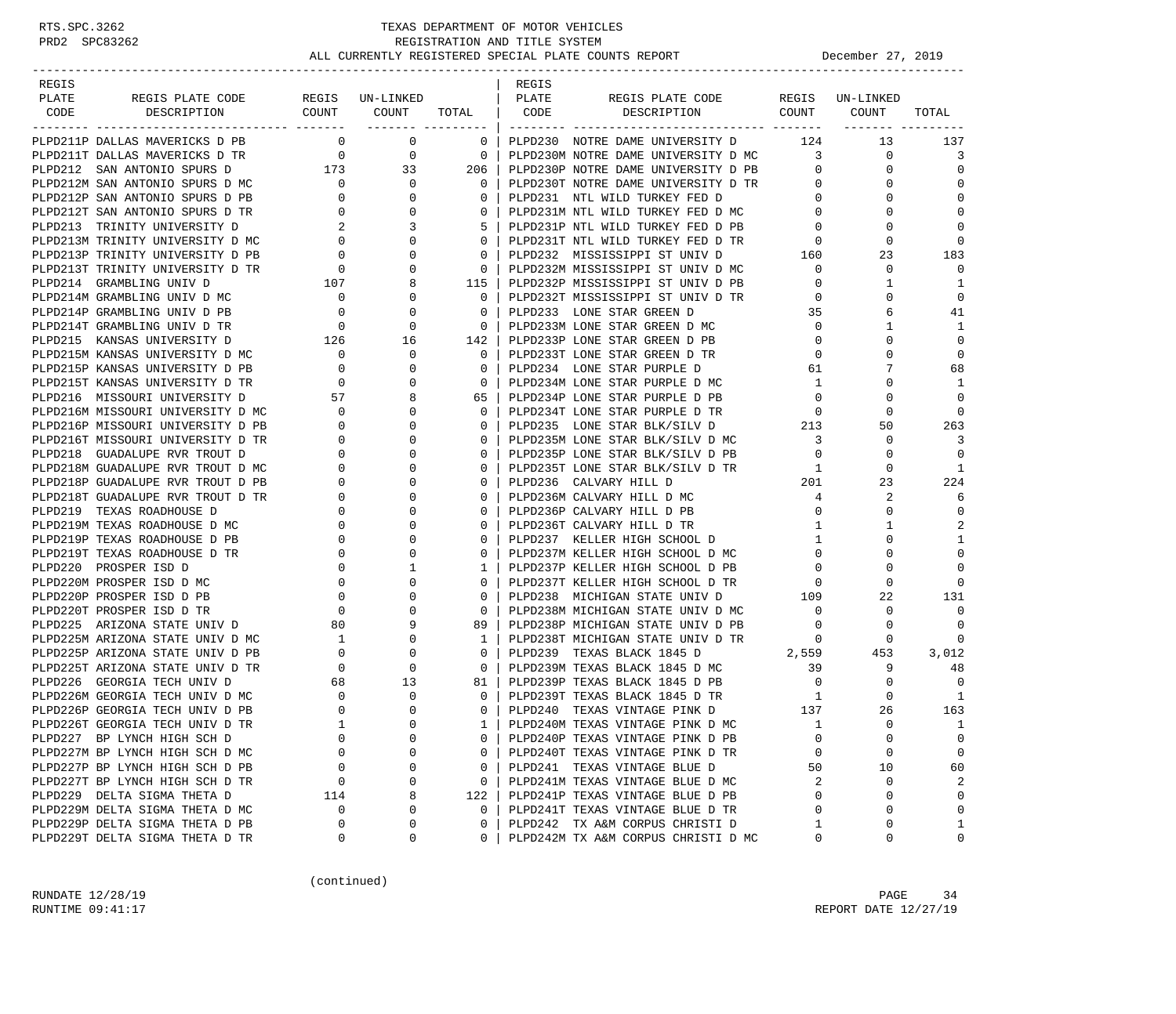| REGIS |                                                                    |                                                                 |                    |                          | REGIS |                                                                                                     |                                         |                      |                  |
|-------|--------------------------------------------------------------------|-----------------------------------------------------------------|--------------------|--------------------------|-------|-----------------------------------------------------------------------------------------------------|-----------------------------------------|----------------------|------------------|
| PLATE | REGIS PLATE CODE                                                   |                                                                 | REGIS UN-LINKED    |                          | PLATE | REGIS PLATE CODE REGIS UN-LINKED                                                                    |                                         |                      |                  |
| CODE  | DESCRIPTION                                                        | COUNT COUNT                                                     |                    | TOTAL                    | CODE  | DESCRIPTION COUNT COUNT                                                                             |                                         |                      | TOTAL            |
|       |                                                                    |                                                                 | ________ _________ |                          |       |                                                                                                     |                                         |                      |                  |
|       | PLPD211P DALLAS MAVERICKS D PB                                     | $\overline{0}$                                                  | $\overline{0}$     | $\mathbf{0}$             |       | PLPD230 NOTRE DAME UNIVERSITY D 124                                                                 |                                         | 13                   | 137              |
|       | PLPD211T DALLAS MAVERICKS D TR                                     | $\overline{0}$                                                  | $\overline{0}$     | $\overline{\phantom{0}}$ |       | PLPD230M NOTRE DAME UNIVERSITY D MC 3                                                               |                                         | 0                    | 3                |
|       | PLPD212 SAN ANTONIO SPURS D                                        | 173                                                             | 33                 | 206                      |       | PLPD230P NOTRE DAME UNIVERSITY D PB                                                                 | $\overline{0}$                          | $\Omega$             | $\Omega$         |
|       | PLPD212M SAN ANTONIO SPURS D MC                                    | $\overline{\phantom{0}}$                                        | $\Omega$           | $\Omega$                 |       | PLPD230T NOTRE DAME UNIVERSITY D TR                                                                 | $\overline{0}$                          | $\Omega$             | $\Omega$         |
|       | PLPD212P SAN ANTONIO SPURS D PB                                    | $\mathbf{0}$                                                    | 0                  | $\mathbf{0}$             |       | PLPD231 NTL WILD TURKEY FED D                                                                       | $\overline{0}$                          | $\Omega$             | $\mathbf 0$      |
|       | PLPD212T SAN ANTONIO SPURS D TR                                    | $\mathbf{0}$                                                    | $\Omega$           | $\mathbf 0$              |       | PLPD231M NTL WILD TURKEY FED D MC                                                                   | $\overline{0}$                          | $\Omega$             | $\Omega$         |
|       | PLPD213 TRINITY UNIVERSITY D                                       | 2                                                               | 3                  | 5                        |       | PLPD231P NTL WILD TURKEY FED D PB                                                                   | $\overline{0}$                          | $\Omega$             | $\Omega$         |
|       | PLPD213M TRINITY UNIVERSITY D MC                                   | $\begin{matrix} 0 \\ 0 \\ 0 \end{matrix}$                       |                    | $\mathbf{0}$             |       | PLPD231T NTL WILD TURKEY FED D TR                                                                   | $\overline{0}$                          | $\Omega$             | $\Omega$         |
|       | PLPD213P TRINITY UNIVERSITY D PB                                   |                                                                 | $\Omega$           | $\Omega$                 |       | PLPD232 MISSISSIPPI ST UNIV D                                                                       | 160                                     | 23                   | 183              |
|       | PLPD213T TRINITY UNIVERSITY D TR                                   | $\begin{tabular}{ccccc} TR & & & 0 \\ & & 107 \\ \end{tabular}$ |                    | $\mathbf{0}$             |       | PLPD232M MISSISSIPPI ST UNIV D MC                                                                   | $\mathbf 0$                             | 0                    | $\Omega$         |
|       | PLPD214 GRAMBLING UNIV D                                           |                                                                 | 8                  | 115                      |       | PLPD232P MISSISSIPPI ST UNIV D PB                                                                   | $\mathbf{0}$                            | 1                    | 1                |
|       | PLPD214M GRAMBLING UNIV D MC                                       | $\overline{\phantom{0}}$                                        | 0                  | $\mathbf{0}$             |       | PLPD232T MISSISSIPPI ST UNIV D TR                                                                   | $\mathbf 0$                             | 0                    | $\mathbf 0$      |
|       | PLPD214P GRAMBLING UNIV D PB                                       | $\overline{\phantom{0}}$                                        | $\Omega$           | $\mathbf 0$              |       | PLPD233 LONE STAR GREEN D                                                                           | 35                                      | 6                    | 41               |
|       | PLPD214T GRAMBLING UNIV D TR                                       | $\overline{0}$                                                  | $\Omega$           | $\Omega$                 |       | PLPD233M LONE STAR GREEN D MC                                                                       | $\overline{0}$                          | 1                    | 1                |
|       | PLPD215 KANSAS UNIVERSITY D                                        | $\frac{126}{12}$                                                | 16                 | 142                      |       | PLPD233P LONE STAR GREEN D PB                                                                       | $\overline{0}$                          | 0                    | $\Omega$         |
|       | PLPD215M KANSAS UNIVERSITY D MC                                    | $\overline{\phantom{0}}$                                        | 0                  | $\mathbf{0}$             |       | PLPD233T LONE STAR GREEN D TR                                                                       | $\circ$                                 | $\Omega$             | $\mathbf 0$      |
|       | PLPD215P KANSAS UNIVERSITY D PB                                    | $\overline{0}$                                                  | 0                  | 0                        |       | PLPD234 LONE STAR PURPLE D                                                                          | 61                                      | 7                    | 68               |
|       | PLPD215T KANSAS UNIVERSITY D TR                                    | $\overline{0}$                                                  |                    | $\mathbf 0$              |       | PLPD234M LONE STAR PURPLE D MC                                                                      | $\mathbf{1}$                            | 0                    | 1                |
|       | PLPD216 MISSOURI UNIVERSITY D                                      | 57                                                              |                    | 65                       |       | PLPD234P LONE STAR PURPLE D PB                                                                      | $\overline{0}$                          | 0                    | $\Omega$         |
|       | PLPD216M MISSOURI UNIVERSITY D MC                                  | $\mathbf{0}$                                                    | 0                  | $\Omega$                 |       | PLPD234T LONE STAR PURPLE D TR                                                                      | $\circ$                                 | 0                    | 0                |
|       | PLPD216P MISSOURI UNIVERSITY D PB                                  | $\mathbf{0}$                                                    | $\Omega$           | $\Omega$                 |       | PLPD235 LONE STAR BLK/SILV D                                                                        | $\begin{array}{c} 0 \\ 213 \end{array}$ | 50                   | 263              |
|       | PLPD216T MISSOURI UNIVERSITY D TR                                  | $\overline{0}$                                                  | $\Omega$           | 0                        |       | PLPD235M LONE STAR BLK/SILV D MC                                                                    | $\overline{\mathbf{3}}$                 | $\mathbf 0$          | 3                |
|       | PLPD218 GUADALUPE RVR TROUT D                                      | $\mathbf 0$                                                     |                    | $\mathbf 0$              |       | PLPD235P LONE STAR BLK/SILV D PB                                                                    | $\overline{0}$                          | $\Omega$             | $\Omega$         |
|       | PLPD218M GUADALUPE RVR TROUT D MC                                  | $\mathbf{0}$                                                    |                    | $\Omega$                 |       | PLPD235T LONE STAR BLK/SILV D TR                                                                    | $\overline{1}$                          | $\Omega$             | 1                |
|       | PLPD218P GUADALUPE RVR TROUT D PB                                  | $\mathbf{0}$                                                    |                    | 0                        |       | PLPD236 CALVARY HILL D                                                                              | 201                                     | 23                   | 224              |
|       | PLPD218T GUADALUPE RVR TROUT D TR                                  | $\circ$                                                         |                    | $\Omega$                 |       | PLPD236M CALVARY HILL D MC                                                                          | $\overline{4}$                          | 2                    | 6                |
|       | PLPD219 TEXAS ROADHOUSE D                                          | $\mathbf 0$                                                     | $\Omega$           | $\mathbf 0$              |       | PLPD236P CALVARY HILL D PB                                                                          | $\mathbf{0}$                            | $\mathbf 0$          | 0                |
|       | PLPD219M TEXAS ROADHOUSE D MC                                      | $\mathbf{0}$                                                    |                    | $\Omega$                 |       | PLPD236T CALVARY HILL D TR                                                                          | $\mathbf{1}$                            | 1                    | $\overline{2}$   |
|       | PLPD219P TEXAS ROADHOUSE D PB                                      | $\circ$                                                         |                    | $\Omega$                 |       | PLPD237 KELLER HIGH SCHOOL D                                                                        | $\mathbf{1}$                            | 0                    | 1                |
|       | PLPD219T TEXAS ROADHOUSE D TR                                      | $\mathbf 0$                                                     | $\Omega$           | 0                        |       | PLPD237M KELLER HIGH SCHOOL D MC                                                                    | $\mathbf{0}$                            | 0                    | $\mathbf 0$      |
|       | PLPD220 PROSPER ISD D                                              | $\mathbf 0$                                                     | 1                  | 1                        |       | PLPD237P KELLER HIGH SCHOOL D PB                                                                    | $\mathbf{0}$                            | $\Omega$             | $\Omega$         |
|       | PLPD220M PROSPER ISD D MC                                          | $\overline{0}$                                                  | 0                  | 0                        |       | PLPD237T KELLER HIGH SCHOOL D TR                                                                    | $\mathbf 0$                             | $\Omega$             | $\Omega$         |
|       | PLPD220P PROSPER ISD D PB                                          | $\mathbf 0$                                                     |                    | $\mathbf 0$              |       | PLPD238 MICHIGAN STATE UNIV D                                                                       | 109                                     | 22                   | 131              |
|       | PLPD220T PROSPER ISD D TR                                          | $\mathbf 0$                                                     |                    | $\Omega$                 |       | PLPD238M MICHIGAN STATE UNIV D MC                                                                   | $\overline{0}$                          | 0                    | $\Omega$         |
|       | PLPD225 ARIZONA STATE UNIV D                                       | 80                                                              |                    | 89                       |       | PLPD238P MICHIGAN STATE UNIV D PB                                                                   | $\overline{0}$                          | 0                    | 0                |
|       | PLPD225M ARIZONA STATE UNIV D MC                                   | $\overline{1}$                                                  | $\Omega$           | $\mathbf{1}$             |       | PLPD238T MICHIGAN STATE UNIV D TR                                                                   | $\overline{0}$                          | 0                    | $\Omega$         |
|       | PLPD225P ARIZONA STATE UNIV D PB                                   | $\overline{0}$                                                  | 0                  | $\mathbf 0$              |       | 2,559<br>PLPD239 TEXAS BLACK 1845 D                                                                 |                                         | 453                  | 3,012            |
|       | PLPD225T ARIZONA STATE UNIV D TR                                   | $\overline{0}$                                                  | $\Omega$           | $\mathbf{0}$             |       | PLPD239M TEXAS BLACK 1845 D MC                                                                      | 39                                      | 9                    | 48               |
|       | PLPD226 GEORGIA TECH UNIV D                                        | 68                                                              | 13                 | 81                       |       | PLPD239P TEXAS BLACK 1845 D PB                                                                      | $\overline{0}$                          | 0                    | $\Omega$         |
|       | PLPD226M GEORGIA TECH UNIV D MC                                    | $\overline{0}$                                                  | 0                  | $\mathbf{0}$             |       | PLPD239T TEXAS BLACK 1845 D TR<br>TIPD239T TEXAS BLACK 1845 D TR<br>TIPD40 TEXAS VINTAGE PINK D 137 | $\overline{1}$                          | $\Omega$             | -1               |
|       | PLPD226P GEORGIA TECH UNIV D PB                                    | $\overline{0}$                                                  | $\Omega$           | $\Omega$                 |       |                                                                                                     |                                         | 26                   | 163              |
|       | PLPD226T GEORGIA TECH UNIV D TR                                    | $\overline{1}$                                                  | $\cap$             | $\mathbf{1}$             |       | PLPD240M TEXAS VINTAGE PINK D MC                                                                    | <sup>1</sup>                            | $\Omega$             | 1                |
|       | PLPD227 BP LYNCH HIGH SCH D                                        | 0                                                               | $\Omega$           | 0                        |       | PLPD240P TEXAS VINTAGE PINK D PB                                                                    | $\mathbf 0$                             | 0                    | $\mathbf 0$      |
|       | PLPD227M BP LYNCH HIGH SCH D MC                                    | $\Omega$                                                        | $\cap$             | 0                        |       | PLPD240T TEXAS VINTAGE PINK D TR                                                                    | $\mathbf 0$                             | 0                    | $\mathbf 0$      |
|       | PLPD227P BP LYNCH HIGH SCH D PB                                    | 0                                                               | 0                  | 0                        |       | PLPD241 TEXAS VINTAGE BLUE D                                                                        | 50                                      | 10                   | 60               |
|       | PLPD227T BP LYNCH HIGH SCH D TR                                    | 0                                                               | $\Omega$           | 0                        |       | PLPD241M TEXAS VINTAGE BLUE D MC                                                                    | 2                                       | 0                    | 2                |
|       | PLPD229 DELTA SIGMA THETA D                                        | 114                                                             | 8<br>$\Omega$      | 122                      |       | PLPD241P TEXAS VINTAGE BLUE D PB                                                                    | $\Omega$<br>$\Omega$                    | $\Omega$<br>$\Omega$ | $\mathbf 0$      |
|       | PLPD229M DELTA SIGMA THETA D MC                                    | 0                                                               | $\Omega$           | $\mathbf{0}$             |       | PLPD241T TEXAS VINTAGE BLUE D TR<br>PLPD242 TX A&M CORPUS CHRISTI D                                 | 1                                       |                      | $\mathbf 0$      |
|       | PLPD229P DELTA SIGMA THETA D PB<br>PLPD229T DELTA SIGMA THETA D TR | 0<br>0                                                          | 0                  | 0<br>$\Omega$            |       | PLPD242M TX A&M CORPUS CHRISTI D MC                                                                 | 0                                       | 0<br>0               | 1<br>$\mathbf 0$ |
|       |                                                                    |                                                                 |                    |                          |       |                                                                                                     |                                         |                      |                  |

(continued)

RUNDATE  $12/28/19$  PAGE 34 RUNTIME 09:41:17 REPORT DATE 12/27/19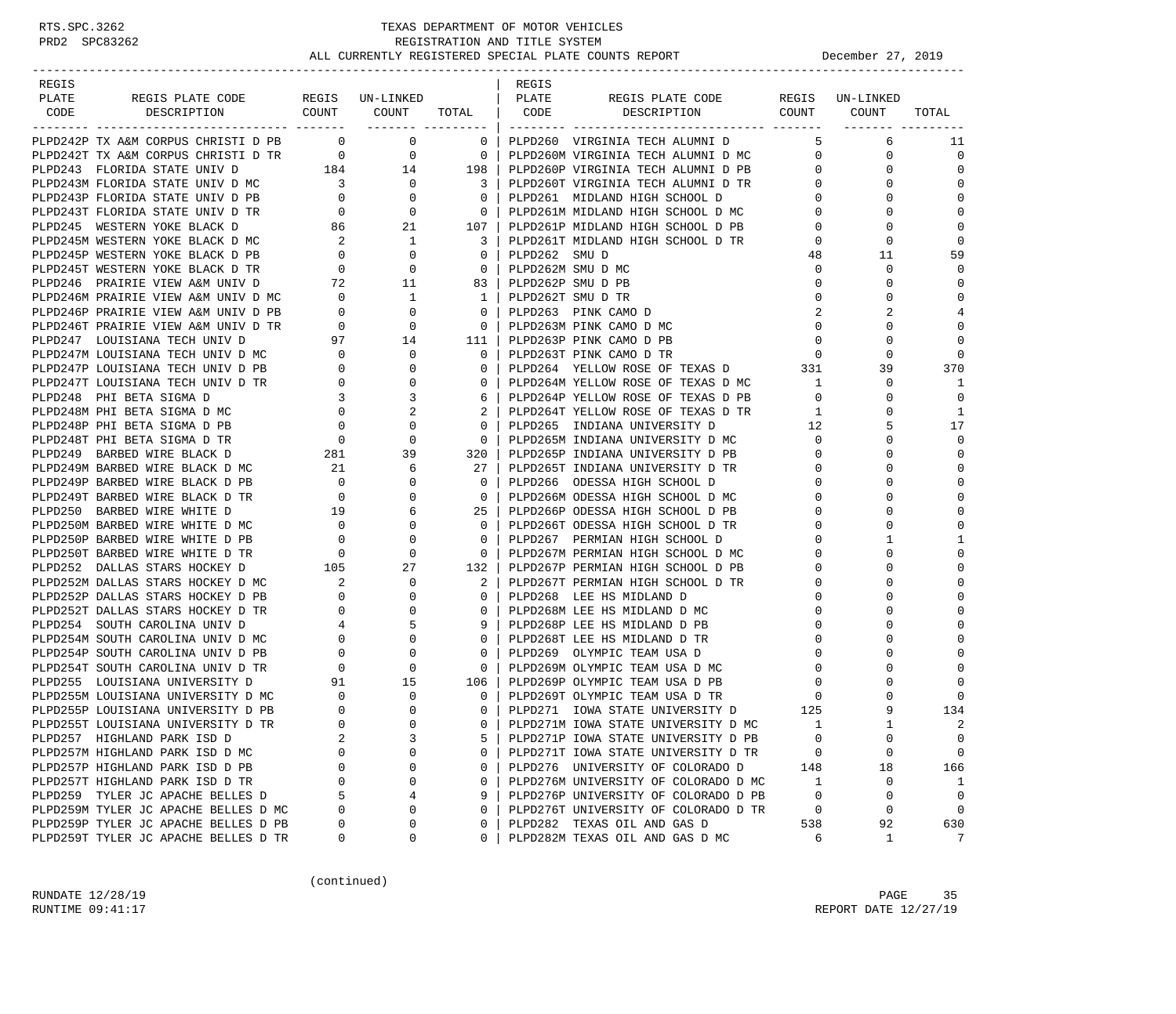| REGIS |                                                                                                                                                                                                                                                                                                                                                             |          |                                                                                                                                                                                                                                                                                  |                | REGIS |                                                                                                          |                   |                                |                            |
|-------|-------------------------------------------------------------------------------------------------------------------------------------------------------------------------------------------------------------------------------------------------------------------------------------------------------------------------------------------------------------|----------|----------------------------------------------------------------------------------------------------------------------------------------------------------------------------------------------------------------------------------------------------------------------------------|----------------|-------|----------------------------------------------------------------------------------------------------------|-------------------|--------------------------------|----------------------------|
| PLATE |                                                                                                                                                                                                                                                                                                                                                             |          |                                                                                                                                                                                                                                                                                  |                |       |                                                                                                          |                   |                                |                            |
| CODE  |                                                                                                                                                                                                                                                                                                                                                             |          |                                                                                                                                                                                                                                                                                  |                |       |                                                                                                          |                   |                                | TOTAL                      |
|       | PLPD242P TX A&M CORPUS CHRISTI D PB 0 0 0                                                                                                                                                                                                                                                                                                                   |          |                                                                                                                                                                                                                                                                                  |                |       | 0   PLPD260 VIRGINIA TECH ALUMNI D                                                                       |                   | 6                              |                            |
|       |                                                                                                                                                                                                                                                                                                                                                             |          |                                                                                                                                                                                                                                                                                  |                |       |                                                                                                          | -5                | $\overline{0}$<br>$\mathbf{0}$ | 11<br>$\mathbf 0$          |
|       | PLPD242T TX A&M CORPUS CHRISTI D TR<br>PLPD243T FLORIDA STATE UNIV D MC<br>PLPD243M FLORIDA STATE UNIV D MC<br>PLPD243M FLORIDA STATE UNIV D MC<br>PLPD243M FLORIDA STATE UNIV D MC<br>PLPD243P FLORIDA STATE UNIV D PB<br>PLPD243T FLORID                                                                                                                  |          |                                                                                                                                                                                                                                                                                  |                |       |                                                                                                          | 0                 | 0                              | $\Omega$                   |
|       |                                                                                                                                                                                                                                                                                                                                                             |          |                                                                                                                                                                                                                                                                                  |                |       |                                                                                                          |                   | $\Omega$                       | $\Omega$                   |
|       |                                                                                                                                                                                                                                                                                                                                                             |          |                                                                                                                                                                                                                                                                                  |                |       | PLPD260T VIRGINIA TECH ALUMNI D TR<br>0                                                                  | $0 \qquad \qquad$ | 0                              | $\mathbf 0$                |
|       |                                                                                                                                                                                                                                                                                                                                                             |          |                                                                                                                                                                                                                                                                                  |                |       |                                                                                                          | $\overline{0}$    | $\Omega$                       | $\mathbf 0$                |
|       |                                                                                                                                                                                                                                                                                                                                                             |          |                                                                                                                                                                                                                                                                                  |                |       |                                                                                                          |                   |                                |                            |
|       | PLPD245 WESTERN YOKE BLACK D                                                                                                                                                                                                                                                                                                                                |          | $86$ 21 107                                                                                                                                                                                                                                                                      |                |       | PLPD261P MIDLAND HIGH SCHOOL D PB                                                                        | $\overline{0}$    | 0                              | $\mathbf 0$<br>$\mathbf 0$ |
|       | PLPD245M WESTERN YOKE BLACK D MC                                                                                                                                                                                                                                                                                                                            |          |                                                                                                                                                                                                                                                                                  |                |       | PLPD261T MIDLAND HIGH SCHOOL D TR                                                                        | $\mathbf{0}$      | 0                              |                            |
|       | PLPD245P WESTERN YOKE BLACK D PB<br>PLPD245T WESTERN YOKE BLACK D TR                                                                                                                                                                                                                                                                                        |          | $\begin{array}{ccccccc} 2 & 1 & 3 & \text{PLPD261T} & \text{MIDLAND} & 0 & 0 & 0 & \text{PLPD262} & \text{SMU} & \text{D} \ 0 & 0 & 0 & 0 & \text{PLPD262M} & \text{SMU} & \text{D} & \text{N} \ 72 & 11 & 83 & \text{PLPD262P} & \text{SMU} & \text{D} & \text{PB} \end{array}$ |                |       |                                                                                                          | 48                | 11                             | 59<br>$\Omega$             |
|       |                                                                                                                                                                                                                                                                                                                                                             |          |                                                                                                                                                                                                                                                                                  |                |       |                                                                                                          | $\overline{0}$    | $\mathbf 0$                    |                            |
|       | PLPD246 PRAIRIE VIEW A&M UNIV D                                                                                                                                                                                                                                                                                                                             |          |                                                                                                                                                                                                                                                                                  |                |       |                                                                                                          | $\mathbf{0}$      | $\Omega$                       | $\mathbf 0$                |
|       |                                                                                                                                                                                                                                                                                                                                                             |          |                                                                                                                                                                                                                                                                                  |                |       |                                                                                                          | $\mathbf{0}$      | 0                              | $\mathbf 0$                |
|       |                                                                                                                                                                                                                                                                                                                                                             |          |                                                                                                                                                                                                                                                                                  |                |       |                                                                                                          | 2                 |                                | 4                          |
|       |                                                                                                                                                                                                                                                                                                                                                             |          |                                                                                                                                                                                                                                                                                  |                |       |                                                                                                          | $\overline{0}$    | $\Omega$                       | $\mathbf 0$                |
|       |                                                                                                                                                                                                                                                                                                                                                             |          |                                                                                                                                                                                                                                                                                  |                |       |                                                                                                          | $\overline{0}$    | $\mathbf 0$                    | $\mathbf 0$                |
|       |                                                                                                                                                                                                                                                                                                                                                             |          |                                                                                                                                                                                                                                                                                  |                |       |                                                                                                          | $\overline{0}$    | $\Omega$                       | $\mathbf 0$                |
|       |                                                                                                                                                                                                                                                                                                                                                             |          |                                                                                                                                                                                                                                                                                  |                |       | PLPD264 YELLOW ROSE OF TEXAS D 331                                                                       |                   | 39                             | 370                        |
|       |                                                                                                                                                                                                                                                                                                                                                             |          |                                                                                                                                                                                                                                                                                  |                |       | PLPD264M YELLOW ROSE OF TEXAS D MC                                                                       | 1                 | 0                              | 1                          |
|       |                                                                                                                                                                                                                                                                                                                                                             |          |                                                                                                                                                                                                                                                                                  |                |       | PLPD264P YELLOW ROSE OF TEXAS D PB                                                                       | $\overline{0}$    | $\Omega$                       | $\Omega$                   |
|       |                                                                                                                                                                                                                                                                                                                                                             |          |                                                                                                                                                                                                                                                                                  |                |       | PLPD264P YELLOW ROSE OF TEXAS D TR<br>PLPD264T YELLOW ROSE OF TEXAS D TR<br>--- TITLIANA UNIVERSITY D 12 | $\mathbf{1}$      | 0                              | 1                          |
|       |                                                                                                                                                                                                                                                                                                                                                             |          |                                                                                                                                                                                                                                                                                  |                |       |                                                                                                          |                   |                                | 17                         |
|       |                                                                                                                                                                                                                                                                                                                                                             |          |                                                                                                                                                                                                                                                                                  |                |       | PLPD265M INDIANA UNIVERSITY D MC                                                                         |                   | $\overline{0}$<br>$\Omega$     | $\mathbf 0$                |
|       | $[{{\it PED246}}$~{\it PED446}$~{\it PRED446}$~{\it PRED468}$~{\it PED468}$~{\it PED468}$~{\it PED468}$~{\it PED468}$~{\it PED468}$~{\it PED468}$~{\it PED468}$~{\it PED468}$~{\it PED468}$~{\it PED468}$~{\it PED468}$~{\it PED468}$~{\it PED468}$~{\it PED468}$~{\it PED468}$~{\it PED468}$~{\it PED47}$~{\it IUL11}~{\it PED468}$~{\it PED47}$~{\it IUL$ |          |                                                                                                                                                                                                                                                                                  |                |       | PLPD265P INDIANA UNIVERSITY D PB                                                                         | $\overline{0}$    | O                              | $\Omega$                   |
|       |                                                                                                                                                                                                                                                                                                                                                             |          |                                                                                                                                                                                                                                                                                  |                |       | PLPD265T INDIANA UNIVERSITY D TR                                                                         | $\mathbf{0}$      | O                              | $\Omega$                   |
|       |                                                                                                                                                                                                                                                                                                                                                             |          |                                                                                                                                                                                                                                                                                  |                |       | PLPD266 ODESSA HIGH SCHOOL D                                                                             | $\mathbf{0}$      | O                              | $\mathbf 0$                |
|       |                                                                                                                                                                                                                                                                                                                                                             |          |                                                                                                                                                                                                                                                                                  |                |       | PLPD266M ODESSA HIGH SCHOOL D MC                                                                         | $\mathbf{0}$      |                                | $\mathbf 0$                |
|       |                                                                                                                                                                                                                                                                                                                                                             |          |                                                                                                                                                                                                                                                                                  |                |       | PLPD266P ODESSA HIGH SCHOOL D PB                                                                         | $\mathbf{0}$      | O                              | $\mathbf{0}$               |
|       |                                                                                                                                                                                                                                                                                                                                                             |          |                                                                                                                                                                                                                                                                                  |                |       | PLPD266T ODESSA HIGH SCHOOL D TR                                                                         | $\mathbf{0}$      | 0                              | $\mathbf{0}$               |
|       |                                                                                                                                                                                                                                                                                                                                                             |          |                                                                                                                                                                                                                                                                                  |                |       | PLPD267 PERMIAN HIGH SCHOOL D                                                                            | $\mathbf{0}$      | 1                              | 1                          |
|       |                                                                                                                                                                                                                                                                                                                                                             |          |                                                                                                                                                                                                                                                                                  |                |       | PLPD267M PERMIAN HIGH SCHOOL D MC<br>PLPD267P PERMIAN HIGH SCHOOL D PB                                   | $\mathbf{0}$      | 0                              | $\mathbf{0}$               |
|       |                                                                                                                                                                                                                                                                                                                                                             |          |                                                                                                                                                                                                                                                                                  |                |       |                                                                                                          | $\mathbf{0}$      |                                | $\mathbf 0$                |
|       |                                                                                                                                                                                                                                                                                                                                                             |          |                                                                                                                                                                                                                                                                                  | 2              |       | PLPD267T PERMIAN HIGH SCHOOL D TR                                                                        | $\mathbf{0}$      | O                              | $\mathbf 0$                |
|       |                                                                                                                                                                                                                                                                                                                                                             |          |                                                                                                                                                                                                                                                                                  | $0-1$          |       | PLPD268 LEE HS MIDLAND D                                                                                 | $\mathbf{0}$      | O                              | $\Omega$                   |
|       |                                                                                                                                                                                                                                                                                                                                                             |          |                                                                                                                                                                                                                                                                                  | $\overline{0}$ |       | PLPD268M LEE HS MIDLAND D MC                                                                             | $\mathbf{0}$      |                                | $\Omega$                   |
|       |                                                                                                                                                                                                                                                                                                                                                             |          |                                                                                                                                                                                                                                                                                  | 9              |       | PLPD268P LEE HS MIDLAND D PB                                                                             | $\mathbf{0}$      | O                              | $\mathbf 0$                |
|       | PLPD252 DALLAS STARS HOCKEY D<br>PLPD252M DALLAS STARS HOCKEY D<br>MC 2 0<br>PLPD252P DALLAS STARS HOCKEY D<br>PB 0 0<br>PLPD252T DALLAS STARS HOCKEY D<br>PR 0 0<br>PLPD254 SOUTH CAROLINA UNIV D<br>MC 0 0<br>PLPD254P SOUTH CAROLINA UNIV D<br>                                                                                                          |          |                                                                                                                                                                                                                                                                                  | $\overline{0}$ |       | PLPD268T LEE HS MIDLAND D TR                                                                             | $\mathbf{0}$      |                                | $\mathbf{0}$               |
|       |                                                                                                                                                                                                                                                                                                                                                             |          |                                                                                                                                                                                                                                                                                  | $\overline{0}$ |       | PLPD269 OLYMPIC TEAM USA D                                                                               | $\mathbf{0}$      | O                              | $\Omega$                   |
|       |                                                                                                                                                                                                                                                                                                                                                             |          |                                                                                                                                                                                                                                                                                  |                |       | 0   PLPD269M OLYMPIC TEAM USA D MC                                                                       | $\overline{0}$    | $\Omega$                       | $\Omega$                   |
|       |                                                                                                                                                                                                                                                                                                                                                             |          |                                                                                                                                                                                                                                                                                  | 106            |       | PLPD269P OLYMPIC TEAM USA D PB                                                                           | $\mathbf{0}$      |                                | $\Omega$                   |
|       | PLPD255M LOUISIANA UNIVERSITY D MC 0<br>PLPD255P LOUISIANA UNIVERSITY D PB 0                                                                                                                                                                                                                                                                                |          | $\begin{matrix}0\\0\\0\end{matrix}$                                                                                                                                                                                                                                              | $\overline{0}$ |       | PLPD269T OLYMPIC TEAM USA D TR<br>PLPD269T OLYMPIC TEAM USA D TR<br>PLPD271 IOWA STATE UNIVERSITY D 125  |                   | 0                              | $\mathbf 0$                |
|       |                                                                                                                                                                                                                                                                                                                                                             |          |                                                                                                                                                                                                                                                                                  | $0-1$          |       |                                                                                                          |                   | 9                              | 134                        |
|       | PLPD255T LOUISIANA UNIVERSITY D TR                                                                                                                                                                                                                                                                                                                          | $\Omega$ |                                                                                                                                                                                                                                                                                  | $\Omega$       |       | PLPD271M IOWA STATE UNIVERSITY D MC                                                                      | 1                 | $\mathbf{1}$                   | 2                          |
|       | PLPD257 HIGHLAND PARK ISD D                                                                                                                                                                                                                                                                                                                                 | 2        | 3                                                                                                                                                                                                                                                                                | 5              |       | PLPD271P IOWA STATE UNIVERSITY D PB                                                                      | $\mathbf 0$       | 0                              | $\mathbf 0$                |
|       | PLPD257M HIGHLAND PARK ISD D MC                                                                                                                                                                                                                                                                                                                             | $\Omega$ | 0                                                                                                                                                                                                                                                                                | 0              |       | PLPD271T IOWA STATE UNIVERSITY D TR                                                                      | 0                 | $\mathbf 0$                    | $\mathbf 0$                |
|       | PLPD257P HIGHLAND PARK ISD D PB                                                                                                                                                                                                                                                                                                                             | 0        | 0                                                                                                                                                                                                                                                                                | $\mathbf{0}$   |       | PLPD276 UNIVERSITY OF COLORADO D                                                                         | 148               | 18                             | 166                        |
|       | PLPD257T HIGHLAND PARK ISD D TR                                                                                                                                                                                                                                                                                                                             | $\Omega$ | $\mathbf 0$                                                                                                                                                                                                                                                                      | 0              |       | PLPD276M UNIVERSITY OF COLORADO D MC                                                                     | 1                 | $\mathbf 0$                    | 1                          |
|       | PLPD259 TYLER JC APACHE BELLES D                                                                                                                                                                                                                                                                                                                            | 5        | 4                                                                                                                                                                                                                                                                                | 9              |       | PLPD276P UNIVERSITY OF COLORADO D PB                                                                     | $\mathbf 0$       | 0                              | $\mathbf 0$                |
|       | PLPD259M TYLER JC APACHE BELLES D MC                                                                                                                                                                                                                                                                                                                        | $\Omega$ | $\mathbf 0$                                                                                                                                                                                                                                                                      | 0              |       | PLPD276T UNIVERSITY OF COLORADO D TR                                                                     | 0                 | 0                              | 0                          |
|       | PLPD259P TYLER JC APACHE BELLES D PB                                                                                                                                                                                                                                                                                                                        | $\Omega$ | 0                                                                                                                                                                                                                                                                                | 0              |       | PLPD282 TEXAS OIL AND GAS D                                                                              | 538               | 92                             | 630                        |
|       | PLPD259T TYLER JC APACHE BELLES D TR                                                                                                                                                                                                                                                                                                                        | 0        | 0                                                                                                                                                                                                                                                                                | 0              |       | PLPD282M TEXAS OIL AND GAS D MC                                                                          | 6                 | $\mathbf{1}$                   | 7                          |

(continued)

RUNDATE  $12/28/19$  PAGE 35 RUNTIME 09:41:17 REPORT DATE 12/27/19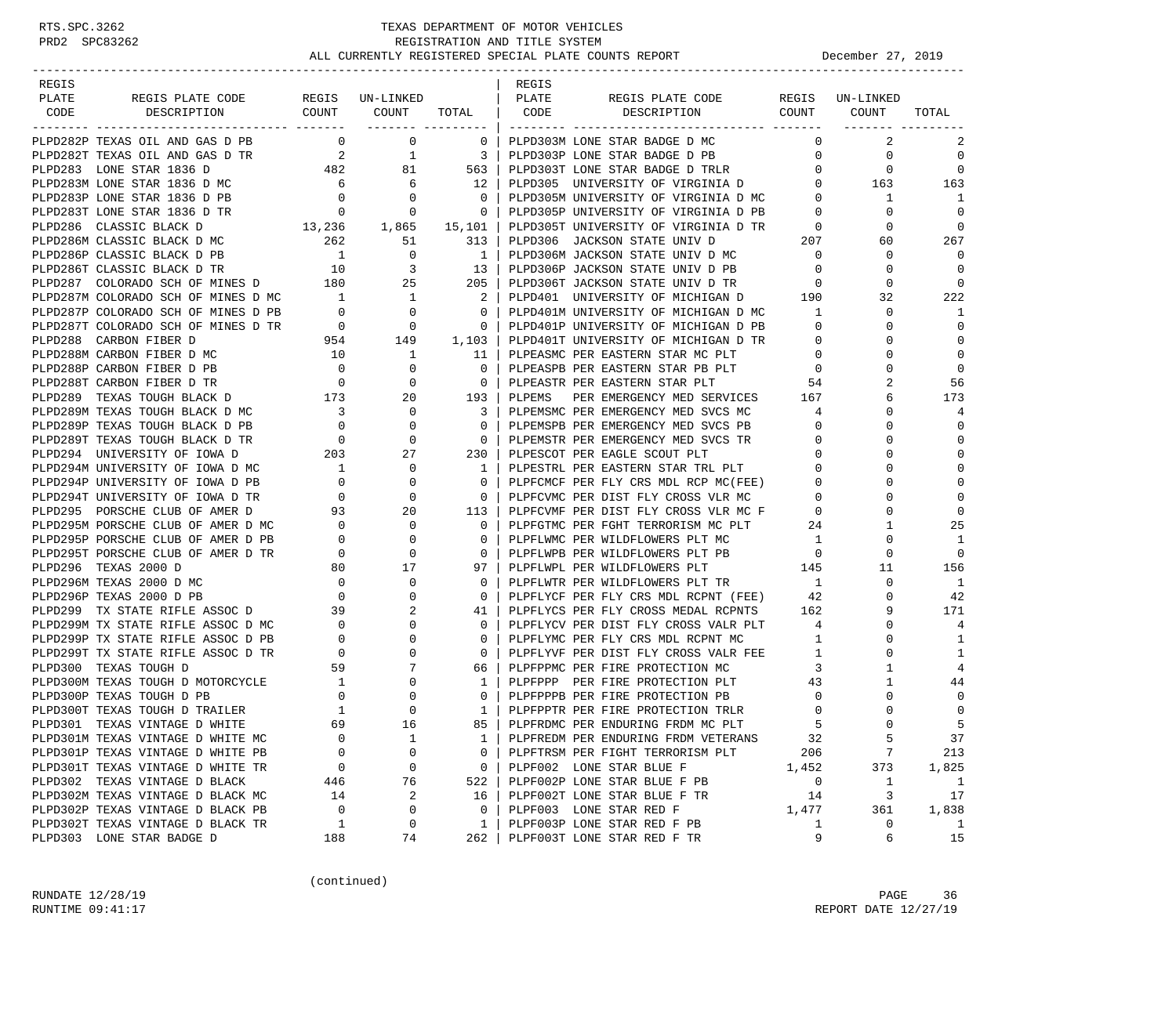| REGIS |                                                                                                                                                                                                                                              |                                       |                                                                                               |                                                     | REGIS  |                                                                                                |                 |              |                |
|-------|----------------------------------------------------------------------------------------------------------------------------------------------------------------------------------------------------------------------------------------------|---------------------------------------|-----------------------------------------------------------------------------------------------|-----------------------------------------------------|--------|------------------------------------------------------------------------------------------------|-----------------|--------------|----------------|
| PLATE | REGIS PLATE CODE REGIS UN-LINKED   PLATE                                                                                                                                                                                                     |                                       |                                                                                               |                                                     |        | REGIS PLATE CODE REGIS UN-LINKED<br>DESCRIPTION COUNT COUNT TOTAL CODE DESCRIPTION COUNT COUNT |                 |              |                |
| CODE  |                                                                                                                                                                                                                                              |                                       |                                                                                               |                                                     |        |                                                                                                |                 |              | TOTAL          |
|       | PLPD282P TEXAS OIL AND GAS D PB                                                                                                                                                                                                              |                                       | $\overline{0}$ 0                                                                              | $\overline{\phantom{0}}$ 0 $\overline{\phantom{0}}$ |        | PLPD303M LONE STAR BADGE D MC                                                                  | $\mathbf{0}$    | 2            | 2              |
|       | PLPD282T TEXAS OIL AND GAS D TR<br>PLPD283 LONE STAR 1836 D<br>PLPD283 LONE STAR 1836 D<br>PLPD283M LONE STAR 1836 D MC<br>PLPD283P LONE STAR 1836 D PB<br>PLPD283T LONE STAR 1836 D PB<br>PLPD283T LONE STAR 1836 D TR<br>PLPD283T LONE STA |                                       |                                                                                               |                                                     |        | PLPD303P LONE STAR BADGE D PB                                                                  | $\overline{0}$  | $\circ$      | $\mathbf 0$    |
|       |                                                                                                                                                                                                                                              |                                       |                                                                                               |                                                     |        |                                                                                                |                 |              | 0              |
|       |                                                                                                                                                                                                                                              |                                       |                                                                                               |                                                     |        | PLPD303T LONE STAR BADGE D TRLR 0 0 0 0 0<br>PLPD305 UNIVERSITY OF VIRGINIA D 0 163            |                 |              | 163            |
|       |                                                                                                                                                                                                                                              |                                       |                                                                                               |                                                     |        |                                                                                                |                 | 1            | -1             |
|       |                                                                                                                                                                                                                                              |                                       |                                                                                               |                                                     |        | PLPD305M UNIVERSITY OF VIRGINIA D MC 0<br>PLPD305P UNIVERSITY OF VIRGINIA D PB 0               |                 | $\Omega$     | $\overline{0}$ |
|       | PLPD286 CLASSIC BLACK D                                                                                                                                                                                                                      |                                       |                                                                                               |                                                     |        | PLPD305T UNIVERSITY OF VIRGINIA D TR                                                           | $\overline{0}$  | $\mathbf 0$  | 0              |
|       | MC<br>$13,236$<br>$262$<br>$51$<br>$15,101$<br>$313$<br>$1$<br>$131$<br>PLPD286M CLASSIC BLACK D MC                                                                                                                                          |                                       |                                                                                               |                                                     |        |                                                                                                |                 | 60           | 267            |
|       | PLPD286P CLASSIC BLACK D PB<br>PLPD286P CLASSIC BLACK D PB<br>PLPD286T CLASSIC BLACK D TR<br>PLPD287 COLORADO SCH OF MINES D<br>180 25 205                                                                                                   |                                       |                                                                                               |                                                     |        | PLPD306 JACKSON STATE UNIV D 207<br>PLPD306M JACKSON STATE UNIV D MC 0                         |                 | 0            | $\Omega$       |
|       |                                                                                                                                                                                                                                              |                                       |                                                                                               |                                                     |        |                                                                                                |                 | 0            | $\Omega$       |
|       |                                                                                                                                                                                                                                              |                                       |                                                                                               |                                                     |        | PLPD306P JACKSON STATE UNIV D PB<br>PLPD306T JACKSON STATE UNIV D TR                           |                 | $\mathbf 0$  | 0              |
|       | PLPD287M COLORADO SCH OF MINES D MC 1                                                                                                                                                                                                        |                                       |                                                                                               |                                                     |        | PLPD401 UNIVERSITY OF MICHIGAN D 190                                                           |                 | 32           | 222            |
|       | PLPD287P COLORADO SCH OF MINES D PB                                                                                                                                                                                                          | $\sim$ 0                              |                                                                                               | $\begin{array}{ccc} 1 & 2 \\ 0 & 0 \end{array}$     |        | PLPD401M UNIVERSITY OF MICHIGAN D MC                                                           | 1               | $\Omega$     | 1              |
|       |                                                                                                                                                                                                                                              |                                       |                                                                                               |                                                     |        | PLPD401P UNIVERSITY OF MICHIGAN D PB                                                           | $\mathbf{0}$    | 0            | $\Omega$       |
|       |                                                                                                                                                                                                                                              |                                       |                                                                                               |                                                     |        | PLPD401T UNIVERSITY OF MICHIGAN D TR                                                           | $\mathbf{0}$    | 0            | $\mathbf 0$    |
|       | PLPD287T COLORADO SCH OF MINES D TR<br>PLPD288 CARBON FIBER D 954 149 1,103<br>PLPD288M CARBON FIBER D MC 10 1 11                                                                                                                            |                                       |                                                                                               |                                                     |        | PLPEASMC PER EASTERN STAR MC PLT                                                               | $\overline{0}$  | $\Omega$     | $\mathbf 0$    |
|       | PLPD288P CARBON FIBER D PB                                                                                                                                                                                                                   | $\begin{matrix}0\\0\end{matrix}$      | $\mathbf{0}$                                                                                  | $\overline{\phantom{0}}$                            |        | PLPEASPB PER EASTERN STAR PB PLT 0                                                             |                 | $\Omega$     | $\Omega$       |
|       | PLPD288T CARBON FIBER D TR                                                                                                                                                                                                                   |                                       | $\mathbf{0}$                                                                                  | $\overline{0}$                                      |        | PLPEASTR PER EASTERN STAR PLT                                                                  | 54              |              | 56             |
|       | PLPD289 TEXAS TOUGH BLACK D 173                                                                                                                                                                                                              |                                       | 20                                                                                            | 193                                                 | PLPEMS | PER EMERGENCY MED SERVICES 167                                                                 |                 | 6            | 173            |
|       | PLPD289M TEXAS TOUGH BLACK D MC                                                                                                                                                                                                              | $\begin{array}{c} 3 \\ 0 \end{array}$ | $\overline{0}$                                                                                | $\overline{\phantom{a}3}$                           |        | PLPEMSMC PER EMERGENCY MED SVCS MC                                                             | 4               | 0            | $\overline{4}$ |
|       | PLPD289P TEXAS TOUGH BLACK D PB                                                                                                                                                                                                              |                                       | $\mathbf{0}$                                                                                  | $\overline{\phantom{0}}$                            |        | PLPEMSPB PER EMERGENCY MED SVCS PB                                                             | $\mathbf 0$     | $\Omega$     | 0              |
|       |                                                                                                                                                                                                                                              |                                       | $\mathbf{0}$                                                                                  | $\overline{0}$                                      |        | PLPEMSTR PER EMERGENCY MED SVCS TR                                                             | $\mathbf{0}$    | $\Omega$     | $\Omega$       |
|       |                                                                                                                                                                                                                                              |                                       | 27                                                                                            | 230 l                                               |        |                                                                                                | $\mathbf 0$     |              | $\Omega$       |
|       | PLPD289T TEXAS TOUGH BLACK D TR 0<br>PLPD294 UNIVERSITY OF IOWA D 203 2<br>PLPD294M UNIVERSITY OF IOWA D MC 1<br>PLPD294P UNIVERSITY OF IOWA D PB 0<br>PLPD294T UNIVERSITY OF IOWA D TR 0                                                    |                                       | $\mathbf{0}$                                                                                  | $\frac{1}{1}$                                       |        | FLFESCOT FER EAGLE SCOUT PLT<br>PLPESTRL PER EASTERN STAR TRL PLT<br>--------                  | $\overline{0}$  |              | $\Omega$       |
|       |                                                                                                                                                                                                                                              |                                       | 0                                                                                             | $\mathbf{0}$                                        |        | PLPFCMCF PER FLY CRS MDL RCP MC(FEE)<br>PLPFCVMC PER DIST FLY CROSS VLR MC                     | $\mathbf{0}$    | 0            | $\mathbf 0$    |
|       |                                                                                                                                                                                                                                              |                                       | $\mathbf 0$                                                                                   | $\overline{0}$                                      |        |                                                                                                | $\overline{0}$  | $\Omega$     | $\Omega$       |
|       | PLPD295 PORSCHE CLUB OF AMER D                                                                                                                                                                                                               | 93                                    | 20                                                                                            | 113                                                 |        | PLPFCVMF PER DIST FLY CROSS VLR MC F 0                                                         |                 | $\Omega$     | $\Omega$       |
|       | PLPD295M PORSCHE CLUB OF AMER D MC                                                                                                                                                                                                           | $\begin{array}{c} 0 \\ 0 \end{array}$ | $\mathbf{0}$                                                                                  | $\mathbf{0}$                                        |        | PLPFGTMC PER FGHT TERRORISM MC PLT                                                             | 24              | $\mathbf{1}$ | 25             |
|       | PLPD295P PORSCHE CLUB OF AMER D PB                                                                                                                                                                                                           |                                       | $\mathbf 0$                                                                                   | $\Omega$                                            |        | PLPFLWMC PER WILDFLOWERS PLT MC                                                                | $\overline{1}$  | 0            | 1              |
|       | PLPD295T PORSCHE CLUB OF AMER D TR                                                                                                                                                                                                           | $\overline{0}$                        | $\mathbf 0$                                                                                   | $\mathbf{0}$                                        |        | PLPFLWPB PER WILDFLOWERS PLT PB                                                                | $\frac{145}{1}$ | 0            | $\Omega$       |
|       | PLPD296 TEXAS 2000 D                                                                                                                                                                                                                         |                                       | $\begin{array}{c c}\n\bullet & \bullet & \bullet \\ \bullet & \bullet & \bullet\n\end{array}$ | 97                                                  |        | PLPFLWPL PER WILDFLOWERS PLT                                                                   |                 | 11           | 156            |
|       | PLPD296M TEXAS 2000 D MC                                                                                                                                                                                                                     | $\begin{matrix}0\\0\end{matrix}$      | $\mathbf{0}$                                                                                  | $\mathbf{0}$                                        |        | PLPFLWTR PER WILDFLOWERS PLT TR 1                                                              |                 | 0            | -1             |
|       | PLPD296P TEXAS 2000 D PB                                                                                                                                                                                                                     |                                       | $\mathbf 0$                                                                                   | $\mathbf{0}$                                        |        | PLPFLYCF PER FLY CRS MDL RCPNT (FEE)                                                           | 42              | $\Omega$     | 42             |
|       | PLPD299 TX STATE RIFLE ASSOC D 39                                                                                                                                                                                                            |                                       | 2                                                                                             | 41 I                                                |        | PLPFLYCS PER FLY CROSS MEDAL RCPNTS 162                                                        |                 | 9            | 171            |
|       | PLPD299M TX STATE RIFLE ASSOC D MC 0<br>PLPD299P TX STATE RIFLE ASSOC D PB 0                                                                                                                                                                 |                                       | 0                                                                                             | $\mathbf{0}$                                        |        | PLPFLYCV PER DIST FLY CROSS VALR PLT<br>PLPFLYMC PER FLY CRS MDL RCPNT MC                      | $4\overline{4}$ | 0            | 4              |
|       |                                                                                                                                                                                                                                              |                                       | $\mathbf 0$                                                                                   | $\mathbf{0}$                                        |        | PLPFLYMC PER FLY CRS MDL RCPNT MC                                                              | $\overline{1}$  | $\Omega$     | 1              |
|       | PLPD299T TX STATE RIFLE ASSOC D TR                                                                                                                                                                                                           |                                       | 0                                                                                             | $\overline{0}$                                      |        | PLPFLYVF PER DIST FLY CROSS VALR FEE                                                           | 1               | $\Omega$     | 1              |
|       | PLPD300 TEXAS TOUGH D                                                                                                                                                                                                                        |                                       | $\begin{bmatrix} 0 \\ 59 \\ 1 \\ 0 \\ 1 \end{bmatrix}$<br>7                                   | 66                                                  |        | PLPFPPMC PER FIRE PROTECTION MC<br>PLPFPPP PER FIRE PROTECTION PLT                             | $\mathbf{3}$    | $\mathbf{1}$ | 4              |
|       | PLPD300M TEXAS TOUGH D MOTORCYCLE                                                                                                                                                                                                            | $\frac{1}{1}$                         | $\mathbf{0}$                                                                                  | $\mathbf{1}$                                        |        |                                                                                                | 43              | 1            | 44             |
|       | PLPD300P TEXAS TOUGH D PB                                                                                                                                                                                                                    |                                       | $\overline{0}$                                                                                | $\Omega$                                            |        | PLPFPPPB PER FIRE PROTECTION PB                                                                | $\mathbf{0}$    | 0            | 0              |
|       | PLPD300T TEXAS TOUGH D TRAILER                                                                                                                                                                                                               |                                       | $\mathbf 0$                                                                                   | 1 <sup>1</sup>                                      |        | PLPFPPTR PER FIRE PROTECTION TRLR                                                              | $\mathbf 0$     | $\Omega$     | $\mathbf 0$    |
|       | PLPD301 TEXAS VINTAGE D WHITE                                                                                                                                                                                                                | 69                                    | 16                                                                                            | 85                                                  |        | PLPFRDMC PER ENDURING FRDM MC PLT                                                              |                 | $\cap$       |                |
|       | PLPD301M TEXAS VINTAGE D WHITE MC                                                                                                                                                                                                            | $\mathbf 0$                           | $\mathbf{1}$                                                                                  | 1                                                   |        | PLPFREDM PER ENDURING FRDM VETERANS                                                            | 32              | 5            | 37             |
|       | PLPD301P TEXAS VINTAGE D WHITE PB                                                                                                                                                                                                            | $\mathbf 0$                           | $\mathbf 0$                                                                                   | 0                                                   |        | PLPFTRSM PER FIGHT TERRORISM PLT                                                               | 206             | 7            | 213            |
|       | PLPD301T TEXAS VINTAGE D WHITE TR                                                                                                                                                                                                            | 0                                     | 0                                                                                             | $\mathbf{0}$                                        |        | PLPF002 LONE STAR BLUE F                                                                       | 1,452           | 373          | 1,825          |
|       | PLPD302 TEXAS VINTAGE D BLACK                                                                                                                                                                                                                | 446                                   | 76                                                                                            | 522                                                 |        | PLPF002P LONE STAR BLUE F PB                                                                   | $\overline{0}$  | $\mathbf{1}$ | $\mathbf{1}$   |
|       | PLPD302M TEXAS VINTAGE D BLACK MC                                                                                                                                                                                                            | 14                                    | 2                                                                                             | 16                                                  |        | PLPF002T LONE STAR BLUE F TR                                                                   | 14              | 3            | 17             |
|       | PLPD302P TEXAS VINTAGE D BLACK PB                                                                                                                                                                                                            | $\overline{0}$                        | 0                                                                                             | 0                                                   |        | PLPF003 LONE STAR RED F                                                                        | 1,477           | 361          | 1,838          |
|       | PLPD302T TEXAS VINTAGE D BLACK TR                                                                                                                                                                                                            | 1                                     | 0                                                                                             | 1                                                   |        | PLPF003P LONE STAR RED F PB                                                                    | 1               | 0            | $\mathbf{1}$   |
|       | PLPD303 LONE STAR BADGE D                                                                                                                                                                                                                    | 188                                   | 74                                                                                            | 262                                                 |        | PLPF003T LONE STAR RED F TR                                                                    | 9               | 6            | 15             |

(continued)

RUNDATE  $12/28/19$  PAGE 36 RUNTIME 09:41:17 REPORT DATE 12/27/19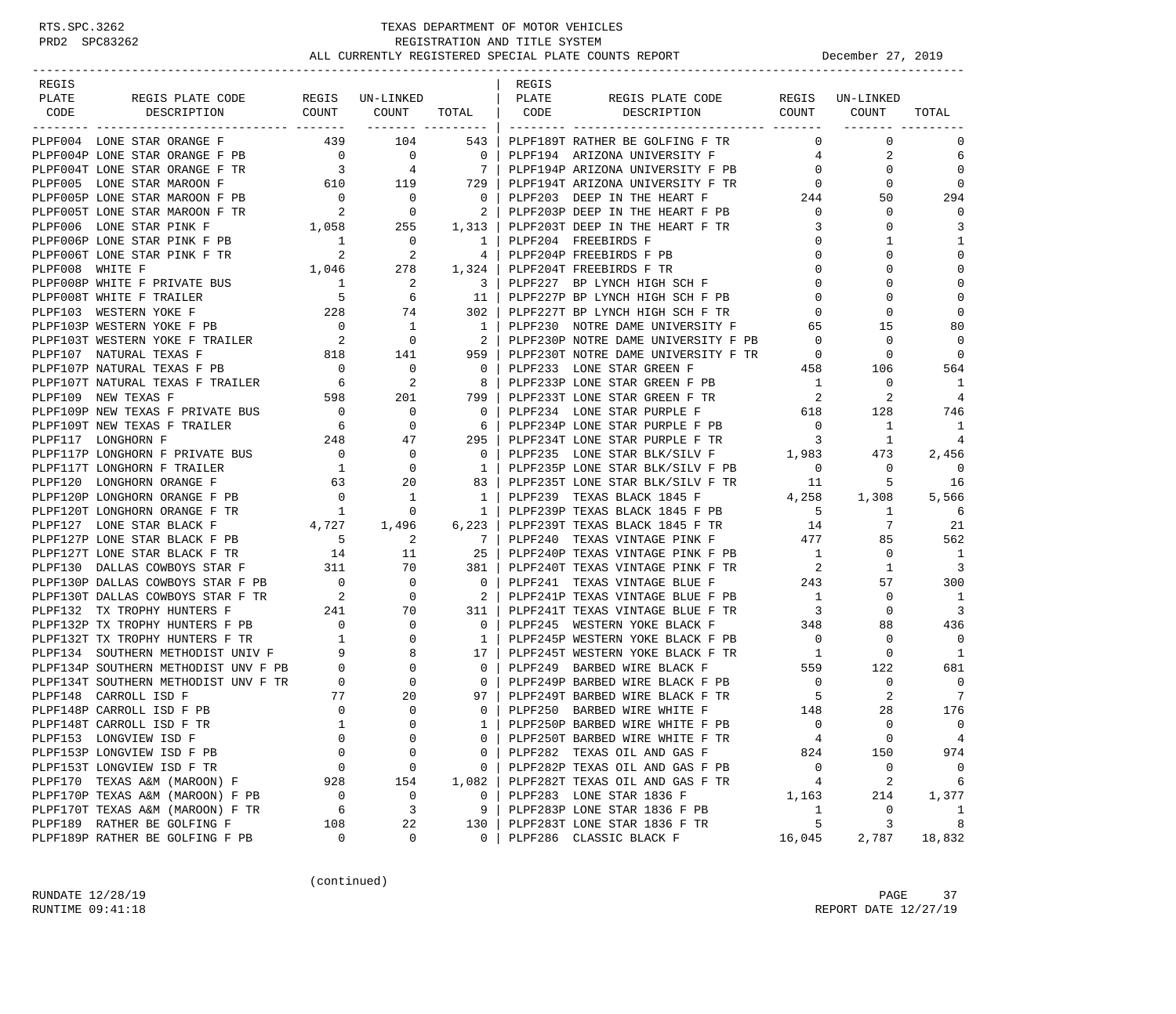| REGIS<br>REGIS<br>REGIS UN-LINKED<br>  PLATE<br>PLATE<br>REGIS PLATE CODE<br>REGIS PLATE CODE REGIS UN-LINKED<br>COUNT COUNT<br>TOTAL   CODE DESCRIPTION COUNT<br>DESCRIPTION<br>COUNT<br>CODE<br>TOTAL<br>________ __________<br>439<br>104<br>$\mathbf 0$<br>PLPF004 LONE STAR ORANGE F<br>543  <br>PLPF189T RATHER BE GOLFING F TR<br>$\Omega$<br>$\Omega$<br>PB 0 0 0 0  <br>TR 3 4 7  <br>610 119 729  <br>2<br>PLPF004P LONE STAR ORANGE F PB<br>PLPF194 ARIZONA UNIVERSITY F<br>$\overline{4}$<br>6<br>7 <sup>1</sup><br>$\Omega$<br>PLPF004T LONE STAR ORANGE F TR<br>$\overline{0}$<br>$\Omega$<br>PLPF194P ARIZONA UNIVERSITY F PB<br>PLPF194T ARIZONA UNIVERSITY F TR<br>PLPF005 LONE STAR MAROON F<br>$\Omega$<br>$\circ$<br>$\Omega$<br>PLPF005P LONE STAR MAROON F PB<br>PLPF005T LONE STAR MAROON F TR<br>2<br>$\overline{\phantom{0}}$<br>PLPF203 DEEP IN THE HEART F<br>244<br>294<br>$\overline{0}$<br>50<br>$\overline{\phantom{0}}$<br>$\mathbf 0$<br>2<br>PLPF203P DEEP IN THE HEART F PB<br>$\circ$<br>$\Omega$<br>1,058 255<br>PLPF006 LONE STAR PINK F<br>PLPF203T DEEP IN THE HEART F TR<br>3<br>$\Omega$<br>3<br>1,313<br>$\mathbf{1}$<br>PLPF006T LONE STAR PINK F PB<br>PLPF006 WHITE F<br>PLPF008 WHITE F PRIVATE BUS<br>PLPF008P WHITE F PRIVATE BUS<br>$\overline{\phantom{0}}$<br>PLPF204 FREEBIRDS F<br>0<br>1<br>1  <br>$\Omega$<br>2<br>PLPF204P FREEBIRDS F PB<br>$\Omega$<br>4<br>$\Omega$<br>278<br>1,324<br>PLPF204T FREEBIRDS F TR<br>$\mathbf 0$<br>$\mathbf 0$<br>$\Omega$<br>$\begin{array}{c} 1 \\ 1 \\ 5 \\ 228 \end{array}$<br>$\mathbf 0$<br>2<br>$\Omega$<br>$\Omega$<br>$\overline{\phantom{a}3}$<br>PLPF227 BP LYNCH HIGH SCH F<br>PLPF008T WHITE F TRAILER<br>PLPF227P BP LYNCH HIGH SCH F PB<br>$\mathbf 0$<br>$\mathbf 0$<br>6<br>11<br>$\Omega$<br>74<br>302 l<br>PLPF227T BP LYNCH HIGH SCH F TR<br>$\mathbf 0$<br>$\Omega$<br>$\Omega$<br>PLPF103 WESTERN YOKE F<br>PLPF103P WESTERN YOKE F PB 0<br>PLPF103T WESTERN YOKE F TRAILER 2<br>1818<br>$\overline{1}$<br>80<br>$\overline{1}$<br>PLPF230 NOTRE DAME UNIVERSITY F<br>65<br>15<br>PLPF230P NOTRE DAME UNIVERSITY F PB<br>PLPF230T NOTRE DAME UNIVERSITY F TR<br>$\Omega$<br>$\overline{\phantom{0}}$<br>2<br>$\overline{\phantom{0}}$<br>0<br>$\overline{0}$<br>141<br>959<br>$\overline{0}$<br>$\Omega$<br>458<br>PLPF107P NATURAL TEXAS F PB<br>$\begin{array}{c}0\\6\\598\end{array}$<br>$\overline{\phantom{0}}$<br>PLPF233 LONE STAR GREEN F<br>564<br>$\overline{\phantom{0}}$<br>106<br>PLPF107T NATURAL TEXAS F TRAILER<br>2<br>PLPF233P LONE STAR GREEN F PB<br>$\overline{1}$<br>1<br>8<br>0<br>PLPF233T LONE STAR GREEN F TR<br>2<br>PLPF109 NEW TEXAS F<br>201<br>799<br>2<br>$\overline{4}$<br>PLPF109P NEW TEXAS F PRIVATE BUS<br>$\begin{array}{ccc} 0 & 6 \\ 248 & 0 \\ 0 & 1 \end{array}$<br>0<br>$\circ$<br>128<br>746<br>PLPF109T NEW TEXAS F TRAILER<br>1<br>0<br>$\mathbf{1}$<br>- 6<br>PLPF117 LONGHORN F<br>47<br>295<br>PLPF234T LONE STAR PURPLE F TR<br>$\overline{\mathbf{3}}$<br>1<br>4<br>PLPF235 LONE STAR BLK/SILV F 1,983<br>PLPF117P LONGHORN F PRIVATE BUS<br>$\mathbf 0$<br>$\overline{0}$<br>473<br>2,456<br>PLPF235P LONE STAR BLK/SILV F PB<br>$\overline{0}$<br>PLPF117T LONGHORN F TRAILER<br>$\Omega$<br>$\circ$<br>$\Omega$<br>$\mathbf{1}$<br>PLPF120 LONGHORN ORANGE F<br>63<br>PLPF235T LONE STAR BLK/SILV F TR<br>PLPF235T LONE STAR BLK/SILV F TR<br>DIDF239 TEXAS BLACK 1845 F 4,258<br>5<br>16<br>20<br>83<br>$\overline{0}$<br>$\overline{1}$<br>PLPF120P LONGHORN ORANGE F PB<br>1 <sup>1</sup><br>1,308<br>5,566<br>$\begin{smallmatrix}&&1\\&&4\\4&,727\end{smallmatrix}$<br>PLPF239P TEXAS BLACK 1845 F PB 5<br>PLPF120T LONGHORN ORANGE F TR<br>$\circ$<br>1<br>- 6<br>1<br>7<br>21<br>PLPF127 LONE STAR BLACK F<br>1,496<br>$6,223$  <br>PLPF239T TEXAS BLACK 1845 F TR<br>14<br>PLPF127P LONE STAR BLACK F PB 5<br>PLPF240 TEXAS VINTAGE PINK F 477<br>562<br>2<br>7<br>85<br>$\begin{array}{ccccc}\n & 14 & & & 11 \\  & & 311 & & & 70\n\end{array}$<br>PLPF127T LONE STAR BLACK F TR<br>25<br>PLPF240P TEXAS VINTAGE PINK F PB<br>$\overline{1}$<br>0<br>- 1<br>$\overline{\phantom{a}}$<br>$\overline{3}$<br>PLPF130 DALLAS COWBOYS STAR F<br>PLPF240T TEXAS VINTAGE PINK F TR<br>381 I<br>1<br>PLPF130P DALLAS COWBOYS STAR F PB 0<br>243<br>$\mathbf 0$<br>$\overline{0}$<br>PLPF241 TEXAS VINTAGE BLUE F<br>57<br>300<br>PLPF130T DALLAS COWBOYS STAR F TR<br>$\overline{\phantom{a}}^2$<br>$\mathbf 0$<br>2<br>PLPF241P TEXAS VINTAGE BLUE F PB<br>$\sim$ 1<br>1<br>$\Omega$<br>241<br>$\overline{3}$<br>PLPF132 TX TROPHY HUNTERS F<br>PLPF241T TEXAS VINTAGE BLUE F TR<br>$\overline{\mathbf{3}}$<br>70<br>311<br>$\circ$<br>PLPF132P TX TROPHY HUNTERS F PB<br>$\begin{matrix}0\\1\end{matrix}$<br>PLPF245 WESTERN YOKE BLACK F<br>348<br>436<br>0<br>$\mathbf{0}$<br>88<br>$\overline{0}$<br>PLPF132T TX TROPHY HUNTERS F TR<br>$\overline{\phantom{0}}$<br>$\Omega$<br>$\mathbf{1}$<br>PLPF245P WESTERN YOKE BLACK F PB<br>$\Omega$<br>PLPF134 SOUTHERN METHODIST UNIV F<br>9<br>17<br>PLPF245T WESTERN YOKE BLACK F TR<br>1<br>$\circ$<br>PLPF134P SOUTHERN METHODIST UNV F PB<br>$\overline{0}$<br>PLPF249 BARBED WIRE BLACK F<br>559<br>122<br>681<br>$\begin{matrix}0\\0\end{matrix}$<br>PLPF249P BARBED WIRE BLACK F PB<br>$\overline{0}$<br>PLPF134T SOUTHERN METHODIST UNV F TR<br>$\Omega$<br>$\Omega$<br>$\overline{0}$<br>$\circ$<br>PLPF148 CARROLL ISD F<br>77<br>20<br>PLPF249F BARBED WIRE BLACK F TR<br>PLPF249T BARBED WIRE BLACK F TR<br>----- WILTTE R   148<br>2<br>-7<br>97<br>$\Omega$<br>176<br>PLPF148P CARROLL ISD F PB<br>$\mathbf 0$<br>28<br>$\mathbf{0}$<br>$\mathbf{1}$<br>$\Omega$<br>PLPF250P BARBED WIRE WHITE F PB<br>$\Omega$<br>$\Omega$<br>PLPF148T CARROLL ISD F TR<br>$\mathbf{1}$<br>$\Omega$<br>$\mathbf 0$<br>PLPF153 LONGVIEW ISD F<br>0<br>PLPF250T BARBED WIRE WHITE F TR<br>0<br>$\overline{4}$<br>0<br>4<br>PLPF282 TEXAS OIL AND GAS F<br>PLPF153P LONGVIEW ISD F PB<br>$\overline{0}$<br>$\Omega$<br>824<br>150<br>974<br>$\mathbf{0}$<br>PLPF153T LONGVIEW ISD F TR<br>$\overline{0}$<br>PLPF282P TEXAS OIL AND GAS F PB<br>$\overline{0}$<br>$\overline{0}$<br>0<br>$\mathbf{0}$<br>0<br>2<br>$\overline{4}$<br>6<br>PLPF170 TEXAS A&M (MAROON) F<br>928<br>1,082<br>PLPF282T TEXAS OIL AND GAS F TR<br>154<br>PLPF170P TEXAS A&M (MAROON) F PB<br>PLPF283 LONE STAR 1836 F<br>$\overline{0}$<br>0<br>214<br>$\mathbf{0}$<br>1,163<br>1,377<br>3<br>PLPF283P LONE STAR 1836 F PB<br>$\overline{1}$<br>PLPF170T TEXAS A&M (MAROON) F TR<br>- 6<br>9<br>0<br>1<br>PLPF189 RATHER BE GOLFING F<br>5<br>108<br>22<br>PLPF283T LONE STAR 1836 F TR<br>3<br>8<br>130<br>PLPF189P RATHER BE GOLFING F PB<br>18,832<br>$\mathbf 0$<br>0<br>$\Omega$<br>PLPF286 CLASSIC BLACK F<br>16,045<br>2,787 |  |  |  |  |  |
|-----------------------------------------------------------------------------------------------------------------------------------------------------------------------------------------------------------------------------------------------------------------------------------------------------------------------------------------------------------------------------------------------------------------------------------------------------------------------------------------------------------------------------------------------------------------------------------------------------------------------------------------------------------------------------------------------------------------------------------------------------------------------------------------------------------------------------------------------------------------------------------------------------------------------------------------------------------------------------------------------------------------------------------------------------------------------------------------------------------------------------------------------------------------------------------------------------------------------------------------------------------------------------------------------------------------------------------------------------------------------------------------------------------------------------------------------------------------------------------------------------------------------------------------------------------------------------------------------------------------------------------------------------------------------------------------------------------------------------------------------------------------------------------------------------------------------------------------------------------------------------------------------------------------------------------------------------------------------------------------------------------------------------------------------------------------------------------------------------------------------------------------------------------------------------------------------------------------------------------------------------------------------------------------------------------------------------------------------------------------------------------------------------------------------------------------------------------------------------------------------------------------------------------------------------------------------------------------------------------------------------------------------------------------------------------------------------------------------------------------------------------------------------------------------------------------------------------------------------------------------------------------------------------------------------------------------------------------------------------------------------------------------------------------------------------------------------------------------------------------------------------------------------------------------------------------------------------------------------------------------------------------------------------------------------------------------------------------------------------------------------------------------------------------------------------------------------------------------------------------------------------------------------------------------------------------------------------------------------------------------------------------------------------------------------------------------------------------------------------------------------------------------------------------------------------------------------------------------------------------------------------------------------------------------------------------------------------------------------------------------------------------------------------------------------------------------------------------------------------------------------------------------------------------------------------------------------------------------------------------------------------------------------------------------------------------------------------------------------------------------------------------------------------------------------------------------------------------------------------------------------------------------------------------------------------------------------------------------------------------------------------------------------------------------------------------------------------------------------------------------------------------------------------------------------------------------------------------------------------------------------------------------------------------------------------------------------------------------------------------------------------------------------------------------------------------------------------------------------------------------------------------------------------------------------------------------------------------------------------------------------------------------------------------------------------------------------------------------------------------------------------------------------------------------------------------------------------------------------------------------------------------------------------------------------------------------------------------------------------------------------------------------------------------------------------------------------------------------------------------------------------------------------------------------------------------------------------------------------------------------------------------------------------------------------------------------------------------------------------------------------------------------------------------------------------------------------------------------------------------------------------------------------------------------------------------------------------------------------------------------------------------------------------------------------------------------------------------------------------------------------------------------------------------------------------------------------------------------------------------------------------------------------------------------------------------------------------------------------------------------------------------------------------------------------------------------------------------------------------------------------------------------------------------------------------------------------------|--|--|--|--|--|
|                                                                                                                                                                                                                                                                                                                                                                                                                                                                                                                                                                                                                                                                                                                                                                                                                                                                                                                                                                                                                                                                                                                                                                                                                                                                                                                                                                                                                                                                                                                                                                                                                                                                                                                                                                                                                                                                                                                                                                                                                                                                                                                                                                                                                                                                                                                                                                                                                                                                                                                                                                                                                                                                                                                                                                                                                                                                                                                                                                                                                                                                                                                                                                                                                                                                                                                                                                                                                                                                                                                                                                                                                                                                                                                                                                                                                                                                                                                                                                                                                                                                                                                                                                                                                                                                                                                                                                                                                                                                                                                                                                                                                                                                                                                                                                                                                                                                                                                                                                                                                                                                                                                                                                                                                                                                                                                                                                                                                                                                                                                                                                                                                                                                                                                                                                                                                                                                                                                                                                                                                                                                                                                                                                                                                                                                                                                                                                                                                                                                                                                                                                                                                                                                                                                                                                                                                                   |  |  |  |  |  |
|                                                                                                                                                                                                                                                                                                                                                                                                                                                                                                                                                                                                                                                                                                                                                                                                                                                                                                                                                                                                                                                                                                                                                                                                                                                                                                                                                                                                                                                                                                                                                                                                                                                                                                                                                                                                                                                                                                                                                                                                                                                                                                                                                                                                                                                                                                                                                                                                                                                                                                                                                                                                                                                                                                                                                                                                                                                                                                                                                                                                                                                                                                                                                                                                                                                                                                                                                                                                                                                                                                                                                                                                                                                                                                                                                                                                                                                                                                                                                                                                                                                                                                                                                                                                                                                                                                                                                                                                                                                                                                                                                                                                                                                                                                                                                                                                                                                                                                                                                                                                                                                                                                                                                                                                                                                                                                                                                                                                                                                                                                                                                                                                                                                                                                                                                                                                                                                                                                                                                                                                                                                                                                                                                                                                                                                                                                                                                                                                                                                                                                                                                                                                                                                                                                                                                                                                                                   |  |  |  |  |  |
|                                                                                                                                                                                                                                                                                                                                                                                                                                                                                                                                                                                                                                                                                                                                                                                                                                                                                                                                                                                                                                                                                                                                                                                                                                                                                                                                                                                                                                                                                                                                                                                                                                                                                                                                                                                                                                                                                                                                                                                                                                                                                                                                                                                                                                                                                                                                                                                                                                                                                                                                                                                                                                                                                                                                                                                                                                                                                                                                                                                                                                                                                                                                                                                                                                                                                                                                                                                                                                                                                                                                                                                                                                                                                                                                                                                                                                                                                                                                                                                                                                                                                                                                                                                                                                                                                                                                                                                                                                                                                                                                                                                                                                                                                                                                                                                                                                                                                                                                                                                                                                                                                                                                                                                                                                                                                                                                                                                                                                                                                                                                                                                                                                                                                                                                                                                                                                                                                                                                                                                                                                                                                                                                                                                                                                                                                                                                                                                                                                                                                                                                                                                                                                                                                                                                                                                                                                   |  |  |  |  |  |
|                                                                                                                                                                                                                                                                                                                                                                                                                                                                                                                                                                                                                                                                                                                                                                                                                                                                                                                                                                                                                                                                                                                                                                                                                                                                                                                                                                                                                                                                                                                                                                                                                                                                                                                                                                                                                                                                                                                                                                                                                                                                                                                                                                                                                                                                                                                                                                                                                                                                                                                                                                                                                                                                                                                                                                                                                                                                                                                                                                                                                                                                                                                                                                                                                                                                                                                                                                                                                                                                                                                                                                                                                                                                                                                                                                                                                                                                                                                                                                                                                                                                                                                                                                                                                                                                                                                                                                                                                                                                                                                                                                                                                                                                                                                                                                                                                                                                                                                                                                                                                                                                                                                                                                                                                                                                                                                                                                                                                                                                                                                                                                                                                                                                                                                                                                                                                                                                                                                                                                                                                                                                                                                                                                                                                                                                                                                                                                                                                                                                                                                                                                                                                                                                                                                                                                                                                                   |  |  |  |  |  |
|                                                                                                                                                                                                                                                                                                                                                                                                                                                                                                                                                                                                                                                                                                                                                                                                                                                                                                                                                                                                                                                                                                                                                                                                                                                                                                                                                                                                                                                                                                                                                                                                                                                                                                                                                                                                                                                                                                                                                                                                                                                                                                                                                                                                                                                                                                                                                                                                                                                                                                                                                                                                                                                                                                                                                                                                                                                                                                                                                                                                                                                                                                                                                                                                                                                                                                                                                                                                                                                                                                                                                                                                                                                                                                                                                                                                                                                                                                                                                                                                                                                                                                                                                                                                                                                                                                                                                                                                                                                                                                                                                                                                                                                                                                                                                                                                                                                                                                                                                                                                                                                                                                                                                                                                                                                                                                                                                                                                                                                                                                                                                                                                                                                                                                                                                                                                                                                                                                                                                                                                                                                                                                                                                                                                                                                                                                                                                                                                                                                                                                                                                                                                                                                                                                                                                                                                                                   |  |  |  |  |  |
|                                                                                                                                                                                                                                                                                                                                                                                                                                                                                                                                                                                                                                                                                                                                                                                                                                                                                                                                                                                                                                                                                                                                                                                                                                                                                                                                                                                                                                                                                                                                                                                                                                                                                                                                                                                                                                                                                                                                                                                                                                                                                                                                                                                                                                                                                                                                                                                                                                                                                                                                                                                                                                                                                                                                                                                                                                                                                                                                                                                                                                                                                                                                                                                                                                                                                                                                                                                                                                                                                                                                                                                                                                                                                                                                                                                                                                                                                                                                                                                                                                                                                                                                                                                                                                                                                                                                                                                                                                                                                                                                                                                                                                                                                                                                                                                                                                                                                                                                                                                                                                                                                                                                                                                                                                                                                                                                                                                                                                                                                                                                                                                                                                                                                                                                                                                                                                                                                                                                                                                                                                                                                                                                                                                                                                                                                                                                                                                                                                                                                                                                                                                                                                                                                                                                                                                                                                   |  |  |  |  |  |
|                                                                                                                                                                                                                                                                                                                                                                                                                                                                                                                                                                                                                                                                                                                                                                                                                                                                                                                                                                                                                                                                                                                                                                                                                                                                                                                                                                                                                                                                                                                                                                                                                                                                                                                                                                                                                                                                                                                                                                                                                                                                                                                                                                                                                                                                                                                                                                                                                                                                                                                                                                                                                                                                                                                                                                                                                                                                                                                                                                                                                                                                                                                                                                                                                                                                                                                                                                                                                                                                                                                                                                                                                                                                                                                                                                                                                                                                                                                                                                                                                                                                                                                                                                                                                                                                                                                                                                                                                                                                                                                                                                                                                                                                                                                                                                                                                                                                                                                                                                                                                                                                                                                                                                                                                                                                                                                                                                                                                                                                                                                                                                                                                                                                                                                                                                                                                                                                                                                                                                                                                                                                                                                                                                                                                                                                                                                                                                                                                                                                                                                                                                                                                                                                                                                                                                                                                                   |  |  |  |  |  |
|                                                                                                                                                                                                                                                                                                                                                                                                                                                                                                                                                                                                                                                                                                                                                                                                                                                                                                                                                                                                                                                                                                                                                                                                                                                                                                                                                                                                                                                                                                                                                                                                                                                                                                                                                                                                                                                                                                                                                                                                                                                                                                                                                                                                                                                                                                                                                                                                                                                                                                                                                                                                                                                                                                                                                                                                                                                                                                                                                                                                                                                                                                                                                                                                                                                                                                                                                                                                                                                                                                                                                                                                                                                                                                                                                                                                                                                                                                                                                                                                                                                                                                                                                                                                                                                                                                                                                                                                                                                                                                                                                                                                                                                                                                                                                                                                                                                                                                                                                                                                                                                                                                                                                                                                                                                                                                                                                                                                                                                                                                                                                                                                                                                                                                                                                                                                                                                                                                                                                                                                                                                                                                                                                                                                                                                                                                                                                                                                                                                                                                                                                                                                                                                                                                                                                                                                                                   |  |  |  |  |  |
|                                                                                                                                                                                                                                                                                                                                                                                                                                                                                                                                                                                                                                                                                                                                                                                                                                                                                                                                                                                                                                                                                                                                                                                                                                                                                                                                                                                                                                                                                                                                                                                                                                                                                                                                                                                                                                                                                                                                                                                                                                                                                                                                                                                                                                                                                                                                                                                                                                                                                                                                                                                                                                                                                                                                                                                                                                                                                                                                                                                                                                                                                                                                                                                                                                                                                                                                                                                                                                                                                                                                                                                                                                                                                                                                                                                                                                                                                                                                                                                                                                                                                                                                                                                                                                                                                                                                                                                                                                                                                                                                                                                                                                                                                                                                                                                                                                                                                                                                                                                                                                                                                                                                                                                                                                                                                                                                                                                                                                                                                                                                                                                                                                                                                                                                                                                                                                                                                                                                                                                                                                                                                                                                                                                                                                                                                                                                                                                                                                                                                                                                                                                                                                                                                                                                                                                                                                   |  |  |  |  |  |
|                                                                                                                                                                                                                                                                                                                                                                                                                                                                                                                                                                                                                                                                                                                                                                                                                                                                                                                                                                                                                                                                                                                                                                                                                                                                                                                                                                                                                                                                                                                                                                                                                                                                                                                                                                                                                                                                                                                                                                                                                                                                                                                                                                                                                                                                                                                                                                                                                                                                                                                                                                                                                                                                                                                                                                                                                                                                                                                                                                                                                                                                                                                                                                                                                                                                                                                                                                                                                                                                                                                                                                                                                                                                                                                                                                                                                                                                                                                                                                                                                                                                                                                                                                                                                                                                                                                                                                                                                                                                                                                                                                                                                                                                                                                                                                                                                                                                                                                                                                                                                                                                                                                                                                                                                                                                                                                                                                                                                                                                                                                                                                                                                                                                                                                                                                                                                                                                                                                                                                                                                                                                                                                                                                                                                                                                                                                                                                                                                                                                                                                                                                                                                                                                                                                                                                                                                                   |  |  |  |  |  |
|                                                                                                                                                                                                                                                                                                                                                                                                                                                                                                                                                                                                                                                                                                                                                                                                                                                                                                                                                                                                                                                                                                                                                                                                                                                                                                                                                                                                                                                                                                                                                                                                                                                                                                                                                                                                                                                                                                                                                                                                                                                                                                                                                                                                                                                                                                                                                                                                                                                                                                                                                                                                                                                                                                                                                                                                                                                                                                                                                                                                                                                                                                                                                                                                                                                                                                                                                                                                                                                                                                                                                                                                                                                                                                                                                                                                                                                                                                                                                                                                                                                                                                                                                                                                                                                                                                                                                                                                                                                                                                                                                                                                                                                                                                                                                                                                                                                                                                                                                                                                                                                                                                                                                                                                                                                                                                                                                                                                                                                                                                                                                                                                                                                                                                                                                                                                                                                                                                                                                                                                                                                                                                                                                                                                                                                                                                                                                                                                                                                                                                                                                                                                                                                                                                                                                                                                                                   |  |  |  |  |  |
|                                                                                                                                                                                                                                                                                                                                                                                                                                                                                                                                                                                                                                                                                                                                                                                                                                                                                                                                                                                                                                                                                                                                                                                                                                                                                                                                                                                                                                                                                                                                                                                                                                                                                                                                                                                                                                                                                                                                                                                                                                                                                                                                                                                                                                                                                                                                                                                                                                                                                                                                                                                                                                                                                                                                                                                                                                                                                                                                                                                                                                                                                                                                                                                                                                                                                                                                                                                                                                                                                                                                                                                                                                                                                                                                                                                                                                                                                                                                                                                                                                                                                                                                                                                                                                                                                                                                                                                                                                                                                                                                                                                                                                                                                                                                                                                                                                                                                                                                                                                                                                                                                                                                                                                                                                                                                                                                                                                                                                                                                                                                                                                                                                                                                                                                                                                                                                                                                                                                                                                                                                                                                                                                                                                                                                                                                                                                                                                                                                                                                                                                                                                                                                                                                                                                                                                                                                   |  |  |  |  |  |
|                                                                                                                                                                                                                                                                                                                                                                                                                                                                                                                                                                                                                                                                                                                                                                                                                                                                                                                                                                                                                                                                                                                                                                                                                                                                                                                                                                                                                                                                                                                                                                                                                                                                                                                                                                                                                                                                                                                                                                                                                                                                                                                                                                                                                                                                                                                                                                                                                                                                                                                                                                                                                                                                                                                                                                                                                                                                                                                                                                                                                                                                                                                                                                                                                                                                                                                                                                                                                                                                                                                                                                                                                                                                                                                                                                                                                                                                                                                                                                                                                                                                                                                                                                                                                                                                                                                                                                                                                                                                                                                                                                                                                                                                                                                                                                                                                                                                                                                                                                                                                                                                                                                                                                                                                                                                                                                                                                                                                                                                                                                                                                                                                                                                                                                                                                                                                                                                                                                                                                                                                                                                                                                                                                                                                                                                                                                                                                                                                                                                                                                                                                                                                                                                                                                                                                                                                                   |  |  |  |  |  |
|                                                                                                                                                                                                                                                                                                                                                                                                                                                                                                                                                                                                                                                                                                                                                                                                                                                                                                                                                                                                                                                                                                                                                                                                                                                                                                                                                                                                                                                                                                                                                                                                                                                                                                                                                                                                                                                                                                                                                                                                                                                                                                                                                                                                                                                                                                                                                                                                                                                                                                                                                                                                                                                                                                                                                                                                                                                                                                                                                                                                                                                                                                                                                                                                                                                                                                                                                                                                                                                                                                                                                                                                                                                                                                                                                                                                                                                                                                                                                                                                                                                                                                                                                                                                                                                                                                                                                                                                                                                                                                                                                                                                                                                                                                                                                                                                                                                                                                                                                                                                                                                                                                                                                                                                                                                                                                                                                                                                                                                                                                                                                                                                                                                                                                                                                                                                                                                                                                                                                                                                                                                                                                                                                                                                                                                                                                                                                                                                                                                                                                                                                                                                                                                                                                                                                                                                                                   |  |  |  |  |  |
|                                                                                                                                                                                                                                                                                                                                                                                                                                                                                                                                                                                                                                                                                                                                                                                                                                                                                                                                                                                                                                                                                                                                                                                                                                                                                                                                                                                                                                                                                                                                                                                                                                                                                                                                                                                                                                                                                                                                                                                                                                                                                                                                                                                                                                                                                                                                                                                                                                                                                                                                                                                                                                                                                                                                                                                                                                                                                                                                                                                                                                                                                                                                                                                                                                                                                                                                                                                                                                                                                                                                                                                                                                                                                                                                                                                                                                                                                                                                                                                                                                                                                                                                                                                                                                                                                                                                                                                                                                                                                                                                                                                                                                                                                                                                                                                                                                                                                                                                                                                                                                                                                                                                                                                                                                                                                                                                                                                                                                                                                                                                                                                                                                                                                                                                                                                                                                                                                                                                                                                                                                                                                                                                                                                                                                                                                                                                                                                                                                                                                                                                                                                                                                                                                                                                                                                                                                   |  |  |  |  |  |
|                                                                                                                                                                                                                                                                                                                                                                                                                                                                                                                                                                                                                                                                                                                                                                                                                                                                                                                                                                                                                                                                                                                                                                                                                                                                                                                                                                                                                                                                                                                                                                                                                                                                                                                                                                                                                                                                                                                                                                                                                                                                                                                                                                                                                                                                                                                                                                                                                                                                                                                                                                                                                                                                                                                                                                                                                                                                                                                                                                                                                                                                                                                                                                                                                                                                                                                                                                                                                                                                                                                                                                                                                                                                                                                                                                                                                                                                                                                                                                                                                                                                                                                                                                                                                                                                                                                                                                                                                                                                                                                                                                                                                                                                                                                                                                                                                                                                                                                                                                                                                                                                                                                                                                                                                                                                                                                                                                                                                                                                                                                                                                                                                                                                                                                                                                                                                                                                                                                                                                                                                                                                                                                                                                                                                                                                                                                                                                                                                                                                                                                                                                                                                                                                                                                                                                                                                                   |  |  |  |  |  |
|                                                                                                                                                                                                                                                                                                                                                                                                                                                                                                                                                                                                                                                                                                                                                                                                                                                                                                                                                                                                                                                                                                                                                                                                                                                                                                                                                                                                                                                                                                                                                                                                                                                                                                                                                                                                                                                                                                                                                                                                                                                                                                                                                                                                                                                                                                                                                                                                                                                                                                                                                                                                                                                                                                                                                                                                                                                                                                                                                                                                                                                                                                                                                                                                                                                                                                                                                                                                                                                                                                                                                                                                                                                                                                                                                                                                                                                                                                                                                                                                                                                                                                                                                                                                                                                                                                                                                                                                                                                                                                                                                                                                                                                                                                                                                                                                                                                                                                                                                                                                                                                                                                                                                                                                                                                                                                                                                                                                                                                                                                                                                                                                                                                                                                                                                                                                                                                                                                                                                                                                                                                                                                                                                                                                                                                                                                                                                                                                                                                                                                                                                                                                                                                                                                                                                                                                                                   |  |  |  |  |  |
|                                                                                                                                                                                                                                                                                                                                                                                                                                                                                                                                                                                                                                                                                                                                                                                                                                                                                                                                                                                                                                                                                                                                                                                                                                                                                                                                                                                                                                                                                                                                                                                                                                                                                                                                                                                                                                                                                                                                                                                                                                                                                                                                                                                                                                                                                                                                                                                                                                                                                                                                                                                                                                                                                                                                                                                                                                                                                                                                                                                                                                                                                                                                                                                                                                                                                                                                                                                                                                                                                                                                                                                                                                                                                                                                                                                                                                                                                                                                                                                                                                                                                                                                                                                                                                                                                                                                                                                                                                                                                                                                                                                                                                                                                                                                                                                                                                                                                                                                                                                                                                                                                                                                                                                                                                                                                                                                                                                                                                                                                                                                                                                                                                                                                                                                                                                                                                                                                                                                                                                                                                                                                                                                                                                                                                                                                                                                                                                                                                                                                                                                                                                                                                                                                                                                                                                                                                   |  |  |  |  |  |
|                                                                                                                                                                                                                                                                                                                                                                                                                                                                                                                                                                                                                                                                                                                                                                                                                                                                                                                                                                                                                                                                                                                                                                                                                                                                                                                                                                                                                                                                                                                                                                                                                                                                                                                                                                                                                                                                                                                                                                                                                                                                                                                                                                                                                                                                                                                                                                                                                                                                                                                                                                                                                                                                                                                                                                                                                                                                                                                                                                                                                                                                                                                                                                                                                                                                                                                                                                                                                                                                                                                                                                                                                                                                                                                                                                                                                                                                                                                                                                                                                                                                                                                                                                                                                                                                                                                                                                                                                                                                                                                                                                                                                                                                                                                                                                                                                                                                                                                                                                                                                                                                                                                                                                                                                                                                                                                                                                                                                                                                                                                                                                                                                                                                                                                                                                                                                                                                                                                                                                                                                                                                                                                                                                                                                                                                                                                                                                                                                                                                                                                                                                                                                                                                                                                                                                                                                                   |  |  |  |  |  |
|                                                                                                                                                                                                                                                                                                                                                                                                                                                                                                                                                                                                                                                                                                                                                                                                                                                                                                                                                                                                                                                                                                                                                                                                                                                                                                                                                                                                                                                                                                                                                                                                                                                                                                                                                                                                                                                                                                                                                                                                                                                                                                                                                                                                                                                                                                                                                                                                                                                                                                                                                                                                                                                                                                                                                                                                                                                                                                                                                                                                                                                                                                                                                                                                                                                                                                                                                                                                                                                                                                                                                                                                                                                                                                                                                                                                                                                                                                                                                                                                                                                                                                                                                                                                                                                                                                                                                                                                                                                                                                                                                                                                                                                                                                                                                                                                                                                                                                                                                                                                                                                                                                                                                                                                                                                                                                                                                                                                                                                                                                                                                                                                                                                                                                                                                                                                                                                                                                                                                                                                                                                                                                                                                                                                                                                                                                                                                                                                                                                                                                                                                                                                                                                                                                                                                                                                                                   |  |  |  |  |  |
|                                                                                                                                                                                                                                                                                                                                                                                                                                                                                                                                                                                                                                                                                                                                                                                                                                                                                                                                                                                                                                                                                                                                                                                                                                                                                                                                                                                                                                                                                                                                                                                                                                                                                                                                                                                                                                                                                                                                                                                                                                                                                                                                                                                                                                                                                                                                                                                                                                                                                                                                                                                                                                                                                                                                                                                                                                                                                                                                                                                                                                                                                                                                                                                                                                                                                                                                                                                                                                                                                                                                                                                                                                                                                                                                                                                                                                                                                                                                                                                                                                                                                                                                                                                                                                                                                                                                                                                                                                                                                                                                                                                                                                                                                                                                                                                                                                                                                                                                                                                                                                                                                                                                                                                                                                                                                                                                                                                                                                                                                                                                                                                                                                                                                                                                                                                                                                                                                                                                                                                                                                                                                                                                                                                                                                                                                                                                                                                                                                                                                                                                                                                                                                                                                                                                                                                                                                   |  |  |  |  |  |
|                                                                                                                                                                                                                                                                                                                                                                                                                                                                                                                                                                                                                                                                                                                                                                                                                                                                                                                                                                                                                                                                                                                                                                                                                                                                                                                                                                                                                                                                                                                                                                                                                                                                                                                                                                                                                                                                                                                                                                                                                                                                                                                                                                                                                                                                                                                                                                                                                                                                                                                                                                                                                                                                                                                                                                                                                                                                                                                                                                                                                                                                                                                                                                                                                                                                                                                                                                                                                                                                                                                                                                                                                                                                                                                                                                                                                                                                                                                                                                                                                                                                                                                                                                                                                                                                                                                                                                                                                                                                                                                                                                                                                                                                                                                                                                                                                                                                                                                                                                                                                                                                                                                                                                                                                                                                                                                                                                                                                                                                                                                                                                                                                                                                                                                                                                                                                                                                                                                                                                                                                                                                                                                                                                                                                                                                                                                                                                                                                                                                                                                                                                                                                                                                                                                                                                                                                                   |  |  |  |  |  |
|                                                                                                                                                                                                                                                                                                                                                                                                                                                                                                                                                                                                                                                                                                                                                                                                                                                                                                                                                                                                                                                                                                                                                                                                                                                                                                                                                                                                                                                                                                                                                                                                                                                                                                                                                                                                                                                                                                                                                                                                                                                                                                                                                                                                                                                                                                                                                                                                                                                                                                                                                                                                                                                                                                                                                                                                                                                                                                                                                                                                                                                                                                                                                                                                                                                                                                                                                                                                                                                                                                                                                                                                                                                                                                                                                                                                                                                                                                                                                                                                                                                                                                                                                                                                                                                                                                                                                                                                                                                                                                                                                                                                                                                                                                                                                                                                                                                                                                                                                                                                                                                                                                                                                                                                                                                                                                                                                                                                                                                                                                                                                                                                                                                                                                                                                                                                                                                                                                                                                                                                                                                                                                                                                                                                                                                                                                                                                                                                                                                                                                                                                                                                                                                                                                                                                                                                                                   |  |  |  |  |  |
|                                                                                                                                                                                                                                                                                                                                                                                                                                                                                                                                                                                                                                                                                                                                                                                                                                                                                                                                                                                                                                                                                                                                                                                                                                                                                                                                                                                                                                                                                                                                                                                                                                                                                                                                                                                                                                                                                                                                                                                                                                                                                                                                                                                                                                                                                                                                                                                                                                                                                                                                                                                                                                                                                                                                                                                                                                                                                                                                                                                                                                                                                                                                                                                                                                                                                                                                                                                                                                                                                                                                                                                                                                                                                                                                                                                                                                                                                                                                                                                                                                                                                                                                                                                                                                                                                                                                                                                                                                                                                                                                                                                                                                                                                                                                                                                                                                                                                                                                                                                                                                                                                                                                                                                                                                                                                                                                                                                                                                                                                                                                                                                                                                                                                                                                                                                                                                                                                                                                                                                                                                                                                                                                                                                                                                                                                                                                                                                                                                                                                                                                                                                                                                                                                                                                                                                                                                   |  |  |  |  |  |
|                                                                                                                                                                                                                                                                                                                                                                                                                                                                                                                                                                                                                                                                                                                                                                                                                                                                                                                                                                                                                                                                                                                                                                                                                                                                                                                                                                                                                                                                                                                                                                                                                                                                                                                                                                                                                                                                                                                                                                                                                                                                                                                                                                                                                                                                                                                                                                                                                                                                                                                                                                                                                                                                                                                                                                                                                                                                                                                                                                                                                                                                                                                                                                                                                                                                                                                                                                                                                                                                                                                                                                                                                                                                                                                                                                                                                                                                                                                                                                                                                                                                                                                                                                                                                                                                                                                                                                                                                                                                                                                                                                                                                                                                                                                                                                                                                                                                                                                                                                                                                                                                                                                                                                                                                                                                                                                                                                                                                                                                                                                                                                                                                                                                                                                                                                                                                                                                                                                                                                                                                                                                                                                                                                                                                                                                                                                                                                                                                                                                                                                                                                                                                                                                                                                                                                                                                                   |  |  |  |  |  |
|                                                                                                                                                                                                                                                                                                                                                                                                                                                                                                                                                                                                                                                                                                                                                                                                                                                                                                                                                                                                                                                                                                                                                                                                                                                                                                                                                                                                                                                                                                                                                                                                                                                                                                                                                                                                                                                                                                                                                                                                                                                                                                                                                                                                                                                                                                                                                                                                                                                                                                                                                                                                                                                                                                                                                                                                                                                                                                                                                                                                                                                                                                                                                                                                                                                                                                                                                                                                                                                                                                                                                                                                                                                                                                                                                                                                                                                                                                                                                                                                                                                                                                                                                                                                                                                                                                                                                                                                                                                                                                                                                                                                                                                                                                                                                                                                                                                                                                                                                                                                                                                                                                                                                                                                                                                                                                                                                                                                                                                                                                                                                                                                                                                                                                                                                                                                                                                                                                                                                                                                                                                                                                                                                                                                                                                                                                                                                                                                                                                                                                                                                                                                                                                                                                                                                                                                                                   |  |  |  |  |  |
|                                                                                                                                                                                                                                                                                                                                                                                                                                                                                                                                                                                                                                                                                                                                                                                                                                                                                                                                                                                                                                                                                                                                                                                                                                                                                                                                                                                                                                                                                                                                                                                                                                                                                                                                                                                                                                                                                                                                                                                                                                                                                                                                                                                                                                                                                                                                                                                                                                                                                                                                                                                                                                                                                                                                                                                                                                                                                                                                                                                                                                                                                                                                                                                                                                                                                                                                                                                                                                                                                                                                                                                                                                                                                                                                                                                                                                                                                                                                                                                                                                                                                                                                                                                                                                                                                                                                                                                                                                                                                                                                                                                                                                                                                                                                                                                                                                                                                                                                                                                                                                                                                                                                                                                                                                                                                                                                                                                                                                                                                                                                                                                                                                                                                                                                                                                                                                                                                                                                                                                                                                                                                                                                                                                                                                                                                                                                                                                                                                                                                                                                                                                                                                                                                                                                                                                                                                   |  |  |  |  |  |
|                                                                                                                                                                                                                                                                                                                                                                                                                                                                                                                                                                                                                                                                                                                                                                                                                                                                                                                                                                                                                                                                                                                                                                                                                                                                                                                                                                                                                                                                                                                                                                                                                                                                                                                                                                                                                                                                                                                                                                                                                                                                                                                                                                                                                                                                                                                                                                                                                                                                                                                                                                                                                                                                                                                                                                                                                                                                                                                                                                                                                                                                                                                                                                                                                                                                                                                                                                                                                                                                                                                                                                                                                                                                                                                                                                                                                                                                                                                                                                                                                                                                                                                                                                                                                                                                                                                                                                                                                                                                                                                                                                                                                                                                                                                                                                                                                                                                                                                                                                                                                                                                                                                                                                                                                                                                                                                                                                                                                                                                                                                                                                                                                                                                                                                                                                                                                                                                                                                                                                                                                                                                                                                                                                                                                                                                                                                                                                                                                                                                                                                                                                                                                                                                                                                                                                                                                                   |  |  |  |  |  |
|                                                                                                                                                                                                                                                                                                                                                                                                                                                                                                                                                                                                                                                                                                                                                                                                                                                                                                                                                                                                                                                                                                                                                                                                                                                                                                                                                                                                                                                                                                                                                                                                                                                                                                                                                                                                                                                                                                                                                                                                                                                                                                                                                                                                                                                                                                                                                                                                                                                                                                                                                                                                                                                                                                                                                                                                                                                                                                                                                                                                                                                                                                                                                                                                                                                                                                                                                                                                                                                                                                                                                                                                                                                                                                                                                                                                                                                                                                                                                                                                                                                                                                                                                                                                                                                                                                                                                                                                                                                                                                                                                                                                                                                                                                                                                                                                                                                                                                                                                                                                                                                                                                                                                                                                                                                                                                                                                                                                                                                                                                                                                                                                                                                                                                                                                                                                                                                                                                                                                                                                                                                                                                                                                                                                                                                                                                                                                                                                                                                                                                                                                                                                                                                                                                                                                                                                                                   |  |  |  |  |  |
|                                                                                                                                                                                                                                                                                                                                                                                                                                                                                                                                                                                                                                                                                                                                                                                                                                                                                                                                                                                                                                                                                                                                                                                                                                                                                                                                                                                                                                                                                                                                                                                                                                                                                                                                                                                                                                                                                                                                                                                                                                                                                                                                                                                                                                                                                                                                                                                                                                                                                                                                                                                                                                                                                                                                                                                                                                                                                                                                                                                                                                                                                                                                                                                                                                                                                                                                                                                                                                                                                                                                                                                                                                                                                                                                                                                                                                                                                                                                                                                                                                                                                                                                                                                                                                                                                                                                                                                                                                                                                                                                                                                                                                                                                                                                                                                                                                                                                                                                                                                                                                                                                                                                                                                                                                                                                                                                                                                                                                                                                                                                                                                                                                                                                                                                                                                                                                                                                                                                                                                                                                                                                                                                                                                                                                                                                                                                                                                                                                                                                                                                                                                                                                                                                                                                                                                                                                   |  |  |  |  |  |
|                                                                                                                                                                                                                                                                                                                                                                                                                                                                                                                                                                                                                                                                                                                                                                                                                                                                                                                                                                                                                                                                                                                                                                                                                                                                                                                                                                                                                                                                                                                                                                                                                                                                                                                                                                                                                                                                                                                                                                                                                                                                                                                                                                                                                                                                                                                                                                                                                                                                                                                                                                                                                                                                                                                                                                                                                                                                                                                                                                                                                                                                                                                                                                                                                                                                                                                                                                                                                                                                                                                                                                                                                                                                                                                                                                                                                                                                                                                                                                                                                                                                                                                                                                                                                                                                                                                                                                                                                                                                                                                                                                                                                                                                                                                                                                                                                                                                                                                                                                                                                                                                                                                                                                                                                                                                                                                                                                                                                                                                                                                                                                                                                                                                                                                                                                                                                                                                                                                                                                                                                                                                                                                                                                                                                                                                                                                                                                                                                                                                                                                                                                                                                                                                                                                                                                                                                                   |  |  |  |  |  |
|                                                                                                                                                                                                                                                                                                                                                                                                                                                                                                                                                                                                                                                                                                                                                                                                                                                                                                                                                                                                                                                                                                                                                                                                                                                                                                                                                                                                                                                                                                                                                                                                                                                                                                                                                                                                                                                                                                                                                                                                                                                                                                                                                                                                                                                                                                                                                                                                                                                                                                                                                                                                                                                                                                                                                                                                                                                                                                                                                                                                                                                                                                                                                                                                                                                                                                                                                                                                                                                                                                                                                                                                                                                                                                                                                                                                                                                                                                                                                                                                                                                                                                                                                                                                                                                                                                                                                                                                                                                                                                                                                                                                                                                                                                                                                                                                                                                                                                                                                                                                                                                                                                                                                                                                                                                                                                                                                                                                                                                                                                                                                                                                                                                                                                                                                                                                                                                                                                                                                                                                                                                                                                                                                                                                                                                                                                                                                                                                                                                                                                                                                                                                                                                                                                                                                                                                                                   |  |  |  |  |  |
|                                                                                                                                                                                                                                                                                                                                                                                                                                                                                                                                                                                                                                                                                                                                                                                                                                                                                                                                                                                                                                                                                                                                                                                                                                                                                                                                                                                                                                                                                                                                                                                                                                                                                                                                                                                                                                                                                                                                                                                                                                                                                                                                                                                                                                                                                                                                                                                                                                                                                                                                                                                                                                                                                                                                                                                                                                                                                                                                                                                                                                                                                                                                                                                                                                                                                                                                                                                                                                                                                                                                                                                                                                                                                                                                                                                                                                                                                                                                                                                                                                                                                                                                                                                                                                                                                                                                                                                                                                                                                                                                                                                                                                                                                                                                                                                                                                                                                                                                                                                                                                                                                                                                                                                                                                                                                                                                                                                                                                                                                                                                                                                                                                                                                                                                                                                                                                                                                                                                                                                                                                                                                                                                                                                                                                                                                                                                                                                                                                                                                                                                                                                                                                                                                                                                                                                                                                   |  |  |  |  |  |
|                                                                                                                                                                                                                                                                                                                                                                                                                                                                                                                                                                                                                                                                                                                                                                                                                                                                                                                                                                                                                                                                                                                                                                                                                                                                                                                                                                                                                                                                                                                                                                                                                                                                                                                                                                                                                                                                                                                                                                                                                                                                                                                                                                                                                                                                                                                                                                                                                                                                                                                                                                                                                                                                                                                                                                                                                                                                                                                                                                                                                                                                                                                                                                                                                                                                                                                                                                                                                                                                                                                                                                                                                                                                                                                                                                                                                                                                                                                                                                                                                                                                                                                                                                                                                                                                                                                                                                                                                                                                                                                                                                                                                                                                                                                                                                                                                                                                                                                                                                                                                                                                                                                                                                                                                                                                                                                                                                                                                                                                                                                                                                                                                                                                                                                                                                                                                                                                                                                                                                                                                                                                                                                                                                                                                                                                                                                                                                                                                                                                                                                                                                                                                                                                                                                                                                                                                                   |  |  |  |  |  |
|                                                                                                                                                                                                                                                                                                                                                                                                                                                                                                                                                                                                                                                                                                                                                                                                                                                                                                                                                                                                                                                                                                                                                                                                                                                                                                                                                                                                                                                                                                                                                                                                                                                                                                                                                                                                                                                                                                                                                                                                                                                                                                                                                                                                                                                                                                                                                                                                                                                                                                                                                                                                                                                                                                                                                                                                                                                                                                                                                                                                                                                                                                                                                                                                                                                                                                                                                                                                                                                                                                                                                                                                                                                                                                                                                                                                                                                                                                                                                                                                                                                                                                                                                                                                                                                                                                                                                                                                                                                                                                                                                                                                                                                                                                                                                                                                                                                                                                                                                                                                                                                                                                                                                                                                                                                                                                                                                                                                                                                                                                                                                                                                                                                                                                                                                                                                                                                                                                                                                                                                                                                                                                                                                                                                                                                                                                                                                                                                                                                                                                                                                                                                                                                                                                                                                                                                                                   |  |  |  |  |  |
|                                                                                                                                                                                                                                                                                                                                                                                                                                                                                                                                                                                                                                                                                                                                                                                                                                                                                                                                                                                                                                                                                                                                                                                                                                                                                                                                                                                                                                                                                                                                                                                                                                                                                                                                                                                                                                                                                                                                                                                                                                                                                                                                                                                                                                                                                                                                                                                                                                                                                                                                                                                                                                                                                                                                                                                                                                                                                                                                                                                                                                                                                                                                                                                                                                                                                                                                                                                                                                                                                                                                                                                                                                                                                                                                                                                                                                                                                                                                                                                                                                                                                                                                                                                                                                                                                                                                                                                                                                                                                                                                                                                                                                                                                                                                                                                                                                                                                                                                                                                                                                                                                                                                                                                                                                                                                                                                                                                                                                                                                                                                                                                                                                                                                                                                                                                                                                                                                                                                                                                                                                                                                                                                                                                                                                                                                                                                                                                                                                                                                                                                                                                                                                                                                                                                                                                                                                   |  |  |  |  |  |
|                                                                                                                                                                                                                                                                                                                                                                                                                                                                                                                                                                                                                                                                                                                                                                                                                                                                                                                                                                                                                                                                                                                                                                                                                                                                                                                                                                                                                                                                                                                                                                                                                                                                                                                                                                                                                                                                                                                                                                                                                                                                                                                                                                                                                                                                                                                                                                                                                                                                                                                                                                                                                                                                                                                                                                                                                                                                                                                                                                                                                                                                                                                                                                                                                                                                                                                                                                                                                                                                                                                                                                                                                                                                                                                                                                                                                                                                                                                                                                                                                                                                                                                                                                                                                                                                                                                                                                                                                                                                                                                                                                                                                                                                                                                                                                                                                                                                                                                                                                                                                                                                                                                                                                                                                                                                                                                                                                                                                                                                                                                                                                                                                                                                                                                                                                                                                                                                                                                                                                                                                                                                                                                                                                                                                                                                                                                                                                                                                                                                                                                                                                                                                                                                                                                                                                                                                                   |  |  |  |  |  |
|                                                                                                                                                                                                                                                                                                                                                                                                                                                                                                                                                                                                                                                                                                                                                                                                                                                                                                                                                                                                                                                                                                                                                                                                                                                                                                                                                                                                                                                                                                                                                                                                                                                                                                                                                                                                                                                                                                                                                                                                                                                                                                                                                                                                                                                                                                                                                                                                                                                                                                                                                                                                                                                                                                                                                                                                                                                                                                                                                                                                                                                                                                                                                                                                                                                                                                                                                                                                                                                                                                                                                                                                                                                                                                                                                                                                                                                                                                                                                                                                                                                                                                                                                                                                                                                                                                                                                                                                                                                                                                                                                                                                                                                                                                                                                                                                                                                                                                                                                                                                                                                                                                                                                                                                                                                                                                                                                                                                                                                                                                                                                                                                                                                                                                                                                                                                                                                                                                                                                                                                                                                                                                                                                                                                                                                                                                                                                                                                                                                                                                                                                                                                                                                                                                                                                                                                                                   |  |  |  |  |  |
|                                                                                                                                                                                                                                                                                                                                                                                                                                                                                                                                                                                                                                                                                                                                                                                                                                                                                                                                                                                                                                                                                                                                                                                                                                                                                                                                                                                                                                                                                                                                                                                                                                                                                                                                                                                                                                                                                                                                                                                                                                                                                                                                                                                                                                                                                                                                                                                                                                                                                                                                                                                                                                                                                                                                                                                                                                                                                                                                                                                                                                                                                                                                                                                                                                                                                                                                                                                                                                                                                                                                                                                                                                                                                                                                                                                                                                                                                                                                                                                                                                                                                                                                                                                                                                                                                                                                                                                                                                                                                                                                                                                                                                                                                                                                                                                                                                                                                                                                                                                                                                                                                                                                                                                                                                                                                                                                                                                                                                                                                                                                                                                                                                                                                                                                                                                                                                                                                                                                                                                                                                                                                                                                                                                                                                                                                                                                                                                                                                                                                                                                                                                                                                                                                                                                                                                                                                   |  |  |  |  |  |
|                                                                                                                                                                                                                                                                                                                                                                                                                                                                                                                                                                                                                                                                                                                                                                                                                                                                                                                                                                                                                                                                                                                                                                                                                                                                                                                                                                                                                                                                                                                                                                                                                                                                                                                                                                                                                                                                                                                                                                                                                                                                                                                                                                                                                                                                                                                                                                                                                                                                                                                                                                                                                                                                                                                                                                                                                                                                                                                                                                                                                                                                                                                                                                                                                                                                                                                                                                                                                                                                                                                                                                                                                                                                                                                                                                                                                                                                                                                                                                                                                                                                                                                                                                                                                                                                                                                                                                                                                                                                                                                                                                                                                                                                                                                                                                                                                                                                                                                                                                                                                                                                                                                                                                                                                                                                                                                                                                                                                                                                                                                                                                                                                                                                                                                                                                                                                                                                                                                                                                                                                                                                                                                                                                                                                                                                                                                                                                                                                                                                                                                                                                                                                                                                                                                                                                                                                                   |  |  |  |  |  |
|                                                                                                                                                                                                                                                                                                                                                                                                                                                                                                                                                                                                                                                                                                                                                                                                                                                                                                                                                                                                                                                                                                                                                                                                                                                                                                                                                                                                                                                                                                                                                                                                                                                                                                                                                                                                                                                                                                                                                                                                                                                                                                                                                                                                                                                                                                                                                                                                                                                                                                                                                                                                                                                                                                                                                                                                                                                                                                                                                                                                                                                                                                                                                                                                                                                                                                                                                                                                                                                                                                                                                                                                                                                                                                                                                                                                                                                                                                                                                                                                                                                                                                                                                                                                                                                                                                                                                                                                                                                                                                                                                                                                                                                                                                                                                                                                                                                                                                                                                                                                                                                                                                                                                                                                                                                                                                                                                                                                                                                                                                                                                                                                                                                                                                                                                                                                                                                                                                                                                                                                                                                                                                                                                                                                                                                                                                                                                                                                                                                                                                                                                                                                                                                                                                                                                                                                                                   |  |  |  |  |  |
|                                                                                                                                                                                                                                                                                                                                                                                                                                                                                                                                                                                                                                                                                                                                                                                                                                                                                                                                                                                                                                                                                                                                                                                                                                                                                                                                                                                                                                                                                                                                                                                                                                                                                                                                                                                                                                                                                                                                                                                                                                                                                                                                                                                                                                                                                                                                                                                                                                                                                                                                                                                                                                                                                                                                                                                                                                                                                                                                                                                                                                                                                                                                                                                                                                                                                                                                                                                                                                                                                                                                                                                                                                                                                                                                                                                                                                                                                                                                                                                                                                                                                                                                                                                                                                                                                                                                                                                                                                                                                                                                                                                                                                                                                                                                                                                                                                                                                                                                                                                                                                                                                                                                                                                                                                                                                                                                                                                                                                                                                                                                                                                                                                                                                                                                                                                                                                                                                                                                                                                                                                                                                                                                                                                                                                                                                                                                                                                                                                                                                                                                                                                                                                                                                                                                                                                                                                   |  |  |  |  |  |
|                                                                                                                                                                                                                                                                                                                                                                                                                                                                                                                                                                                                                                                                                                                                                                                                                                                                                                                                                                                                                                                                                                                                                                                                                                                                                                                                                                                                                                                                                                                                                                                                                                                                                                                                                                                                                                                                                                                                                                                                                                                                                                                                                                                                                                                                                                                                                                                                                                                                                                                                                                                                                                                                                                                                                                                                                                                                                                                                                                                                                                                                                                                                                                                                                                                                                                                                                                                                                                                                                                                                                                                                                                                                                                                                                                                                                                                                                                                                                                                                                                                                                                                                                                                                                                                                                                                                                                                                                                                                                                                                                                                                                                                                                                                                                                                                                                                                                                                                                                                                                                                                                                                                                                                                                                                                                                                                                                                                                                                                                                                                                                                                                                                                                                                                                                                                                                                                                                                                                                                                                                                                                                                                                                                                                                                                                                                                                                                                                                                                                                                                                                                                                                                                                                                                                                                                                                   |  |  |  |  |  |
|                                                                                                                                                                                                                                                                                                                                                                                                                                                                                                                                                                                                                                                                                                                                                                                                                                                                                                                                                                                                                                                                                                                                                                                                                                                                                                                                                                                                                                                                                                                                                                                                                                                                                                                                                                                                                                                                                                                                                                                                                                                                                                                                                                                                                                                                                                                                                                                                                                                                                                                                                                                                                                                                                                                                                                                                                                                                                                                                                                                                                                                                                                                                                                                                                                                                                                                                                                                                                                                                                                                                                                                                                                                                                                                                                                                                                                                                                                                                                                                                                                                                                                                                                                                                                                                                                                                                                                                                                                                                                                                                                                                                                                                                                                                                                                                                                                                                                                                                                                                                                                                                                                                                                                                                                                                                                                                                                                                                                                                                                                                                                                                                                                                                                                                                                                                                                                                                                                                                                                                                                                                                                                                                                                                                                                                                                                                                                                                                                                                                                                                                                                                                                                                                                                                                                                                                                                   |  |  |  |  |  |
|                                                                                                                                                                                                                                                                                                                                                                                                                                                                                                                                                                                                                                                                                                                                                                                                                                                                                                                                                                                                                                                                                                                                                                                                                                                                                                                                                                                                                                                                                                                                                                                                                                                                                                                                                                                                                                                                                                                                                                                                                                                                                                                                                                                                                                                                                                                                                                                                                                                                                                                                                                                                                                                                                                                                                                                                                                                                                                                                                                                                                                                                                                                                                                                                                                                                                                                                                                                                                                                                                                                                                                                                                                                                                                                                                                                                                                                                                                                                                                                                                                                                                                                                                                                                                                                                                                                                                                                                                                                                                                                                                                                                                                                                                                                                                                                                                                                                                                                                                                                                                                                                                                                                                                                                                                                                                                                                                                                                                                                                                                                                                                                                                                                                                                                                                                                                                                                                                                                                                                                                                                                                                                                                                                                                                                                                                                                                                                                                                                                                                                                                                                                                                                                                                                                                                                                                                                   |  |  |  |  |  |
|                                                                                                                                                                                                                                                                                                                                                                                                                                                                                                                                                                                                                                                                                                                                                                                                                                                                                                                                                                                                                                                                                                                                                                                                                                                                                                                                                                                                                                                                                                                                                                                                                                                                                                                                                                                                                                                                                                                                                                                                                                                                                                                                                                                                                                                                                                                                                                                                                                                                                                                                                                                                                                                                                                                                                                                                                                                                                                                                                                                                                                                                                                                                                                                                                                                                                                                                                                                                                                                                                                                                                                                                                                                                                                                                                                                                                                                                                                                                                                                                                                                                                                                                                                                                                                                                                                                                                                                                                                                                                                                                                                                                                                                                                                                                                                                                                                                                                                                                                                                                                                                                                                                                                                                                                                                                                                                                                                                                                                                                                                                                                                                                                                                                                                                                                                                                                                                                                                                                                                                                                                                                                                                                                                                                                                                                                                                                                                                                                                                                                                                                                                                                                                                                                                                                                                                                                                   |  |  |  |  |  |
|                                                                                                                                                                                                                                                                                                                                                                                                                                                                                                                                                                                                                                                                                                                                                                                                                                                                                                                                                                                                                                                                                                                                                                                                                                                                                                                                                                                                                                                                                                                                                                                                                                                                                                                                                                                                                                                                                                                                                                                                                                                                                                                                                                                                                                                                                                                                                                                                                                                                                                                                                                                                                                                                                                                                                                                                                                                                                                                                                                                                                                                                                                                                                                                                                                                                                                                                                                                                                                                                                                                                                                                                                                                                                                                                                                                                                                                                                                                                                                                                                                                                                                                                                                                                                                                                                                                                                                                                                                                                                                                                                                                                                                                                                                                                                                                                                                                                                                                                                                                                                                                                                                                                                                                                                                                                                                                                                                                                                                                                                                                                                                                                                                                                                                                                                                                                                                                                                                                                                                                                                                                                                                                                                                                                                                                                                                                                                                                                                                                                                                                                                                                                                                                                                                                                                                                                                                   |  |  |  |  |  |
|                                                                                                                                                                                                                                                                                                                                                                                                                                                                                                                                                                                                                                                                                                                                                                                                                                                                                                                                                                                                                                                                                                                                                                                                                                                                                                                                                                                                                                                                                                                                                                                                                                                                                                                                                                                                                                                                                                                                                                                                                                                                                                                                                                                                                                                                                                                                                                                                                                                                                                                                                                                                                                                                                                                                                                                                                                                                                                                                                                                                                                                                                                                                                                                                                                                                                                                                                                                                                                                                                                                                                                                                                                                                                                                                                                                                                                                                                                                                                                                                                                                                                                                                                                                                                                                                                                                                                                                                                                                                                                                                                                                                                                                                                                                                                                                                                                                                                                                                                                                                                                                                                                                                                                                                                                                                                                                                                                                                                                                                                                                                                                                                                                                                                                                                                                                                                                                                                                                                                                                                                                                                                                                                                                                                                                                                                                                                                                                                                                                                                                                                                                                                                                                                                                                                                                                                                                   |  |  |  |  |  |
|                                                                                                                                                                                                                                                                                                                                                                                                                                                                                                                                                                                                                                                                                                                                                                                                                                                                                                                                                                                                                                                                                                                                                                                                                                                                                                                                                                                                                                                                                                                                                                                                                                                                                                                                                                                                                                                                                                                                                                                                                                                                                                                                                                                                                                                                                                                                                                                                                                                                                                                                                                                                                                                                                                                                                                                                                                                                                                                                                                                                                                                                                                                                                                                                                                                                                                                                                                                                                                                                                                                                                                                                                                                                                                                                                                                                                                                                                                                                                                                                                                                                                                                                                                                                                                                                                                                                                                                                                                                                                                                                                                                                                                                                                                                                                                                                                                                                                                                                                                                                                                                                                                                                                                                                                                                                                                                                                                                                                                                                                                                                                                                                                                                                                                                                                                                                                                                                                                                                                                                                                                                                                                                                                                                                                                                                                                                                                                                                                                                                                                                                                                                                                                                                                                                                                                                                                                   |  |  |  |  |  |
|                                                                                                                                                                                                                                                                                                                                                                                                                                                                                                                                                                                                                                                                                                                                                                                                                                                                                                                                                                                                                                                                                                                                                                                                                                                                                                                                                                                                                                                                                                                                                                                                                                                                                                                                                                                                                                                                                                                                                                                                                                                                                                                                                                                                                                                                                                                                                                                                                                                                                                                                                                                                                                                                                                                                                                                                                                                                                                                                                                                                                                                                                                                                                                                                                                                                                                                                                                                                                                                                                                                                                                                                                                                                                                                                                                                                                                                                                                                                                                                                                                                                                                                                                                                                                                                                                                                                                                                                                                                                                                                                                                                                                                                                                                                                                                                                                                                                                                                                                                                                                                                                                                                                                                                                                                                                                                                                                                                                                                                                                                                                                                                                                                                                                                                                                                                                                                                                                                                                                                                                                                                                                                                                                                                                                                                                                                                                                                                                                                                                                                                                                                                                                                                                                                                                                                                                                                   |  |  |  |  |  |
|                                                                                                                                                                                                                                                                                                                                                                                                                                                                                                                                                                                                                                                                                                                                                                                                                                                                                                                                                                                                                                                                                                                                                                                                                                                                                                                                                                                                                                                                                                                                                                                                                                                                                                                                                                                                                                                                                                                                                                                                                                                                                                                                                                                                                                                                                                                                                                                                                                                                                                                                                                                                                                                                                                                                                                                                                                                                                                                                                                                                                                                                                                                                                                                                                                                                                                                                                                                                                                                                                                                                                                                                                                                                                                                                                                                                                                                                                                                                                                                                                                                                                                                                                                                                                                                                                                                                                                                                                                                                                                                                                                                                                                                                                                                                                                                                                                                                                                                                                                                                                                                                                                                                                                                                                                                                                                                                                                                                                                                                                                                                                                                                                                                                                                                                                                                                                                                                                                                                                                                                                                                                                                                                                                                                                                                                                                                                                                                                                                                                                                                                                                                                                                                                                                                                                                                                                                   |  |  |  |  |  |
|                                                                                                                                                                                                                                                                                                                                                                                                                                                                                                                                                                                                                                                                                                                                                                                                                                                                                                                                                                                                                                                                                                                                                                                                                                                                                                                                                                                                                                                                                                                                                                                                                                                                                                                                                                                                                                                                                                                                                                                                                                                                                                                                                                                                                                                                                                                                                                                                                                                                                                                                                                                                                                                                                                                                                                                                                                                                                                                                                                                                                                                                                                                                                                                                                                                                                                                                                                                                                                                                                                                                                                                                                                                                                                                                                                                                                                                                                                                                                                                                                                                                                                                                                                                                                                                                                                                                                                                                                                                                                                                                                                                                                                                                                                                                                                                                                                                                                                                                                                                                                                                                                                                                                                                                                                                                                                                                                                                                                                                                                                                                                                                                                                                                                                                                                                                                                                                                                                                                                                                                                                                                                                                                                                                                                                                                                                                                                                                                                                                                                                                                                                                                                                                                                                                                                                                                                                   |  |  |  |  |  |

(continued)

RUNDATE  $12/28/19$  PAGE 37 RUNTIME  $09:41:18$  REPORT DATE  $12/27/19$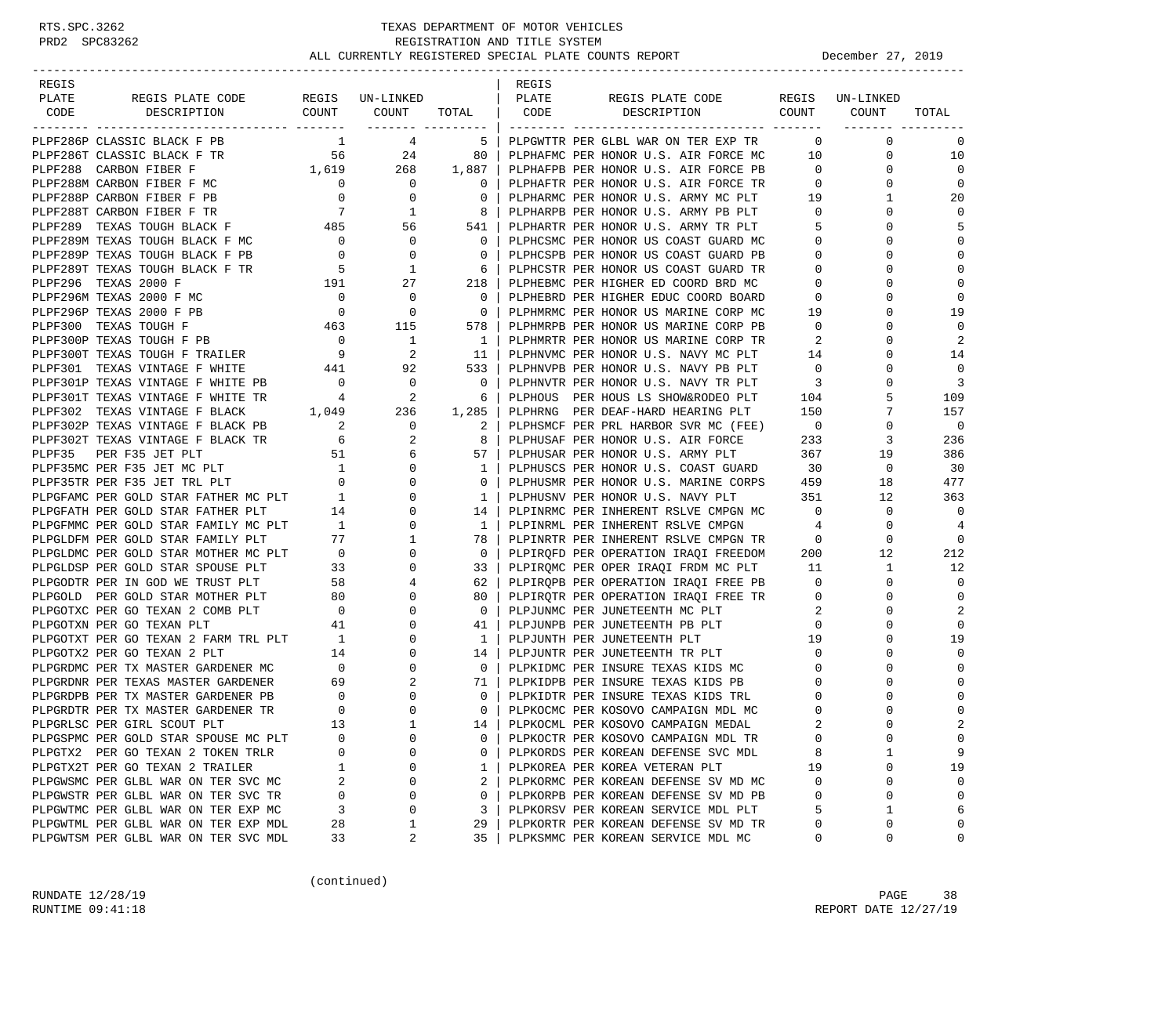| REGIS                                                                                                                                                                                                                                                                                                                                                                                                                          |                                                                            |                                                                                 |                                                     | REGIS |                                                                                                                      |                         |                                |                          |
|--------------------------------------------------------------------------------------------------------------------------------------------------------------------------------------------------------------------------------------------------------------------------------------------------------------------------------------------------------------------------------------------------------------------------------|----------------------------------------------------------------------------|---------------------------------------------------------------------------------|-----------------------------------------------------|-------|----------------------------------------------------------------------------------------------------------------------|-------------------------|--------------------------------|--------------------------|
| PLATE<br>REGIS PLATE CODE                                                                                                                                                                                                                                                                                                                                                                                                      |                                                                            | REGIS UN-LINKED                                                                 | PLATE                                               |       | REGIS PLATE CODE                                                                                                     |                         | REGIS UN-LINKED                |                          |
| CODE DESCRIPTION                                                                                                                                                                                                                                                                                                                                                                                                               |                                                                            | COUNT COUNT                                                                     |                                                     |       | TOTAL   CODE DESCRIPTION                                                                                             |                         | COUNT COUNT                    | TOTAL                    |
| PLPF286P CLASSIC BLACK F PB                                                                                                                                                                                                                                                                                                                                                                                                    |                                                                            | $1 \quad 4$                                                                     | $5 \vert$                                           |       | PLPGWTTR PER GLBL WAR ON TER EXP TR                                                                                  |                         | $\overline{0}$<br>$\mathbf{0}$ | 0                        |
| PLPF286T CLASSIC BLACK F TR                                                                                                                                                                                                                                                                                                                                                                                                    |                                                                            |                                                                                 |                                                     |       | PLPHAFMC PER HONOR U.S. AIR FORCE MC                                                                                 |                         | 10<br>$\mathbf 0$              | 10                       |
| PLPF288 CARBON FIBER F                                                                                                                                                                                                                                                                                                                                                                                                         |                                                                            | $\begin{array}{cccc} & 56 & & 24 & & 80 \\ 1,619 & & 268 & & 1,887 \end{array}$ |                                                     |       | PLPHAFPB PER HONOR U.S. AIR FORCE PB                                                                                 | $\overline{0}$          | $\mathbf{0}$                   | $\Omega$                 |
| PLPF288M CARBON FIBER F MC                                                                                                                                                                                                                                                                                                                                                                                                     | $\overline{0}$                                                             | $\overline{0}$                                                                  | 0                                                   |       | PLPHAFTR PER HONOR U.S. AIR FORCE TR 0                                                                               |                         | $\mathbf{0}$                   | $\mathbf 0$              |
| PLPF288P CARBON FIBER F PB                                                                                                                                                                                                                                                                                                                                                                                                     |                                                                            |                                                                                 | $\mathbf{0}$                                        |       |                                                                                                                      |                         | $\mathbf{1}$                   | 20                       |
| PLPF288T CARBON FIBER F TR                                                                                                                                                                                                                                                                                                                                                                                                     |                                                                            | $\begin{matrix}0&&&0\\&7&&&1\end{matrix}$                                       | 8 <sup>1</sup>                                      |       | PLPHARMC PER HONOR U.S. ARMY MC PLT 19<br>PLPHARPB PER HONOR U.S. ARMY PB PLT 0                                      |                         | $\Omega$                       | $\Omega$                 |
| PLPF289 TEXAS TOUGH BLACK F 485 56                                                                                                                                                                                                                                                                                                                                                                                             |                                                                            |                                                                                 | 541                                                 |       | PLPHARTR PER HONOR U.S. ARMY TR PLT 5                                                                                |                         | $\mathbf 0$                    | 5                        |
|                                                                                                                                                                                                                                                                                                                                                                                                                                |                                                                            |                                                                                 | 0 <sup>1</sup>                                      |       | PLPHCSMC PER HONOR US COAST GUARD MC                                                                                 | $\overline{0}$          | 0                              | $\Omega$                 |
| $\begin{tabular}{lllllllllllllllllllllll} \multicolumn{2}{c}{\texttt{PLPF289M}} &\texttt{TEXAS} &\texttt{TOUTH} &\texttt{BLACK} &\texttt{F} &\texttt{MC} &\texttt{0} &\texttt{0} \\ \multicolumn{2}{c}{\texttt{PLPF289P}} &\texttt{TEXAS} &\texttt{TOUTH} &\texttt{BLACK} &\texttt{F} &\texttt{PB} &\texttt{0} &\texttt{0} \\ \multicolumn{2}{c}{\texttt{PLPF289T}} &\texttt{TEXAS} &\texttt{TOUTH} &\texttt{BLACK} &\texttt{$ |                                                                            |                                                                                 | $\mathbf{0}$                                        |       | PLPHCSPB PER HONOR US COAST GUARD PB                                                                                 | $\overline{\mathbf{0}}$ | $\Omega$                       | $\Omega$                 |
|                                                                                                                                                                                                                                                                                                                                                                                                                                |                                                                            |                                                                                 | 6                                                   |       |                                                                                                                      | $\overline{\mathbf{0}}$ | 0                              | $\mathbf 0$              |
|                                                                                                                                                                                                                                                                                                                                                                                                                                |                                                                            |                                                                                 | 218 l                                               |       | FIFRISIR FER HONOR US COAST GUARD TR<br>PLPHEBMC PER HIGHER ED COORD BRD MC                                          | $\overline{0}$          | $\Omega$                       | $\mathbf 0$              |
| PLPF296M TEXAS 2000 F MC                                                                                                                                                                                                                                                                                                                                                                                                       | $\overline{\mathbf{0}}$                                                    | $\overline{\phantom{0}}$                                                        | $\overline{\phantom{0}}$                            |       | PLPHEBRD PER HIGHER EDUC COORD BOARD                                                                                 | $\overline{0}$          | $\Omega$                       | $\mathbf 0$              |
| PLPF296P TEXAS 2000 F PB                                                                                                                                                                                                                                                                                                                                                                                                       | $\overline{0}$                                                             | $\overline{0}$                                                                  | $\overline{\phantom{0}}$ 0 $\overline{\phantom{0}}$ |       | PLPHMRMC PER HONOR US MARINE CORP MC                                                                                 | 19                      | $\Omega$                       | 19                       |
| PLPF300 TEXAS TOUGH F $463$ 115<br>PLPF300P TEXAS TOUGH F PB $90$ 1                                                                                                                                                                                                                                                                                                                                                            |                                                                            |                                                                                 | 578                                                 |       | PLPHMRPB PER HONOR US MARINE CORP PB                                                                                 | $\overline{0}$          | $\Omega$                       | $\Omega$                 |
|                                                                                                                                                                                                                                                                                                                                                                                                                                |                                                                            |                                                                                 | $\overline{1}$                                      |       |                                                                                                                      |                         | 0                              | 2                        |
| PLPF300T TEXAS TOUGH F TRAILER                                                                                                                                                                                                                                                                                                                                                                                                 | $\begin{array}{c} 0 \\ 9 \end{array}$                                      | $\begin{array}{c} 1 \\ 2 \end{array}$                                           | - 11 - 1                                            |       | PLPHMRTR PER HONOR US MARINE CORP TR<br>PLPHNVMC PER HONOR U.S. NAVY MC PLT 14                                       |                         | $\Omega$                       | 14                       |
| PLPF301 TEXAS VINTAGE F WHITE 441 92                                                                                                                                                                                                                                                                                                                                                                                           |                                                                            |                                                                                 | 533                                                 |       | PLPHNVPB PER HONOR U.S. NAVY PB PLT                                                                                  | $\overline{0}$          | 0                              | $\mathbf 0$              |
|                                                                                                                                                                                                                                                                                                                                                                                                                                | $\overline{0}$                                                             | $\overline{\phantom{0}}$                                                        | $\overline{\phantom{0}}$ 0 $\overline{\phantom{0}}$ |       |                                                                                                                      |                         | $\Omega$                       | 3                        |
| PLPF301P TEXAS VINTAGE F WHITE PB<br>PLPF301T TEXAS VINTAGE F WHITE TR<br>4                                                                                                                                                                                                                                                                                                                                                    |                                                                            | $\overline{a}$                                                                  | 6                                                   |       | PLPHNVTR PER HONOR U.S. NAVY TR PLT 3<br>PLPHOUS PER HOUS LS SHOW&RODEO PLT 104                                      |                         | 5                              | 109                      |
| PLPF302 TEXAS VINTAGE F BLACK                                                                                                                                                                                                                                                                                                                                                                                                  |                                                                            |                                                                                 |                                                     |       | PLPHRNG PER DEAF-HARD HEARING PLT                                                                                    | 150                     | 7                              | 157                      |
| PLPF302P TEXAS VINTAGE F BLACK PB                                                                                                                                                                                                                                                                                                                                                                                              |                                                                            | $\begin{array}{cccc} 1,049 & & 236 & 1,285 \\ 2 & 2 & 0 & 2 \end{array}$        |                                                     |       | PLPHSMCF PER PRL HARBOR SVR MC (FEE)                                                                                 | $\overline{0}$          | $\mathbf 0$                    | $\overline{\phantom{0}}$ |
|                                                                                                                                                                                                                                                                                                                                                                                                                                |                                                                            | 2                                                                               | 8                                                   |       | PLPHUSAF PER HONOR U.S. AIR FORCE                                                                                    | 233                     | 3                              | 236                      |
|                                                                                                                                                                                                                                                                                                                                                                                                                                |                                                                            | 6                                                                               | 57                                                  |       | PLPHUSAR PER HONOR U.S. ARMY PLT                                                                                     | 367                     | 19                             | 386                      |
| PLPF302P IEXAS VINIAGE F BLACK PB<br>PLPF302T TEXAS VINTAGE F BLACK TR<br>PLPF35 PER F35 JET PLT<br>PLPF35MC PER F35 JET MC PLT<br>PLPF35TR PER F35 JET TRL PLT<br>0<br>PLPGFAMC PER GOLD STAR FATHER MC PLT<br>1                                                                                                                                                                                                              |                                                                            | $\overline{0}$                                                                  | $\mathbf{1}$                                        |       | PLPHUSCS PER HONOR U.S. COAST GUARD 30                                                                               |                         | $\mathbf{0}$                   | 30                       |
|                                                                                                                                                                                                                                                                                                                                                                                                                                |                                                                            | $\overline{0}$                                                                  | $\mathbf{0}$                                        |       |                                                                                                                      |                         | 18                             | 477                      |
|                                                                                                                                                                                                                                                                                                                                                                                                                                |                                                                            | $\overline{0}$                                                                  | 1 <sup>1</sup>                                      |       | PLPHUSMR PER HONOR U.S. MARINE CORPS 459<br>PLPHUSNV PER HONOR U.S. NAVY PLT 351<br>PLPHUSNV PER HONOR U.S. NAVY PLT |                         | 12                             | 363                      |
| PLPGFATH PER GOLD STAR FATHER PLT                                                                                                                                                                                                                                                                                                                                                                                              | 14                                                                         | $\mathbf{0}$                                                                    | 14                                                  |       | PLPINRMC PER INHERENT RSLVE CMPGN MC 0                                                                               |                         | 0                              | $\mathbf 0$              |
| PLPGFMMC PER GOLD STAR FAMILY MC PLT                                                                                                                                                                                                                                                                                                                                                                                           | 1                                                                          | $\overline{0}$                                                                  | 1                                                   |       | PLPINRML PER INHERENT RSLVE CMPGN                                                                                    | $\overline{4}$          | $\mathbf 0$                    | $\overline{4}$           |
| PLPGLDFM PER GOLD STAR FAMILY PLT                                                                                                                                                                                                                                                                                                                                                                                              |                                                                            | $\frac{1}{77}$<br>$\mathbf{1}$                                                  | 78                                                  |       | PLPINRTR PER INHERENT RSLVE CMPGN TR 0                                                                               |                         | 0                              | $\mathbf 0$              |
| PLPGLDMC PER GOLD STAR MOTHER MC PLT 0<br>PLPGLDSP PER GOLD STAR SPOUSE PLT 33<br>PLPGODTR PER IN GOD WE TRUST PLT 58<br>PLPGODTR PER IN GOD WE TRUST PLT 58                                                                                                                                                                                                                                                                   |                                                                            | 0                                                                               | $\overline{0}$                                      |       |                                                                                                                      |                         | 12                             | 212                      |
|                                                                                                                                                                                                                                                                                                                                                                                                                                |                                                                            | $\overline{0}$                                                                  | 33 I                                                |       | PLPIRQFD PER OPERATION IRAQI FREEDOM 200<br>PLPIRQMC PER OPER IRAQI FRDM MC PLT 11                                   |                         | $\mathbf{1}$                   | 12                       |
|                                                                                                                                                                                                                                                                                                                                                                                                                                |                                                                            | 4                                                                               | 62                                                  |       | PLPIRQPB PER OPERATION IRAQI FREE PB 0                                                                               |                         | $\mathbf{0}$                   | $\mathbf 0$              |
|                                                                                                                                                                                                                                                                                                                                                                                                                                |                                                                            | $\mathbf 0$                                                                     | 80                                                  |       | PLPIRQTR PER OPERATION IRAQI FREE TR<br>PLPJUNMC PER JUNETEENTH MC PLT 2                                             |                         | 0                              | $\mathbf 0$              |
| PLPGOLD PER GOLD STAR MOTHER PLT 80<br>PLPGOTXC PER GO TEXAN 2 COMB PLT 0                                                                                                                                                                                                                                                                                                                                                      |                                                                            | $\circ$                                                                         | $\mathbf{0}$                                        |       | PLPJUNMC PER JUNETEENTH MC PLT                                                                                       |                         | $\Omega$                       | 2                        |
| PLPGOTXN PER GO TEXAN PLT                                                                                                                                                                                                                                                                                                                                                                                                      |                                                                            | $\begin{array}{c} 41 \\ 1 \end{array}$<br>0                                     | 41                                                  |       | PLPJUNPB PER JUNETEENTH PB PLT<br>plp.nimth pre jiineteenth plt                                                      | $\mathbf{0}$            | 0                              | $\Omega$                 |
| PLPGOTXT PER GO TEXAN 2 FARM TRL PLT 1                                                                                                                                                                                                                                                                                                                                                                                         |                                                                            | $\mathbf 0$                                                                     | 1 <sup>1</sup>                                      |       | PLPJUNTH PER JUNETEENTH PLT                                                                                          | 19                      | $\Omega$                       | 19                       |
| PLPGOTX2 PER GO TEXAN 2 PLT                                                                                                                                                                                                                                                                                                                                                                                                    |                                                                            | $\mathbf{0}$                                                                    | 14                                                  |       | PLPJUNTR PER JUNETEENTH TR PLT                                                                                       | $\mathbf{0}$            | 0                              | $\Omega$                 |
| PLPGRDMC PER TX MASTER GARDENER MC                                                                                                                                                                                                                                                                                                                                                                                             | $\begin{array}{c cc}\n & & 1 \\  & & 14 \\  & & 0 \\  & & 69\n\end{array}$ | $\mathbf 0$                                                                     | $\overline{\phantom{0}}$ 0 $\overline{\phantom{0}}$ |       | PLPKIDMC PER INSURE TEXAS KIDS MC                                                                                    | $\overline{0}$          | 0                              | $\Omega$                 |
| PLPGRDNR PER TEXAS MASTER GARDENER                                                                                                                                                                                                                                                                                                                                                                                             |                                                                            | 2                                                                               | 71                                                  |       | PLPKIDPB PER INSURE TEXAS KIDS PB                                                                                    | $\overline{0}$          | $\Omega$                       | $\Omega$                 |
| PLPGRDPB PER TX MASTER GARDENER PB                                                                                                                                                                                                                                                                                                                                                                                             | $\begin{array}{c} 0 \\ 0 \end{array}$                                      | 0                                                                               | $\mathbf{0}$                                        |       | PLPKIDTR PER INSURE TEXAS KIDS TRL                                                                                   | $\mathbf 0$             | 0                              | $\mathbf 0$              |
| PLPGRDTR PER TX MASTER GARDENER TR                                                                                                                                                                                                                                                                                                                                                                                             |                                                                            | $\Omega$                                                                        | $\mathbf{0}$                                        |       | PLPKOCMC PER KOSOVO CAMPAIGN MDL MC                                                                                  | 0                       | $\Omega$                       | $\mathbf 0$              |
| PLPGRLSC PER GIRL SCOUT PLT                                                                                                                                                                                                                                                                                                                                                                                                    | 13                                                                         | $\mathbf{1}$                                                                    |                                                     |       | 14   PLPKOCML PER KOSOVO CAMPAIGN MEDAL                                                                              | $\mathfrak{D}$          | $\cap$                         | $\mathcal{D}$            |
| PLPGSPMC PER GOLD STAR SPOUSE MC PLT                                                                                                                                                                                                                                                                                                                                                                                           | 0                                                                          | 0                                                                               | 0                                                   |       | PLPKOCTR PER KOSOVO CAMPAIGN MDL TR                                                                                  | 0                       | 0                              | $\mathbf 0$              |
| PLPGTX2 PER GO TEXAN 2 TOKEN TRLR                                                                                                                                                                                                                                                                                                                                                                                              | O                                                                          | 0                                                                               | 0                                                   |       | PLPKORDS PER KOREAN DEFENSE SVC MDL                                                                                  | 8                       | 1                              | 9                        |
| PLPGTX2T PER GO TEXAN 2 TRAILER                                                                                                                                                                                                                                                                                                                                                                                                |                                                                            | 0                                                                               | 1                                                   |       | PLPKOREA PER KOREA VETERAN PLT                                                                                       | 19                      | 0                              | 19                       |
| PLPGWSMC PER GLBL WAR ON TER SVC MC                                                                                                                                                                                                                                                                                                                                                                                            | 2                                                                          | 0                                                                               | 2                                                   |       | PLPKORMC PER KOREAN DEFENSE SV MD MC                                                                                 | 0                       | 0                              | $\Omega$                 |
| PLPGWSTR PER GLBL WAR ON TER SVC TR                                                                                                                                                                                                                                                                                                                                                                                            | 0                                                                          | 0                                                                               | 0                                                   |       | PLPKORPB PER KOREAN DEFENSE SV MD PB                                                                                 | 0                       | 0                              | $\Omega$                 |
| PLPGWTMC PER GLBL WAR ON TER EXP MC                                                                                                                                                                                                                                                                                                                                                                                            | 3                                                                          | 0                                                                               | 3                                                   |       | PLPKORSV PER KOREAN SERVICE MDL PLT                                                                                  | 5                       | 1                              | 6                        |
| PLPGWTML PER GLBL WAR ON TER EXP MDL                                                                                                                                                                                                                                                                                                                                                                                           | 28                                                                         | 1                                                                               | 29                                                  |       | PLPKORTR PER KOREAN DEFENSE SV MD TR                                                                                 | 0                       | 0                              | 0                        |
| PLPGWTSM PER GLBL WAR ON TER SVC MDL                                                                                                                                                                                                                                                                                                                                                                                           | 33                                                                         | 2                                                                               | 35                                                  |       | PLPKSMMC PER KOREAN SERVICE MDL MC                                                                                   | 0                       | 0                              | 0                        |

(continued)

RUNDATE  $12/28/19$  PAGE 38 RUNTIME 09:41:18 REPORT DATE 12/27/19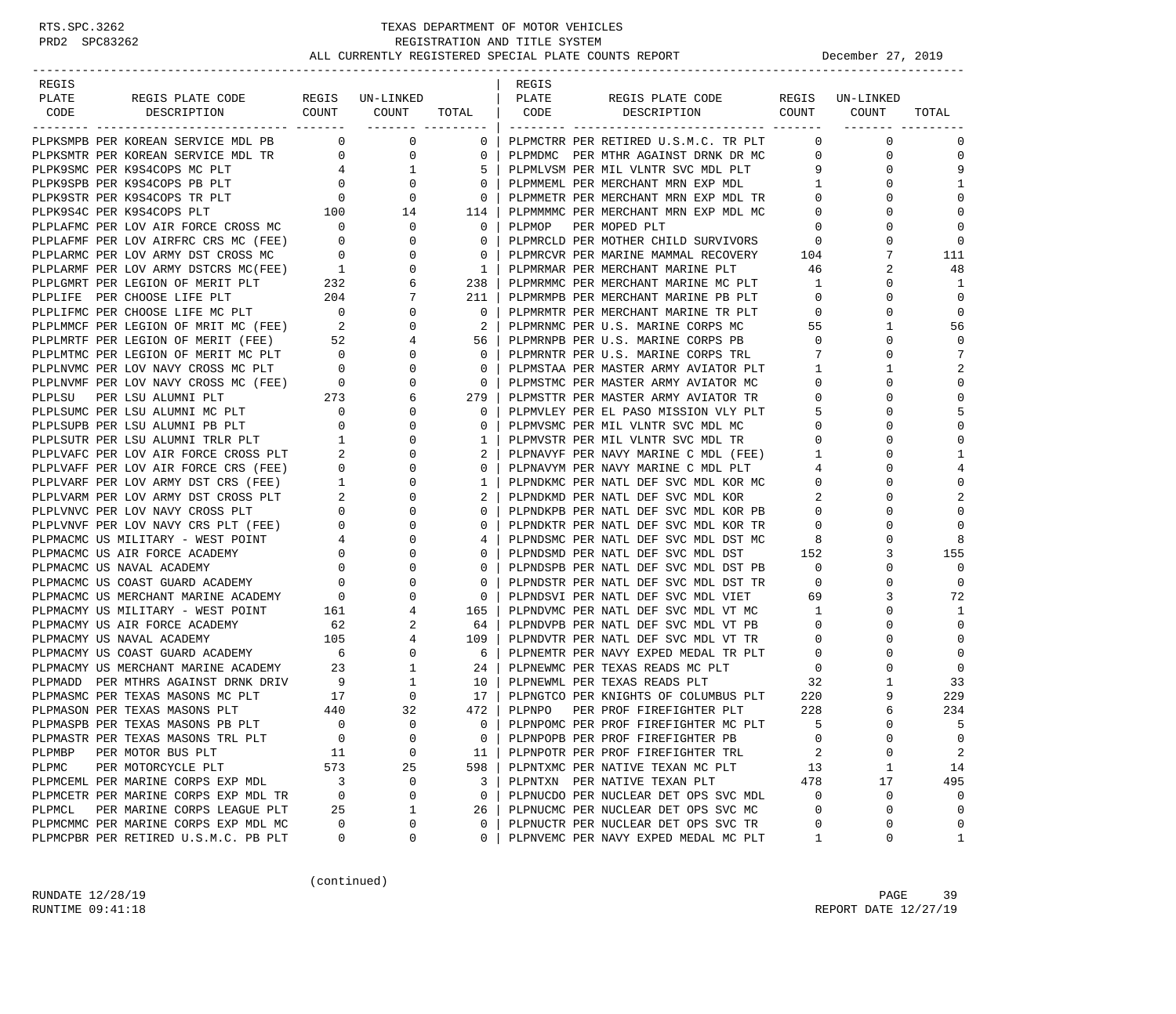-----------------------------------------------------------------------------------------------------------------------------------

| REGIS |                                                                                                                                                                                                                                                                                                                                                                                                     |  |                           | REGIS |                                                                                                                                                                                                                                                                                                       |                            |                |                 |
|-------|-----------------------------------------------------------------------------------------------------------------------------------------------------------------------------------------------------------------------------------------------------------------------------------------------------------------------------------------------------------------------------------------------------|--|---------------------------|-------|-------------------------------------------------------------------------------------------------------------------------------------------------------------------------------------------------------------------------------------------------------------------------------------------------------|----------------------------|----------------|-----------------|
| PLATE |                                                                                                                                                                                                                                                                                                                                                                                                     |  |                           |       | REGIS PLATE CODE REGIS UN-LINKED<br>DESCRIPTION COUNT COUNT                                                                                                                                                                                                                                           |                            |                |                 |
| CODE  |                                                                                                                                                                                                                                                                                                                                                                                                     |  |                           |       |                                                                                                                                                                                                                                                                                                       |                            |                | TOTAL           |
|       |                                                                                                                                                                                                                                                                                                                                                                                                     |  |                           |       |                                                                                                                                                                                                                                                                                                       |                            | $\overline{0}$ | $\Omega$        |
|       |                                                                                                                                                                                                                                                                                                                                                                                                     |  |                           |       | PLPKSMPB PER KOREAN SERVICE MDL PB $\begin{array}{ccc} 0 & 0 & 0 \\ 0 & 0 & 0 \end{array}$ PLPMCTRR PER RETIRED U.S.M.C. TR PLT $\begin{array}{ccc} 0 & 0 & 0 \\ 0 & 0 & 0 \end{array}$ PLPMCTRR PER MTHR AGAINST DRNK DR MC $\begin{array}{ccc} 0 & 0 & 0 \\ 0 & 0 & 0 \end{array}$ PLPMDMC PER MTHR |                            | $\mathbf{0}$   | $\mathbf{0}$    |
|       | PLPKSMTR PER KOREAN SERVICE MDL TR<br>PLPK9SMC PER K9S4COPS MC PLT                                                                                                                                                                                                                                                                                                                                  |  |                           |       | PLPMLVSM PER MIL VLNTR SVC MDL PLT                                                                                                                                                                                                                                                                    | 9                          | $\mathbf{0}$   | 9               |
|       |                                                                                                                                                                                                                                                                                                                                                                                                     |  |                           |       | PLPMMEML PER MERCHANT MRN EXP MDL                                                                                                                                                                                                                                                                     | 1                          | $\mathbf 0$    | $\mathbf{1}$    |
|       |                                                                                                                                                                                                                                                                                                                                                                                                     |  |                           |       | PLPMMETR PER MERCHANT MRN EXP MDL TR                                                                                                                                                                                                                                                                  | $\overline{0}$             | $\mathbf 0$    |                 |
|       | PLEKSMPE PER KOREAN SERVICE MDL PB $\begin{array}{cccccc} \text{PLENSNPE} & \text{PDE KONEMP} & \text{PER KORERN SENYCC PMD TR} & 0 & 0 & 0 \\ \text{PLPKSING PER KOSACOPS MC PED TTR} & 4 & 1 & 5 \\ \text{PLLKSSTR PER KOSACOPS BP PLD T} & 4 & 1 & 5 \\ \text{PLLKSSTR PER KSSACOPS PR PLD T} & 0 & 0 & 0 \\ \text{PLPLSSTR PER KSSACOPS PT PID T} & 0 & 0 & 0 \\ \text{PLLLARMIC PER LOV ARR F$ |  |                           |       | PLPMMMMC PER MERCHANT MRN EXP MDL MC                                                                                                                                                                                                                                                                  | $\overline{\mathbf{0}}$    | $\Omega$       | $\Omega$        |
|       |                                                                                                                                                                                                                                                                                                                                                                                                     |  |                           |       | PLPMOP PER MOPED PLT                                                                                                                                                                                                                                                                                  | $\overline{0}$             | $\Omega$       | $\cap$          |
|       |                                                                                                                                                                                                                                                                                                                                                                                                     |  |                           |       |                                                                                                                                                                                                                                                                                                       |                            | $\Omega$       | $\Omega$        |
|       |                                                                                                                                                                                                                                                                                                                                                                                                     |  |                           |       | PLPMRCLD PER MOTHER CHILD SURVIVORS 0<br>PLPMRCVR PER MARINE MAMMAL RECOVERY 104<br>PLPMRMAR PER MERCHANT MARINE PLT 46                                                                                                                                                                               |                            | 7              | 111             |
|       |                                                                                                                                                                                                                                                                                                                                                                                                     |  |                           |       |                                                                                                                                                                                                                                                                                                       |                            | 2              | 48              |
|       |                                                                                                                                                                                                                                                                                                                                                                                                     |  |                           |       |                                                                                                                                                                                                                                                                                                       | $\mathbf{1}$               | $\mathbf{0}$   | $\mathbf{1}$    |
|       |                                                                                                                                                                                                                                                                                                                                                                                                     |  |                           |       | PLPMRMMC PER MERCHANT MARINE MC PLT<br>PLPMRMPB PER MERCHANT MARINE PB PLT                                                                                                                                                                                                                            | $\Omega$                   | $\Omega$       | $\Omega$        |
|       |                                                                                                                                                                                                                                                                                                                                                                                                     |  |                           |       | PLPMRMTR PER MERCHANT MARINE TR PLT<br>PLPMRNMC PER U.S. MARINE CORPS MC<br>PLPMRNPB PER U.S. MARINE CORPS PB                                                                                                                                                                                         | $\overline{0}$             | $\mathbf 0$    | $\mathbf 0$     |
|       |                                                                                                                                                                                                                                                                                                                                                                                                     |  |                           |       |                                                                                                                                                                                                                                                                                                       | 55                         | $\mathbf{1}$   | 56              |
|       |                                                                                                                                                                                                                                                                                                                                                                                                     |  |                           |       | PLPMRNPB PER U.S. MARINE CORPS PB                                                                                                                                                                                                                                                                     | $\overline{0}$             | $\mathbf{0}$   | $\Omega$        |
|       |                                                                                                                                                                                                                                                                                                                                                                                                     |  |                           |       | PLPMRNTR PER U.S. MARINE CORPS TRL                                                                                                                                                                                                                                                                    | $7\overline{ }$            | $\Omega$       | 7               |
|       |                                                                                                                                                                                                                                                                                                                                                                                                     |  |                           |       | PLPMSTAA PER MASTER ARMY AVIATOR PLT                                                                                                                                                                                                                                                                  | $\overline{1}$             | 1              | $\overline{2}$  |
|       |                                                                                                                                                                                                                                                                                                                                                                                                     |  |                           |       | PLPMSTMC PER MASTER ARMY AVIATOR MC<br>PLPMSTTR PER MASTER ARMY AVIATOR TR                                                                                                                                                                                                                            | $\overline{0}$             | $\Omega$       | $\Omega$        |
|       |                                                                                                                                                                                                                                                                                                                                                                                                     |  |                           |       |                                                                                                                                                                                                                                                                                                       | $\circ$                    | $\mathbf{0}$   | $\Omega$        |
|       |                                                                                                                                                                                                                                                                                                                                                                                                     |  |                           |       | PLPMVLEY PER EL PASO MISSION VLY PLT                                                                                                                                                                                                                                                                  | - 5                        | $\Omega$       | 5               |
|       |                                                                                                                                                                                                                                                                                                                                                                                                     |  |                           |       | PLPMVSMC PER MIL VLNTR SVC MDL MC                                                                                                                                                                                                                                                                     | $\overline{0}$             | $\mathbf 0$    | $\Omega$        |
|       |                                                                                                                                                                                                                                                                                                                                                                                                     |  |                           |       | PLPMVSTR PER MIL VLNTR SVC MDL TR                                                                                                                                                                                                                                                                     | $\overline{0}$             | $\mathbf{0}$   | $\Omega$        |
|       |                                                                                                                                                                                                                                                                                                                                                                                                     |  |                           |       | PLPNAVYF PER NAVY MARINE C MDL (FEE)                                                                                                                                                                                                                                                                  | $\overline{1}$             | $\Omega$       | $\mathbf{1}$    |
|       |                                                                                                                                                                                                                                                                                                                                                                                                     |  |                           |       | PLPNAVYM PER NAVY MARINE C MDL PLT                                                                                                                                                                                                                                                                    | 4                          | $\Omega$       |                 |
|       |                                                                                                                                                                                                                                                                                                                                                                                                     |  |                           |       | PLPNDKMC PER NATL DEF SVC MDL KOR MC 0                                                                                                                                                                                                                                                                |                            | $\Omega$       | $\Omega$        |
|       |                                                                                                                                                                                                                                                                                                                                                                                                     |  |                           |       | PLPNDKMD PER NATL DEF SVC MDL KOR                                                                                                                                                                                                                                                                     | $\overline{\phantom{0}}^2$ | $\mathbf 0$    | $\overline{2}$  |
|       |                                                                                                                                                                                                                                                                                                                                                                                                     |  |                           |       | PLPNDKPB PER NATL DEF SVC MDL KOR PB 0                                                                                                                                                                                                                                                                |                            | $\Omega$       |                 |
|       |                                                                                                                                                                                                                                                                                                                                                                                                     |  |                           |       | PLPNDKTR PER NATL DEF SVC MDL KOR TR                                                                                                                                                                                                                                                                  | $\overline{0}$             | $\mathbf 0$    | $\Omega$        |
|       |                                                                                                                                                                                                                                                                                                                                                                                                     |  | 4<br>$0-1$                |       | PLPNDSMC PER NATL DEF SVC MDL DST MC<br>PLPNDSMD PER NATL DEF SVC MDL DST                                                                                                                                                                                                                             | 8<br>152                   | $\Omega$       | 8               |
|       |                                                                                                                                                                                                                                                                                                                                                                                                     |  | $\Omega$                  |       | PLPNDSPB PER NATL DEF SVC MDL DST PB                                                                                                                                                                                                                                                                  | $\overline{0}$             | 3<br>$\Omega$  | 155<br>$\Omega$ |
|       |                                                                                                                                                                                                                                                                                                                                                                                                     |  | $\overline{0}$            |       |                                                                                                                                                                                                                                                                                                       | $\overline{0}$             | $\mathbf{0}$   | $\Omega$        |
|       |                                                                                                                                                                                                                                                                                                                                                                                                     |  | $\overline{0}$            |       | PLPNDSTR PER NATL DEF SVC MDL DST TR<br>PLPNDSVI PER NATL DEF SVC MDL VIET                                                                                                                                                                                                                            | 69                         | 3              | 72              |
|       |                                                                                                                                                                                                                                                                                                                                                                                                     |  | 165 l                     |       |                                                                                                                                                                                                                                                                                                       | $\overline{1}$             | $\mathbf 0$    | 1               |
|       |                                                                                                                                                                                                                                                                                                                                                                                                     |  | 64                        |       |                                                                                                                                                                                                                                                                                                       | $\overline{0}$             | $\mathbf 0$    | $\Omega$        |
|       |                                                                                                                                                                                                                                                                                                                                                                                                     |  | 109                       |       | PLPNDVMC PER NATL DEF SVC MDL VT MC<br>PLPNDVPB PER NATL DEF SVC MDL VT PB<br>PLPNDVTR PER NATL DEF SVC MDL VT TR                                                                                                                                                                                     | $\overline{0}$             | $\mathbf 0$    | $\mathbf 0$     |
|       |                                                                                                                                                                                                                                                                                                                                                                                                     |  | 6                         |       |                                                                                                                                                                                                                                                                                                       | $\overline{0}$             | $\Omega$       | $\Omega$        |
|       |                                                                                                                                                                                                                                                                                                                                                                                                     |  | 24                        |       |                                                                                                                                                                                                                                                                                                       | $\overline{0}$             | $\Omega$       | $\Omega$        |
|       | PLPLWNVF PER LOV NAVY CRS PLT (FEE) 0 0 0<br>PLPMACMC US MILITARY – WEST POINT 0 4 0 0<br>PLPMACMC US AIR FORCE ACADEMY 0 0 0 0<br>PLPMACMC US NAVAL ACADEMY 0 0 0 0<br>PLPMACMC US COAST GUARD ACADEMY 0 0 0<br>PLPMACMY US MERCHANT MA                                                                                                                                                            |  | $10-1$                    |       | PLPNEWTR PER NAVY EXPED MEDAL TR PLT 0<br>PLPNEWMC PER TEXAS READS MC PLT 0<br>PLPNEWML PER TEXAS READS PLT 32<br>PLPNGTCO PER KNIGHTS OF COLUMBUS PLT 220                                                                                                                                            | 32                         | $\mathbf{1}$   | 33              |
|       |                                                                                                                                                                                                                                                                                                                                                                                                     |  | 17 <sup>1</sup>           |       |                                                                                                                                                                                                                                                                                                       |                            | 9              | 229             |
|       |                                                                                                                                                                                                                                                                                                                                                                                                     |  | 472                       |       | PLPNPO PER PROF FIREFIGHTER PLT 228                                                                                                                                                                                                                                                                   |                            | 6              | 234             |
|       |                                                                                                                                                                                                                                                                                                                                                                                                     |  | $\overline{0}$            |       | PLPNPOMC PER PROF FIREFIGHTER MC PLT                                                                                                                                                                                                                                                                  | $5^{\circ}$                | $\Omega$       | .5              |
|       |                                                                                                                                                                                                                                                                                                                                                                                                     |  | $\overline{0}$            |       | PLPNPOPB PER PROF FIREFIGHTER PB                                                                                                                                                                                                                                                                      | $\overline{0}$             | $\mathbf{0}$   | $\mathbf 0$     |
|       |                                                                                                                                                                                                                                                                                                                                                                                                     |  | 11                        |       | PLPNPOTR PER PROF FIREFIGHTER TRL                                                                                                                                                                                                                                                                     | $\overline{a}$             | $\Omega$       | $\overline{2}$  |
|       |                                                                                                                                                                                                                                                                                                                                                                                                     |  | 598                       |       | PLPNTXMC PER NATIVE TEXAN MC PLT                                                                                                                                                                                                                                                                      | $LT$ 13<br>478             | $\mathbf{1}$   | 14              |
|       |                                                                                                                                                                                                                                                                                                                                                                                                     |  | $\overline{\phantom{a}3}$ |       | PLPNTXN PER NATIVE TEXAN PLT                                                                                                                                                                                                                                                                          |                            | 17             | 495             |
|       | PLPMACMY US MERCHANT MARINE ACADEMY 23 1<br>PLPMADD PER MTHRS AGAINST DRNK DRIV 9 1<br>PLPMASMC PER TEXAS MASONS MC PLT 17 0<br>PLPMASON PER TEXAS MASONS PLT 440 32<br>PLPMASPE PER TEXAS MASONS PER TET 0 0<br>PLPMASTR PER TEXAS MASO                                                                                                                                                            |  | $\overline{0}$            |       | PLPNUCDO PER NUCLEAR DET OPS SVC MDL                                                                                                                                                                                                                                                                  | $\overline{0}$             | $\mathbf{0}$   | $\mathbf 0$     |
|       |                                                                                                                                                                                                                                                                                                                                                                                                     |  | 26 l                      |       |                                                                                                                                                                                                                                                                                                       |                            | $\mathbf 0$    | $\Omega$        |
|       |                                                                                                                                                                                                                                                                                                                                                                                                     |  | $\overline{0}$            |       | PLPNUCMC PER NUCLEAR DET OPS SVC MC 0<br>PLPNUCTR PER NUCLEAR DET OPS SVC TR 0                                                                                                                                                                                                                        |                            | $\mathbf 0$    | $\mathbf 0$     |
|       |                                                                                                                                                                                                                                                                                                                                                                                                     |  |                           |       | 0   PLPNVEMC PER NAVY EXPED MEDAL MC PLT                                                                                                                                                                                                                                                              | $\overline{1}$             | $\Omega$       | $\mathbf{1}$    |

(continued)

RUNDATE  $12/28/19$  PAGE 39 RUNTIME 09:41:18 REPORT DATE 12/27/19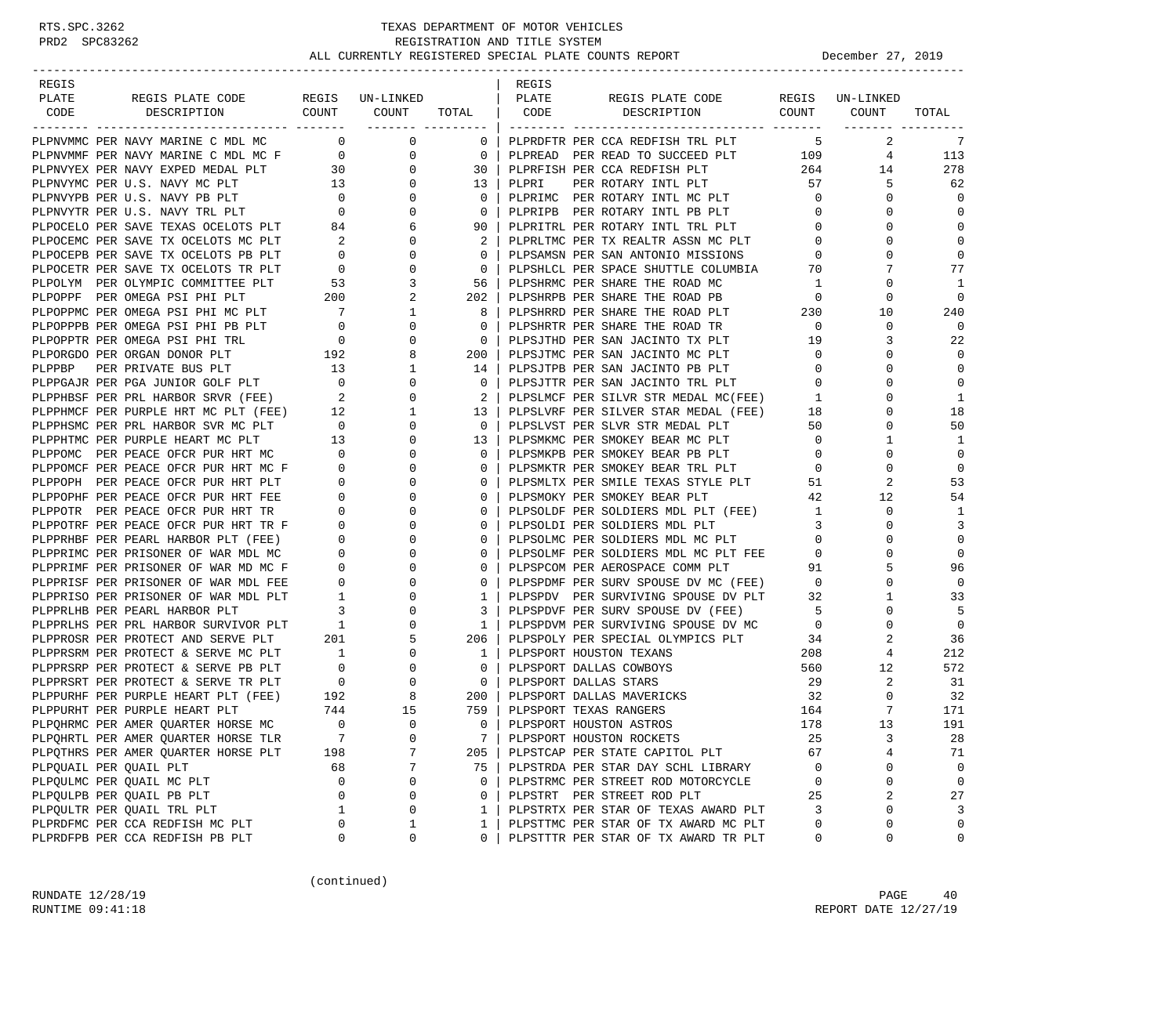## RTS.SPC.3262 TEXAS DEPARTMENT OF MOTOR VEHICLES<br>PRD2 SPC83262 TEXAS REGISTRATION AND TITLE SYSTEM<br>ALL CURRENTLY REGISTERED SPECIAL PLATE COUNTS REGISTRATION AND TITLE SYSTEM ALL CURRENTLY REGISTERED SPECIAL PLATE COUNTS REPORT **December 27, 2019**

| REGIS                  |                                          |                |          |                                        | REGIS |                                                                                                                                                                                                                                                                      |                |                                              |                |
|------------------------|------------------------------------------|----------------|----------|----------------------------------------|-------|----------------------------------------------------------------------------------------------------------------------------------------------------------------------------------------------------------------------------------------------------------------------|----------------|----------------------------------------------|----------------|
| PLATE                  | REGIS PLATE CODE REGIS UN-LINKED   PLATE |                |          |                                        |       | REGIS PLATE CODE REGIS UN-LINKED                                                                                                                                                                                                                                     |                |                                              |                |
| CODE                   | DESCRIPTION COUNT COUNT TOTAL   CODE     |                |          |                                        |       | DESCRIPTION COUNT COUNT                                                                                                                                                                                                                                              |                | ________ ________                            | TOTAL          |
|                        | PLPNVMMC PER NAVY MARINE C MDL MC 0 0 0  |                |          |                                        |       | 0   PLPRDFTR PER CCA REDFISH TRL PLT<br>CROWNE PIT SURVEY C. PRI. WE WANT THE COMPANY OF THE CONTROL INTERFERENCE IN A BUSINESS OF THE CONTROL INTERFERENCE IN A BUSINESS OF THE CONTROL INTERFERENCE IN A BUSINESS OF THE CONTROL INTERFERENCE IN A BUSINESS OF THE |                | $5^{\circ}$<br>2                             | 7              |
|                        |                                          |                |          |                                        |       | PLPREAD PER READ TO SUCCEED PLT 109                                                                                                                                                                                                                                  |                |                                              | $4$ 113        |
|                        |                                          |                |          |                                        |       |                                                                                                                                                                                                                                                                      | 264            | 14                                           | 278            |
|                        |                                          |                |          |                                        |       | PER ROTARY INTL PLT 57                                                                                                                                                                                                                                               |                | 5                                            | 62             |
|                        |                                          |                |          |                                        |       |                                                                                                                                                                                                                                                                      |                | $\mathbf{0}$                                 | 0              |
|                        |                                          |                |          |                                        |       | PLPRIMC PER ROTARY INTL MC PLT 0<br>PLPRIPB PER ROTARY INTL PB PLT 0                                                                                                                                                                                                 |                | $\mathbf 0$                                  | 0              |
|                        |                                          |                |          |                                        |       | PLPRITRL PER ROTARY INTL TRL PLT 0                                                                                                                                                                                                                                   |                | $\mathbf 0$                                  | $\mathbf 0$    |
|                        |                                          |                |          |                                        |       |                                                                                                                                                                                                                                                                      |                | $\mathbf 0$                                  | $\mathbf{0}$   |
|                        |                                          |                |          |                                        |       |                                                                                                                                                                                                                                                                      |                | $\mathbf{0}$                                 | $\mathbf 0$    |
|                        |                                          |                |          |                                        |       |                                                                                                                                                                                                                                                                      |                | 7                                            | 77             |
|                        |                                          |                |          |                                        |       |                                                                                                                                                                                                                                                                      |                | $\mathbf 0$                                  | 1              |
|                        |                                          |                |          |                                        |       |                                                                                                                                                                                                                                                                      |                | $\mathbf 0$                                  | $\mathbf 0$    |
|                        |                                          |                |          |                                        |       | 202   PLPSHRPB PER SHARE THE ROAD PB<br>8   PLPSHRRD PER SHARE THE ROAD PLT 230<br>0   DIDSHPTP DEP SHARE THE POAD TP                                                                                                                                                |                | 10                                           | 240            |
|                        |                                          |                |          |                                        |       |                                                                                                                                                                                                                                                                      |                | $\mathbf 0$                                  | $\Omega$       |
|                        |                                          |                |          |                                        |       |                                                                                                                                                                                                                                                                      |                | 3                                            | 22             |
|                        |                                          |                |          |                                        |       |                                                                                                                                                                                                                                                                      |                | $\mathbf{0}$                                 | $\mathbf 0$    |
|                        |                                          |                |          |                                        |       |                                                                                                                                                                                                                                                                      | $\overline{0}$ | $\mathbf 0$                                  | $\mathbf 0$    |
|                        |                                          |                |          |                                        |       |                                                                                                                                                                                                                                                                      |                | $\mathbf 0$                                  | $\mathbf 0$    |
|                        |                                          |                |          |                                        |       | 2   PLPSLMCF PER SILVR STR MEDAL MC(FEE) 1                                                                                                                                                                                                                           |                | $\Omega$                                     | 1              |
|                        |                                          |                |          |                                        |       |                                                                                                                                                                                                                                                                      |                | $\mathbf 0$                                  | 18             |
|                        |                                          |                |          |                                        |       | 13   PLPSLVRF PER SILVER STAR MEDAL (FEE) 18<br>0   PLPSLVST PER SLVR STR MEDAL PLT 50                                                                                                                                                                               |                | $\mathbf 0$                                  | 50             |
|                        |                                          |                |          |                                        |       | PLPSMKMC PER SMOKEY BEAR MC PLT 0                                                                                                                                                                                                                                    |                | $\mathbf{1}$                                 | 1              |
|                        |                                          |                |          |                                        |       |                                                                                                                                                                                                                                                                      |                | $\mathbf 0$                                  | $\mathbf 0$    |
|                        |                                          |                |          |                                        |       |                                                                                                                                                                                                                                                                      |                | $\mathbf 0$                                  | $\mathbf 0$    |
|                        |                                          |                |          |                                        |       |                                                                                                                                                                                                                                                                      |                | 2                                            | 53             |
|                        |                                          |                |          |                                        |       |                                                                                                                                                                                                                                                                      |                | $\begin{array}{c} 42 \\ 1 \end{array}$<br>12 | 54             |
|                        |                                          |                |          |                                        |       |                                                                                                                                                                                                                                                                      |                | $\mathbf 0$                                  | 1              |
|                        |                                          |                |          |                                        |       |                                                                                                                                                                                                                                                                      |                | $\mathbf 0$                                  | 3              |
|                        |                                          |                |          |                                        |       |                                                                                                                                                                                                                                                                      |                | $\mathbf 0$                                  | $\mathbf 0$    |
|                        |                                          |                |          |                                        |       |                                                                                                                                                                                                                                                                      |                | $\mathbf 0$                                  | $\mathbf 0$    |
|                        |                                          |                |          |                                        |       |                                                                                                                                                                                                                                                                      |                | 5                                            | 96             |
|                        |                                          |                |          |                                        |       | PLPSPDMF PER SURV SPOUSE DV MC (FEE) 0                                                                                                                                                                                                                               |                | $\mathbf 0$                                  | $\mathbf 0$    |
|                        |                                          |                |          |                                        |       |                                                                                                                                                                                                                                                                      |                | $\mathbf{1}$                                 | 33             |
|                        |                                          |                |          |                                        |       | PLPSPDVF PER SURV SPOUSE DV (FEE) 5<br>PLPSPDVM PER SURV SPOUSE DV (FEE) 5                                                                                                                                                                                           |                | $\mathbf 0$                                  | 5              |
|                        |                                          |                |          |                                        |       |                                                                                                                                                                                                                                                                      |                | $\mathbf 0$                                  | $\overline{0}$ |
|                        |                                          |                |          |                                        |       |                                                                                                                                                                                                                                                                      |                | 2                                            | 36             |
|                        |                                          |                |          |                                        |       |                                                                                                                                                                                                                                                                      |                | $\overline{4}$                               | 212            |
|                        |                                          |                |          |                                        |       |                                                                                                                                                                                                                                                                      |                | 12                                           | 572            |
|                        |                                          |                |          |                                        |       |                                                                                                                                                                                                                                                                      |                | $\mathbf{2}$                                 | 31             |
|                        |                                          |                |          |                                        |       |                                                                                                                                                                                                                                                                      |                | $\mathbf{0}$                                 | 32             |
|                        |                                          |                |          |                                        |       |                                                                                                                                                                                                                                                                      |                | $7\overline{ }$                              | 171            |
|                        | PLPQHRMC PER AMER QUARTER HORSE MC       | $\overline{0}$ | $\Omega$ | $\begin{array}{ccc} & 0 & \end{array}$ |       | PLPSPORT HOUSTON ASTROS                                                                                                                                                                                                                                              | 178            | 13                                           | 191            |
|                        | PLPQHRTL PER AMER QUARTER HORSE TLR      | 7              | 0        | 7                                      |       | PLPSPORT HOUSTON ROCKETS                                                                                                                                                                                                                                             | 25             | 3                                            | 28             |
|                        | PLPQTHRS PER AMER QUARTER HORSE PLT      | 198            | 7        | 205                                    |       | PLPSTCAP PER STATE CAPITOL PLT                                                                                                                                                                                                                                       | 67             | 4                                            | 71             |
| PLPOUAIL PER OUAIL PLT |                                          | 68             | 7        | 75                                     |       | PLPSTRDA PER STAR DAY SCHL LIBRARY                                                                                                                                                                                                                                   | 0              | 0                                            | 0              |
|                        | PLPQULMC PER QUAIL MC PLT                | 0              | 0        | $\mathbf 0$                            |       | PLPSTRMC PER STREET ROD MOTORCYCLE                                                                                                                                                                                                                                   | 0              | $\mathsf 0$                                  | $\mathsf 0$    |
|                        | PLPQULPB PER QUAIL PB PLT                | 0              | 0        | 0                                      |       | PLPSTRT PER STREET ROD PLT                                                                                                                                                                                                                                           | 25             | 2                                            | 27             |
|                        | PLPQULTR PER QUAIL TRL PLT               | 1              | 0        | 1                                      |       | PLPSTRTX PER STAR OF TEXAS AWARD PLT                                                                                                                                                                                                                                 | 3              | 0                                            | 3              |
|                        | PLPRDFMC PER CCA REDFISH MC PLT          | 0              | 1        | 1                                      |       | PLPSTTMC PER STAR OF TX AWARD MC PLT                                                                                                                                                                                                                                 | 0              | 0                                            | $\mathbf 0$    |
|                        | PLPRDFPB PER CCA REDFISH PB PLT          | 0              | 0        | 0                                      |       | PLPSTTTR PER STAR OF TX AWARD TR PLT                                                                                                                                                                                                                                 | 0              | 0                                            | $\mathbf 0$    |

(continued)

RUNDATE  $12/28/19$  PAGE 40 RUNTIME 09:41:18 REPORT DATE 12/27/19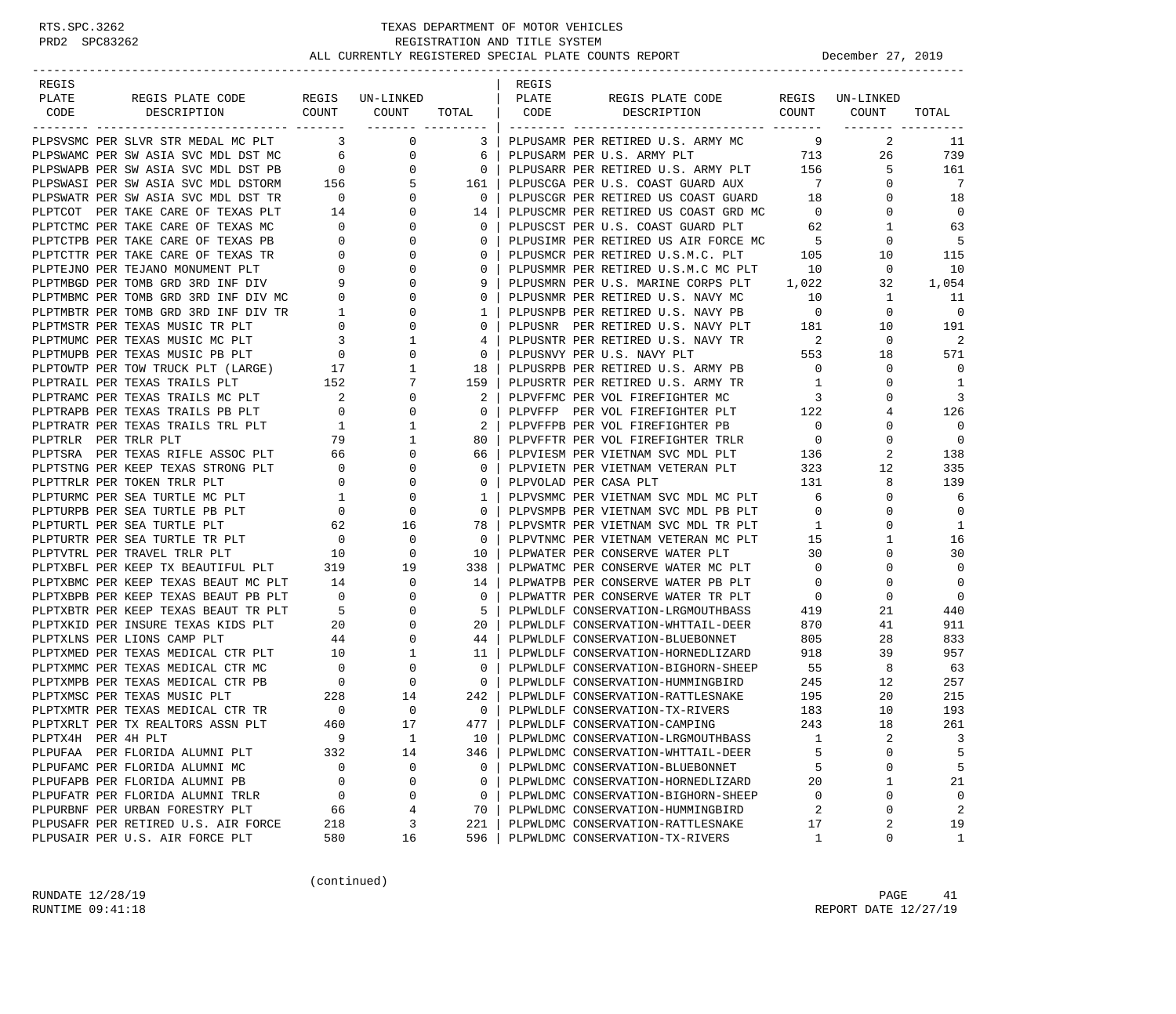| REGIS              |                                                                                                                             |                                       |                                                           |                                                            | REGIS |                                                                                |                                                                                  |                 |                          |
|--------------------|-----------------------------------------------------------------------------------------------------------------------------|---------------------------------------|-----------------------------------------------------------|------------------------------------------------------------|-------|--------------------------------------------------------------------------------|----------------------------------------------------------------------------------|-----------------|--------------------------|
| PLATE              | REGIS PLATE CODE                                                                                                            |                                       | REGIS UN-LINKED                                           |                                                            | PLATE | REGIS PLATE CODE                                                               |                                                                                  | REGIS UN-LINKED |                          |
| CODE               | COUNT<br>DESCRIPTION                                                                                                        |                                       | COUNT                                                     | TOTAL   CODE                                               |       | DESCRIPTION COUNT                                                              |                                                                                  | COUNT           | TOTAL                    |
|                    | --------------------------- ------<br>PLPSVSMC PER SLVR STR MEDAL MC PLT 3                                                  |                                       | $\mathbf{0}$                                              |                                                            |       | 3   PLPUSAMR PER RETIRED U.S. ARMY MC 9                                        |                                                                                  | 2               | 11                       |
|                    |                                                                                                                             |                                       |                                                           |                                                            |       |                                                                                |                                                                                  | 26              | 739                      |
|                    | PLPSWAMC PER SW ASIA SVC MDL DST MC 6<br>PLPSWAPB PER SW ASIA SVC MDL DST PB 0                                              |                                       | $\begin{array}{c} 0 \\ 0 \end{array}$                     |                                                            |       |                                                                                |                                                                                  | 5               | 161                      |
|                    |                                                                                                                             |                                       |                                                           |                                                            |       | PLPUSCGA PER U.S. COAST GUARD AUX 7                                            |                                                                                  | $\mathbf{0}$    | 7                        |
|                    |                                                                                                                             |                                       |                                                           | $\begin{array}{ccc} & 0 \end{array}$                       |       | PLPUSCGR PER RETIRED US COAST GUARD                                            | 18                                                                               | 0               | 18                       |
|                    | PLPSWASI PER SW ASIA SVC MDL DSTORM 156<br>PLPSWATR PER SW ASIA SVC MDL DST TR 0<br>PLPTCOT PER TAKE CARE OF TEXAS PLT 14   |                                       |                                                           | $\begin{bmatrix} 5 & 161 \\ 0 & 0 \\ 0 & 14 \end{bmatrix}$ |       | PLPUSCMR PER RETIRED US COAST GRD MC                                           | $\overline{0}$                                                                   | 0               | $\overline{0}$           |
|                    | PLPTCTMC PER TAKE CARE OF TEXAS MC                                                                                          |                                       | $\overline{0}$                                            | $\mathbf{0}$                                               |       |                                                                                |                                                                                  | 1               | 63                       |
|                    | PLPTCTPB PER TAKE CARE OF TEXAS PB                                                                                          | $\begin{array}{c} 0 \\ 0 \end{array}$ | $\overline{0}$                                            | $\Omega$                                                   |       | PLPUSCST PER U.S. COAST GUARD PLT 62<br>PLPUSIMR PER RETIRED US AIR FORCE MC 5 |                                                                                  | 0               | - 5                      |
|                    | PLPTCTTR PER TAKE CARE OF TEXAS TR                                                                                          | $\overline{0}$                        | $\mathbf{0}$                                              | $\mathbf{0}$                                               |       | PLPUSMCR PER RETIRED U.S.M.C. PLT 105                                          |                                                                                  | 10              | 115                      |
|                    | PLPTEJNO PER TEJANO MONUMENT PLT                                                                                            |                                       | $\mathbf{0}$                                              | $\mathbf{0}$                                               |       | PLPUSMMR PER RETIRED U.S.M.C MC PLT                                            | 10                                                                               | $\mathbf{0}$    | 10                       |
|                    | PLPTMBGD PER TOMB GRD 3RD INF DIV                                                                                           | $\begin{array}{c} 0 \\ 9 \end{array}$ | $\mathbf{0}$                                              | 9                                                          |       | PLPUSMRN PER U.S. MARINE CORPS PLT 1,022                                       |                                                                                  | 32              | 1,054                    |
|                    |                                                                                                                             |                                       | $\mathbf{0}$                                              | 0                                                          |       | PLPUSNMR PER RETIRED U.S. NAVY MC                                              | 10                                                                               | 1               | 11                       |
|                    |                                                                                                                             |                                       | $\mathbf{0}$                                              | 1 <sup>1</sup>                                             |       | PLPUSNPB PER RETIRED U.S. NAVY PB                                              | $\overline{0}$                                                                   | $\mathbf{0}$    | $\overline{0}$           |
|                    | PLPTMBMC PER TOMB GRD 3RD INF DIV MC 0<br>PLPTMBTR PER TOMB GRD 3RD INF DIV TR 1<br>PLPTMSTR PER TEXAS MUSIC TR PLT 0       |                                       | $\mathbf{0}$                                              | $\Omega$                                                   |       | PLPUSNR PER RETIRED U.S. NAVY PLT 181                                          |                                                                                  | 10              | 191                      |
|                    |                                                                                                                             |                                       | $\mathbf{1}$                                              | 4                                                          |       | PLPUSNTR PER RETIRED U.S. NAVY TR                                              |                                                                                  | $\mathbf{0}$    | -2                       |
|                    | PLPTMUMC PER TEXAS MUSIC MC PLT<br>PLPTMUPB PER TEXAS MUSIC PB PLT 0                                                        |                                       | $\overline{0}$                                            | $\mathbf{0}$                                               |       | PLPUSNVY PER U.S. NAVY PLT                                                     | $\begin{array}{ccc}\n\text{Y} & \text{TR} & \text{2} \\ \text{553}\n\end{array}$ | 18              | 571                      |
|                    |                                                                                                                             |                                       | $\mathbf{1}$                                              | 18                                                         |       | PLPUSRPB PER RETIRED U.S. ARMY PB 0                                            |                                                                                  | 0               | $\mathbf 0$              |
|                    | PLPTOWTP PER TOW TRUCK PLT (LARGE) 17<br>PLPTRAIL PER TEXAS TRAILS PLT 152                                                  |                                       | 7                                                         | 159                                                        |       | PLPUSRTR PER RETIRED U.S. ARMY TR                                              | $\overline{1}$                                                                   | $\Omega$        | 1                        |
|                    | PLPTRAMC PER TEXAS TRAILS MC PLT                                                                                            |                                       | $\mathbf{0}$                                              | 2                                                          |       | PLPVFFMC PER VOL FIREFIGHTER MC                                                | $\overline{\phantom{a}}$                                                         | $\Omega$        | 3                        |
|                    | PLPTRAPB PER TEXAS TRAILS PB PLT                                                                                            | $\overline{0}$                        | $\mathbf{0}$                                              | $\mathbf{0}$                                               |       | PLPVFFP PER VOL FIREFIGHTER PLT 122                                            |                                                                                  | 4               | 126                      |
|                    | PLPTRATR PER TEXAS TRAILS TRL PLT                                                                                           | $\mathbf{1}$                          | 1                                                         | 2                                                          |       | PLPVFFPB PER VOL FIREFIGHTER PB                                                | $\overline{0}$                                                                   | 0               | $\overline{0}$           |
|                    |                                                                                                                             |                                       | $\mathbf{1}$                                              | 80                                                         |       | PLPVFFTR PER VOL FIREFIGHTER TRLR                                              | $\overline{0}$                                                                   | 0               | $\overline{\phantom{0}}$ |
|                    |                                                                                                                             |                                       | $\overline{0}$                                            | 66                                                         |       | PLPVFFTR PER VOL FIREFIGHTER TRLR 0<br>PLPVIESM PER VIETNAM SVC MDL PLT 136    |                                                                                  | 2               | 138                      |
|                    | PLPTSTNG PER KEEP TEXAS STRONG PLT                                                                                          | $\overline{0}$                        | $\mathbf{0}$                                              | $\Omega$                                                   |       | PLPVIETN PER VIETNAM VETERAN PLT 323                                           |                                                                                  | 12              | 335                      |
|                    | PLPTTRLR PER TOKEN TRLR PLT                                                                                                 | $\overline{0}$                        | $\mathbf{0}$                                              | $\mathbf{0}$                                               |       | PLPVOLAD PER CASA PLT                                                          | 131                                                                              | 8               | 139                      |
|                    | PLPTURMC PER SEA TURTLE MC PLT                                                                                              | $\sim$ 1                              | $\mathbf{0}$                                              | 1                                                          |       | PLPVSMMC PER VIETNAM SVC MDL MC PLT                                            | 6                                                                                | 0               | 6                        |
|                    | PLPTURPB PER SEA TURTLE PB PLT                                                                                              |                                       |                                                           | $\circ$                                                    |       |                                                                                | $\overline{0}$                                                                   | 0               | $\overline{0}$           |
|                    | PLPTURTL PER SEA TURTLE PLT                                                                                                 |                                       | $\begin{array}{ccc} & 0 & & 0 \\ & 62 & & 16 \end{array}$ | 78 I                                                       |       | PLPVSMPB PER VIETNAM SVC MDL PB PLT<br>PLPVSMTR PER VIETNAM SVC MDL TR PLT     | $\mathbf{1}$                                                                     | $\Omega$        | 1                        |
|                    | PLPTURTL PER SEA IONIAL<br>PLPTURTR PER SEA TURTLE TR PLT 0<br>------- DED FRAMEL TRIR PLT 10                               |                                       | 0                                                         | $\overline{0}$                                             |       | PLPVTNMC PER VIETNAM VETERAN MC PLT                                            | 15                                                                               | 1               | 16                       |
|                    |                                                                                                                             |                                       | $\mathbf 0$                                               | 10 I                                                       |       | PLPWATER PER CONSERVE WATER PLT                                                | 30                                                                               | $\Omega$        | 30                       |
|                    | PLPTXBFL PER KEEP TX BEAUTIFUL PLT                                                                                          | 319                                   | 19                                                        | 338                                                        |       | PLPWATMC PER CONSERVE WATER MC PLT                                             | $\overline{0}$                                                                   | 0               | $\mathbf 0$              |
|                    | PLPTXBMC PER KEEP TEXAS BEAUT MC PLT 14                                                                                     |                                       | $\mathbf{0}$                                              | 14                                                         |       | PLPWATPB PER CONSERVE WATER PB PLT                                             | $\circ$                                                                          | 0               | $\overline{0}$           |
|                    | PLPTXBPB PER KEEP TEXAS BEAUT PB PLT                                                                                        | $\sim$ 0                              | $\mathbf{0}$                                              | $\mathbf{0}$                                               |       | PLPWATTR PER CONSERVE WATER TR PLT                                             | $\overline{0}$                                                                   | $\mathbf 0$     | $\overline{0}$           |
|                    | PLPTXBTR PER KEEP TEXAS BEAUT TR PLT                                                                                        | $5^{\circ}$                           | $\mathbf{0}$                                              | - 5                                                        |       | PLPWLDLF CONSERVATION-LRGMOUTHBASS                                             | 419                                                                              | 21              | 440                      |
|                    | PLPTXKID PER INSURE TEXAS KIDS PLT                                                                                          |                                       | $\begin{array}{c} 20 \\ 44 \end{array}$<br>$\mathbf{0}$   | 20 <sub>1</sub>                                            |       | PLPWLDLF CONSERVATION-WHTTAIL-DEER                                             | 870                                                                              | 41              | 911                      |
|                    | PLPTXLNS PER LIONS CAMP PLT                                                                                                 |                                       | $\overline{0}$                                            | 44                                                         |       | PLPWLDLF CONSERVATION-BLUEBONNET                                               | 805                                                                              | 28              | 833                      |
|                    |                                                                                                                             |                                       |                                                           | 11                                                         |       | PLPWLDLF CONSERVATION-HORNEDLIZARD                                             | 918                                                                              | 39              | 957                      |
|                    | PLPTXMED PER TEXAS MEDICAL CTR PLT 10 1<br>PLPTXMMC PER TEXAS MEDICAL CTR MC 0 0<br>PLPTXMPB PER TEXAS MEDICAL CTR PB 0 0 0 |                                       |                                                           | $\overline{0}$                                             |       | PLPWLDLF CONSERVATION-BIGHORN-SHEEP                                            | 55                                                                               | 8               | 63                       |
|                    |                                                                                                                             |                                       |                                                           | $\overline{0}$                                             |       | PLPWLDLF CONSERVATION-HUMMINGBIRD                                              | 245                                                                              | 12              | 257                      |
|                    | PLPTXMSC PER TEXAS MUSIC PLT                                                                                                | 228                                   | 14                                                        | 242                                                        |       | PLPWLDLF CONSERVATION-RATTLESNAKE                                              | 195                                                                              | 20              | 215                      |
|                    | PLPTXMTR PER TEXAS MEDICAL CTR TR 0                                                                                         |                                       | $\overline{\phantom{0}}$                                  | $\overline{\phantom{0}}$                                   |       | PLPWLDLF CONSERVATION-TX-RIVERS                                                | 183                                                                              | 10              | 193                      |
|                    | PLPTXRLT PER TX REALTORS ASSN PLT                                                                                           | 460                                   | 17                                                        | 477                                                        |       | PLPWLDLF CONSERVATION-CAMPING                                                  | 243                                                                              | 18              | 261                      |
| PLPTX4H PER 4H PLT |                                                                                                                             | 9                                     | 1                                                         | 10                                                         |       | PLPWLDMC CONSERVATION-LRGMOUTHBASS                                             | 1                                                                                | 2               | 3                        |
|                    | PLPUFAA PER FLORIDA ALUMNI PLT                                                                                              | 332                                   | 14                                                        | 346                                                        |       | PLPWLDMC CONSERVATION-WHTTAIL-DEER                                             | 5                                                                                | 0               | 5                        |
|                    | PLPUFAMC PER FLORIDA ALUMNI MC                                                                                              | 0                                     | 0                                                         | 0                                                          |       | PLPWLDMC CONSERVATION-BLUEBONNET                                               | 5                                                                                | 0               | 5                        |
|                    | PLPUFAPB PER FLORIDA ALUMNI PB                                                                                              | 0                                     | 0                                                         | 0                                                          |       | PLPWLDMC CONSERVATION-HORNEDLIZARD                                             | 20                                                                               | 1               | 21                       |
|                    | PLPUFATR PER FLORIDA ALUMNI TRLR                                                                                            | 0                                     | 0                                                         | 0                                                          |       | PLPWLDMC CONSERVATION-BIGHORN-SHEEP                                            | 0                                                                                | 0               | $\mathbf 0$              |
|                    | PLPURBNF PER URBAN FORESTRY PLT                                                                                             | 66                                    | 4                                                         | 70                                                         |       | PLPWLDMC CONSERVATION-HUMMINGBIRD                                              | 2                                                                                | 0               | 2                        |
|                    | PLPUSAFR PER RETIRED U.S. AIR FORCE                                                                                         | 218                                   | 3                                                         | 221                                                        |       | PLPWLDMC CONSERVATION-RATTLESNAKE                                              | 17                                                                               | 2               | 19                       |
|                    | PLPUSAIR PER U.S. AIR FORCE PLT                                                                                             | 580                                   | 16                                                        | 596                                                        |       | PLPWLDMC CONSERVATION-TX-RIVERS                                                | $\mathbf{1}$                                                                     | 0               | $\mathbf{1}$             |

(continued)

RUNDATE  $12/28/19$  PAGE 41 RUNTIME  $09:41:18$  REPORT DATE  $12/27/19$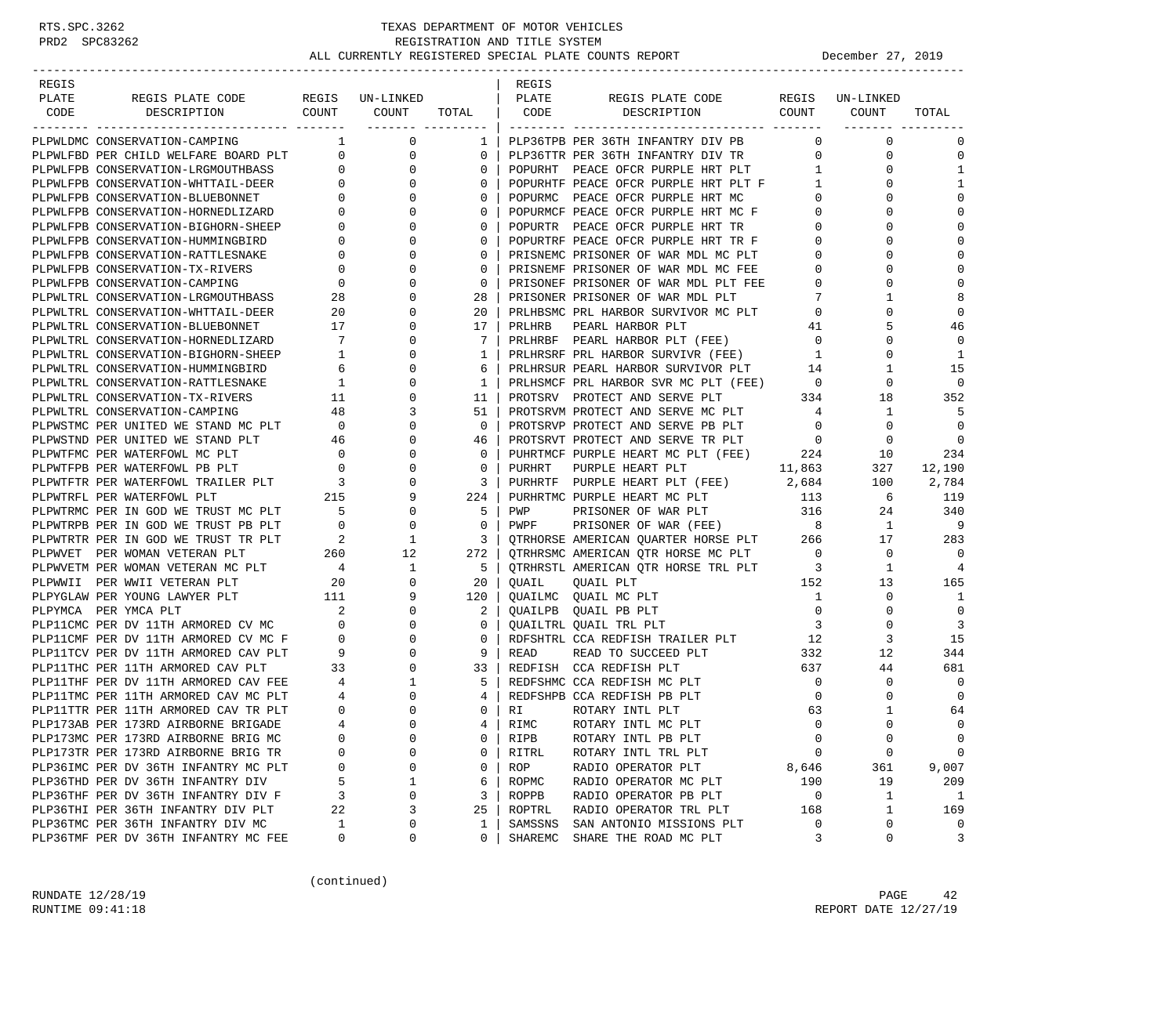| REGIS |                                                                                                                   |                          |                             |                         | REGIS   |                                          |                          |                 |                |
|-------|-------------------------------------------------------------------------------------------------------------------|--------------------------|-----------------------------|-------------------------|---------|------------------------------------------|--------------------------|-----------------|----------------|
| PLATE | REGIS PLATE CODE                                                                                                  |                          | REGIS UN-LINKED             |                         | PLATE   | REGIS PLATE CODE                         |                          | REGIS UN-LINKED |                |
| CODE  | DESCRIPTION                                                                                                       | COUNT                    | COUNT<br>________ _________ | TOTAL                   | CODE    | DESCRIPTION                              | COUNT                    | COUNT           | TOTAL          |
|       | PLPWLDMC CONSERVATION-CAMPING                                                                                     |                          | $\mathbf 0$<br>$\mathbf{1}$ |                         |         | 1   PLP36TPB PER 36TH INFANTRY DIV PB    | $\Omega$                 | $\mathbf 0$     | 0              |
|       | PLPWLFBD PER CHILD WELFARE BOARD PLT                                                                              | $\mathsf{O}$             | $\mathbf 0$                 | $\overline{0}$          |         | PLP36TTR PER 36TH INFANTRY DIV TR        | $\mathbf{0}$             | 0               | 0              |
|       | PLPWLFPB CONSERVATION-LRGMOUTHBASS                                                                                | $\mathbf 0$              | $\mathbf 0$                 | 0                       |         | POPURHT PEACE OFCR PURPLE HRT PLT        | $\mathbf{1}$             | 0               | $\mathbf{1}$   |
|       | PLPWLFPB CONSERVATION-WHTTAIL-DEER                                                                                | $\overline{0}$           | $\mathbf 0$                 | $\Omega$                |         | POPURHTF PEACE OFCR PURPLE HRT PLT F     | 1                        | 0               | $\mathbf{1}$   |
|       | PLPWLFPB CONSERVATION-BLUEBONNET                                                                                  | 0                        | 0                           | $\mathbf{0}$            |         | POPURMC PEACE OFCR PURPLE HRT MC         | 0                        | 0               | $\Omega$       |
|       | PLPWLFPB CONSERVATION-HORNEDLIZARD                                                                                | 0                        | $\Omega$                    | 0                       |         | POPURMCF PEACE OFCR PURPLE HRT MC F      | $\circ$                  |                 | $\mathbf 0$    |
|       | PLPWLFPB CONSERVATION-BIGHORN-SHEEP                                                                               | 0                        | $\mathbf 0$                 | $\mathbf{0}$            |         | POPURTR PEACE OFCR PURPLE HRT TR         | $\overline{0}$           | 0               | $\Omega$       |
|       | PLPWLFPB CONSERVATION-HUMMINGBIRD                                                                                 | 0                        | $\mathbf 0$                 | $\mathbf{0}$            |         | POPURTRF PEACE OFCR PURPLE HRT TR F      | $\mathbf 0$              |                 | $\Omega$       |
|       | PLPWLFPB CONSERVATION-RATTLESNAKE                                                                                 | $\mathbf{0}$             | $\mathbf 0$                 | $\Omega$                |         | PRISNEMC PRISONER OF WAR MDL MC PLT      | $\circ$                  |                 | $\Omega$       |
|       | PLPWLFPB CONSERVATION-TX-RIVERS                                                                                   | 0                        | $\mathbf 0$                 | $\mathbf{0}$            |         | PRISNEMF PRISONER OF WAR MDL MC FEE      | 0                        | 0               | $\Omega$       |
|       | PLPWLFPB CONSERVATION-CAMPING                                                                                     | 0                        | $\Omega$                    | $\mathbf{0}$            |         | PRISONEF PRISONER OF WAR MDL PLT FEE     | $\circ$                  | $\Omega$        | $\mathbf 0$    |
|       | PLPWLTRL CONSERVATION-LRGMOUTHBASS                                                                                | 28                       | $\mathbf 0$                 | 28                      |         | PRISONER PRISONER OF WAR MDL PLT         | 7                        | 1               | 8              |
|       | PLPWLTRL CONSERVATION-WHTTAIL-DEER                                                                                | 20                       | 0                           | 20                      |         | PRLHBSMC PRL HARBOR SURVIVOR MC PLT      | $\overline{0}$           | $\Omega$        | $\mathbf 0$    |
|       | PLPWLTRL CONSERVATION-BLUEBONNET                                                                                  | 17                       | $\mathbf 0$                 | 17                      | PRLHRB  | PEARL HARBOR PLT                         | 41                       | 5               | 46             |
|       | PLPWLTRL CONSERVATION-HORNEDLIZARD                                                                                | 7                        | $\mathbf 0$                 | 7                       |         | PRLHRBF PEARL HARBOR PLT (FEE)           | $\overline{0}$           | 0               | $\mathbf 0$    |
|       | PLPWLTRL CONSERVATION-BIGHORN-SHEEP                                                                               | $\mathbf{1}$             | $\mathbf 0$                 | $\mathbf{1}$            |         | PRLHRSRF PRL HARBOR SURVIVR (FEE)        | $\mathbf{1}$             | $\Omega$        | 1              |
|       | PLPWLTRL CONSERVATION-HUMMINGBIRD                                                                                 | 6                        | $\mathbf 0$                 | 6                       |         | PRLHRSUR PEARL HARBOR SURVIVOR PLT       | 14                       | 1               | 15             |
|       | PLPWLTRL CONSERVATION-RATTLESNAKE                                                                                 | 1                        | $\mathbf 0$                 | $1 \mid$                |         | PRLHSMCF PRL HARBOR SVR MC PLT (FEE)     | $\overline{0}$           | 0               | $\Omega$       |
|       | PLPWLTRL CONSERVATION-TX-RIVERS                                                                                   | 11                       | $\mathbf 0$                 | 11 <sub>1</sub>         |         | PROTSRV PROTECT AND SERVE PLT            | 334                      | 18              | 352            |
|       | PLPWLTRL CONSERVATION-CAMPING                                                                                     | 48                       | 3                           | 51                      |         | PROTSRVM PROTECT AND SERVE MC PLT        | 4                        | 1               | 5              |
|       | PLPWSTMC PER UNITED WE STAND MC PLT                                                                               | $\overline{\phantom{0}}$ | $\mathbf 0$                 | 0 <sup>1</sup>          |         | PROTSRVP PROTECT AND SERVE PB PLT        | $\overline{\phantom{0}}$ | $\mathbf 0$     | $\mathbf 0$    |
|       | PLPWSTND PER UNITED WE STAND PLT                                                                                  | 46                       | 0                           | 46                      |         | PROTSRVT PROTECT AND SERVE TR PLT        | $\overline{\phantom{0}}$ | 0               | $\overline{0}$ |
|       | PLPWTFMC PER WATERFOWL MC PLT                                                                                     | $\overline{\phantom{0}}$ | $\mathbf 0$                 | $\mathbf{0}$            |         | PUHRTMCF PURPLE HEART MC PLT (FEE) 224   |                          | 10              | 234            |
|       | PLPWTFPB PER WATERFOWL PB PLT                                                                                     | $\mathbf{0}$             | $\mathbf 0$                 | $\mathbf{0}$            | PURHRT  | PURPLE HEART PLT                         | 11,863                   | 327             | 12,190         |
|       | PLPWTFPB PER WALERFOWL TRAILER PLT 3<br>PLPWTFTR PER WATERFOWL TRAILER PLT 3<br>---------- PER MATERFOWL PLT 3215 |                          | $\mathbf 0$                 | 3                       |         | PURHRTF PURPLE HEART PLT (FEE)           | 2,684                    | 100             | 2,784          |
|       |                                                                                                                   |                          | 9                           | 224 l                   |         | PURHRTMC PURPLE HEART MC PLT             | 113                      | 6               | 119            |
|       | PLPWTRMC PER IN GOD WE TRUST MC PLT                                                                               | $\overline{5}$           | $\mathbf 0$                 | 5 <sub>1</sub>          | PWP     | PRISONER OF WAR PLT 316                  |                          | 24              | 340            |
|       | PLPWTRPB PER IN GOD WE TRUST PB PLT                                                                               | $\overline{0}$           | $\mathbf 0$                 | $\mathbf{0}$            | PWPF    | PRISONER OF WAR (FEE)                    | 8 <sup>8</sup>           | 1               | 9              |
|       | PLPWTRTR PER IN GOD WE TRUST TR PLT                                                                               | $\overline{\phantom{a}}$ | 1                           | $\overline{\mathbf{3}}$ |         | QTRHORSE AMERICAN QUARTER HORSE PLT 266  |                          | 17              | 283            |
|       | PLPWVET PER WOMAN VETERAN PLT                                                                                     | 260                      | 12                          |                         |         | 272   QTRHRSMC AMERICAN QTR HORSE MC PLT | $\overline{0}$           | 0               | $\Omega$       |
|       | PLPWVETM PER WOMAN VETERAN MC PLT                                                                                 | $\overline{4}$           | 1                           | $5 \mid$                |         | OTRHRSTL AMERICAN OTR HORSE TRL PLT      | $\overline{\mathbf{3}}$  | 1               | 4              |
|       | PLPWWII PER WWII VETERAN PLT                                                                                      | 20                       | $\mathbf 0$                 | 20                      | OUAIL   | QUAIL PLT                                | 152                      | 13              | 165            |
|       | PLPYGLAW PER YOUNG LAWYER PLT                                                                                     | 111                      | 9                           | 120                     |         | QUAILMC QUAIL MC PLT                     | 1                        | 0               | 1              |
|       | PLPYMCA PER YMCA PLT                                                                                              | 2                        | 0                           | $2-1$                   |         | QUAILPB QUAIL PB PLT                     | $\overline{0}$           | $\Omega$        | $\mathbf 0$    |
|       | PLP11CMC PER DV 11TH ARMORED CV MC                                                                                | $\mathbf{0}$             | 0                           | $\overline{0}$          |         | QUAILTRL QUAIL TRL PLT                   | $\overline{\mathbf{3}}$  | 0               | $\overline{3}$ |
|       | PLP11CMF PER DV 11TH ARMORED CV MC F                                                                              | $\overline{0}$           | $\mathbf 0$                 | $0-1$                   |         | RDFSHTRL CCA REDFISH TRAILER PLT         | 12                       | 3               | 15             |
|       | PLP11TCV PER DV 11TH ARMORED CAV PLT                                                                              | $\overline{9}$           | 0                           | 9                       | READ    | READ TO SUCCEED PLT                      | 332                      | 12              | 344            |
|       | PLP11THC PER 11TH ARMORED CAV PLT                                                                                 | 33                       | $\mathbf 0$                 |                         |         | 33   REDFISH CCA REDFISH PLT             | 637                      | 44              | 681            |
|       | PLP11THF PER DV 11TH ARMORED CAV FEE                                                                              | $\overline{4}$           | 1                           | $5-1$                   |         | REDFSHMC CCA REDFISH MC PLT              | $\overline{\mathbf{0}}$  | 0               | $\mathbf 0$    |
|       | PLP11TMC PER 11TH ARMORED CAV MC PLT                                                                              | 4                        | 0                           | 4                       |         | REDFSHPB CCA REDFISH PB PLT              | $\overline{0}$           | 0               | $\mathbf 0$    |
|       | PLP11TTR PER 11TH ARMORED CAV TR PLT                                                                              | $\mathbf 0$              | $\Omega$                    | 0 <sup>1</sup>          | RI      | ROTARY INTL PLT                          | 63                       | 1               | 64             |
|       | PLP173AB PER 173RD AIRBORNE BRIGADE                                                                               | $\overline{4}$           | $\Omega$                    | $4 \mid$                | RIMC    | ROTARY INTL MC PLT                       | $\Omega$                 | $\Omega$        | $\Omega$       |
|       | PLP173MC PER 173RD AIRBORNE BRIG MC                                                                               | $\Omega$                 | $\mathsf 0$                 | 0                       | RIPB    | ROTARY INTL PB PLT                       | 0                        | $\mathsf 0$     | 0              |
|       | PLP173TR PER 173RD AIRBORNE BRIG TR                                                                               | U                        | $\Omega$                    | 0                       | RITRL   | ROTARY INTL TRL PLT                      | 0                        | $\mathbf 0$     | 0              |
|       | PLP36IMC PER DV 36TH INFANTRY MC PLT                                                                              | 0                        | 0                           | 0                       | ROP     | RADIO OPERATOR PLT                       | 8,646                    | 361             | 9,007          |
|       | PLP36THD PER DV 36TH INFANTRY DIV                                                                                 | 5                        | $\mathbf 1$                 | 6                       | ROPMC   | RADIO OPERATOR MC PLT                    | 190                      | 19              | 209            |
|       | PLP36THF PER DV 36TH INFANTRY DIV F                                                                               | 3                        | 0                           | 3                       | ROPPB   | RADIO OPERATOR PB PLT                    | 0                        | 1               | 1              |
|       | PLP36THI PER 36TH INFANTRY DIV PLT                                                                                | 22                       | 3                           | 25                      | ROPTRL  | RADIO OPERATOR TRL PLT                   | 168                      | 1               | 169            |
|       | PLP36TMC PER 36TH INFANTRY DIV MC                                                                                 | 1                        | 0                           | 1                       | SAMSSNS | SAN ANTONIO MISSIONS PLT                 | 0                        | $\mathbf 0$     | 0              |
|       | PLP36TMF PER DV 36TH INFANTRY MC FEE                                                                              | 0                        | 0                           | 0                       | SHAREMC | SHARE THE ROAD MC PLT                    | 3                        | 0               | 3              |

(continued)

RUNDATE  $12/28/19$  PAGE 42 RUNTIME  $09:41:18$  REPORT DATE  $12/27/19$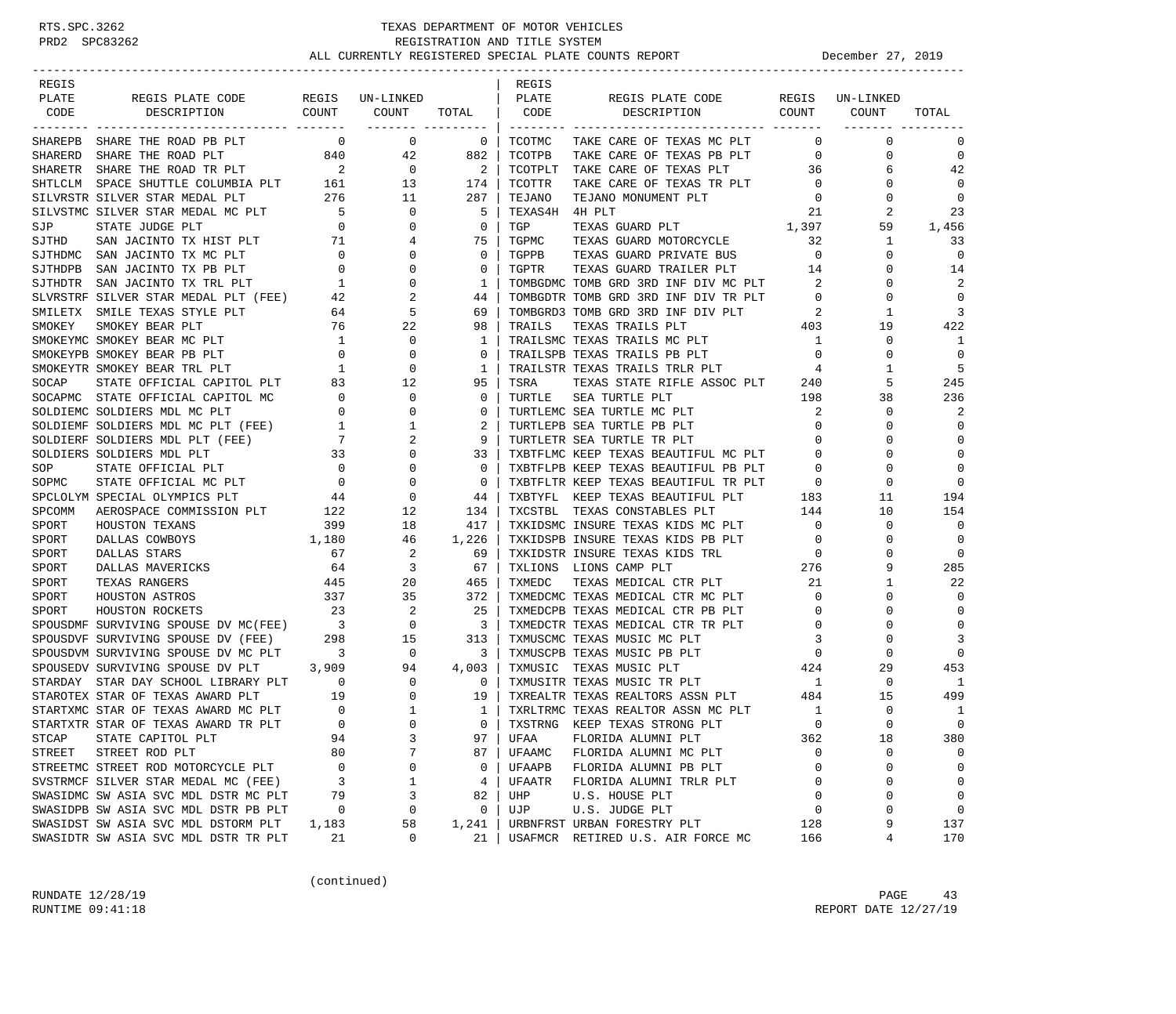| REGIS   |                                                                                                                                                                                                      |                                                              |                                      |                         | REGIS          |                                      |                            |             |                |
|---------|------------------------------------------------------------------------------------------------------------------------------------------------------------------------------------------------------|--------------------------------------------------------------|--------------------------------------|-------------------------|----------------|--------------------------------------|----------------------------|-------------|----------------|
| PLATE   | REGIS PLATE CODE                                                                                                                                                                                     |                                                              | REGIS UN-LINKED                      |                         | PLATE          | REGIS PLATE CODE                     | REGIS                      | UN-LINKED   |                |
| CODE    | COUNT<br>DESCRIPTION                                                                                                                                                                                 |                                                              | COUNT                                | TOTAL                   | CODE           | DESCRIPTION COUNT                    |                            | COUNT       | TOTAL          |
|         | SHAREPB SHARE THE ROAD PB PLT                                                                                                                                                                        | $\overline{0}$                                               | -------- ---------<br>$\overline{0}$ | $\overline{0}$          | TCOTMC         | TAKE CARE OF TEXAS MC PLT            | $\circ$                    | $\mathbf 0$ | 0              |
| SHARERD | SHARE THE ROAD PLT<br>840                                                                                                                                                                            |                                                              | 42                                   | 882                     | TCOTPB         | TAKE CARE OF TEXAS PB PLT            | $\mathbf{0}$               | 0           | $\mathbf 0$    |
|         | SHARETR SHARE THE ROAD TR PLT 2<br>SHTLCLM SPACE SHUTTLE COLUMBIA PLT 161<br>SHIVECTR SHUTTLE THE THE STAR COLUMBIA PLT                                                                              |                                                              | $\overline{0}$                       | 2                       | TCOTPLT        | TAKE CARE OF TEXAS PLT               | 36                         | 6           | 42             |
|         |                                                                                                                                                                                                      |                                                              | 13                                   | 174                     | TCOTTR         | TAKE CARE OF TEXAS TR PLT            | $\overline{0}$             | 0           | $\mathbf 0$    |
|         | SILVRSTR SILVER STAR MEDAL PLT                                                                                                                                                                       | 276                                                          | 11                                   | 287                     | TEJANO         | TEJANO MONUMENT PLT                  | $\mathbf 0$                | 0           | $\mathbf 0$    |
|         | SILVSTMC SILVER STAR MEDAL MC PLT                                                                                                                                                                    | $\overline{5}$                                               | $\mathbf 0$                          | -5                      | TEXAS4H 4H PLT |                                      | -21                        | 2           | 23             |
| SJP     | $\overline{a}$<br>STATE JUDGE PLT                                                                                                                                                                    |                                                              | 0                                    | $\mathbf 0$             | TGP            | TEXAS GUARD PLT 1,397                |                            | 59          | 1,456          |
| SJTHD   |                                                                                                                                                                                                      |                                                              | 4                                    | 75                      | TGPMC          | TEXAS GUARD MOTORCYCLE               | 32                         | 1           | 33             |
|         | $\begin{tabular}{lllllllllll} \textsc{San JACINTO} & \textsc{TX HIST PLT} & \textsc{21} \\ \textsc{San JACINTO} & \textsc{TX MC PLT} & \textsc{0} \\ \end{tabular}$<br>SJTHDMC SAN JACINTO TX MC PLT |                                                              | $\Omega$                             | $\mathbf 0$             | TGPPB          | TEXAS GUARD PRIVATE BUS              | $\overline{0}$             | 0           | $\mathbf 0$    |
|         | SJTHDPB SAN JACINTO TX PB PLT                                                                                                                                                                        | $\overline{0}$                                               | 0                                    | 0                       | TGPTR          | TEXAS GUARD TRAILER PLT              | 14                         | 0           | 14             |
|         | SJTHDTR SAN JACINTO TX TRL PLT                                                                                                                                                                       | $\begin{array}{c} 0 \\ 1 \end{array}$                        | $\mathbf 0$                          | 1                       |                | TOMBGDMC TOMB GRD 3RD INF DIV MC PLT | 2                          | U           | 2              |
|         | SLVRSTRF SILVER STAR MEDAL PLT (FEE) 42                                                                                                                                                              |                                                              | 2                                    | 44                      |                | TOMBGDTR TOMB GRD 3RD INF DIV TR PLT | $\overline{0}$             | 0           | $\mathbf 0$    |
|         | SMILETX SMILE TEXAS STYLE PLT                                                                                                                                                                        | 64                                                           | 5                                    | 69                      |                | TOMBGRD3 TOMB GRD 3RD INF DIV PLT    | $\overline{\phantom{0}}^2$ | 1           | 3              |
| SMOKEY  | SMOKEY BEAR PLT                                                                                                                                                                                      | $\frac{64}{76}$                                              | 22                                   | 98                      | TRAILS         | TEXAS TRAILS PLT                     | 403                        | 19          | 422            |
|         | SMOKEYMC SMOKEY BEAR MC PLT                                                                                                                                                                          | $\overline{1}$                                               | 0                                    | 1                       |                | TRAILSMC TEXAS TRAILS MC PLT         | $\overline{1}$             | 0           | 1              |
|         | SMOKEYPB SMOKEY BEAR PB PLT                                                                                                                                                                          | $\overline{0}$                                               | 0                                    | 0                       |                | TRAILSPB TEXAS TRAILS PB PLT         | $\overline{0}$             | 0           | $\overline{0}$ |
|         | SMOKEYTR SMOKEY BEAR TRL PLT                                                                                                                                                                         | 1                                                            | $\mathbf 0$                          | 1                       |                | TRAILSTR TEXAS TRAILS TRLR PLT       | 4                          | 1           | 5              |
| SOCAP   | STATE OFFICIAL CAPITOL PLT                                                                                                                                                                           | 83                                                           | 12                                   | 95                      | TSRA           | TEXAS STATE RIFLE ASSOC PLT 240      |                            | 5           | 245            |
|         | SOCAPMC STATE OFFICIAL CAPITOL MC                                                                                                                                                                    | $\overline{0}$                                               | $\mathbf 0$                          | 0                       | TURTLE         | SEA TURTLE PLT                       | 198                        | 38          | 236            |
|         | SOLDIEMC SOLDIERS MDL MC PLT                                                                                                                                                                         | $\overline{0}$                                               | 0                                    | 0                       |                | TURTLEMC SEA TURTLE MC PLT           | 2                          | 0           | 2              |
|         | SOLDIEMF SOLDIERS MDL MC PLT (FEE)                                                                                                                                                                   | 1                                                            | 1                                    | 2                       |                | TURTLEPB SEA TURTLE PB PLT           | $\circ$                    | $\Omega$    | $\mathbf 0$    |
|         | SOLDIERF SOLDIERS MDL PLT (FEE)                                                                                                                                                                      | $\overline{7}$                                               | 2                                    | 9                       |                | TURTLETR SEA TURTLE TR PLT           | $\circ$                    | O           | $\mathbf 0$    |
|         | SOLDIERS SOLDIERS MDL PLT                                                                                                                                                                            | 33                                                           | $\mathbf 0$                          | 33                      |                | TXBTFLMC KEEP TEXAS BEAUTIFUL MC PLT | $\mathbf 0$                | U           | $\mathbf 0$    |
| SOP     | $\overline{a}$                                                                                                                                                                                       |                                                              | 0                                    | $\mathbf 0$             |                | TXBTFLPB KEEP TEXAS BEAUTIFUL PB PLT | $\circ$                    | 0           | $\mathbf 0$    |
| SOPMC   | STATE OFFICIAL $F_{\mu\nu}$ .<br>STATE OFFICIAL MC PLT 0<br>$F_{\mu\nu}$ 0<br>$F_{\mu\nu}$ 0<br>44                                                                                                   |                                                              | 0                                    | 0                       |                | TXBTFLTR KEEP TEXAS BEAUTIFUL TR PLT |                            | 0           | $\mathbf 0$    |
|         | SPCLOLYM SPECIAL OLYMPICS PLT                                                                                                                                                                        |                                                              | 0                                    | 44                      | TXBTYFL        | KEEP TEXAS BEAUTIFUL PLT             | $T$ 0<br>183               | 11          | 194            |
| SPCOMM  | AEROSPACE COMMISSION PLT 122                                                                                                                                                                         |                                                              | 12                                   | 134                     | TXCSTBL        | TEXAS CONSTABLES PLT                 | 144                        | 10          | 154            |
| SPORT   | HOUSTON TEXANS                                                                                                                                                                                       | 399                                                          | 18                                   | 417                     |                | TXKIDSMC INSURE TEXAS KIDS MC PLT    | $\overline{0}$             | $\mathbf 0$ | $\mathbf 0$    |
| SPORT   | 1,180<br>DALLAS COWBOYS                                                                                                                                                                              |                                                              | 46                                   | 1,226                   |                | TXKIDSPB INSURE TEXAS KIDS PB PLT    | $\overline{0}$             | 0           | $\mathbf 0$    |
| SPORT   | DALLAS STARS                                                                                                                                                                                         | 67                                                           | 2                                    | 69                      |                | TXKIDSTR INSURE TEXAS KIDS TRL       |                            | 0           | $\mathbf 0$    |
| SPORT   | DALLAS MAVERICKS                                                                                                                                                                                     | 64                                                           | 3                                    | 67                      | TXLIONS        | LIONS CAMP PLT                       | $\frac{276}{21}$           | 9           | 285            |
| SPORT   | TEXAS RANGERS                                                                                                                                                                                        | 445                                                          | 20                                   | 465                     | TXMEDC         | TEXAS MEDICAL CTR PLT                | 21                         | 1           | 22             |
| SPORT   | HOUSTON ASTROS                                                                                                                                                                                       | 337                                                          | 35                                   | 372                     |                | TXMEDCMC TEXAS MEDICAL CTR MC PLT    | $\mathbf{0}$               | 0           | $\mathbf 0$    |
| SPORT   | HOUSTON ROCKETS                                                                                                                                                                                      | 23                                                           | 2                                    | 25                      |                | TXMEDCPB TEXAS MEDICAL CTR PB PLT    | $\circ$                    | 0           | $\mathbf 0$    |
|         |                                                                                                                                                                                                      |                                                              |                                      | $\overline{\mathbf{3}}$ |                | TXMEDCTR TEXAS MEDICAL CTR TR PLT    | 0                          | 0           | $\mathbf 0$    |
|         |                                                                                                                                                                                                      |                                                              |                                      | 313                     |                | TXMUSCMC TEXAS MUSIC MC PLT          | 3                          | U           | 3              |
|         | SPOUSDVM SURVIVING SPOUSE DV MC PLT 3                                                                                                                                                                |                                                              |                                      | 3                       |                | TXMUSCPB TEXAS MUSIC PB PLT          | $\mathbf 0$                | 0           | 0              |
|         | SPOUSEDV SURVIVING SPOUSE DV PLT 3,909                                                                                                                                                               |                                                              | $\begin{array}{c}0\\94\end{array}$   | 4,003                   | TXMUSIC        | TEXAS MUSIC PLT                      | 424                        | 29          | 453            |
|         | STARDAY STAR DAY SCHOOL LIBRARY PLT 0                                                                                                                                                                |                                                              | $\mathbf{0}$                         | $\mathbf 0$             |                | TXMUSITR TEXAS MUSIC TR PLT          | $\mathbf{1}$               | 0           | -1             |
|         | STAROTEX STAR OF TEXAS AWARD PLT                                                                                                                                                                     |                                                              | $\mathbf 0$                          | 19                      |                | TXREALTR TEXAS REALTORS ASSN PLT     | 484                        | 15          | 499            |
|         | STARTXMC STAR OF TEXAS AWARD MC PLT                                                                                                                                                                  | $\begin{array}{ccc}\n & & 19 \\ \text{T} & & 0\n\end{array}$ | $\mathbf{1}$                         | 1                       |                | TXRLTRMC TEXAS REALTOR ASSN MC PLT   | 1                          | $\mathbf 0$ | 1              |
|         | STARTXTR STAR OF TEXAS AWARD TR PLT                                                                                                                                                                  | $\Omega$                                                     | $\Omega$                             | $\Omega$                | TXSTRNG        | KEEP TEXAS STRONG PLT                | $\Omega$                   | $\Omega$    | $\Omega$       |
| STCAP   | STATE CAPITOL PLT                                                                                                                                                                                    | 94                                                           | 3                                    | 97                      | UFAA           | FLORIDA ALUMNI PLT                   | 362                        | 18          | 380            |
| STREET  | STREET ROD PLT                                                                                                                                                                                       | 80                                                           | 7                                    | 87                      | UFAAMC         | FLORIDA ALUMNI MC PLT                | 0                          | $\Omega$    | 0              |
|         | STREETMC STREET ROD MOTORCYCLE PLT                                                                                                                                                                   | 0                                                            | 0                                    | 0                       | UFAAPB         | FLORIDA ALUMNI PB PLT                | 0                          | 0           | 0              |
|         | SVSTRMCF SILVER STAR MEDAL MC (FEE)                                                                                                                                                                  | 3                                                            | 1                                    | 4                       | UFAATR         | FLORIDA ALUMNI TRLR PLT              | 0                          | 0           | 0              |
|         | SWASIDMC SW ASIA SVC MDL DSTR MC PLT                                                                                                                                                                 | 79                                                           | 3                                    | 82                      | UHP            | U.S. HOUSE PLT                       | 0                          | 0           | 0              |
|         | SWASIDPB SW ASIA SVC MDL DSTR PB PLT                                                                                                                                                                 | 0                                                            | 0                                    | 0                       | UJP            | U.S. JUDGE PLT                       | 0                          | $\Omega$    | $\mathbf 0$    |
|         | SWASIDST SW ASIA SVC MDL DSTORM PLT                                                                                                                                                                  | 1,183                                                        | 58                                   | 1,241                   |                | URBNFRST URBAN FORESTRY PLT          | 128                        | 9           | 137            |
|         | SWASIDTR SW ASIA SVC MDL DSTR TR PLT                                                                                                                                                                 | 21                                                           | 0                                    | 21                      | USAFMCR        | RETIRED U.S. AIR FORCE MC            | 166                        | 4           | 170            |

(continued)

RUNDATE  $12/28/19$  PAGE 43 RUNTIME 09:41:18 REPORT DATE 12/27/19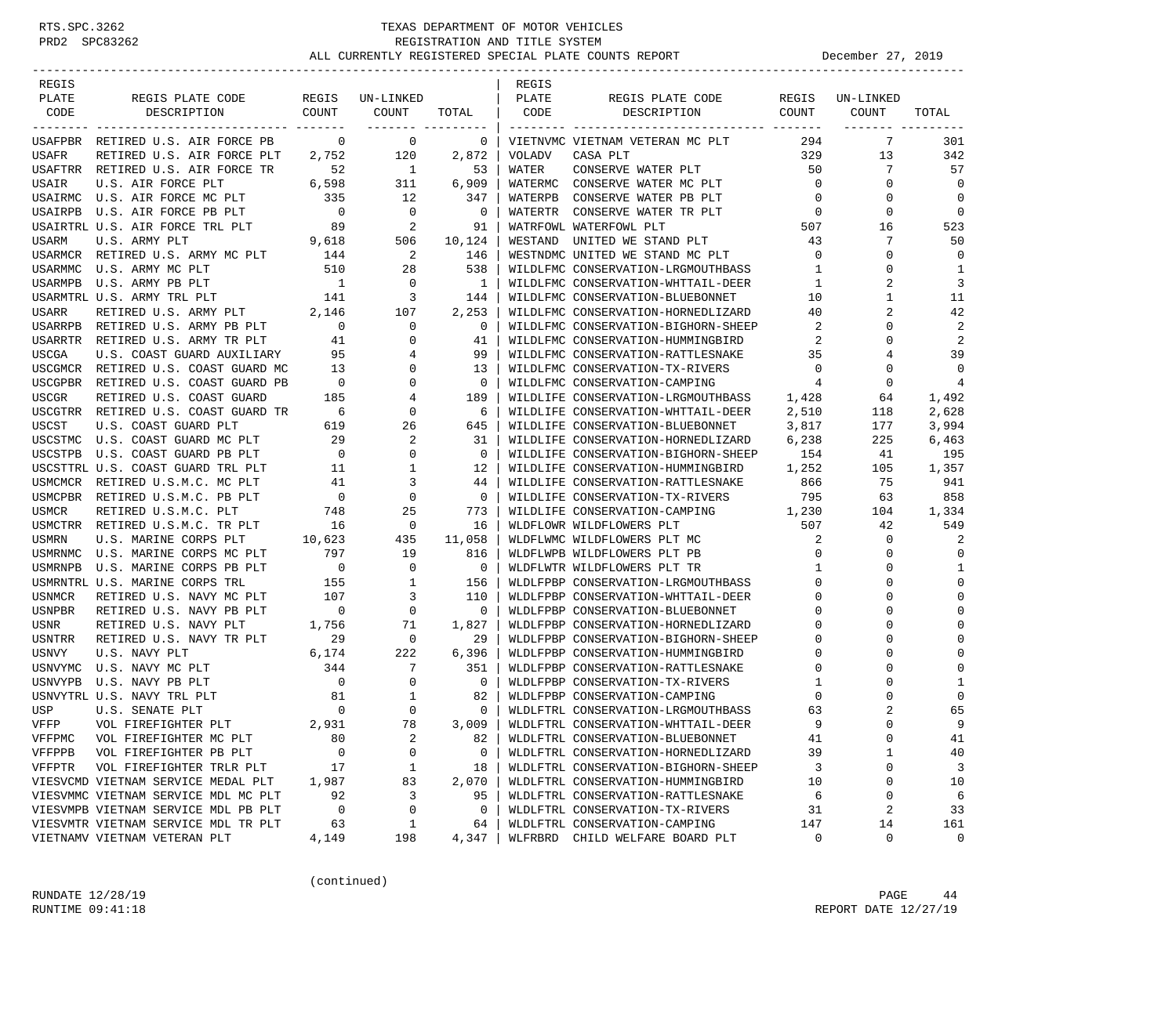| REGIS        |                                     |                          |             |                | REGIS         |                                     |                |             |             |
|--------------|-------------------------------------|--------------------------|-------------|----------------|---------------|-------------------------------------|----------------|-------------|-------------|
| PLATE        | REGIS PLATE CODE                    | REGIS                    | UN-LINKED   |                | PLATE         | REGIS PLATE CODE                    | REGIS          | UN-LINKED   |             |
| CODE         | DESCRIPTION                         | COUNT                    | COUNT       | TOTAL          | CODE          | DESCRIPTION                         | COUNT          | COUNT       | TOTAL       |
|              |                                     |                          |             |                |               |                                     |                |             |             |
|              | USAFPBR RETIRED U.S. AIR FORCE PB   | $\mathbf 0$              | 0           | 0              |               | VIETNVMC VIETNAM VETERAN MC PLT     | 294            | 7           | 301         |
| USAFR        | RETIRED U.S. AIR FORCE PLT          | 2,752                    | 120         | 2,872          | <b>VOLADV</b> | CASA PLT                            | 329            | 13          | 342         |
|              | USAFTRR RETIRED U.S. AIR FORCE TR   | 52                       | 1           | 53             | WATER         | CONSERVE WATER PLT                  | 50             | 7           | 57          |
| USAIR        | U.S. AIR FORCE PLT                  | 6,598                    | 311         | 6,909          |               | WATERMC CONSERVE WATER MC PLT       | $\overline{0}$ | 0           | $\mathbf 0$ |
|              | USAIRMC U.S. AIR FORCE MC PLT       | 335                      | 12          | 347            | WATERPB       | CONSERVE WATER PB PLT               | $\mathbf 0$    | 0           | $\mathbf 0$ |
|              | USAIRPB U.S. AIR FORCE PB PLT       | $\overline{\phantom{0}}$ | 0           | 0              | WATERTR       | CONSERVE WATER TR PLT               | 0              | 0           | 0           |
|              | USAIRTRL U.S. AIR FORCE TRL PLT     | 89                       | 2           | 91             |               | WATRFOWL WATERFOWL PLT              | 507            | 16          | 523         |
| USARM        | U.S. ARMY PLT                       | 9,618                    | 506         | 10,124         | WESTAND       | UNITED WE STAND PLT                 | 43             | 7           | 50          |
|              | USARMCR RETIRED U.S. ARMY MC PLT    | 144                      | 2           | 146            |               | WESTNDMC UNITED WE STAND MC PLT     | $\circ$        | $\Omega$    | $\mathbf 0$ |
| USARMMC      | U.S. ARMY MC PLT                    | 510                      | 28          | 538            |               | WILDLFMC CONSERVATION-LRGMOUTHBASS  | 1              | 0           | 1           |
|              | USARMPB U.S. ARMY PB PLT            | $\overline{1}$           | $\mathbf 0$ | 1              |               | WILDLFMC CONSERVATION-WHTTAIL-DEER  | 1              | 2           | 3           |
|              | USARMTRL U.S. ARMY TRL PLT          | 141                      | 3           | 144            |               | WILDLFMC CONSERVATION-BLUEBONNET    | 10             | 1           | 11          |
| USARR        | RETIRED U.S. ARMY PLT               | 2,146                    | 107         | 2,253          |               | WILDLFMC CONSERVATION-HORNEDLIZARD  | 40             | 2           | 42          |
|              | USARRPB RETIRED U.S. ARMY PB PLT    | $\overline{\phantom{0}}$ | 0           | 0              |               | WILDLFMC CONSERVATION-BIGHORN-SHEEP | 2              | $\Omega$    | 2           |
|              | USARRTR RETIRED U.S. ARMY TR PLT    | 41                       | 0           | 41             |               | WILDLFMC CONSERVATION-HUMMINGBIRD   | 2              | $\Omega$    | 2           |
| <b>USCGA</b> | U.S. COAST GUARD AUXILIARY          | 95                       | 4           | 99             |               | WILDLFMC CONSERVATION-RATTLESNAKE   | 35             |             | 39          |
|              | USCGMCR RETIRED U.S. COAST GUARD MC | 13                       | 0           | 13             |               | WILDLFMC CONSERVATION-TX-RIVERS     | $\mathbf 0$    | $\Omega$    | $\mathbf 0$ |
|              | USCGPBR RETIRED U.S. COAST GUARD PB | $\overline{0}$           | 0           | $\mathbf 0$    |               | WILDLFMC CONSERVATION-CAMPING       | $\overline{4}$ | $\mathbf 0$ | 4           |
| <b>USCGR</b> | RETIRED U.S. COAST GUARD            | 185                      | 4           | 189            |               | WILDLIFE CONSERVATION-LRGMOUTHBASS  | 1,428          | 64          | 1,492       |
|              | USCGTRR RETIRED U.S. COAST GUARD TR | 6                        | 0           | 6              |               | WILDLIFE CONSERVATION-WHTTAIL-DEER  | 2,510          | 118         | 2,628       |
| USCST        | U.S. COAST GUARD PLT                | 619                      | 26          | 645            |               | WILDLIFE CONSERVATION-BLUEBONNET    | 3,817          | 177         | 3,994       |
|              | USCSTMC U.S. COAST GUARD MC PLT     | 29                       | 2           | 31             |               | WILDLIFE CONSERVATION-HORNEDLIZARD  | 6,238          | 225         | 6,463       |
| USCSTPB      | U.S. COAST GUARD PB PLT             | $\overline{0}$           | 0           | $\mathbf 0$    |               | WILDLIFE CONSERVATION-BIGHORN-SHEEP | 154            | 41          | 195         |
|              | USCSTTRL U.S. COAST GUARD TRL PLT   | 11                       | 1           | 12             |               | WILDLIFE CONSERVATION-HUMMINGBIRD   | 1,252          | 105         | 1,357       |
| USMCMCR      | RETIRED U.S.M.C. MC PLT             | 41                       | 3           | 44             |               | WILDLIFE CONSERVATION-RATTLESNAKE   | 866            | 75          | 941         |
|              | USMCPBR RETIRED U.S.M.C. PB PLT     | $\mathbf 0$              | 0           | $\mathbf 0$    |               | WILDLIFE CONSERVATION-TX-RIVERS     | 795            | 63          | 858         |
| <b>USMCR</b> | RETIRED U.S.M.C. PLT                | 748                      | 25          | 773            |               | WILDLIFE CONSERVATION-CAMPING       | 1,230          | 104         | 1,334       |
|              | USMCTRR RETIRED U.S.M.C. TR PLT     | 16                       | $\mathbf 0$ | 16             |               | WLDFLOWR WILDFLOWERS PLT            | 507            | 42          | 549         |
| <b>USMRN</b> | U.S. MARINE CORPS PLT               | 10,623                   | 435         | 11,058         |               | WLDFLWMC WILDFLOWERS PLT MC         | 2              | $\mathbf 0$ | 2           |
| USMRNMC      | U.S. MARINE CORPS MC PLT            | 797                      | 19          | 816            |               | WLDFLWPB WILDFLOWERS PLT PB         | 0              | 0           | $\mathbf 0$ |
| USMRNPB      | U.S. MARINE CORPS PB PLT            | $\overline{\phantom{0}}$ | $\mathbf 0$ | $\overline{0}$ |               | WLDFLWTR WILDFLOWERS PLT TR         | 1              | $\Omega$    | 1           |
|              | USMRNTRL U.S. MARINE CORPS TRL      | 155                      | 1           | 156            |               | WLDLFPBP CONSERVATION-LRGMOUTHBASS  | $\mathbf 0$    | $\Omega$    | $\mathbf 0$ |
| USNMCR       | RETIRED U.S. NAVY MC PLT            | 107                      | 3           | 110            |               | WLDLFPBP CONSERVATION-WHTTAIL-DEER  | 0              | $\Omega$    | $\Omega$    |
| USNPBR       | RETIRED U.S. NAVY PB PLT            | $\overline{\phantom{0}}$ | 0           | $\mathbf 0$    |               | WLDLFPBP CONSERVATION-BLUEBONNET    | 0              | ∩           | $\Omega$    |
| USNR         | RETIRED U.S. NAVY PLT               | 1,756                    | 71          | 1,827          |               | WLDLFPBP CONSERVATION-HORNEDLIZARD  | 0              | $\Omega$    | $\Omega$    |
| USNTRR       | RETIRED U.S. NAVY TR PLT            | 29                       | 0           | 29             |               | WLDLFPBP CONSERVATION-BIGHORN-SHEEP | $\mathbf 0$    | $\Omega$    | 0           |
| <b>USNVY</b> | U.S. NAVY PLT                       | 6,174                    | 222         | 6,396          |               | WLDLFPBP CONSERVATION-HUMMINGBIRD   | 0              | $\Omega$    | $\Omega$    |
| USNVYMC      | U.S. NAVY MC PLT                    | 344                      | 7           | 351            |               | WLDLFPBP CONSERVATION-RATTLESNAKE   | $\mathbf 0$    |             | 0           |
| USNVYPB      | U.S. NAVY PB PLT                    | $\overline{0}$           | 0           | $\mathbf 0$    |               | WLDLFPBP CONSERVATION-TX-RIVERS     | 1              |             | 1           |
|              | USNVYTRL U.S. NAVY TRL PLT          | 81                       | 1           | 82             |               | WLDLFPBP CONSERVATION-CAMPING       | 0              | O           | $\Omega$    |
| USP          | U.S. SENATE PLT                     | $\mathbf 0$              | 0           | $\mathbf 0$    |               | WLDLFTRL CONSERVATION-LRGMOUTHBASS  | 63             | 2           | 65          |
| VFFP         | VOL FIREFIGHTER PLT                 | 2,931                    | 78          | 3,009          |               | WLDLFTRL CONSERVATION-WHTTAIL-DEER  | 9              | $\Omega$    | 9           |
| VFFPMC       | VOL FIREFIGHTER MC PLT              | 80                       | 2           | 82             |               | WLDLFTRL CONSERVATION-BLUEBONNET    | 41             | 0           | 41          |
| VFFPPB       | VOL FIREFIGHTER PB PLT              | 0                        | 0           | 0              |               | WLDLFTRL CONSERVATION-HORNEDLIZARD  | 39             | 1           | 40          |
| VFFPTR       | VOL FIREFIGHTER TRLR PLT            | 17                       | $\mathbf 1$ | 18             |               | WLDLFTRL CONSERVATION-BIGHORN-SHEEP | 3              | 0           | 3           |
|              | VIESVCMD VIETNAM SERVICE MEDAL PLT  | 1,987                    | 83          | 2,070          |               | WLDLFTRL CONSERVATION-HUMMINGBIRD   | 10             | 0           | 10          |
|              | VIESVMMC VIETNAM SERVICE MDL MC PLT | 92                       | 3           | 95             |               | WLDLFTRL CONSERVATION-RATTLESNAKE   | 6              | 0           | 6           |
|              | VIESVMPB VIETNAM SERVICE MDL PB PLT | $\mathbf 0$              | 0           | 0              |               | WLDLFTRL CONSERVATION-TX-RIVERS     | 31             | 2           | 33          |
|              | VIESVMTR VIETNAM SERVICE MDL TR PLT | 63                       | $\mathbf 1$ | 64             |               | WLDLFTRL CONSERVATION-CAMPING       | 147            | 14          | 161         |
|              | VIETNAMV VIETNAM VETERAN PLT        | 4,149                    | 198         | 4,347          |               | WLFRBRD CHILD WELFARE BOARD PLT     | 0              | 0           | 0           |
|              |                                     |                          |             |                |               |                                     |                |             |             |

(continued)

RUNDATE  $12/28/19$  PAGE 44 RUNTIME 09:41:18 REPORT DATE 12/27/19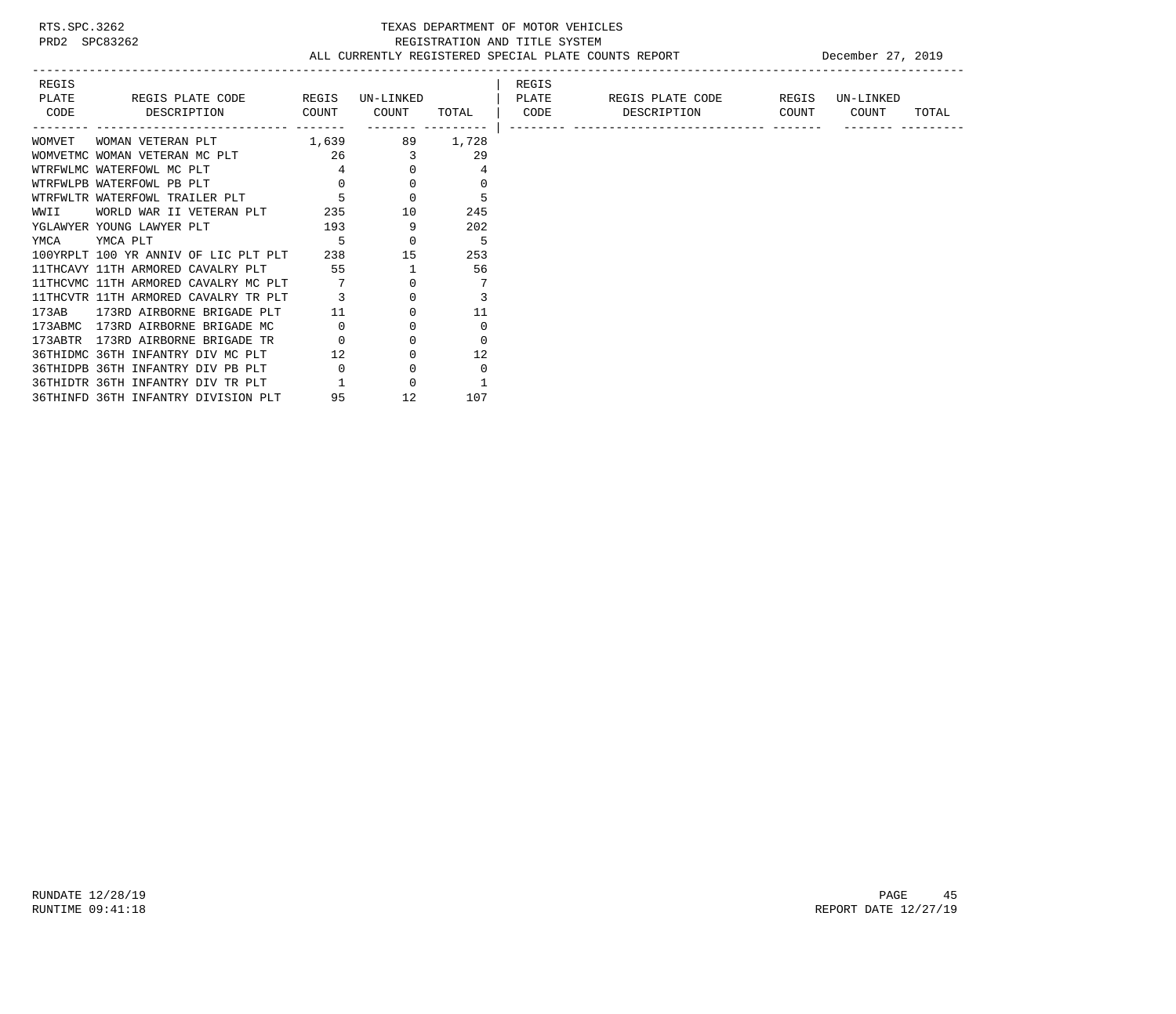# RTS.SPC.3262 TEXAS DEPARTMENT OF MOTOR VEHICLES<br>PRD2 SPC83262 TEXAS REGISTRATION AND TITLE SYSTEM<br>ALL CURRENTLY REGISTERED SPECIAL PLATE COUNTS REGISTRATION AND TITLE SYSTEM ALL CURRENTLY REGISTERED SPECIAL PLATE COUNTS REPORT DECEMBER 27, 2019

| REGIS  |                                           |                |                            |                         | REGIS |                        |       |           |       |
|--------|-------------------------------------------|----------------|----------------------------|-------------------------|-------|------------------------|-------|-----------|-------|
| PLATE  | REGIS PLATE CODE REGIS                    |                | UN-LINKED                  | <b>Example 12 PLATE</b> |       | REGIS PLATE CODE REGIS |       | UN-LINKED |       |
|        | CODE DESCRIPTION COUNT                    |                | COUNT                      | TOTAL                   |       | CODE DESCRIPTION       | COUNT | COUNT     | TOTAL |
|        |                                           |                | ------- ---------          |                         |       |                        |       |           |       |
| WOMVET | 1,639<br>WOMAN VETERAN PLT                |                |                            | 89 1,728                |       |                        |       |           |       |
|        | WOMVETMC WOMAN VETERAN MC PLT 26 26       |                |                            | 29                      |       |                        |       |           |       |
|        | WTRFWLMC WATERFOWL MC PLT                 |                | $\overline{4}$<br>$\Omega$ |                         |       |                        |       |           |       |
|        | WTRFWLPB WATERFOWL PB PLT                 | $\Omega$       |                            |                         |       |                        |       |           |       |
|        | WTRFWLTR WATERFOWL TRAILER PLT            |                | $\Omega$                   |                         |       |                        |       |           |       |
|        | WWII WORLD WAR II VETERAN PLT             | 235            | 10                         | 245                     |       |                        |       |           |       |
|        | 193<br>YGLAWYER YOUNG LAWYER PLT          |                | 9                          | 202                     |       |                        |       |           |       |
| YMCA   | YMCA PLT                                  |                | $\overline{0}$             | 5                       |       |                        |       |           |       |
|        | 100YRPLT 100 YR ANNIV OF LIC PLT PLT      |                | 238<br>15                  | 253                     |       |                        |       |           |       |
|        | 11THCAVY 11TH ARMORED CAVALRY PLT 55 55 1 |                |                            | 56                      |       |                        |       |           |       |
|        | 11THCVMC 11TH ARMORED CAVALRY MC PLT      |                |                            |                         |       |                        |       |           |       |
|        | 11THCVTR 11TH ARMORED CAVALRY TR PLT      |                |                            |                         |       |                        |       |           |       |
|        | 173AB 173RD AIRBORNE BRIGADE PLT          | 11             |                            | 11                      |       |                        |       |           |       |
|        | 173ABMC 173RD AIRBORNE BRIGADE MC         | $\overline{0}$ |                            |                         |       |                        |       |           |       |
|        | 173ABTR 173RD AIRBORNE BRIGADE TR         |                |                            |                         |       |                        |       |           |       |
|        | 36THIDMC 36TH INFANTRY DIV MC PLT         | 12             |                            | 12                      |       |                        |       |           |       |
|        | 36THIDPB 36TH INFANTRY DIV PB PLT         |                |                            | $\Omega$                |       |                        |       |           |       |
|        | 36THIDTR 36TH INFANTRY DIV TR PLT         |                |                            |                         |       |                        |       |           |       |
|        | 36THINFD 36TH INFANTRY DIVISION PLT       | 95             | 12                         | 107                     |       |                        |       |           |       |